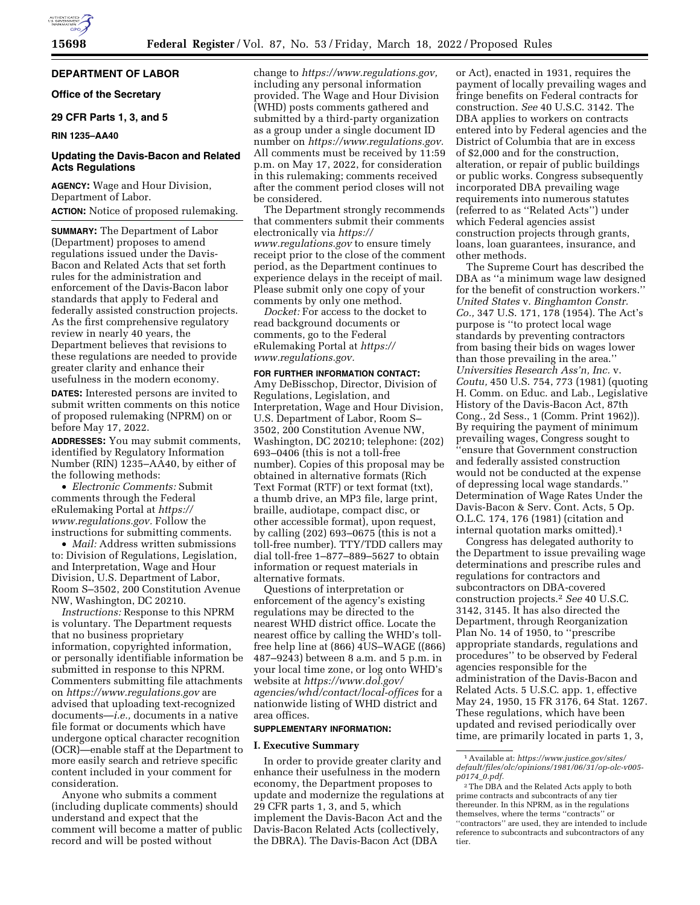## **DEPARTMENT OF LABOR**

## **Office of the Secretary**

## **29 CFR Parts 1, 3, and 5**

## **RIN 1235–AA40**

## **Updating the Davis-Bacon and Related Acts Regulations**

**AGENCY:** Wage and Hour Division, Department of Labor.

## **ACTION:** Notice of proposed rulemaking.

**SUMMARY:** The Department of Labor (Department) proposes to amend regulations issued under the Davis-Bacon and Related Acts that set forth rules for the administration and enforcement of the Davis-Bacon labor standards that apply to Federal and federally assisted construction projects. As the first comprehensive regulatory review in nearly 40 years, the Department believes that revisions to these regulations are needed to provide greater clarity and enhance their usefulness in the modern economy.

**DATES:** Interested persons are invited to submit written comments on this notice of proposed rulemaking (NPRM) on or before May 17, 2022.

**ADDRESSES:** You may submit comments, identified by Regulatory Information Number (RIN) 1235–AA40, by either of the following methods:

• *Electronic Comments:* Submit comments through the Federal eRulemaking Portal at *[https://](https://www.regulations.gov) [www.regulations.gov.](https://www.regulations.gov)* Follow the instructions for submitting comments.

• *Mail:* Address written submissions to: Division of Regulations, Legislation, and Interpretation, Wage and Hour Division, U.S. Department of Labor, Room S–3502, 200 Constitution Avenue NW, Washington, DC 20210.

*Instructions:* Response to this NPRM is voluntary. The Department requests that no business proprietary information, copyrighted information, or personally identifiable information be submitted in response to this NPRM. Commenters submitting file attachments on *<https://www.regulations.gov>* are advised that uploading text-recognized documents—*i.e.,* documents in a native file format or documents which have undergone optical character recognition (OCR)—enable staff at the Department to more easily search and retrieve specific content included in your comment for consideration.

Anyone who submits a comment (including duplicate comments) should understand and expect that the comment will become a matter of public record and will be posted without

change to *[https://www.regulations.gov,](https://www.regulations.gov)*  including any personal information provided. The Wage and Hour Division (WHD) posts comments gathered and submitted by a third-party organization as a group under a single document ID number on *[https://www.regulations.gov.](https://www.regulations.gov)*  All comments must be received by 11:59 p.m. on May 17, 2022, for consideration in this rulemaking; comments received after the comment period closes will not be considered.

The Department strongly recommends that commenters submit their comments electronically via *[https://](https://www.regulations.gov) [www.regulations.gov](https://www.regulations.gov)* to ensure timely receipt prior to the close of the comment period, as the Department continues to experience delays in the receipt of mail. Please submit only one copy of your comments by only one method.

*Docket:* For access to the docket to read background documents or comments, go to the Federal eRulemaking Portal at *[https://](https://www.regulations.gov) [www.regulations.gov.](https://www.regulations.gov)* 

**FOR FURTHER INFORMATION CONTACT:**  Amy DeBisschop, Director, Division of Regulations, Legislation, and Interpretation, Wage and Hour Division, U.S. Department of Labor, Room S– 3502, 200 Constitution Avenue NW, Washington, DC 20210; telephone: (202) 693–0406 (this is not a toll-free number). Copies of this proposal may be obtained in alternative formats (Rich Text Format (RTF) or text format (txt), a thumb drive, an MP3 file, large print, braille, audiotape, compact disc, or other accessible format), upon request, by calling (202) 693–0675 (this is not a toll-free number). TTY/TDD callers may dial toll-free 1–877–889–5627 to obtain information or request materials in alternative formats.

Questions of interpretation or enforcement of the agency's existing regulations may be directed to the nearest WHD district office. Locate the nearest office by calling the WHD's tollfree help line at (866) 4US–WAGE ((866) 487–9243) between 8 a.m. and 5 p.m. in your local time zone, or log onto WHD's website at *[https://www.dol.gov/](https://www.dol.gov/agencies/whd/contact/local-offices)  [agencies/whd/contact/local-offices](https://www.dol.gov/agencies/whd/contact/local-offices)* for a nationwide listing of WHD district and area offices.

## **SUPPLEMENTARY INFORMATION:**

#### **I. Executive Summary**

In order to provide greater clarity and enhance their usefulness in the modern economy, the Department proposes to update and modernize the regulations at 29 CFR parts 1, 3, and 5, which implement the Davis-Bacon Act and the Davis-Bacon Related Acts (collectively, the DBRA). The Davis-Bacon Act (DBA

or Act), enacted in 1931, requires the payment of locally prevailing wages and fringe benefits on Federal contracts for construction. *See* 40 U.S.C. 3142. The DBA applies to workers on contracts entered into by Federal agencies and the District of Columbia that are in excess of \$2,000 and for the construction, alteration, or repair of public buildings or public works. Congress subsequently incorporated DBA prevailing wage requirements into numerous statutes (referred to as ''Related Acts'') under which Federal agencies assist construction projects through grants, loans, loan guarantees, insurance, and other methods.

The Supreme Court has described the DBA as ''a minimum wage law designed for the benefit of construction workers.'' *United States* v. *Binghamton Constr. Co.,* 347 U.S. 171, 178 (1954). The Act's purpose is ''to protect local wage standards by preventing contractors from basing their bids on wages lower than those prevailing in the area.'' *Universities Research Ass'n, Inc.* v. *Coutu,* 450 U.S. 754, 773 (1981) (quoting H. Comm. on Educ. and Lab., Legislative History of the Davis-Bacon Act, 87th Cong., 2d Sess., 1 (Comm. Print 1962)). By requiring the payment of minimum prevailing wages, Congress sought to ''ensure that Government construction and federally assisted construction would not be conducted at the expense of depressing local wage standards.'' Determination of Wage Rates Under the Davis-Bacon & Serv. Cont. Acts, 5 Op. O.L.C. 174, 176 (1981) (citation and internal quotation marks omitted).1

Congress has delegated authority to the Department to issue prevailing wage determinations and prescribe rules and regulations for contractors and subcontractors on DBA-covered construction projects.2 *See* 40 U.S.C. 3142, 3145. It has also directed the Department, through Reorganization Plan No. 14 of 1950, to ''prescribe appropriate standards, regulations and procedures'' to be observed by Federal agencies responsible for the administration of the Davis-Bacon and Related Acts. 5 U.S.C. app. 1, effective May 24, 1950, 15 FR 3176, 64 Stat. 1267. These regulations, which have been updated and revised periodically over time, are primarily located in parts 1, 3,

<sup>1</sup>Available at: *[https://www.justice.gov/sites/](https://www.justice.gov/sites/default/files/olc/opinions/1981/06/31/op-olc-v005-p0174_0.pdf)  [default/files/olc/opinions/1981/06/31/op-olc-v005](https://www.justice.gov/sites/default/files/olc/opinions/1981/06/31/op-olc-v005-p0174_0.pdf) [p0174](https://www.justice.gov/sites/default/files/olc/opinions/1981/06/31/op-olc-v005-p0174_0.pdf)*\_*0.pdf.* 

<sup>2</sup>The DBA and the Related Acts apply to both prime contracts and subcontracts of any tier thereunder. In this NPRM, as in the regulations themselves, where the terms ''contracts'' or ''contractors'' are used, they are intended to include reference to subcontracts and subcontractors of any tier.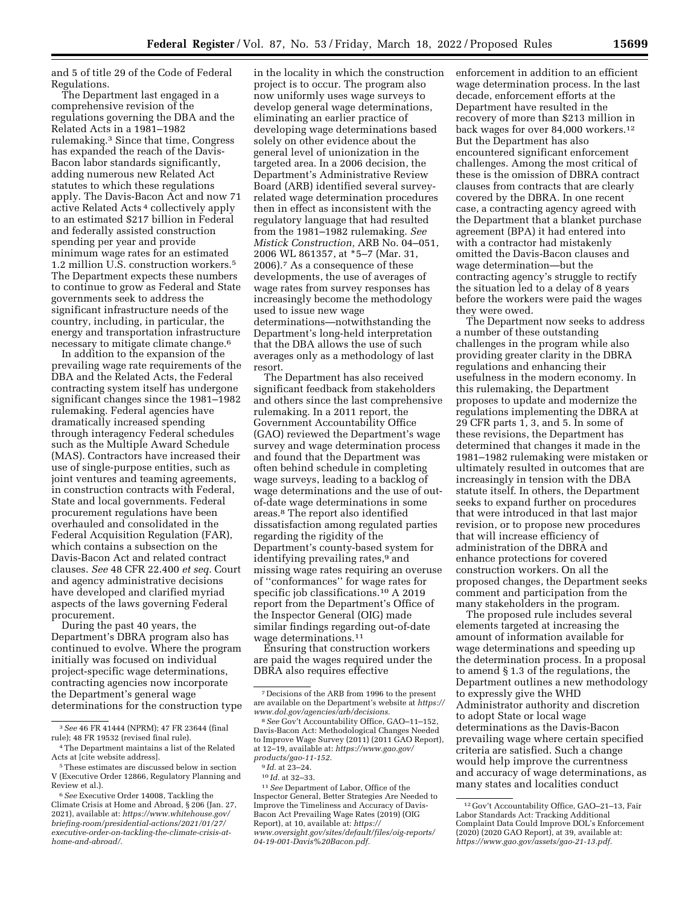and 5 of title 29 of the Code of Federal Regulations.

The Department last engaged in a comprehensive revision of the regulations governing the DBA and the Related Acts in a 1981–1982 rulemaking.3 Since that time, Congress has expanded the reach of the Davis-Bacon labor standards significantly, adding numerous new Related Act statutes to which these regulations apply. The Davis-Bacon Act and now 71 active Related Acts 4 collectively apply to an estimated \$217 billion in Federal and federally assisted construction spending per year and provide minimum wage rates for an estimated 1.2 million U.S. construction workers.5 The Department expects these numbers to continue to grow as Federal and State governments seek to address the significant infrastructure needs of the country, including, in particular, the energy and transportation infrastructure necessary to mitigate climate change.6

In addition to the expansion of the prevailing wage rate requirements of the DBA and the Related Acts, the Federal contracting system itself has undergone significant changes since the 1981–1982 rulemaking. Federal agencies have dramatically increased spending through interagency Federal schedules such as the Multiple Award Schedule (MAS). Contractors have increased their use of single-purpose entities, such as joint ventures and teaming agreements, in construction contracts with Federal, State and local governments. Federal procurement regulations have been overhauled and consolidated in the Federal Acquisition Regulation (FAR), which contains a subsection on the Davis-Bacon Act and related contract clauses. *See* 48 CFR 22.400 *et seq.* Court and agency administrative decisions have developed and clarified myriad aspects of the laws governing Federal procurement.

During the past 40 years, the Department's DBRA program also has continued to evolve. Where the program initially was focused on individual project-specific wage determinations, contracting agencies now incorporate the Department's general wage determinations for the construction type

in the locality in which the construction project is to occur. The program also now uniformly uses wage surveys to develop general wage determinations, eliminating an earlier practice of developing wage determinations based solely on other evidence about the general level of unionization in the targeted area. In a 2006 decision, the Department's Administrative Review Board (ARB) identified several surveyrelated wage determination procedures then in effect as inconsistent with the regulatory language that had resulted from the 1981–1982 rulemaking. *See Mistick Construction,* ARB No. 04–051, 2006 WL 861357, at \*5–7 (Mar. 31, 2006).7 As a consequence of these developments, the use of averages of wage rates from survey responses has increasingly become the methodology used to issue new wage determinations—notwithstanding the Department's long-held interpretation that the DBA allows the use of such averages only as a methodology of last resort.

The Department has also received significant feedback from stakeholders and others since the last comprehensive rulemaking. In a 2011 report, the Government Accountability Office (GAO) reviewed the Department's wage survey and wage determination process and found that the Department was often behind schedule in completing wage surveys, leading to a backlog of wage determinations and the use of outof-date wage determinations in some areas.8 The report also identified dissatisfaction among regulated parties regarding the rigidity of the Department's county-based system for identifying prevailing rates,<sup>9</sup> and missing wage rates requiring an overuse of ''conformances'' for wage rates for specific job classifications.<sup>10</sup> A 2019 report from the Department's Office of the Inspector General (OIG) made similar findings regarding out-of-date wage determinations.11

Ensuring that construction workers are paid the wages required under the DBRA also requires effective

<sup>9</sup> *Id.* at 23–24. 10 *Id.* at 32–33. 11*See* Department of Labor, Office of the Inspector General, Better Strategies Are Needed to Improve the Timeliness and Accuracy of Davis-Bacon Act Prevailing Wage Rates (2019) (OIG Report), at 10, available at: *[https://](https://www.oversight.gov/sites/default/files/oig-reports/04-19-001-Davis%20Bacon.pdf) [www.oversight.gov/sites/default/files/oig-reports/](https://www.oversight.gov/sites/default/files/oig-reports/04-19-001-Davis%20Bacon.pdf)  [04-19-001-Davis%20Bacon.pdf.](https://www.oversight.gov/sites/default/files/oig-reports/04-19-001-Davis%20Bacon.pdf)* 

enforcement in addition to an efficient wage determination process. In the last decade, enforcement efforts at the Department have resulted in the recovery of more than \$213 million in back wages for over 84,000 workers.<sup>12</sup> But the Department has also encountered significant enforcement challenges. Among the most critical of these is the omission of DBRA contract clauses from contracts that are clearly covered by the DBRA. In one recent case, a contracting agency agreed with the Department that a blanket purchase agreement (BPA) it had entered into with a contractor had mistakenly omitted the Davis-Bacon clauses and wage determination—but the contracting agency's struggle to rectify the situation led to a delay of 8 years before the workers were paid the wages they were owed.

The Department now seeks to address a number of these outstanding challenges in the program while also providing greater clarity in the DBRA regulations and enhancing their usefulness in the modern economy. In this rulemaking, the Department proposes to update and modernize the regulations implementing the DBRA at 29 CFR parts 1, 3, and 5. In some of these revisions, the Department has determined that changes it made in the 1981–1982 rulemaking were mistaken or ultimately resulted in outcomes that are increasingly in tension with the DBA statute itself. In others, the Department seeks to expand further on procedures that were introduced in that last major revision, or to propose new procedures that will increase efficiency of administration of the DBRA and enhance protections for covered construction workers. On all the proposed changes, the Department seeks comment and participation from the many stakeholders in the program.

The proposed rule includes several elements targeted at increasing the amount of information available for wage determinations and speeding up the determination process. In a proposal to amend § 1.3 of the regulations, the Department outlines a new methodology to expressly give the WHD Administrator authority and discretion to adopt State or local wage determinations as the Davis-Bacon prevailing wage where certain specified criteria are satisfied. Such a change would help improve the currentness and accuracy of wage determinations, as many states and localities conduct

<sup>3</sup>*See* 46 FR 41444 (NPRM); 47 FR 23644 (final rule); 48 FR 19532 (revised final rule).

<sup>&</sup>lt;sup>4</sup> The Department maintains a list of the Related Acts at [cite website address].

<sup>5</sup>These estimates are discussed below in section V (Executive Order 12866, Regulatory Planning and Review et al.).

<sup>6</sup>*See* Executive Order 14008, Tackling the Climate Crisis at Home and Abroad, § 206 (Jan. 27, 2021), available at: *[https://www.whitehouse.gov/](https://www.whitehouse.gov/briefing-room/presidential-actions/2021/01/27/executive-order-on-tackling-the-climate-crisis-at-home-and-abroad/) [briefing-room/presidential-actions/2021/01/27/](https://www.whitehouse.gov/briefing-room/presidential-actions/2021/01/27/executive-order-on-tackling-the-climate-crisis-at-home-and-abroad/)  [executive-order-on-tackling-the-climate-crisis-at](https://www.whitehouse.gov/briefing-room/presidential-actions/2021/01/27/executive-order-on-tackling-the-climate-crisis-at-home-and-abroad/)[home-and-abroad/.](https://www.whitehouse.gov/briefing-room/presidential-actions/2021/01/27/executive-order-on-tackling-the-climate-crisis-at-home-and-abroad/)* 

<sup>7</sup> Decisions of the ARB from 1996 to the present are available on the Department's website at *[https://](https://www.dol.gov/agencies/arb/decisions) [www.dol.gov/agencies/arb/decisions.](https://www.dol.gov/agencies/arb/decisions)* 

<sup>8</sup>*See* Gov't Accountability Office, GAO–11–152, Davis-Bacon Act: Methodological Changes Needed to Improve Wage Survey (2011) (2011 GAO Report), at 12–19, available at: *[https://www.gao.gov/](https://www.gao.gov/products/gao-11-152) [products/gao-11-152.](https://www.gao.gov/products/gao-11-152)* 

<sup>12</sup> Gov't Accountability Office, GAO–21–13, Fair Labor Standards Act: Tracking Additional Complaint Data Could Improve DOL's Enforcement  $(2020)$   $(2020$  GAO Report), at 39, available at: *[https://www.gao.gov/assets/gao-21-13.pdf.](https://www.gao.gov/assets/gao-21-13.pdf)*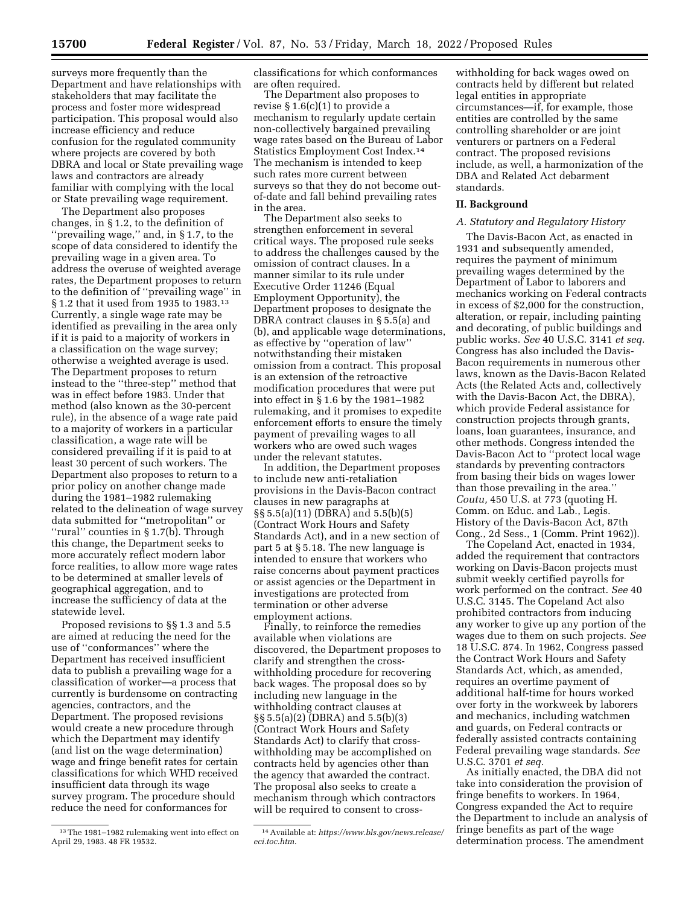surveys more frequently than the Department and have relationships with stakeholders that may facilitate the process and foster more widespread participation. This proposal would also increase efficiency and reduce confusion for the regulated community where projects are covered by both DBRA and local or State prevailing wage laws and contractors are already familiar with complying with the local or State prevailing wage requirement.

The Department also proposes changes, in § 1.2, to the definition of ''prevailing wage,'' and, in § 1.7, to the scope of data considered to identify the prevailing wage in a given area. To address the overuse of weighted average rates, the Department proposes to return to the definition of ''prevailing wage'' in § 1.2 that it used from 1935 to 1983.13 Currently, a single wage rate may be identified as prevailing in the area only if it is paid to a majority of workers in a classification on the wage survey; otherwise a weighted average is used. The Department proposes to return instead to the ''three-step'' method that was in effect before 1983. Under that method (also known as the 30-percent rule), in the absence of a wage rate paid to a majority of workers in a particular classification, a wage rate will be considered prevailing if it is paid to at least 30 percent of such workers. The Department also proposes to return to a prior policy on another change made during the 1981–1982 rulemaking related to the delineation of wage survey data submitted for ''metropolitan'' or ''rural'' counties in § 1.7(b). Through this change, the Department seeks to more accurately reflect modern labor force realities, to allow more wage rates to be determined at smaller levels of geographical aggregation, and to increase the sufficiency of data at the statewide level.

Proposed revisions to §§ 1.3 and 5.5 are aimed at reducing the need for the use of ''conformances'' where the Department has received insufficient data to publish a prevailing wage for a classification of worker—a process that currently is burdensome on contracting agencies, contractors, and the Department. The proposed revisions would create a new procedure through which the Department may identify (and list on the wage determination) wage and fringe benefit rates for certain classifications for which WHD received insufficient data through its wage survey program. The procedure should reduce the need for conformances for

classifications for which conformances are often required.

The Department also proposes to revise § 1.6(c)(1) to provide a mechanism to regularly update certain non-collectively bargained prevailing wage rates based on the Bureau of Labor Statistics Employment Cost Index.14 The mechanism is intended to keep such rates more current between surveys so that they do not become outof-date and fall behind prevailing rates in the area.

The Department also seeks to strengthen enforcement in several critical ways. The proposed rule seeks to address the challenges caused by the omission of contract clauses. In a manner similar to its rule under Executive Order 11246 (Equal Employment Opportunity), the Department proposes to designate the DBRA contract clauses in § 5.5(a) and (b), and applicable wage determinations, as effective by ''operation of law'' notwithstanding their mistaken omission from a contract. This proposal is an extension of the retroactive modification procedures that were put into effect in § 1.6 by the 1981–1982 rulemaking, and it promises to expedite enforcement efforts to ensure the timely payment of prevailing wages to all workers who are owed such wages under the relevant statutes.

In addition, the Department proposes to include new anti-retaliation provisions in the Davis-Bacon contract clauses in new paragraphs at §§ 5.5(a)(11) (DBRA) and 5.5(b)(5) (Contract Work Hours and Safety Standards Act), and in a new section of part 5 at § 5.18. The new language is intended to ensure that workers who raise concerns about payment practices or assist agencies or the Department in investigations are protected from termination or other adverse employment actions.

Finally, to reinforce the remedies available when violations are discovered, the Department proposes to clarify and strengthen the crosswithholding procedure for recovering back wages. The proposal does so by including new language in the withholding contract clauses at §§ 5.5(a)(2) (DBRA) and 5.5(b)(3) (Contract Work Hours and Safety Standards Act) to clarify that crosswithholding may be accomplished on contracts held by agencies other than the agency that awarded the contract. The proposal also seeks to create a mechanism through which contractors will be required to consent to cross-

withholding for back wages owed on contracts held by different but related legal entities in appropriate circumstances—if, for example, those entities are controlled by the same controlling shareholder or are joint venturers or partners on a Federal contract. The proposed revisions include, as well, a harmonization of the DBA and Related Act debarment standards.

## **II. Background**

#### *A. Statutory and Regulatory History*

The Davis-Bacon Act, as enacted in 1931 and subsequently amended, requires the payment of minimum prevailing wages determined by the Department of Labor to laborers and mechanics working on Federal contracts in excess of \$2,000 for the construction, alteration, or repair, including painting and decorating, of public buildings and public works. *See* 40 U.S.C. 3141 *et seq.*  Congress has also included the Davis-Bacon requirements in numerous other laws, known as the Davis-Bacon Related Acts (the Related Acts and, collectively with the Davis-Bacon Act, the DBRA), which provide Federal assistance for construction projects through grants, loans, loan guarantees, insurance, and other methods. Congress intended the Davis-Bacon Act to ''protect local wage standards by preventing contractors from basing their bids on wages lower than those prevailing in the area.'' *Coutu,* 450 U.S. at 773 (quoting H. Comm. on Educ. and Lab., Legis. History of the Davis-Bacon Act, 87th Cong., 2d Sess., 1 (Comm. Print 1962)).

The Copeland Act, enacted in 1934, added the requirement that contractors working on Davis-Bacon projects must submit weekly certified payrolls for work performed on the contract. *See* 40 U.S.C. 3145. The Copeland Act also prohibited contractors from inducing any worker to give up any portion of the wages due to them on such projects. *See*  18 U.S.C. 874. In 1962, Congress passed the Contract Work Hours and Safety Standards Act, which, as amended, requires an overtime payment of additional half-time for hours worked over forty in the workweek by laborers and mechanics, including watchmen and guards, on Federal contracts or federally assisted contracts containing Federal prevailing wage standards. *See*  U.S.C. 3701 *et seq.* 

As initially enacted, the DBA did not take into consideration the provision of fringe benefits to workers. In 1964, Congress expanded the Act to require the Department to include an analysis of fringe benefits as part of the wage determination process. The amendment

<sup>13</sup>The 1981–1982 rulemaking went into effect on April 29, 1983. 48 FR 19532.

<sup>14</sup>Available at: *[https://www.bls.gov/news.release/](https://www.bls.gov/news.release/eci.toc.htm) [eci.toc.htm.](https://www.bls.gov/news.release/eci.toc.htm)*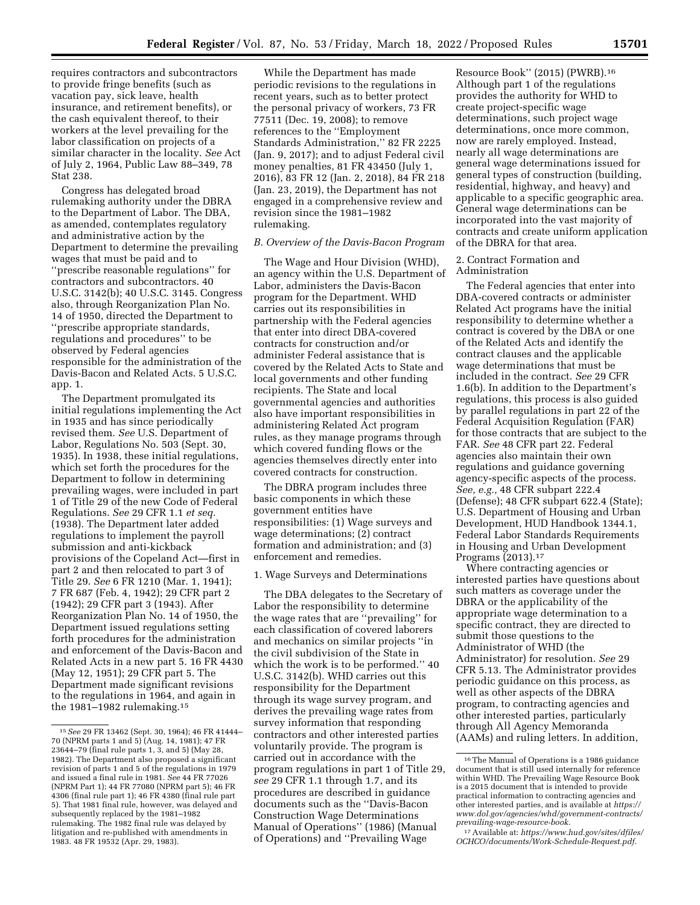requires contractors and subcontractors to provide fringe benefits (such as vacation pay, sick leave, health insurance, and retirement benefits), or the cash equivalent thereof, to their workers at the level prevailing for the labor classification on projects of a similar character in the locality. *See* Act of July 2, 1964, Public Law 88–349, 78 Stat 238.

Congress has delegated broad rulemaking authority under the DBRA to the Department of Labor. The DBA, as amended, contemplates regulatory and administrative action by the Department to determine the prevailing wages that must be paid and to ''prescribe reasonable regulations'' for contractors and subcontractors. 40 U.S.C. 3142(b); 40 U.S.C. 3145. Congress also, through Reorganization Plan No. 14 of 1950, directed the Department to ''prescribe appropriate standards, regulations and procedures'' to be observed by Federal agencies responsible for the administration of the Davis-Bacon and Related Acts. 5 U.S.C. app. 1.

The Department promulgated its initial regulations implementing the Act in 1935 and has since periodically revised them. *See* U.S. Department of Labor, Regulations No. 503 (Sept. 30, 1935). In 1938, these initial regulations, which set forth the procedures for the Department to follow in determining prevailing wages, were included in part 1 of Title 29 of the new Code of Federal Regulations. *See* 29 CFR 1.1 *et seq.*  (1938). The Department later added regulations to implement the payroll submission and anti-kickback provisions of the Copeland Act—first in part 2 and then relocated to part 3 of Title 29. *See* 6 FR 1210 (Mar. 1, 1941); 7 FR 687 (Feb. 4, 1942); 29 CFR part 2 (1942); 29 CFR part 3 (1943). After Reorganization Plan No. 14 of 1950, the Department issued regulations setting forth procedures for the administration and enforcement of the Davis-Bacon and Related Acts in a new part 5. 16 FR 4430 (May 12, 1951); 29 CFR part 5. The Department made significant revisions to the regulations in 1964, and again in the 1981–1982 rulemaking.15

While the Department has made periodic revisions to the regulations in recent years, such as to better protect the personal privacy of workers, 73 FR 77511 (Dec. 19, 2008); to remove references to the ''Employment Standards Administration,'' 82 FR 2225 (Jan. 9, 2017); and to adjust Federal civil money penalties, 81 FR 43450 (July 1, 2016), 83 FR 12 (Jan. 2, 2018), 84 FR 218 (Jan. 23, 2019), the Department has not engaged in a comprehensive review and revision since the 1981–1982 rulemaking.

## *B. Overview of the Davis-Bacon Program*

The Wage and Hour Division (WHD), an agency within the U.S. Department of Labor, administers the Davis-Bacon program for the Department. WHD carries out its responsibilities in partnership with the Federal agencies that enter into direct DBA-covered contracts for construction and/or administer Federal assistance that is covered by the Related Acts to State and local governments and other funding recipients. The State and local governmental agencies and authorities also have important responsibilities in administering Related Act program rules, as they manage programs through which covered funding flows or the agencies themselves directly enter into covered contracts for construction.

The DBRA program includes three basic components in which these government entities have responsibilities: (1) Wage surveys and wage determinations; (2) contract formation and administration; and (3) enforcement and remedies.

### 1. Wage Surveys and Determinations

The DBA delegates to the Secretary of Labor the responsibility to determine the wage rates that are ''prevailing'' for each classification of covered laborers and mechanics on similar projects ''in the civil subdivision of the State in which the work is to be performed.'' 40 U.S.C. 3142(b). WHD carries out this responsibility for the Department through its wage survey program, and derives the prevailing wage rates from survey information that responding contractors and other interested parties voluntarily provide. The program is carried out in accordance with the program regulations in part 1 of Title 29, *see* 29 CFR 1.1 through 1.7, and its procedures are described in guidance documents such as the ''Davis-Bacon Construction Wage Determinations Manual of Operations'' (1986) (Manual of Operations) and ''Prevailing Wage

Resource Book'' (2015) (PWRB).16 Although part 1 of the regulations provides the authority for WHD to create project-specific wage determinations, such project wage determinations, once more common, now are rarely employed. Instead, nearly all wage determinations are general wage determinations issued for general types of construction (building, residential, highway, and heavy) and applicable to a specific geographic area. General wage determinations can be incorporated into the vast majority of contracts and create uniform application of the DBRA for that area.

2. Contract Formation and Administration

The Federal agencies that enter into DBA-covered contracts or administer Related Act programs have the initial responsibility to determine whether a contract is covered by the DBA or one of the Related Acts and identify the contract clauses and the applicable wage determinations that must be included in the contract. *See* 29 CFR 1.6(b). In addition to the Department's regulations, this process is also guided by parallel regulations in part 22 of the Federal Acquisition Regulation (FAR) for those contracts that are subject to the FAR. *See* 48 CFR part 22. Federal agencies also maintain their own regulations and guidance governing agency-specific aspects of the process. *See, e.g.,* 48 CFR subpart 222.4 (Defense); 48 CFR subpart 622.4 (State); U.S. Department of Housing and Urban Development, HUD Handbook 1344.1, Federal Labor Standards Requirements in Housing and Urban Development Programs (2013).17

Where contracting agencies or interested parties have questions about such matters as coverage under the DBRA or the applicability of the appropriate wage determination to a specific contract, they are directed to submit those questions to the Administrator of WHD (the Administrator) for resolution. *See* 29 CFR 5.13. The Administrator provides periodic guidance on this process, as well as other aspects of the DBRA program, to contracting agencies and other interested parties, particularly through All Agency Memoranda (AAMs) and ruling letters. In addition,

<sup>15</sup>*See* 29 FR 13462 (Sept. 30, 1964); 46 FR 41444– 70 (NPRM parts 1 and 5) (Aug. 14, 1981); 47 FR 23644–79 (final rule parts 1, 3, and 5) (May 28, 1982). The Department also proposed a significant revision of parts 1 and 5 of the regulations in 1979 and issued a final rule in 1981. *See* 44 FR 77026 (NPRM Part 1); 44 FR 77080 (NPRM part 5); 46 FR 4306 (final rule part 1); 46 FR 4380 (final rule part 5). That 1981 final rule, however, was delayed and subsequently replaced by the 1981–1982 rulemaking. The 1982 final rule was delayed by litigation and re-published with amendments in 1983. 48 FR 19532 (Apr. 29, 1983).

<sup>16</sup>The Manual of Operations is a 1986 guidance document that is still used internally for reference within WHD. The Prevailing Wage Resource Book is a 2015 document that is intended to provide practical information to contracting agencies and other interested parties, and is available at *[https://](https://www.dol.gov/agencies/whd/government-contracts/prevailing-wage-resource-book)  [www.dol.gov/agencies/whd/government-contracts/](https://www.dol.gov/agencies/whd/government-contracts/prevailing-wage-resource-book) [prevailing-wage-resource-book.](https://www.dol.gov/agencies/whd/government-contracts/prevailing-wage-resource-book)* 

<sup>17</sup>Available at: *[https://www.hud.gov/sites/dfiles/](https://www.hud.gov/sites/dfiles/OCHCO/documents/Work-Schedule-Request.pdf) [OCHCO/documents/Work-Schedule-Request.pdf.](https://www.hud.gov/sites/dfiles/OCHCO/documents/Work-Schedule-Request.pdf)*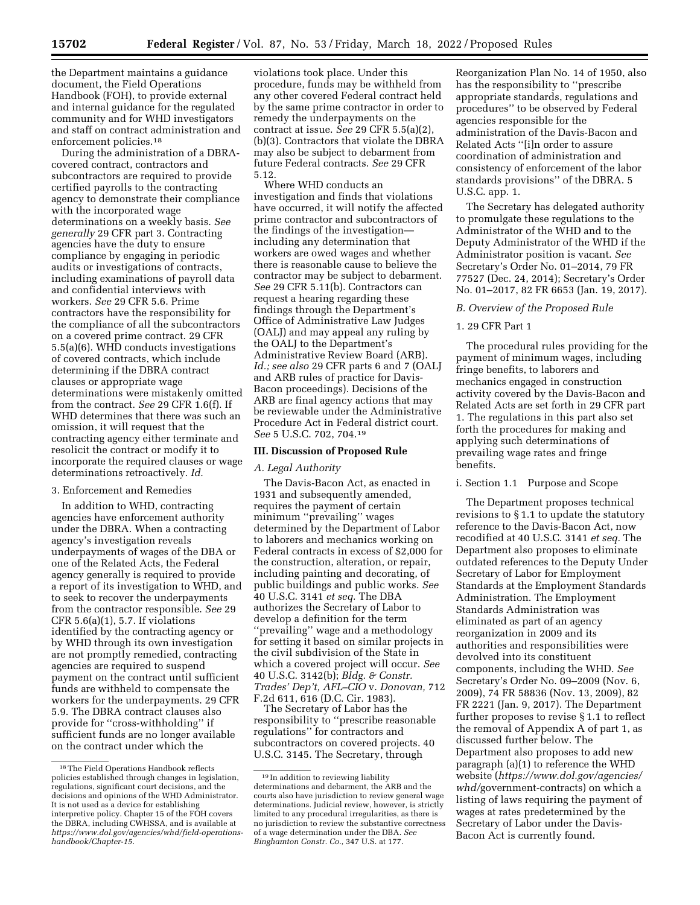the Department maintains a guidance document, the Field Operations Handbook (FOH), to provide external and internal guidance for the regulated community and for WHD investigators and staff on contract administration and enforcement policies.<sup>18</sup>

During the administration of a DBRAcovered contract, contractors and subcontractors are required to provide certified payrolls to the contracting agency to demonstrate their compliance with the incorporated wage determinations on a weekly basis. *See generally* 29 CFR part 3. Contracting agencies have the duty to ensure compliance by engaging in periodic audits or investigations of contracts, including examinations of payroll data and confidential interviews with workers. *See* 29 CFR 5.6. Prime contractors have the responsibility for the compliance of all the subcontractors on a covered prime contract. 29 CFR 5.5(a)(6). WHD conducts investigations of covered contracts, which include determining if the DBRA contract clauses or appropriate wage determinations were mistakenly omitted from the contract. *See* 29 CFR 1.6(f). If WHD determines that there was such an omission, it will request that the contracting agency either terminate and resolicit the contract or modify it to incorporate the required clauses or wage determinations retroactively. *Id.* 

#### 3. Enforcement and Remedies

In addition to WHD, contracting agencies have enforcement authority under the DBRA. When a contracting agency's investigation reveals underpayments of wages of the DBA or one of the Related Acts, the Federal agency generally is required to provide a report of its investigation to WHD, and to seek to recover the underpayments from the contractor responsible. *See* 29 CFR 5.6(a)(1), 5.7. If violations identified by the contracting agency or by WHD through its own investigation are not promptly remedied, contracting agencies are required to suspend payment on the contract until sufficient funds are withheld to compensate the workers for the underpayments. 29 CFR 5.9. The DBRA contract clauses also provide for ''cross-withholding'' if sufficient funds are no longer available on the contract under which the

violations took place. Under this procedure, funds may be withheld from any other covered Federal contract held by the same prime contractor in order to remedy the underpayments on the contract at issue. *See* 29 CFR 5.5(a)(2), (b)(3). Contractors that violate the DBRA may also be subject to debarment from future Federal contracts. *See* 29 CFR 5.12.

Where WHD conducts an investigation and finds that violations have occurred, it will notify the affected prime contractor and subcontractors of the findings of the investigation including any determination that workers are owed wages and whether there is reasonable cause to believe the contractor may be subject to debarment. *See* 29 CFR 5.11(b). Contractors can request a hearing regarding these findings through the Department's Office of Administrative Law Judges (OALJ) and may appeal any ruling by the OALJ to the Department's Administrative Review Board (ARB). *Id.; see also* 29 CFR parts 6 and 7 (OALJ and ARB rules of practice for Davis-Bacon proceedings). Decisions of the ARB are final agency actions that may be reviewable under the Administrative Procedure Act in Federal district court. *See* 5 U.S.C. 702, 704.19

#### **III. Discussion of Proposed Rule**

#### *A. Legal Authority*

The Davis-Bacon Act, as enacted in 1931 and subsequently amended, requires the payment of certain minimum ''prevailing'' wages determined by the Department of Labor to laborers and mechanics working on Federal contracts in excess of \$2,000 for the construction, alteration, or repair, including painting and decorating, of public buildings and public works. *See*  40 U.S.C. 3141 *et seq.* The DBA authorizes the Secretary of Labor to develop a definition for the term ''prevailing'' wage and a methodology for setting it based on similar projects in the civil subdivision of the State in which a covered project will occur. *See*  40 U.S.C. 3142(b); *Bldg. & Constr. Trades' Dep't, AFL–CIO* v. *Donovan,* 712 F.2d 611, 616 (D.C. Cir. 1983).

The Secretary of Labor has the responsibility to ''prescribe reasonable regulations'' for contractors and subcontractors on covered projects. 40 U.S.C. 3145. The Secretary, through

Reorganization Plan No. 14 of 1950, also has the responsibility to ''prescribe appropriate standards, regulations and procedures'' to be observed by Federal agencies responsible for the administration of the Davis-Bacon and Related Acts ''[i]n order to assure coordination of administration and consistency of enforcement of the labor standards provisions'' of the DBRA. 5 U.S.C. app. 1.

The Secretary has delegated authority to promulgate these regulations to the Administrator of the WHD and to the Deputy Administrator of the WHD if the Administrator position is vacant. *See*  Secretary's Order No. 01–2014, 79 FR 77527 (Dec. 24, 2014); Secretary's Order No. 01–2017, 82 FR 6653 (Jan. 19, 2017).

#### *B. Overview of the Proposed Rule*

## 1. 29 CFR Part 1

The procedural rules providing for the payment of minimum wages, including fringe benefits, to laborers and mechanics engaged in construction activity covered by the Davis-Bacon and Related Acts are set forth in 29 CFR part 1. The regulations in this part also set forth the procedures for making and applying such determinations of prevailing wage rates and fringe benefits.

## i. Section 1.1 Purpose and Scope

The Department proposes technical revisions to § 1.1 to update the statutory reference to the Davis-Bacon Act, now recodified at 40 U.S.C. 3141 *et seq.* The Department also proposes to eliminate outdated references to the Deputy Under Secretary of Labor for Employment Standards at the Employment Standards Administration. The Employment Standards Administration was eliminated as part of an agency reorganization in 2009 and its authorities and responsibilities were devolved into its constituent components, including the WHD. *See*  Secretary's Order No. 09–2009 (Nov. 6, 2009), 74 FR 58836 (Nov. 13, 2009), 82 FR 2221 (Jan. 9, 2017). The Department further proposes to revise § 1.1 to reflect the removal of Appendix A of part 1, as discussed further below. The Department also proposes to add new paragraph (a)(1) to reference the WHD website (*[https://www.dol.gov/agencies/](https://www.dol.gov/agencies/whd/government-contracts)  whd/*[government-contracts\)](https://www.dol.gov/agencies/whd/government-contracts) on which a listing of laws requiring the payment of wages at rates predetermined by the Secretary of Labor under the Davis-Bacon Act is currently found.

<sup>18</sup>The Field Operations Handbook reflects policies established through changes in legislation, regulations, significant court decisions, and the decisions and opinions of the WHD Administrator. It is not used as a device for establishing interpretive policy. Chapter 15 of the FOH covers the DBRA, including CWHSSA, and is available at *[https://www.dol.gov/agencies/whd/field-operations](https://www.dol.gov/agencies/whd/field-operations-handbook/Chapter-15)[handbook/Chapter-15.](https://www.dol.gov/agencies/whd/field-operations-handbook/Chapter-15)* 

<sup>19</sup> In addition to reviewing liability determinations and debarment, the ARB and the courts also have jurisdiction to review general wage determinations. Judicial review, however, is strictly limited to any procedural irregularities, as there is no jurisdiction to review the substantive correctness of a wage determination under the DBA. *See Binghamton Constr. Co.,* 347 U.S. at 177.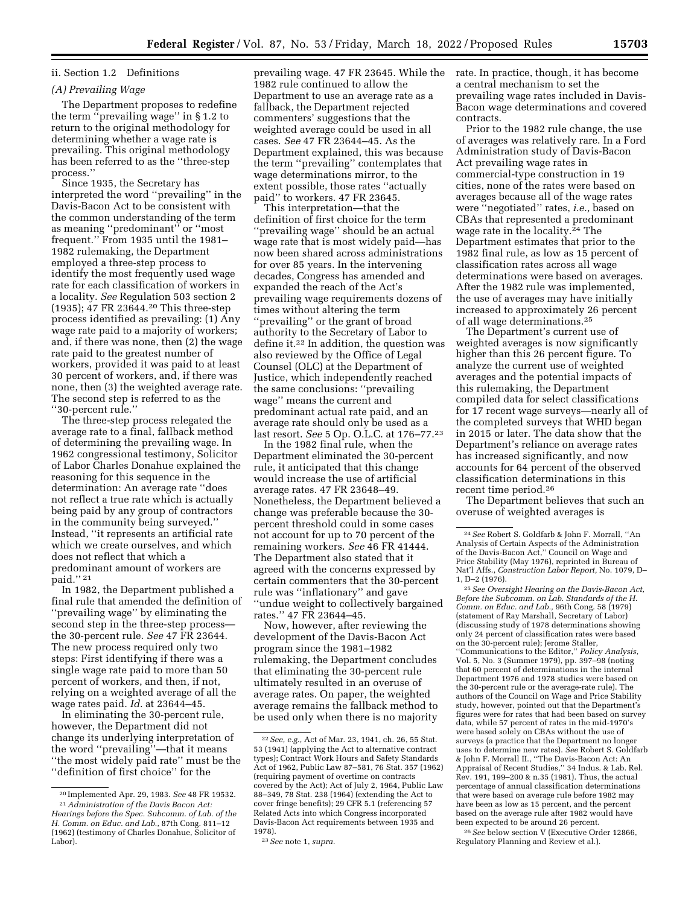## ii. Section 1.2 Definitions

## *(A) Prevailing Wage*

The Department proposes to redefine the term ''prevailing wage'' in § 1.2 to return to the original methodology for determining whether a wage rate is prevailing. This original methodology has been referred to as the ''three-step process.''

Since 1935, the Secretary has interpreted the word ''prevailing'' in the Davis-Bacon Act to be consistent with the common understanding of the term as meaning ''predominant'' or ''most frequent.'' From 1935 until the 1981– 1982 rulemaking, the Department employed a three-step process to identify the most frequently used wage rate for each classification of workers in a locality. *See* Regulation 503 section 2 (1935); 47 FR 23644.20 This three-step process identified as prevailing: (1) Any wage rate paid to a majority of workers; and, if there was none, then (2) the wage rate paid to the greatest number of workers, provided it was paid to at least 30 percent of workers, and, if there was none, then (3) the weighted average rate. The second step is referred to as the ''30-percent rule.''

The three-step process relegated the average rate to a final, fallback method of determining the prevailing wage. In 1962 congressional testimony, Solicitor of Labor Charles Donahue explained the reasoning for this sequence in the determination: An average rate ''does not reflect a true rate which is actually being paid by any group of contractors in the community being surveyed.'' Instead, ''it represents an artificial rate which we create ourselves, and which does not reflect that which a predominant amount of workers are paid.'' 21

In 1982, the Department published a final rule that amended the definition of ''prevailing wage'' by eliminating the second step in the three-step process the 30-percent rule. *See* 47 FR 23644. The new process required only two steps: First identifying if there was a single wage rate paid to more than 50 percent of workers, and then, if not, relying on a weighted average of all the wage rates paid. *Id.* at 23644–45.

In eliminating the 30-percent rule, however, the Department did not change its underlying interpretation of the word ''prevailing''—that it means ''the most widely paid rate'' must be the ''definition of first choice'' for the

(1962) (testimony of Charles Donahue, Solicitor of Labor).

prevailing wage. 47 FR 23645. While the 1982 rule continued to allow the Department to use an average rate as a fallback, the Department rejected commenters' suggestions that the weighted average could be used in all cases. *See* 47 FR 23644–45. As the Department explained, this was because the term ''prevailing'' contemplates that wage determinations mirror, to the extent possible, those rates ''actually paid'' to workers. 47 FR 23645.

This interpretation—that the definition of first choice for the term ''prevailing wage'' should be an actual wage rate that is most widely paid—has now been shared across administrations for over 85 years. In the intervening decades, Congress has amended and expanded the reach of the Act's prevailing wage requirements dozens of times without altering the term ''prevailing'' or the grant of broad authority to the Secretary of Labor to define it.22 In addition, the question was also reviewed by the Office of Legal Counsel (OLC) at the Department of Justice, which independently reached the same conclusions: ''prevailing wage'' means the current and predominant actual rate paid, and an average rate should only be used as a last resort. *See* 5 Op. O.L.C. at 176–77.23

In the 1982 final rule, when the Department eliminated the 30-percent rule, it anticipated that this change would increase the use of artificial average rates. 47 FR 23648–49. Nonetheless, the Department believed a change was preferable because the 30 percent threshold could in some cases not account for up to 70 percent of the remaining workers. *See* 46 FR 41444. The Department also stated that it agreed with the concerns expressed by certain commenters that the 30-percent rule was ''inflationary'' and gave ''undue weight to collectively bargained rates.'' 47 FR 23644–45.

Now, however, after reviewing the development of the Davis-Bacon Act program since the 1981–1982 rulemaking, the Department concludes that eliminating the 30-percent rule ultimately resulted in an overuse of average rates. On paper, the weighted average remains the fallback method to be used only when there is no majority

rate. In practice, though, it has become a central mechanism to set the prevailing wage rates included in Davis-Bacon wage determinations and covered contracts.

Prior to the 1982 rule change, the use of averages was relatively rare. In a Ford Administration study of Davis-Bacon Act prevailing wage rates in commercial-type construction in 19 cities, none of the rates were based on averages because all of the wage rates were ''negotiated'' rates, *i.e.,* based on CBAs that represented a predominant wage rate in the locality.24 The Department estimates that prior to the 1982 final rule, as low as 15 percent of classification rates across all wage determinations were based on averages. After the 1982 rule was implemented, the use of averages may have initially increased to approximately 26 percent of all wage determinations.25

The Department's current use of weighted averages is now significantly higher than this 26 percent figure. To analyze the current use of weighted averages and the potential impacts of this rulemaking, the Department compiled data for select classifications for 17 recent wage surveys—nearly all of the completed surveys that WHD began in 2015 or later. The data show that the Department's reliance on average rates has increased significantly, and now accounts for 64 percent of the observed classification determinations in this recent time period.26

The Department believes that such an overuse of weighted averages is

 $\,{}^{25}$  See Oversight Hearing on the Davis-Bacon Act, *Before the Subcomm. on Lab. Standards of the H. Comm. on Educ. and Lab.,* 96th Cong. 58 (1979) (statement of Ray Marshall, Secretary of Labor) (discussing study of 1978 determinations showing only 24 percent of classification rates were based on the 30-percent rule); Jerome Staller, 'Communications to the Editor," *Policy Analysis*, Vol. 5, No. 3 (Summer 1979), pp. 397–98 (noting that 60 percent of determinations in the internal Department 1976 and 1978 studies were based on the 30-percent rule or the average-rate rule). The authors of the Council on Wage and Price Stability study, however, pointed out that the Department's figures were for rates that had been based on survey data, while 57 percent of rates in the mid-1970's were based solely on CBAs without the use of surveys (a practice that the Department no longer uses to determine new rates). *See* Robert S. Goldfarb & John F. Morrall II., ''The Davis-Bacon Act: An Appraisal of Recent Studies,'' 34 Indus. & Lab. Rel. Rev. 191, 199–200 & n.35 (1981). Thus, the actual percentage of annual classification determinations that were based on average rule before 1982 may have been as low as 15 percent, and the percent based on the average rule after 1982 would have been expected to be around 26 percent.

26*See* below section V (Executive Order 12866, Regulatory Planning and Review et al.).

<sup>20</sup> Implemented Apr. 29, 1983. *See* 48 FR 19532. 21*Administration of the Davis Bacon Act: Hearings before the Spec. Subcomm. of Lab. of the H. Comm. on Educ. and Lab.,* 87th Cong. 811–12

<sup>22</sup>*See, e.g.,* Act of Mar. 23, 1941, ch. 26, 55 Stat. 53 (1941) (applying the Act to alternative contract types); Contract Work Hours and Safety Standards Act of 1962, Public Law 87–581, 76 Stat. 357 (1962) (requiring payment of overtime on contracts covered by the Act); Act of July 2, 1964, Public Law 88–349, 78 Stat. 238 (1964) (extending the Act to cover fringe benefits); 29 CFR 5.1 (referencing 57 Related Acts into which Congress incorporated Davis-Bacon Act requirements between 1935 and 1978).

<sup>23</sup>*See* note 1, *supra.* 

<sup>24</sup>*See* Robert S. Goldfarb & John F. Morrall, ''An Analysis of Certain Aspects of the Administration of the Davis-Bacon Act,'' Council on Wage and Price Stability (May 1976), reprinted in Bureau of Nat'l Affs., *Construction Labor Report,* No. 1079, D–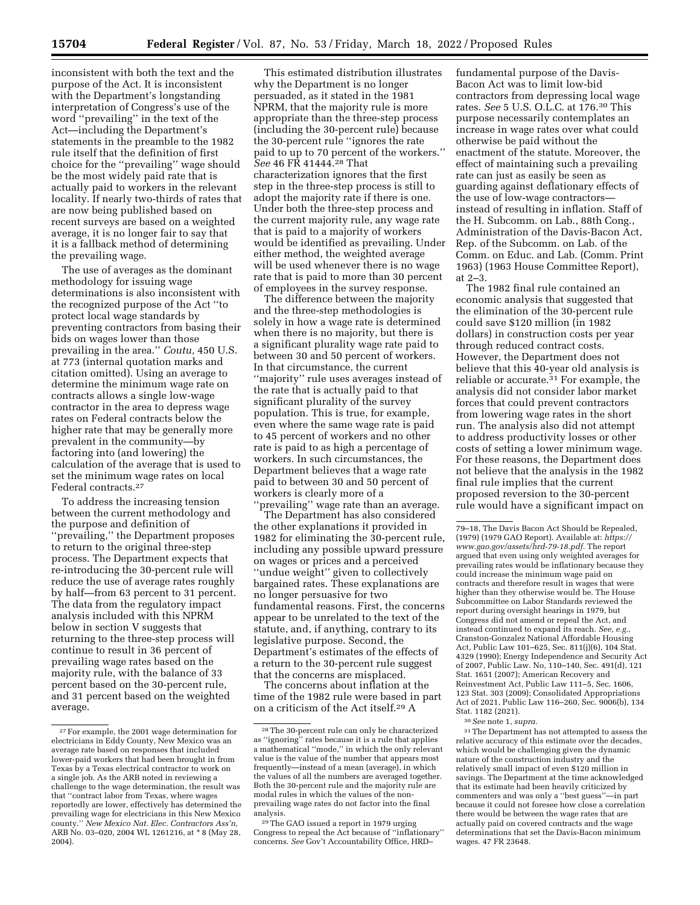inconsistent with both the text and the purpose of the Act. It is inconsistent with the Department's longstanding interpretation of Congress's use of the word ''prevailing'' in the text of the Act—including the Department's statements in the preamble to the 1982 rule itself that the definition of first choice for the ''prevailing'' wage should be the most widely paid rate that is actually paid to workers in the relevant locality. If nearly two-thirds of rates that are now being published based on recent surveys are based on a weighted average, it is no longer fair to say that it is a fallback method of determining the prevailing wage.

The use of averages as the dominant methodology for issuing wage determinations is also inconsistent with the recognized purpose of the Act ''to protect local wage standards by preventing contractors from basing their bids on wages lower than those prevailing in the area.'' *Coutu,* 450 U.S. at 773 (internal quotation marks and citation omitted). Using an average to determine the minimum wage rate on contracts allows a single low-wage contractor in the area to depress wage rates on Federal contracts below the higher rate that may be generally more prevalent in the community—by factoring into (and lowering) the calculation of the average that is used to set the minimum wage rates on local Federal contracts.27

To address the increasing tension between the current methodology and the purpose and definition of ''prevailing,'' the Department proposes to return to the original three-step process. The Department expects that re-introducing the 30-percent rule will reduce the use of average rates roughly by half—from 63 percent to 31 percent. The data from the regulatory impact analysis included with this NPRM below in section V suggests that returning to the three-step process will continue to result in 36 percent of prevailing wage rates based on the majority rule, with the balance of 33 percent based on the 30-percent rule, and 31 percent based on the weighted average.

This estimated distribution illustrates why the Department is no longer persuaded, as it stated in the 1981 NPRM, that the majority rule is more appropriate than the three-step process (including the 30-percent rule) because the 30-percent rule ''ignores the rate paid to up to 70 percent of the workers.'' *See* 46 FR 41444.28 That characterization ignores that the first step in the three-step process is still to adopt the majority rate if there is one. Under both the three-step process and the current majority rule, any wage rate that is paid to a majority of workers would be identified as prevailing. Under either method, the weighted average will be used whenever there is no wage rate that is paid to more than 30 percent of employees in the survey response.

The difference between the majority and the three-step methodologies is solely in how a wage rate is determined when there is no majority, but there is a significant plurality wage rate paid to between 30 and 50 percent of workers. In that circumstance, the current ''majority'' rule uses averages instead of the rate that is actually paid to that significant plurality of the survey population. This is true, for example, even where the same wage rate is paid to 45 percent of workers and no other rate is paid to as high a percentage of workers. In such circumstances, the Department believes that a wage rate paid to between 30 and 50 percent of workers is clearly more of a ''prevailing'' wage rate than an average.

The Department has also considered the other explanations it provided in 1982 for eliminating the 30-percent rule, including any possible upward pressure on wages or prices and a perceived ''undue weight'' given to collectively bargained rates. These explanations are no longer persuasive for two fundamental reasons. First, the concerns appear to be unrelated to the text of the statute, and, if anything, contrary to its legislative purpose. Second, the Department's estimates of the effects of a return to the 30-percent rule suggest that the concerns are misplaced.

The concerns about inflation at the time of the 1982 rule were based in part on a criticism of the Act itself.29 A

fundamental purpose of the Davis-Bacon Act was to limit low-bid contractors from depressing local wage rates. *See* 5 U.S. O.L.C. at 176.30 This purpose necessarily contemplates an increase in wage rates over what could otherwise be paid without the enactment of the statute. Moreover, the effect of maintaining such a prevailing rate can just as easily be seen as guarding against deflationary effects of the use of low-wage contractors instead of resulting in inflation. Staff of the H. Subcomm. on Lab., 88th Cong., Administration of the Davis-Bacon Act, Rep. of the Subcomm. on Lab. of the Comm. on Educ. and Lab. (Comm. Print 1963) (1963 House Committee Report), at 2–3.

The 1982 final rule contained an economic analysis that suggested that the elimination of the 30-percent rule could save \$120 million (in 1982 dollars) in construction costs per year through reduced contract costs. However, the Department does not believe that this 40-year old analysis is reliable or accurate.31 For example, the analysis did not consider labor market forces that could prevent contractors from lowering wage rates in the short run. The analysis also did not attempt to address productivity losses or other costs of setting a lower minimum wage. For these reasons, the Department does not believe that the analysis in the 1982 final rule implies that the current proposed reversion to the 30-percent rule would have a significant impact on

31The Department has not attempted to assess the relative accuracy of this estimate over the decades, which would be challenging given the dynamic nature of the construction industry and the relatively small impact of even \$120 million in savings. The Department at the time acknowledged that its estimate had been heavily criticized by commenters and was only a ''best guess''—in part because it could not foresee how close a correlation there would be between the wage rates that are actually paid on covered contracts and the wage determinations that set the Davis-Bacon minimum wages. 47 FR 23648.

<sup>27</sup>For example, the 2001 wage determination for electricians in Eddy County, New Mexico was an average rate based on responses that included lower-paid workers that had been brought in from Texas by a Texas electrical contractor to work on a single job. As the ARB noted in reviewing a challenge to the wage determination, the result was that ''contract labor from Texas, where wages reportedly are lower, effectively has determined the prevailing wage for electricians in this New Mexico county.'' *New Mexico Nat. Elec. Contractors Ass'n,*  ARB No. 03–020, 2004 WL 1261216, at \* 8 (May 28, 2004).

<sup>28</sup>The 30-percent rule can only be characterized as ''ignoring'' rates because it is a rule that applies a mathematical ''mode,'' in which the only relevant value is the value of the number that appears most frequently—instead of a mean (average), in which the values of all the numbers are averaged together. Both the 30-percent rule and the majority rule are modal rules in which the values of the nonprevailing wage rates do not factor into the final analysis.

<sup>29</sup>The GAO issued a report in 1979 urging Congress to repeal the Act because of ''inflationary'' concerns. *See* Gov't Accountability Office, HRD–

<sup>79–18,</sup> The Davis Bacon Act Should be Repealed, (1979) (1979 GAO Report). Available at: *[https://](https://www.gao.gov/assets/hrd-79-18.pdf) [www.gao.gov/assets/hrd-79-18.pdf.](https://www.gao.gov/assets/hrd-79-18.pdf)* The report argued that even using only weighted averages for prevailing rates would be inflationary because they could increase the minimum wage paid on contracts and therefore result in wages that were higher than they otherwise would be. The House Subcommittee on Labor Standards reviewed the report during oversight hearings in 1979, but Congress did not amend or repeal the Act, and instead continued to expand its reach. *See, e.g.,*  Cranston-Gonzalez National Affordable Housing Act, Public Law 101–625, Sec. 811(j)(6), 104 Stat. 4329 (1990); Energy Independence and Security Act of 2007, Public Law. No, 110–140, Sec. 491(d), 121 Stat. 1651 (2007); American Recovery and Reinvestment Act, Public Law 111–5, Sec. 1606, 123 Stat. 303 (2009); Consolidated Appropriations Act of 2021, Public Law 116–260, Sec. 9006(b), 134 Stat. 1182 (2021).

<sup>30</sup>*See* note 1, *supra.*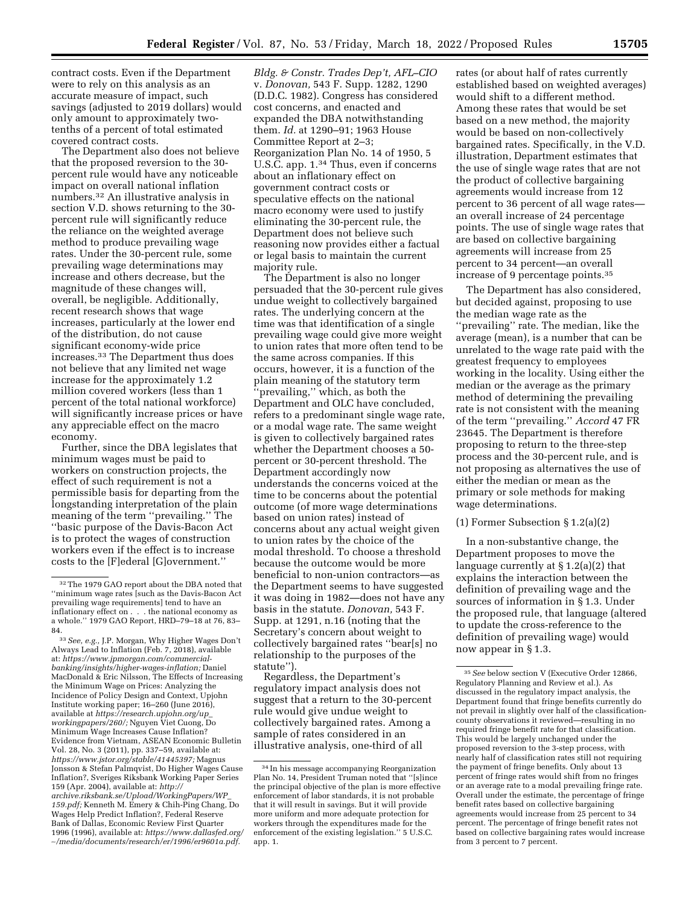contract costs. Even if the Department were to rely on this analysis as an accurate measure of impact, such savings (adjusted to 2019 dollars) would only amount to approximately twotenths of a percent of total estimated covered contract costs.

The Department also does not believe that the proposed reversion to the 30 percent rule would have any noticeable impact on overall national inflation numbers.32 An illustrative analysis in section V.D. shows returning to the 30 percent rule will significantly reduce the reliance on the weighted average method to produce prevailing wage rates. Under the 30-percent rule, some prevailing wage determinations may increase and others decrease, but the magnitude of these changes will, overall, be negligible. Additionally, recent research shows that wage increases, particularly at the lower end of the distribution, do not cause significant economy-wide price increases.33 The Department thus does not believe that any limited net wage increase for the approximately 1.2 million covered workers (less than 1 percent of the total national workforce) will significantly increase prices or have any appreciable effect on the macro economy.

Further, since the DBA legislates that minimum wages must be paid to workers on construction projects, the effect of such requirement is not a permissible basis for departing from the longstanding interpretation of the plain meaning of the term ''prevailing.'' The ''basic purpose of the Davis-Bacon Act is to protect the wages of construction workers even if the effect is to increase costs to the [F]ederal [G]overnment.''

*Bldg. & Constr. Trades Dep't, AFL–CIO*  v. *Donovan,* 543 F. Supp. 1282, 1290 (D.D.C. 1982). Congress has considered cost concerns, and enacted and expanded the DBA notwithstanding them. *Id.* at 1290–91; 1963 House Committee Report at 2–3; Reorganization Plan No. 14 of 1950, 5 U.S.C. app. 1.34 Thus, even if concerns about an inflationary effect on government contract costs or speculative effects on the national macro economy were used to justify eliminating the 30-percent rule, the Department does not believe such reasoning now provides either a factual or legal basis to maintain the current majority rule.

The Department is also no longer persuaded that the 30-percent rule gives undue weight to collectively bargained rates. The underlying concern at the time was that identification of a single prevailing wage could give more weight to union rates that more often tend to be the same across companies. If this occurs, however, it is a function of the plain meaning of the statutory term 'prevailing,'' which, as both the Department and OLC have concluded, refers to a predominant single wage rate, or a modal wage rate. The same weight is given to collectively bargained rates whether the Department chooses a 50 percent or 30-percent threshold. The Department accordingly now understands the concerns voiced at the time to be concerns about the potential outcome (of more wage determinations based on union rates) instead of concerns about any actual weight given to union rates by the choice of the modal threshold. To choose a threshold because the outcome would be more beneficial to non-union contractors—as the Department seems to have suggested it was doing in 1982—does not have any basis in the statute. *Donovan,* 543 F. Supp. at 1291, n.16 (noting that the Secretary's concern about weight to collectively bargained rates ''bear[s] no relationship to the purposes of the statute'').

Regardless, the Department's regulatory impact analysis does not suggest that a return to the 30-percent rule would give undue weight to collectively bargained rates. Among a sample of rates considered in an illustrative analysis, one-third of all

rates (or about half of rates currently established based on weighted averages) would shift to a different method. Among these rates that would be set based on a new method, the majority would be based on non-collectively bargained rates. Specifically, in the V.D. illustration, Department estimates that the use of single wage rates that are not the product of collective bargaining agreements would increase from 12 percent to 36 percent of all wage rates an overall increase of 24 percentage points. The use of single wage rates that are based on collective bargaining agreements will increase from 25 percent to 34 percent—an overall increase of 9 percentage points.35

The Department has also considered, but decided against, proposing to use the median wage rate as the ''prevailing'' rate. The median, like the average (mean), is a number that can be unrelated to the wage rate paid with the greatest frequency to employees working in the locality. Using either the median or the average as the primary method of determining the prevailing rate is not consistent with the meaning of the term ''prevailing.'' *Accord* 47 FR 23645. The Department is therefore proposing to return to the three-step process and the 30-percent rule, and is not proposing as alternatives the use of either the median or mean as the primary or sole methods for making wage determinations.

### (1) Former Subsection § 1.2(a)(2)

In a non-substantive change, the Department proposes to move the language currently at § 1.2(a)(2) that explains the interaction between the definition of prevailing wage and the sources of information in § 1.3. Under the proposed rule, that language (altered to update the cross-reference to the definition of prevailing wage) would now appear in § 1.3.

<sup>32</sup>The 1979 GAO report about the DBA noted that ''minimum wage rates [such as the Davis-Bacon Act prevailing wage requirements] tend to have an inflationary effect on . . . the national economy as a whole.'' 1979 GAO Report, HRD–79–18 at 76, 83– 84.

<sup>33</sup>*See, e.g.,* J.P. Morgan, Why Higher Wages Don't Always Lead to Inflation (Feb. 7, 2018), available at: *[https://www.jpmorgan.com/commercial](https://www.jpmorgan.com/commercial-banking/insights/higher-wages-inflation)[banking/insights/higher-wages-inflation;](https://www.jpmorgan.com/commercial-banking/insights/higher-wages-inflation)* Daniel MacDonald & Eric Nilsson, The Effects of Increasing the Minimum Wage on Prices: Analyzing the Incidence of Policy Design and Context, Upjohn Institute working paper; 16–260 (June 2016), available at *[https://research.upjohn.org/up](https://research.upjohn.org/up_workingpapers/260/)*\_ *[workingpapers/260/;](https://research.upjohn.org/up_workingpapers/260/)* Nguyen Viet Cuong, Do Minimum Wage Increases Cause Inflation? Evidence from Vietnam, ASEAN Economic Bulletin Vol. 28, No. 3 (2011), pp. 337–59, available at: *[https://www.jstor.org/stable/41445397;](https://www.jstor.org/stable/41445397)* Magnus Jonsson & Stefan Palmqvist, Do Higher Wages Cause Inflation?, Sveriges Riksbank Working Paper Series 159 (Apr. 2004), available at: *[http://](http://archive.riksbank.se/Upload/WorkingPapers/WP_159.pdf) [archive.riksbank.se/Upload/WorkingPapers/WP](http://archive.riksbank.se/Upload/WorkingPapers/WP_159.pdf)*\_ *[159.pdf;](http://archive.riksbank.se/Upload/WorkingPapers/WP_159.pdf)* Kenneth M. Emery & Chih-Ping Chang, Do Wages Help Predict Inflation?, Federal Reserve Bank of Dallas, Economic Review First Quarter 1996 (1996), available at: *[https://www.dallasfed.org/](https://www.dallasfed.org/~/media/documents/research/er/1996/er9601a.pdf)*  ∼*[/media/documents/research/er/1996/er9601a.pdf.](https://www.dallasfed.org/~/media/documents/research/er/1996/er9601a.pdf)* 

<sup>34</sup> In his message accompanying Reorganization Plan No. 14, President Truman noted that ''[s]ince the principal objective of the plan is more effective enforcement of labor standards, it is not probable that it will result in savings. But it will provide more uniform and more adequate protection for workers through the expenditures made for the enforcement of the existing legislation.'' 5 U.S.C. app. 1.

<sup>35</sup>*See* below section V (Executive Order 12866, Regulatory Planning and Review et al.). As discussed in the regulatory impact analysis, the Department found that fringe benefits currently do not prevail in slightly over half of the classificationcounty observations it reviewed—resulting in no required fringe benefit rate for that classification. This would be largely unchanged under the proposed reversion to the 3-step process, with nearly half of classification rates still not requiring the payment of fringe benefits. Only about 13 percent of fringe rates would shift from no fringes or an average rate to a modal prevailing fringe rate. Overall under the estimate, the percentage of fringe benefit rates based on collective bargaining agreements would increase from 25 percent to 34 percent. The percentage of fringe benefit rates not based on collective bargaining rates would increase from 3 percent to 7 percent.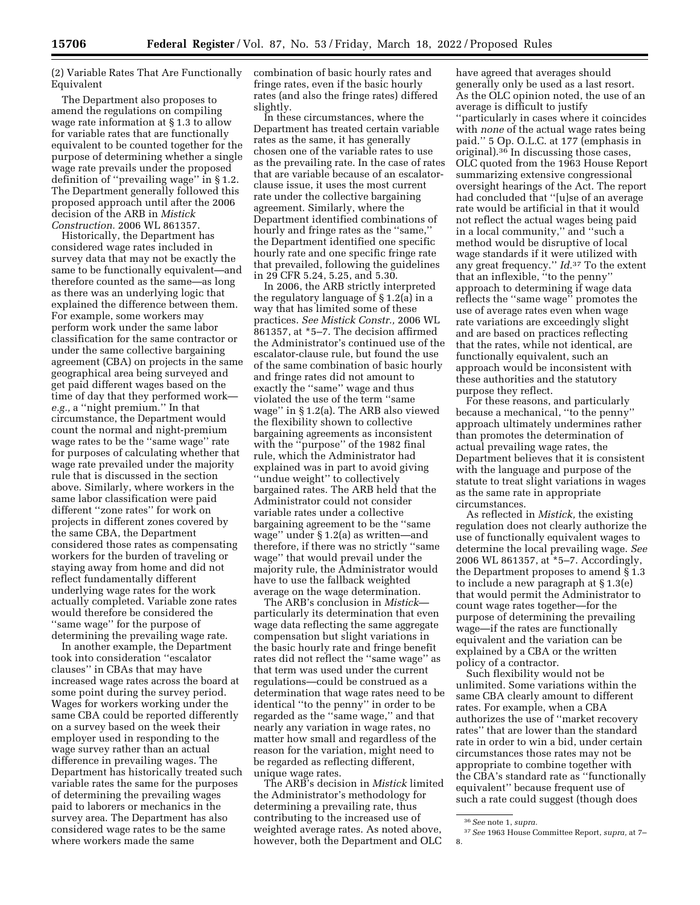(2) Variable Rates That Are Functionally Equivalent

The Department also proposes to amend the regulations on compiling wage rate information at § 1.3 to allow for variable rates that are functionally equivalent to be counted together for the purpose of determining whether a single wage rate prevails under the proposed definition of ''prevailing wage'' in § 1.2. The Department generally followed this proposed approach until after the 2006 decision of the ARB in *Mistick Construction.* 2006 WL 861357.

Historically, the Department has considered wage rates included in survey data that may not be exactly the same to be functionally equivalent—and therefore counted as the same—as long as there was an underlying logic that explained the difference between them. For example, some workers may perform work under the same labor classification for the same contractor or under the same collective bargaining agreement (CBA) on projects in the same geographical area being surveyed and get paid different wages based on the time of day that they performed work *e.g.,* a ''night premium.'' In that circumstance, the Department would count the normal and night-premium wage rates to be the ''same wage'' rate for purposes of calculating whether that wage rate prevailed under the majority rule that is discussed in the section above. Similarly, where workers in the same labor classification were paid different ''zone rates'' for work on projects in different zones covered by the same CBA, the Department considered those rates as compensating workers for the burden of traveling or staying away from home and did not reflect fundamentally different underlying wage rates for the work actually completed. Variable zone rates would therefore be considered the ''same wage'' for the purpose of determining the prevailing wage rate.

In another example, the Department took into consideration ''escalator clauses'' in CBAs that may have increased wage rates across the board at some point during the survey period. Wages for workers working under the same CBA could be reported differently on a survey based on the week their employer used in responding to the wage survey rather than an actual difference in prevailing wages. The Department has historically treated such variable rates the same for the purposes of determining the prevailing wages paid to laborers or mechanics in the survey area. The Department has also considered wage rates to be the same where workers made the same

combination of basic hourly rates and fringe rates, even if the basic hourly rates (and also the fringe rates) differed slightly.

In these circumstances, where the Department has treated certain variable rates as the same, it has generally chosen one of the variable rates to use as the prevailing rate. In the case of rates that are variable because of an escalatorclause issue, it uses the most current rate under the collective bargaining agreement. Similarly, where the Department identified combinations of hourly and fringe rates as the ''same,'' the Department identified one specific hourly rate and one specific fringe rate that prevailed, following the guidelines in 29 CFR 5.24, 5.25, and 5.30.

In 2006, the ARB strictly interpreted the regulatory language of § 1.2(a) in a way that has limited some of these practices. *See Mistick Constr.,* 2006 WL 861357, at \*5–7. The decision affirmed the Administrator's continued use of the escalator-clause rule, but found the use of the same combination of basic hourly and fringe rates did not amount to exactly the ''same'' wage and thus violated the use of the term ''same wage'' in § 1.2(a). The ARB also viewed the flexibility shown to collective bargaining agreements as inconsistent with the ''purpose'' of the 1982 final rule, which the Administrator had explained was in part to avoid giving ''undue weight'' to collectively bargained rates. The ARB held that the Administrator could not consider variable rates under a collective bargaining agreement to be the ''same wage'' under § 1.2(a) as written—and therefore, if there was no strictly ''same wage'' that would prevail under the majority rule, the Administrator would have to use the fallback weighted average on the wage determination.

The ARB's conclusion in *Mistick* particularly its determination that even wage data reflecting the same aggregate compensation but slight variations in the basic hourly rate and fringe benefit rates did not reflect the ''same wage'' as that term was used under the current regulations—could be construed as a determination that wage rates need to be identical ''to the penny'' in order to be regarded as the ''same wage,'' and that nearly any variation in wage rates, no matter how small and regardless of the reason for the variation, might need to be regarded as reflecting different, unique wage rates.

The ARB's decision in *Mistick* limited the Administrator's methodology for determining a prevailing rate, thus contributing to the increased use of weighted average rates. As noted above, however, both the Department and OLC

have agreed that averages should generally only be used as a last resort. As the OLC opinion noted, the use of an average is difficult to justify ''particularly in cases where it coincides with *none* of the actual wage rates being paid.'' 5 Op. O.L.C. at 177 (emphasis in original).36 In discussing those cases, OLC quoted from the 1963 House Report summarizing extensive congressional oversight hearings of the Act. The report had concluded that ''[u]se of an average rate would be artificial in that it would not reflect the actual wages being paid in a local community,'' and ''such a method would be disruptive of local wage standards if it were utilized with any great frequency.'' *Id.*37 To the extent that an inflexible, ''to the penny'' approach to determining if wage data reflects the ''same wage'' promotes the use of average rates even when wage rate variations are exceedingly slight and are based on practices reflecting that the rates, while not identical, are functionally equivalent, such an approach would be inconsistent with these authorities and the statutory purpose they reflect.

For these reasons, and particularly because a mechanical, ''to the penny'' approach ultimately undermines rather than promotes the determination of actual prevailing wage rates, the Department believes that it is consistent with the language and purpose of the statute to treat slight variations in wages as the same rate in appropriate circumstances.

As reflected in *Mistick,* the existing regulation does not clearly authorize the use of functionally equivalent wages to determine the local prevailing wage. *See*  2006 WL 861357, at \*5–7. Accordingly, the Department proposes to amend § 1.3 to include a new paragraph at § 1.3(e) that would permit the Administrator to count wage rates together—for the purpose of determining the prevailing wage—if the rates are functionally equivalent and the variation can be explained by a CBA or the written policy of a contractor.

Such flexibility would not be unlimited. Some variations within the same CBA clearly amount to different rates. For example, when a CBA authorizes the use of ''market recovery rates'' that are lower than the standard rate in order to win a bid, under certain circumstances those rates may not be appropriate to combine together with the CBA's standard rate as ''functionally equivalent'' because frequent use of such a rate could suggest (though does

<sup>36</sup>*See* note 1, *supra.* 

<sup>37</sup>*See* 1963 House Committee Report, *supra,* at 7– 8.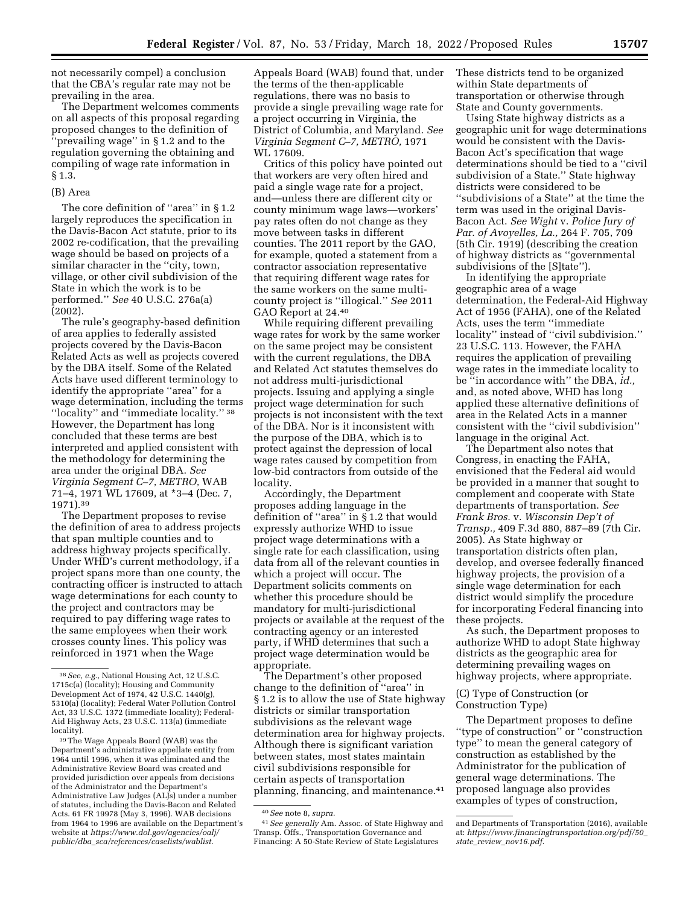not necessarily compel) a conclusion that the CBA's regular rate may not be prevailing in the area.

The Department welcomes comments on all aspects of this proposal regarding proposed changes to the definition of ''prevailing wage'' in § 1.2 and to the regulation governing the obtaining and compiling of wage rate information in § 1.3.

#### (B) Area

The core definition of "area" in §1.2 largely reproduces the specification in the Davis-Bacon Act statute, prior to its 2002 re-codification, that the prevailing wage should be based on projects of a similar character in the "city, town, village, or other civil subdivision of the State in which the work is to be performed.'' *See* 40 U.S.C. 276a(a) (2002).

The rule's geography-based definition of area applies to federally assisted projects covered by the Davis-Bacon Related Acts as well as projects covered by the DBA itself. Some of the Related Acts have used different terminology to identify the appropriate ''area'' for a wage determination, including the terms ''locality'' and ''immediate locality.'' 38 However, the Department has long concluded that these terms are best interpreted and applied consistent with the methodology for determining the area under the original DBA. *See Virginia Segment C–7, METRO,* WAB 71–4, 1971 WL 17609, at \*3–4 (Dec. 7, 1971).39

The Department proposes to revise the definition of area to address projects that span multiple counties and to address highway projects specifically. Under WHD's current methodology, if a project spans more than one county, the contracting officer is instructed to attach wage determinations for each county to the project and contractors may be required to pay differing wage rates to the same employees when their work crosses county lines. This policy was reinforced in 1971 when the Wage

39The Wage Appeals Board (WAB) was the Department's administrative appellate entity from 1964 until 1996, when it was eliminated and the Administrative Review Board was created and provided jurisdiction over appeals from decisions of the Administrator and the Department's Administrative Law Judges (ALJs) under a number of statutes, including the Davis-Bacon and Related Acts. 61 FR 19978 (May 3, 1996). WAB decisions from 1964 to 1996 are available on the Department's website at *[https://www.dol.gov/agencies/oalj/](https://www.dol.gov/agencies/oalj/public/dba_sca/references/caselists/wablist)  public/dba*\_*[sca/references/caselists/wablist.](https://www.dol.gov/agencies/oalj/public/dba_sca/references/caselists/wablist)* 

Appeals Board (WAB) found that, under the terms of the then-applicable regulations, there was no basis to provide a single prevailing wage rate for a project occurring in Virginia, the District of Columbia, and Maryland. *See Virginia Segment C–7, METRO,* 1971 WL 17609.

Critics of this policy have pointed out that workers are very often hired and paid a single wage rate for a project, and—unless there are different city or county minimum wage laws—workers' pay rates often do not change as they move between tasks in different counties. The 2011 report by the GAO, for example, quoted a statement from a contractor association representative that requiring different wage rates for the same workers on the same multicounty project is ''illogical.'' *See* 2011 GAO Report at 24.40

While requiring different prevailing wage rates for work by the same worker on the same project may be consistent with the current regulations, the DBA and Related Act statutes themselves do not address multi-jurisdictional projects. Issuing and applying a single project wage determination for such projects is not inconsistent with the text of the DBA. Nor is it inconsistent with the purpose of the DBA, which is to protect against the depression of local wage rates caused by competition from low-bid contractors from outside of the locality.

Accordingly, the Department proposes adding language in the definition of ''area'' in § 1.2 that would expressly authorize WHD to issue project wage determinations with a single rate for each classification, using data from all of the relevant counties in which a project will occur. The Department solicits comments on whether this procedure should be mandatory for multi-jurisdictional projects or available at the request of the contracting agency or an interested party, if WHD determines that such a project wage determination would be appropriate.

The Department's other proposed change to the definition of ''area'' in § 1.2 is to allow the use of State highway districts or similar transportation subdivisions as the relevant wage determination area for highway projects. Although there is significant variation between states, most states maintain civil subdivisions responsible for certain aspects of transportation planning, financing, and maintenance.41 These districts tend to be organized within State departments of transportation or otherwise through State and County governments.

Using State highway districts as a geographic unit for wage determinations would be consistent with the Davis-Bacon Act's specification that wage determinations should be tied to a ''civil subdivision of a State.'' State highway districts were considered to be ''subdivisions of a State'' at the time the term was used in the original Davis-Bacon Act. *See Wight* v. *Police Jury of Par. of Avoyelles, La.,* 264 F. 705, 709 (5th Cir. 1919) (describing the creation of highway districts as ''governmental subdivisions of the [S]tate'').

In identifying the appropriate geographic area of a wage determination, the Federal-Aid Highway Act of 1956 (FAHA), one of the Related Acts, uses the term ''immediate locality'' instead of ''civil subdivision.'' 23 U.S.C. 113. However, the FAHA requires the application of prevailing wage rates in the immediate locality to be ''in accordance with'' the DBA, *id.,*  and, as noted above, WHD has long applied these alternative definitions of area in the Related Acts in a manner consistent with the ''civil subdivision'' language in the original Act.

The Department also notes that Congress, in enacting the FAHA, envisioned that the Federal aid would be provided in a manner that sought to complement and cooperate with State departments of transportation. *See Frank Bros.* v. *Wisconsin Dep't of Transp.,* 409 F.3d 880, 887–89 (7th Cir. 2005). As State highway or transportation districts often plan, develop, and oversee federally financed highway projects, the provision of a single wage determination for each district would simplify the procedure for incorporating Federal financing into these projects.

As such, the Department proposes to authorize WHD to adopt State highway districts as the geographic area for determining prevailing wages on highway projects, where appropriate.

(C) Type of Construction (or Construction Type)

The Department proposes to define ''type of construction'' or ''construction type'' to mean the general category of construction as established by the Administrator for the publication of general wage determinations. The proposed language also provides examples of types of construction,

<sup>38</sup>*See, e.g.,* National Housing Act, 12 U.S.C. 1715c(a) (locality); Housing and Community Development Act of 1974, 42 U.S.C. 1440(g), 5310(a) (locality); Federal Water Pollution Control Act, 33 U.S.C. 1372 (immediate locality); Federal-Aid Highway Acts, 23 U.S.C. 113(a) (immediate locality).

<sup>40</sup>*See* note 8, *supra.* 

<sup>41</sup>*See generally* Am. Assoc. of State Highway and Transp. Offs., Transportation Governance and Financing: A 50-State Review of State Legislatures

and Departments of Transportation (2016), available at: *[https://www.financingtransportation.org/pdf/50](https://www.financingtransportation.org/pdf/50_state_review_nov16.pdf)*\_ *state*\_*review*\_*[nov16.pdf.](https://www.financingtransportation.org/pdf/50_state_review_nov16.pdf)*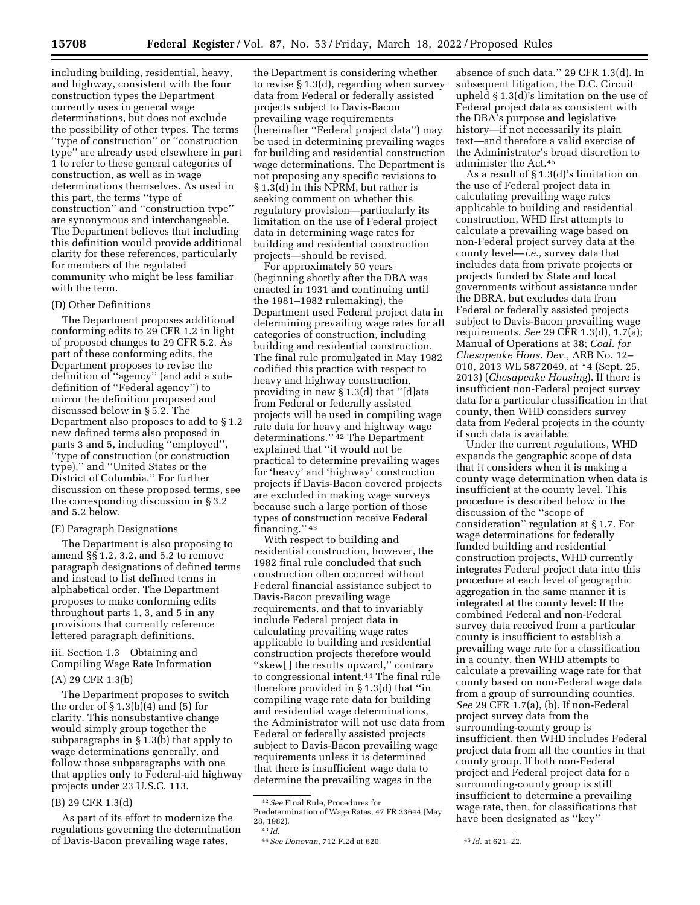including building, residential, heavy, and highway, consistent with the four construction types the Department currently uses in general wage determinations, but does not exclude the possibility of other types. The terms ''type of construction'' or ''construction type'' are already used elsewhere in part 1 to refer to these general categories of construction, as well as in wage determinations themselves. As used in this part, the terms ''type of construction'' and ''construction type'' are synonymous and interchangeable. The Department believes that including this definition would provide additional clarity for these references, particularly for members of the regulated community who might be less familiar with the term.

## (D) Other Definitions

The Department proposes additional conforming edits to 29 CFR 1.2 in light of proposed changes to 29 CFR 5.2. As part of these conforming edits, the Department proposes to revise the definition of ''agency'' (and add a subdefinition of ''Federal agency'') to mirror the definition proposed and discussed below in § 5.2. The Department also proposes to add to § 1.2 new defined terms also proposed in parts 3 and 5, including ''employed'', ''type of construction (or construction type),'' and ''United States or the District of Columbia.'' For further discussion on these proposed terms, see the corresponding discussion in § 3.2 and 5.2 below.

### (E) Paragraph Designations

The Department is also proposing to amend §§ 1.2, 3.2, and 5.2 to remove paragraph designations of defined terms and instead to list defined terms in alphabetical order. The Department proposes to make conforming edits throughout parts 1, 3, and 5 in any provisions that currently reference lettered paragraph definitions.

# iii. Section 1.3 Obtaining and Compiling Wage Rate Information

(A) 29 CFR 1.3(b)

The Department proposes to switch the order of  $\S 1.3(b)(4)$  and  $(5)$  for clarity. This nonsubstantive change would simply group together the subparagraphs in § 1.3(b) that apply to wage determinations generally, and follow those subparagraphs with one that applies only to Federal-aid highway projects under 23 U.S.C. 113.

#### (B) 29 CFR 1.3(d)

As part of its effort to modernize the regulations governing the determination of Davis-Bacon prevailing wage rates,

the Department is considering whether to revise § 1.3(d), regarding when survey data from Federal or federally assisted projects subject to Davis-Bacon prevailing wage requirements (hereinafter ''Federal project data'') may be used in determining prevailing wages for building and residential construction wage determinations. The Department is not proposing any specific revisions to § 1.3(d) in this NPRM, but rather is seeking comment on whether this regulatory provision—particularly its limitation on the use of Federal project data in determining wage rates for building and residential construction projects—should be revised.

For approximately 50 years (beginning shortly after the DBA was enacted in 1931 and continuing until the 1981–1982 rulemaking), the Department used Federal project data in determining prevailing wage rates for all categories of construction, including building and residential construction. The final rule promulgated in May 1982 codified this practice with respect to heavy and highway construction, providing in new § 1.3(d) that ''[d]ata from Federal or federally assisted projects will be used in compiling wage rate data for heavy and highway wage determinations.'' 42 The Department explained that ''it would not be practical to determine prevailing wages for 'heavy' and 'highway' construction projects if Davis-Bacon covered projects are excluded in making wage surveys because such a large portion of those types of construction receive Federal financing.'' 43

With respect to building and residential construction, however, the 1982 final rule concluded that such construction often occurred without Federal financial assistance subject to Davis-Bacon prevailing wage requirements, and that to invariably include Federal project data in calculating prevailing wage rates applicable to building and residential construction projects therefore would ''skew[ ] the results upward,'' contrary to congressional intent.44 The final rule therefore provided in § 1.3(d) that ''in compiling wage rate data for building and residential wage determinations, the Administrator will not use data from Federal or federally assisted projects subject to Davis-Bacon prevailing wage requirements unless it is determined that there is insufficient wage data to determine the prevailing wages in the

absence of such data.'' 29 CFR 1.3(d). In subsequent litigation, the D.C. Circuit upheld § 1.3(d)'s limitation on the use of Federal project data as consistent with the DBA's purpose and legislative history—if not necessarily its plain text—and therefore a valid exercise of the Administrator's broad discretion to administer the Act.45

As a result of § 1.3(d)'s limitation on the use of Federal project data in calculating prevailing wage rates applicable to building and residential construction, WHD first attempts to calculate a prevailing wage based on non-Federal project survey data at the county level—*i.e.,* survey data that includes data from private projects or projects funded by State and local governments without assistance under the DBRA, but excludes data from Federal or federally assisted projects subject to Davis-Bacon prevailing wage requirements. *See* 29 CFR 1.3(d), 1.7(a); Manual of Operations at 38; *Coal. for Chesapeake Hous. Dev.,* ARB No. 12– 010, 2013 WL 5872049, at \*4 (Sept. 25, 2013) (*Chesapeake Housing*). If there is insufficient non-Federal project survey data for a particular classification in that county, then WHD considers survey data from Federal projects in the county if such data is available.

Under the current regulations, WHD expands the geographic scope of data that it considers when it is making a county wage determination when data is insufficient at the county level. This procedure is described below in the discussion of the ''scope of consideration'' regulation at § 1.7. For wage determinations for federally funded building and residential construction projects, WHD currently integrates Federal project data into this procedure at each level of geographic aggregation in the same manner it is integrated at the county level: If the combined Federal and non-Federal survey data received from a particular county is insufficient to establish a prevailing wage rate for a classification in a county, then WHD attempts to calculate a prevailing wage rate for that county based on non-Federal wage data from a group of surrounding counties. *See* 29 CFR 1.7(a), (b). If non-Federal project survey data from the surrounding-county group is insufficient, then WHD includes Federal project data from all the counties in that county group. If both non-Federal project and Federal project data for a surrounding-county group is still insufficient to determine a prevailing wage rate, then, for classifications that have been designated as ''key''

<sup>42</sup>*See* Final Rule, Procedures for

Predetermination of Wage Rates, 47 FR 23644 (May 28, 1982). 43 *Id.* 

<sup>44</sup>*See Donovan,* 712 F.2d at 620. 45 *Id.* at 621–22.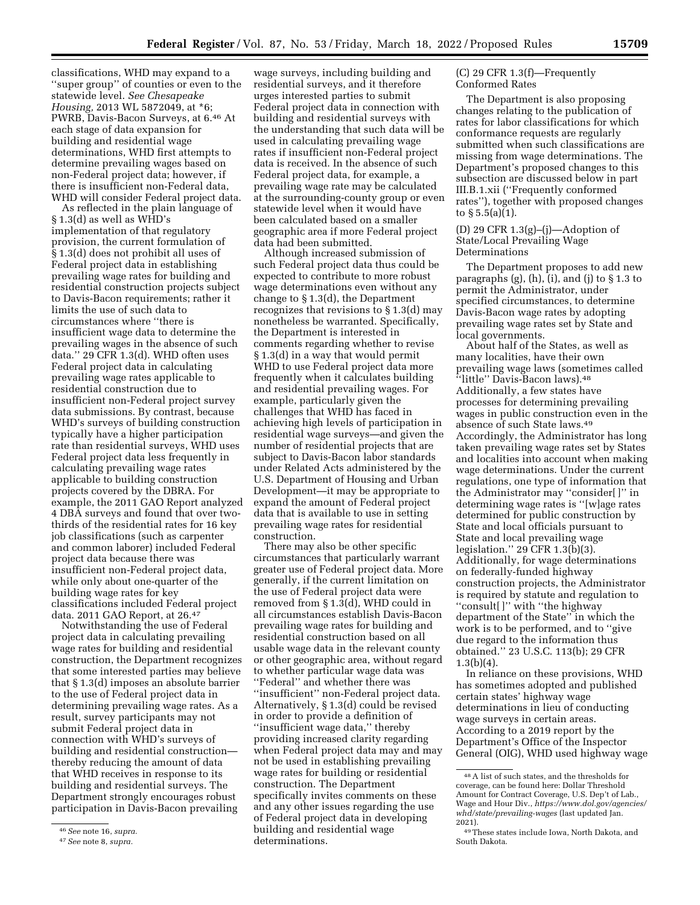classifications, WHD may expand to a ''super group'' of counties or even to the statewide level. *See Chesapeake Housing,* 2013 WL 5872049, at \*6; PWRB, Davis-Bacon Surveys, at 6.46 At each stage of data expansion for building and residential wage determinations, WHD first attempts to determine prevailing wages based on non-Federal project data; however, if there is insufficient non-Federal data, WHD will consider Federal project data.

As reflected in the plain language of § 1.3(d) as well as WHD's implementation of that regulatory provision, the current formulation of § 1.3(d) does not prohibit all uses of Federal project data in establishing prevailing wage rates for building and residential construction projects subject to Davis-Bacon requirements; rather it limits the use of such data to circumstances where ''there is insufficient wage data to determine the prevailing wages in the absence of such data.'' 29 CFR 1.3(d). WHD often uses Federal project data in calculating prevailing wage rates applicable to residential construction due to insufficient non-Federal project survey data submissions. By contrast, because WHD's surveys of building construction typically have a higher participation rate than residential surveys, WHD uses Federal project data less frequently in calculating prevailing wage rates applicable to building construction projects covered by the DBRA. For example, the 2011 GAO Report analyzed 4 DBA surveys and found that over twothirds of the residential rates for 16 key job classifications (such as carpenter and common laborer) included Federal project data because there was insufficient non-Federal project data, while only about one-quarter of the building wage rates for key classifications included Federal project data. 2011 GAO Report, at 26.47

Notwithstanding the use of Federal project data in calculating prevailing wage rates for building and residential construction, the Department recognizes that some interested parties may believe that § 1.3(d) imposes an absolute barrier to the use of Federal project data in determining prevailing wage rates. As a result, survey participants may not submit Federal project data in connection with WHD's surveys of building and residential construction thereby reducing the amount of data that WHD receives in response to its building and residential surveys. The Department strongly encourages robust participation in Davis-Bacon prevailing

wage surveys, including building and residential surveys, and it therefore urges interested parties to submit Federal project data in connection with building and residential surveys with the understanding that such data will be used in calculating prevailing wage rates if insufficient non-Federal project data is received. In the absence of such Federal project data, for example, a prevailing wage rate may be calculated at the surrounding-county group or even statewide level when it would have been calculated based on a smaller geographic area if more Federal project data had been submitted.

Although increased submission of such Federal project data thus could be expected to contribute to more robust wage determinations even without any change to § 1.3(d), the Department recognizes that revisions to § 1.3(d) may nonetheless be warranted. Specifically, the Department is interested in comments regarding whether to revise § 1.3(d) in a way that would permit WHD to use Federal project data more frequently when it calculates building and residential prevailing wages. For example, particularly given the challenges that WHD has faced in achieving high levels of participation in residential wage surveys—and given the number of residential projects that are subject to Davis-Bacon labor standards under Related Acts administered by the U.S. Department of Housing and Urban Development—it may be appropriate to expand the amount of Federal project data that is available to use in setting prevailing wage rates for residential construction.

There may also be other specific circumstances that particularly warrant greater use of Federal project data. More generally, if the current limitation on the use of Federal project data were removed from § 1.3(d), WHD could in all circumstances establish Davis-Bacon prevailing wage rates for building and residential construction based on all usable wage data in the relevant county or other geographic area, without regard to whether particular wage data was ''Federal'' and whether there was ''insufficient'' non-Federal project data. Alternatively, § 1.3(d) could be revised in order to provide a definition of ''insufficient wage data,'' thereby providing increased clarity regarding when Federal project data may and may not be used in establishing prevailing wage rates for building or residential construction. The Department specifically invites comments on these and any other issues regarding the use of Federal project data in developing building and residential wage determinations.

(C) 29 CFR 1.3(f)—Frequently Conformed Rates

The Department is also proposing changes relating to the publication of rates for labor classifications for which conformance requests are regularly submitted when such classifications are missing from wage determinations. The Department's proposed changes to this subsection are discussed below in part III.B.1.xii (''Frequently conformed rates''), together with proposed changes to  $\S 5.5(a)(1)$ .

(D) 29 CFR 1.3(g)–(j)—Adoption of State/Local Prevailing Wage Determinations

The Department proposes to add new paragraphs  $(g)$ ,  $(h)$ ,  $(i)$ , and  $(j)$  to  $\S 1.3$  to permit the Administrator, under specified circumstances, to determine Davis-Bacon wage rates by adopting prevailing wage rates set by State and local governments.

About half of the States, as well as many localities, have their own prevailing wage laws (sometimes called ''little'' Davis-Bacon laws).48 Additionally, a few states have processes for determining prevailing wages in public construction even in the absence of such State laws.49 Accordingly, the Administrator has long taken prevailing wage rates set by States and localities into account when making wage determinations. Under the current regulations, one type of information that the Administrator may ''consider[ ]'' in determining wage rates is ''[w]age rates determined for public construction by State and local officials pursuant to State and local prevailing wage legislation.'' 29 CFR 1.3(b)(3). Additionally, for wage determinations on federally-funded highway construction projects, the Administrator is required by statute and regulation to ''consult[ ]'' with ''the highway department of the State'' in which the work is to be performed, and to ''give due regard to the information thus obtained.'' 23 U.S.C. 113(b); 29 CFR  $1.3(b)(4)$ .

In reliance on these provisions, WHD has sometimes adopted and published certain states' highway wage determinations in lieu of conducting wage surveys in certain areas. According to a 2019 report by the Department's Office of the Inspector General (OIG), WHD used highway wage

<sup>46</sup>*See* note 16, *supra.* 

<sup>47</sup>*See* note 8, *supra.* 

<sup>48</sup>A list of such states, and the thresholds for coverage, can be found here: Dollar Threshold Amount for Contract Coverage, U.S. Dep't of Lab., Wage and Hour Div., *[https://www.dol.gov/agencies/](https://www.dol.gov/agencies/whd/state/prevailing-wages)  [whd/state/prevailing-wages](https://www.dol.gov/agencies/whd/state/prevailing-wages)* (last updated Jan. 2021).

<sup>49</sup>These states include Iowa, North Dakota, and South Dakota.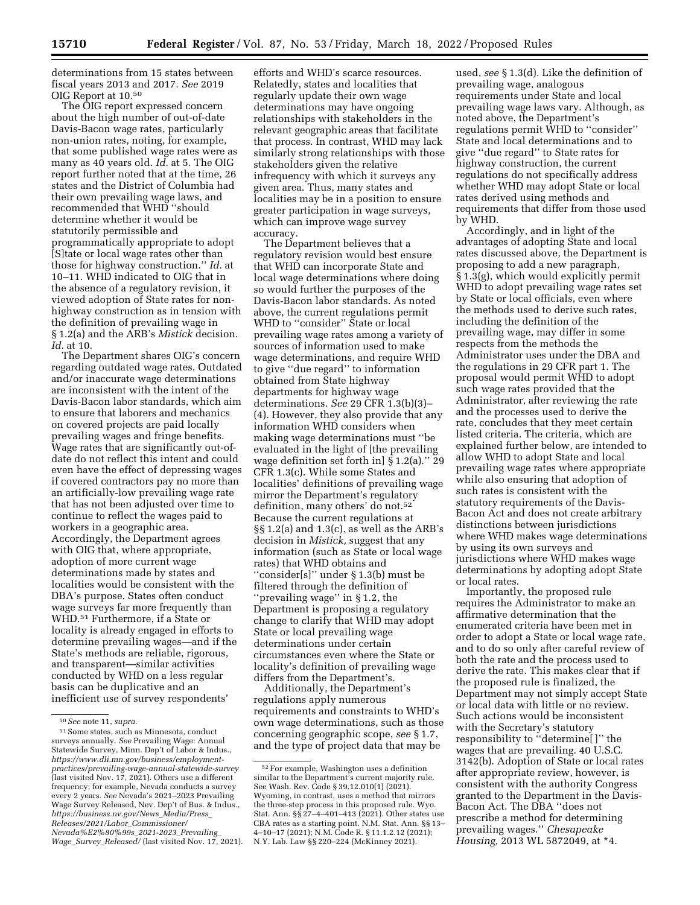determinations from 15 states between fiscal years 2013 and 2017. *See* 2019 OIG Report at 10.50

The OIG report expressed concern about the high number of out-of-date Davis-Bacon wage rates, particularly non-union rates, noting, for example, that some published wage rates were as many as 40 years old. *Id.* at 5. The OIG report further noted that at the time, 26 states and the District of Columbia had their own prevailing wage laws, and recommended that WHD ''should determine whether it would be statutorily permissible and programmatically appropriate to adopt [S]tate or local wage rates other than those for highway construction.'' *Id.* at 10–11. WHD indicated to OIG that in the absence of a regulatory revision, it viewed adoption of State rates for nonhighway construction as in tension with the definition of prevailing wage in § 1.2(a) and the ARB's *Mistick* decision. *Id.* at 10.

The Department shares OIG's concern regarding outdated wage rates. Outdated and/or inaccurate wage determinations are inconsistent with the intent of the Davis-Bacon labor standards, which aim to ensure that laborers and mechanics on covered projects are paid locally prevailing wages and fringe benefits. Wage rates that are significantly out-ofdate do not reflect this intent and could even have the effect of depressing wages if covered contractors pay no more than an artificially-low prevailing wage rate that has not been adjusted over time to continue to reflect the wages paid to workers in a geographic area. Accordingly, the Department agrees with OIG that, where appropriate, adoption of more current wage determinations made by states and localities would be consistent with the DBA's purpose. States often conduct wage surveys far more frequently than WHD.51 Furthermore, if a State or locality is already engaged in efforts to determine prevailing wages—and if the State's methods are reliable, rigorous, and transparent—similar activities conducted by WHD on a less regular basis can be duplicative and an inefficient use of survey respondents'

efforts and WHD's scarce resources. Relatedly, states and localities that regularly update their own wage determinations may have ongoing relationships with stakeholders in the relevant geographic areas that facilitate that process. In contrast, WHD may lack similarly strong relationships with those stakeholders given the relative infrequency with which it surveys any given area. Thus, many states and localities may be in a position to ensure greater participation in wage surveys, which can improve wage survey accuracy.

The Department believes that a regulatory revision would best ensure that WHD can incorporate State and local wage determinations where doing so would further the purposes of the Davis-Bacon labor standards. As noted above, the current regulations permit WHD to "consider" State or local prevailing wage rates among a variety of sources of information used to make wage determinations, and require WHD to give ''due regard'' to information obtained from State highway departments for highway wage determinations. *See* 29 CFR 1.3(b)(3)– (4). However, they also provide that any information WHD considers when making wage determinations must ''be evaluated in the light of [the prevailing wage definition set forth in] § 1.2(a).'' 29 CFR 1.3(c). While some States and localities' definitions of prevailing wage mirror the Department's regulatory definition, many others' do not.<sup>52</sup> Because the current regulations at §§ 1.2(a) and 1.3(c), as well as the ARB's decision in *Mistick,* suggest that any information (such as State or local wage rates) that WHD obtains and ''consider[s]'' under § 1.3(b) must be filtered through the definition of ''prevailing wage'' in § 1.2, the Department is proposing a regulatory change to clarify that WHD may adopt State or local prevailing wage determinations under certain circumstances even where the State or locality's definition of prevailing wage differs from the Department's.

Additionally, the Department's regulations apply numerous requirements and constraints to WHD's own wage determinations, such as those concerning geographic scope, *see* § 1.7, and the type of project data that may be

used, *see* § 1.3(d). Like the definition of prevailing wage, analogous requirements under State and local prevailing wage laws vary. Although, as noted above, the Department's regulations permit WHD to ''consider'' State and local determinations and to give ''due regard'' to State rates for highway construction, the current regulations do not specifically address whether WHD may adopt State or local rates derived using methods and requirements that differ from those used by WHD.

Accordingly, and in light of the advantages of adopting State and local rates discussed above, the Department is proposing to add a new paragraph, § 1.3(g), which would explicitly permit WHD to adopt prevailing wage rates set by State or local officials, even where the methods used to derive such rates, including the definition of the prevailing wage, may differ in some respects from the methods the Administrator uses under the DBA and the regulations in 29 CFR part 1. The proposal would permit WHD to adopt such wage rates provided that the Administrator, after reviewing the rate and the processes used to derive the rate, concludes that they meet certain listed criteria. The criteria, which are explained further below, are intended to allow WHD to adopt State and local prevailing wage rates where appropriate while also ensuring that adoption of such rates is consistent with the statutory requirements of the Davis-Bacon Act and does not create arbitrary distinctions between jurisdictions where WHD makes wage determinations by using its own surveys and jurisdictions where WHD makes wage determinations by adopting adopt State or local rates.

Importantly, the proposed rule requires the Administrator to make an affirmative determination that the enumerated criteria have been met in order to adopt a State or local wage rate, and to do so only after careful review of both the rate and the process used to derive the rate. This makes clear that if the proposed rule is finalized, the Department may not simply accept State or local data with little or no review. Such actions would be inconsistent with the Secretary's statutory responsibility to ''determine[ ]'' the wages that are prevailing. 40 U.S.C. 3142(b). Adoption of State or local rates after appropriate review, however, is consistent with the authority Congress granted to the Department in the Davis-Bacon Act. The DBA ''does not prescribe a method for determining prevailing wages.'' *Chesapeake Housing,* 2013 WL 5872049, at \*4.

<sup>50</sup>*See* note 11, *supra.* 

<sup>51</sup>Some states, such as Minnesota, conduct surveys annually. *See* Prevailing Wage: Annual Statewide Survey, Minn. Dep't of Labor & Indus., *[https://www.dli.mn.gov/business/employment](https://www.dli.mn.gov/business/employment-practices/prevailing-wage-annual-statewide-survey)[practices/prevailing-wage-annual-statewide-survey](https://www.dli.mn.gov/business/employment-practices/prevailing-wage-annual-statewide-survey)*  (last visited Nov. 17, 2021). Others use a different frequency; for example, Nevada conducts a survey every 2 years. *See* Nevada's 2021–2023 Prevailing Wage Survey Released, Nev. Dep't of Bus. & Indus., *[https://business.nv.gov/News](https://business.nv.gov/News_Media/Press_Releases/2021/Labor_Commissioner/Nevada%E2%80%99s_2021-2023_Prevailing_Wage_Survey_Released/)*\_*Media/Press*\_ *[Releases/2021/Labor](https://business.nv.gov/News_Media/Press_Releases/2021/Labor_Commissioner/Nevada%E2%80%99s_2021-2023_Prevailing_Wage_Survey_Released/)*\_*Commissioner/ [Nevada%E2%80%99s](https://business.nv.gov/News_Media/Press_Releases/2021/Labor_Commissioner/Nevada%E2%80%99s_2021-2023_Prevailing_Wage_Survey_Released/)*\_*2021-2023*\_*Prevailing*\_ *Wage*\_*Survey*\_*[Released/](https://business.nv.gov/News_Media/Press_Releases/2021/Labor_Commissioner/Nevada%E2%80%99s_2021-2023_Prevailing_Wage_Survey_Released/)* (last visited Nov. 17, 2021).

<sup>52</sup>For example, Washington uses a definition similar to the Department's current majority rule. See Wash. Rev. Code § 39.12.010(1) (2021). Wyoming, in contrast, uses a method that mirrors the three-step process in this proposed rule. Wyo. Stat. Ann.  $\S$  $\frac{5}{2}$ 7–4–401–413 (2021). Other states use CBA rates as a starting point. N.M. Stat. Ann. §§ 13– 4–10–17 (2021); N.M. Code R. § 11.1.2.12 (2021); N.Y. Lab. Law §§ 220–224 (McKinney 2021).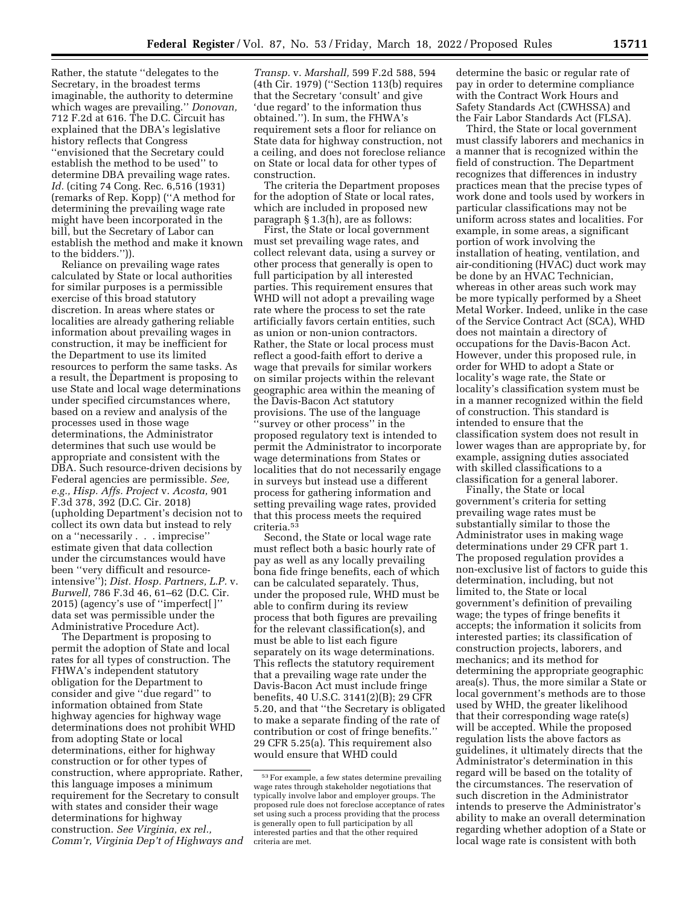Rather, the statute ''delegates to the Secretary, in the broadest terms imaginable, the authority to determine which wages are prevailing.'' *Donovan,*  712 F.2d at 616. The D.C. Circuit has explained that the DBA's legislative history reflects that Congress ''envisioned that the Secretary could establish the method to be used'' to determine DBA prevailing wage rates. *Id.* (citing 74 Cong. Rec. 6,516 (1931) (remarks of Rep. Kopp) (''A method for determining the prevailing wage rate might have been incorporated in the bill, but the Secretary of Labor can establish the method and make it known to the bidders.'')).

Reliance on prevailing wage rates calculated by State or local authorities for similar purposes is a permissible exercise of this broad statutory discretion. In areas where states or localities are already gathering reliable information about prevailing wages in construction, it may be inefficient for the Department to use its limited resources to perform the same tasks. As a result, the Department is proposing to use State and local wage determinations under specified circumstances where, based on a review and analysis of the processes used in those wage determinations, the Administrator determines that such use would be appropriate and consistent with the DBA. Such resource-driven decisions by Federal agencies are permissible. *See, e.g., Hisp. Affs. Project* v. *Acosta,* 901 F.3d 378, 392 (D.C. Cir. 2018) (upholding Department's decision not to collect its own data but instead to rely on a ''necessarily . . . imprecise'' estimate given that data collection under the circumstances would have been ''very difficult and resourceintensive''); *Dist. Hosp. Partners, L.P.* v. *Burwell,* 786 F.3d 46, 61–62 (D.C. Cir. 2015) (agency's use of ''imperfect[ ]'' data set was permissible under the Administrative Procedure Act).

The Department is proposing to permit the adoption of State and local rates for all types of construction. The FHWA's independent statutory obligation for the Department to consider and give ''due regard'' to information obtained from State highway agencies for highway wage determinations does not prohibit WHD from adopting State or local determinations, either for highway construction or for other types of construction, where appropriate. Rather, this language imposes a minimum requirement for the Secretary to consult with states and consider their wage determinations for highway construction. *See Virginia, ex rel., Comm'r, Virginia Dep't of Highways and*  *Transp.* v. *Marshall,* 599 F.2d 588, 594 (4th Cir. 1979) (''Section 113(b) requires that the Secretary 'consult' and give 'due regard' to the information thus obtained.''). In sum, the FHWA's requirement sets a floor for reliance on State data for highway construction, not a ceiling, and does not foreclose reliance on State or local data for other types of construction.

The criteria the Department proposes for the adoption of State or local rates, which are included in proposed new paragraph § 1.3(h), are as follows:

First, the State or local government must set prevailing wage rates, and collect relevant data, using a survey or other process that generally is open to full participation by all interested parties. This requirement ensures that WHD will not adopt a prevailing wage rate where the process to set the rate artificially favors certain entities, such as union or non-union contractors. Rather, the State or local process must reflect a good-faith effort to derive a wage that prevails for similar workers on similar projects within the relevant geographic area within the meaning of the Davis-Bacon Act statutory provisions. The use of the language ''survey or other process'' in the proposed regulatory text is intended to permit the Administrator to incorporate wage determinations from States or localities that do not necessarily engage in surveys but instead use a different process for gathering information and setting prevailing wage rates, provided that this process meets the required criteria.53

Second, the State or local wage rate must reflect both a basic hourly rate of pay as well as any locally prevailing bona fide fringe benefits, each of which can be calculated separately. Thus, under the proposed rule, WHD must be able to confirm during its review process that both figures are prevailing for the relevant classification(s), and must be able to list each figure separately on its wage determinations. This reflects the statutory requirement that a prevailing wage rate under the Davis-Bacon Act must include fringe benefits, 40 U.S.C. 3141(2)(B); 29 CFR 5.20, and that ''the Secretary is obligated to make a separate finding of the rate of contribution or cost of fringe benefits.'' 29 CFR 5.25(a). This requirement also would ensure that WHD could

determine the basic or regular rate of pay in order to determine compliance with the Contract Work Hours and Safety Standards Act (CWHSSA) and the Fair Labor Standards Act (FLSA).

Third, the State or local government must classify laborers and mechanics in a manner that is recognized within the field of construction. The Department recognizes that differences in industry practices mean that the precise types of work done and tools used by workers in particular classifications may not be uniform across states and localities. For example, in some areas, a significant portion of work involving the installation of heating, ventilation, and air-conditioning (HVAC) duct work may be done by an HVAC Technician, whereas in other areas such work may be more typically performed by a Sheet Metal Worker. Indeed, unlike in the case of the Service Contract Act (SCA), WHD does not maintain a directory of occupations for the Davis-Bacon Act. However, under this proposed rule, in order for WHD to adopt a State or locality's wage rate, the State or locality's classification system must be in a manner recognized within the field of construction. This standard is intended to ensure that the classification system does not result in lower wages than are appropriate by, for example, assigning duties associated with skilled classifications to a classification for a general laborer.

Finally, the State or local government's criteria for setting prevailing wage rates must be substantially similar to those the Administrator uses in making wage determinations under 29 CFR part 1. The proposed regulation provides a non-exclusive list of factors to guide this determination, including, but not limited to, the State or local government's definition of prevailing wage; the types of fringe benefits it accepts; the information it solicits from interested parties; its classification of construction projects, laborers, and mechanics; and its method for determining the appropriate geographic area(s). Thus, the more similar a State or local government's methods are to those used by WHD, the greater likelihood that their corresponding wage rate(s) will be accepted. While the proposed regulation lists the above factors as guidelines, it ultimately directs that the Administrator's determination in this regard will be based on the totality of the circumstances. The reservation of such discretion in the Administrator intends to preserve the Administrator's ability to make an overall determination regarding whether adoption of a State or local wage rate is consistent with both

<sup>53</sup>For example, a few states determine prevailing wage rates through stakeholder negotiations that typically involve labor and employer groups. The proposed rule does not foreclose acceptance of rates set using such a process providing that the process is generally open to full participation by all interested parties and that the other required criteria are met.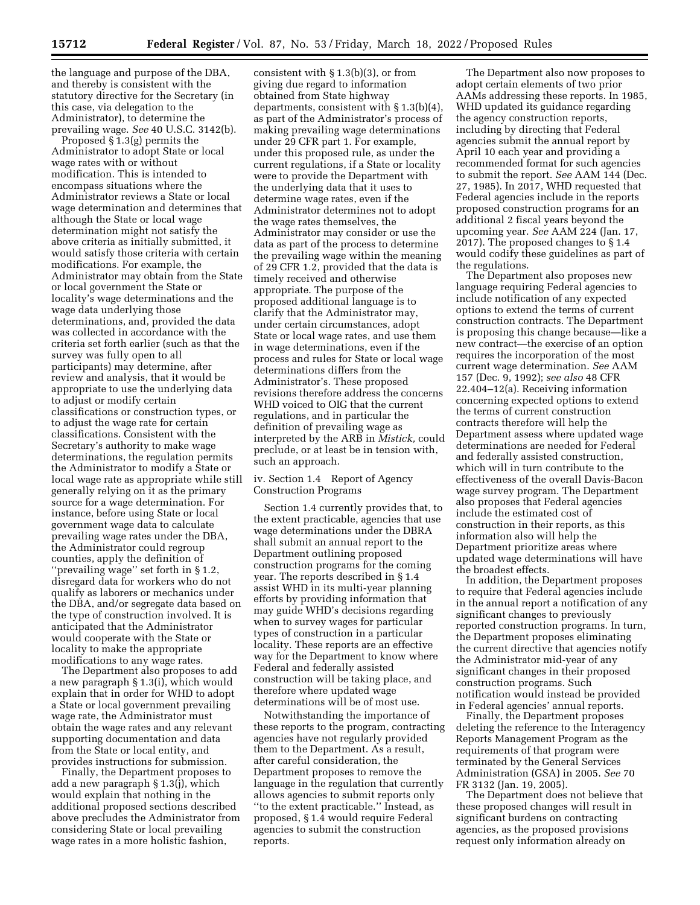the language and purpose of the DBA, and thereby is consistent with the statutory directive for the Secretary (in this case, via delegation to the Administrator), to determine the prevailing wage. *See* 40 U.S.C. 3142(b).

Proposed § 1.3(g) permits the Administrator to adopt State or local wage rates with or without modification. This is intended to encompass situations where the Administrator reviews a State or local wage determination and determines that although the State or local wage determination might not satisfy the above criteria as initially submitted, it would satisfy those criteria with certain modifications. For example, the Administrator may obtain from the State or local government the State or locality's wage determinations and the wage data underlying those determinations, and, provided the data was collected in accordance with the criteria set forth earlier (such as that the survey was fully open to all participants) may determine, after review and analysis, that it would be appropriate to use the underlying data to adjust or modify certain classifications or construction types, or to adjust the wage rate for certain classifications. Consistent with the Secretary's authority to make wage determinations, the regulation permits the Administrator to modify a State or local wage rate as appropriate while still generally relying on it as the primary source for a wage determination. For instance, before using State or local government wage data to calculate prevailing wage rates under the DBA, the Administrator could regroup counties, apply the definition of ''prevailing wage'' set forth in § 1.2, disregard data for workers who do not qualify as laborers or mechanics under the DBA, and/or segregate data based on the type of construction involved. It is anticipated that the Administrator would cooperate with the State or locality to make the appropriate modifications to any wage rates.

The Department also proposes to add a new paragraph § 1.3(i), which would explain that in order for WHD to adopt a State or local government prevailing wage rate, the Administrator must obtain the wage rates and any relevant supporting documentation and data from the State or local entity, and provides instructions for submission.

Finally, the Department proposes to add a new paragraph § 1.3(j), which would explain that nothing in the additional proposed sections described above precludes the Administrator from considering State or local prevailing wage rates in a more holistic fashion,

consistent with  $\S 1.3(b)(3)$ , or from giving due regard to information obtained from State highway departments, consistent with § 1.3(b)(4), as part of the Administrator's process of making prevailing wage determinations under 29 CFR part 1. For example, under this proposed rule, as under the current regulations, if a State or locality were to provide the Department with the underlying data that it uses to determine wage rates, even if the Administrator determines not to adopt the wage rates themselves, the Administrator may consider or use the data as part of the process to determine the prevailing wage within the meaning of 29 CFR 1.2, provided that the data is timely received and otherwise appropriate. The purpose of the proposed additional language is to clarify that the Administrator may, under certain circumstances, adopt State or local wage rates, and use them in wage determinations, even if the process and rules for State or local wage determinations differs from the Administrator's. These proposed revisions therefore address the concerns WHD voiced to OIG that the current regulations, and in particular the definition of prevailing wage as interpreted by the ARB in *Mistick,* could preclude, or at least be in tension with, such an approach.

iv. Section 1.4 Report of Agency Construction Programs

Section 1.4 currently provides that, to the extent practicable, agencies that use wage determinations under the DBRA shall submit an annual report to the Department outlining proposed construction programs for the coming year. The reports described in § 1.4 assist WHD in its multi-year planning efforts by providing information that may guide WHD's decisions regarding when to survey wages for particular types of construction in a particular locality. These reports are an effective way for the Department to know where Federal and federally assisted construction will be taking place, and therefore where updated wage determinations will be of most use.

Notwithstanding the importance of these reports to the program, contracting agencies have not regularly provided them to the Department. As a result, after careful consideration, the Department proposes to remove the language in the regulation that currently allows agencies to submit reports only ''to the extent practicable.'' Instead, as proposed, § 1.4 would require Federal agencies to submit the construction reports.

The Department also now proposes to adopt certain elements of two prior AAMs addressing these reports. In 1985, WHD updated its guidance regarding the agency construction reports, including by directing that Federal agencies submit the annual report by April 10 each year and providing a recommended format for such agencies to submit the report. *See* AAM 144 (Dec. 27, 1985). In 2017, WHD requested that Federal agencies include in the reports proposed construction programs for an additional 2 fiscal years beyond the upcoming year. *See* AAM 224 (Jan. 17, 2017). The proposed changes to § 1.4 would codify these guidelines as part of the regulations.

The Department also proposes new language requiring Federal agencies to include notification of any expected options to extend the terms of current construction contracts. The Department is proposing this change because—like a new contract—the exercise of an option requires the incorporation of the most current wage determination. *See* AAM 157 (Dec. 9, 1992); *see also* 48 CFR 22.404–12(a). Receiving information concerning expected options to extend the terms of current construction contracts therefore will help the Department assess where updated wage determinations are needed for Federal and federally assisted construction, which will in turn contribute to the effectiveness of the overall Davis-Bacon wage survey program. The Department also proposes that Federal agencies include the estimated cost of construction in their reports, as this information also will help the Department prioritize areas where updated wage determinations will have the broadest effects.

In addition, the Department proposes to require that Federal agencies include in the annual report a notification of any significant changes to previously reported construction programs. In turn, the Department proposes eliminating the current directive that agencies notify the Administrator mid-year of any significant changes in their proposed construction programs. Such notification would instead be provided in Federal agencies' annual reports.

Finally, the Department proposes deleting the reference to the Interagency Reports Management Program as the requirements of that program were terminated by the General Services Administration (GSA) in 2005. *See* 70 FR 3132 (Jan. 19, 2005).

The Department does not believe that these proposed changes will result in significant burdens on contracting agencies, as the proposed provisions request only information already on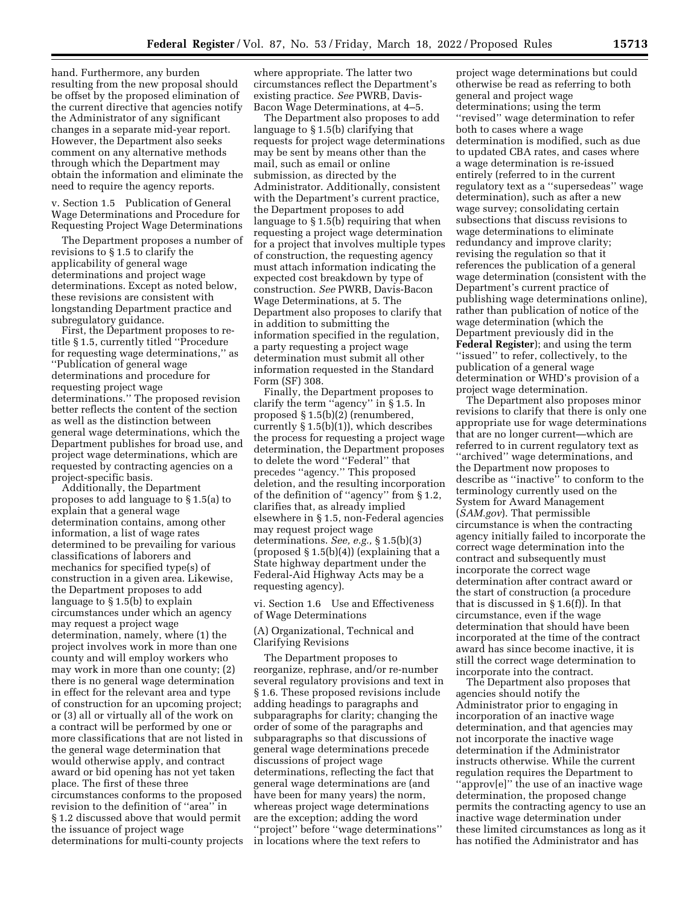hand. Furthermore, any burden resulting from the new proposal should be offset by the proposed elimination of the current directive that agencies notify the Administrator of any significant changes in a separate mid-year report. However, the Department also seeks comment on any alternative methods through which the Department may obtain the information and eliminate the need to require the agency reports.

v. Section 1.5 Publication of General Wage Determinations and Procedure for Requesting Project Wage Determinations

The Department proposes a number of revisions to § 1.5 to clarify the applicability of general wage determinations and project wage determinations. Except as noted below, these revisions are consistent with longstanding Department practice and subregulatory guidance.

First, the Department proposes to retitle § 1.5, currently titled ''Procedure for requesting wage determinations,'' as ''Publication of general wage determinations and procedure for requesting project wage determinations.'' The proposed revision better reflects the content of the section as well as the distinction between general wage determinations, which the Department publishes for broad use, and project wage determinations, which are requested by contracting agencies on a project-specific basis.

Additionally, the Department proposes to add language to § 1.5(a) to explain that a general wage determination contains, among other information, a list of wage rates determined to be prevailing for various classifications of laborers and mechanics for specified type(s) of construction in a given area. Likewise, the Department proposes to add language to § 1.5(b) to explain circumstances under which an agency may request a project wage determination, namely, where (1) the project involves work in more than one county and will employ workers who may work in more than one county; (2) there is no general wage determination in effect for the relevant area and type of construction for an upcoming project; or (3) all or virtually all of the work on a contract will be performed by one or more classifications that are not listed in the general wage determination that would otherwise apply, and contract award or bid opening has not yet taken place. The first of these three circumstances conforms to the proposed revision to the definition of ''area'' in § 1.2 discussed above that would permit the issuance of project wage determinations for multi-county projects

where appropriate. The latter two circumstances reflect the Department's existing practice. *See* PWRB, Davis-Bacon Wage Determinations, at 4–5.

The Department also proposes to add language to § 1.5(b) clarifying that requests for project wage determinations may be sent by means other than the mail, such as email or online submission, as directed by the Administrator. Additionally, consistent with the Department's current practice, the Department proposes to add language to § 1.5(b) requiring that when requesting a project wage determination for a project that involves multiple types of construction, the requesting agency must attach information indicating the expected cost breakdown by type of construction. *See* PWRB, Davis-Bacon Wage Determinations, at 5. The Department also proposes to clarify that in addition to submitting the information specified in the regulation, a party requesting a project wage determination must submit all other information requested in the Standard Form (SF) 308.

Finally, the Department proposes to clarify the term ''agency'' in § 1.5. In proposed § 1.5(b)(2) (renumbered, currently § 1.5(b)(1)), which describes the process for requesting a project wage determination, the Department proposes to delete the word ''Federal'' that precedes ''agency.'' This proposed deletion, and the resulting incorporation of the definition of ''agency'' from § 1.2, clarifies that, as already implied elsewhere in § 1.5, non-Federal agencies may request project wage determinations. *See, e.g.,* § 1.5(b)(3) (proposed  $\S 1.5(b)(4)$ ) (explaining that a State highway department under the Federal-Aid Highway Acts may be a requesting agency).

vi. Section 1.6 Use and Effectiveness of Wage Determinations

(A) Organizational, Technical and Clarifying Revisions

The Department proposes to reorganize, rephrase, and/or re-number several regulatory provisions and text in § 1.6. These proposed revisions include adding headings to paragraphs and subparagraphs for clarity; changing the order of some of the paragraphs and subparagraphs so that discussions of general wage determinations precede discussions of project wage determinations, reflecting the fact that general wage determinations are (and have been for many years) the norm, whereas project wage determinations are the exception; adding the word ''project'' before ''wage determinations'' in locations where the text refers to

project wage determinations but could otherwise be read as referring to both general and project wage determinations; using the term ''revised'' wage determination to refer both to cases where a wage determination is modified, such as due to updated CBA rates, and cases where a wage determination is re-issued entirely (referred to in the current regulatory text as a ''supersedeas'' wage determination), such as after a new wage survey; consolidating certain subsections that discuss revisions to wage determinations to eliminate redundancy and improve clarity; revising the regulation so that it references the publication of a general wage determination (consistent with the Department's current practice of publishing wage determinations online), rather than publication of notice of the wage determination (which the Department previously did in the **Federal Register**); and using the term ''issued'' to refer, collectively, to the publication of a general wage determination or WHD's provision of a project wage determination.

The Department also proposes minor revisions to clarify that there is only one appropriate use for wage determinations that are no longer current—which are referred to in current regulatory text as ''archived'' wage determinations, and the Department now proposes to describe as ''inactive'' to conform to the terminology currently used on the System for Award Management (*SAM.gov*). That permissible circumstance is when the contracting agency initially failed to incorporate the correct wage determination into the contract and subsequently must incorporate the correct wage determination after contract award or the start of construction (a procedure that is discussed in § 1.6(f)). In that circumstance, even if the wage determination that should have been incorporated at the time of the contract award has since become inactive, it is still the correct wage determination to incorporate into the contract.

The Department also proposes that agencies should notify the Administrator prior to engaging in incorporation of an inactive wage determination, and that agencies may not incorporate the inactive wage determination if the Administrator instructs otherwise. While the current regulation requires the Department to ''approv[e]'' the use of an inactive wage determination, the proposed change permits the contracting agency to use an inactive wage determination under these limited circumstances as long as it has notified the Administrator and has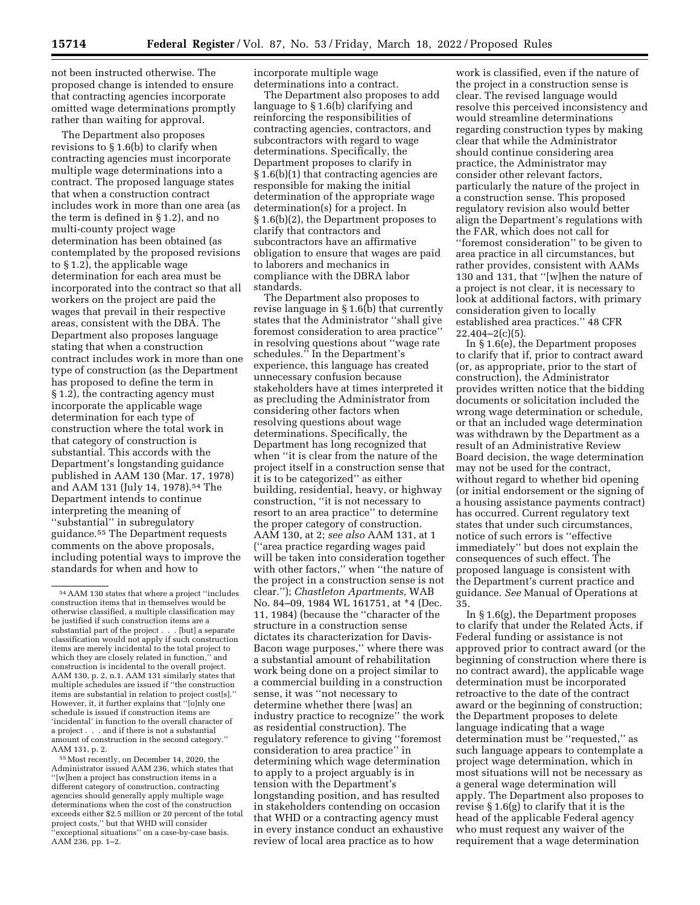not been instructed otherwise. The proposed change is intended to ensure that contracting agencies incorporate omitted wage determinations promptly rather than waiting for approval.

The Department also proposes revisions to § 1.6(b) to clarify when contracting agencies must incorporate multiple wage determinations into a contract. The proposed language states that when a construction contract includes work in more than one area (as the term is defined in § 1.2), and no multi-county project wage determination has been obtained (as contemplated by the proposed revisions to § 1.2), the applicable wage determination for each area must be incorporated into the contract so that all workers on the project are paid the wages that prevail in their respective areas, consistent with the DBA. The Department also proposes language stating that when a construction contract includes work in more than one type of construction (as the Department has proposed to define the term in § 1.2), the contracting agency must incorporate the applicable wage determination for each type of construction where the total work in that category of construction is substantial. This accords with the Department's longstanding guidance published in AAM 130 (Mar. 17, 1978) and AAM 131 (July 14, 1978).54 The Department intends to continue interpreting the meaning of ''substantial'' in subregulatory guidance.55 The Department requests comments on the above proposals, including potential ways to improve the standards for when and how to

55Most recently, on December 14, 2020, the Administrator issued AAM 236, which states that '[w]hen a project has construction items in a different category of construction, contracting agencies should generally apply multiple wage determinations when the cost of the construction exceeds either \$2.5 million or 20 percent of the total project costs,'' but that WHD will consider 'exceptional situations" on a case-by-case basis. AAM 236, pp. 1–2.

incorporate multiple wage determinations into a contract.

The Department also proposes to add language to § 1.6(b) clarifying and reinforcing the responsibilities of contracting agencies, contractors, and subcontractors with regard to wage determinations. Specifically, the Department proposes to clarify in § 1.6(b)(1) that contracting agencies are responsible for making the initial determination of the appropriate wage determination(s) for a project. In § 1.6(b)(2), the Department proposes to clarify that contractors and subcontractors have an affirmative obligation to ensure that wages are paid to laborers and mechanics in compliance with the DBRA labor standards.

The Department also proposes to revise language in § 1.6(b) that currently states that the Administrator ''shall give foremost consideration to area practice'' in resolving questions about ''wage rate schedules.'' In the Department's experience, this language has created unnecessary confusion because stakeholders have at times interpreted it as precluding the Administrator from considering other factors when resolving questions about wage determinations. Specifically, the Department has long recognized that when ''it is clear from the nature of the project itself in a construction sense that it is to be categorized'' as either building, residential, heavy, or highway construction, ''it is not necessary to resort to an area practice'' to determine the proper category of construction. AAM 130, at 2; *see also* AAM 131, at 1 (''area practice regarding wages paid will be taken into consideration together with other factors,'' when ''the nature of the project in a construction sense is not clear.''); *Chastleton Apartments,* WAB No. 84–09, 1984 WL 161751, at \*4 (Dec. 11, 1984) (because the ''character of the structure in a construction sense dictates its characterization for Davis-Bacon wage purposes,'' where there was a substantial amount of rehabilitation work being done on a project similar to a commercial building in a construction sense, it was ''not necessary to determine whether there [was] an industry practice to recognize'' the work as residential construction). The regulatory reference to giving ''foremost consideration to area practice'' in determining which wage determination to apply to a project arguably is in tension with the Department's longstanding position, and has resulted in stakeholders contending on occasion that WHD or a contracting agency must in every instance conduct an exhaustive review of local area practice as to how

work is classified, even if the nature of the project in a construction sense is clear. The revised language would resolve this perceived inconsistency and would streamline determinations regarding construction types by making clear that while the Administrator should continue considering area practice, the Administrator may consider other relevant factors, particularly the nature of the project in a construction sense. This proposed regulatory revision also would better align the Department's regulations with the FAR, which does not call for ''foremost consideration'' to be given to area practice in all circumstances, but rather provides, consistent with AAMs 130 and 131, that ''[w]hen the nature of a project is not clear, it is necessary to look at additional factors, with primary consideration given to locally established area practices.'' 48 CFR  $22.404 - 2(c)(5)$ .

In § 1.6(e), the Department proposes to clarify that if, prior to contract award (or, as appropriate, prior to the start of construction), the Administrator provides written notice that the bidding documents or solicitation included the wrong wage determination or schedule, or that an included wage determination was withdrawn by the Department as a result of an Administrative Review Board decision, the wage determination may not be used for the contract, without regard to whether bid opening (or initial endorsement or the signing of a housing assistance payments contract) has occurred. Current regulatory text states that under such circumstances, notice of such errors is ''effective immediately'' but does not explain the consequences of such effect. The proposed language is consistent with the Department's current practice and guidance. *See* Manual of Operations at 35.

In § 1.6(g), the Department proposes to clarify that under the Related Acts, if Federal funding or assistance is not approved prior to contract award (or the beginning of construction where there is no contract award), the applicable wage determination must be incorporated retroactive to the date of the contract award or the beginning of construction; the Department proposes to delete language indicating that a wage determination must be ''requested,'' as such language appears to contemplate a project wage determination, which in most situations will not be necessary as a general wage determination will apply. The Department also proposes to revise § 1.6(g) to clarify that it is the head of the applicable Federal agency who must request any waiver of the requirement that a wage determination

<sup>54</sup>AAM 130 states that where a project ''includes construction items that in themselves would be otherwise classified, a multiple classification may be justified if such construction items are a substantial part of the project . . . [but] a separate classification would not apply if such construction items are merely incidental to the total project to which they are closely related in function,'' and construction is incidental to the overall project. AAM 130, p. 2, n.1. AAM 131 similarly states that multiple schedules are issued if ''the construction items are substantial in relation to project cost[s].'' However, it, it further explains that ''[o]nly one schedule is issued if construction items are 'incidental' in function to the overall character of a project . . . and if there is not a substantial amount of construction in the second category.'' AAM 131, p. 2.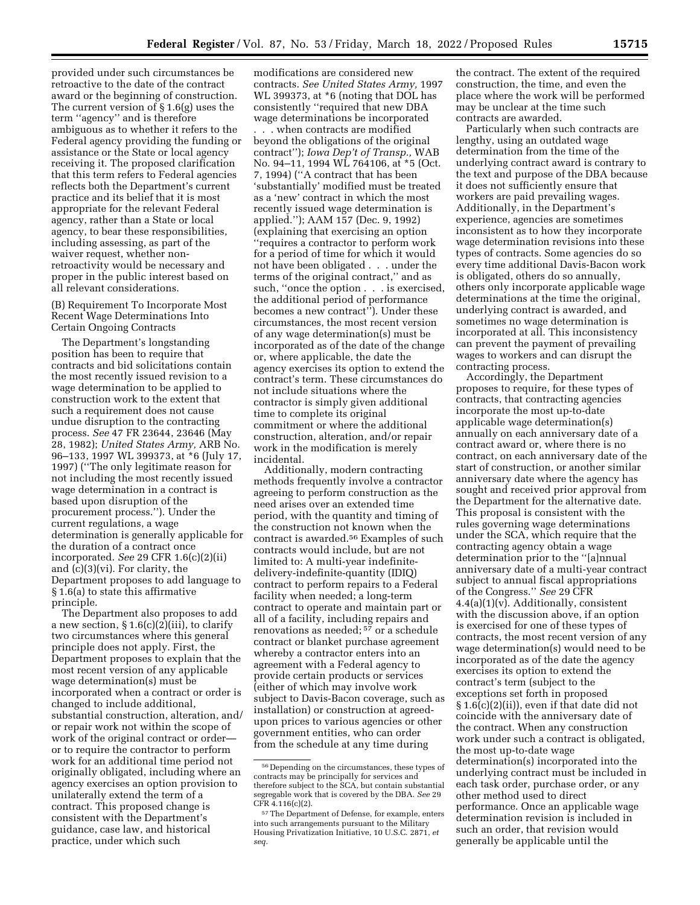provided under such circumstances be retroactive to the date of the contract award or the beginning of construction. The current version of § 1.6(g) uses the term ''agency'' and is therefore ambiguous as to whether it refers to the Federal agency providing the funding or assistance or the State or local agency receiving it. The proposed clarification that this term refers to Federal agencies reflects both the Department's current practice and its belief that it is most appropriate for the relevant Federal agency, rather than a State or local agency, to bear these responsibilities, including assessing, as part of the waiver request, whether nonretroactivity would be necessary and proper in the public interest based on all relevant considerations.

(B) Requirement To Incorporate Most Recent Wage Determinations Into Certain Ongoing Contracts

The Department's longstanding position has been to require that contracts and bid solicitations contain the most recently issued revision to a wage determination to be applied to construction work to the extent that such a requirement does not cause undue disruption to the contracting process. *See* 47 FR 23644, 23646 (May 28, 1982); *United States Army,* ARB No. 96–133, 1997 WL 399373, at \*6 (July 17, 1997) (''The only legitimate reason for not including the most recently issued wage determination in a contract is based upon disruption of the procurement process.''). Under the current regulations, a wage determination is generally applicable for the duration of a contract once incorporated. *See* 29 CFR 1.6(c)(2)(ii) and (c)(3)(vi). For clarity, the Department proposes to add language to § 1.6(a) to state this affirmative principle.

The Department also proposes to add a new section,  $\S 1.6(c)(2)(iii)$ , to clarify two circumstances where this general principle does not apply. First, the Department proposes to explain that the most recent version of any applicable wage determination(s) must be incorporated when a contract or order is changed to include additional, substantial construction, alteration, and/ or repair work not within the scope of work of the original contract or order or to require the contractor to perform work for an additional time period not originally obligated, including where an agency exercises an option provision to unilaterally extend the term of a contract. This proposed change is consistent with the Department's guidance, case law, and historical practice, under which such

modifications are considered new contracts. *See United States Army,* 1997 WL 399373, at \*6 (noting that DOL has consistently ''required that new DBA wage determinations be incorporated

. . . when contracts are modified beyond the obligations of the original contract''); *Iowa Dep't of Transp.,* WAB No. 94–11, 1994 WL 764106, at \*5 (Oct. 7, 1994) (''A contract that has been 'substantially' modified must be treated as a 'new' contract in which the most recently issued wage determination is applied.''); AAM 157 (Dec. 9, 1992) (explaining that exercising an option ''requires a contractor to perform work for a period of time for which it would not have been obligated . . . under the terms of the original contract,'' and as such, ''once the option . . . is exercised, the additional period of performance becomes a new contract''). Under these circumstances, the most recent version of any wage determination(s) must be incorporated as of the date of the change or, where applicable, the date the agency exercises its option to extend the contract's term. These circumstances do not include situations where the contractor is simply given additional time to complete its original commitment or where the additional construction, alteration, and/or repair work in the modification is merely incidental.

Additionally, modern contracting methods frequently involve a contractor agreeing to perform construction as the need arises over an extended time period, with the quantity and timing of the construction not known when the contract is awarded.56 Examples of such contracts would include, but are not limited to: A multi-year indefinitedelivery-indefinite-quantity (IDIQ) contract to perform repairs to a Federal facility when needed; a long-term contract to operate and maintain part or all of a facility, including repairs and renovations as needed; 57 or a schedule contract or blanket purchase agreement whereby a contractor enters into an agreement with a Federal agency to provide certain products or services (either of which may involve work subject to Davis-Bacon coverage, such as installation) or construction at agreedupon prices to various agencies or other government entities, who can order from the schedule at any time during

the contract. The extent of the required construction, the time, and even the place where the work will be performed may be unclear at the time such contracts are awarded.

Particularly when such contracts are lengthy, using an outdated wage determination from the time of the underlying contract award is contrary to the text and purpose of the DBA because it does not sufficiently ensure that workers are paid prevailing wages. Additionally, in the Department's experience, agencies are sometimes inconsistent as to how they incorporate wage determination revisions into these types of contracts. Some agencies do so every time additional Davis-Bacon work is obligated, others do so annually, others only incorporate applicable wage determinations at the time the original, underlying contract is awarded, and sometimes no wage determination is incorporated at all. This inconsistency can prevent the payment of prevailing wages to workers and can disrupt the contracting process.

Accordingly, the Department proposes to require, for these types of contracts, that contracting agencies incorporate the most up-to-date applicable wage determination(s) annually on each anniversary date of a contract award or, where there is no contract, on each anniversary date of the start of construction, or another similar anniversary date where the agency has sought and received prior approval from the Department for the alternative date. This proposal is consistent with the rules governing wage determinations under the SCA, which require that the contracting agency obtain a wage determination prior to the ''[a]nnual anniversary date of a multi-year contract subject to annual fiscal appropriations of the Congress.'' *See* 29 CFR 4.4(a)(1)(v). Additionally, consistent with the discussion above, if an option is exercised for one of these types of contracts, the most recent version of any wage determination(s) would need to be incorporated as of the date the agency exercises its option to extend the contract's term (subject to the exceptions set forth in proposed § 1.6(c)(2)(ii)), even if that date did not coincide with the anniversary date of the contract. When any construction work under such a contract is obligated, the most up-to-date wage determination(s) incorporated into the underlying contract must be included in each task order, purchase order, or any other method used to direct performance. Once an applicable wage determination revision is included in such an order, that revision would generally be applicable until the

 $^{56}\rm{Depending}$  on the circumstances, these types of contracts may be principally for services and therefore subject to the SCA, but contain substantial segregable work that is covered by the DBA. *See* 29 CFR 4.116(c)(2).

<sup>57</sup>The Department of Defense, for example, enters into such arrangements pursuant to the Military Housing Privatization Initiative, 10 U.S.C. 2871, *et seq.*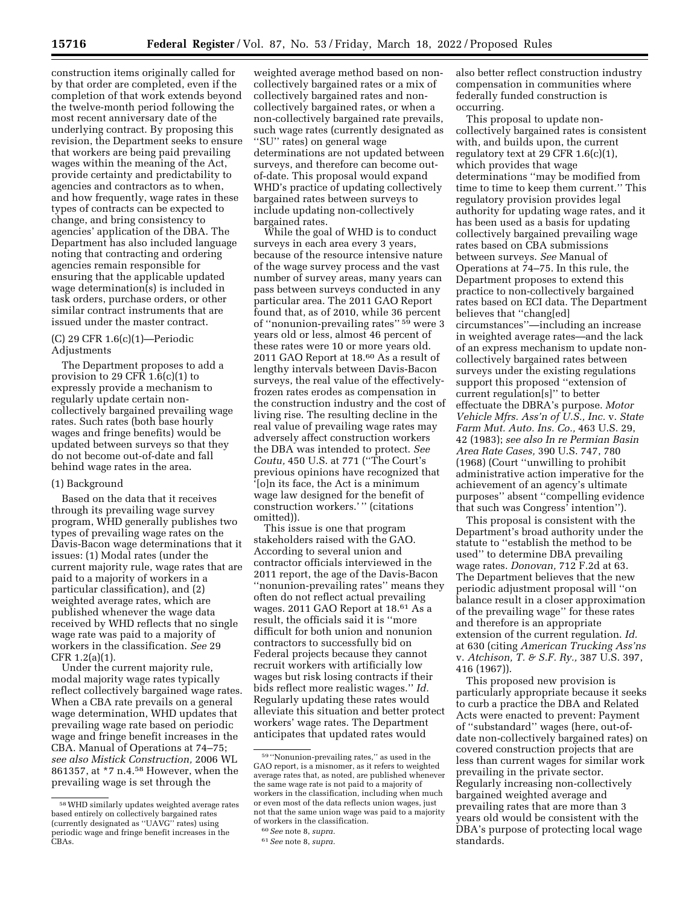construction items originally called for by that order are completed, even if the completion of that work extends beyond the twelve-month period following the most recent anniversary date of the underlying contract. By proposing this revision, the Department seeks to ensure that workers are being paid prevailing wages within the meaning of the Act, provide certainty and predictability to agencies and contractors as to when, and how frequently, wage rates in these types of contracts can be expected to change, and bring consistency to agencies' application of the DBA. The Department has also included language noting that contracting and ordering agencies remain responsible for ensuring that the applicable updated wage determination(s) is included in task orders, purchase orders, or other similar contract instruments that are issued under the master contract.

## (C) 29 CFR 1.6(c)(1)—Periodic Adjustments

The Department proposes to add a provision to 29 CFR  $1.6(c)(1)$  to expressly provide a mechanism to regularly update certain noncollectively bargained prevailing wage rates. Such rates (both base hourly wages and fringe benefits) would be updated between surveys so that they do not become out-of-date and fall behind wage rates in the area.

### (1) Background

Based on the data that it receives through its prevailing wage survey program, WHD generally publishes two types of prevailing wage rates on the Davis-Bacon wage determinations that it issues: (1) Modal rates (under the current majority rule, wage rates that are paid to a majority of workers in a particular classification), and (2) weighted average rates, which are published whenever the wage data received by WHD reflects that no single wage rate was paid to a majority of workers in the classification. *See* 29 CFR 1.2(a)(1).

Under the current majority rule, modal majority wage rates typically reflect collectively bargained wage rates. When a CBA rate prevails on a general wage determination, WHD updates that prevailing wage rate based on periodic wage and fringe benefit increases in the CBA. Manual of Operations at 74–75; *see also Mistick Construction,* 2006 WL 861357, at \*7 n.4.58 However, when the prevailing wage is set through the

weighted average method based on noncollectively bargained rates or a mix of collectively bargained rates and noncollectively bargained rates, or when a non-collectively bargained rate prevails, such wage rates (currently designated as ''SU'' rates) on general wage determinations are not updated between surveys, and therefore can become outof-date. This proposal would expand WHD's practice of updating collectively bargained rates between surveys to include updating non-collectively bargained rates.

While the goal of WHD is to conduct surveys in each area every 3 years, because of the resource intensive nature of the wage survey process and the vast number of survey areas, many years can pass between surveys conducted in any particular area. The 2011 GAO Report found that, as of 2010, while 36 percent of "nonunion-prevailing rates" 59 were 3 years old or less, almost 46 percent of these rates were 10 or more years old. 2011 GAO Report at 18.60 As a result of lengthy intervals between Davis-Bacon surveys, the real value of the effectivelyfrozen rates erodes as compensation in the construction industry and the cost of living rise. The resulting decline in the real value of prevailing wage rates may adversely affect construction workers the DBA was intended to protect. *See Coutu,* 450 U.S. at 771 (''The Court's previous opinions have recognized that '[o]n its face, the Act is a minimum wage law designed for the benefit of construction workers.' '' (citations omitted)).

This issue is one that program stakeholders raised with the GAO. According to several union and contractor officials interviewed in the 2011 report, the age of the Davis-Bacon ''nonunion-prevailing rates'' means they often do not reflect actual prevailing wages. 2011 GAO Report at 18.61 As a result, the officials said it is ''more difficult for both union and nonunion contractors to successfully bid on Federal projects because they cannot recruit workers with artificially low wages but risk losing contracts if their bids reflect more realistic wages.'' *Id.*  Regularly updating these rates would alleviate this situation and better protect workers' wage rates. The Department anticipates that updated rates would

also better reflect construction industry compensation in communities where federally funded construction is occurring.

This proposal to update noncollectively bargained rates is consistent with, and builds upon, the current regulatory text at 29 CFR 1.6(c)(1), which provides that wage determinations ''may be modified from time to time to keep them current.'' This regulatory provision provides legal authority for updating wage rates, and it has been used as a basis for updating collectively bargained prevailing wage rates based on CBA submissions between surveys. *See* Manual of Operations at 74–75. In this rule, the Department proposes to extend this practice to non-collectively bargained rates based on ECI data. The Department believes that ''chang[ed] circumstances''—including an increase in weighted average rates—and the lack of an express mechanism to update noncollectively bargained rates between surveys under the existing regulations support this proposed ''extension of current regulation[s]'' to better effectuate the DBRA's purpose. *Motor Vehicle Mfrs. Ass'n of U.S., Inc.* v. *State Farm Mut. Auto. Ins. Co.,* 463 U.S. 29, 42 (1983); *see also In re Permian Basin Area Rate Cases,* 390 U.S. 747, 780 (1968) (Court ''unwilling to prohibit administrative action imperative for the achievement of an agency's ultimate purposes'' absent ''compelling evidence that such was Congress' intention'').

This proposal is consistent with the Department's broad authority under the statute to ''establish the method to be used'' to determine DBA prevailing wage rates. *Donovan,* 712 F.2d at 63. The Department believes that the new periodic adjustment proposal will ''on balance result in a closer approximation of the prevailing wage'' for these rates and therefore is an appropriate extension of the current regulation. *Id.*  at 630 (citing *American Trucking Ass'ns*  v. *Atchison, T. & S.F. Ry.,* 387 U.S. 397, 416 (1967)).

This proposed new provision is particularly appropriate because it seeks to curb a practice the DBA and Related Acts were enacted to prevent: Payment of ''substandard'' wages (here, out-ofdate non-collectively bargained rates) on covered construction projects that are less than current wages for similar work prevailing in the private sector. Regularly increasing non-collectively bargained weighted average and prevailing rates that are more than 3 years old would be consistent with the DBA's purpose of protecting local wage standards.

<sup>58</sup>WHD similarly updates weighted average rates based entirely on collectively bargained rates (currently designated as ''UAVG'' rates) using periodic wage and fringe benefit increases in the CBAs.

<sup>59</sup> ''Nonunion-prevailing rates,'' as used in the GAO report, is a misnomer, as it refers to weighted average rates that, as noted, are published whenever the same wage rate is not paid to a majority of workers in the classification, including when much or even most of the data reflects union wages, just not that the same union wage was paid to a majority of workers in the classification.

<sup>60</sup>*See* note 8, *supra.* 

<sup>61</sup>*See* note 8, *supra.*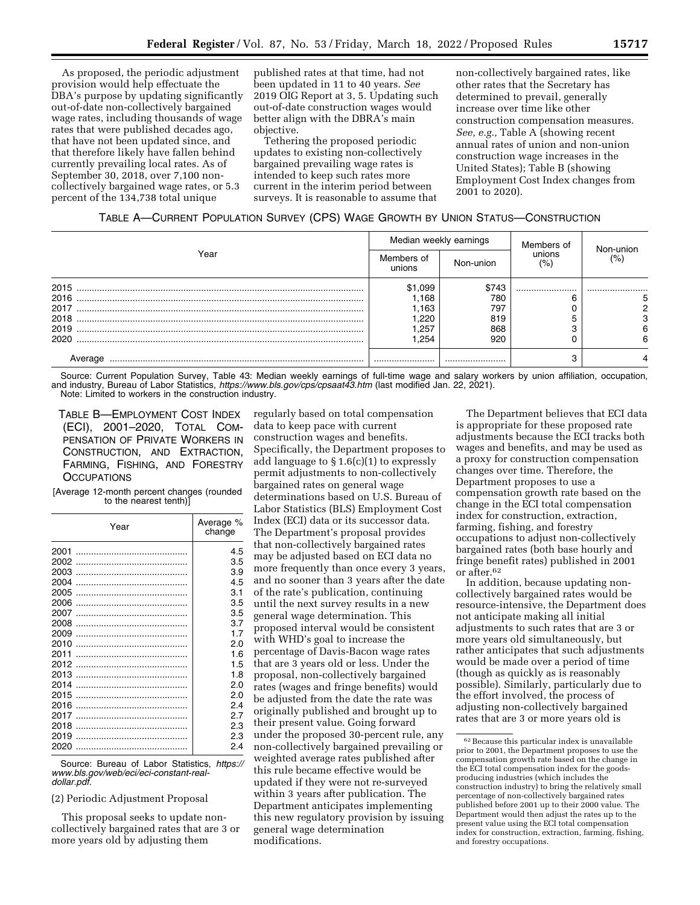As proposed, the periodic adjustment provision would help effectuate the DBA's purpose by updating significantly out-of-date non-collectively bargained wage rates, including thousands of wage rates that were published decades ago, that have not been updated since, and that therefore likely have fallen behind currently prevailing local rates. As of September 30, 2018, over 7,100 noncollectively bargained wage rates, or 5.3 percent of the 134,738 total unique

published rates at that time, had not been updated in 11 to 40 years. *See*  2019 OIG Report at 3, 5. Updating such out-of-date construction wages would better align with the DBRA's main objective.

Tethering the proposed periodic updates to existing non-collectively bargained prevailing wage rates is intended to keep such rates more current in the interim period between surveys. It is reasonable to assume that

non-collectively bargained rates, like other rates that the Secretary has determined to prevail, generally increase over time like other construction compensation measures. *See, e.g.,* Table A (showing recent annual rates of union and non-union construction wage increases in the United States); Table B (showing Employment Cost Index changes from 2001 to 2020).

| Year    | Median weekly earnings |           | Members of    |                   |
|---------|------------------------|-----------|---------------|-------------------|
|         | Members of<br>unions   | Non-union | unions<br>(%) | Non-union<br>(% ) |
| 2015    | \$1,099                | \$743     |               |                   |
| 2016    | .168                   | 780       |               |                   |
| 2017    | .163                   | 797       |               |                   |
| 2018    | .220                   | 819       |               |                   |
| 2019    | .257                   | 868       |               | 6                 |
| 2020    | .254                   | 920       |               | 6                 |
| Average |                        |           |               |                   |

Source: Current Population Survey, Table 43: Median weekly earnings of full-time wage and salary workers by union affiliation, occupation, and industry, Bureau of Labor Statistics, *<https://www.bls.gov/cps/cpsaat43.htm>*(last modified Jan. 22, 2021). Note: Limited to workers in the construction industry.

TABLE B—EMPLOYMENT COST INDEX (ECI), 2001–2020, TOTAL COM-PENSATION OF PRIVATE WORKERS IN CONSTRUCTION, AND EXTRACTION, FARMING, FISHING, AND FORESTRY **OCCUPATIONS** 

[Average 12-month percent changes (rounded to the nearest tenth)]

| Year | Average %<br>change |  |
|------|---------------------|--|
| 2001 | 4.5                 |  |
| 2002 | 3.5                 |  |
| 2003 | 3.9                 |  |
| 2004 | 4.5                 |  |
| 2005 | 3.1                 |  |
| 2006 | 3.5                 |  |
| 2007 | 3.5                 |  |
| 2008 | 3.7                 |  |
| 2009 | 17                  |  |
| 2010 | 2.0                 |  |
| 2011 | 1.6                 |  |
| 2012 | 1.5                 |  |
| 2013 | 1.8                 |  |
| 2014 | 2.0                 |  |
| 2015 | 2.0                 |  |
| 2016 | 2.4                 |  |
| 2017 | 2.7                 |  |
| 2018 | 2.3                 |  |
| 2019 | 2.3                 |  |
| 2020 | 2.4                 |  |
|      |                     |  |

Source: Bureau of Labor Statistics, *[https://](https://www.bls.gov/web/eci/eci-constant-real-dollar.pdf) [www.bls.gov/web/eci/eci-constant-real](https://www.bls.gov/web/eci/eci-constant-real-dollar.pdf)[dollar.pdf.](https://www.bls.gov/web/eci/eci-constant-real-dollar.pdf)* 

## (2) Periodic Adjustment Proposal

This proposal seeks to update noncollectively bargained rates that are 3 or more years old by adjusting them

regularly based on total compensation data to keep pace with current construction wages and benefits. Specifically, the Department proposes to add language to § 1.6(c)(1) to expressly permit adjustments to non-collectively bargained rates on general wage determinations based on U.S. Bureau of Labor Statistics (BLS) Employment Cost Index (ECI) data or its successor data. The Department's proposal provides that non-collectively bargained rates may be adjusted based on ECI data no more frequently than once every 3 years, and no sooner than 3 years after the date of the rate's publication, continuing until the next survey results in a new general wage determination. This proposed interval would be consistent with WHD's goal to increase the percentage of Davis-Bacon wage rates that are 3 years old or less. Under the proposal, non-collectively bargained rates (wages and fringe benefits) would be adjusted from the date the rate was originally published and brought up to their present value. Going forward under the proposed 30-percent rule, any non-collectively bargained prevailing or weighted average rates published after this rule became effective would be updated if they were not re-surveyed within 3 years after publication. The Department anticipates implementing this new regulatory provision by issuing general wage determination modifications.

The Department believes that ECI data is appropriate for these proposed rate adjustments because the ECI tracks both wages and benefits, and may be used as a proxy for construction compensation changes over time. Therefore, the Department proposes to use a compensation growth rate based on the change in the ECI total compensation index for construction, extraction, farming, fishing, and forestry occupations to adjust non-collectively bargained rates (both base hourly and fringe benefit rates) published in 2001 or after.62

In addition, because updating noncollectively bargained rates would be resource-intensive, the Department does not anticipate making all initial adjustments to such rates that are 3 or more years old simultaneously, but rather anticipates that such adjustments would be made over a period of time (though as quickly as is reasonably possible). Similarly, particularly due to the effort involved, the process of adjusting non-collectively bargained rates that are 3 or more years old is

<sup>62</sup>Because this particular index is unavailable prior to 2001, the Department proposes to use the compensation growth rate based on the change in the ECI total compensation index for the goodsproducing industries (which includes the construction industry) to bring the relatively small percentage of non-collectively bargained rates published before 2001 up to their 2000 value. The Department would then adjust the rates up to the present value using the ECI total compensation index for construction, extraction, farming, fishing, and forestry occupations.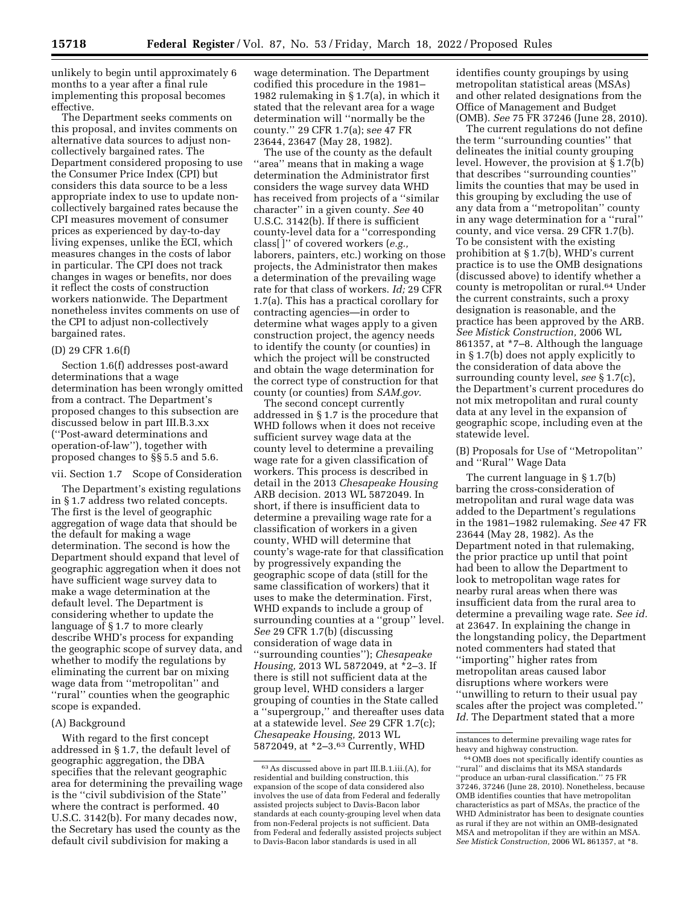unlikely to begin until approximately 6 months to a year after a final rule implementing this proposal becomes effective.

The Department seeks comments on this proposal, and invites comments on alternative data sources to adjust noncollectively bargained rates. The Department considered proposing to use the Consumer Price Index (CPI) but considers this data source to be a less appropriate index to use to update noncollectively bargained rates because the CPI measures movement of consumer prices as experienced by day-to-day living expenses, unlike the ECI, which measures changes in the costs of labor in particular. The CPI does not track changes in wages or benefits, nor does it reflect the costs of construction workers nationwide. The Department nonetheless invites comments on use of the CPI to adjust non-collectively bargained rates.

## (D) 29 CFR 1.6(f)

Section 1.6(f) addresses post-award determinations that a wage determination has been wrongly omitted from a contract. The Department's proposed changes to this subsection are discussed below in part III.B.3.xx (''Post-award determinations and operation-of-law''), together with proposed changes to §§ 5.5 and 5.6.

vii. Section 1.7 Scope of Consideration

The Department's existing regulations in § 1.7 address two related concepts. The first is the level of geographic aggregation of wage data that should be the default for making a wage determination. The second is how the Department should expand that level of geographic aggregation when it does not have sufficient wage survey data to make a wage determination at the default level. The Department is considering whether to update the language of § 1.7 to more clearly describe WHD's process for expanding the geographic scope of survey data, and whether to modify the regulations by eliminating the current bar on mixing wage data from ''metropolitan'' and ''rural'' counties when the geographic scope is expanded.

## (A) Background

With regard to the first concept addressed in § 1.7, the default level of geographic aggregation, the DBA specifies that the relevant geographic area for determining the prevailing wage is the ''civil subdivision of the State'' where the contract is performed. 40 U.S.C. 3142(b). For many decades now, the Secretary has used the county as the default civil subdivision for making a

wage determination. The Department codified this procedure in the 1981– 1982 rulemaking in § 1.7(a), in which it stated that the relevant area for a wage determination will ''normally be the county.'' 29 CFR 1.7(a); s*ee* 47 FR 23644, 23647 (May 28, 1982).

The use of the county as the default ''area'' means that in making a wage determination the Administrator first considers the wage survey data WHD has received from projects of a ''similar character'' in a given county. *See* 40 U.S.C. 3142(b). If there is sufficient county-level data for a ''corresponding class[ ]'' of covered workers (*e.g.,*  laborers, painters, etc.) working on those projects, the Administrator then makes a determination of the prevailing wage rate for that class of workers. *Id;* 29 CFR 1.7(a). This has a practical corollary for contracting agencies—in order to determine what wages apply to a given construction project, the agency needs to identify the county (or counties) in which the project will be constructed and obtain the wage determination for the correct type of construction for that county (or counties) from *SAM.gov*.

The second concept currently addressed in § 1.7 is the procedure that WHD follows when it does not receive sufficient survey wage data at the county level to determine a prevailing wage rate for a given classification of workers. This process is described in detail in the 2013 *Chesapeake Housing*  ARB decision. 2013 WL 5872049. In short, if there is insufficient data to determine a prevailing wage rate for a classification of workers in a given county, WHD will determine that county's wage-rate for that classification by progressively expanding the geographic scope of data (still for the same classification of workers) that it uses to make the determination. First, WHD expands to include a group of surrounding counties at a ''group'' level. *See* 29 CFR 1.7(b) (discussing consideration of wage data in ''surrounding counties''); *Chesapeake Housing,* 2013 WL 5872049, at \*2–3. If there is still not sufficient data at the group level, WHD considers a larger grouping of counties in the State called a ''supergroup,'' and thereafter uses data at a statewide level. *See* 29 CFR 1.7(c); *Chesapeake Housing,* 2013 WL 5872049, at \*2–3.63 Currently, WHD

identifies county groupings by using metropolitan statistical areas (MSAs) and other related designations from the Office of Management and Budget (OMB). *See* 75 FR 37246 (June 28, 2010).

The current regulations do not define the term ''surrounding counties'' that delineates the initial county grouping level. However, the provision at § 1.7(b) that describes ''surrounding counties'' limits the counties that may be used in this grouping by excluding the use of any data from a ''metropolitan'' county in any wage determination for a ''rural'' county, and vice versa. 29 CFR 1.7(b). To be consistent with the existing prohibition at § 1.7(b), WHD's current practice is to use the OMB designations (discussed above) to identify whether a county is metropolitan or rural.64 Under the current constraints, such a proxy designation is reasonable, and the practice has been approved by the ARB. *See Mistick Construction,* 2006 WL 861357, at \*7–8. Although the language in § 1.7(b) does not apply explicitly to the consideration of data above the surrounding county level, *see* § 1.7(c), the Department's current procedures do not mix metropolitan and rural county data at any level in the expansion of geographic scope, including even at the statewide level.

(B) Proposals for Use of ''Metropolitan'' and ''Rural'' Wage Data

The current language in § 1.7(b) barring the cross-consideration of metropolitan and rural wage data was added to the Department's regulations in the 1981–1982 rulemaking. *See* 47 FR 23644 (May 28, 1982). As the Department noted in that rulemaking, the prior practice up until that point had been to allow the Department to look to metropolitan wage rates for nearby rural areas when there was insufficient data from the rural area to determine a prevailing wage rate. *See id.*  at 23647. In explaining the change in the longstanding policy, the Department noted commenters had stated that ''importing'' higher rates from metropolitan areas caused labor disruptions where workers were ''unwilling to return to their usual pay scales after the project was completed.'' *Id.* The Department stated that a more

<sup>63</sup>As discussed above in part III.B.1.iii.(A), for residential and building construction, this expansion of the scope of data considered also involves the use of data from Federal and federally assisted projects subject to Davis-Bacon labor standards at each county-grouping level when data from non-Federal projects is not sufficient. Data from Federal and federally assisted projects subject to Davis-Bacon labor standards is used in all

instances to determine prevailing wage rates for heavy and highway construction.

<sup>64</sup>OMB does not specifically identify counties as ''rural'' and disclaims that its MSA standards ''produce an urban-rural classification.'' 75 FR 37246, 37246 (June 28, 2010). Nonetheless, because OMB identifies counties that have metropolitan characteristics as part of MSAs, the practice of the WHD Administrator has been to designate counties as rural if they are not within an OMB-designated MSA and metropolitan if they are within an MSA. *See Mistick Construction,* 2006 WL 861357, at \*8.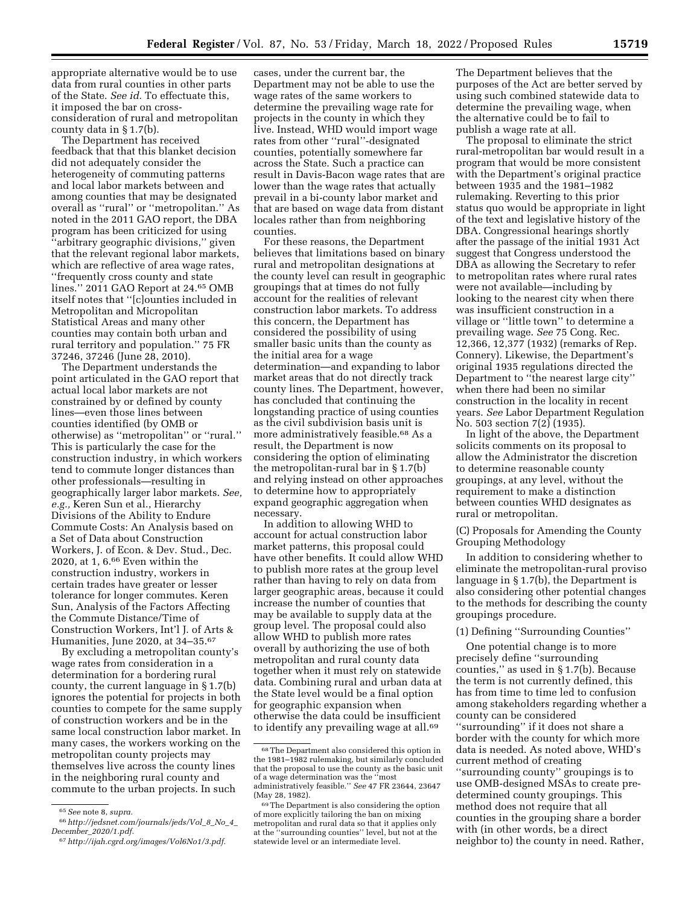appropriate alternative would be to use data from rural counties in other parts of the State. *See id.* To effectuate this, it imposed the bar on crossconsideration of rural and metropolitan county data in § 1.7(b).

The Department has received feedback that that this blanket decision did not adequately consider the heterogeneity of commuting patterns and local labor markets between and among counties that may be designated overall as ''rural'' or ''metropolitan.'' As noted in the 2011 GAO report, the DBA program has been criticized for using ''arbitrary geographic divisions,'' given that the relevant regional labor markets, which are reflective of area wage rates, ''frequently cross county and state lines.'' 2011 GAO Report at 24.65 OMB itself notes that ''[c]ounties included in Metropolitan and Micropolitan Statistical Areas and many other counties may contain both urban and rural territory and population.'' 75 FR 37246, 37246 (June 28, 2010).

The Department understands the point articulated in the GAO report that actual local labor markets are not constrained by or defined by county lines—even those lines between counties identified (by OMB or otherwise) as ''metropolitan'' or ''rural.'' This is particularly the case for the construction industry, in which workers tend to commute longer distances than other professionals—resulting in geographically larger labor markets. *See, e.g.,* Keren Sun et al., Hierarchy Divisions of the Ability to Endure Commute Costs: An Analysis based on a Set of Data about Construction Workers, J. of Econ. & Dev. Stud., Dec. 2020, at 1, 6.66 Even within the construction industry, workers in certain trades have greater or lesser tolerance for longer commutes. Keren Sun, Analysis of the Factors Affecting the Commute Distance/Time of Construction Workers, Int'l J. of Arts & Humanities, June 2020, at 34–35.67

By excluding a metropolitan county's wage rates from consideration in a determination for a bordering rural county, the current language in § 1.7(b) ignores the potential for projects in both counties to compete for the same supply of construction workers and be in the same local construction labor market. In many cases, the workers working on the metropolitan county projects may themselves live across the county lines in the neighboring rural county and commute to the urban projects. In such

cases, under the current bar, the Department may not be able to use the wage rates of the same workers to determine the prevailing wage rate for projects in the county in which they live. Instead, WHD would import wage rates from other ''rural''-designated counties, potentially somewhere far across the State. Such a practice can result in Davis-Bacon wage rates that are lower than the wage rates that actually prevail in a bi-county labor market and that are based on wage data from distant locales rather than from neighboring counties.

For these reasons, the Department believes that limitations based on binary rural and metropolitan designations at the county level can result in geographic groupings that at times do not fully account for the realities of relevant construction labor markets. To address this concern, the Department has considered the possibility of using smaller basic units than the county as the initial area for a wage determination—and expanding to labor market areas that do not directly track county lines. The Department, however, has concluded that continuing the longstanding practice of using counties as the civil subdivision basis unit is more administratively feasible.68 As a result, the Department is now considering the option of eliminating the metropolitan-rural bar in § 1.7(b) and relying instead on other approaches to determine how to appropriately expand geographic aggregation when necessary.

In addition to allowing WHD to account for actual construction labor market patterns, this proposal could have other benefits. It could allow WHD to publish more rates at the group level rather than having to rely on data from larger geographic areas, because it could increase the number of counties that may be available to supply data at the group level. The proposal could also allow WHD to publish more rates overall by authorizing the use of both metropolitan and rural county data together when it must rely on statewide data. Combining rural and urban data at the State level would be a final option for geographic expansion when otherwise the data could be insufficient to identify any prevailing wage at all.<sup>69</sup>

The Department believes that the purposes of the Act are better served by using such combined statewide data to determine the prevailing wage, when the alternative could be to fail to publish a wage rate at all.

The proposal to eliminate the strict rural-metropolitan bar would result in a program that would be more consistent with the Department's original practice between 1935 and the 1981–1982 rulemaking. Reverting to this prior status quo would be appropriate in light of the text and legislative history of the DBA. Congressional hearings shortly after the passage of the initial 1931 Act suggest that Congress understood the DBA as allowing the Secretary to refer to metropolitan rates where rural rates were not available—including by looking to the nearest city when there was insufficient construction in a village or ''little town'' to determine a prevailing wage. *See* 75 Cong. Rec. 12,366, 12,377 (1932) (remarks of Rep. Connery). Likewise, the Department's original 1935 regulations directed the Department to ''the nearest large city'' when there had been no similar construction in the locality in recent years. *See* Labor Department Regulation No. 503 section 7(2) (1935).

In light of the above, the Department solicits comments on its proposal to allow the Administrator the discretion to determine reasonable county groupings, at any level, without the requirement to make a distinction between counties WHD designates as rural or metropolitan.

(C) Proposals for Amending the County Grouping Methodology

In addition to considering whether to eliminate the metropolitan-rural proviso language in § 1.7(b), the Department is also considering other potential changes to the methods for describing the county groupings procedure.

## (1) Defining ''Surrounding Counties''

One potential change is to more precisely define ''surrounding counties,'' as used in § 1.7(b). Because the term is not currently defined, this has from time to time led to confusion among stakeholders regarding whether a county can be considered ''surrounding'' if it does not share a border with the county for which more data is needed. As noted above, WHD's current method of creating ''surrounding county'' groupings is to

use OMB-designed MSAs to create predetermined county groupings. This method does not require that all counties in the grouping share a border with (in other words, be a direct neighbor to) the county in need. Rather,

<sup>65</sup>*See* note 8, *supra.* 

<sup>66</sup>*[http://jedsnet.com/journals/jeds/Vol](http://jedsnet.com/journals/jeds/Vol_8_No_4_December_2020/1.pdf)*\_*8*\_*No*\_*4*\_ *December*\_*[2020/1.pdf.](http://jedsnet.com/journals/jeds/Vol_8_No_4_December_2020/1.pdf)* 

<sup>67</sup>*[http://ijah.cgrd.org/images/Vol6No1/3.pdf.](http://ijah.cgrd.org/images/Vol6No1/3.pdf)* 

<sup>68</sup>The Department also considered this option in the 1981–1982 rulemaking, but similarly concluded that the proposal to use the county as the basic unit of a wage determination was the ''most administratively feasible.'' *See* 47 FR 23644, 23647 (May 28, 1982).

<sup>69</sup>The Department is also considering the option of more explicitly tailoring the ban on mixing metropolitan and rural data so that it applies only at the ''surrounding counties'' level, but not at the statewide level or an intermediate level.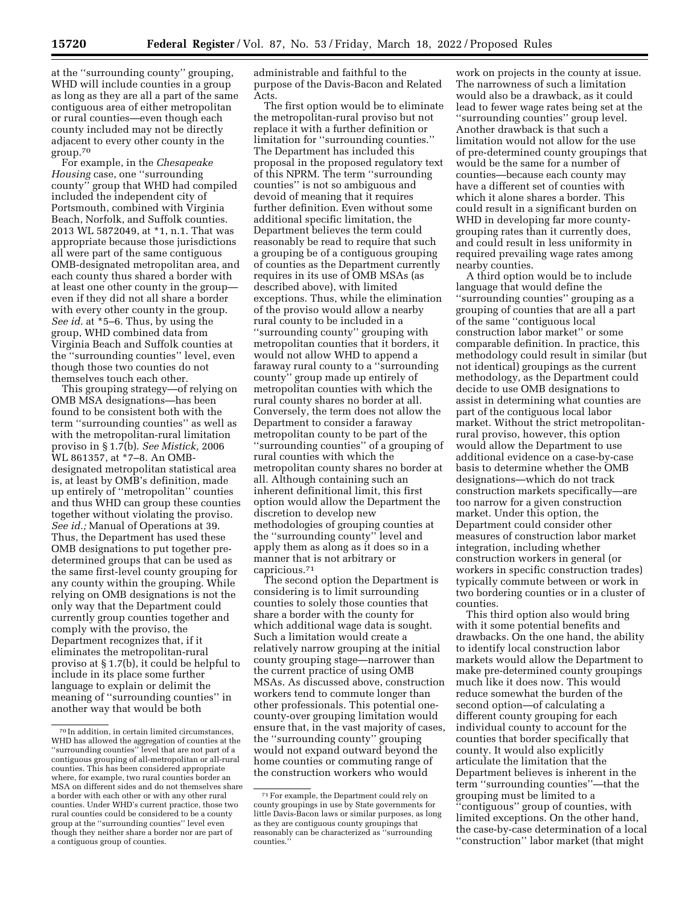at the ''surrounding county'' grouping, WHD will include counties in a group as long as they are all a part of the same contiguous area of either metropolitan or rural counties—even though each county included may not be directly adjacent to every other county in the group.70

For example, in the *Chesapeake Housing* case, one ''surrounding county'' group that WHD had compiled included the independent city of Portsmouth, combined with Virginia Beach, Norfolk, and Suffolk counties. 2013 WL 5872049, at \*1, n.1. That was appropriate because those jurisdictions all were part of the same contiguous OMB-designated metropolitan area, and each county thus shared a border with at least one other county in the group even if they did not all share a border with every other county in the group. *See id.* at \*5–6. Thus, by using the group, WHD combined data from Virginia Beach and Suffolk counties at the ''surrounding counties'' level, even though those two counties do not themselves touch each other.

This grouping strategy—of relying on OMB MSA designations—has been found to be consistent both with the term ''surrounding counties'' as well as with the metropolitan-rural limitation proviso in § 1.7(b). *See Mistick,* 2006 WL 861357, at \*7–8. An OMBdesignated metropolitan statistical area is, at least by OMB's definition, made up entirely of ''metropolitan'' counties and thus WHD can group these counties together without violating the proviso. *See id.;* Manual of Operations at 39. Thus, the Department has used these OMB designations to put together predetermined groups that can be used as the same first-level county grouping for any county within the grouping. While relying on OMB designations is not the only way that the Department could currently group counties together and comply with the proviso, the Department recognizes that, if it eliminates the metropolitan-rural proviso at § 1.7(b), it could be helpful to include in its place some further language to explain or delimit the meaning of ''surrounding counties'' in another way that would be both

administrable and faithful to the purpose of the Davis-Bacon and Related Acts.

The first option would be to eliminate the metropolitan-rural proviso but not replace it with a further definition or limitation for ''surrounding counties.'' The Department has included this proposal in the proposed regulatory text of this NPRM. The term ''surrounding counties'' is not so ambiguous and devoid of meaning that it requires further definition. Even without some additional specific limitation, the Department believes the term could reasonably be read to require that such a grouping be of a contiguous grouping of counties as the Department currently requires in its use of OMB MSAs (as described above), with limited exceptions. Thus, while the elimination of the proviso would allow a nearby rural county to be included in a ''surrounding county'' grouping with metropolitan counties that it borders, it would not allow WHD to append a faraway rural county to a ''surrounding county'' group made up entirely of metropolitan counties with which the rural county shares no border at all. Conversely, the term does not allow the Department to consider a faraway metropolitan county to be part of the ''surrounding counties'' of a grouping of rural counties with which the metropolitan county shares no border at all. Although containing such an inherent definitional limit, this first option would allow the Department the discretion to develop new methodologies of grouping counties at the ''surrounding county'' level and apply them as along as it does so in a manner that is not arbitrary or capricious.71

The second option the Department is considering is to limit surrounding counties to solely those counties that share a border with the county for which additional wage data is sought. Such a limitation would create a relatively narrow grouping at the initial county grouping stage—narrower than the current practice of using OMB MSAs. As discussed above, construction workers tend to commute longer than other professionals. This potential onecounty-over grouping limitation would ensure that, in the vast majority of cases, the ''surrounding county'' grouping would not expand outward beyond the home counties or commuting range of the construction workers who would

work on projects in the county at issue. The narrowness of such a limitation would also be a drawback, as it could lead to fewer wage rates being set at the ''surrounding counties'' group level. Another drawback is that such a limitation would not allow for the use of pre-determined county groupings that would be the same for a number of counties—because each county may have a different set of counties with which it alone shares a border. This could result in a significant burden on WHD in developing far more countygrouping rates than it currently does, and could result in less uniformity in required prevailing wage rates among nearby counties.

A third option would be to include language that would define the ''surrounding counties'' grouping as a grouping of counties that are all a part of the same ''contiguous local construction labor market'' or some comparable definition. In practice, this methodology could result in similar (but not identical) groupings as the current methodology, as the Department could decide to use OMB designations to assist in determining what counties are part of the contiguous local labor market. Without the strict metropolitanrural proviso, however, this option would allow the Department to use additional evidence on a case-by-case basis to determine whether the OMB designations—which do not track construction markets specifically—are too narrow for a given construction market. Under this option, the Department could consider other measures of construction labor market integration, including whether construction workers in general (or workers in specific construction trades) typically commute between or work in two bordering counties or in a cluster of counties.

This third option also would bring with it some potential benefits and drawbacks. On the one hand, the ability to identify local construction labor markets would allow the Department to make pre-determined county groupings much like it does now. This would reduce somewhat the burden of the second option—of calculating a different county grouping for each individual county to account for the counties that border specifically that county. It would also explicitly articulate the limitation that the Department believes is inherent in the term ''surrounding counties''—that the grouping must be limited to a ''contiguous'' group of counties, with limited exceptions. On the other hand, the case-by-case determination of a local ''construction'' labor market (that might

<sup>70</sup> In addition, in certain limited circumstances, WHD has allowed the aggregation of counties at the ''surrounding counties'' level that are not part of a contiguous grouping of all-metropolitan or all-rural counties. This has been considered appropriate where, for example, two rural counties border an MSA on different sides and do not themselves share a border with each other or with any other rural counties. Under WHD's current practice, those two rural counties could be considered to be a county group at the ''surrounding counties'' level even though they neither share a border nor are part of a contiguous group of counties.

<sup>71</sup>For example, the Department could rely on county groupings in use by State governments for little Davis-Bacon laws or similar purposes, as long as they are contiguous county groupings that reasonably can be characterized as ''surrounding counties.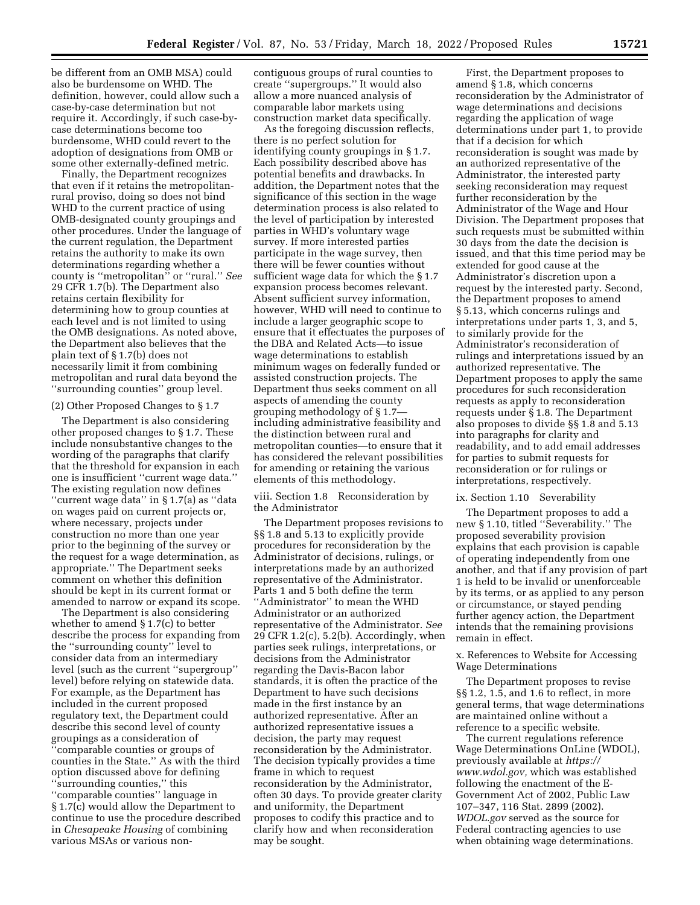be different from an OMB MSA) could also be burdensome on WHD. The definition, however, could allow such a case-by-case determination but not require it. Accordingly, if such case-bycase determinations become too burdensome, WHD could revert to the adoption of designations from OMB or some other externally-defined metric.

Finally, the Department recognizes that even if it retains the metropolitanrural proviso, doing so does not bind WHD to the current practice of using OMB-designated county groupings and other procedures. Under the language of the current regulation, the Department retains the authority to make its own determinations regarding whether a county is ''metropolitan'' or ''rural.'' *See*  29 CFR 1.7(b). The Department also retains certain flexibility for determining how to group counties at each level and is not limited to using the OMB designations. As noted above, the Department also believes that the plain text of § 1.7(b) does not necessarily limit it from combining metropolitan and rural data beyond the ''surrounding counties'' group level.

#### (2) Other Proposed Changes to § 1.7

The Department is also considering other proposed changes to § 1.7. These include nonsubstantive changes to the wording of the paragraphs that clarify that the threshold for expansion in each one is insufficient ''current wage data.'' The existing regulation now defines ''current wage data'' in § 1.7(a) as ''data on wages paid on current projects or, where necessary, projects under construction no more than one year prior to the beginning of the survey or the request for a wage determination, as appropriate.'' The Department seeks comment on whether this definition should be kept in its current format or amended to narrow or expand its scope.

The Department is also considering whether to amend § 1.7(c) to better describe the process for expanding from the ''surrounding county'' level to consider data from an intermediary level (such as the current ''supergroup'' level) before relying on statewide data. For example, as the Department has included in the current proposed regulatory text, the Department could describe this second level of county groupings as a consideration of ''comparable counties or groups of counties in the State.'' As with the third option discussed above for defining ''surrounding counties,'' this ''comparable counties'' language in § 1.7(c) would allow the Department to continue to use the procedure described in *Chesapeake Housing* of combining various MSAs or various non-

contiguous groups of rural counties to create ''supergroups.'' It would also allow a more nuanced analysis of comparable labor markets using construction market data specifically.

As the foregoing discussion reflects, there is no perfect solution for identifying county groupings in § 1.7. Each possibility described above has potential benefits and drawbacks. In addition, the Department notes that the significance of this section in the wage determination process is also related to the level of participation by interested parties in WHD's voluntary wage survey. If more interested parties participate in the wage survey, then there will be fewer counties without sufficient wage data for which the § 1.7 expansion process becomes relevant. Absent sufficient survey information, however, WHD will need to continue to include a larger geographic scope to ensure that it effectuates the purposes of the DBA and Related Acts—to issue wage determinations to establish minimum wages on federally funded or assisted construction projects. The Department thus seeks comment on all aspects of amending the county grouping methodology of § 1.7 including administrative feasibility and the distinction between rural and metropolitan counties—to ensure that it has considered the relevant possibilities for amending or retaining the various elements of this methodology.

viii. Section 1.8 Reconsideration by the Administrator

The Department proposes revisions to §§ 1.8 and 5.13 to explicitly provide procedures for reconsideration by the Administrator of decisions, rulings, or interpretations made by an authorized representative of the Administrator. Parts 1 and 5 both define the term ''Administrator'' to mean the WHD Administrator or an authorized representative of the Administrator. *See*  29 CFR 1.2(c), 5.2(b). Accordingly, when parties seek rulings, interpretations, or decisions from the Administrator regarding the Davis-Bacon labor standards, it is often the practice of the Department to have such decisions made in the first instance by an authorized representative. After an authorized representative issues a decision, the party may request reconsideration by the Administrator. The decision typically provides a time frame in which to request reconsideration by the Administrator, often 30 days. To provide greater clarity and uniformity, the Department proposes to codify this practice and to clarify how and when reconsideration may be sought.

First, the Department proposes to amend § 1.8, which concerns reconsideration by the Administrator of wage determinations and decisions regarding the application of wage determinations under part 1, to provide that if a decision for which reconsideration is sought was made by an authorized representative of the Administrator, the interested party seeking reconsideration may request further reconsideration by the Administrator of the Wage and Hour Division. The Department proposes that such requests must be submitted within 30 days from the date the decision is issued, and that this time period may be extended for good cause at the Administrator's discretion upon a request by the interested party. Second, the Department proposes to amend § 5.13, which concerns rulings and interpretations under parts 1, 3, and 5, to similarly provide for the Administrator's reconsideration of rulings and interpretations issued by an authorized representative. The Department proposes to apply the same procedures for such reconsideration requests as apply to reconsideration requests under § 1.8. The Department also proposes to divide §§ 1.8 and 5.13 into paragraphs for clarity and readability, and to add email addresses for parties to submit requests for reconsideration or for rulings or interpretations, respectively.

#### ix. Section 1.10 Severability

The Department proposes to add a new § 1.10, titled ''Severability.'' The proposed severability provision explains that each provision is capable of operating independently from one another, and that if any provision of part 1 is held to be invalid or unenforceable by its terms, or as applied to any person or circumstance, or stayed pending further agency action, the Department intends that the remaining provisions remain in effect.

## x. References to Website for Accessing Wage Determinations

The Department proposes to revise §§ 1.2, 1.5, and 1.6 to reflect, in more general terms, that wage determinations are maintained online without a reference to a specific website.

The current regulations reference Wage Determinations OnLine (WDOL), previously available at *[https://](https://www.wdol.gov) [www.wdol.gov,](https://www.wdol.gov)* which was established following the enactment of the E-Government Act of 2002, Public Law 107–347, 116 Stat. 2899 (2002). *WDOL.gov* served as the source for Federal contracting agencies to use when obtaining wage determinations.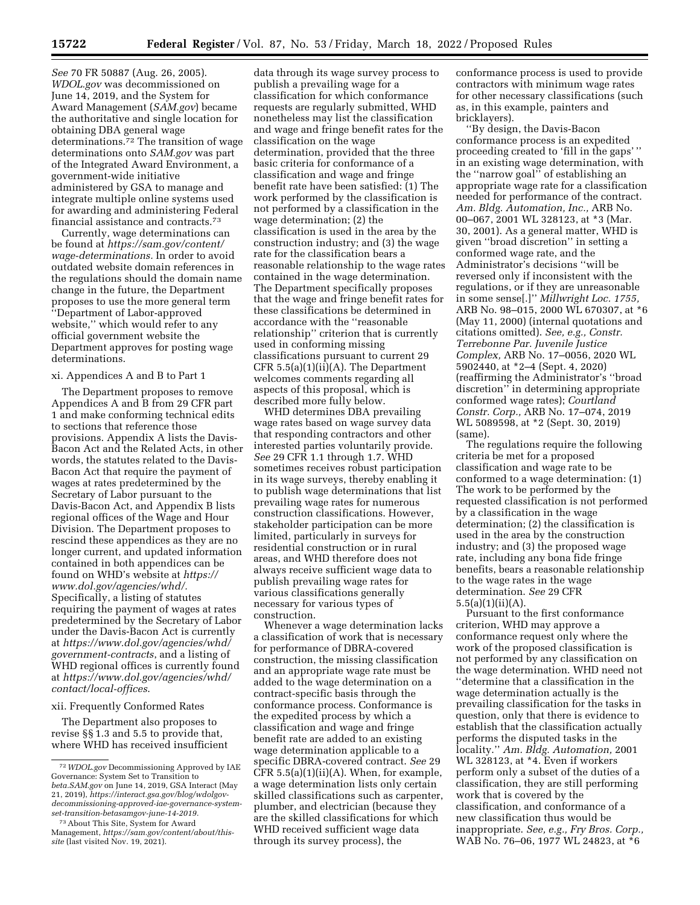*See* 70 FR 50887 (Aug. 26, 2005). *WDOL.gov* was decommissioned on June 14, 2019, and the System for Award Management (*SAM.gov*) became the authoritative and single location for obtaining DBA general wage determinations.72 The transition of wage determinations onto *SAM.gov* was part of the Integrated Award Environment, a government-wide initiative administered by GSA to manage and integrate multiple online systems used for awarding and administering Federal financial assistance and contracts.73

Currently, wage determinations can be found at *[https://sam.gov/content/](https://sam.gov/content/wage-determinations) [wage-determinations.](https://sam.gov/content/wage-determinations)* In order to avoid outdated website domain references in the regulations should the domain name change in the future, the Department proposes to use the more general term ''Department of Labor-approved website,'' which would refer to any official government website the Department approves for posting wage determinations.

## xi. Appendices A and B to Part 1

The Department proposes to remove Appendices A and B from 29 CFR part 1 and make conforming technical edits to sections that reference those provisions. Appendix A lists the Davis-Bacon Act and the Related Acts, in other words, the statutes related to the Davis-Bacon Act that require the payment of wages at rates predetermined by the Secretary of Labor pursuant to the Davis-Bacon Act, and Appendix B lists regional offices of the Wage and Hour Division. The Department proposes to rescind these appendices as they are no longer current, and updated information contained in both appendices can be found on WHD's website at *[https://](https://www.dol.gov/agencies/whd/) [www.dol.gov/agencies/whd/.](https://www.dol.gov/agencies/whd/)*  Specifically, a listing of statutes requiring the payment of wages at rates predetermined by the Secretary of Labor under the Davis-Bacon Act is currently at *[https://www.dol.gov/agencies/whd/](https://www.dol.gov/agencies/whd/government-contracts) [government-contracts](https://www.dol.gov/agencies/whd/government-contracts)*, and a listing of WHD regional offices is currently found at *[https://www.dol.gov/agencies/whd/](https://www.dol.gov/agencies/whd/contact/local-offices) [contact/local-offices](https://www.dol.gov/agencies/whd/contact/local-offices)*.

#### xii. Frequently Conformed Rates

The Department also proposes to revise §§ 1.3 and 5.5 to provide that, where WHD has received insufficient

data through its wage survey process to publish a prevailing wage for a classification for which conformance requests are regularly submitted, WHD nonetheless may list the classification and wage and fringe benefit rates for the classification on the wage determination, provided that the three basic criteria for conformance of a classification and wage and fringe benefit rate have been satisfied: (1) The work performed by the classification is not performed by a classification in the wage determination; (2) the classification is used in the area by the construction industry; and (3) the wage rate for the classification bears a reasonable relationship to the wage rates contained in the wage determination. The Department specifically proposes that the wage and fringe benefit rates for these classifications be determined in accordance with the ''reasonable relationship'' criterion that is currently used in conforming missing classifications pursuant to current 29 CFR 5.5(a)(1)(ii)(A). The Department welcomes comments regarding all aspects of this proposal, which is described more fully below.

WHD determines DBA prevailing wage rates based on wage survey data that responding contractors and other interested parties voluntarily provide. *See* 29 CFR 1.1 through 1.7. WHD sometimes receives robust participation in its wage surveys, thereby enabling it to publish wage determinations that list prevailing wage rates for numerous construction classifications. However, stakeholder participation can be more limited, particularly in surveys for residential construction or in rural areas, and WHD therefore does not always receive sufficient wage data to publish prevailing wage rates for various classifications generally necessary for various types of construction.

Whenever a wage determination lacks a classification of work that is necessary for performance of DBRA-covered construction, the missing classification and an appropriate wage rate must be added to the wage determination on a contract-specific basis through the conformance process. Conformance is the expedited process by which a classification and wage and fringe benefit rate are added to an existing wage determination applicable to a specific DBRA-covered contract. *See* 29 CFR 5.5(a)(1)(ii)(A). When, for example, a wage determination lists only certain skilled classifications such as carpenter, plumber, and electrician (because they are the skilled classifications for which WHD received sufficient wage data through its survey process), the

conformance process is used to provide contractors with minimum wage rates for other necessary classifications (such as, in this example, painters and bricklayers).

''By design, the Davis-Bacon conformance process is an expedited proceeding created to 'fill in the gaps' '' in an existing wage determination, with the ''narrow goal'' of establishing an appropriate wage rate for a classification needed for performance of the contract. *Am. Bldg. Automation, Inc.,* ARB No. 00–067, 2001 WL 328123, at \*3 (Mar. 30, 2001). As a general matter, WHD is given ''broad discretion'' in setting a conformed wage rate, and the Administrator's decisions ''will be reversed only if inconsistent with the regulations, or if they are unreasonable in some sense[.]'' *Millwright Loc. 1755,*  ARB No. 98–015, 2000 WL 670307, at \*6 (May 11, 2000) (internal quotations and citations omitted). *See, e.g., Constr. Terrebonne Par. Juvenile Justice Complex,* ARB No. 17–0056, 2020 WL 5902440, at \*2–4 (Sept. 4, 2020) (reaffirming the Administrator's ''broad discretion'' in determining appropriate conformed wage rates); *Courtland Constr. Corp.,* ARB No. 17–074, 2019 WL 5089598, at \*2 (Sept. 30, 2019) (same).

The regulations require the following criteria be met for a proposed classification and wage rate to be conformed to a wage determination: (1) The work to be performed by the requested classification is not performed by a classification in the wage determination; (2) the classification is used in the area by the construction industry; and (3) the proposed wage rate, including any bona fide fringe benefits, bears a reasonable relationship to the wage rates in the wage determination. *See* 29 CFR  $5.5(a)(1)(ii)(A).$ 

Pursuant to the first conformance criterion, WHD may approve a conformance request only where the work of the proposed classification is not performed by any classification on the wage determination. WHD need not ''determine that a classification in the wage determination actually is the prevailing classification for the tasks in question, only that there is evidence to establish that the classification actually performs the disputed tasks in the locality.'' *Am. Bldg. Automation,* 2001 WL 328123, at \*4. Even if workers perform only a subset of the duties of a classification, they are still performing work that is covered by the classification, and conformance of a new classification thus would be inappropriate. *See, e.g., Fry Bros. Corp.,*  WAB No. 76–06, 1977 WL 24823, at \*6

<sup>72</sup>*WDOL.gov* Decommissioning Approved by IAE Governance: System Set to Transition to *beta.SAM.gov* on June 14, 2019, GSA Interact (May 21, 2019), *[https://interact.gsa.gov/blog/wdolgov](https://interact.gsa.gov/blog/wdolgov-decommissioning-approved-iae-governance-system-set-transition-betasamgov-june-14-2019)[decommissioning-approved-iae-governance-system](https://interact.gsa.gov/blog/wdolgov-decommissioning-approved-iae-governance-system-set-transition-betasamgov-june-14-2019)[set-transition-betasamgov-june-14-2019.](https://interact.gsa.gov/blog/wdolgov-decommissioning-approved-iae-governance-system-set-transition-betasamgov-june-14-2019)* 

<sup>73</sup>About This Site, System for Award Management, *[https://sam.gov/content/about/this](https://sam.gov/content/about/this-site)[site](https://sam.gov/content/about/this-site)* (last visited Nov. 19, 2021).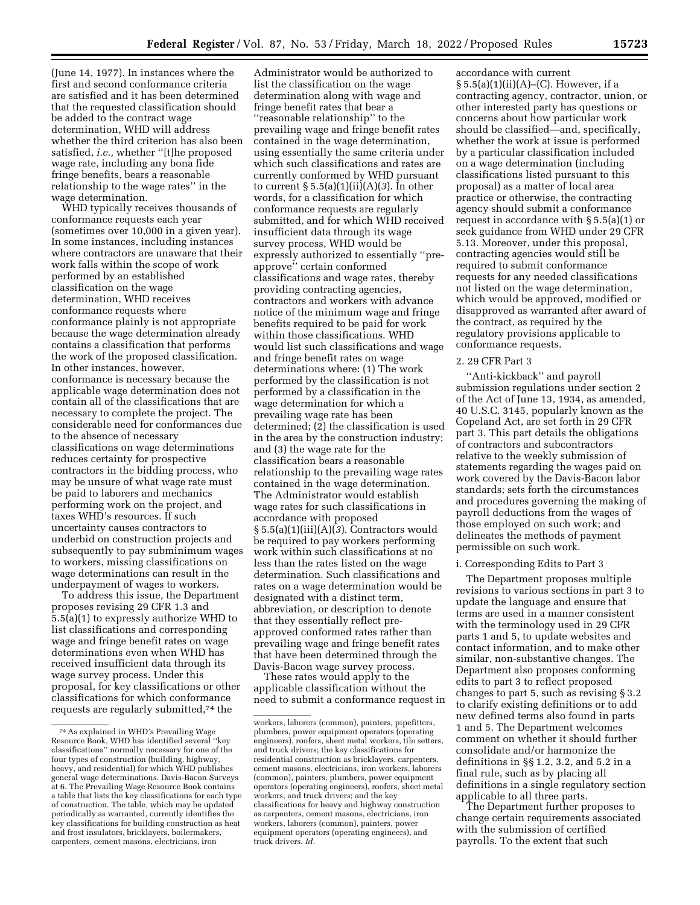(June 14, 1977). In instances where the first and second conformance criteria are satisfied and it has been determined that the requested classification should be added to the contract wage determination, WHD will address whether the third criterion has also been satisfied, *i.e.,* whether ''[t]he proposed wage rate, including any bona fide fringe benefits, bears a reasonable relationship to the wage rates'' in the wage determination.

WHD typically receives thousands of conformance requests each year (sometimes over 10,000 in a given year). In some instances, including instances where contractors are unaware that their work falls within the scope of work performed by an established classification on the wage determination, WHD receives conformance requests where conformance plainly is not appropriate because the wage determination already contains a classification that performs the work of the proposed classification. In other instances, however, conformance is necessary because the applicable wage determination does not contain all of the classifications that are necessary to complete the project. The considerable need for conformances due to the absence of necessary classifications on wage determinations reduces certainty for prospective contractors in the bidding process, who may be unsure of what wage rate must be paid to laborers and mechanics performing work on the project, and taxes WHD's resources. If such uncertainty causes contractors to underbid on construction projects and subsequently to pay subminimum wages to workers, missing classifications on wage determinations can result in the underpayment of wages to workers.

To address this issue, the Department proposes revising 29 CFR 1.3 and 5.5(a)(1) to expressly authorize WHD to list classifications and corresponding wage and fringe benefit rates on wage determinations even when WHD has received insufficient data through its wage survey process. Under this proposal, for key classifications or other classifications for which conformance requests are regularly submitted,74 the

Administrator would be authorized to list the classification on the wage determination along with wage and fringe benefit rates that bear a ''reasonable relationship'' to the prevailing wage and fringe benefit rates contained in the wage determination, using essentially the same criteria under which such classifications and rates are currently conformed by WHD pursuant to current § 5.5(a)(1)(ii)(A)(*3*). In other words, for a classification for which conformance requests are regularly submitted, and for which WHD received insufficient data through its wage survey process, WHD would be expressly authorized to essentially ''preapprove'' certain conformed classifications and wage rates, thereby providing contracting agencies, contractors and workers with advance notice of the minimum wage and fringe benefits required to be paid for work within those classifications. WHD would list such classifications and wage and fringe benefit rates on wage determinations where: (1) The work performed by the classification is not performed by a classification in the wage determination for which a prevailing wage rate has been determined; (2) the classification is used in the area by the construction industry; and (3) the wage rate for the classification bears a reasonable relationship to the prevailing wage rates contained in the wage determination. The Administrator would establish wage rates for such classifications in accordance with proposed § 5.5(a)(1)(iii)(A)(*3*). Contractors would be required to pay workers performing work within such classifications at no less than the rates listed on the wage determination. Such classifications and rates on a wage determination would be designated with a distinct term, abbreviation, or description to denote that they essentially reflect preapproved conformed rates rather than prevailing wage and fringe benefit rates that have been determined through the Davis-Bacon wage survey process.

These rates would apply to the applicable classification without the need to submit a conformance request in

accordance with current  $§ 5.5(a)(1)(ii)(A)–(C)$ . However, if a contracting agency, contractor, union, or other interested party has questions or concerns about how particular work should be classified—and, specifically, whether the work at issue is performed by a particular classification included on a wage determination (including classifications listed pursuant to this proposal) as a matter of local area practice or otherwise, the contracting agency should submit a conformance request in accordance with § 5.5(a)(1) or seek guidance from WHD under 29 CFR 5.13. Moreover, under this proposal, contracting agencies would still be required to submit conformance requests for any needed classifications not listed on the wage determination, which would be approved, modified or disapproved as warranted after award of the contract, as required by the regulatory provisions applicable to conformance requests.

## 2. 29 CFR Part 3

''Anti-kickback'' and payroll submission regulations under section 2 of the Act of June 13, 1934, as amended, 40 U.S.C. 3145, popularly known as the Copeland Act, are set forth in 29 CFR part 3. This part details the obligations of contractors and subcontractors relative to the weekly submission of statements regarding the wages paid on work covered by the Davis-Bacon labor standards; sets forth the circumstances and procedures governing the making of payroll deductions from the wages of those employed on such work; and delineates the methods of payment permissible on such work.

## i. Corresponding Edits to Part 3

The Department proposes multiple revisions to various sections in part 3 to update the language and ensure that terms are used in a manner consistent with the terminology used in 29 CFR parts 1 and 5, to update websites and contact information, and to make other similar, non-substantive changes. The Department also proposes conforming edits to part 3 to reflect proposed changes to part 5, such as revising § 3.2 to clarify existing definitions or to add new defined terms also found in parts 1 and 5. The Department welcomes comment on whether it should further consolidate and/or harmonize the definitions in §§ 1.2, 3.2, and 5.2 in a final rule, such as by placing all definitions in a single regulatory section applicable to all three parts.

The Department further proposes to change certain requirements associated with the submission of certified payrolls. To the extent that such

<sup>74</sup>As explained in WHD's Prevailing Wage Resource Book, WHD has identified several ''key classifications'' normally necessary for one of the four types of construction (building, highway, heavy, and residential) for which WHD publishes general wage determinations. Davis-Bacon Surveys at 6. The Prevailing Wage Resource Book contains a table that lists the key classifications for each type of construction. The table, which may be updated periodically as warranted, currently identifies the key classifications for building construction as heat and frost insulators, bricklayers, boilermakers, carpenters, cement masons, electricians, iron

workers, laborers (common), painters, pipefitters, plumbers, power equipment operators (operating engineers), roofers, sheet metal workers, tile setters, and truck drivers; the key classifications for residential construction as bricklayers, carpenters, cement masons, electricians, iron workers, laborers (common), painters, plumbers, power equipment operators (operating engineers), roofers, sheet metal workers, and truck drivers; and the key classifications for heavy and highway construction as carpenters, cement masons, electricians, iron workers, laborers (common), painters, power equipment operators (operating engineers), and truck drivers. *Id.*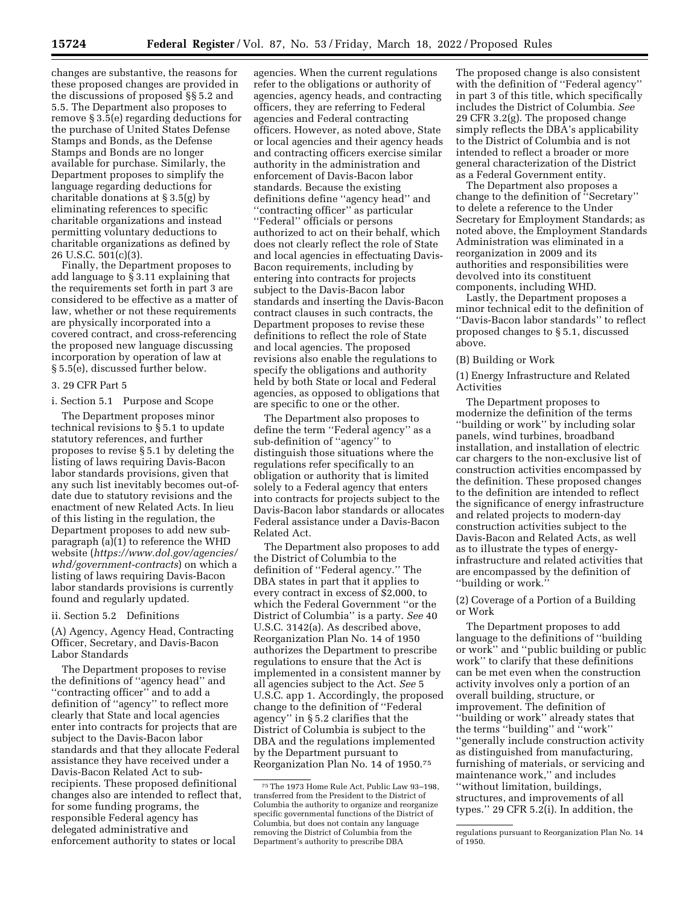changes are substantive, the reasons for these proposed changes are provided in the discussions of proposed §§ 5.2 and 5.5. The Department also proposes to remove § 3.5(e) regarding deductions for the purchase of United States Defense Stamps and Bonds, as the Defense Stamps and Bonds are no longer available for purchase. Similarly, the Department proposes to simplify the language regarding deductions for charitable donations at § 3.5(g) by eliminating references to specific charitable organizations and instead permitting voluntary deductions to charitable organizations as defined by 26 U.S.C. 501(c)(3).

Finally, the Department proposes to add language to § 3.11 explaining that the requirements set forth in part 3 are considered to be effective as a matter of law, whether or not these requirements are physically incorporated into a covered contract, and cross-referencing the proposed new language discussing incorporation by operation of law at § 5.5(e), discussed further below.

#### 3. 29 CFR Part 5

i. Section 5.1 Purpose and Scope

The Department proposes minor technical revisions to § 5.1 to update statutory references, and further proposes to revise § 5.1 by deleting the listing of laws requiring Davis-Bacon labor standards provisions, given that any such list inevitably becomes out-ofdate due to statutory revisions and the enactment of new Related Acts. In lieu of this listing in the regulation, the Department proposes to add new subparagraph (a)(1) to reference the WHD website (*[https://www.dol.gov/agencies/](https://www.dol.gov/agencies/whd/government-contracts) [whd/government-contracts](https://www.dol.gov/agencies/whd/government-contracts)*) on which a listing of laws requiring Davis-Bacon labor standards provisions is currently found and regularly updated.

## ii. Section 5.2 Definitions

(A) Agency, Agency Head, Contracting Officer, Secretary, and Davis-Bacon Labor Standards

The Department proposes to revise the definitions of ''agency head'' and "contracting officer" and to add a definition of ''agency'' to reflect more clearly that State and local agencies enter into contracts for projects that are subject to the Davis-Bacon labor standards and that they allocate Federal assistance they have received under a Davis-Bacon Related Act to subrecipients. These proposed definitional changes also are intended to reflect that, for some funding programs, the responsible Federal agency has delegated administrative and enforcement authority to states or local

agencies. When the current regulations refer to the obligations or authority of agencies, agency heads, and contracting officers, they are referring to Federal agencies and Federal contracting officers. However, as noted above, State or local agencies and their agency heads and contracting officers exercise similar authority in the administration and enforcement of Davis-Bacon labor standards. Because the existing definitions define ''agency head'' and ''contracting officer'' as particular ''Federal'' officials or persons authorized to act on their behalf, which does not clearly reflect the role of State and local agencies in effectuating Davis-Bacon requirements, including by entering into contracts for projects subject to the Davis-Bacon labor standards and inserting the Davis-Bacon contract clauses in such contracts, the Department proposes to revise these definitions to reflect the role of State and local agencies. The proposed revisions also enable the regulations to specify the obligations and authority held by both State or local and Federal agencies, as opposed to obligations that are specific to one or the other.

The Department also proposes to define the term ''Federal agency'' as a sub-definition of ''agency'' to distinguish those situations where the regulations refer specifically to an obligation or authority that is limited solely to a Federal agency that enters into contracts for projects subject to the Davis-Bacon labor standards or allocates Federal assistance under a Davis-Bacon Related Act.

The Department also proposes to add the District of Columbia to the definition of ''Federal agency.'' The DBA states in part that it applies to every contract in excess of \$2,000, to which the Federal Government ''or the District of Columbia'' is a party. *See* 40 U.S.C. 3142(a). As described above, Reorganization Plan No. 14 of 1950 authorizes the Department to prescribe regulations to ensure that the Act is implemented in a consistent manner by all agencies subject to the Act. *See* 5 U.S.C. app 1. Accordingly, the proposed change to the definition of ''Federal agency'' in § 5.2 clarifies that the District of Columbia is subject to the DBA and the regulations implemented by the Department pursuant to Reorganization Plan No. 14 of 1950.75

The proposed change is also consistent with the definition of ''Federal agency'' in part 3 of this title, which specifically includes the District of Columbia. *See*  29 CFR 3.2(g). The proposed change simply reflects the DBA's applicability to the District of Columbia and is not intended to reflect a broader or more general characterization of the District as a Federal Government entity.

The Department also proposes a change to the definition of ''Secretary'' to delete a reference to the Under Secretary for Employment Standards; as noted above, the Employment Standards Administration was eliminated in a reorganization in 2009 and its authorities and responsibilities were devolved into its constituent components, including WHD.

Lastly, the Department proposes a minor technical edit to the definition of ''Davis-Bacon labor standards'' to reflect proposed changes to § 5.1, discussed above.

#### (B) Building or Work

(1) Energy Infrastructure and Related Activities

The Department proposes to modernize the definition of the terms ''building or work'' by including solar panels, wind turbines, broadband installation, and installation of electric car chargers to the non-exclusive list of construction activities encompassed by the definition. These proposed changes to the definition are intended to reflect the significance of energy infrastructure and related projects to modern-day construction activities subject to the Davis-Bacon and Related Acts, as well as to illustrate the types of energyinfrastructure and related activities that are encompassed by the definition of ''building or work.''

(2) Coverage of a Portion of a Building or Work

The Department proposes to add language to the definitions of ''building or work'' and ''public building or public work'' to clarify that these definitions can be met even when the construction activity involves only a portion of an overall building, structure, or improvement. The definition of ''building or work'' already states that the terms ''building'' and ''work'' ''generally include construction activity as distinguished from manufacturing, furnishing of materials, or servicing and maintenance work,'' and includes ''without limitation, buildings, structures, and improvements of all types.'' 29 CFR 5.2(i). In addition, the

<sup>75</sup>The 1973 Home Rule Act, Public Law 93–198, transferred from the President to the District of Columbia the authority to organize and reorganize specific governmental functions of the District of Columbia, but does not contain any language removing the District of Columbia from the Department's authority to prescribe DBA

regulations pursuant to Reorganization Plan No. 14 of 1950.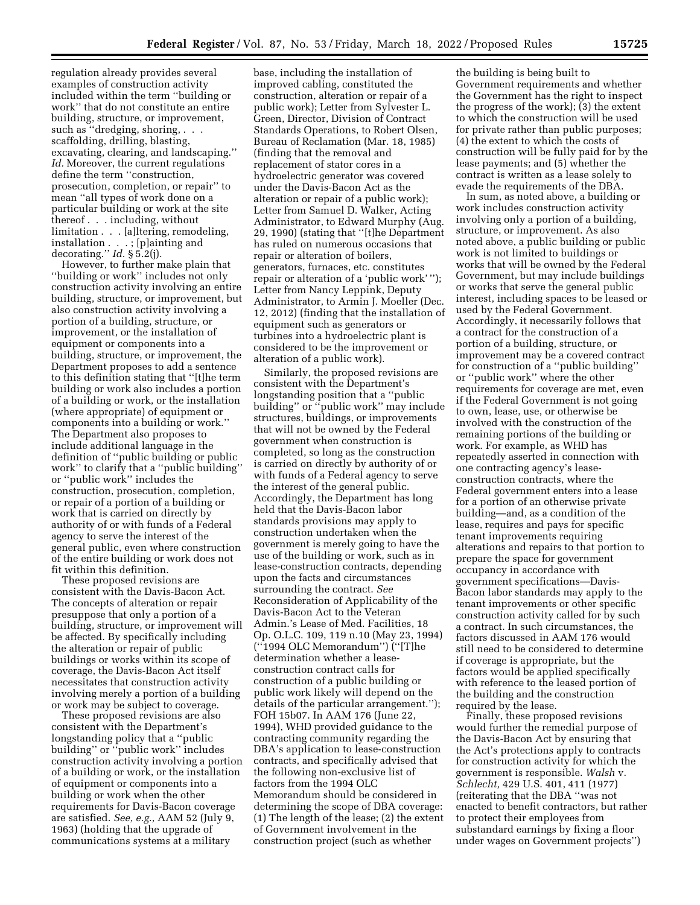regulation already provides several examples of construction activity included within the term ''building or work'' that do not constitute an entire building, structure, or improvement, such as "dredging, shoring, . . . scaffolding, drilling, blasting, excavating, clearing, and landscaping.'' *Id.* Moreover, the current regulations define the term ''construction, prosecution, completion, or repair'' to mean ''all types of work done on a particular building or work at the site thereof . . . including, without limitation . . . [a]ltering, remodeling, installation . . . ; [p]ainting and decorating.'' *Id.* § 5.2(j).

However, to further make plain that ''building or work'' includes not only construction activity involving an entire building, structure, or improvement, but also construction activity involving a portion of a building, structure, or improvement, or the installation of equipment or components into a building, structure, or improvement, the Department proposes to add a sentence to this definition stating that ''[t]he term building or work also includes a portion of a building or work, or the installation (where appropriate) of equipment or components into a building or work.'' The Department also proposes to include additional language in the definition of ''public building or public work'' to clarify that a ''public building'' or ''public work'' includes the construction, prosecution, completion, or repair of a portion of a building or work that is carried on directly by authority of or with funds of a Federal agency to serve the interest of the general public, even where construction of the entire building or work does not fit within this definition.

These proposed revisions are consistent with the Davis-Bacon Act. The concepts of alteration or repair presuppose that only a portion of a building, structure, or improvement will be affected. By specifically including the alteration or repair of public buildings or works within its scope of coverage, the Davis-Bacon Act itself necessitates that construction activity involving merely a portion of a building or work may be subject to coverage.

These proposed revisions are also consistent with the Department's longstanding policy that a ''public building'' or ''public work'' includes construction activity involving a portion of a building or work, or the installation of equipment or components into a building or work when the other requirements for Davis-Bacon coverage are satisfied. *See, e.g.,* AAM 52 (July 9, 1963) (holding that the upgrade of communications systems at a military

base, including the installation of improved cabling, constituted the construction, alteration or repair of a public work); Letter from Sylvester L. Green, Director, Division of Contract Standards Operations, to Robert Olsen, Bureau of Reclamation (Mar. 18, 1985) (finding that the removal and replacement of stator cores in a hydroelectric generator was covered under the Davis-Bacon Act as the alteration or repair of a public work); Letter from Samuel D. Walker, Acting Administrator, to Edward Murphy (Aug. 29, 1990) (stating that ''[t]he Department has ruled on numerous occasions that repair or alteration of boilers, generators, furnaces, etc. constitutes repair or alteration of a 'public work' ''); Letter from Nancy Leppink, Deputy Administrator, to Armin J. Moeller (Dec. 12, 2012) (finding that the installation of equipment such as generators or turbines into a hydroelectric plant is considered to be the improvement or alteration of a public work).

Similarly, the proposed revisions are consistent with the Department's longstanding position that a ''public building'' or ''public work'' may include structures, buildings, or improvements that will not be owned by the Federal government when construction is completed, so long as the construction is carried on directly by authority of or with funds of a Federal agency to serve the interest of the general public. Accordingly, the Department has long held that the Davis-Bacon labor standards provisions may apply to construction undertaken when the government is merely going to have the use of the building or work, such as in lease-construction contracts, depending upon the facts and circumstances surrounding the contract. *See*  Reconsideration of Applicability of the Davis-Bacon Act to the Veteran Admin.'s Lease of Med. Facilities, 18 Op. O.L.C. 109, 119 n.10 (May 23, 1994) (''1994 OLC Memorandum'') (''[T]he determination whether a leaseconstruction contract calls for construction of a public building or public work likely will depend on the details of the particular arrangement.''); FOH 15b07. In AAM 176 (June 22, 1994), WHD provided guidance to the contracting community regarding the DBA's application to lease-construction contracts, and specifically advised that the following non-exclusive list of factors from the 1994 OLC Memorandum should be considered in determining the scope of DBA coverage: (1) The length of the lease; (2) the extent of Government involvement in the construction project (such as whether

the building is being built to Government requirements and whether the Government has the right to inspect the progress of the work); (3) the extent to which the construction will be used for private rather than public purposes; (4) the extent to which the costs of construction will be fully paid for by the lease payments; and (5) whether the contract is written as a lease solely to evade the requirements of the DBA.

In sum, as noted above, a building or work includes construction activity involving only a portion of a building, structure, or improvement. As also noted above, a public building or public work is not limited to buildings or works that will be owned by the Federal Government, but may include buildings or works that serve the general public interest, including spaces to be leased or used by the Federal Government. Accordingly, it necessarily follows that a contract for the construction of a portion of a building, structure, or improvement may be a covered contract for construction of a ''public building'' or ''public work'' where the other requirements for coverage are met, even if the Federal Government is not going to own, lease, use, or otherwise be involved with the construction of the remaining portions of the building or work. For example, as WHD has repeatedly asserted in connection with one contracting agency's leaseconstruction contracts, where the Federal government enters into a lease for a portion of an otherwise private building—and, as a condition of the lease, requires and pays for specific tenant improvements requiring alterations and repairs to that portion to prepare the space for government occupancy in accordance with government specifications—Davis-Bacon labor standards may apply to the tenant improvements or other specific construction activity called for by such a contract. In such circumstances, the factors discussed in AAM 176 would still need to be considered to determine if coverage is appropriate, but the factors would be applied specifically with reference to the leased portion of the building and the construction required by the lease.

Finally, these proposed revisions would further the remedial purpose of the Davis-Bacon Act by ensuring that the Act's protections apply to contracts for construction activity for which the government is responsible. *Walsh* v. *Schlecht,* 429 U.S. 401, 411 (1977) (reiterating that the DBA ''was not enacted to benefit contractors, but rather to protect their employees from substandard earnings by fixing a floor under wages on Government projects'')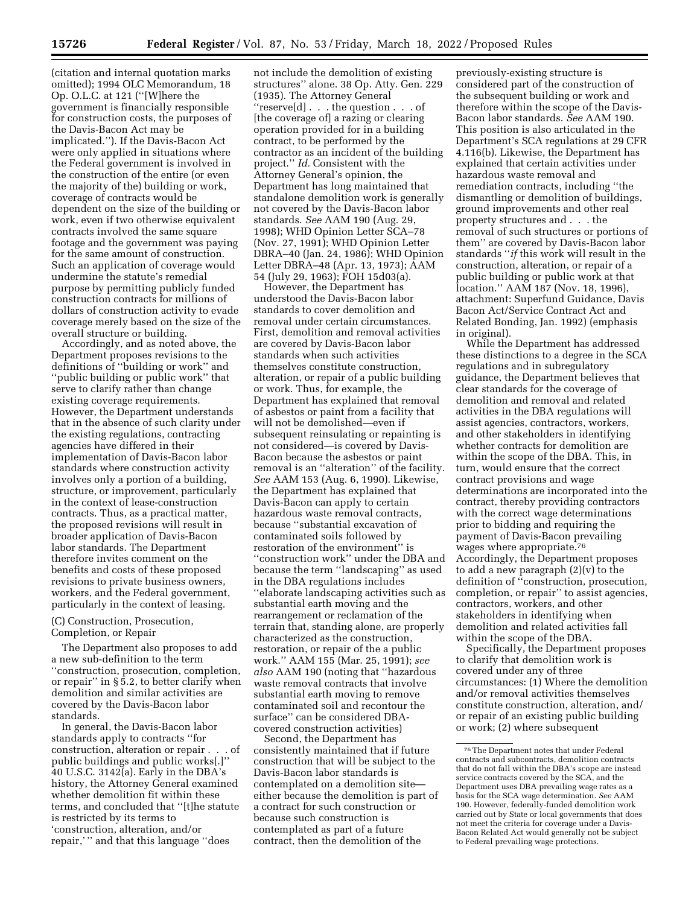(citation and internal quotation marks omitted); 1994 OLC Memorandum, 18 Op. O.L.C. at 121 (''[W]here the government is financially responsible for construction costs, the purposes of the Davis-Bacon Act may be implicated.''). If the Davis-Bacon Act were only applied in situations where the Federal government is involved in the construction of the entire (or even the majority of the) building or work, coverage of contracts would be dependent on the size of the building or work, even if two otherwise equivalent contracts involved the same square footage and the government was paying for the same amount of construction. Such an application of coverage would undermine the statute's remedial purpose by permitting publicly funded construction contracts for millions of dollars of construction activity to evade coverage merely based on the size of the overall structure or building.

Accordingly, and as noted above, the Department proposes revisions to the definitions of ''building or work'' and ''public building or public work'' that serve to clarify rather than change existing coverage requirements. However, the Department understands that in the absence of such clarity under the existing regulations, contracting agencies have differed in their implementation of Davis-Bacon labor standards where construction activity involves only a portion of a building, structure, or improvement, particularly in the context of lease-construction contracts. Thus, as a practical matter, the proposed revisions will result in broader application of Davis-Bacon labor standards. The Department therefore invites comment on the benefits and costs of these proposed revisions to private business owners, workers, and the Federal government, particularly in the context of leasing.

## (C) Construction, Prosecution, Completion, or Repair

The Department also proposes to add a new sub-definition to the term ''construction, prosecution, completion, or repair'' in § 5.2, to better clarify when demolition and similar activities are covered by the Davis-Bacon labor standards.

In general, the Davis-Bacon labor standards apply to contracts ''for construction, alteration or repair . . . of public buildings and public works[.]'' 40 U.S.C. 3142(a). Early in the DBA's history, the Attorney General examined whether demolition fit within these terms, and concluded that ''[t]he statute is restricted by its terms to 'construction, alteration, and/or repair,' '' and that this language ''does

not include the demolition of existing structures'' alone. 38 Op. Atty. Gen. 229 (1935). The Attorney General ''reserve[d] . . . the question . . . of [the coverage of] a razing or clearing operation provided for in a building contract, to be performed by the contractor as an incident of the building project.'' *Id.* Consistent with the Attorney General's opinion, the Department has long maintained that standalone demolition work is generally not covered by the Davis-Bacon labor standards. *See* AAM 190 (Aug. 29, 1998); WHD Opinion Letter SCA–78 (Nov. 27, 1991); WHD Opinion Letter DBRA–40 (Jan. 24, 1986); WHD Opinion Letter DBRA–48 (Apr. 13, 1973); AAM 54 (July 29, 1963); FOH 15d03(a).

However, the Department has understood the Davis-Bacon labor standards to cover demolition and removal under certain circumstances. First, demolition and removal activities are covered by Davis-Bacon labor standards when such activities themselves constitute construction, alteration, or repair of a public building or work. Thus, for example, the Department has explained that removal of asbestos or paint from a facility that will not be demolished—even if subsequent reinsulating or repainting is not considered—is covered by Davis-Bacon because the asbestos or paint removal is an ''alteration'' of the facility. *See* AAM 153 (Aug. 6, 1990). Likewise, the Department has explained that Davis-Bacon can apply to certain hazardous waste removal contracts, because ''substantial excavation of contaminated soils followed by restoration of the environment'' is ''construction work'' under the DBA and because the term ''landscaping'' as used in the DBA regulations includes ''elaborate landscaping activities such as substantial earth moving and the rearrangement or reclamation of the terrain that, standing alone, are properly characterized as the construction, restoration, or repair of the a public work.'' AAM 155 (Mar. 25, 1991); *see also* AAM 190 (noting that ''hazardous waste removal contracts that involve substantial earth moving to remove contaminated soil and recontour the surface'' can be considered DBAcovered construction activities)

Second, the Department has consistently maintained that if future construction that will be subject to the Davis-Bacon labor standards is contemplated on a demolition site either because the demolition is part of a contract for such construction or because such construction is contemplated as part of a future contract, then the demolition of the

previously-existing structure is considered part of the construction of the subsequent building or work and therefore within the scope of the Davis-Bacon labor standards. *See* AAM 190. This position is also articulated in the Department's SCA regulations at 29 CFR 4.116(b). Likewise, the Department has explained that certain activities under hazardous waste removal and remediation contracts, including ''the dismantling or demolition of buildings, ground improvements and other real property structures and . . . the removal of such structures or portions of them'' are covered by Davis-Bacon labor standards ''*if* this work will result in the construction, alteration, or repair of a public building or public work at that location.'' AAM 187 (Nov. 18, 1996), attachment: Superfund Guidance, Davis Bacon Act/Service Contract Act and Related Bonding, Jan. 1992) (emphasis in original).

While the Department has addressed these distinctions to a degree in the SCA regulations and in subregulatory guidance, the Department believes that clear standards for the coverage of demolition and removal and related activities in the DBA regulations will assist agencies, contractors, workers, and other stakeholders in identifying whether contracts for demolition are within the scope of the DBA. This, in turn, would ensure that the correct contract provisions and wage determinations are incorporated into the contract, thereby providing contractors with the correct wage determinations prior to bidding and requiring the payment of Davis-Bacon prevailing wages where appropriate.76 Accordingly, the Department proposes to add a new paragraph (2)(v) to the definition of ''construction, prosecution, completion, or repair'' to assist agencies, contractors, workers, and other stakeholders in identifying when demolition and related activities fall within the scope of the DBA.

Specifically, the Department proposes to clarify that demolition work is covered under any of three circumstances: (1) Where the demolition and/or removal activities themselves constitute construction, alteration, and/ or repair of an existing public building or work; (2) where subsequent

<sup>76</sup>The Department notes that under Federal contracts and subcontracts, demolition contracts that do not fall within the DBA's scope are instead service contracts covered by the SCA, and the Department uses DBA prevailing wage rates as a basis for the SCA wage determination. *See* AAM 190. However, federally-funded demolition work carried out by State or local governments that does not meet the criteria for coverage under a Davis-Bacon Related Act would generally not be subject to Federal prevailing wage protections.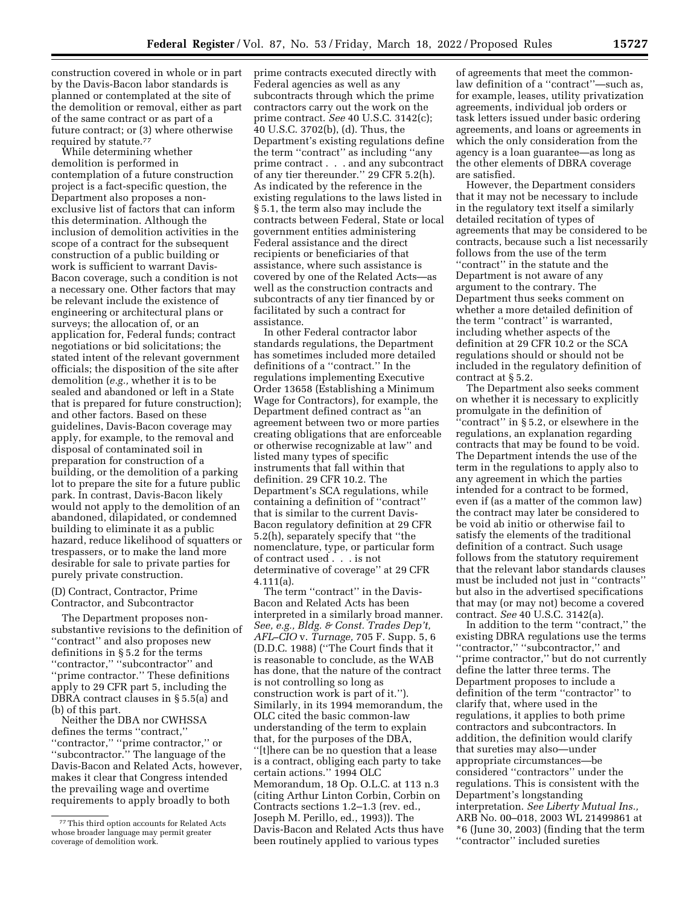construction covered in whole or in part by the Davis-Bacon labor standards is planned or contemplated at the site of the demolition or removal, either as part of the same contract or as part of a future contract; or (3) where otherwise required by statute.77

While determining whether demolition is performed in contemplation of a future construction project is a fact-specific question, the Department also proposes a nonexclusive list of factors that can inform this determination. Although the inclusion of demolition activities in the scope of a contract for the subsequent construction of a public building or work is sufficient to warrant Davis-Bacon coverage, such a condition is not a necessary one. Other factors that may be relevant include the existence of engineering or architectural plans or surveys; the allocation of, or an application for, Federal funds; contract negotiations or bid solicitations; the stated intent of the relevant government officials; the disposition of the site after demolition (*e.g.,* whether it is to be sealed and abandoned or left in a State that is prepared for future construction); and other factors. Based on these guidelines, Davis-Bacon coverage may apply, for example, to the removal and disposal of contaminated soil in preparation for construction of a building, or the demolition of a parking lot to prepare the site for a future public park. In contrast, Davis-Bacon likely would not apply to the demolition of an abandoned, dilapidated, or condemned building to eliminate it as a public hazard, reduce likelihood of squatters or trespassers, or to make the land more desirable for sale to private parties for purely private construction.

## (D) Contract, Contractor, Prime Contractor, and Subcontractor

The Department proposes nonsubstantive revisions to the definition of ''contract'' and also proposes new definitions in § 5.2 for the terms ''contractor,'' ''subcontractor'' and ''prime contractor.'' These definitions apply to 29 CFR part 5, including the DBRA contract clauses in § 5.5(a) and (b) of this part.

Neither the DBA nor CWHSSA defines the terms ''contract,'' ''contractor,'' ''prime contractor,'' or ''subcontractor.'' The language of the Davis-Bacon and Related Acts, however, makes it clear that Congress intended the prevailing wage and overtime requirements to apply broadly to both

prime contracts executed directly with Federal agencies as well as any subcontracts through which the prime contractors carry out the work on the prime contract. *See* 40 U.S.C. 3142(c); 40 U.S.C. 3702(b), (d). Thus, the Department's existing regulations define the term ''contract'' as including ''any prime contract . . . and any subcontract of any tier thereunder.'' 29 CFR 5.2(h). As indicated by the reference in the existing regulations to the laws listed in § 5.1, the term also may include the contracts between Federal, State or local government entities administering Federal assistance and the direct recipients or beneficiaries of that assistance, where such assistance is covered by one of the Related Acts—as well as the construction contracts and subcontracts of any tier financed by or facilitated by such a contract for assistance.

In other Federal contractor labor standards regulations, the Department has sometimes included more detailed definitions of a ''contract.'' In the regulations implementing Executive Order 13658 (Establishing a Minimum Wage for Contractors), for example, the Department defined contract as ''an agreement between two or more parties creating obligations that are enforceable or otherwise recognizable at law'' and listed many types of specific instruments that fall within that definition. 29 CFR 10.2. The Department's SCA regulations, while containing a definition of ''contract'' that is similar to the current Davis-Bacon regulatory definition at 29 CFR 5.2(h), separately specify that ''the nomenclature, type, or particular form of contract used . . . is not determinative of coverage'' at 29 CFR 4.111(a).

The term ''contract'' in the Davis-Bacon and Related Acts has been interpreted in a similarly broad manner. *See, e.g., Bldg. & Const. Trades Dep't, AFL–CIO* v. *Turnage,* 705 F. Supp. 5, 6 (D.D.C. 1988) (''The Court finds that it is reasonable to conclude, as the WAB has done, that the nature of the contract is not controlling so long as construction work is part of it.''). Similarly, in its 1994 memorandum, the OLC cited the basic common-law understanding of the term to explain that, for the purposes of the DBA, ''[t]here can be no question that a lease is a contract, obliging each party to take certain actions.'' 1994 OLC Memorandum, 18 Op. O.L.C. at 113 n.3 (citing Arthur Linton Corbin, Corbin on Contracts sections 1.2–1.3 (rev. ed., Joseph M. Perillo, ed., 1993)). The Davis-Bacon and Related Acts thus have been routinely applied to various types

of agreements that meet the commonlaw definition of a ''contract''—such as, for example, leases, utility privatization agreements, individual job orders or task letters issued under basic ordering agreements, and loans or agreements in which the only consideration from the agency is a loan guarantee—as long as the other elements of DBRA coverage are satisfied.

However, the Department considers that it may not be necessary to include in the regulatory text itself a similarly detailed recitation of types of agreements that may be considered to be contracts, because such a list necessarily follows from the use of the term ''contract'' in the statute and the Department is not aware of any argument to the contrary. The Department thus seeks comment on whether a more detailed definition of the term ''contract'' is warranted, including whether aspects of the definition at 29 CFR 10.2 or the SCA regulations should or should not be included in the regulatory definition of contract at § 5.2.

The Department also seeks comment on whether it is necessary to explicitly promulgate in the definition of ''contract'' in § 5.2, or elsewhere in the regulations, an explanation regarding contracts that may be found to be void. The Department intends the use of the term in the regulations to apply also to any agreement in which the parties intended for a contract to be formed, even if (as a matter of the common law) the contract may later be considered to be void ab initio or otherwise fail to satisfy the elements of the traditional definition of a contract. Such usage follows from the statutory requirement that the relevant labor standards clauses must be included not just in ''contracts'' but also in the advertised specifications that may (or may not) become a covered contract. *See* 40 U.S.C. 3142(a).

In addition to the term ''contract,'' the existing DBRA regulations use the terms "contractor," "subcontractor," and ''prime contractor,'' but do not currently define the latter three terms. The Department proposes to include a definition of the term ''contractor'' to clarify that, where used in the regulations, it applies to both prime contractors and subcontractors. In addition, the definition would clarify that sureties may also—under appropriate circumstances—be considered ''contractors'' under the regulations. This is consistent with the Department's longstanding interpretation. *See Liberty Mutual Ins.,*  ARB No. 00–018, 2003 WL 21499861 at \*6 (June 30, 2003) (finding that the term ''contractor'' included sureties

<sup>77</sup>This third option accounts for Related Acts whose broader language may permit greater coverage of demolition work.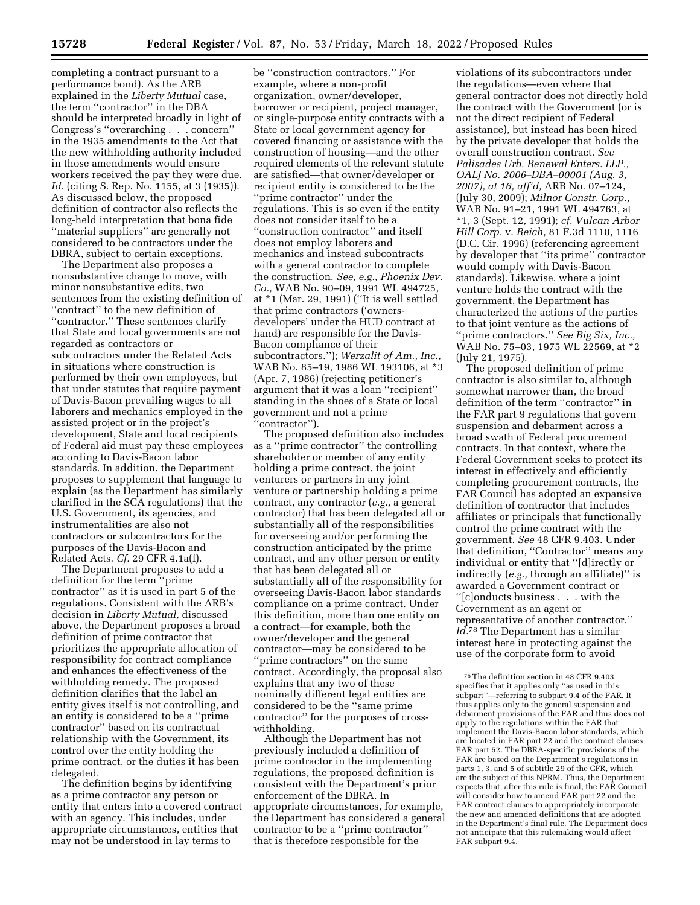completing a contract pursuant to a performance bond). As the ARB explained in the *Liberty Mutual* case, the term ''contractor'' in the DBA should be interpreted broadly in light of Congress's ''overarching . . . concern'' in the 1935 amendments to the Act that the new withholding authority included in those amendments would ensure workers received the pay they were due. *Id.* (citing S. Rep. No. 1155, at 3 (1935)). As discussed below, the proposed definition of contractor also reflects the long-held interpretation that bona fide ''material suppliers'' are generally not considered to be contractors under the DBRA, subject to certain exceptions.

The Department also proposes a nonsubstantive change to move, with minor nonsubstantive edits, two sentences from the existing definition of ''contract'' to the new definition of ''contractor.'' These sentences clarify that State and local governments are not regarded as contractors or subcontractors under the Related Acts in situations where construction is performed by their own employees, but that under statutes that require payment of Davis-Bacon prevailing wages to all laborers and mechanics employed in the assisted project or in the project's development, State and local recipients of Federal aid must pay these employees according to Davis-Bacon labor standards. In addition, the Department proposes to supplement that language to explain (as the Department has similarly clarified in the SCA regulations) that the U.S. Government, its agencies, and instrumentalities are also not contractors or subcontractors for the purposes of the Davis-Bacon and Related Acts. *Cf.* 29 CFR 4.1a(f).

The Department proposes to add a definition for the term ''prime contractor'' as it is used in part 5 of the regulations. Consistent with the ARB's decision in *Liberty Mutual,* discussed above, the Department proposes a broad definition of prime contractor that prioritizes the appropriate allocation of responsibility for contract compliance and enhances the effectiveness of the withholding remedy. The proposed definition clarifies that the label an entity gives itself is not controlling, and an entity is considered to be a ''prime contractor'' based on its contractual relationship with the Government, its control over the entity holding the prime contract, or the duties it has been delegated.

The definition begins by identifying as a prime contractor any person or entity that enters into a covered contract with an agency. This includes, under appropriate circumstances, entities that may not be understood in lay terms to

be ''construction contractors.'' For example, where a non-profit organization, owner/developer, borrower or recipient, project manager, or single-purpose entity contracts with a State or local government agency for covered financing or assistance with the construction of housing—and the other required elements of the relevant statute are satisfied—that owner/developer or recipient entity is considered to be the ''prime contractor'' under the regulations. This is so even if the entity does not consider itself to be a ''construction contractor'' and itself does not employ laborers and mechanics and instead subcontracts with a general contractor to complete the construction. *See, e.g., Phoenix Dev. Co.,* WAB No. 90–09, 1991 WL 494725, at \*1 (Mar. 29, 1991) (''It is well settled that prime contractors ('ownersdevelopers' under the HUD contract at hand) are responsible for the Davis-Bacon compliance of their subcontractors.''); *Werzalit of Am., Inc.,*  WAB No. 85–19, 1986 WL 193106, at \*3 (Apr. 7, 1986) (rejecting petitioner's argument that it was a loan ''recipient'' standing in the shoes of a State or local government and not a prime ''contractor'').

The proposed definition also includes as a ''prime contractor'' the controlling shareholder or member of any entity holding a prime contract, the joint venturers or partners in any joint venture or partnership holding a prime contract, any contractor (*e.g.,* a general contractor) that has been delegated all or substantially all of the responsibilities for overseeing and/or performing the construction anticipated by the prime contract, and any other person or entity that has been delegated all or substantially all of the responsibility for overseeing Davis-Bacon labor standards compliance on a prime contract. Under this definition, more than one entity on a contract—for example, both the owner/developer and the general contractor—may be considered to be ''prime contractors'' on the same contract. Accordingly, the proposal also explains that any two of these nominally different legal entities are considered to be the ''same prime contractor'' for the purposes of crosswithholding.

Although the Department has not previously included a definition of prime contractor in the implementing regulations, the proposed definition is consistent with the Department's prior enforcement of the DBRA. In appropriate circumstances, for example, the Department has considered a general contractor to be a ''prime contractor'' that is therefore responsible for the

violations of its subcontractors under the regulations—even where that general contractor does not directly hold the contract with the Government (or is not the direct recipient of Federal assistance), but instead has been hired by the private developer that holds the overall construction contract. *See Palisades Urb. Renewal Enters. LLP., OALJ No. 2006–DBA–00001 (Aug. 3, 2007), at 16, aff'd,* ARB No. 07–124, (July 30, 2009); *Milnor Constr. Corp.,*  WAB No. 91–21, 1991 WL 494763, at \*1, 3 (Sept. 12, 1991); *cf. Vulcan Arbor Hill Corp.* v. *Reich,* 81 F.3d 1110, 1116 (D.C. Cir. 1996) (referencing agreement by developer that ''its prime'' contractor would comply with Davis-Bacon standards). Likewise, where a joint venture holds the contract with the government, the Department has characterized the actions of the parties to that joint venture as the actions of ''prime contractors.'' *See Big Six, Inc.,*  WAB No. 75-03, 1975 WL 22569, at \*2 (July 21, 1975).

The proposed definition of prime contractor is also similar to, although somewhat narrower than, the broad definition of the term ''contractor'' in the FAR part 9 regulations that govern suspension and debarment across a broad swath of Federal procurement contracts. In that context, where the Federal Government seeks to protect its interest in effectively and efficiently completing procurement contracts, the FAR Council has adopted an expansive definition of contractor that includes affiliates or principals that functionally control the prime contract with the government. *See* 48 CFR 9.403. Under that definition, ''Contractor'' means any individual or entity that ''[d]irectly or indirectly (*e.g.,* through an affiliate)'' is awarded a Government contract or ''[c]onducts business . . . with the Government as an agent or representative of another contractor.'' *Id.*78 The Department has a similar interest here in protecting against the use of the corporate form to avoid

<sup>78</sup>The definition section in 48 CFR 9.403 specifies that it applies only ''as used in this subpart''—referring to subpart 9.4 of the FAR. It thus applies only to the general suspension and debarment provisions of the FAR and thus does not apply to the regulations within the FAR that implement the Davis-Bacon labor standards, which are located in FAR part 22 and the contract clauses FAR part 52. The DBRA-specific provisions of the FAR are based on the Department's regulations in parts 1, 3, and 5 of subtitle 29 of the CFR, which are the subject of this NPRM. Thus, the Department expects that, after this rule is final, the FAR Council will consider how to amend FAR part 22 and the FAR contract clauses to appropriately incorporate the new and amended definitions that are adopted in the Department's final rule. The Department does not anticipate that this rulemaking would affect FAR subpart 9.4.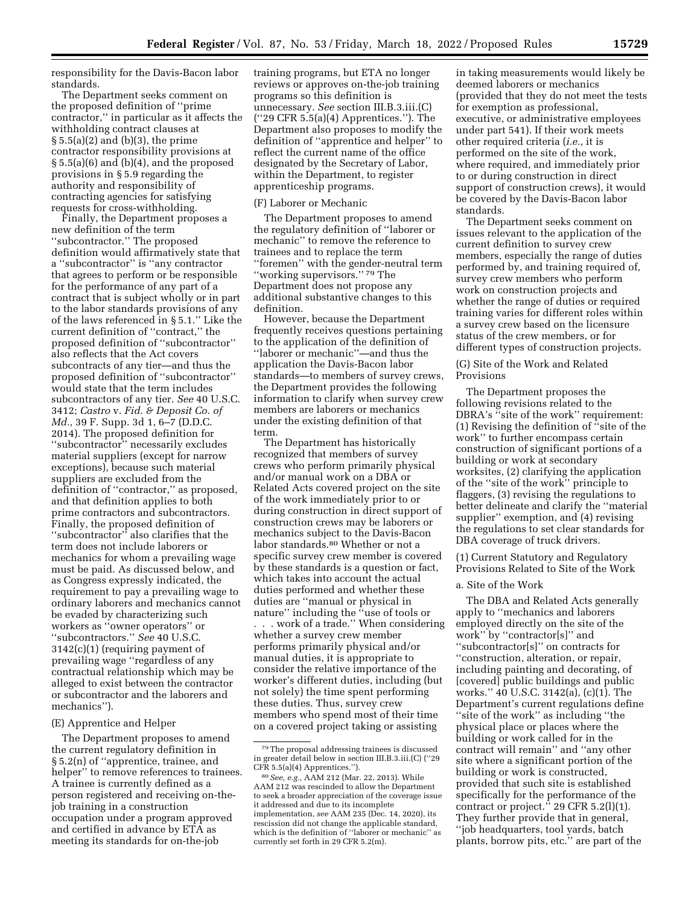responsibility for the Davis-Bacon labor standards.

The Department seeks comment on the proposed definition of ''prime contractor,'' in particular as it affects the withholding contract clauses at § 5.5(a)(2) and (b)(3), the prime contractor responsibility provisions at § 5.5(a)(6) and (b)(4), and the proposed provisions in § 5.9 regarding the authority and responsibility of contracting agencies for satisfying requests for cross-withholding.

Finally, the Department proposes a new definition of the term ''subcontractor.'' The proposed definition would affirmatively state that a ''subcontractor'' is ''any contractor that agrees to perform or be responsible for the performance of any part of a contract that is subject wholly or in part to the labor standards provisions of any of the laws referenced in § 5.1.'' Like the current definition of ''contract,'' the proposed definition of ''subcontractor'' also reflects that the Act covers subcontracts of any tier—and thus the proposed definition of ''subcontractor'' would state that the term includes subcontractors of any tier. *See* 40 U.S.C. 3412; *Castro* v. *Fid. & Deposit Co. of Md.,* 39 F. Supp. 3d 1, 6–7 (D.D.C. 2014). The proposed definition for ''subcontractor'' necessarily excludes material suppliers (except for narrow exceptions), because such material suppliers are excluded from the definition of ''contractor,'' as proposed, and that definition applies to both prime contractors and subcontractors. Finally, the proposed definition of ''subcontractor'' also clarifies that the term does not include laborers or mechanics for whom a prevailing wage must be paid. As discussed below, and as Congress expressly indicated, the requirement to pay a prevailing wage to ordinary laborers and mechanics cannot be evaded by characterizing such workers as ''owner operators'' or ''subcontractors.'' *See* 40 U.S.C. 3142(c)(1) (requiring payment of prevailing wage ''regardless of any contractual relationship which may be alleged to exist between the contractor or subcontractor and the laborers and mechanics'').

### (E) Apprentice and Helper

The Department proposes to amend the current regulatory definition in § 5.2(n) of ''apprentice, trainee, and helper'' to remove references to trainees. A trainee is currently defined as a person registered and receiving on-thejob training in a construction occupation under a program approved and certified in advance by ETA as meeting its standards for on-the-job

training programs, but ETA no longer reviews or approves on-the-job training programs so this definition is unnecessary. *See* section III.B.3.iii.(C) (''29 CFR 5.5(a)(4) Apprentices.''). The Department also proposes to modify the definition of ''apprentice and helper'' to reflect the current name of the office designated by the Secretary of Labor, within the Department, to register apprenticeship programs.

### (F) Laborer or Mechanic

The Department proposes to amend the regulatory definition of ''laborer or mechanic'' to remove the reference to trainees and to replace the term ''foremen'' with the gender-neutral term "working supervisors."<sup>79</sup> The Department does not propose any additional substantive changes to this definition.

However, because the Department frequently receives questions pertaining to the application of the definition of ''laborer or mechanic''—and thus the application the Davis-Bacon labor standards—to members of survey crews, the Department provides the following information to clarify when survey crew members are laborers or mechanics under the existing definition of that term.

The Department has historically recognized that members of survey crews who perform primarily physical and/or manual work on a DBA or Related Acts covered project on the site of the work immediately prior to or during construction in direct support of construction crews may be laborers or mechanics subject to the Davis-Bacon labor standards.80 Whether or not a specific survey crew member is covered by these standards is a question or fact, which takes into account the actual duties performed and whether these duties are ''manual or physical in nature'' including the ''use of tools or . . . work of a trade.'' When considering whether a survey crew member performs primarily physical and/or manual duties, it is appropriate to consider the relative importance of the worker's different duties, including (but not solely) the time spent performing these duties. Thus, survey crew members who spend most of their time on a covered project taking or assisting

in taking measurements would likely be deemed laborers or mechanics (provided that they do not meet the tests for exemption as professional, executive, or administrative employees under part 541). If their work meets other required criteria (*i.e.,* it is performed on the site of the work, where required, and immediately prior to or during construction in direct support of construction crews), it would be covered by the Davis-Bacon labor standards.

The Department seeks comment on issues relevant to the application of the current definition to survey crew members, especially the range of duties performed by, and training required of, survey crew members who perform work on construction projects and whether the range of duties or required training varies for different roles within a survey crew based on the licensure status of the crew members, or for different types of construction projects.

## (G) Site of the Work and Related Provisions

The Department proposes the following revisions related to the DBRA's ''site of the work'' requirement: (1) Revising the definition of ''site of the work'' to further encompass certain construction of significant portions of a building or work at secondary worksites, (2) clarifying the application of the ''site of the work'' principle to flaggers, (3) revising the regulations to better delineate and clarify the ''material supplier'' exemption, and (4) revising the regulations to set clear standards for DBA coverage of truck drivers.

(1) Current Statutory and Regulatory Provisions Related to Site of the Work

## a. Site of the Work

The DBA and Related Acts generally apply to ''mechanics and laborers employed directly on the site of the work'' by ''contractor[s]'' and ''subcontractor[s]'' on contracts for ''construction, alteration, or repair, including painting and decorating, of [covered] public buildings and public works.'' 40 U.S.C. 3142(a), (c)(1). The Department's current regulations define ''site of the work'' as including ''the physical place or places where the building or work called for in the contract will remain'' and ''any other site where a significant portion of the building or work is constructed, provided that such site is established specifically for the performance of the contract or project." 29 CFR  $5.2(1)(1)$ . They further provide that in general, ''job headquarters, tool yards, batch plants, borrow pits, etc.'' are part of the

<sup>79</sup>The proposal addressing trainees is discussed in greater detail below in section III.B.3.iii.(C) (''29 CFR 5.5(a)(4) Apprentices.'').

<sup>80</sup>*See, e.g.,* AAM 212 (Mar. 22, 2013). While AAM 212 was rescinded to allow the Department to seek a broader appreciation of the coverage issue it addressed and due to its incomplete implementation, *see* AAM 235 (Dec. 14, 2020), its rescission did not change the applicable standard, which is the definition of ''laborer or mechanic'' as currently set forth in 29 CFR 5.2(m).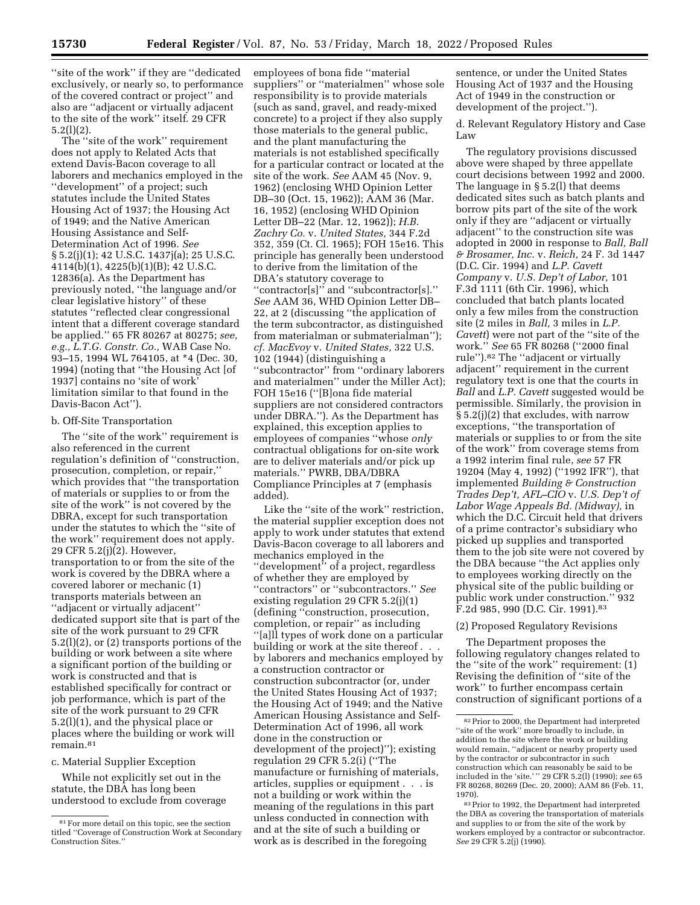''site of the work'' if they are ''dedicated exclusively, or nearly so, to performance of the covered contract or project'' and also are ''adjacent or virtually adjacent to the site of the work'' itself. 29 CFR 5.2(l)(2).

The ''site of the work'' requirement does not apply to Related Acts that extend Davis-Bacon coverage to all laborers and mechanics employed in the ''development'' of a project; such statutes include the United States Housing Act of 1937; the Housing Act of 1949; and the Native American Housing Assistance and Self-Determination Act of 1996. *See*  § 5.2(j)(1); 42 U.S.C. 1437j(a); 25 U.S.C. 4114(b)(1), 4225(b)(1)(B); 42 U.S.C. 12836(a). As the Department has previously noted, ''the language and/or clear legislative history'' of these statutes ''reflected clear congressional intent that a different coverage standard be applied.'' 65 FR 80267 at 80275; *see, e.g., L.T.G. Constr. Co.,* WAB Case No. 93–15, 1994 WL 764105, at \*4 (Dec. 30, 1994) (noting that ''the Housing Act [of 1937] contains no 'site of work' limitation similar to that found in the Davis-Bacon Act'').

#### b. Off-Site Transportation

The ''site of the work'' requirement is also referenced in the current regulation's definition of ''construction, prosecution, completion, or repair,'' which provides that ''the transportation of materials or supplies to or from the site of the work'' is not covered by the DBRA, except for such transportation under the statutes to which the ''site of the work'' requirement does not apply. 29 CFR 5.2(j)(2). However, transportation to or from the site of the work is covered by the DBRA where a covered laborer or mechanic (1) transports materials between an ''adjacent or virtually adjacent'' dedicated support site that is part of the site of the work pursuant to 29 CFR 5.2(l)(2), or (2) transports portions of the building or work between a site where a significant portion of the building or work is constructed and that is established specifically for contract or job performance, which is part of the site of the work pursuant to 29 CFR 5.2(l)(1), and the physical place or places where the building or work will remain.81

#### c. Material Supplier Exception

While not explicitly set out in the statute, the DBA has long been understood to exclude from coverage

employees of bona fide ''material suppliers'' or ''materialmen'' whose sole responsibility is to provide materials (such as sand, gravel, and ready-mixed concrete) to a project if they also supply those materials to the general public, and the plant manufacturing the materials is not established specifically for a particular contract or located at the site of the work. *See* AAM 45 (Nov. 9, 1962) (enclosing WHD Opinion Letter DB–30 (Oct. 15, 1962)); AAM 36 (Mar. 16, 1952) (enclosing WHD Opinion Letter DB–22 (Mar. 12, 1962)); *H.B. Zachry Co.* v. *United States,* 344 F.2d 352, 359 (Ct. Cl. 1965); FOH 15e16. This principle has generally been understood to derive from the limitation of the DBA's statutory coverage to ''contractor[s]'' and ''subcontractor[s].'' *See* AAM 36, WHD Opinion Letter DB– 22, at 2 (discussing ''the application of the term subcontractor, as distinguished from materialman or submaterialman''); *cf. MacEvoy* v. *United States,* 322 U.S. 102 (1944) (distinguishing a ''subcontractor'' from ''ordinary laborers and materialmen'' under the Miller Act); FOH 15e16 (''[B]ona fide material suppliers are not considered contractors under DBRA.''). As the Department has explained, this exception applies to employees of companies ''whose *only*  contractual obligations for on-site work are to deliver materials and/or pick up materials.'' PWRB, DBA/DBRA Compliance Principles at 7 (emphasis added).

Like the "site of the work" restriction, the material supplier exception does not apply to work under statutes that extend Davis-Bacon coverage to all laborers and mechanics employed in the ''development'' of a project, regardless of whether they are employed by ''contractors'' or ''subcontractors.'' *See*  existing regulation 29 CFR 5.2(j)(1) (defining ''construction, prosecution, completion, or repair'' as including ''[a]ll types of work done on a particular building or work at the site thereof . . . by laborers and mechanics employed by a construction contractor or construction subcontractor (or, under the United States Housing Act of 1937; the Housing Act of 1949; and the Native American Housing Assistance and Self-Determination Act of 1996, all work done in the construction or development of the project)''); existing regulation 29 CFR 5.2(i) (''The manufacture or furnishing of materials, articles, supplies or equipment . . . is not a building or work within the meaning of the regulations in this part unless conducted in connection with and at the site of such a building or work as is described in the foregoing

sentence, or under the United States Housing Act of 1937 and the Housing Act of 1949 in the construction or development of the project.'').

d. Relevant Regulatory History and Case Law

The regulatory provisions discussed above were shaped by three appellate court decisions between 1992 and 2000. The language in § 5.2(l) that deems dedicated sites such as batch plants and borrow pits part of the site of the work only if they are ''adjacent or virtually adjacent'' to the construction site was adopted in 2000 in response to *Ball, Ball & Brosamer, Inc.* v. *Reich,* 24 F. 3d 1447 (D.C. Cir. 1994) and *L.P. Cavett Company* v. *U.S. Dep't of Labor,* 101 F.3d 1111 (6th Cir. 1996), which concluded that batch plants located only a few miles from the construction site (2 miles in *Ball,* 3 miles in *L.P. Cavett*) were not part of the ''site of the work.'' *See* 65 FR 80268 (''2000 final rule'').82 The ''adjacent or virtually adjacent'' requirement in the current regulatory text is one that the courts in *Ball* and *L.P. Cavett* suggested would be permissible. Similarly, the provision in § 5.2(j)(2) that excludes, with narrow exceptions, ''the transportation of materials or supplies to or from the site of the work'' from coverage stems from a 1992 interim final rule, *see* 57 FR 19204 (May 4, 1992) (''1992 IFR''), that implemented *Building & Construction Trades Dep't, AFL–CIO* v. *U.S. Dep't of Labor Wage Appeals Bd. (Midway),* in which the D.C. Circuit held that drivers of a prime contractor's subsidiary who picked up supplies and transported them to the job site were not covered by the DBA because ''the Act applies only to employees working directly on the physical site of the public building or public work under construction.'' 932 F.2d 985, 990 (D.C. Cir. 1991).83

#### (2) Proposed Regulatory Revisions

The Department proposes the following regulatory changes related to the ''site of the work'' requirement: (1) Revising the definition of ''site of the work'' to further encompass certain construction of significant portions of a

<sup>81</sup>For more detail on this topic, see the section titled ''Coverage of Construction Work at Secondary Construction Sites.''

<sup>82</sup>Prior to 2000, the Department had interpreted ''site of the work'' more broadly to include, in addition to the site where the work or building would remain, ''adjacent or nearby property used by the contractor or subcontractor in such construction which can reasonably be said to be included in the 'site.' '' 29 CFR 5.2(l) (1990); *see* 65 FR 80268, 80269 (Dec. 20, 2000); AAM 86 (Feb. 11, 1970).

<sup>83</sup>Prior to 1992, the Department had interpreted the DBA as covering the transportation of materials and supplies to or from the site of the work by workers employed by a contractor or subcontractor. *See* 29 CFR 5.2(j) (1990).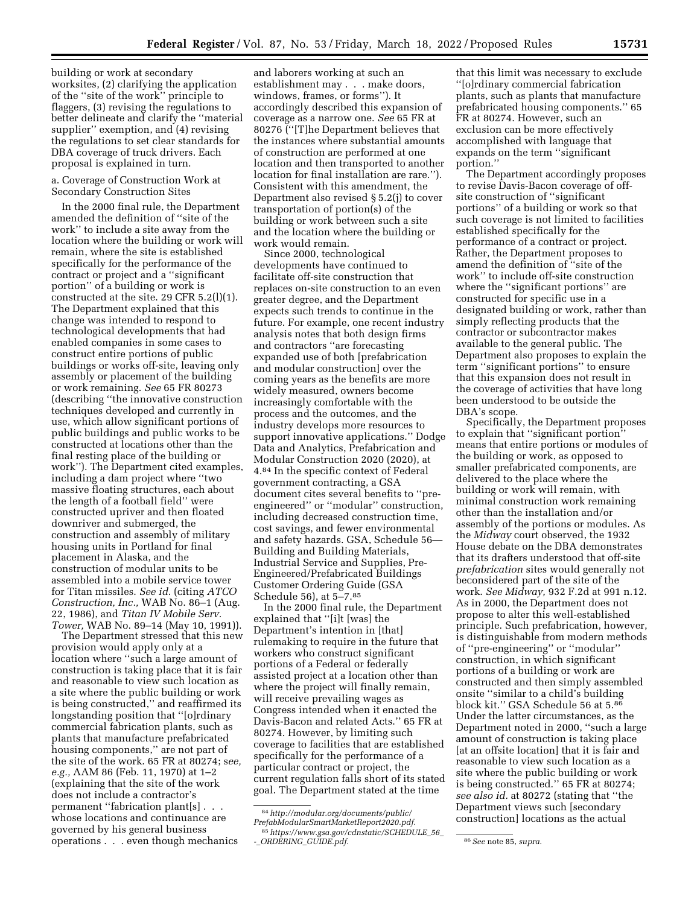building or work at secondary worksites, (2) clarifying the application of the ''site of the work'' principle to flaggers, (3) revising the regulations to better delineate and clarify the ''material supplier'' exemption, and (4) revising the regulations to set clear standards for DBA coverage of truck drivers. Each proposal is explained in turn.

a. Coverage of Construction Work at Secondary Construction Sites

In the 2000 final rule, the Department amended the definition of ''site of the work'' to include a site away from the location where the building or work will remain, where the site is established specifically for the performance of the contract or project and a ''significant portion'' of a building or work is constructed at the site. 29 CFR 5.2(l)(1). The Department explained that this change was intended to respond to technological developments that had enabled companies in some cases to construct entire portions of public buildings or works off-site, leaving only assembly or placement of the building or work remaining. *See* 65 FR 80273 (describing ''the innovative construction techniques developed and currently in use, which allow significant portions of public buildings and public works to be constructed at locations other than the final resting place of the building or work''). The Department cited examples, including a dam project where ''two massive floating structures, each about the length of a football field'' were constructed upriver and then floated downriver and submerged, the construction and assembly of military housing units in Portland for final placement in Alaska, and the construction of modular units to be assembled into a mobile service tower for Titan missiles. *See id.* (citing *ATCO Construction, Inc.,* WAB No. 86–1 (Aug. 22, 1986), and *Titan IV Mobile Serv. Tower,* WAB No. 89–14 (May 10, 1991)).

The Department stressed that this new provision would apply only at a location where ''such a large amount of construction is taking place that it is fair and reasonable to view such location as a site where the public building or work is being constructed,'' and reaffirmed its longstanding position that ''[o]rdinary commercial fabrication plants, such as plants that manufacture prefabricated housing components,'' are not part of the site of the work. 65 FR at 80274; s*ee, e.g.,* AAM 86 (Feb. 11, 1970) at 1–2 (explaining that the site of the work does not include a contractor's permanent "fabrication plant[s]... whose locations and continuance are governed by his general business operations . . . even though mechanics

and laborers working at such an establishment may . . . make doors, windows, frames, or forms''). It accordingly described this expansion of coverage as a narrow one. *See* 65 FR at 80276 (''[T]he Department believes that the instances where substantial amounts of construction are performed at one location and then transported to another location for final installation are rare.''). Consistent with this amendment, the Department also revised § 5.2(j) to cover transportation of portion(s) of the building or work between such a site and the location where the building or work would remain.

Since 2000, technological developments have continued to facilitate off-site construction that replaces on-site construction to an even greater degree, and the Department expects such trends to continue in the future. For example, one recent industry analysis notes that both design firms and contractors ''are forecasting expanded use of both [prefabrication and modular construction] over the coming years as the benefits are more widely measured, owners become increasingly comfortable with the process and the outcomes, and the industry develops more resources to support innovative applications.'' Dodge Data and Analytics, Prefabrication and Modular Construction 2020 (2020), at 4.84 In the specific context of Federal government contracting, a GSA document cites several benefits to ''preengineered'' or ''modular'' construction, including decreased construction time, cost savings, and fewer environmental and safety hazards. GSA, Schedule 56— Building and Building Materials, Industrial Service and Supplies, Pre-Engineered/Prefabricated Buildings Customer Ordering Guide (GSA Schedule 56), at 5–7.85

In the 2000 final rule, the Department explained that ''[i]t [was] the Department's intention in [that] rulemaking to require in the future that workers who construct significant portions of a Federal or federally assisted project at a location other than where the project will finally remain, will receive prevailing wages as Congress intended when it enacted the Davis-Bacon and related Acts.'' 65 FR at 80274. However, by limiting such coverage to facilities that are established specifically for the performance of a particular contract or project, the current regulation falls short of its stated goal. The Department stated at the time

that this limit was necessary to exclude ''[o]rdinary commercial fabrication plants, such as plants that manufacture prefabricated housing components.'' 65 FR at 80274. However, such an exclusion can be more effectively accomplished with language that expands on the term ''significant portion.''

The Department accordingly proposes to revise Davis-Bacon coverage of offsite construction of ''significant portions'' of a building or work so that such coverage is not limited to facilities established specifically for the performance of a contract or project. Rather, the Department proposes to amend the definition of ''site of the work'' to include off-site construction where the ''significant portions'' are constructed for specific use in a designated building or work, rather than simply reflecting products that the contractor or subcontractor makes available to the general public. The Department also proposes to explain the term ''significant portions'' to ensure that this expansion does not result in the coverage of activities that have long been understood to be outside the DBA's scope.

Specifically, the Department proposes to explain that ''significant portion'' means that entire portions or modules of the building or work, as opposed to smaller prefabricated components, are delivered to the place where the building or work will remain, with minimal construction work remaining other than the installation and/or assembly of the portions or modules. As the *Midway* court observed, the 1932 House debate on the DBA demonstrates that its drafters understood that off-site *prefabrication* sites would generally not beconsidered part of the site of the work. *See Midway,* 932 F.2d at 991 n.12. As in 2000, the Department does not propose to alter this well-established principle. Such prefabrication, however, is distinguishable from modern methods of ''pre-engineering'' or ''modular'' construction, in which significant portions of a building or work are constructed and then simply assembled onsite ''similar to a child's building block kit.'' GSA Schedule 56 at 5.86 Under the latter circumstances, as the Department noted in 2000, ''such a large amount of construction is taking place [at an offsite location] that it is fair and reasonable to view such location as a site where the public building or work is being constructed.'' 65 FR at 80274; *see also id.* at 80272 (stating that ''the Department views such [secondary construction] locations as the actual

<sup>84</sup>*[http://modular.org/documents/public/](http://modular.org/documents/public/PrefabModularSmartMarketReport2020.pdf) [PrefabModularSmartMarketReport2020.pdf.](http://modular.org/documents/public/PrefabModularSmartMarketReport2020.pdf)*  85*[https://www.gsa.gov/cdnstatic/SCHEDULE](https://www.gsa.gov/cdnstatic/SCHEDULE_56_-_ORDERING_GUIDE.pdf)*\_*56*\_ *-*\_*[ORDERING](https://www.gsa.gov/cdnstatic/SCHEDULE_56_-_ORDERING_GUIDE.pdf)*\_*GUIDE.pdf.* 86*See* note 85, *supra.*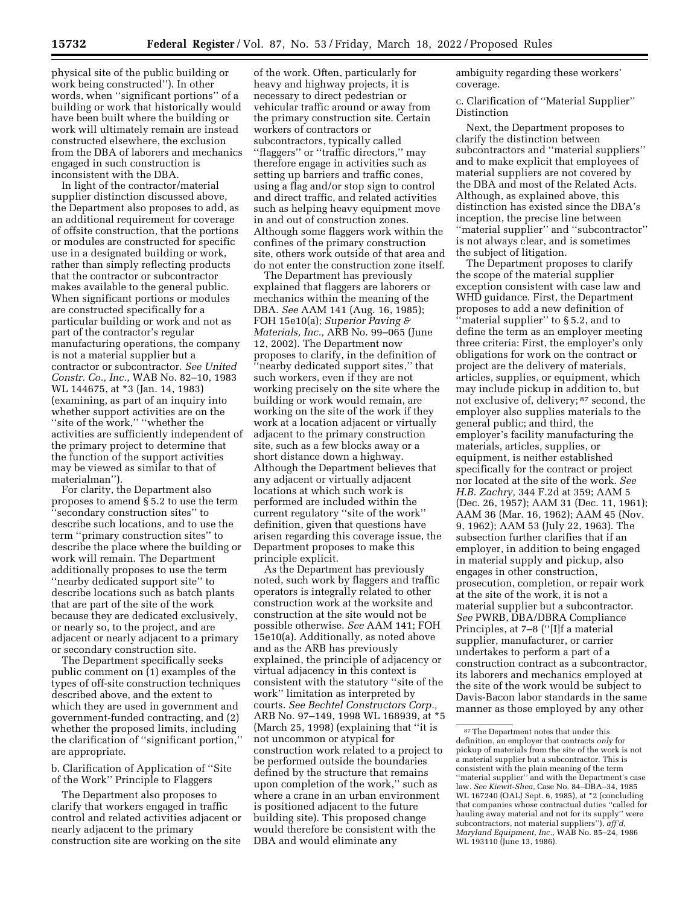physical site of the public building or work being constructed''). In other words, when ''significant portions'' of a building or work that historically would have been built where the building or work will ultimately remain are instead constructed elsewhere, the exclusion from the DBA of laborers and mechanics engaged in such construction is inconsistent with the DBA.

In light of the contractor/material supplier distinction discussed above, the Department also proposes to add, as an additional requirement for coverage of offsite construction, that the portions or modules are constructed for specific use in a designated building or work, rather than simply reflecting products that the contractor or subcontractor makes available to the general public. When significant portions or modules are constructed specifically for a particular building or work and not as part of the contractor's regular manufacturing operations, the company is not a material supplier but a contractor or subcontractor. *See United Constr. Co., Inc.,* WAB No. 82–10, 1983 WL 144675, at \*3 (Jan. 14, 1983) (examining, as part of an inquiry into whether support activities are on the ''site of the work,'' ''whether the activities are sufficiently independent of the primary project to determine that the function of the support activities may be viewed as similar to that of materialman'').

For clarity, the Department also proposes to amend § 5.2 to use the term ''secondary construction sites'' to describe such locations, and to use the term ''primary construction sites'' to describe the place where the building or work will remain. The Department additionally proposes to use the term ''nearby dedicated support site'' to describe locations such as batch plants that are part of the site of the work because they are dedicated exclusively, or nearly so, to the project, and are adjacent or nearly adjacent to a primary or secondary construction site.

The Department specifically seeks public comment on (1) examples of the types of off-site construction techniques described above, and the extent to which they are used in government and government-funded contracting, and (2) whether the proposed limits, including the clarification of ''significant portion,'' are appropriate.

b. Clarification of Application of ''Site of the Work'' Principle to Flaggers

The Department also proposes to clarify that workers engaged in traffic control and related activities adjacent or nearly adjacent to the primary construction site are working on the site

of the work. Often, particularly for heavy and highway projects, it is necessary to direct pedestrian or vehicular traffic around or away from the primary construction site. Certain workers of contractors or subcontractors, typically called ''flaggers'' or ''traffic directors,'' may therefore engage in activities such as setting up barriers and traffic cones, using a flag and/or stop sign to control and direct traffic, and related activities such as helping heavy equipment move in and out of construction zones. Although some flaggers work within the confines of the primary construction site, others work outside of that area and do not enter the construction zone itself.

The Department has previously explained that flaggers are laborers or mechanics within the meaning of the DBA. *See* AAM 141 (Aug. 16, 1985); FOH 15e10(a); *Superior Paving & Materials, Inc.,* ARB No. 99–065 (June 12, 2002). The Department now proposes to clarify, in the definition of ''nearby dedicated support sites,'' that such workers, even if they are not working precisely on the site where the building or work would remain, are working on the site of the work if they work at a location adjacent or virtually adjacent to the primary construction site, such as a few blocks away or a short distance down a highway. Although the Department believes that any adjacent or virtually adjacent locations at which such work is performed are included within the current regulatory ''site of the work'' definition, given that questions have arisen regarding this coverage issue, the Department proposes to make this principle explicit.

As the Department has previously noted, such work by flaggers and traffic operators is integrally related to other construction work at the worksite and construction at the site would not be possible otherwise. *See* AAM 141; FOH 15e10(a). Additionally, as noted above and as the ARB has previously explained, the principle of adjacency or virtual adjacency in this context is consistent with the statutory ''site of the work'' limitation as interpreted by courts. *See Bechtel Constructors Corp.,*  ARB No. 97–149, 1998 WL 168939, at \*5 (March 25, 1998) (explaining that ''it is not uncommon or atypical for construction work related to a project to be performed outside the boundaries defined by the structure that remains upon completion of the work,'' such as where a crane in an urban environment is positioned adjacent to the future building site). This proposed change would therefore be consistent with the DBA and would eliminate any

ambiguity regarding these workers' coverage.

c. Clarification of ''Material Supplier'' Distinction

Next, the Department proposes to clarify the distinction between subcontractors and ''material suppliers'' and to make explicit that employees of material suppliers are not covered by the DBA and most of the Related Acts. Although, as explained above, this distinction has existed since the DBA's inception, the precise line between ''material supplier'' and ''subcontractor'' is not always clear, and is sometimes the subject of litigation.

The Department proposes to clarify the scope of the material supplier exception consistent with case law and WHD guidance. First, the Department proposes to add a new definition of ''material supplier'' to § 5.2, and to define the term as an employer meeting three criteria: First, the employer's only obligations for work on the contract or project are the delivery of materials, articles, supplies, or equipment, which may include pickup in addition to, but not exclusive of, delivery; 87 second, the employer also supplies materials to the general public; and third, the employer's facility manufacturing the materials, articles, supplies, or equipment, is neither established specifically for the contract or project nor located at the site of the work. *See H.B. Zachry,* 344 F.2d at 359; AAM 5 (Dec. 26, 1957); AAM 31 (Dec. 11, 1961); AAM 36 (Mar. 16, 1962); AAM 45 (Nov. 9, 1962); AAM 53 (July 22, 1963). The subsection further clarifies that if an employer, in addition to being engaged in material supply and pickup, also engages in other construction, prosecution, completion, or repair work at the site of the work, it is not a material supplier but a subcontractor. *See* PWRB, DBA/DBRA Compliance Principles, at 7–8 (''[I]f a material supplier, manufacturer, or carrier undertakes to perform a part of a construction contract as a subcontractor, its laborers and mechanics employed at the site of the work would be subject to Davis-Bacon labor standards in the same manner as those employed by any other

<sup>87</sup>The Department notes that under this definition, an employer that contracts *only* for pickup of materials from the site of the work is not a material supplier but a subcontractor. This is consistent with the plain meaning of the term "material supplier" and with the Department's case law. *See Kiewit-Shea,* Case No. 84–DBA–34, 1985 WL 167240 (OALJ Sept. 6, 1985), at \*2 (concluding that companies whose contractual duties ''called for hauling away material and not for its supply'' were subcontractors, not material suppliers''), *aff'd, Maryland Equipment, Inc.,* WAB No. 85–24, 1986 WL 193110 (June 13, 1986).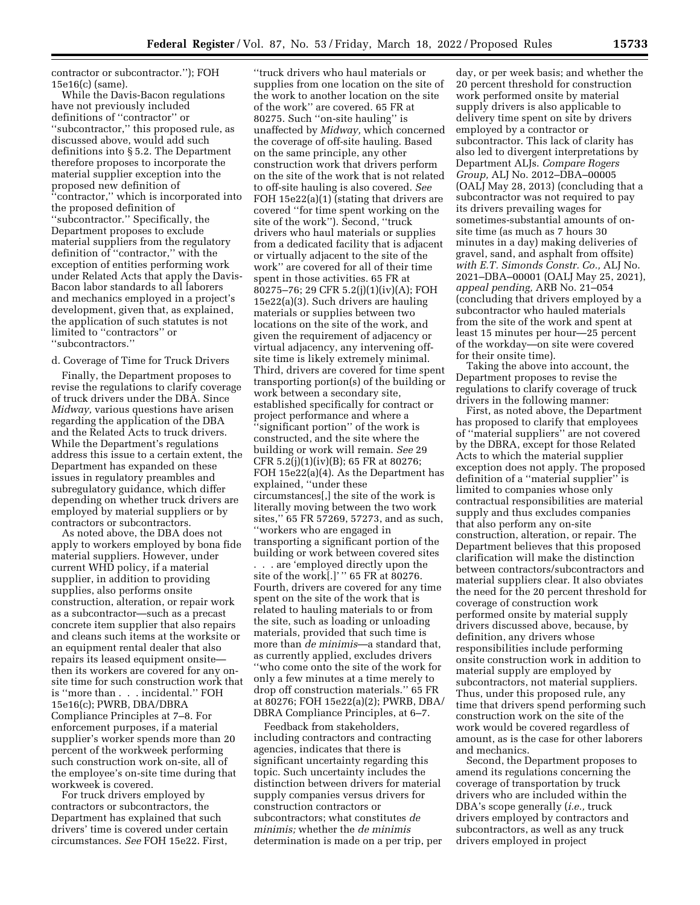contractor or subcontractor.''); FOH 15e16(c) (same).

While the Davis-Bacon regulations have not previously included definitions of ''contractor'' or ''subcontractor,'' this proposed rule, as discussed above, would add such definitions into § 5.2. The Department therefore proposes to incorporate the material supplier exception into the proposed new definition of ''contractor,'' which is incorporated into the proposed definition of ''subcontractor.'' Specifically, the Department proposes to exclude material suppliers from the regulatory definition of ''contractor,'' with the exception of entities performing work under Related Acts that apply the Davis-Bacon labor standards to all laborers and mechanics employed in a project's development, given that, as explained, the application of such statutes is not limited to ''contractors'' or ''subcontractors.''

#### d. Coverage of Time for Truck Drivers

Finally, the Department proposes to revise the regulations to clarify coverage of truck drivers under the DBA. Since *Midway,* various questions have arisen regarding the application of the DBA and the Related Acts to truck drivers. While the Department's regulations address this issue to a certain extent, the Department has expanded on these issues in regulatory preambles and subregulatory guidance, which differ depending on whether truck drivers are employed by material suppliers or by contractors or subcontractors.

As noted above, the DBA does not apply to workers employed by bona fide material suppliers. However, under current WHD policy, if a material supplier, in addition to providing supplies, also performs onsite construction, alteration, or repair work as a subcontractor—such as a precast concrete item supplier that also repairs and cleans such items at the worksite or an equipment rental dealer that also repairs its leased equipment onsite then its workers are covered for any onsite time for such construction work that is ''more than . . . incidental.'' FOH 15e16(c); PWRB, DBA/DBRA Compliance Principles at 7–8. For enforcement purposes, if a material supplier's worker spends more than 20 percent of the workweek performing such construction work on-site, all of the employee's on-site time during that workweek is covered.

For truck drivers employed by contractors or subcontractors, the Department has explained that such drivers' time is covered under certain circumstances. *See* FOH 15e22. First,

''truck drivers who haul materials or supplies from one location on the site of the work to another location on the site of the work'' are covered. 65 FR at 80275. Such ''on-site hauling'' is unaffected by *Midway,* which concerned the coverage of off-site hauling. Based on the same principle, any other construction work that drivers perform on the site of the work that is not related to off-site hauling is also covered. *See*  FOH 15e22(a)(1) (stating that drivers are covered ''for time spent working on the site of the work''). Second, ''truck drivers who haul materials or supplies from a dedicated facility that is adjacent or virtually adjacent to the site of the work'' are covered for all of their time spent in those activities. 65 FR at 80275–76; 29 CFR 5.2(j)(1)(iv)(A); FOH 15e22(a)(3). Such drivers are hauling materials or supplies between two locations on the site of the work, and given the requirement of adjacency or virtual adjacency, any intervening offsite time is likely extremely minimal. Third, drivers are covered for time spent transporting portion(s) of the building or work between a secondary site, established specifically for contract or project performance and where a ''significant portion'' of the work is constructed, and the site where the building or work will remain. *See* 29 CFR 5.2(j)(1)(iv)(B); 65 FR at 80276; FOH 15e22(a)(4). As the Department has explained, ''under these circumstances[,] the site of the work is literally moving between the two work sites,'' 65 FR 57269, 57273, and as such, ''workers who are engaged in transporting a significant portion of the building or work between covered sites . . . are 'employed directly upon the site of the work[.]' '' 65 FR at 80276. Fourth, drivers are covered for any time spent on the site of the work that is related to hauling materials to or from the site, such as loading or unloading materials, provided that such time is more than *de minimis*—a standard that, as currently applied, excludes drivers ''who come onto the site of the work for only a few minutes at a time merely to drop off construction materials.'' 65 FR at 80276; FOH 15e22(a)(2); PWRB, DBA/ DBRA Compliance Principles, at 6–7.

Feedback from stakeholders, including contractors and contracting agencies, indicates that there is significant uncertainty regarding this topic. Such uncertainty includes the distinction between drivers for material supply companies versus drivers for construction contractors or subcontractors; what constitutes *de minimis;* whether the *de minimis*  determination is made on a per trip, per

day, or per week basis; and whether the 20 percent threshold for construction work performed onsite by material supply drivers is also applicable to delivery time spent on site by drivers employed by a contractor or subcontractor. This lack of clarity has also led to divergent interpretations by Department ALJs. *Compare Rogers Group,* ALJ No. 2012–DBA–00005 (OALJ May 28, 2013) (concluding that a subcontractor was not required to pay its drivers prevailing wages for sometimes-substantial amounts of onsite time (as much as 7 hours 30 minutes in a day) making deliveries of gravel, sand, and asphalt from offsite) *with E.T. Simonds Constr. Co.,* ALJ No. 2021–DBA–00001 (OALJ May 25, 2021), *appeal pending,* ARB No. 21–054 (concluding that drivers employed by a subcontractor who hauled materials from the site of the work and spent at least 15 minutes per hour—25 percent of the workday—on site were covered for their onsite time).

Taking the above into account, the Department proposes to revise the regulations to clarify coverage of truck drivers in the following manner:

First, as noted above, the Department has proposed to clarify that employees of ''material suppliers'' are not covered by the DBRA, except for those Related Acts to which the material supplier exception does not apply. The proposed definition of a ''material supplier'' is limited to companies whose only contractual responsibilities are material supply and thus excludes companies that also perform any on-site construction, alteration, or repair. The Department believes that this proposed clarification will make the distinction between contractors/subcontractors and material suppliers clear. It also obviates the need for the 20 percent threshold for coverage of construction work performed onsite by material supply drivers discussed above, because, by definition, any drivers whose responsibilities include performing onsite construction work in addition to material supply are employed by subcontractors, not material suppliers. Thus, under this proposed rule, any time that drivers spend performing such construction work on the site of the work would be covered regardless of amount, as is the case for other laborers and mechanics.

Second, the Department proposes to amend its regulations concerning the coverage of transportation by truck drivers who are included within the DBA's scope generally (*i.e.,* truck drivers employed by contractors and subcontractors, as well as any truck drivers employed in project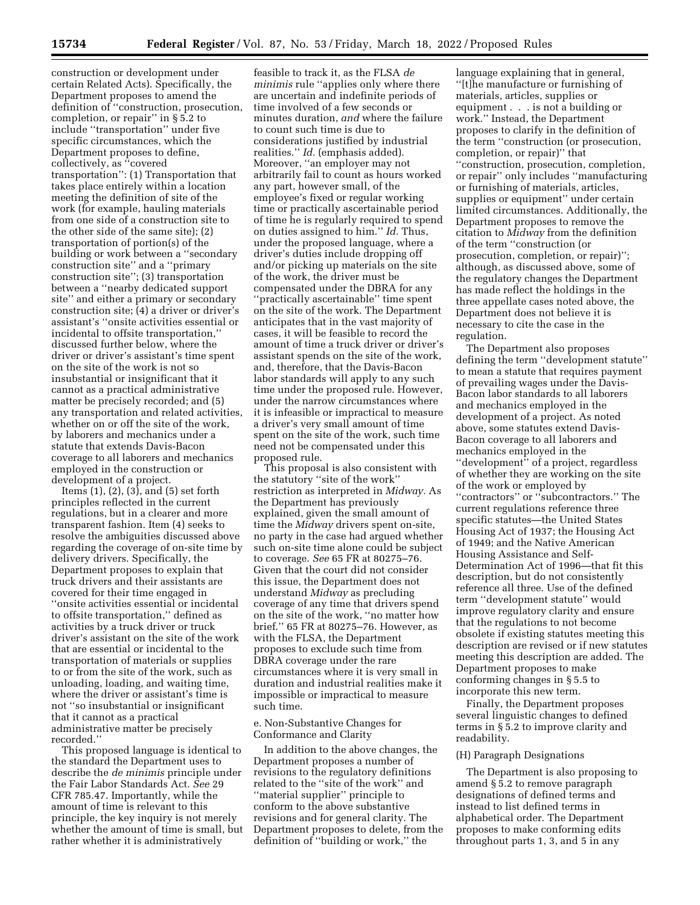construction or development under certain Related Acts). Specifically, the Department proposes to amend the definition of ''construction, prosecution, completion, or repair'' in § 5.2 to include ''transportation'' under five specific circumstances, which the Department proposes to define, collectively, as ''covered transportation'': (1) Transportation that takes place entirely within a location meeting the definition of site of the work (for example, hauling materials from one side of a construction site to the other side of the same site); (2) transportation of portion(s) of the building or work between a ''secondary construction site'' and a ''primary construction site''; (3) transportation between a ''nearby dedicated support site'' and either a primary or secondary construction site; (4) a driver or driver's assistant's ''onsite activities essential or incidental to offsite transportation,'' discussed further below, where the driver or driver's assistant's time spent on the site of the work is not so insubstantial or insignificant that it cannot as a practical administrative matter be precisely recorded; and (5) any transportation and related activities, whether on or off the site of the work, by laborers and mechanics under a statute that extends Davis-Bacon coverage to all laborers and mechanics employed in the construction or development of a project.

Items  $(1)$ ,  $(2)$ ,  $(3)$ , and  $(5)$  set forth principles reflected in the current regulations, but in a clearer and more transparent fashion. Item (4) seeks to resolve the ambiguities discussed above regarding the coverage of on-site time by delivery drivers. Specifically, the Department proposes to explain that truck drivers and their assistants are covered for their time engaged in ''onsite activities essential or incidental to offsite transportation,'' defined as activities by a truck driver or truck driver's assistant on the site of the work that are essential or incidental to the transportation of materials or supplies to or from the site of the work, such as unloading, loading, and waiting time, where the driver or assistant's time is not ''so insubstantial or insignificant that it cannot as a practical administrative matter be precisely recorded.''

This proposed language is identical to the standard the Department uses to describe the *de minimis* principle under the Fair Labor Standards Act. *See* 29 CFR 785.47. Importantly, while the amount of time is relevant to this principle, the key inquiry is not merely whether the amount of time is small, but rather whether it is administratively

feasible to track it, as the FLSA *de minimis* rule ''applies only where there are uncertain and indefinite periods of time involved of a few seconds or minutes duration, *and* where the failure to count such time is due to considerations justified by industrial realities.'' *Id.* (emphasis added). Moreover, ''an employer may not arbitrarily fail to count as hours worked any part, however small, of the employee's fixed or regular working time or practically ascertainable period of time he is regularly required to spend on duties assigned to him.'' *Id.* Thus, under the proposed language, where a driver's duties include dropping off and/or picking up materials on the site of the work, the driver must be compensated under the DBRA for any ''practically ascertainable'' time spent on the site of the work. The Department anticipates that in the vast majority of cases, it will be feasible to record the amount of time a truck driver or driver's assistant spends on the site of the work, and, therefore, that the Davis-Bacon labor standards will apply to any such time under the proposed rule. However, under the narrow circumstances where it is infeasible or impractical to measure a driver's very small amount of time spent on the site of the work, such time need not be compensated under this proposed rule.

This proposal is also consistent with the statutory ''site of the work'' restriction as interpreted in *Midway.* As the Department has previously explained, given the small amount of time the *Midway* drivers spent on-site, no party in the case had argued whether such on-site time alone could be subject to coverage. *See* 65 FR at 80275–76. Given that the court did not consider this issue, the Department does not understand *Midway* as precluding coverage of any time that drivers spend on the site of the work, ''no matter how brief.'' 65 FR at 80275–76. However, as with the FLSA, the Department proposes to exclude such time from DBRA coverage under the rare circumstances where it is very small in duration and industrial realities make it impossible or impractical to measure such time.

# e. Non-Substantive Changes for Conformance and Clarity

In addition to the above changes, the Department proposes a number of revisions to the regulatory definitions related to the ''site of the work'' and ''material supplier'' principle to conform to the above substantive revisions and for general clarity. The Department proposes to delete, from the definition of ''building or work,'' the

language explaining that in general, ''[t]he manufacture or furnishing of materials, articles, supplies or equipment . . . is not a building or work.'' Instead, the Department proposes to clarify in the definition of the term ''construction (or prosecution, completion, or repair)'' that ''construction, prosecution, completion, or repair'' only includes ''manufacturing or furnishing of materials, articles, supplies or equipment'' under certain limited circumstances. Additionally, the Department proposes to remove the citation to *Midway* from the definition of the term ''construction (or prosecution, completion, or repair)''; although, as discussed above, some of the regulatory changes the Department has made reflect the holdings in the three appellate cases noted above, the Department does not believe it is necessary to cite the case in the regulation.

The Department also proposes defining the term ''development statute'' to mean a statute that requires payment of prevailing wages under the Davis-Bacon labor standards to all laborers and mechanics employed in the development of a project. As noted above, some statutes extend Davis-Bacon coverage to all laborers and mechanics employed in the ''development'' of a project, regardless of whether they are working on the site of the work or employed by ''contractors'' or ''subcontractors.'' The current regulations reference three specific statutes—the United States Housing Act of 1937; the Housing Act of 1949; and the Native American Housing Assistance and Self-Determination Act of 1996—that fit this description, but do not consistently reference all three. Use of the defined term ''development statute'' would improve regulatory clarity and ensure that the regulations to not become obsolete if existing statutes meeting this description are revised or if new statutes meeting this description are added. The Department proposes to make conforming changes in § 5.5 to incorporate this new term.

Finally, the Department proposes several linguistic changes to defined terms in § 5.2 to improve clarity and readability.

# (H) Paragraph Designations

The Department is also proposing to amend § 5.2 to remove paragraph designations of defined terms and instead to list defined terms in alphabetical order. The Department proposes to make conforming edits throughout parts 1, 3, and 5 in any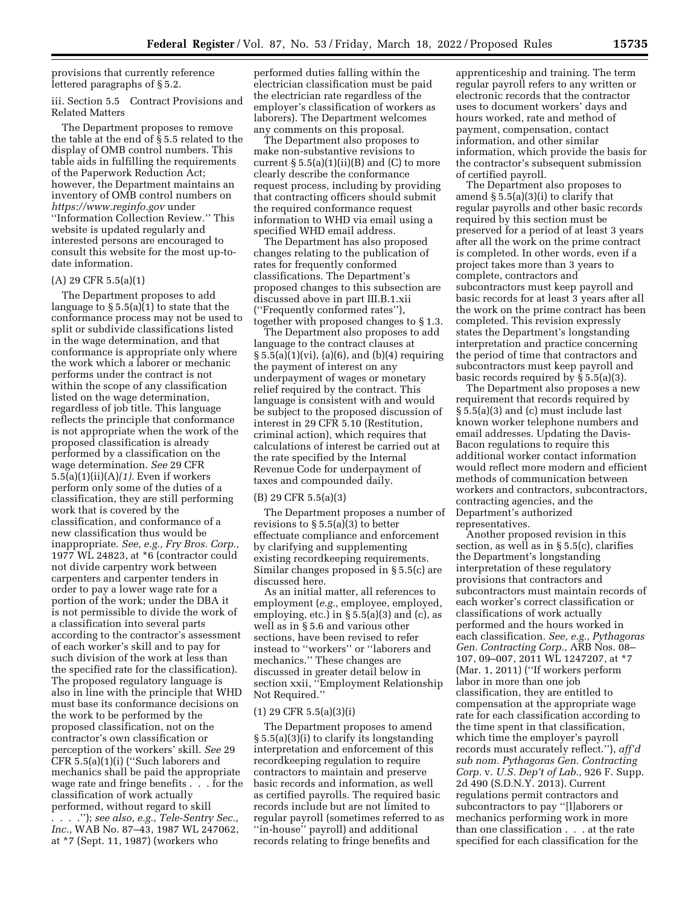provisions that currently reference lettered paragraphs of § 5.2.

iii. Section 5.5 Contract Provisions and Related Matters

The Department proposes to remove the table at the end of § 5.5 related to the display of OMB control numbers. This table aids in fulfilling the requirements of the Paperwork Reduction Act; however, the Department maintains an inventory of OMB control numbers on *<https://www.reginfo.gov>* under ''Information Collection Review.'' This website is updated regularly and interested persons are encouraged to consult this website for the most up-todate information.

## (A) 29 CFR 5.5(a)(1)

The Department proposes to add language to § 5.5(a)(1) to state that the conformance process may not be used to split or subdivide classifications listed in the wage determination, and that conformance is appropriate only where the work which a laborer or mechanic performs under the contract is not within the scope of any classification listed on the wage determination, regardless of job title. This language reflects the principle that conformance is not appropriate when the work of the proposed classification is already performed by a classification on the wage determination. *See* 29 CFR 5.5(a)(1)(ii)(A)*(1).* Even if workers perform only some of the duties of a classification, they are still performing work that is covered by the classification, and conformance of a new classification thus would be inappropriate. *See, e.g., Fry Bros. Corp.,*  1977 WL 24823, at \*6 (contractor could not divide carpentry work between carpenters and carpenter tenders in order to pay a lower wage rate for a portion of the work; under the DBA it is not permissible to divide the work of a classification into several parts according to the contractor's assessment of each worker's skill and to pay for such division of the work at less than the specified rate for the classification). The proposed regulatory language is also in line with the principle that WHD must base its conformance decisions on the work to be performed by the proposed classification, not on the contractor's own classification or perception of the workers' skill. *See* 29 CFR 5.5(a)(1)(i) (''Such laborers and mechanics shall be paid the appropriate wage rate and fringe benefits . . . for the classification of work actually performed, without regard to skill . . . .''); *see also, e.g., Tele-Sentry Sec.,* 

*Inc.,* WAB No. 87–43, 1987 WL 247062, at \*7 (Sept. 11, 1987) (workers who

performed duties falling within the electrician classification must be paid the electrician rate regardless of the employer's classification of workers as laborers). The Department welcomes any comments on this proposal.

The Department also proposes to make non-substantive revisions to current  $\S 5.5(a)(1)(ii)(B)$  and (C) to more clearly describe the conformance request process, including by providing that contracting officers should submit the required conformance request information to WHD via email using a specified WHD email address.

The Department has also proposed changes relating to the publication of rates for frequently conformed classifications. The Department's proposed changes to this subsection are discussed above in part III.B.1.xii (''Frequently conformed rates''), together with proposed changes to § 1.3.

The Department also proposes to add language to the contract clauses at  $\S 5.5(a)(1)(vi)$ ,  $(a)(6)$ , and  $(b)(4)$  requiring the payment of interest on any underpayment of wages or monetary relief required by the contract. This language is consistent with and would be subject to the proposed discussion of interest in 29 CFR 5.10 (Restitution, criminal action), which requires that calculations of interest be carried out at the rate specified by the Internal Revenue Code for underpayment of taxes and compounded daily.

### (B) 29 CFR 5.5(a)(3)

The Department proposes a number of revisions to § 5.5(a)(3) to better effectuate compliance and enforcement by clarifying and supplementing existing recordkeeping requirements. Similar changes proposed in § 5.5(c) are discussed here.

As an initial matter, all references to employment (*e.g.,* employee, employed, employing, etc.) in  $\S 5.5(a)(3)$  and (c), as well as in § 5.6 and various other sections, have been revised to refer instead to ''workers'' or ''laborers and mechanics.'' These changes are discussed in greater detail below in section xxii, ''Employment Relationship Not Required.''

#### $(1)$  29 CFR 5.5(a)(3)(i)

The Department proposes to amend § 5.5(a)(3)(i) to clarify its longstanding interpretation and enforcement of this recordkeeping regulation to require contractors to maintain and preserve basic records and information, as well as certified payrolls. The required basic records include but are not limited to regular payroll (sometimes referred to as ''in-house'' payroll) and additional records relating to fringe benefits and

apprenticeship and training. The term regular payroll refers to any written or electronic records that the contractor uses to document workers' days and hours worked, rate and method of payment, compensation, contact information, and other similar information, which provide the basis for the contractor's subsequent submission of certified payroll.

The Department also proposes to amend  $\S$  5.5(a)(3)(i) to clarify that regular payrolls and other basic records required by this section must be preserved for a period of at least 3 years after all the work on the prime contract is completed. In other words, even if a project takes more than 3 years to complete, contractors and subcontractors must keep payroll and basic records for at least 3 years after all the work on the prime contract has been completed. This revision expressly states the Department's longstanding interpretation and practice concerning the period of time that contractors and subcontractors must keep payroll and basic records required by  $\S$  5.5(a)(3).

The Department also proposes a new requirement that records required by § 5.5(a)(3) and (c) must include last known worker telephone numbers and email addresses. Updating the Davis-Bacon regulations to require this additional worker contact information would reflect more modern and efficient methods of communication between workers and contractors, subcontractors, contracting agencies, and the Department's authorized representatives.

Another proposed revision in this section, as well as in § 5.5(c), clarifies the Department's longstanding interpretation of these regulatory provisions that contractors and subcontractors must maintain records of each worker's correct classification or classifications of work actually performed and the hours worked in each classification. *See, e.g., Pythagoras Gen. Contracting Corp.,* ARB Nos. 08– 107, 09–007, 2011 WL 1247207, at \*7 (Mar. 1, 2011) (''If workers perform labor in more than one job classification, they are entitled to compensation at the appropriate wage rate for each classification according to the time spent in that classification, which time the employer's payroll records must accurately reflect.''), *aff'd sub nom. Pythagoras Gen. Contracting Corp.* v. *U.S. Dep't of Lab.,* 926 F. Supp. 2d 490 (S.D.N.Y. 2013). Current regulations permit contractors and subcontractors to pay ''[l]aborers or mechanics performing work in more than one classification . . . at the rate specified for each classification for the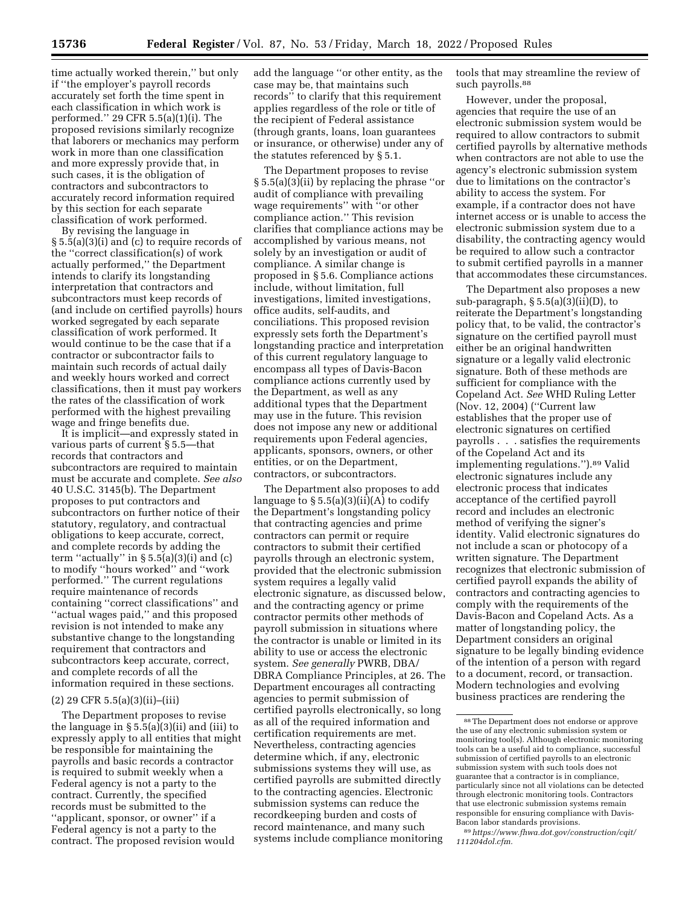time actually worked therein,'' but only if ''the employer's payroll records accurately set forth the time spent in each classification in which work is performed.'' 29 CFR 5.5(a)(1)(i). The proposed revisions similarly recognize that laborers or mechanics may perform work in more than one classification and more expressly provide that, in such cases, it is the obligation of contractors and subcontractors to accurately record information required by this section for each separate classification of work performed.

By revising the language in § 5.5(a)(3)(i) and (c) to require records of the ''correct classification(s) of work actually performed,'' the Department intends to clarify its longstanding interpretation that contractors and subcontractors must keep records of (and include on certified payrolls) hours worked segregated by each separate classification of work performed. It would continue to be the case that if a contractor or subcontractor fails to maintain such records of actual daily and weekly hours worked and correct classifications, then it must pay workers the rates of the classification of work performed with the highest prevailing wage and fringe benefits due.

It is implicit—and expressly stated in various parts of current § 5.5—that records that contractors and subcontractors are required to maintain must be accurate and complete. *See also*  40 U.S.C. 3145(b). The Department proposes to put contractors and subcontractors on further notice of their statutory, regulatory, and contractual obligations to keep accurate, correct, and complete records by adding the term "actually" in  $\S 5.5(a)(3)(i)$  and (c) to modify ''hours worked'' and ''work performed.'' The current regulations require maintenance of records containing ''correct classifications'' and ''actual wages paid,'' and this proposed revision is not intended to make any substantive change to the longstanding requirement that contractors and subcontractors keep accurate, correct, and complete records of all the information required in these sections.

#### (2) 29 CFR 5.5(a)(3)(ii)–(iii)

The Department proposes to revise the language in  $\S 5.5(a)(3)(ii)$  and (iii) to expressly apply to all entities that might be responsible for maintaining the payrolls and basic records a contractor is required to submit weekly when a Federal agency is not a party to the contract. Currently, the specified records must be submitted to the ''applicant, sponsor, or owner'' if a Federal agency is not a party to the contract. The proposed revision would

add the language ''or other entity, as the case may be, that maintains such records'' to clarify that this requirement applies regardless of the role or title of the recipient of Federal assistance (through grants, loans, loan guarantees or insurance, or otherwise) under any of the statutes referenced by § 5.1.

The Department proposes to revise § 5.5(a)(3)(ii) by replacing the phrase ''or audit of compliance with prevailing wage requirements'' with ''or other compliance action.'' This revision clarifies that compliance actions may be accomplished by various means, not solely by an investigation or audit of compliance. A similar change is proposed in § 5.6. Compliance actions include, without limitation, full investigations, limited investigations, office audits, self-audits, and conciliations. This proposed revision expressly sets forth the Department's longstanding practice and interpretation of this current regulatory language to encompass all types of Davis-Bacon compliance actions currently used by the Department, as well as any additional types that the Department may use in the future. This revision does not impose any new or additional requirements upon Federal agencies, applicants, sponsors, owners, or other entities, or on the Department, contractors, or subcontractors.

The Department also proposes to add language to  $\S 5.5(a)(3)(ii)(A)$  to codify the Department's longstanding policy that contracting agencies and prime contractors can permit or require contractors to submit their certified payrolls through an electronic system, provided that the electronic submission system requires a legally valid electronic signature, as discussed below, and the contracting agency or prime contractor permits other methods of payroll submission in situations where the contractor is unable or limited in its ability to use or access the electronic system. *See generally* PWRB, DBA/ DBRA Compliance Principles, at 26. The Department encourages all contracting agencies to permit submission of certified payrolls electronically, so long as all of the required information and certification requirements are met. Nevertheless, contracting agencies determine which, if any, electronic submissions systems they will use, as certified payrolls are submitted directly to the contracting agencies. Electronic submission systems can reduce the recordkeeping burden and costs of record maintenance, and many such systems include compliance monitoring

tools that may streamline the review of such payrolls.<sup>88</sup>

However, under the proposal, agencies that require the use of an electronic submission system would be required to allow contractors to submit certified payrolls by alternative methods when contractors are not able to use the agency's electronic submission system due to limitations on the contractor's ability to access the system. For example, if a contractor does not have internet access or is unable to access the electronic submission system due to a disability, the contracting agency would be required to allow such a contractor to submit certified payrolls in a manner that accommodates these circumstances.

The Department also proposes a new sub-paragraph,  $\S 5.5(a)(3)(ii)(D)$ , to reiterate the Department's longstanding policy that, to be valid, the contractor's signature on the certified payroll must either be an original handwritten signature or a legally valid electronic signature. Both of these methods are sufficient for compliance with the Copeland Act. *See* WHD Ruling Letter (Nov. 12, 2004) (''Current law establishes that the proper use of electronic signatures on certified payrolls . . . satisfies the requirements of the Copeland Act and its implementing regulations.'').89 Valid electronic signatures include any electronic process that indicates acceptance of the certified payroll record and includes an electronic method of verifying the signer's identity. Valid electronic signatures do not include a scan or photocopy of a written signature. The Department recognizes that electronic submission of certified payroll expands the ability of contractors and contracting agencies to comply with the requirements of the Davis-Bacon and Copeland Acts. As a matter of longstanding policy, the Department considers an original signature to be legally binding evidence of the intention of a person with regard to a document, record, or transaction. Modern technologies and evolving business practices are rendering the

<sup>88</sup>The Department does not endorse or approve the use of any electronic submission system or monitoring tool(s). Although electronic monitoring tools can be a useful aid to compliance, successful submission of certified payrolls to an electronic submission system with such tools does not guarantee that a contractor is in compliance, particularly since not all violations can be detected through electronic monitoring tools. Contractors that use electronic submission systems remain responsible for ensuring compliance with Davis-Bacon labor standards provisions.

<sup>89</sup>*[https://www.fhwa.dot.gov/construction/cqit/](https://www.fhwa.dot.gov/construction/cqit/111204dol.cfm) [111204dol.cfm.](https://www.fhwa.dot.gov/construction/cqit/111204dol.cfm)*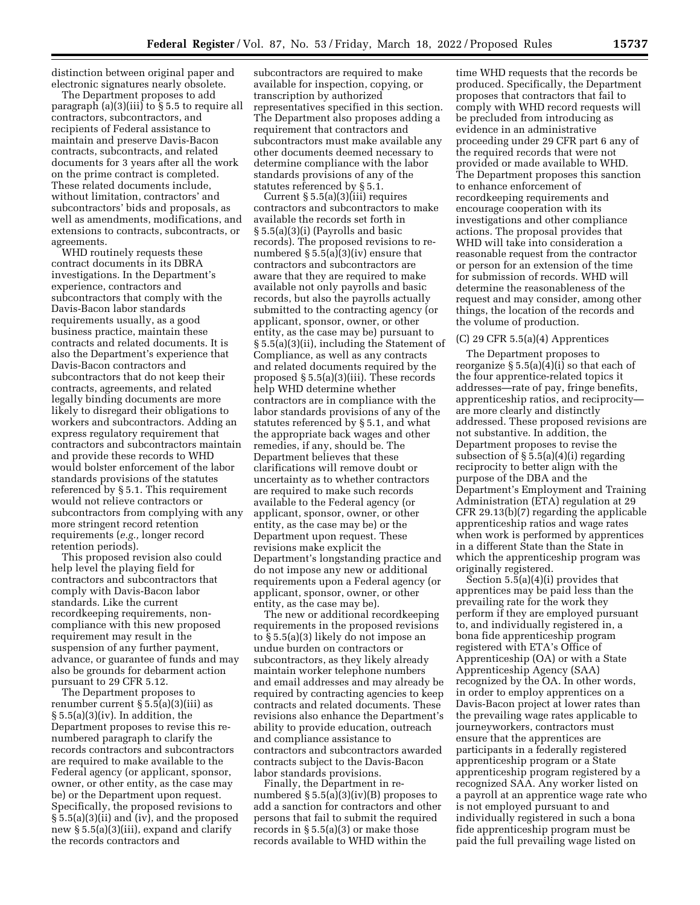distinction between original paper and electronic signatures nearly obsolete.

The Department proposes to add paragraph (a)(3)(iii) to § 5.5 to require all contractors, subcontractors, and recipients of Federal assistance to maintain and preserve Davis-Bacon contracts, subcontracts, and related documents for 3 years after all the work on the prime contract is completed. These related documents include, without limitation, contractors' and subcontractors' bids and proposals, as well as amendments, modifications, and extensions to contracts, subcontracts, or agreements.

WHD routinely requests these contract documents in its DBRA investigations. In the Department's experience, contractors and subcontractors that comply with the Davis-Bacon labor standards requirements usually, as a good business practice, maintain these contracts and related documents. It is also the Department's experience that Davis-Bacon contractors and subcontractors that do not keep their contracts, agreements, and related legally binding documents are more likely to disregard their obligations to workers and subcontractors. Adding an express regulatory requirement that contractors and subcontractors maintain and provide these records to WHD would bolster enforcement of the labor standards provisions of the statutes referenced by § 5.1. This requirement would not relieve contractors or subcontractors from complying with any more stringent record retention requirements (*e.g.,* longer record retention periods).

This proposed revision also could help level the playing field for contractors and subcontractors that comply with Davis-Bacon labor standards. Like the current recordkeeping requirements, noncompliance with this new proposed requirement may result in the suspension of any further payment, advance, or guarantee of funds and may also be grounds for debarment action pursuant to 29 CFR 5.12.

The Department proposes to renumber current § 5.5(a)(3)(iii) as  $\S 5.5(a)(3)(iv)$ . In addition, the Department proposes to revise this renumbered paragraph to clarify the records contractors and subcontractors are required to make available to the Federal agency (or applicant, sponsor, owner, or other entity, as the case may be) or the Department upon request. Specifically, the proposed revisions to § 5.5(a)(3)(ii) and (iv), and the proposed new § 5.5(a)(3)(iii), expand and clarify the records contractors and

subcontractors are required to make available for inspection, copying, or transcription by authorized representatives specified in this section. The Department also proposes adding a requirement that contractors and subcontractors must make available any other documents deemed necessary to determine compliance with the labor standards provisions of any of the statutes referenced by § 5.1.

Current § 5.5(a)(3)(iii) requires contractors and subcontractors to make available the records set forth in § 5.5(a)(3)(i) (Payrolls and basic records). The proposed revisions to renumbered § 5.5(a)(3)(iv) ensure that contractors and subcontractors are aware that they are required to make available not only payrolls and basic records, but also the payrolls actually submitted to the contracting agency (or applicant, sponsor, owner, or other entity, as the case may be) pursuant to § 5.5(a)(3)(ii), including the Statement of Compliance, as well as any contracts and related documents required by the proposed § 5.5(a)(3)(iii). These records help WHD determine whether contractors are in compliance with the labor standards provisions of any of the statutes referenced by § 5.1, and what the appropriate back wages and other remedies, if any, should be. The Department believes that these clarifications will remove doubt or uncertainty as to whether contractors are required to make such records available to the Federal agency (or applicant, sponsor, owner, or other entity, as the case may be) or the Department upon request. These revisions make explicit the Department's longstanding practice and do not impose any new or additional requirements upon a Federal agency (or applicant, sponsor, owner, or other entity, as the case may be).

The new or additional recordkeeping requirements in the proposed revisions to § 5.5(a)(3) likely do not impose an undue burden on contractors or subcontractors, as they likely already maintain worker telephone numbers and email addresses and may already be required by contracting agencies to keep contracts and related documents. These revisions also enhance the Department's ability to provide education, outreach and compliance assistance to contractors and subcontractors awarded contracts subject to the Davis-Bacon labor standards provisions.

Finally, the Department in renumbered § 5.5(a)(3)(iv)(B) proposes to add a sanction for contractors and other persons that fail to submit the required records in § 5.5(a)(3) or make those records available to WHD within the

time WHD requests that the records be produced. Specifically, the Department proposes that contractors that fail to comply with WHD record requests will be precluded from introducing as evidence in an administrative proceeding under 29 CFR part 6 any of the required records that were not provided or made available to WHD. The Department proposes this sanction to enhance enforcement of recordkeeping requirements and encourage cooperation with its investigations and other compliance actions. The proposal provides that WHD will take into consideration a reasonable request from the contractor or person for an extension of the time for submission of records. WHD will determine the reasonableness of the request and may consider, among other things, the location of the records and the volume of production.

# (C) 29 CFR 5.5(a)(4) Apprentices

The Department proposes to reorganize  $\S 5.5(a)(4)(i)$  so that each of the four apprentice-related topics it addresses—rate of pay, fringe benefits, apprenticeship ratios, and reciprocity are more clearly and distinctly addressed. These proposed revisions are not substantive. In addition, the Department proposes to revise the subsection of  $\S 5.5(a)(4)(i)$  regarding reciprocity to better align with the purpose of the DBA and the Department's Employment and Training Administration (ETA) regulation at 29 CFR 29.13(b)(7) regarding the applicable apprenticeship ratios and wage rates when work is performed by apprentices in a different State than the State in which the apprenticeship program was originally registered.

Section 5.5(a)(4)(i) provides that apprentices may be paid less than the prevailing rate for the work they perform if they are employed pursuant to, and individually registered in, a bona fide apprenticeship program registered with ETA's Office of Apprenticeship (OA) or with a State Apprenticeship Agency (SAA) recognized by the OA. In other words, in order to employ apprentices on a Davis-Bacon project at lower rates than the prevailing wage rates applicable to journeyworkers, contractors must ensure that the apprentices are participants in a federally registered apprenticeship program or a State apprenticeship program registered by a recognized SAA. Any worker listed on a payroll at an apprentice wage rate who is not employed pursuant to and individually registered in such a bona fide apprenticeship program must be paid the full prevailing wage listed on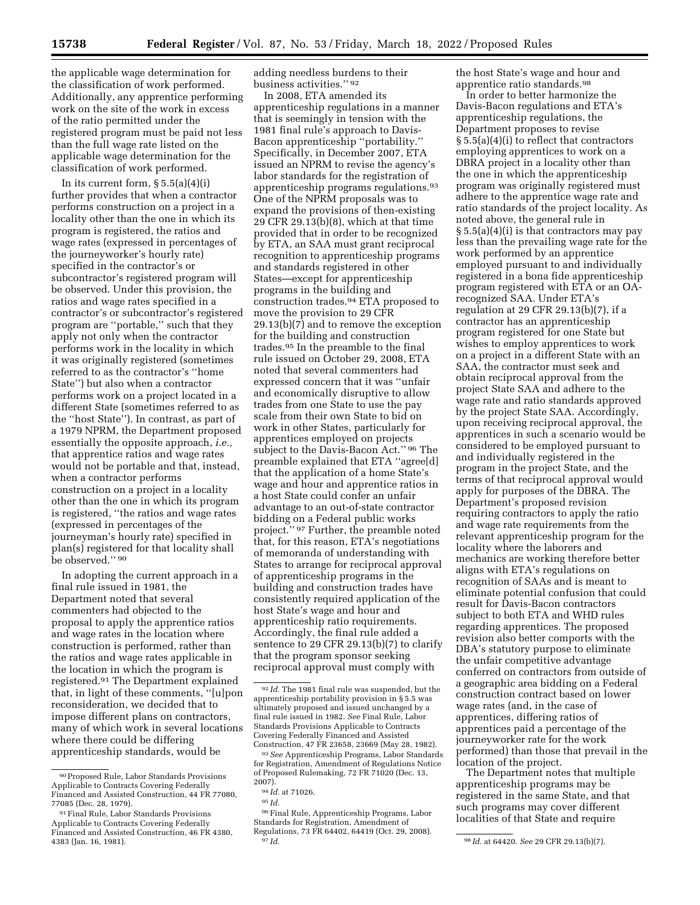the applicable wage determination for the classification of work performed. Additionally, any apprentice performing work on the site of the work in excess of the ratio permitted under the registered program must be paid not less than the full wage rate listed on the applicable wage determination for the classification of work performed.

In its current form,  $\S 5.5(a)(4)(i)$ further provides that when a contractor performs construction on a project in a locality other than the one in which its program is registered, the ratios and wage rates (expressed in percentages of the journeyworker's hourly rate) specified in the contractor's or subcontractor's registered program will be observed. Under this provision, the ratios and wage rates specified in a contractor's or subcontractor's registered program are ''portable,'' such that they apply not only when the contractor performs work in the locality in which it was originally registered (sometimes referred to as the contractor's ''home State'') but also when a contractor performs work on a project located in a different State (sometimes referred to as the ''host State''). In contrast, as part of a 1979 NPRM, the Department proposed essentially the opposite approach, *i.e.,*  that apprentice ratios and wage rates would not be portable and that, instead, when a contractor performs construction on a project in a locality other than the one in which its program is registered, ''the ratios and wage rates (expressed in percentages of the journeyman's hourly rate) specified in plan(s) registered for that locality shall be observed.'' 90

In adopting the current approach in a final rule issued in 1981, the Department noted that several commenters had objected to the proposal to apply the apprentice ratios and wage rates in the location where construction is performed, rather than the ratios and wage rates applicable in the location in which the program is registered.91 The Department explained that, in light of these comments, ''[u]pon reconsideration, we decided that to impose different plans on contractors, many of which work in several locations where there could be differing apprenticeship standards, would be

adding needless burdens to their business activities.'' 92

In 2008, ETA amended its apprenticeship regulations in a manner that is seemingly in tension with the 1981 final rule's approach to Davis-Bacon apprenticeship ''portability.'' Specifically, in December 2007, ETA issued an NPRM to revise the agency's labor standards for the registration of apprenticeship programs regulations.93 One of the NPRM proposals was to expand the provisions of then-existing 29 CFR 29.13(b)(8), which at that time provided that in order to be recognized by ETA, an SAA must grant reciprocal recognition to apprenticeship programs and standards registered in other States—except for apprenticeship programs in the building and construction trades.94 ETA proposed to move the provision to 29 CFR 29.13(b)(7) and to remove the exception for the building and construction trades.95 In the preamble to the final rule issued on October 29, 2008, ETA noted that several commenters had expressed concern that it was ''unfair and economically disruptive to allow trades from one State to use the pay scale from their own State to bid on work in other States, particularly for apprentices employed on projects subject to the Davis-Bacon Act.'' 96 The preamble explained that ETA ''agree[d] that the application of a home State's wage and hour and apprentice ratios in a host State could confer an unfair advantage to an out-of-state contractor bidding on a Federal public works project.'' 97 Further, the preamble noted that, for this reason, ETA's negotiations of memoranda of understanding with States to arrange for reciprocal approval of apprenticeship programs in the building and construction trades have consistently required application of the host State's wage and hour and apprenticeship ratio requirements. Accordingly, the final rule added a sentence to 29 CFR 29.13(b)(7) to clarify that the program sponsor seeking reciprocal approval must comply with

the host State's wage and hour and apprentice ratio standards.98

In order to better harmonize the Davis-Bacon regulations and ETA's apprenticeship regulations, the Department proposes to revise § 5.5(a)(4)(i) to reflect that contractors employing apprentices to work on a DBRA project in a locality other than the one in which the apprenticeship program was originally registered must adhere to the apprentice wage rate and ratio standards of the project locality. As noted above, the general rule in § 5.5(a)(4)(i) is that contractors may pay less than the prevailing wage rate for the work performed by an apprentice employed pursuant to and individually registered in a bona fide apprenticeship program registered with ETA or an OArecognized SAA. Under ETA's regulation at 29 CFR 29.13(b)(7), if a contractor has an apprenticeship program registered for one State but wishes to employ apprentices to work on a project in a different State with an SAA, the contractor must seek and obtain reciprocal approval from the project State SAA and adhere to the wage rate and ratio standards approved by the project State SAA. Accordingly, upon receiving reciprocal approval, the apprentices in such a scenario would be considered to be employed pursuant to and individually registered in the program in the project State, and the terms of that reciprocal approval would apply for purposes of the DBRA. The Department's proposed revision requiring contractors to apply the ratio and wage rate requirements from the relevant apprenticeship program for the locality where the laborers and mechanics are working therefore better aligns with ETA's regulations on recognition of SAAs and is meant to eliminate potential confusion that could result for Davis-Bacon contractors subject to both ETA and WHD rules regarding apprentices. The proposed revision also better comports with the DBA's statutory purpose to eliminate the unfair competitive advantage conferred on contractors from outside of a geographic area bidding on a Federal construction contract based on lower wage rates (and, in the case of apprentices, differing ratios of apprentices paid a percentage of the journeyworker rate for the work performed) than those that prevail in the location of the project.

The Department notes that multiple apprenticeship programs may be registered in the same State, and that such programs may cover different localities of that State and require

<sup>90</sup>Proposed Rule, Labor Standards Provisions Applicable to Contracts Covering Federally Financed and Assisted Construction, 44 FR 77080, 77085 (Dec. 28, 1979).

<sup>91</sup>Final Rule, Labor Standards Provisions Applicable to Contracts Covering Federally Financed and Assisted Construction, 46 FR 4380, 4383 (Jan. 16, 1981).

<sup>92</sup> *Id.* The 1981 final rule was suspended, but the apprenticeship portability provision in § 5.5 was ultimately proposed and issued unchanged by a final rule issued in 1982. *See* Final Rule, Labor Standards Provisions Applicable to Contracts Covering Federally Financed and Assisted Construction, 47 FR 23658, 23669 (May 28, 1982).

<sup>93</sup>*See* Apprenticeship Programs, Labor Standards for Registration, Amendment of Regulations Notice of Proposed Rulemaking, 72 FR 71020 (Dec. 13, 2007).

<sup>94</sup> *Id.* at 71026.

<sup>95</sup> *Id.* 

<sup>96</sup>Final Rule, Apprenticeship Programs, Labor Standards for Registration, Amendment of Regulations, 73 FR 64402, 64419 (Oct. 29, 2008). 97 *Id.* 98 *Id.* at 64420. *See* 29 CFR 29.13(b)(7).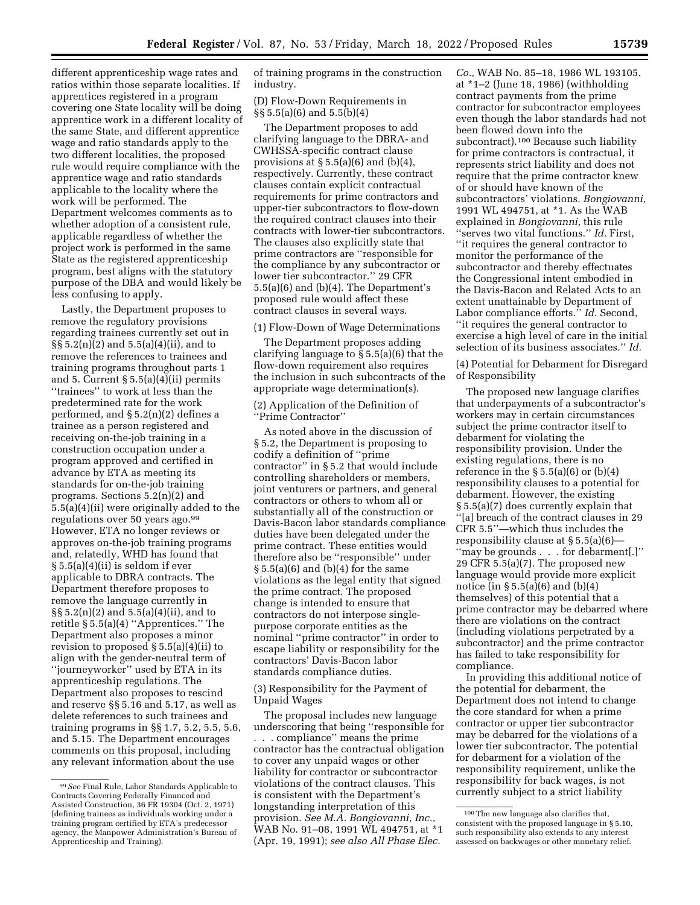different apprenticeship wage rates and ratios within those separate localities. If apprentices registered in a program covering one State locality will be doing apprentice work in a different locality of the same State, and different apprentice wage and ratio standards apply to the two different localities, the proposed rule would require compliance with the apprentice wage and ratio standards applicable to the locality where the work will be performed. The Department welcomes comments as to whether adoption of a consistent rule, applicable regardless of whether the project work is performed in the same State as the registered apprenticeship program, best aligns with the statutory purpose of the DBA and would likely be less confusing to apply.

Lastly, the Department proposes to remove the regulatory provisions regarding trainees currently set out in §§ 5.2(n)(2) and 5.5(a)(4)(ii), and to remove the references to trainees and training programs throughout parts 1 and 5. Current  $\S 5.5(a)(4)(ii)$  permits ''trainees'' to work at less than the predetermined rate for the work performed, and § 5.2(n)(2) defines a trainee as a person registered and receiving on-the-job training in a construction occupation under a program approved and certified in advance by ETA as meeting its standards for on-the-job training programs. Sections 5.2(n)(2) and 5.5(a)(4)(ii) were originally added to the regulations over 50 years ago.99 However, ETA no longer reviews or approves on-the-job training programs and, relatedly, WHD has found that § 5.5(a)(4)(ii) is seldom if ever applicable to DBRA contracts. The Department therefore proposes to remove the language currently in §§ 5.2(n)(2) and 5.5(a)(4)(ii), and to retitle § 5.5(a)(4) ''Apprentices.'' The Department also proposes a minor revision to proposed § 5.5(a)(4)(ii) to align with the gender-neutral term of ''journeyworker'' used by ETA in its apprenticeship regulations. The Department also proposes to rescind and reserve §§ 5.16 and 5.17, as well as delete references to such trainees and training programs in §§ 1.7, 5.2, 5.5, 5.6, and 5.15. The Department encourages comments on this proposal, including any relevant information about the use

of training programs in the construction industry.

(D) Flow-Down Requirements in §§ 5.5(a)(6) and 5.5(b)(4)

The Department proposes to add clarifying language to the DBRA- and CWHSSA-specific contract clause provisions at  $\S 5.5(a)(6)$  and  $(b)(4)$ , respectively. Currently, these contract clauses contain explicit contractual requirements for prime contractors and upper-tier subcontractors to flow-down the required contract clauses into their contracts with lower-tier subcontractors. The clauses also explicitly state that prime contractors are ''responsible for the compliance by any subcontractor or lower tier subcontractor.'' 29 CFR 5.5(a)(6) and (b)(4). The Department's proposed rule would affect these contract clauses in several ways.

#### (1) Flow-Down of Wage Determinations

The Department proposes adding clarifying language to § 5.5(a)(6) that the flow-down requirement also requires the inclusion in such subcontracts of the appropriate wage determination(s).

(2) Application of the Definition of ''Prime Contractor''

As noted above in the discussion of § 5.2, the Department is proposing to codify a definition of ''prime contractor'' in § 5.2 that would include controlling shareholders or members, joint venturers or partners, and general contractors or others to whom all or substantially all of the construction or Davis-Bacon labor standards compliance duties have been delegated under the prime contract. These entities would therefore also be ''responsible'' under  $\S 5.5(a)(6)$  and (b)(4) for the same violations as the legal entity that signed the prime contract. The proposed change is intended to ensure that contractors do not interpose singlepurpose corporate entities as the nominal ''prime contractor'' in order to escape liability or responsibility for the contractors' Davis-Bacon labor standards compliance duties.

(3) Responsibility for the Payment of Unpaid Wages

The proposal includes new language underscoring that being ''responsible for . . . compliance'' means the prime contractor has the contractual obligation to cover any unpaid wages or other liability for contractor or subcontractor violations of the contract clauses. This is consistent with the Department's longstanding interpretation of this provision. *See M.A. Bongiovanni, Inc.,*  WAB No. 91–08, 1991 WL 494751, at \*1 (Apr. 19, 1991); *see also All Phase Elec.* 

*Co.,* WAB No. 85–18, 1986 WL 193105, at \*1–2 (June 18, 1986) (withholding contract payments from the prime contractor for subcontractor employees even though the labor standards had not been flowed down into the subcontract).100 Because such liability for prime contractors is contractual, it represents strict liability and does not require that the prime contractor knew of or should have known of the subcontractors' violations. *Bongiovanni,*  1991 WL 494751, at \*1. As the WAB explained in *Bongiovanni,* this rule ''serves two vital functions.'' *Id.* First, ''it requires the general contractor to monitor the performance of the subcontractor and thereby effectuates the Congressional intent embodied in the Davis-Bacon and Related Acts to an extent unattainable by Department of Labor compliance efforts.'' *Id.* Second, ''it requires the general contractor to exercise a high level of care in the initial selection of its business associates.'' *Id.* 

(4) Potential for Debarment for Disregard of Responsibility

The proposed new language clarifies that underpayments of a subcontractor's workers may in certain circumstances subject the prime contractor itself to debarment for violating the responsibility provision. Under the existing regulations, there is no reference in the  $\S 5.5(a)(6)$  or  $(b)(4)$ responsibility clauses to a potential for debarment. However, the existing § 5.5(a)(7) does currently explain that ''[a] breach of the contract clauses in 29 CFR 5.5''—which thus includes the responsibility clause at § 5.5(a)(6)— ''may be grounds . . . for debarment[.]'' 29 CFR 5.5(a)(7). The proposed new language would provide more explicit notice (in  $\S 5.5(a)(6)$  and  $(b)(4)$ themselves) of this potential that a prime contractor may be debarred where there are violations on the contract (including violations perpetrated by a subcontractor) and the prime contractor has failed to take responsibility for compliance.

In providing this additional notice of the potential for debarment, the Department does not intend to change the core standard for when a prime contractor or upper tier subcontractor may be debarred for the violations of a lower tier subcontractor. The potential for debarment for a violation of the responsibility requirement, unlike the responsibility for back wages, is not currently subject to a strict liability

<sup>99</sup>*See* Final Rule, Labor Standards Applicable to Contracts Covering Federally Financed and Assisted Construction, 36 FR 19304 (Oct. 2, 1971) (defining trainees as individuals working under a training program certified by ETA's predecessor agency, the Manpower Administration's Bureau of Apprenticeship and Training).

<sup>100</sup>The new language also clarifies that, consistent with the proposed language in § 5.10, such responsibility also extends to any interest assessed on backwages or other monetary relief.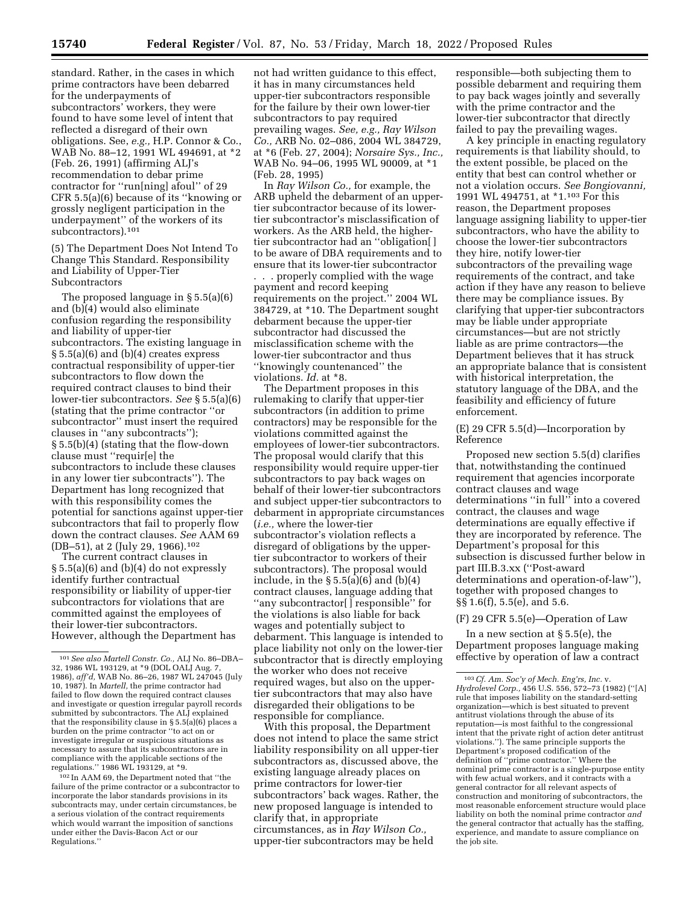standard. Rather, in the cases in which prime contractors have been debarred for the underpayments of subcontractors' workers, they were found to have some level of intent that reflected a disregard of their own obligations. See, *e.g.,* H.P. Connor & Co., WAB No. 88–12, 1991 WL 494691, at \*2 (Feb. 26, 1991) (affirming ALJ's recommendation to debar prime contractor for ''run[ning] afoul'' of 29 CFR 5.5(a)(6) because of its ''knowing or grossly negligent participation in the underpayment'' of the workers of its subcontractors).101

(5) The Department Does Not Intend To Change This Standard. Responsibility and Liability of Upper-Tier Subcontractors

The proposed language in § 5.5(a)(6) and (b)(4) would also eliminate confusion regarding the responsibility and liability of upper-tier subcontractors. The existing language in  $§ 5.5(a)(6)$  and  $(b)(4)$  creates express contractual responsibility of upper-tier subcontractors to flow down the required contract clauses to bind their lower-tier subcontractors. *See* § 5.5(a)(6) (stating that the prime contractor ''or subcontractor'' must insert the required clauses in ''any subcontracts''); § 5.5(b)(4) (stating that the flow-down clause must ''requir[e] the subcontractors to include these clauses in any lower tier subcontracts''). The Department has long recognized that with this responsibility comes the potential for sanctions against upper-tier subcontractors that fail to properly flow down the contract clauses. *See* AAM 69 (DB–51), at 2 (July 29, 1966).102

The current contract clauses in § 5.5(a)(6) and (b)(4) do not expressly identify further contractual responsibility or liability of upper-tier subcontractors for violations that are committed against the employees of their lower-tier subcontractors. However, although the Department has

102 In AAM 69, the Department noted that ''the failure of the prime contractor or a subcontractor to incorporate the labor standards provisions in its subcontracts may, under certain circumstances, be a serious violation of the contract requirements which would warrant the imposition of sanctions under either the Davis-Bacon Act or our Regulations.''

not had written guidance to this effect, it has in many circumstances held upper-tier subcontractors responsible for the failure by their own lower-tier subcontractors to pay required prevailing wages. *See, e.g., Ray Wilson Co.,* ARB No. 02–086, 2004 WL 384729, at \*6 (Feb. 27, 2004); *Norsaire Sys., Inc.,*  WAB No. 94–06, 1995 WL 90009, at \*1 (Feb. 28, 1995)

In *Ray Wilson Co.,* for example, the ARB upheld the debarment of an uppertier subcontractor because of its lowertier subcontractor's misclassification of workers. As the ARB held, the highertier subcontractor had an ''obligation[ ] to be aware of DBA requirements and to ensure that its lower-tier subcontractor . . . properly complied with the wage payment and record keeping requirements on the project.'' 2004 WL 384729, at \*10. The Department sought debarment because the upper-tier subcontractor had discussed the misclassification scheme with the lower-tier subcontractor and thus ''knowingly countenanced'' the violations. *Id.* at \*8.

The Department proposes in this rulemaking to clarify that upper-tier subcontractors (in addition to prime contractors) may be responsible for the violations committed against the employees of lower-tier subcontractors. The proposal would clarify that this responsibility would require upper-tier subcontractors to pay back wages on behalf of their lower-tier subcontractors and subject upper-tier subcontractors to debarment in appropriate circumstances (*i.e.,* where the lower-tier subcontractor's violation reflects a disregard of obligations by the uppertier subcontractor to workers of their subcontractors). The proposal would include, in the  $\S 5.5(a)(6)$  and  $(b)(4)$ contract clauses, language adding that ''any subcontractor[ ] responsible'' for the violations is also liable for back wages and potentially subject to debarment. This language is intended to place liability not only on the lower-tier subcontractor that is directly employing the worker who does not receive required wages, but also on the uppertier subcontractors that may also have disregarded their obligations to be responsible for compliance.

With this proposal, the Department does not intend to place the same strict liability responsibility on all upper-tier subcontractors as, discussed above, the existing language already places on prime contractors for lower-tier subcontractors' back wages. Rather, the new proposed language is intended to clarify that, in appropriate circumstances, as in *Ray Wilson Co.,*  upper-tier subcontractors may be held

responsible—both subjecting them to possible debarment and requiring them to pay back wages jointly and severally with the prime contractor and the lower-tier subcontractor that directly failed to pay the prevailing wages.

A key principle in enacting regulatory requirements is that liability should, to the extent possible, be placed on the entity that best can control whether or not a violation occurs. *See Bongiovanni,*  1991 WL 494751, at \*1.103 For this reason, the Department proposes language assigning liability to upper-tier subcontractors, who have the ability to choose the lower-tier subcontractors they hire, notify lower-tier subcontractors of the prevailing wage requirements of the contract, and take action if they have any reason to believe there may be compliance issues. By clarifying that upper-tier subcontractors may be liable under appropriate circumstances—but are not strictly liable as are prime contractors—the Department believes that it has struck an appropriate balance that is consistent with historical interpretation, the statutory language of the DBA, and the feasibility and efficiency of future enforcement.

(E) 29 CFR 5.5(d)—Incorporation by Reference

Proposed new section 5.5(d) clarifies that, notwithstanding the continued requirement that agencies incorporate contract clauses and wage determinations ''in full'' into a covered contract, the clauses and wage determinations are equally effective if they are incorporated by reference. The Department's proposal for this subsection is discussed further below in part III.B.3.xx (''Post-award determinations and operation-of-law''), together with proposed changes to §§ 1.6(f), 5.5(e), and 5.6.

(F) 29 CFR 5.5(e)—Operation of Law

In a new section at  $\S 5.5(e)$ , the Department proposes language making effective by operation of law a contract

<sup>101</sup>*See also Martell Constr. Co.,* ALJ No. 86–DBA– 32, 1986 WL 193129, at \*9 (DOL OALJ Aug. 7, 1986), *aff'd,* WAB No. 86–26, 1987 WL 247045 (July 10, 1987). In *Martell,* the prime contractor had failed to flow down the required contract clauses and investigate or question irregular payroll records submitted by subcontractors. The ALJ explained that the responsibility clause in § 5.5(a)(6) places a burden on the prime contractor ''to act on or investigate irregular or suspicious situations as necessary to assure that its subcontractors are in compliance with the applicable sections of the regulations.'' 1986 WL 193129, at \*9.

<sup>103</sup>*Cf. Am. Soc'y of Mech. Eng'rs, Inc.* v. *Hydrolevel Corp.,* 456 U.S. 556, 572–73 (1982) (''[A] rule that imposes liability on the standard-setting organization—which is best situated to prevent antitrust violations through the abuse of its reputation—is most faithful to the congressional intent that the private right of action deter antitrust violations.''). The same principle supports the Department's proposed codification of the definition of ''prime contractor.'' Where the nominal prime contractor is a single-purpose entity with few actual workers, and it contracts with a general contractor for all relevant aspects of construction and monitoring of subcontractors, the most reasonable enforcement structure would place liability on both the nominal prime contractor *and*  the general contractor that actually has the staffing, experience, and mandate to assure compliance on the job site.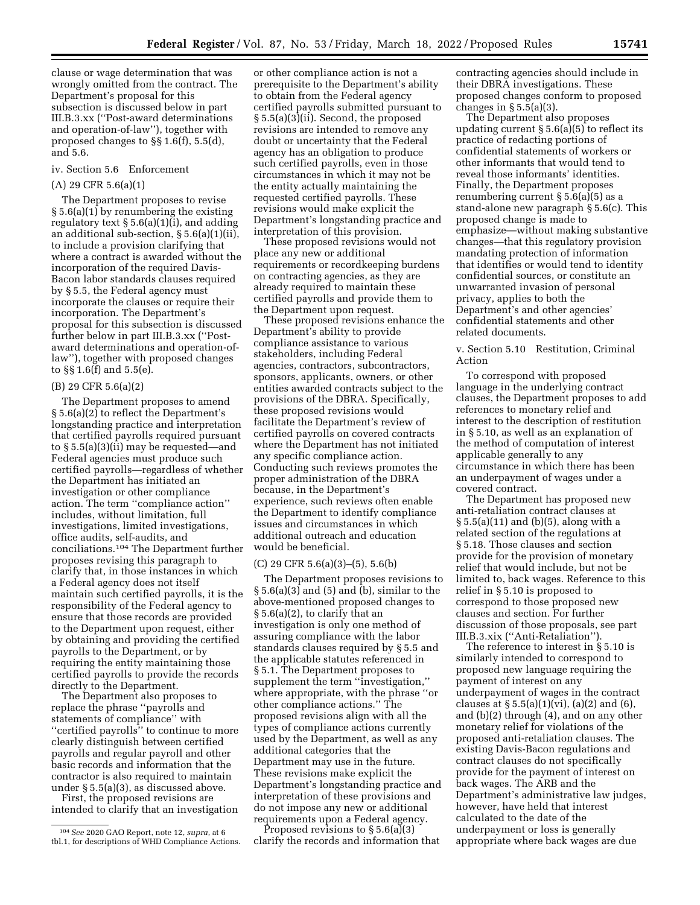clause or wage determination that was wrongly omitted from the contract. The Department's proposal for this subsection is discussed below in part III.B.3.xx (''Post-award determinations and operation-of-law''), together with proposed changes to §§ 1.6(f), 5.5(d), and 5.6.

# iv. Section 5.6 Enforcement

# (A) 29 CFR 5.6(a)(1)

The Department proposes to revise § 5.6(a)(1) by renumbering the existing regulatory text  $\S 5.6(a)(1)(i)$ , and adding an additional sub-section, § 5.6(a)(1)(ii), to include a provision clarifying that where a contract is awarded without the incorporation of the required Davis-Bacon labor standards clauses required by § 5.5, the Federal agency must incorporate the clauses or require their incorporation. The Department's proposal for this subsection is discussed further below in part III.B.3.xx (''Postaward determinations and operation-oflaw''), together with proposed changes to §§ 1.6(f) and 5.5(e).

## (B) 29 CFR 5.6(a)(2)

The Department proposes to amend § 5.6(a)(2) to reflect the Department's longstanding practice and interpretation that certified payrolls required pursuant to § 5.5(a)(3)(ii) may be requested—and Federal agencies must produce such certified payrolls—regardless of whether the Department has initiated an investigation or other compliance action. The term ''compliance action'' includes, without limitation, full investigations, limited investigations, office audits, self-audits, and conciliations.104 The Department further proposes revising this paragraph to clarify that, in those instances in which a Federal agency does not itself maintain such certified payrolls, it is the responsibility of the Federal agency to ensure that those records are provided to the Department upon request, either by obtaining and providing the certified payrolls to the Department, or by requiring the entity maintaining those certified payrolls to provide the records directly to the Department.

The Department also proposes to replace the phrase ''payrolls and statements of compliance'' with ''certified payrolls'' to continue to more clearly distinguish between certified payrolls and regular payroll and other basic records and information that the contractor is also required to maintain under § 5.5(a)(3), as discussed above.

First, the proposed revisions are intended to clarify that an investigation

or other compliance action is not a prerequisite to the Department's ability to obtain from the Federal agency certified payrolls submitted pursuant to § 5.5(a)(3)(ii). Second, the proposed revisions are intended to remove any doubt or uncertainty that the Federal agency has an obligation to produce such certified payrolls, even in those circumstances in which it may not be the entity actually maintaining the requested certified payrolls. These revisions would make explicit the Department's longstanding practice and interpretation of this provision.

These proposed revisions would not place any new or additional requirements or recordkeeping burdens on contracting agencies, as they are already required to maintain these certified payrolls and provide them to the Department upon request.

These proposed revisions enhance the Department's ability to provide compliance assistance to various stakeholders, including Federal agencies, contractors, subcontractors, sponsors, applicants, owners, or other entities awarded contracts subject to the provisions of the DBRA. Specifically, these proposed revisions would facilitate the Department's review of certified payrolls on covered contracts where the Department has not initiated any specific compliance action. Conducting such reviews promotes the proper administration of the DBRA because, in the Department's experience, such reviews often enable the Department to identify compliance issues and circumstances in which additional outreach and education would be beneficial.

#### (C) 29 CFR 5.6(a)(3)–(5), 5.6(b)

The Department proposes revisions to  $\S 5.6(a)(3)$  and  $(5)$  and  $(b)$ , similar to the above-mentioned proposed changes to § 5.6(a)(2), to clarify that an investigation is only one method of assuring compliance with the labor standards clauses required by § 5.5 and the applicable statutes referenced in § 5.1. The Department proposes to supplement the term "investigation," where appropriate, with the phrase ''or other compliance actions.'' The proposed revisions align with all the types of compliance actions currently used by the Department, as well as any additional categories that the Department may use in the future. These revisions make explicit the Department's longstanding practice and interpretation of these provisions and do not impose any new or additional requirements upon a Federal agency.

Proposed revisions to  $\S 5.6(a)(3)$ clarify the records and information that contracting agencies should include in their DBRA investigations. These proposed changes conform to proposed changes in  $\S 5.5(a)(3)$ .

The Department also proposes updating current § 5.6(a)(5) to reflect its practice of redacting portions of confidential statements of workers or other informants that would tend to reveal those informants' identities. Finally, the Department proposes renumbering current § 5.6(a)(5) as a stand-alone new paragraph § 5.6(c). This proposed change is made to emphasize—without making substantive changes—that this regulatory provision mandating protection of information that identifies or would tend to identity confidential sources, or constitute an unwarranted invasion of personal privacy, applies to both the Department's and other agencies' confidential statements and other related documents.

v. Section 5.10 Restitution, Criminal Action

To correspond with proposed language in the underlying contract clauses, the Department proposes to add references to monetary relief and interest to the description of restitution in § 5.10, as well as an explanation of the method of computation of interest applicable generally to any circumstance in which there has been an underpayment of wages under a covered contract.

The Department has proposed new anti-retaliation contract clauses at § 5.5(a)(11) and (b)(5), along with a related section of the regulations at § 5.18. Those clauses and section provide for the provision of monetary relief that would include, but not be limited to, back wages. Reference to this relief in § 5.10 is proposed to correspond to those proposed new clauses and section. For further discussion of those proposals, see part III.B.3.xix (''Anti-Retaliation'').

The reference to interest in § 5.10 is similarly intended to correspond to proposed new language requiring the payment of interest on any underpayment of wages in the contract clauses at  $\S 5.5(a)(1)(vi)$ ,  $(a)(2)$  and  $(6)$ , and (b)(2) through (4), and on any other monetary relief for violations of the proposed anti-retaliation clauses. The existing Davis-Bacon regulations and contract clauses do not specifically provide for the payment of interest on back wages. The ARB and the Department's administrative law judges, however, have held that interest calculated to the date of the underpayment or loss is generally appropriate where back wages are due

<sup>104</sup>*See* 2020 GAO Report, note 12, *supra,* at 6 tbl.1, for descriptions of WHD Compliance Actions.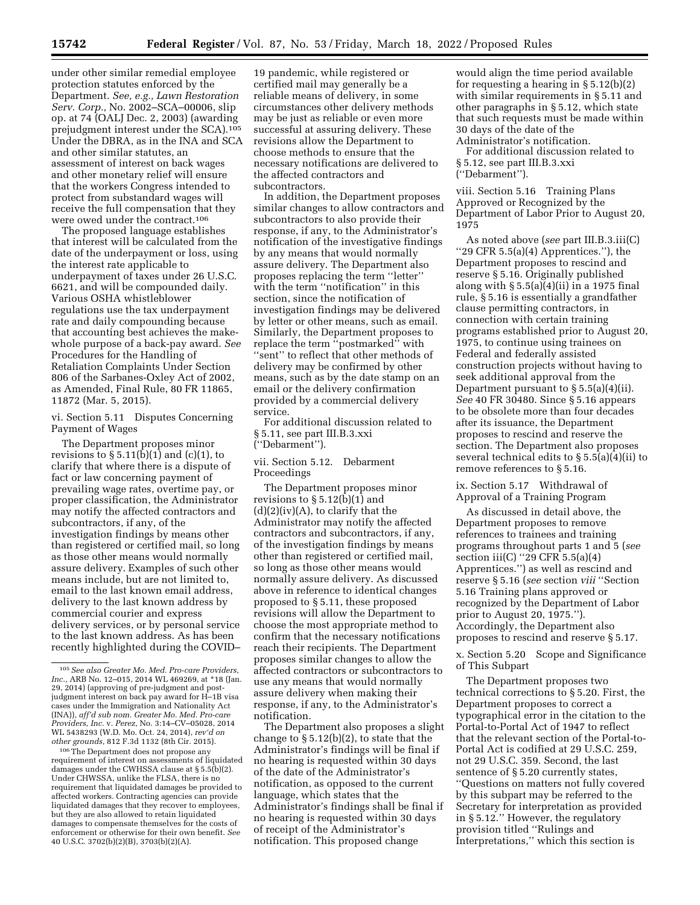under other similar remedial employee protection statutes enforced by the Department. *See, e.g., Lawn Restoration Serv. Corp.,* No. 2002–SCA–00006, slip op. at 74 (OALJ Dec. 2, 2003) (awarding prejudgment interest under the SCA).105 Under the DBRA, as in the INA and SCA and other similar statutes, an assessment of interest on back wages and other monetary relief will ensure that the workers Congress intended to protect from substandard wages will receive the full compensation that they were owed under the contract.106

The proposed language establishes that interest will be calculated from the date of the underpayment or loss, using the interest rate applicable to underpayment of taxes under 26 U.S.C. 6621, and will be compounded daily. Various OSHA whistleblower regulations use the tax underpayment rate and daily compounding because that accounting best achieves the makewhole purpose of a back-pay award. *See*  Procedures for the Handling of Retaliation Complaints Under Section 806 of the Sarbanes-Oxley Act of 2002, as Amended, Final Rule, 80 FR 11865, 11872 (Mar. 5, 2015).

vi. Section 5.11 Disputes Concerning Payment of Wages

The Department proposes minor revisions to  $\S 5.11(b)(1)$  and  $(c)(1)$ , to clarify that where there is a dispute of fact or law concerning payment of prevailing wage rates, overtime pay, or proper classification, the Administrator may notify the affected contractors and subcontractors, if any, of the investigation findings by means other than registered or certified mail, so long as those other means would normally assure delivery. Examples of such other means include, but are not limited to, email to the last known email address, delivery to the last known address by commercial courier and express delivery services, or by personal service to the last known address. As has been recently highlighted during the COVID–

106The Department does not propose any requirement of interest on assessments of liquidated damages under the CWHSSA clause at § 5.5(b)(2). Under CHWSSA, unlike the FLSA, there is no requirement that liquidated damages be provided to affected workers. Contracting agencies can provide liquidated damages that they recover to employees, but they are also allowed to retain liquidated damages to compensate themselves for the costs of enforcement or otherwise for their own benefit. *See*  40 U.S.C. 3702(b)(2)(B), 3703(b)(2)(A).

19 pandemic, while registered or certified mail may generally be a reliable means of delivery, in some circumstances other delivery methods may be just as reliable or even more successful at assuring delivery. These revisions allow the Department to choose methods to ensure that the necessary notifications are delivered to the affected contractors and subcontractors.

In addition, the Department proposes similar changes to allow contractors and subcontractors to also provide their response, if any, to the Administrator's notification of the investigative findings by any means that would normally assure delivery. The Department also proposes replacing the term ''letter'' with the term ''notification'' in this section, since the notification of investigation findings may be delivered by letter or other means, such as email. Similarly, the Department proposes to replace the term ''postmarked'' with ''sent'' to reflect that other methods of delivery may be confirmed by other means, such as by the date stamp on an email or the delivery confirmation provided by a commercial delivery service.

For additional discussion related to § 5.11, see part III.B.3.xxi (''Debarment'').

vii. Section 5.12. Debarment Proceedings

The Department proposes minor revisions to § 5.12(b)(1) and  $(d)(2)(iv)(A)$ , to clarify that the Administrator may notify the affected contractors and subcontractors, if any, of the investigation findings by means other than registered or certified mail, so long as those other means would normally assure delivery. As discussed above in reference to identical changes proposed to § 5.11, these proposed revisions will allow the Department to choose the most appropriate method to confirm that the necessary notifications reach their recipients. The Department proposes similar changes to allow the affected contractors or subcontractors to use any means that would normally assure delivery when making their response, if any, to the Administrator's notification.

The Department also proposes a slight change to § 5.12(b)(2), to state that the Administrator's findings will be final if no hearing is requested within 30 days of the date of the Administrator's notification, as opposed to the current language, which states that the Administrator's findings shall be final if no hearing is requested within 30 days of receipt of the Administrator's notification. This proposed change

would align the time period available for requesting a hearing in § 5.12(b)(2) with similar requirements in § 5.11 and other paragraphs in § 5.12, which state that such requests must be made within 30 days of the date of the Administrator's notification.

For additional discussion related to § 5.12, see part III.B.3.xxi (''Debarment'').

viii. Section 5.16 Training Plans Approved or Recognized by the Department of Labor Prior to August 20, 1975

As noted above (*see* part III.B.3.iii(C) ''29 CFR 5.5(a)(4) Apprentices.''), the Department proposes to rescind and reserve § 5.16. Originally published along with  $\S 5.5(a)(4)(ii)$  in a 1975 final rule, § 5.16 is essentially a grandfather clause permitting contractors, in connection with certain training programs established prior to August 20, 1975, to continue using trainees on Federal and federally assisted construction projects without having to seek additional approval from the Department pursuant to  $\S 5.5(a)(4)(ii)$ . *See* 40 FR 30480. Since § 5.16 appears to be obsolete more than four decades after its issuance, the Department proposes to rescind and reserve the section. The Department also proposes several technical edits to § 5.5(a)(4)(ii) to remove references to § 5.16.

ix. Section 5.17 Withdrawal of Approval of a Training Program

As discussed in detail above, the Department proposes to remove references to trainees and training programs throughout parts 1 and 5 (*see*  section iii(C) ''29 CFR 5.5(a)(4) Apprentices.'') as well as rescind and reserve § 5.16 (*see* section *viii* ''Section 5.16 Training plans approved or recognized by the Department of Labor prior to August 20, 1975.''). Accordingly, the Department also proposes to rescind and reserve § 5.17.

x. Section 5.20 Scope and Significance of This Subpart

The Department proposes two technical corrections to § 5.20. First, the Department proposes to correct a typographical error in the citation to the Portal-to-Portal Act of 1947 to reflect that the relevant section of the Portal-to-Portal Act is codified at 29 U.S.C. 259, not 29 U.S.C. 359. Second, the last sentence of § 5.20 currently states, ''Questions on matters not fully covered by this subpart may be referred to the Secretary for interpretation as provided in § 5.12.'' However, the regulatory provision titled ''Rulings and Interpretations,'' which this section is

<sup>105</sup>*See also Greater Mo. Med. Pro-care Providers, Inc.,* ARB No. 12–015, 2014 WL 469269, at \*18 (Jan. 29, 2014) (approving of pre-judgment and postjudgment interest on back pay award for H–1B visa cases under the Immigration and Nationality Act (INA)), *aff'd sub nom. Greater Mo. Med. Pro-care Providers, Inc.* v. *Perez,* No. 3:14–CV–05028, 2014 WL 5438293 (W.D. Mo. Oct. 24, 2014), *rev'd on other grounds,* 812 F.3d 1132 (8th Cir. 2015).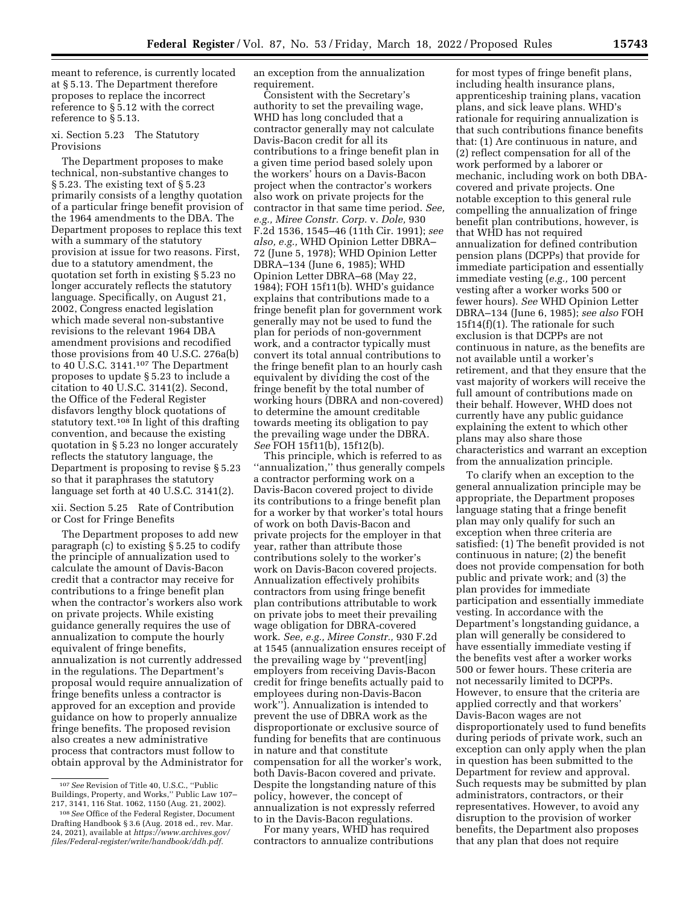meant to reference, is currently located at § 5.13. The Department therefore proposes to replace the incorrect reference to § 5.12 with the correct reference to § 5.13.

## xi. Section 5.23 The Statutory Provisions

The Department proposes to make technical, non-substantive changes to § 5.23. The existing text of § 5.23 primarily consists of a lengthy quotation of a particular fringe benefit provision of the 1964 amendments to the DBA. The Department proposes to replace this text with a summary of the statutory provision at issue for two reasons. First, due to a statutory amendment, the quotation set forth in existing § 5.23 no longer accurately reflects the statutory language. Specifically, on August 21, 2002, Congress enacted legislation which made several non-substantive revisions to the relevant 1964 DBA amendment provisions and recodified those provisions from 40 U.S.C. 276a(b) to 40  $\overline{U}$ .S.C. 3141.<sup>107</sup> The Department proposes to update § 5.23 to include a citation to 40 U.S.C. 3141(2). Second, the Office of the Federal Register disfavors lengthy block quotations of statutory text.<sup>108</sup> In light of this drafting convention, and because the existing quotation in § 5.23 no longer accurately reflects the statutory language, the Department is proposing to revise § 5.23 so that it paraphrases the statutory language set forth at 40 U.S.C. 3141(2).

# xii. Section 5.25 Rate of Contribution or Cost for Fringe Benefits

The Department proposes to add new paragraph (c) to existing § 5.25 to codify the principle of annualization used to calculate the amount of Davis-Bacon credit that a contractor may receive for contributions to a fringe benefit plan when the contractor's workers also work on private projects. While existing guidance generally requires the use of annualization to compute the hourly equivalent of fringe benefits, annualization is not currently addressed in the regulations. The Department's proposal would require annualization of fringe benefits unless a contractor is approved for an exception and provide guidance on how to properly annualize fringe benefits. The proposed revision also creates a new administrative process that contractors must follow to obtain approval by the Administrator for

an exception from the annualization requirement.

Consistent with the Secretary's authority to set the prevailing wage, WHD has long concluded that a contractor generally may not calculate Davis-Bacon credit for all its contributions to a fringe benefit plan in a given time period based solely upon the workers' hours on a Davis-Bacon project when the contractor's workers also work on private projects for the contractor in that same time period. *See, e.g., Miree Constr. Corp.* v. *Dole,* 930 F.2d 1536, 1545–46 (11th Cir. 1991); *see also, e.g.,* WHD Opinion Letter DBRA– 72 (June 5, 1978); WHD Opinion Letter DBRA–134 (June 6, 1985); WHD Opinion Letter DBRA–68 (May 22, 1984); FOH 15f11(b). WHD's guidance explains that contributions made to a fringe benefit plan for government work generally may not be used to fund the plan for periods of non-government work, and a contractor typically must convert its total annual contributions to the fringe benefit plan to an hourly cash equivalent by dividing the cost of the fringe benefit by the total number of working hours (DBRA and non-covered) to determine the amount creditable towards meeting its obligation to pay the prevailing wage under the DBRA. *See* FOH 15f11(b), 15f12(b).

This principle, which is referred to as ''annualization,'' thus generally compels a contractor performing work on a Davis-Bacon covered project to divide its contributions to a fringe benefit plan for a worker by that worker's total hours of work on both Davis-Bacon and private projects for the employer in that year, rather than attribute those contributions solely to the worker's work on Davis-Bacon covered projects. Annualization effectively prohibits contractors from using fringe benefit plan contributions attributable to work on private jobs to meet their prevailing wage obligation for DBRA-covered work. *See, e.g., Miree Constr.,* 930 F.2d at 1545 (annualization ensures receipt of the prevailing wage by ''prevent[ing] employers from receiving Davis-Bacon credit for fringe benefits actually paid to employees during non-Davis-Bacon work''). Annualization is intended to prevent the use of DBRA work as the disproportionate or exclusive source of funding for benefits that are continuous in nature and that constitute compensation for all the worker's work, both Davis-Bacon covered and private. Despite the longstanding nature of this policy, however, the concept of annualization is not expressly referred to in the Davis-Bacon regulations.

For many years, WHD has required contractors to annualize contributions

for most types of fringe benefit plans, including health insurance plans, apprenticeship training plans, vacation plans, and sick leave plans. WHD's rationale for requiring annualization is that such contributions finance benefits that: (1) Are continuous in nature, and (2) reflect compensation for all of the work performed by a laborer or mechanic, including work on both DBAcovered and private projects. One notable exception to this general rule compelling the annualization of fringe benefit plan contributions, however, is that WHD has not required annualization for defined contribution pension plans (DCPPs) that provide for immediate participation and essentially immediate vesting (*e.g.,* 100 percent vesting after a worker works 500 or fewer hours). *See* WHD Opinion Letter DBRA–134 (June 6, 1985); *see also* FOH 15f14(f)(1). The rationale for such exclusion is that DCPPs are not continuous in nature, as the benefits are not available until a worker's retirement, and that they ensure that the vast majority of workers will receive the full amount of contributions made on their behalf. However, WHD does not currently have any public guidance explaining the extent to which other plans may also share those characteristics and warrant an exception from the annualization principle.

To clarify when an exception to the general annualization principle may be appropriate, the Department proposes language stating that a fringe benefit plan may only qualify for such an exception when three criteria are satisfied: (1) The benefit provided is not continuous in nature; (2) the benefit does not provide compensation for both public and private work; and (3) the plan provides for immediate participation and essentially immediate vesting. In accordance with the Department's longstanding guidance, a plan will generally be considered to have essentially immediate vesting if the benefits vest after a worker works 500 or fewer hours. These criteria are not necessarily limited to DCPPs. However, to ensure that the criteria are applied correctly and that workers' Davis-Bacon wages are not disproportionately used to fund benefits during periods of private work, such an exception can only apply when the plan in question has been submitted to the Department for review and approval. Such requests may be submitted by plan administrators, contractors, or their representatives. However, to avoid any disruption to the provision of worker benefits, the Department also proposes that any plan that does not require

<sup>107</sup>*See* Revision of Title 40, U.S.C., ''Public Buildings, Property, and Works,'' Public Law 107– 217, 3141, 116 Stat. 1062, 1150 (Aug. 21, 2002).

<sup>108</sup>*See* Office of the Federal Register, Document Drafting Handbook § 3.6 (Aug. 2018 ed., rev. Mar. 24, 2021), available at *[https://www.archives.gov/](https://www.archives.gov/files/Federal-register/write/handbook/ddh.pdf) [files/Federal-register/write/handbook/ddh.pdf.](https://www.archives.gov/files/Federal-register/write/handbook/ddh.pdf)*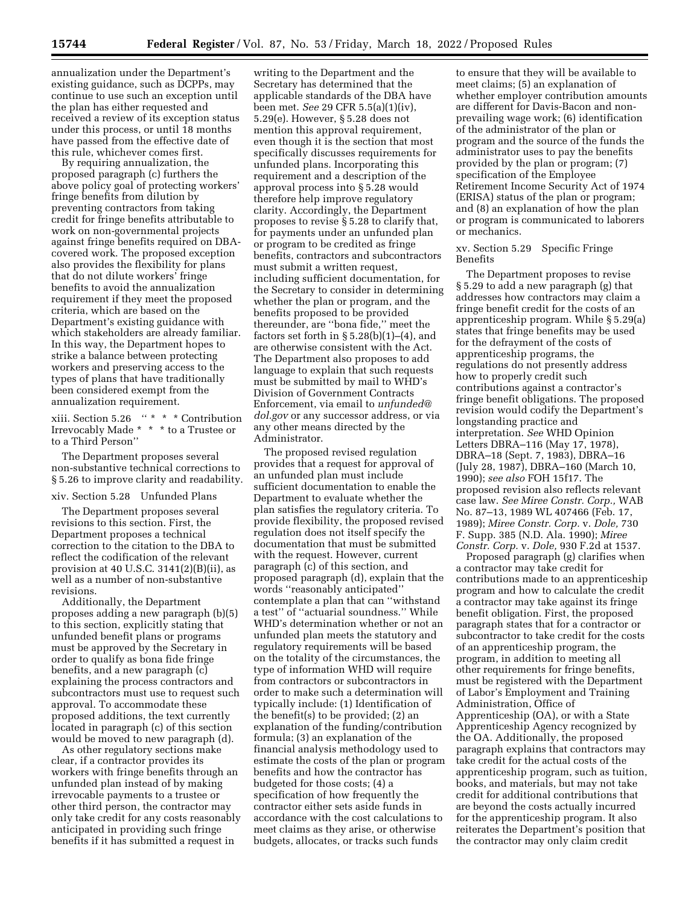annualization under the Department's existing guidance, such as DCPPs, may continue to use such an exception until the plan has either requested and received a review of its exception status under this process, or until 18 months have passed from the effective date of this rule, whichever comes first.

By requiring annualization, the proposed paragraph (c) furthers the above policy goal of protecting workers' fringe benefits from dilution by preventing contractors from taking credit for fringe benefits attributable to work on non-governmental projects against fringe benefits required on DBAcovered work. The proposed exception also provides the flexibility for plans that do not dilute workers' fringe benefits to avoid the annualization requirement if they meet the proposed criteria, which are based on the Department's existing guidance with which stakeholders are already familiar. In this way, the Department hopes to strike a balance between protecting workers and preserving access to the types of plans that have traditionally been considered exempt from the annualization requirement.

xiii. Section 5.26 '' \* \* \* Contribution Irrevocably Made \* \* \* to a Trustee or to a Third Person''

The Department proposes several non-substantive technical corrections to § 5.26 to improve clarity and readability.

### xiv. Section 5.28 Unfunded Plans

The Department proposes several revisions to this section. First, the Department proposes a technical correction to the citation to the DBA to reflect the codification of the relevant provision at 40 U.S.C.  $3141(2)(B)(ii)$ , as well as a number of non-substantive revisions.

Additionally, the Department proposes adding a new paragraph (b)(5) to this section, explicitly stating that unfunded benefit plans or programs must be approved by the Secretary in order to qualify as bona fide fringe benefits, and a new paragraph (c) explaining the process contractors and subcontractors must use to request such approval. To accommodate these proposed additions, the text currently located in paragraph (c) of this section would be moved to new paragraph (d).

As other regulatory sections make clear, if a contractor provides its workers with fringe benefits through an unfunded plan instead of by making irrevocable payments to a trustee or other third person, the contractor may only take credit for any costs reasonably anticipated in providing such fringe benefits if it has submitted a request in

writing to the Department and the Secretary has determined that the applicable standards of the DBA have been met. *See* 29 CFR 5.5(a)(1)(iv), 5.29(e). However, § 5.28 does not mention this approval requirement, even though it is the section that most specifically discusses requirements for unfunded plans. Incorporating this requirement and a description of the approval process into § 5.28 would therefore help improve regulatory clarity. Accordingly, the Department proposes to revise § 5.28 to clarify that, for payments under an unfunded plan or program to be credited as fringe benefits, contractors and subcontractors must submit a written request, including sufficient documentation, for the Secretary to consider in determining whether the plan or program, and the benefits proposed to be provided thereunder, are ''bona fide,'' meet the factors set forth in  $\S 5.28(b)(1)–(4)$ , and are otherwise consistent with the Act. The Department also proposes to add language to explain that such requests must be submitted by mail to WHD's Division of Government Contracts Enforcement, via email to *[unfunded@](mailto:unfunded@dol.gov) [dol.gov](mailto:unfunded@dol.gov)* or any successor address, or via any other means directed by the Administrator.

The proposed revised regulation provides that a request for approval of an unfunded plan must include sufficient documentation to enable the Department to evaluate whether the plan satisfies the regulatory criteria. To provide flexibility, the proposed revised regulation does not itself specify the documentation that must be submitted with the request. However, current paragraph (c) of this section, and proposed paragraph (d), explain that the words ''reasonably anticipated'' contemplate a plan that can ''withstand a test'' of ''actuarial soundness.'' While WHD's determination whether or not an unfunded plan meets the statutory and regulatory requirements will be based on the totality of the circumstances, the type of information WHD will require from contractors or subcontractors in order to make such a determination will typically include: (1) Identification of the benefit(s) to be provided; (2) an explanation of the funding/contribution formula; (3) an explanation of the financial analysis methodology used to estimate the costs of the plan or program benefits and how the contractor has budgeted for those costs; (4) a specification of how frequently the contractor either sets aside funds in accordance with the cost calculations to meet claims as they arise, or otherwise budgets, allocates, or tracks such funds

to ensure that they will be available to meet claims; (5) an explanation of whether employer contribution amounts are different for Davis-Bacon and nonprevailing wage work; (6) identification of the administrator of the plan or program and the source of the funds the administrator uses to pay the benefits provided by the plan or program; (7) specification of the Employee Retirement Income Security Act of 1974 (ERISA) status of the plan or program; and (8) an explanation of how the plan or program is communicated to laborers or mechanics.

xv. Section 5.29 Specific Fringe Benefits

The Department proposes to revise § 5.29 to add a new paragraph (g) that addresses how contractors may claim a fringe benefit credit for the costs of an apprenticeship program. While § 5.29(a) states that fringe benefits may be used for the defrayment of the costs of apprenticeship programs, the regulations do not presently address how to properly credit such contributions against a contractor's fringe benefit obligations. The proposed revision would codify the Department's longstanding practice and interpretation. *See* WHD Opinion Letters DBRA–116 (May 17, 1978), DBRA–18 (Sept. 7, 1983), DBRA–16 (July 28, 1987), DBRA–160 (March 10, 1990); *see also* FOH 15f17. The proposed revision also reflects relevant case law. *See Miree Constr. Corp.,* WAB No. 87–13, 1989 WL 407466 (Feb. 17, 1989); *Miree Constr. Corp.* v. *Dole,* 730 F. Supp. 385 (N.D. Ala. 1990); *Miree Constr. Corp.* v. *Dole,* 930 F.2d at 1537.

Proposed paragraph (g) clarifies when a contractor may take credit for contributions made to an apprenticeship program and how to calculate the credit a contractor may take against its fringe benefit obligation. First, the proposed paragraph states that for a contractor or subcontractor to take credit for the costs of an apprenticeship program, the program, in addition to meeting all other requirements for fringe benefits, must be registered with the Department of Labor's Employment and Training Administration, Office of Apprenticeship (OA), or with a State Apprenticeship Agency recognized by the OA. Additionally, the proposed paragraph explains that contractors may take credit for the actual costs of the apprenticeship program, such as tuition, books, and materials, but may not take credit for additional contributions that are beyond the costs actually incurred for the apprenticeship program. It also reiterates the Department's position that the contractor may only claim credit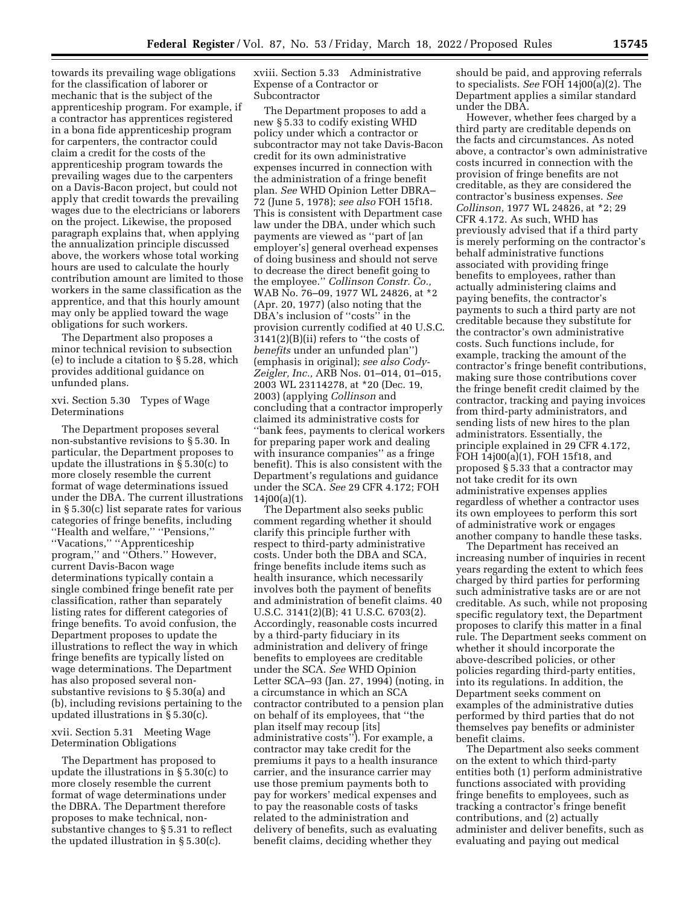towards its prevailing wage obligations for the classification of laborer or mechanic that is the subject of the apprenticeship program. For example, if a contractor has apprentices registered in a bona fide apprenticeship program for carpenters, the contractor could claim a credit for the costs of the apprenticeship program towards the prevailing wages due to the carpenters on a Davis-Bacon project, but could not apply that credit towards the prevailing wages due to the electricians or laborers on the project. Likewise, the proposed paragraph explains that, when applying the annualization principle discussed above, the workers whose total working hours are used to calculate the hourly contribution amount are limited to those workers in the same classification as the apprentice, and that this hourly amount may only be applied toward the wage obligations for such workers.

The Department also proposes a minor technical revision to subsection (e) to include a citation to § 5.28, which provides additional guidance on unfunded plans.

# xvi. Section 5.30 Types of Wage Determinations

The Department proposes several non-substantive revisions to § 5.30. In particular, the Department proposes to update the illustrations in § 5.30(c) to more closely resemble the current format of wage determinations issued under the DBA. The current illustrations in § 5.30(c) list separate rates for various categories of fringe benefits, including ''Health and welfare,'' ''Pensions,'' ''Vacations,'' ''Apprenticeship program,'' and ''Others.'' However, current Davis-Bacon wage determinations typically contain a single combined fringe benefit rate per classification, rather than separately listing rates for different categories of fringe benefits. To avoid confusion, the Department proposes to update the illustrations to reflect the way in which fringe benefits are typically listed on wage determinations. The Department has also proposed several nonsubstantive revisions to § 5.30(a) and (b), including revisions pertaining to the updated illustrations in § 5.30(c).

## xvii. Section 5.31 Meeting Wage Determination Obligations

The Department has proposed to update the illustrations in § 5.30(c) to more closely resemble the current format of wage determinations under the DBRA. The Department therefore proposes to make technical, nonsubstantive changes to § 5.31 to reflect the updated illustration in § 5.30(c).

xviii. Section 5.33 Administrative Expense of a Contractor or Subcontractor

The Department proposes to add a new § 5.33 to codify existing WHD policy under which a contractor or subcontractor may not take Davis-Bacon credit for its own administrative expenses incurred in connection with the administration of a fringe benefit plan. *See* WHD Opinion Letter DBRA– 72 (June 5, 1978); *see also* FOH 15f18. This is consistent with Department case law under the DBA, under which such payments are viewed as ''part of [an employer's] general overhead expenses of doing business and should not serve to decrease the direct benefit going to the employee.'' *Collinson Constr. Co.,*  WAB No. 76–09, 1977 WL 24826, at \*2 (Apr. 20, 1977) (also noting that the DBA's inclusion of ''costs'' in the provision currently codified at 40 U.S.C. 3141(2)(B)(ii) refers to ''the costs of *benefits* under an unfunded plan'') (emphasis in original); *see also Cody-Zeigler, Inc.,* ARB Nos. 01–014, 01–015, 2003 WL 23114278, at \*20 (Dec. 19, 2003) (applying *Collinson* and concluding that a contractor improperly claimed its administrative costs for ''bank fees, payments to clerical workers for preparing paper work and dealing with insurance companies'' as a fringe benefit). This is also consistent with the Department's regulations and guidance under the SCA. *See* 29 CFR 4.172; FOH 14j00(a)(1).

The Department also seeks public comment regarding whether it should clarify this principle further with respect to third-party administrative costs. Under both the DBA and SCA, fringe benefits include items such as health insurance, which necessarily involves both the payment of benefits and administration of benefit claims. 40 U.S.C. 3141(2)(B); 41 U.S.C. 6703(2). Accordingly, reasonable costs incurred by a third-party fiduciary in its administration and delivery of fringe benefits to employees are creditable under the SCA. *See* WHD Opinion Letter SCA–93 (Jan. 27, 1994) (noting, in a circumstance in which an SCA contractor contributed to a pension plan on behalf of its employees, that ''the plan itself may recoup [its] administrative costs''). For example, a contractor may take credit for the premiums it pays to a health insurance carrier, and the insurance carrier may use those premium payments both to pay for workers' medical expenses and to pay the reasonable costs of tasks related to the administration and delivery of benefits, such as evaluating benefit claims, deciding whether they

should be paid, and approving referrals to specialists. *See* FOH 14j00(a)(2). The Department applies a similar standard under the DBA.

However, whether fees charged by a third party are creditable depends on the facts and circumstances. As noted above, a contractor's own administrative costs incurred in connection with the provision of fringe benefits are not creditable, as they are considered the contractor's business expenses. *See Collinson,* 1977 WL 24826, at \*2; 29 CFR 4.172. As such, WHD has previously advised that if a third party is merely performing on the contractor's behalf administrative functions associated with providing fringe benefits to employees, rather than actually administering claims and paying benefits, the contractor's payments to such a third party are not creditable because they substitute for the contractor's own administrative costs. Such functions include, for example, tracking the amount of the contractor's fringe benefit contributions, making sure those contributions cover the fringe benefit credit claimed by the contractor, tracking and paying invoices from third-party administrators, and sending lists of new hires to the plan administrators. Essentially, the principle explained in 29 CFR 4.172, FOH 14j00(a)(1), FOH 15f18, and proposed § 5.33 that a contractor may not take credit for its own administrative expenses applies regardless of whether a contractor uses its own employees to perform this sort of administrative work or engages another company to handle these tasks.

The Department has received an increasing number of inquiries in recent years regarding the extent to which fees charged by third parties for performing such administrative tasks are or are not creditable. As such, while not proposing specific regulatory text, the Department proposes to clarify this matter in a final rule. The Department seeks comment on whether it should incorporate the above-described policies, or other policies regarding third-party entities, into its regulations. In addition, the Department seeks comment on examples of the administrative duties performed by third parties that do not themselves pay benefits or administer benefit claims.

The Department also seeks comment on the extent to which third-party entities both (1) perform administrative functions associated with providing fringe benefits to employees, such as tracking a contractor's fringe benefit contributions, and (2) actually administer and deliver benefits, such as evaluating and paying out medical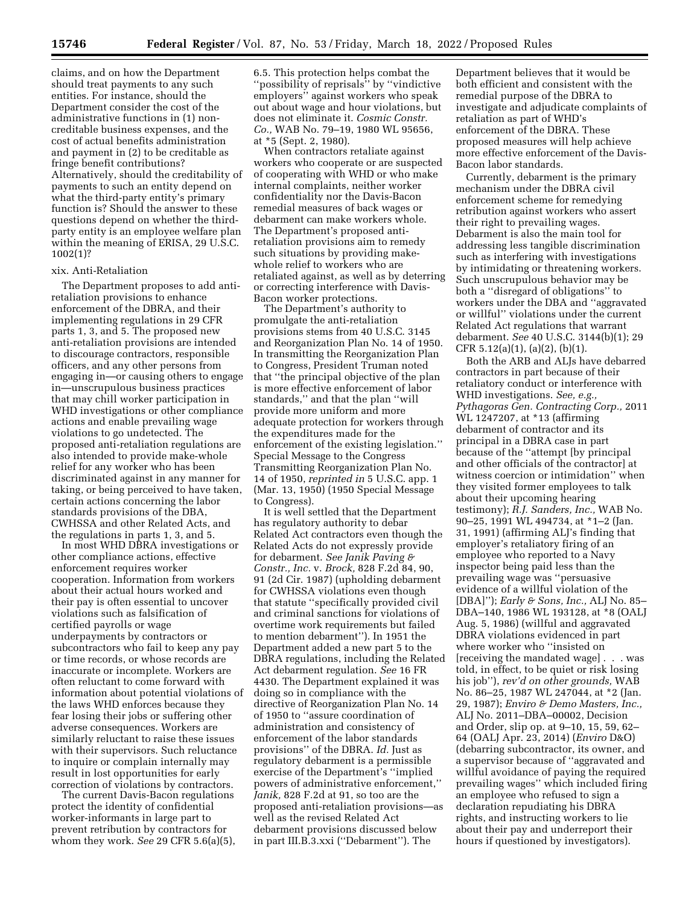claims, and on how the Department should treat payments to any such entities. For instance, should the Department consider the cost of the administrative functions in (1) noncreditable business expenses, and the cost of actual benefits administration and payment in (2) to be creditable as fringe benefit contributions? Alternatively, should the creditability of payments to such an entity depend on what the third-party entity's primary function is? Should the answer to these questions depend on whether the thirdparty entity is an employee welfare plan within the meaning of ERISA, 29 U.S.C. 1002(1)?

#### xix. Anti-Retaliation

The Department proposes to add antiretaliation provisions to enhance enforcement of the DBRA, and their implementing regulations in 29 CFR parts 1, 3, and 5. The proposed new anti-retaliation provisions are intended to discourage contractors, responsible officers, and any other persons from engaging in—or causing others to engage in—unscrupulous business practices that may chill worker participation in WHD investigations or other compliance actions and enable prevailing wage violations to go undetected. The proposed anti-retaliation regulations are also intended to provide make-whole relief for any worker who has been discriminated against in any manner for taking, or being perceived to have taken, certain actions concerning the labor standards provisions of the DBA, CWHSSA and other Related Acts, and the regulations in parts 1, 3, and 5.

In most WHD DBRA investigations or other compliance actions, effective enforcement requires worker cooperation. Information from workers about their actual hours worked and their pay is often essential to uncover violations such as falsification of certified payrolls or wage underpayments by contractors or subcontractors who fail to keep any pay or time records, or whose records are inaccurate or incomplete. Workers are often reluctant to come forward with information about potential violations of the laws WHD enforces because they fear losing their jobs or suffering other adverse consequences. Workers are similarly reluctant to raise these issues with their supervisors. Such reluctance to inquire or complain internally may result in lost opportunities for early correction of violations by contractors.

The current Davis-Bacon regulations protect the identity of confidential worker-informants in large part to prevent retribution by contractors for whom they work. *See* 29 CFR 5.6(a)(5), 6.5. This protection helps combat the ''possibility of reprisals'' by ''vindictive employers'' against workers who speak out about wage and hour violations, but does not eliminate it. *Cosmic Constr. Co.,* WAB No. 79–19, 1980 WL 95656, at \*5 (Sept. 2, 1980).

When contractors retaliate against workers who cooperate or are suspected of cooperating with WHD or who make internal complaints, neither worker confidentiality nor the Davis-Bacon remedial measures of back wages or debarment can make workers whole. The Department's proposed antiretaliation provisions aim to remedy such situations by providing makewhole relief to workers who are retaliated against, as well as by deterring or correcting interference with Davis-Bacon worker protections.

The Department's authority to promulgate the anti-retaliation provisions stems from 40 U.S.C. 3145 and Reorganization Plan No. 14 of 1950. In transmitting the Reorganization Plan to Congress, President Truman noted that ''the principal objective of the plan is more effective enforcement of labor standards,'' and that the plan ''will provide more uniform and more adequate protection for workers through the expenditures made for the enforcement of the existing legislation.'' Special Message to the Congress Transmitting Reorganization Plan No. 14 of 1950, *reprinted in* 5 U.S.C. app. 1 (Mar. 13, 1950) (1950 Special Message to Congress).

It is well settled that the Department has regulatory authority to debar Related Act contractors even though the Related Acts do not expressly provide for debarment. *See Janik Paving & Constr., Inc.* v. *Brock,* 828 F.2d 84, 90, 91 (2d Cir. 1987) (upholding debarment for CWHSSA violations even though that statute ''specifically provided civil and criminal sanctions for violations of overtime work requirements but failed to mention debarment''). In 1951 the Department added a new part 5 to the DBRA regulations, including the Related Act debarment regulation. *See* 16 FR 4430. The Department explained it was doing so in compliance with the directive of Reorganization Plan No. 14 of 1950 to ''assure coordination of administration and consistency of enforcement of the labor standards provisions'' of the DBRA. *Id.* Just as regulatory debarment is a permissible exercise of the Department's ''implied powers of administrative enforcement,'' *Janik,* 828 F.2d at 91, so too are the proposed anti-retaliation provisions—as well as the revised Related Act debarment provisions discussed below in part III.B.3.xxi (''Debarment''). The

Department believes that it would be both efficient and consistent with the remedial purpose of the DBRA to investigate and adjudicate complaints of retaliation as part of WHD's enforcement of the DBRA. These proposed measures will help achieve more effective enforcement of the Davis-Bacon labor standards.

Currently, debarment is the primary mechanism under the DBRA civil enforcement scheme for remedying retribution against workers who assert their right to prevailing wages. Debarment is also the main tool for addressing less tangible discrimination such as interfering with investigations by intimidating or threatening workers. Such unscrupulous behavior may be both a ''disregard of obligations'' to workers under the DBA and ''aggravated or willful'' violations under the current Related Act regulations that warrant debarment. *See* 40 U.S.C. 3144(b)(1); 29 CFR 5.12(a)(1), (a)(2), (b)(1).

Both the ARB and ALJs have debarred contractors in part because of their retaliatory conduct or interference with WHD investigations. *See, e.g., Pythagoras Gen. Contracting Corp.,* 2011 WL 1247207, at \*13 (affirming debarment of contractor and its principal in a DBRA case in part because of the ''attempt [by principal and other officials of the contractor] at witness coercion or intimidation'' when they visited former employees to talk about their upcoming hearing testimony); *R.J. Sanders, Inc.,* WAB No. 90–25, 1991 WL 494734, at \*1–2 (Jan. 31, 1991) (affirming ALJ's finding that employer's retaliatory firing of an employee who reported to a Navy inspector being paid less than the prevailing wage was ''persuasive evidence of a willful violation of the [DBA]''); *Early & Sons, Inc.,* ALJ No. 85– DBA–140, 1986 WL 193128, at \*8 (OALJ Aug. 5, 1986) (willful and aggravated DBRA violations evidenced in part where worker who ''insisted on [receiving the mandated wage] . . . was told, in effect, to be quiet or risk losing his job''), *rev'd on other grounds,* WAB No. 86–25, 1987 WL 247044, at \*2 (Jan. 29, 1987); *Enviro & Demo Masters, Inc.,*  ALJ No. 2011–DBA–00002, Decision and Order, slip op. at 9–10, 15, 59, 62– 64 (OALJ Apr. 23, 2014) (*Enviro* D&O) (debarring subcontractor, its owner, and a supervisor because of ''aggravated and willful avoidance of paying the required prevailing wages'' which included firing an employee who refused to sign a declaration repudiating his DBRA rights, and instructing workers to lie about their pay and underreport their hours if questioned by investigators).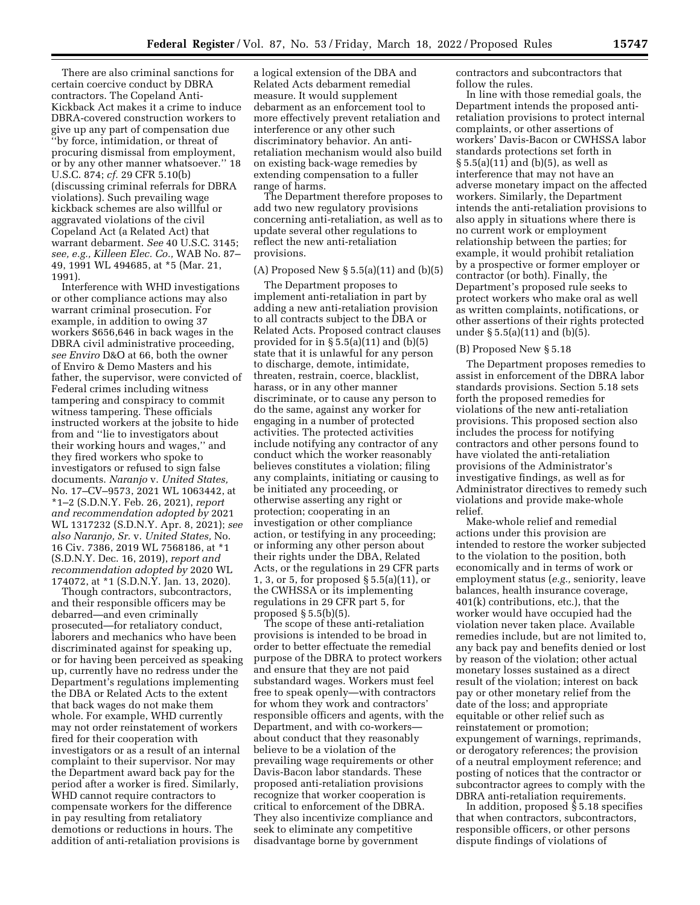There are also criminal sanctions for certain coercive conduct by DBRA contractors. The Copeland Anti-Kickback Act makes it a crime to induce DBRA-covered construction workers to give up any part of compensation due ''by force, intimidation, or threat of procuring dismissal from employment, or by any other manner whatsoever.'' 18 U.S.C. 874; *cf.* 29 CFR 5.10(b) (discussing criminal referrals for DBRA violations). Such prevailing wage kickback schemes are also willful or aggravated violations of the civil Copeland Act (a Related Act) that warrant debarment. *See* 40 U.S.C. 3145; *see, e.g., Killeen Elec. Co.,* WAB No. 87– 49, 1991 WL 494685, at \*5 (Mar. 21, 1991).

Interference with WHD investigations or other compliance actions may also warrant criminal prosecution. For example, in addition to owing 37 workers \$656,646 in back wages in the DBRA civil administrative proceeding, *see Enviro* D&O at 66, both the owner of Enviro & Demo Masters and his father, the supervisor, were convicted of Federal crimes including witness tampering and conspiracy to commit witness tampering. These officials instructed workers at the jobsite to hide from and ''lie to investigators about their working hours and wages,'' and they fired workers who spoke to investigators or refused to sign false documents. *Naranjo* v. *United States,*  No. 17–CV–9573, 2021 WL 1063442, at \*1–2 (S.D.N.Y. Feb. 26, 2021), *report and recommendation adopted by* 2021 WL 1317232 (S.D.N.Y. Apr. 8, 2021); *see also Naranjo, Sr.* v. *United States,* No. 16 Civ. 7386, 2019 WL 7568186, at \*1 (S.D.N.Y. Dec. 16, 2019), *report and recommendation adopted by* 2020 WL 174072, at \*1 (S.D.N.Y. Jan. 13, 2020).

Though contractors, subcontractors, and their responsible officers may be debarred—and even criminally prosecuted—for retaliatory conduct, laborers and mechanics who have been discriminated against for speaking up, or for having been perceived as speaking up, currently have no redress under the Department's regulations implementing the DBA or Related Acts to the extent that back wages do not make them whole. For example, WHD currently may not order reinstatement of workers fired for their cooperation with investigators or as a result of an internal complaint to their supervisor. Nor may the Department award back pay for the period after a worker is fired. Similarly, WHD cannot require contractors to compensate workers for the difference in pay resulting from retaliatory demotions or reductions in hours. The addition of anti-retaliation provisions is

a logical extension of the DBA and Related Acts debarment remedial measure. It would supplement debarment as an enforcement tool to more effectively prevent retaliation and interference or any other such discriminatory behavior. An antiretaliation mechanism would also build on existing back-wage remedies by extending compensation to a fuller range of harms.

The Department therefore proposes to add two new regulatory provisions concerning anti-retaliation, as well as to update several other regulations to reflect the new anti-retaliation provisions.

# (A) Proposed New  $\S$  5.5(a)(11) and (b)(5)

The Department proposes to implement anti-retaliation in part by adding a new anti-retaliation provision to all contracts subject to the DBA or Related Acts. Proposed contract clauses provided for in  $\S 5.5(a)(11)$  and  $(b)(5)$ state that it is unlawful for any person to discharge, demote, intimidate, threaten, restrain, coerce, blacklist, harass, or in any other manner discriminate, or to cause any person to do the same, against any worker for engaging in a number of protected activities. The protected activities include notifying any contractor of any conduct which the worker reasonably believes constitutes a violation; filing any complaints, initiating or causing to be initiated any proceeding, or otherwise asserting any right or protection; cooperating in an investigation or other compliance action, or testifying in any proceeding; or informing any other person about their rights under the DBA, Related Acts, or the regulations in 29 CFR parts 1, 3, or 5, for proposed § 5.5(a)(11), or the CWHSSA or its implementing regulations in 29 CFR part 5, for proposed  $\S 5.5(b)(5)$ .

The scope of these anti-retaliation provisions is intended to be broad in order to better effectuate the remedial purpose of the DBRA to protect workers and ensure that they are not paid substandard wages. Workers must feel free to speak openly—with contractors for whom they work and contractors' responsible officers and agents, with the Department, and with co-workers about conduct that they reasonably believe to be a violation of the prevailing wage requirements or other Davis-Bacon labor standards. These proposed anti-retaliation provisions recognize that worker cooperation is critical to enforcement of the DBRA. They also incentivize compliance and seek to eliminate any competitive disadvantage borne by government

contractors and subcontractors that follow the rules.

In line with those remedial goals, the Department intends the proposed antiretaliation provisions to protect internal complaints, or other assertions of workers' Davis-Bacon or CWHSSA labor standards protections set forth in § 5.5(a)(11) and (b)(5), as well as interference that may not have an adverse monetary impact on the affected workers. Similarly, the Department intends the anti-retaliation provisions to also apply in situations where there is no current work or employment relationship between the parties; for example, it would prohibit retaliation by a prospective or former employer or contractor (or both). Finally, the Department's proposed rule seeks to protect workers who make oral as well as written complaints, notifications, or other assertions of their rights protected under § 5.5(a)(11) and (b)(5).

#### (B) Proposed New § 5.18

The Department proposes remedies to assist in enforcement of the DBRA labor standards provisions. Section 5.18 sets forth the proposed remedies for violations of the new anti-retaliation provisions. This proposed section also includes the process for notifying contractors and other persons found to have violated the anti-retaliation provisions of the Administrator's investigative findings, as well as for Administrator directives to remedy such violations and provide make-whole relief.

Make-whole relief and remedial actions under this provision are intended to restore the worker subjected to the violation to the position, both economically and in terms of work or employment status (*e.g.,* seniority, leave balances, health insurance coverage, 401(k) contributions, etc.), that the worker would have occupied had the violation never taken place. Available remedies include, but are not limited to, any back pay and benefits denied or lost by reason of the violation; other actual monetary losses sustained as a direct result of the violation; interest on back pay or other monetary relief from the date of the loss; and appropriate equitable or other relief such as reinstatement or promotion; expungement of warnings, reprimands, or derogatory references; the provision of a neutral employment reference; and posting of notices that the contractor or subcontractor agrees to comply with the DBRA anti-retaliation requirements.

In addition, proposed § 5.18 specifies that when contractors, subcontractors, responsible officers, or other persons dispute findings of violations of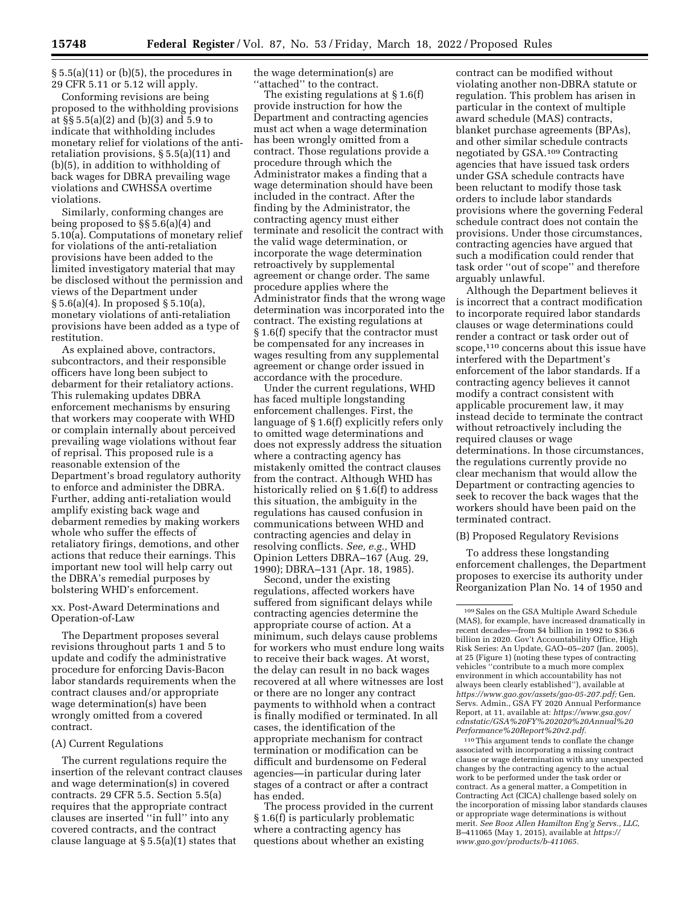$\S 5.5(a)(11)$  or (b)(5), the procedures in 29 CFR 5.11 or 5.12 will apply.

Conforming revisions are being proposed to the withholding provisions at §§ 5.5(a)(2) and (b)(3) and 5.9 to indicate that withholding includes monetary relief for violations of the antiretaliation provisions, § 5.5(a)(11) and (b)(5), in addition to withholding of back wages for DBRA prevailing wage violations and CWHSSA overtime violations.

Similarly, conforming changes are being proposed to §§ 5.6(a)(4) and 5.10(a). Computations of monetary relief for violations of the anti-retaliation provisions have been added to the limited investigatory material that may be disclosed without the permission and views of the Department under § 5.6(a)(4). In proposed § 5.10(a), monetary violations of anti-retaliation provisions have been added as a type of restitution.

As explained above, contractors, subcontractors, and their responsible officers have long been subject to debarment for their retaliatory actions. This rulemaking updates DBRA enforcement mechanisms by ensuring that workers may cooperate with WHD or complain internally about perceived prevailing wage violations without fear of reprisal. This proposed rule is a reasonable extension of the Department's broad regulatory authority to enforce and administer the DBRA. Further, adding anti-retaliation would amplify existing back wage and debarment remedies by making workers whole who suffer the effects of retaliatory firings, demotions, and other actions that reduce their earnings. This important new tool will help carry out the DBRA's remedial purposes by bolstering WHD's enforcement.

# xx. Post-Award Determinations and Operation-of-Law

The Department proposes several revisions throughout parts 1 and 5 to update and codify the administrative procedure for enforcing Davis-Bacon labor standards requirements when the contract clauses and/or appropriate wage determination(s) have been wrongly omitted from a covered contract.

#### (A) Current Regulations

The current regulations require the insertion of the relevant contract clauses and wage determination(s) in covered contracts. 29 CFR 5.5. Section 5.5(a) requires that the appropriate contract clauses are inserted ''in full'' into any covered contracts, and the contract clause language at § 5.5(a)(1) states that

the wage determination(s) are ''attached'' to the contract.

The existing regulations at § 1.6(f) provide instruction for how the Department and contracting agencies must act when a wage determination has been wrongly omitted from a contract. Those regulations provide a procedure through which the Administrator makes a finding that a wage determination should have been included in the contract. After the finding by the Administrator, the contracting agency must either terminate and resolicit the contract with the valid wage determination, or incorporate the wage determination retroactively by supplemental agreement or change order. The same procedure applies where the Administrator finds that the wrong wage determination was incorporated into the contract. The existing regulations at § 1.6(f) specify that the contractor must be compensated for any increases in wages resulting from any supplemental agreement or change order issued in accordance with the procedure.

Under the current regulations, WHD has faced multiple longstanding enforcement challenges. First, the language of § 1.6(f) explicitly refers only to omitted wage determinations and does not expressly address the situation where a contracting agency has mistakenly omitted the contract clauses from the contract. Although WHD has historically relied on § 1.6(f) to address this situation, the ambiguity in the regulations has caused confusion in communications between WHD and contracting agencies and delay in resolving conflicts. *See, e.g.,* WHD Opinion Letters DBRA–167 (Aug. 29, 1990); DBRA–131 (Apr. 18, 1985).

Second, under the existing regulations, affected workers have suffered from significant delays while contracting agencies determine the appropriate course of action. At a minimum, such delays cause problems for workers who must endure long waits to receive their back wages. At worst, the delay can result in no back wages recovered at all where witnesses are lost or there are no longer any contract payments to withhold when a contract is finally modified or terminated. In all cases, the identification of the appropriate mechanism for contract termination or modification can be difficult and burdensome on Federal agencies—in particular during later stages of a contract or after a contract has ended.

The process provided in the current § 1.6(f) is particularly problematic where a contracting agency has questions about whether an existing

contract can be modified without violating another non-DBRA statute or regulation. This problem has arisen in particular in the context of multiple award schedule (MAS) contracts, blanket purchase agreements (BPAs), and other similar schedule contracts negotiated by GSA.109 Contracting agencies that have issued task orders under GSA schedule contracts have been reluctant to modify those task orders to include labor standards provisions where the governing Federal schedule contract does not contain the provisions. Under those circumstances, contracting agencies have argued that such a modification could render that task order ''out of scope'' and therefore arguably unlawful.

Although the Department believes it is incorrect that a contract modification to incorporate required labor standards clauses or wage determinations could render a contract or task order out of scope,<sup>110</sup> concerns about this issue have interfered with the Department's enforcement of the labor standards. If a contracting agency believes it cannot modify a contract consistent with applicable procurement law, it may instead decide to terminate the contract without retroactively including the required clauses or wage determinations. In those circumstances, the regulations currently provide no clear mechanism that would allow the Department or contracting agencies to seek to recover the back wages that the workers should have been paid on the terminated contract.

#### (B) Proposed Regulatory Revisions

To address these longstanding enforcement challenges, the Department proposes to exercise its authority under Reorganization Plan No. 14 of 1950 and

110This argument tends to conflate the change associated with incorporating a missing contract clause or wage determination with any unexpected changes by the contracting agency to the actual work to be performed under the task order or contract. As a general matter, a Competition in Contracting Act (CICA) challenge based solely on the incorporation of missing labor standards clauses or appropriate wage determinations is without merit. *See Booz Allen Hamilton Eng'g Servs., LLC,*  B–411065 (May 1, 2015), available at *[https://](https://www.gao.gov/products/b-411065) [www.gao.gov/products/b-411065.](https://www.gao.gov/products/b-411065)* 

<sup>109</sup>Sales on the GSA Multiple Award Schedule (MAS), for example, have increased dramatically in recent decades—from \$4 billion in 1992 to \$36.6 billion in 2020. Gov't Accountability Office, High Risk Series: An Update, GAO–05–207 (Jan. 2005), at 25 (Figure 1) (noting these types of contracting vehicles ''contribute to a much more complex environment in which accountability has not always been clearly established''), available at *[https://www.gao.gov/assets/gao-05-207.pdf;](https://www.gao.gov/assets/gao-05-207.pdf)* Gen. Servs. Admin., GSA FY 2020 Annual Performance Report, at 11, available at: *[https://www.gsa.gov/](https://www.gsa.gov/cdnstatic/GSA%20FY%202020%20Annual%20Performance%20Report%20v2.pdf)  [cdnstatic/GSA%20FY%202020%20Annual%20](https://www.gsa.gov/cdnstatic/GSA%20FY%202020%20Annual%20Performance%20Report%20v2.pdf) [Performance%20Report%20v2.pdf.](https://www.gsa.gov/cdnstatic/GSA%20FY%202020%20Annual%20Performance%20Report%20v2.pdf)*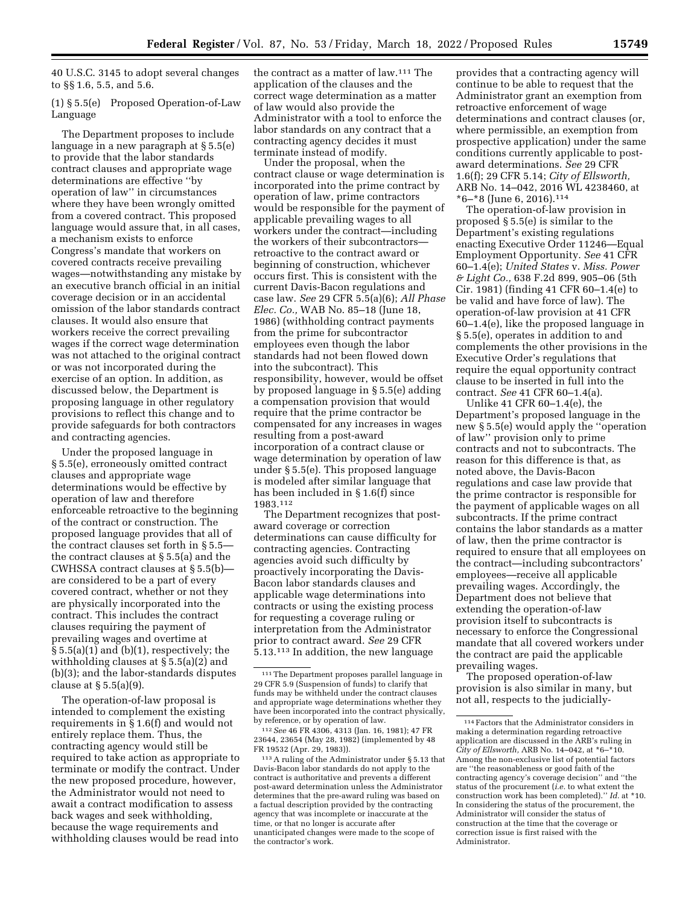40 U.S.C. 3145 to adopt several changes to §§ 1.6, 5.5, and 5.6.

(1) § 5.5(e) Proposed Operation-of-Law Language

The Department proposes to include language in a new paragraph at § 5.5(e) to provide that the labor standards contract clauses and appropriate wage determinations are effective ''by operation of law'' in circumstances where they have been wrongly omitted from a covered contract. This proposed language would assure that, in all cases, a mechanism exists to enforce Congress's mandate that workers on covered contracts receive prevailing wages—notwithstanding any mistake by an executive branch official in an initial coverage decision or in an accidental omission of the labor standards contract clauses. It would also ensure that workers receive the correct prevailing wages if the correct wage determination was not attached to the original contract or was not incorporated during the exercise of an option. In addition, as discussed below, the Department is proposing language in other regulatory provisions to reflect this change and to provide safeguards for both contractors and contracting agencies.

Under the proposed language in § 5.5(e), erroneously omitted contract clauses and appropriate wage determinations would be effective by operation of law and therefore enforceable retroactive to the beginning of the contract or construction. The proposed language provides that all of the contract clauses set forth in § 5.5 the contract clauses at § 5.5(a) and the CWHSSA contract clauses at § 5.5(b) are considered to be a part of every covered contract, whether or not they are physically incorporated into the contract. This includes the contract clauses requiring the payment of prevailing wages and overtime at  $\S 5.5(a)(1)$  and (b)(1), respectively; the withholding clauses at § 5.5(a)(2) and (b)(3); and the labor-standards disputes clause at  $\S 5.5(a)(9)$ .

The operation-of-law proposal is intended to complement the existing requirements in § 1.6(f) and would not entirely replace them. Thus, the contracting agency would still be required to take action as appropriate to terminate or modify the contract. Under the new proposed procedure, however, the Administrator would not need to await a contract modification to assess back wages and seek withholding, because the wage requirements and withholding clauses would be read into

the contract as a matter of law.111 The application of the clauses and the correct wage determination as a matter of law would also provide the Administrator with a tool to enforce the labor standards on any contract that a contracting agency decides it must terminate instead of modify.

Under the proposal, when the contract clause or wage determination is incorporated into the prime contract by operation of law, prime contractors would be responsible for the payment of applicable prevailing wages to all workers under the contract—including the workers of their subcontractors retroactive to the contract award or beginning of construction, whichever occurs first. This is consistent with the current Davis-Bacon regulations and case law. *See* 29 CFR 5.5(a)(6); *All Phase Elec. Co.,* WAB No. 85–18 (June 18, 1986) (withholding contract payments from the prime for subcontractor employees even though the labor standards had not been flowed down into the subcontract). This responsibility, however, would be offset by proposed language in § 5.5(e) adding a compensation provision that would require that the prime contractor be compensated for any increases in wages resulting from a post-award incorporation of a contract clause or wage determination by operation of law under § 5.5(e). This proposed language is modeled after similar language that has been included in § 1.6(f) since 1983.112

The Department recognizes that postaward coverage or correction determinations can cause difficulty for contracting agencies. Contracting agencies avoid such difficulty by proactively incorporating the Davis-Bacon labor standards clauses and applicable wage determinations into contracts or using the existing process for requesting a coverage ruling or interpretation from the Administrator prior to contract award. *See* 29 CFR 5.13.113 In addition, the new language

112*See* 46 FR 4306, 4313 (Jan. 16, 1981); 47 FR 23644, 23654 (May 28, 1982) (implemented by 48 FR 19532 (Apr. 29, 1983)).

113A ruling of the Administrator under § 5.13 that Davis-Bacon labor standards do not apply to the contract is authoritative and prevents a different post-award determination unless the Administrator determines that the pre-award ruling was based on a factual description provided by the contracting agency that was incomplete or inaccurate at the time, or that no longer is accurate after unanticipated changes were made to the scope of the contractor's work.

provides that a contracting agency will continue to be able to request that the Administrator grant an exemption from retroactive enforcement of wage determinations and contract clauses (or, where permissible, an exemption from prospective application) under the same conditions currently applicable to postaward determinations. *See* 29 CFR 1.6(f); 29 CFR 5.14; *City of Ellsworth,*  ARB No. 14–042, 2016 WL 4238460, at  $*6-*8$  (June 6, 2016).<sup>114</sup>

The operation-of-law provision in proposed § 5.5(e) is similar to the Department's existing regulations enacting Executive Order 11246—Equal Employment Opportunity. *See* 41 CFR 60–1.4(e); *United States* v. *Miss. Power & Light Co.,* 638 F.2d 899, 905–06 (5th Cir. 1981) (finding 41 CFR 60–1.4(e) to be valid and have force of law). The operation-of-law provision at 41 CFR 60–1.4(e), like the proposed language in § 5.5(e), operates in addition to and complements the other provisions in the Executive Order's regulations that require the equal opportunity contract clause to be inserted in full into the contract. *See* 41 CFR 60–1.4(a).

Unlike 41 CFR 60–1.4(e), the Department's proposed language in the new § 5.5(e) would apply the ''operation of law'' provision only to prime contracts and not to subcontracts. The reason for this difference is that, as noted above, the Davis-Bacon regulations and case law provide that the prime contractor is responsible for the payment of applicable wages on all subcontracts. If the prime contract contains the labor standards as a matter of law, then the prime contractor is required to ensure that all employees on the contract—including subcontractors' employees—receive all applicable prevailing wages. Accordingly, the Department does not believe that extending the operation-of-law provision itself to subcontracts is necessary to enforce the Congressional mandate that all covered workers under the contract are paid the applicable prevailing wages.

The proposed operation-of-law provision is also similar in many, but not all, respects to the judicially-

<sup>111</sup>The Department proposes parallel language in 29 CFR 5.9 (Suspension of funds) to clarify that funds may be withheld under the contract clauses and appropriate wage determinations whether they have been incorporated into the contract physically, by reference, or by operation of law.

<sup>114</sup>Factors that the Administrator considers in making a determination regarding retroactive application are discussed in the ARB's ruling in *City of Ellsworth,* ARB No. 14–042, at \*6–\*10. Among the non-exclusive list of potential factors are ''the reasonableness or good faith of the contracting agency's coverage decision'' and ''the status of the procurement (*i.e.* to what extent the construction work has been completed).'' *Id.* at \*10. In considering the status of the procurement, the Administrator will consider the status of construction at the time that the coverage or correction issue is first raised with the Administrator.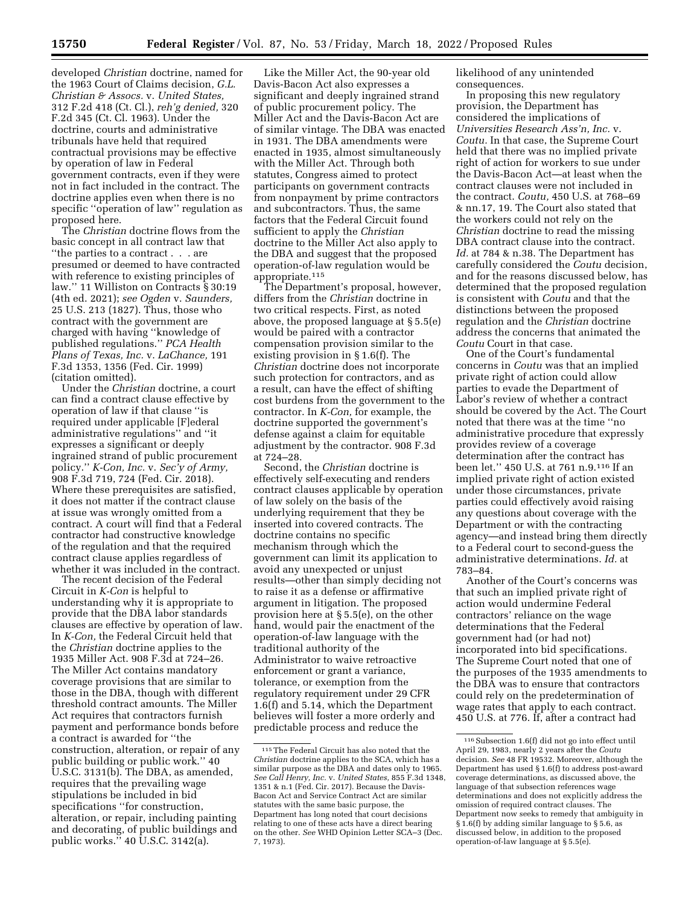developed *Christian* doctrine, named for the 1963 Court of Claims decision, *G.L. Christian & Assocs.* v. *United States,*  312 F.2d 418 (Ct. Cl.), *reh'g denied,* 320 F.2d 345 (Ct. Cl. 1963). Under the doctrine, courts and administrative tribunals have held that required contractual provisions may be effective by operation of law in Federal government contracts, even if they were not in fact included in the contract. The doctrine applies even when there is no specific ''operation of law'' regulation as proposed here.

The *Christian* doctrine flows from the basic concept in all contract law that ''the parties to a contract . . . are presumed or deemed to have contracted with reference to existing principles of law.'' 11 Williston on Contracts § 30:19 (4th ed. 2021); *see Ogden* v. *Saunders,*  25 U.S. 213 (1827). Thus, those who contract with the government are charged with having ''knowledge of published regulations.'' *PCA Health Plans of Texas, Inc.* v. *LaChance,* 191 F.3d 1353, 1356 (Fed. Cir. 1999) (citation omitted).

Under the *Christian* doctrine, a court can find a contract clause effective by operation of law if that clause ''is required under applicable [F]ederal administrative regulations'' and ''it expresses a significant or deeply ingrained strand of public procurement policy.'' *K-Con, Inc.* v. *Sec'y of Army,*  908 F.3d 719, 724 (Fed. Cir. 2018). Where these prerequisites are satisfied, it does not matter if the contract clause at issue was wrongly omitted from a contract. A court will find that a Federal contractor had constructive knowledge of the regulation and that the required contract clause applies regardless of whether it was included in the contract.

The recent decision of the Federal Circuit in *K-Con* is helpful to understanding why it is appropriate to provide that the DBA labor standards clauses are effective by operation of law. In *K-Con,* the Federal Circuit held that the *Christian* doctrine applies to the 1935 Miller Act. 908 F.3d at 724–26. The Miller Act contains mandatory coverage provisions that are similar to those in the DBA, though with different threshold contract amounts. The Miller Act requires that contractors furnish payment and performance bonds before a contract is awarded for ''the construction, alteration, or repair of any public building or public work.'' 40 U.S.C. 3131(b). The DBA, as amended, requires that the prevailing wage stipulations be included in bid specifications ''for construction, alteration, or repair, including painting and decorating, of public buildings and public works.'' 40 U.S.C. 3142(a).

Like the Miller Act, the 90-year old Davis-Bacon Act also expresses a significant and deeply ingrained strand of public procurement policy. The Miller Act and the Davis-Bacon Act are of similar vintage. The DBA was enacted in 1931. The DBA amendments were enacted in 1935, almost simultaneously with the Miller Act. Through both statutes, Congress aimed to protect participants on government contracts from nonpayment by prime contractors and subcontractors. Thus, the same factors that the Federal Circuit found sufficient to apply the *Christian*  doctrine to the Miller Act also apply to the DBA and suggest that the proposed operation-of-law regulation would be appropriate.115

The Department's proposal, however, differs from the *Christian* doctrine in two critical respects. First, as noted above, the proposed language at § 5.5(e) would be paired with a contractor compensation provision similar to the existing provision in § 1.6(f). The *Christian* doctrine does not incorporate such protection for contractors, and as a result, can have the effect of shifting cost burdens from the government to the contractor. In *K-Con,* for example, the doctrine supported the government's defense against a claim for equitable adjustment by the contractor. 908 F.3d at 724–28.

Second, the *Christian* doctrine is effectively self-executing and renders contract clauses applicable by operation of law solely on the basis of the underlying requirement that they be inserted into covered contracts. The doctrine contains no specific mechanism through which the government can limit its application to avoid any unexpected or unjust results—other than simply deciding not to raise it as a defense or affirmative argument in litigation. The proposed provision here at § 5.5(e), on the other hand, would pair the enactment of the operation-of-law language with the traditional authority of the Administrator to waive retroactive enforcement or grant a variance, tolerance, or exemption from the regulatory requirement under 29 CFR 1.6(f) and 5.14, which the Department believes will foster a more orderly and predictable process and reduce the

likelihood of any unintended consequences.

In proposing this new regulatory provision, the Department has considered the implications of *Universities Research Ass'n, Inc.* v. *Coutu.* In that case, the Supreme Court held that there was no implied private right of action for workers to sue under the Davis-Bacon Act—at least when the contract clauses were not included in the contract. *Coutu,* 450 U.S. at 768–69 & nn.17, 19. The Court also stated that the workers could not rely on the *Christian* doctrine to read the missing DBA contract clause into the contract. *Id.* at 784 & n.38. The Department has carefully considered the *Coutu* decision, and for the reasons discussed below, has determined that the proposed regulation is consistent with *Coutu* and that the distinctions between the proposed regulation and the *Christian* doctrine address the concerns that animated the *Coutu* Court in that case.

One of the Court's fundamental concerns in *Coutu* was that an implied private right of action could allow parties to evade the Department of Labor's review of whether a contract should be covered by the Act. The Court noted that there was at the time ''no administrative procedure that expressly provides review of a coverage determination after the contract has been let.'' 450 U.S. at 761 n.9.116 If an implied private right of action existed under those circumstances, private parties could effectively avoid raising any questions about coverage with the Department or with the contracting agency—and instead bring them directly to a Federal court to second-guess the administrative determinations. *Id.* at 783–84.

Another of the Court's concerns was that such an implied private right of action would undermine Federal contractors' reliance on the wage determinations that the Federal government had (or had not) incorporated into bid specifications. The Supreme Court noted that one of the purposes of the 1935 amendments to the DBA was to ensure that contractors could rely on the predetermination of wage rates that apply to each contract. 450 U.S. at 776. If, after a contract had

<sup>115</sup>The Federal Circuit has also noted that the *Christian* doctrine applies to the SCA, which has a similar purpose as the DBA and dates only to 1965. *See Call Henry, Inc.* v. *United States,* 855 F.3d 1348, 1351 & n.1 (Fed. Cir. 2017). Because the Davis-Bacon Act and Service Contract Act are similar statutes with the same basic purpose, the Department has long noted that court decisions relating to one of these acts have a direct bearing on the other. *See* WHD Opinion Letter SCA–3 (Dec. 7, 1973).

 $^{\rm 116}$  Subsection 1.6(f) did not go into effect until April 29, 1983, nearly 2 years after the *Coutu*  decision. *See* 48 FR 19532. Moreover, although the Department has used § 1.6(f) to address post-award coverage determinations, as discussed above, the language of that subsection references wage determinations and does not explicitly address the omission of required contract clauses. The Department now seeks to remedy that ambiguity in § 1.6(f) by adding similar language to § 5.6, as discussed below, in addition to the proposed operation-of-law language at § 5.5(e).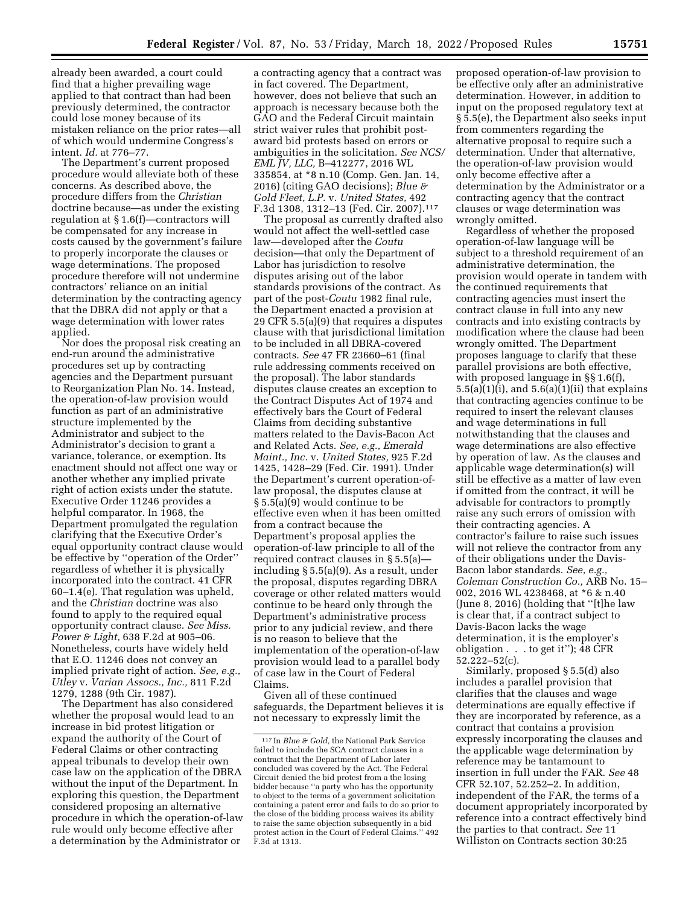already been awarded, a court could find that a higher prevailing wage applied to that contract than had been previously determined, the contractor could lose money because of its mistaken reliance on the prior rates—all of which would undermine Congress's intent. *Id.* at 776–77.

The Department's current proposed procedure would alleviate both of these concerns. As described above, the procedure differs from the *Christian*  doctrine because—as under the existing regulation at § 1.6(f)—contractors will be compensated for any increase in costs caused by the government's failure to properly incorporate the clauses or wage determinations. The proposed procedure therefore will not undermine contractors' reliance on an initial determination by the contracting agency that the DBRA did not apply or that a wage determination with lower rates applied.

Nor does the proposal risk creating an end-run around the administrative procedures set up by contracting agencies and the Department pursuant to Reorganization Plan No. 14. Instead, the operation-of-law provision would function as part of an administrative structure implemented by the Administrator and subject to the Administrator's decision to grant a variance, tolerance, or exemption. Its enactment should not affect one way or another whether any implied private right of action exists under the statute. Executive Order 11246 provides a helpful comparator. In 1968, the Department promulgated the regulation clarifying that the Executive Order's equal opportunity contract clause would be effective by ''operation of the Order'' regardless of whether it is physically incorporated into the contract. 41 CFR 60–1.4(e). That regulation was upheld, and the *Christian* doctrine was also found to apply to the required equal opportunity contract clause. *See Miss. Power & Light,* 638 F.2d at 905–06. Nonetheless, courts have widely held that E.O. 11246 does not convey an implied private right of action. *See, e.g., Utley* v. *Varian Assocs., Inc.,* 811 F.2d 1279, 1288 (9th Cir. 1987).

The Department has also considered whether the proposal would lead to an increase in bid protest litigation or expand the authority of the Court of Federal Claims or other contracting appeal tribunals to develop their own case law on the application of the DBRA without the input of the Department. In exploring this question, the Department considered proposing an alternative procedure in which the operation-of-law rule would only become effective after a determination by the Administrator or

a contracting agency that a contract was in fact covered. The Department, however, does not believe that such an approach is necessary because both the GAO and the Federal Circuit maintain strict waiver rules that prohibit postaward bid protests based on errors or ambiguities in the solicitation. *See NCS/ EML JV, LLC,* B–412277, 2016 WL 335854, at \*8 n.10 (Comp. Gen. Jan. 14, 2016) (citing GAO decisions); *Blue & Gold Fleet, L.P.* v. *United States,* 492 F.3d 1308, 1312–13 (Fed. Cir. 2007).117

The proposal as currently drafted also would not affect the well-settled case law—developed after the *Coutu*  decision—that only the Department of Labor has jurisdiction to resolve disputes arising out of the labor standards provisions of the contract. As part of the post-*Coutu* 1982 final rule, the Department enacted a provision at 29 CFR 5.5(a)(9) that requires a disputes clause with that jurisdictional limitation to be included in all DBRA-covered contracts. *See* 47 FR 23660–61 (final rule addressing comments received on the proposal). The labor standards disputes clause creates an exception to the Contract Disputes Act of 1974 and effectively bars the Court of Federal Claims from deciding substantive matters related to the Davis-Bacon Act and Related Acts. *See, e.g., Emerald Maint., Inc.* v. *United States,* 925 F.2d 1425, 1428–29 (Fed. Cir. 1991). Under the Department's current operation-oflaw proposal, the disputes clause at § 5.5(a)(9) would continue to be effective even when it has been omitted from a contract because the Department's proposal applies the operation-of-law principle to all of the required contract clauses in § 5.5(a) including § 5.5(a)(9). As a result, under the proposal, disputes regarding DBRA coverage or other related matters would continue to be heard only through the Department's administrative process prior to any judicial review, and there is no reason to believe that the implementation of the operation-of-law provision would lead to a parallel body of case law in the Court of Federal Claims.

Given all of these continued safeguards, the Department believes it is not necessary to expressly limit the

proposed operation-of-law provision to be effective only after an administrative determination. However, in addition to input on the proposed regulatory text at § 5.5(e), the Department also seeks input from commenters regarding the alternative proposal to require such a determination. Under that alternative, the operation-of-law provision would only become effective after a determination by the Administrator or a contracting agency that the contract clauses or wage determination was wrongly omitted.

Regardless of whether the proposed operation-of-law language will be subject to a threshold requirement of an administrative determination, the provision would operate in tandem with the continued requirements that contracting agencies must insert the contract clause in full into any new contracts and into existing contracts by modification where the clause had been wrongly omitted. The Department proposes language to clarify that these parallel provisions are both effective, with proposed language in §§ 1.6(f),  $5.5(a)(1)(i)$ , and  $5.6(a)(1)(ii)$  that explains that contracting agencies continue to be required to insert the relevant clauses and wage determinations in full notwithstanding that the clauses and wage determinations are also effective by operation of law. As the clauses and applicable wage determination(s) will still be effective as a matter of law even if omitted from the contract, it will be advisable for contractors to promptly raise any such errors of omission with their contracting agencies. A contractor's failure to raise such issues will not relieve the contractor from any of their obligations under the Davis-Bacon labor standards. *See, e.g., Coleman Construction Co.,* ARB No. 15– 002, 2016 WL 4238468, at \*6 & n.40 (June 8, 2016) (holding that ''[t]he law is clear that, if a contract subject to Davis-Bacon lacks the wage determination, it is the employer's obligation . . . to get it''); 48 CFR 52.222–52(c).

Similarly, proposed § 5.5(d) also includes a parallel provision that clarifies that the clauses and wage determinations are equally effective if they are incorporated by reference, as a contract that contains a provision expressly incorporating the clauses and the applicable wage determination by reference may be tantamount to insertion in full under the FAR. *See* 48 CFR 52.107, 52.252–2. In addition, independent of the FAR, the terms of a document appropriately incorporated by reference into a contract effectively bind the parties to that contract. *See* 11 Williston on Contracts section 30:25

<sup>117</sup> In *Blue & Gold,* the National Park Service failed to include the SCA contract clauses in a contract that the Department of Labor later concluded was covered by the Act. The Federal Circuit denied the bid protest from a the losing bidder because ''a party who has the opportunity to object to the terms of a government solicitation containing a patent error and fails to do so prior to the close of the bidding process waives its ability to raise the same objection subsequently in a bid protest action in the Court of Federal Claims.'' 492 F.3d at 1313.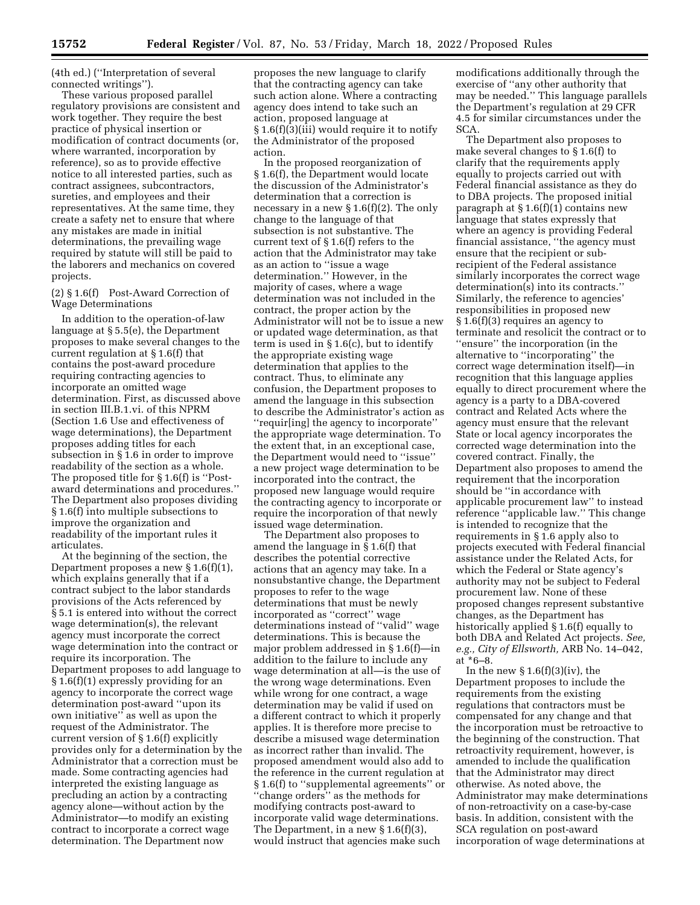(4th ed.) (''Interpretation of several connected writings'').

These various proposed parallel regulatory provisions are consistent and work together. They require the best practice of physical insertion or modification of contract documents (or, where warranted, incorporation by reference), so as to provide effective notice to all interested parties, such as contract assignees, subcontractors, sureties, and employees and their representatives. At the same time, they create a safety net to ensure that where any mistakes are made in initial determinations, the prevailing wage required by statute will still be paid to the laborers and mechanics on covered projects.

## (2) § 1.6(f) Post-Award Correction of Wage Determinations

In addition to the operation-of-law language at § 5.5(e), the Department proposes to make several changes to the current regulation at § 1.6(f) that contains the post-award procedure requiring contracting agencies to incorporate an omitted wage determination. First, as discussed above in section III.B.1.vi. of this NPRM (Section 1.6 Use and effectiveness of wage determinations), the Department proposes adding titles for each subsection in § 1.6 in order to improve readability of the section as a whole. The proposed title for § 1.6(f) is ''Postaward determinations and procedures.'' The Department also proposes dividing § 1.6(f) into multiple subsections to improve the organization and readability of the important rules it articulates.

At the beginning of the section, the Department proposes a new  $\S 1.6(f)(1)$ , which explains generally that if a contract subject to the labor standards provisions of the Acts referenced by § 5.1 is entered into without the correct wage determination(s), the relevant agency must incorporate the correct wage determination into the contract or require its incorporation. The Department proposes to add language to § 1.6(f)(1) expressly providing for an agency to incorporate the correct wage determination post-award ''upon its own initiative'' as well as upon the request of the Administrator. The current version of § 1.6(f) explicitly provides only for a determination by the Administrator that a correction must be made. Some contracting agencies had interpreted the existing language as precluding an action by a contracting agency alone—without action by the Administrator—to modify an existing contract to incorporate a correct wage determination. The Department now

proposes the new language to clarify that the contracting agency can take such action alone. Where a contracting agency does intend to take such an action, proposed language at § 1.6(f)(3)(iii) would require it to notify the Administrator of the proposed action.

In the proposed reorganization of § 1.6(f), the Department would locate the discussion of the Administrator's determination that a correction is necessary in a new § 1.6(f)(2). The only change to the language of that subsection is not substantive. The current text of § 1.6(f) refers to the action that the Administrator may take as an action to ''issue a wage determination.'' However, in the majority of cases, where a wage determination was not included in the contract, the proper action by the Administrator will not be to issue a new or updated wage determination, as that term is used in  $\S 1.6(c)$ , but to identify the appropriate existing wage determination that applies to the contract. Thus, to eliminate any confusion, the Department proposes to amend the language in this subsection to describe the Administrator's action as ''requir[ing] the agency to incorporate'' the appropriate wage determination. To the extent that, in an exceptional case, the Department would need to ''issue'' a new project wage determination to be incorporated into the contract, the proposed new language would require the contracting agency to incorporate or require the incorporation of that newly issued wage determination.

The Department also proposes to amend the language in § 1.6(f) that describes the potential corrective actions that an agency may take. In a nonsubstantive change, the Department proposes to refer to the wage determinations that must be newly incorporated as ''correct'' wage determinations instead of ''valid'' wage determinations. This is because the major problem addressed in § 1.6(f)—in addition to the failure to include any wage determination at all—is the use of the wrong wage determinations. Even while wrong for one contract, a wage determination may be valid if used on a different contract to which it properly applies. It is therefore more precise to describe a misused wage determination as incorrect rather than invalid. The proposed amendment would also add to the reference in the current regulation at § 1.6(f) to ''supplemental agreements'' or ''change orders'' as the methods for modifying contracts post-award to incorporate valid wage determinations. The Department, in a new  $\S 1.6(f)(3)$ , would instruct that agencies make such

modifications additionally through the exercise of ''any other authority that may be needed.'' This language parallels the Department's regulation at 29 CFR 4.5 for similar circumstances under the SCA.

The Department also proposes to make several changes to § 1.6(f) to clarify that the requirements apply equally to projects carried out with Federal financial assistance as they do to DBA projects. The proposed initial paragraph at  $\S 1.6(f)(1)$  contains new language that states expressly that where an agency is providing Federal financial assistance, ''the agency must ensure that the recipient or subrecipient of the Federal assistance similarly incorporates the correct wage determination(s) into its contracts.'' Similarly, the reference to agencies' responsibilities in proposed new § 1.6(f)(3) requires an agency to terminate and resolicit the contract or to ''ensure'' the incorporation (in the alternative to ''incorporating'' the correct wage determination itself)—in recognition that this language applies equally to direct procurement where the agency is a party to a DBA-covered contract and Related Acts where the agency must ensure that the relevant State or local agency incorporates the corrected wage determination into the covered contract. Finally, the Department also proposes to amend the requirement that the incorporation should be ''in accordance with applicable procurement law'' to instead reference ''applicable law.'' This change is intended to recognize that the requirements in § 1.6 apply also to projects executed with Federal financial assistance under the Related Acts, for which the Federal or State agency's authority may not be subject to Federal procurement law. None of these proposed changes represent substantive changes, as the Department has historically applied § 1.6(f) equally to both DBA and Related Act projects. *See, e.g., City of Ellsworth,* ARB No. 14–042, at \*6–8.

In the new  $\S 1.6(f)(3)(iv)$ , the Department proposes to include the requirements from the existing regulations that contractors must be compensated for any change and that the incorporation must be retroactive to the beginning of the construction. That retroactivity requirement, however, is amended to include the qualification that the Administrator may direct otherwise. As noted above, the Administrator may make determinations of non-retroactivity on a case-by-case basis. In addition, consistent with the SCA regulation on post-award incorporation of wage determinations at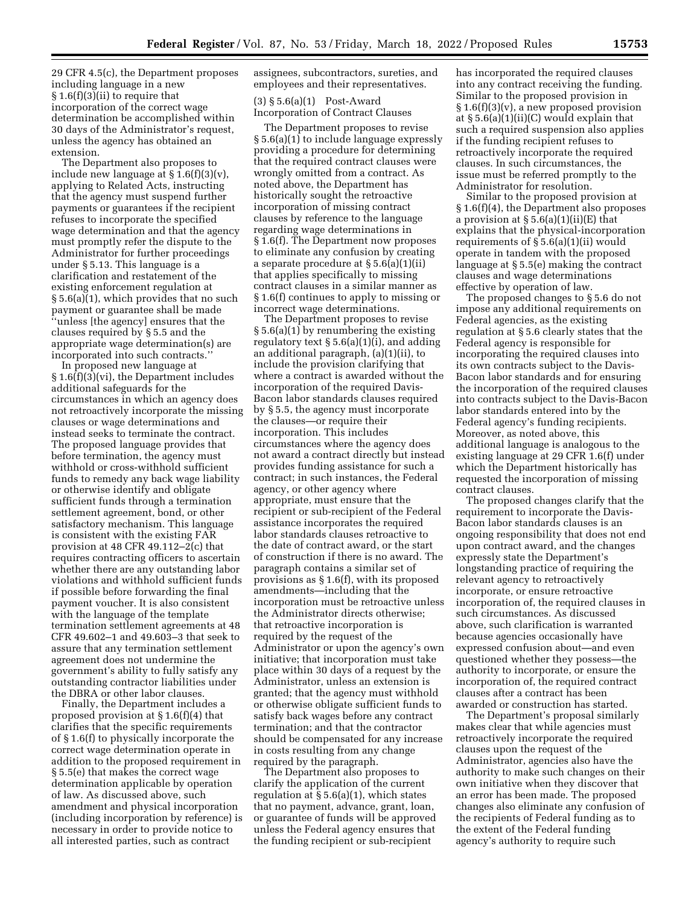29 CFR 4.5(c), the Department proposes including language in a new § 1.6(f)(3)(ii) to require that incorporation of the correct wage determination be accomplished within 30 days of the Administrator's request, unless the agency has obtained an extension.

The Department also proposes to include new language at  $\S 1.6(f)(3)(v)$ , applying to Related Acts, instructing that the agency must suspend further payments or guarantees if the recipient refuses to incorporate the specified wage determination and that the agency must promptly refer the dispute to the Administrator for further proceedings under § 5.13. This language is a clarification and restatement of the existing enforcement regulation at § 5.6(a)(1), which provides that no such payment or guarantee shall be made ''unless [the agency] ensures that the clauses required by § 5.5 and the appropriate wage determination(s) are incorporated into such contracts.

In proposed new language at § 1.6(f)(3)(vi), the Department includes additional safeguards for the circumstances in which an agency does not retroactively incorporate the missing clauses or wage determinations and instead seeks to terminate the contract. The proposed language provides that before termination, the agency must withhold or cross-withhold sufficient funds to remedy any back wage liability or otherwise identify and obligate sufficient funds through a termination settlement agreement, bond, or other satisfactory mechanism. This language is consistent with the existing FAR provision at 48 CFR 49.112–2(c) that requires contracting officers to ascertain whether there are any outstanding labor violations and withhold sufficient funds if possible before forwarding the final payment voucher. It is also consistent with the language of the template termination settlement agreements at 48 CFR 49.602–1 and 49.603–3 that seek to assure that any termination settlement agreement does not undermine the government's ability to fully satisfy any outstanding contractor liabilities under the DBRA or other labor clauses.

Finally, the Department includes a proposed provision at § 1.6(f)(4) that clarifies that the specific requirements of § 1.6(f) to physically incorporate the correct wage determination operate in addition to the proposed requirement in § 5.5(e) that makes the correct wage determination applicable by operation of law. As discussed above, such amendment and physical incorporation (including incorporation by reference) is necessary in order to provide notice to all interested parties, such as contract

assignees, subcontractors, sureties, and employees and their representatives.

(3) § 5.6(a)(1) Post-Award Incorporation of Contract Clauses

The Department proposes to revise § 5.6(a)(1) to include language expressly providing a procedure for determining that the required contract clauses were wrongly omitted from a contract. As noted above, the Department has historically sought the retroactive incorporation of missing contract clauses by reference to the language regarding wage determinations in § 1.6(f). The Department now proposes to eliminate any confusion by creating a separate procedure at § 5.6(a)(1)(ii) that applies specifically to missing contract clauses in a similar manner as § 1.6(f) continues to apply to missing or incorrect wage determinations.

The Department proposes to revise § 5.6(a)(1) by renumbering the existing regulatory text  $\S 5.6(a)(1)(i)$ , and adding an additional paragraph, (a)(1)(ii), to include the provision clarifying that where a contract is awarded without the incorporation of the required Davis-Bacon labor standards clauses required by § 5.5, the agency must incorporate the clauses—or require their incorporation. This includes circumstances where the agency does not award a contract directly but instead provides funding assistance for such a contract; in such instances, the Federal agency, or other agency where appropriate, must ensure that the recipient or sub-recipient of the Federal assistance incorporates the required labor standards clauses retroactive to the date of contract award, or the start of construction if there is no award. The paragraph contains a similar set of provisions as § 1.6(f), with its proposed amendments—including that the incorporation must be retroactive unless the Administrator directs otherwise; that retroactive incorporation is required by the request of the Administrator or upon the agency's own initiative; that incorporation must take place within 30 days of a request by the Administrator, unless an extension is granted; that the agency must withhold or otherwise obligate sufficient funds to satisfy back wages before any contract termination; and that the contractor should be compensated for any increase in costs resulting from any change required by the paragraph.

The Department also proposes to clarify the application of the current regulation at § 5.6(a)(1), which states that no payment, advance, grant, loan, or guarantee of funds will be approved unless the Federal agency ensures that the funding recipient or sub-recipient

has incorporated the required clauses into any contract receiving the funding. Similar to the proposed provision in § 1.6(f)(3)(v), a new proposed provision at § 5.6(a)(1)(ii)(C) would explain that such a required suspension also applies if the funding recipient refuses to retroactively incorporate the required clauses. In such circumstances, the issue must be referred promptly to the Administrator for resolution.

Similar to the proposed provision at § 1.6(f)(4), the Department also proposes a provision at  $\S 5.6(a)(1)(ii)(E)$  that explains that the physical-incorporation requirements of  $\S 5.6(a)(1)(ii)$  would operate in tandem with the proposed language at § 5.5(e) making the contract clauses and wage determinations effective by operation of law.

The proposed changes to § 5.6 do not impose any additional requirements on Federal agencies, as the existing regulation at § 5.6 clearly states that the Federal agency is responsible for incorporating the required clauses into its own contracts subject to the Davis-Bacon labor standards and for ensuring the incorporation of the required clauses into contracts subject to the Davis-Bacon labor standards entered into by the Federal agency's funding recipients. Moreover, as noted above, this additional language is analogous to the existing language at 29 CFR 1.6(f) under which the Department historically has requested the incorporation of missing contract clauses.

The proposed changes clarify that the requirement to incorporate the Davis-Bacon labor standards clauses is an ongoing responsibility that does not end upon contract award, and the changes expressly state the Department's longstanding practice of requiring the relevant agency to retroactively incorporate, or ensure retroactive incorporation of, the required clauses in such circumstances. As discussed above, such clarification is warranted because agencies occasionally have expressed confusion about—and even questioned whether they possess—the authority to incorporate, or ensure the incorporation of, the required contract clauses after a contract has been awarded or construction has started.

The Department's proposal similarly makes clear that while agencies must retroactively incorporate the required clauses upon the request of the Administrator, agencies also have the authority to make such changes on their own initiative when they discover that an error has been made. The proposed changes also eliminate any confusion of the recipients of Federal funding as to the extent of the Federal funding agency's authority to require such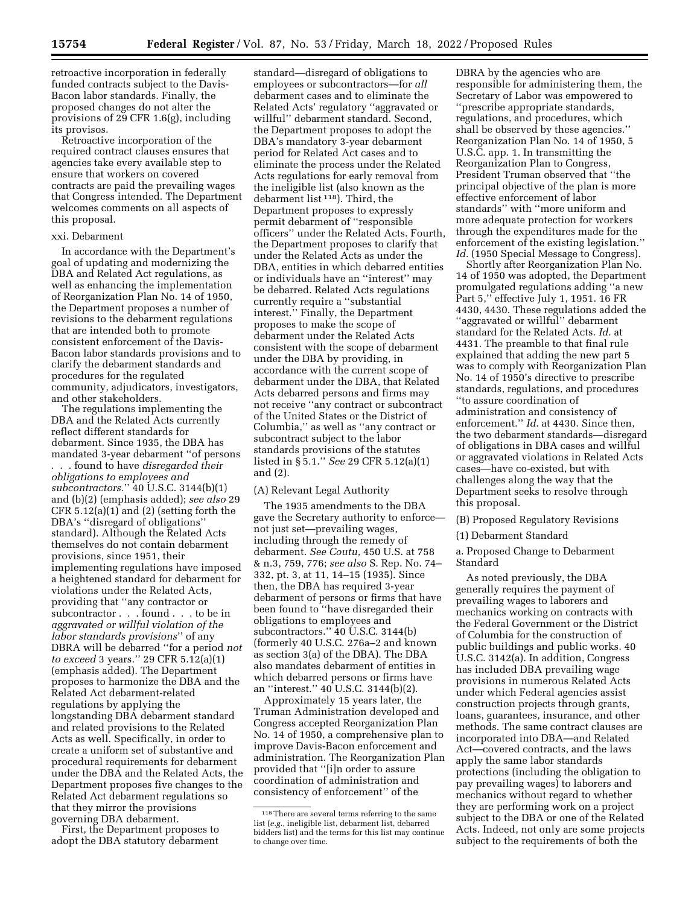retroactive incorporation in federally funded contracts subject to the Davis-Bacon labor standards. Finally, the proposed changes do not alter the provisions of 29 CFR 1.6(g), including

its provisos. Retroactive incorporation of the required contract clauses ensures that agencies take every available step to ensure that workers on covered contracts are paid the prevailing wages that Congress intended. The Department welcomes comments on all aspects of this proposal.

## xxi. Debarment

In accordance with the Department's goal of updating and modernizing the DBA and Related Act regulations, as well as enhancing the implementation of Reorganization Plan No. 14 of 1950, the Department proposes a number of revisions to the debarment regulations that are intended both to promote consistent enforcement of the Davis-Bacon labor standards provisions and to clarify the debarment standards and procedures for the regulated community, adjudicators, investigators, and other stakeholders.

The regulations implementing the DBA and the Related Acts currently reflect different standards for debarment. Since 1935, the DBA has mandated 3-year debarment ''of persons . . . found to have *disregarded their obligations to employees and subcontractors.*'' 40 U.S.C. 3144(b)(1) and (b)(2) (emphasis added); *see also* 29 CFR 5.12(a)(1) and (2) (setting forth the DBA's ''disregard of obligations'' standard). Although the Related Acts themselves do not contain debarment provisions, since 1951, their implementing regulations have imposed a heightened standard for debarment for violations under the Related Acts, providing that ''any contractor or subcontractor . . . found . . . to be in *aggravated or willful violation of the labor standards provisions*'' of any DBRA will be debarred ''for a period *not to exceed* 3 years.'' 29 CFR 5.12(a)(1) (emphasis added). The Department proposes to harmonize the DBA and the Related Act debarment-related regulations by applying the longstanding DBA debarment standard and related provisions to the Related Acts as well. Specifically, in order to create a uniform set of substantive and procedural requirements for debarment under the DBA and the Related Acts, the Department proposes five changes to the Related Act debarment regulations so that they mirror the provisions governing DBA debarment.

First, the Department proposes to adopt the DBA statutory debarment

standard—disregard of obligations to employees or subcontractors—for *all*  debarment cases and to eliminate the Related Acts' regulatory ''aggravated or willful'' debarment standard. Second, the Department proposes to adopt the DBA's mandatory 3-year debarment period for Related Act cases and to eliminate the process under the Related Acts regulations for early removal from the ineligible list (also known as the debarment list 118). Third, the Department proposes to expressly permit debarment of ''responsible officers'' under the Related Acts. Fourth, the Department proposes to clarify that under the Related Acts as under the DBA, entities in which debarred entities or individuals have an ''interest'' may be debarred. Related Acts regulations currently require a ''substantial interest.'' Finally, the Department proposes to make the scope of debarment under the Related Acts consistent with the scope of debarment under the DBA by providing, in accordance with the current scope of debarment under the DBA, that Related Acts debarred persons and firms may not receive ''any contract or subcontract of the United States or the District of Columbia,'' as well as ''any contract or subcontract subject to the labor standards provisions of the statutes listed in § 5.1.'' *See* 29 CFR 5.12(a)(1) and (2).

## (A) Relevant Legal Authority

The 1935 amendments to the DBA gave the Secretary authority to enforce not just set—prevailing wages, including through the remedy of debarment. *See Coutu,* 450 U.S. at 758 & n.3, 759, 776; *see also* S. Rep. No. 74– 332, pt. 3, at 11, 14–15 (1935). Since then, the DBA has required 3-year debarment of persons or firms that have been found to ''have disregarded their obligations to employees and subcontractors." 40 U.S.C. 3144(b) (formerly 40 U.S.C. 276a–2 and known as section 3(a) of the DBA). The DBA also mandates debarment of entities in which debarred persons or firms have an ''interest.'' 40 U.S.C. 3144(b)(2).

Approximately 15 years later, the Truman Administration developed and Congress accepted Reorganization Plan No. 14 of 1950, a comprehensive plan to improve Davis-Bacon enforcement and administration. The Reorganization Plan provided that ''[i]n order to assure coordination of administration and consistency of enforcement'' of the

DBRA by the agencies who are responsible for administering them, the Secretary of Labor was empowered to ''prescribe appropriate standards, regulations, and procedures, which shall be observed by these agencies.'' Reorganization Plan No. 14 of 1950, 5 U.S.C. app. 1. In transmitting the Reorganization Plan to Congress, President Truman observed that ''the principal objective of the plan is more effective enforcement of labor standards'' with ''more uniform and more adequate protection for workers through the expenditures made for the enforcement of the existing legislation.'' Id. (1950 Special Message to Congress).

Shortly after Reorganization Plan No. 14 of 1950 was adopted, the Department promulgated regulations adding ''a new Part 5,'' effective July 1, 1951. 16 FR 4430, 4430. These regulations added the ''aggravated or willful'' debarment standard for the Related Acts. *Id.* at 4431. The preamble to that final rule explained that adding the new part 5 was to comply with Reorganization Plan No. 14 of 1950's directive to prescribe standards, regulations, and procedures ''to assure coordination of administration and consistency of enforcement.'' *Id.* at 4430. Since then, the two debarment standards—disregard of obligations in DBA cases and willful or aggravated violations in Related Acts cases—have co-existed, but with challenges along the way that the Department seeks to resolve through this proposal.

(B) Proposed Regulatory Revisions

(1) Debarment Standard

a. Proposed Change to Debarment Standard

As noted previously, the DBA generally requires the payment of prevailing wages to laborers and mechanics working on contracts with the Federal Government or the District of Columbia for the construction of public buildings and public works. 40 U.S.C. 3142(a). In addition, Congress has included DBA prevailing wage provisions in numerous Related Acts under which Federal agencies assist construction projects through grants, loans, guarantees, insurance, and other methods. The same contract clauses are incorporated into DBA—and Related Act—covered contracts, and the laws apply the same labor standards protections (including the obligation to pay prevailing wages) to laborers and mechanics without regard to whether they are performing work on a project subject to the DBA or one of the Related Acts. Indeed, not only are some projects subject to the requirements of both the

<sup>118</sup>There are several terms referring to the same list (*e.g.,* ineligible list, debarment list, debarred bidders list) and the terms for this list may continue to change over time.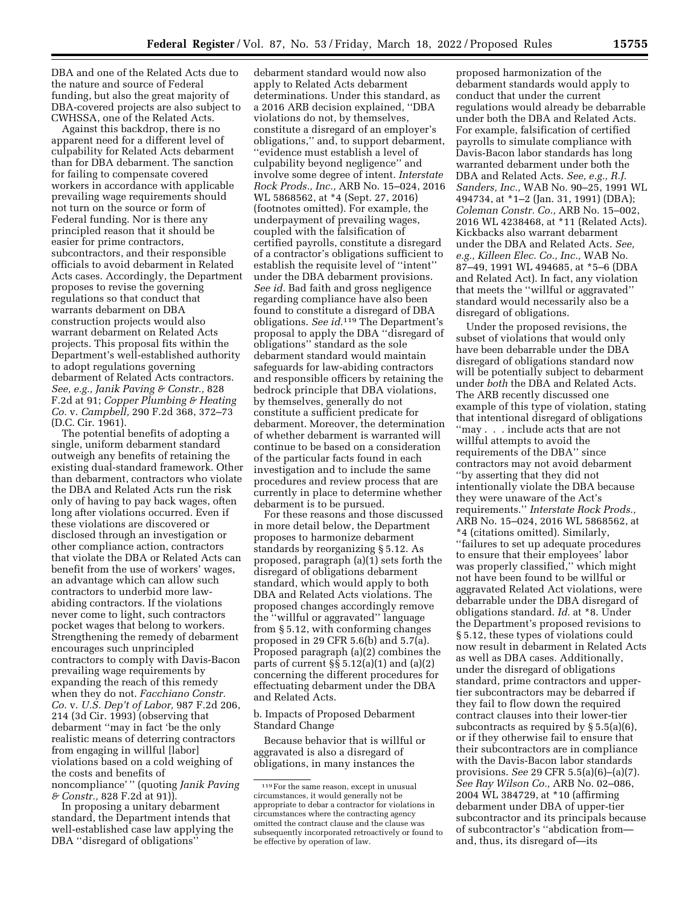DBA and one of the Related Acts due to the nature and source of Federal funding, but also the great majority of DBA-covered projects are also subject to CWHSSA, one of the Related Acts.

Against this backdrop, there is no apparent need for a different level of culpability for Related Acts debarment than for DBA debarment. The sanction for failing to compensate covered workers in accordance with applicable prevailing wage requirements should not turn on the source or form of Federal funding. Nor is there any principled reason that it should be easier for prime contractors, subcontractors, and their responsible officials to avoid debarment in Related Acts cases. Accordingly, the Department proposes to revise the governing regulations so that conduct that warrants debarment on DBA construction projects would also warrant debarment on Related Acts projects. This proposal fits within the Department's well-established authority to adopt regulations governing debarment of Related Acts contractors. *See, e.g., Janik Paving & Constr.,* 828 F.2d at 91; *Copper Plumbing & Heating Co.* v. *Campbell,* 290 F.2d 368, 372–73 (D.C. Cir. 1961).

The potential benefits of adopting a single, uniform debarment standard outweigh any benefits of retaining the existing dual-standard framework. Other than debarment, contractors who violate the DBA and Related Acts run the risk only of having to pay back wages, often long after violations occurred. Even if these violations are discovered or disclosed through an investigation or other compliance action, contractors that violate the DBA or Related Acts can benefit from the use of workers' wages, an advantage which can allow such contractors to underbid more lawabiding contractors. If the violations never come to light, such contractors pocket wages that belong to workers. Strengthening the remedy of debarment encourages such unprincipled contractors to comply with Davis-Bacon prevailing wage requirements by expanding the reach of this remedy when they do not. *Facchiano Constr. Co.* v. *U.S. Dep't of Labor,* 987 F.2d 206, 214 (3d Cir. 1993) (observing that debarment ''may in fact 'be the only realistic means of deterring contractors from engaging in willful [labor] violations based on a cold weighing of the costs and benefits of noncompliance' '' (quoting *Janik Paving & Constr.,* 828 F.2d at 91)).

In proposing a unitary debarment standard, the Department intends that well-established case law applying the DBA ''disregard of obligations''

debarment standard would now also apply to Related Acts debarment determinations. Under this standard, as a 2016 ARB decision explained, ''DBA violations do not, by themselves, constitute a disregard of an employer's obligations,'' and, to support debarment, ''evidence must establish a level of culpability beyond negligence'' and involve some degree of intent. *Interstate Rock Prods., Inc.,* ARB No. 15–024, 2016 WL 5868562, at \*4 (Sept. 27, 2016) (footnotes omitted). For example, the underpayment of prevailing wages, coupled with the falsification of certified payrolls, constitute a disregard of a contractor's obligations sufficient to establish the requisite level of ''intent'' under the DBA debarment provisions. *See id.* Bad faith and gross negligence regarding compliance have also been found to constitute a disregard of DBA obligations. *See id.*119 The Department's proposal to apply the DBA ''disregard of obligations'' standard as the sole debarment standard would maintain safeguards for law-abiding contractors and responsible officers by retaining the bedrock principle that DBA violations, by themselves, generally do not constitute a sufficient predicate for debarment. Moreover, the determination of whether debarment is warranted will continue to be based on a consideration of the particular facts found in each investigation and to include the same procedures and review process that are currently in place to determine whether debarment is to be pursued.

For these reasons and those discussed in more detail below, the Department proposes to harmonize debarment standards by reorganizing § 5.12. As proposed, paragraph (a)(1) sets forth the disregard of obligations debarment standard, which would apply to both DBA and Related Acts violations. The proposed changes accordingly remove the ''willful or aggravated'' language from § 5.12, with conforming changes proposed in 29 CFR 5.6(b) and 5.7(a). Proposed paragraph (a)(2) combines the parts of current §§ 5.12(a)(1) and (a)(2) concerning the different procedures for effectuating debarment under the DBA and Related Acts.

b. Impacts of Proposed Debarment Standard Change

Because behavior that is willful or aggravated is also a disregard of obligations, in many instances the

proposed harmonization of the debarment standards would apply to conduct that under the current regulations would already be debarrable under both the DBA and Related Acts. For example, falsification of certified payrolls to simulate compliance with Davis-Bacon labor standards has long warranted debarment under both the DBA and Related Acts. *See, e.g., R.J. Sanders, Inc.,* WAB No. 90–25, 1991 WL 494734, at \*1–2 (Jan. 31, 1991) (DBA); *Coleman Constr. Co.,* ARB No. 15–002, 2016 WL 4238468, at \*11 (Related Acts). Kickbacks also warrant debarment under the DBA and Related Acts. *See, e.g., Killeen Elec. Co., Inc.,* WAB No. 87–49, 1991 WL 494685, at \*5–6 (DBA and Related Act). In fact, any violation that meets the ''willful or aggravated'' standard would necessarily also be a disregard of obligations.

Under the proposed revisions, the subset of violations that would only have been debarrable under the DBA disregard of obligations standard now will be potentially subject to debarment under *both* the DBA and Related Acts. The ARB recently discussed one example of this type of violation, stating that intentional disregard of obligations ''may . . . include acts that are not willful attempts to avoid the requirements of the DBA'' since contractors may not avoid debarment ''by asserting that they did not intentionally violate the DBA because they were unaware of the Act's requirements.'' *Interstate Rock Prods.,*  ARB No. 15–024, 2016 WL 5868562, at \*4 (citations omitted). Similarly, ''failures to set up adequate procedures to ensure that their employees' labor was properly classified,'' which might not have been found to be willful or aggravated Related Act violations, were debarrable under the DBA disregard of obligations standard. *Id.* at \*8. Under the Department's proposed revisions to § 5.12, these types of violations could now result in debarment in Related Acts as well as DBA cases. Additionally, under the disregard of obligations standard, prime contractors and uppertier subcontractors may be debarred if they fail to flow down the required contract clauses into their lower-tier subcontracts as required by § 5.5(a)(6), or if they otherwise fail to ensure that their subcontractors are in compliance with the Davis-Bacon labor standards provisions. *See* 29 CFR 5.5(a)(6)–(a)(7). *See Ray Wilson Co.,* ARB No. 02–086, 2004 WL 384729, at \*10 (affirming debarment under DBA of upper-tier subcontractor and its principals because of subcontractor's ''abdication from and, thus, its disregard of—its

<sup>119</sup>For the same reason, except in unusual circumstances, it would generally not be appropriate to debar a contractor for violations in circumstances where the contracting agency omitted the contract clause and the clause was subsequently incorporated retroactively or found to be effective by operation of law.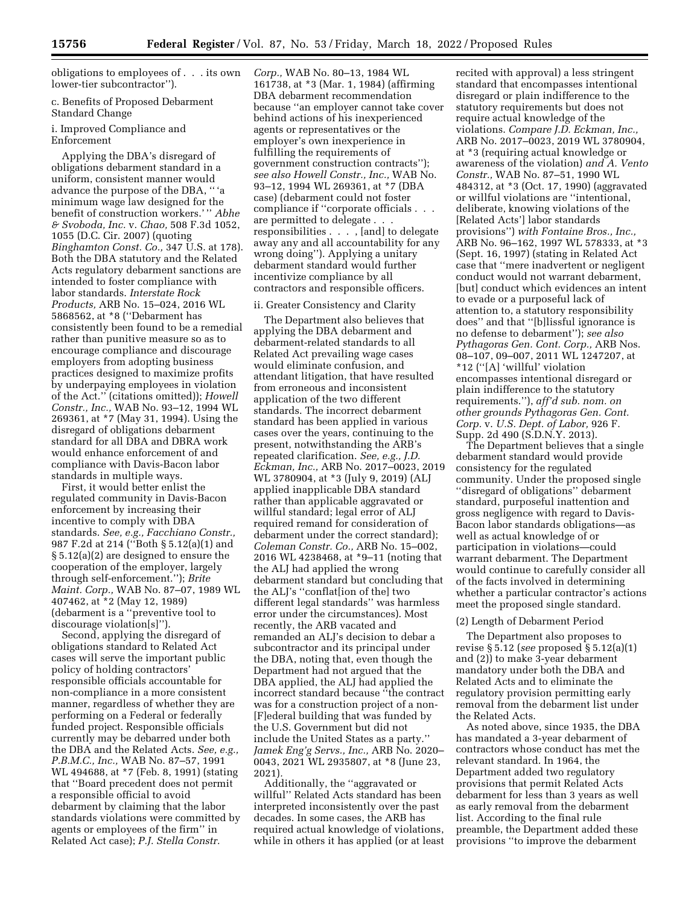obligations to employees of . . . its own lower-tier subcontractor'').

c. Benefits of Proposed Debarment Standard Change

## i. Improved Compliance and Enforcement

Applying the DBA's disregard of obligations debarment standard in a uniform, consistent manner would advance the purpose of the DBA, '' 'a minimum wage law designed for the benefit of construction workers.' '' *Abhe & Svoboda, Inc.* v. *Chao,* 508 F.3d 1052, 1055 (D.C. Cir. 2007) (quoting *Binghamton Const. Co.,* 347 U.S. at 178). Both the DBA statutory and the Related Acts regulatory debarment sanctions are intended to foster compliance with labor standards. *Interstate Rock Products,* ARB No. 15–024, 2016 WL 5868562, at \*8 (''Debarment has consistently been found to be a remedial rather than punitive measure so as to encourage compliance and discourage employers from adopting business practices designed to maximize profits by underpaying employees in violation of the Act.'' (citations omitted)); *Howell Constr., Inc.,* WAB No. 93–12, 1994 WL 269361, at \*7 (May 31, 1994). Using the disregard of obligations debarment standard for all DBA and DBRA work would enhance enforcement of and compliance with Davis-Bacon labor standards in multiple ways.

First, it would better enlist the regulated community in Davis-Bacon enforcement by increasing their incentive to comply with DBA standards. *See, e.g., Facchiano Constr.,*  987 F.2d at 214 (''Both § 5.12(a)(1) and § 5.12(a)(2) are designed to ensure the cooperation of the employer, largely through self-enforcement.''); *Brite Maint. Corp.,* WAB No. 87–07, 1989 WL 407462, at \*2 (May 12, 1989) (debarment is a ''preventive tool to discourage violation[s]'').

Second, applying the disregard of obligations standard to Related Act cases will serve the important public policy of holding contractors' responsible officials accountable for non-compliance in a more consistent manner, regardless of whether they are performing on a Federal or federally funded project. Responsible officials currently may be debarred under both the DBA and the Related Acts. *See, e.g., P.B.M.C., Inc.,* WAB No. 87–57, 1991 WL 494688, at \*7 (Feb. 8, 1991) (stating that ''Board precedent does not permit a responsible official to avoid debarment by claiming that the labor standards violations were committed by agents or employees of the firm'' in Related Act case); *P.J. Stella Constr.* 

*Corp.,* WAB No. 80–13, 1984 WL 161738, at \*3 (Mar. 1, 1984) (affirming DBA debarment recommendation because ''an employer cannot take cover behind actions of his inexperienced agents or representatives or the employer's own inexperience in fulfilling the requirements of government construction contracts''); *see also Howell Constr., Inc.,* WAB No. 93–12, 1994 WL 269361, at \*7 (DBA case) (debarment could not foster compliance if ''corporate officials . . . are permitted to delegate . . . responsibilities . . . , [and] to delegate away any and all accountability for any wrong doing''). Applying a unitary debarment standard would further incentivize compliance by all contractors and responsible officers.

# ii. Greater Consistency and Clarity

The Department also believes that applying the DBA debarment and debarment-related standards to all Related Act prevailing wage cases would eliminate confusion, and attendant litigation, that have resulted from erroneous and inconsistent application of the two different standards. The incorrect debarment standard has been applied in various cases over the years, continuing to the present, notwithstanding the ARB's repeated clarification. *See, e.g., J.D. Eckman, Inc.,* ARB No. 2017–0023, 2019 WL 3780904, at \*3 (July 9, 2019) (ALJ applied inapplicable DBA standard rather than applicable aggravated or willful standard; legal error of ALJ required remand for consideration of debarment under the correct standard); *Coleman Constr. Co.,* ARB No. 15–002, 2016 WL 4238468, at \*9–11 (noting that the ALJ had applied the wrong debarment standard but concluding that the ALJ's ''conflat[ion of the] two different legal standards'' was harmless error under the circumstances). Most recently, the ARB vacated and remanded an ALJ's decision to debar a subcontractor and its principal under the DBA, noting that, even though the Department had not argued that the DBA applied, the ALJ had applied the incorrect standard because ''the contract was for a construction project of a non- [F]ederal building that was funded by the U.S. Government but did not include the United States as a party.'' *Jamek Eng'g Servs., Inc.,* ARB No. 2020– 0043, 2021 WL 2935807, at \*8 (June 23, 2021)*.* 

Additionally, the ''aggravated or willful'' Related Acts standard has been interpreted inconsistently over the past decades. In some cases, the ARB has required actual knowledge of violations, while in others it has applied (or at least

recited with approval) a less stringent standard that encompasses intentional disregard or plain indifference to the statutory requirements but does not require actual knowledge of the violations. *Compare J.D. Eckman, Inc.,*  ARB No. 2017–0023, 2019 WL 3780904, at \*3 (requiring actual knowledge or awareness of the violation) *and A. Vento Constr.,* WAB No. 87–51, 1990 WL 484312, at \*3 (Oct. 17, 1990) (aggravated or willful violations are ''intentional, deliberate, knowing violations of the [Related Acts'] labor standards provisions'') *with Fontaine Bros., Inc.,*  ARB No. 96–162, 1997 WL 578333, at \*3 (Sept. 16, 1997) (stating in Related Act case that ''mere inadvertent or negligent conduct would not warrant debarment, [but] conduct which evidences an intent to evade or a purposeful lack of attention to, a statutory responsibility does'' and that ''[b]lissful ignorance is no defense to debarment''); *see also Pythagoras Gen. Cont. Corp.,* ARB Nos. 08–107, 09–007, 2011 WL 1247207, at \*12 (''[A] 'willful' violation encompasses intentional disregard or plain indifference to the statutory requirements.''), *aff'd sub. nom. on other grounds Pythagoras Gen. Cont. Corp.* v. *U.S. Dept. of Labor,* 926 F. Supp. 2d 490 (S.D.N.Y. 2013).

The Department believes that a single debarment standard would provide consistency for the regulated community. Under the proposed single ''disregard of obligations'' debarment standard, purposeful inattention and gross negligence with regard to Davis-Bacon labor standards obligations—as well as actual knowledge of or participation in violations—could warrant debarment. The Department would continue to carefully consider all of the facts involved in determining whether a particular contractor's actions meet the proposed single standard.

# (2) Length of Debarment Period

The Department also proposes to revise § 5.12 (*see* proposed § 5.12(a)(1) and (2)) to make 3-year debarment mandatory under both the DBA and Related Acts and to eliminate the regulatory provision permitting early removal from the debarment list under the Related Acts.

As noted above, since 1935, the DBA has mandated a 3-year debarment of contractors whose conduct has met the relevant standard. In 1964, the Department added two regulatory provisions that permit Related Acts debarment for less than 3 years as well as early removal from the debarment list. According to the final rule preamble, the Department added these provisions ''to improve the debarment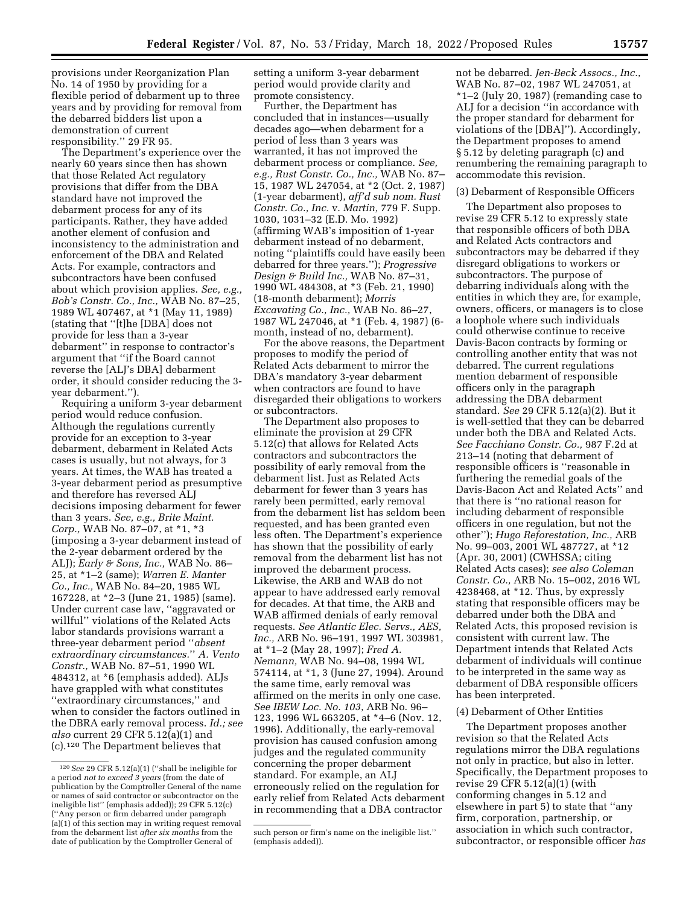provisions under Reorganization Plan No. 14 of 1950 by providing for a flexible period of debarment up to three years and by providing for removal from the debarred bidders list upon a demonstration of current responsibility.'' 29 FR 95.

The Department's experience over the nearly 60 years since then has shown that those Related Act regulatory provisions that differ from the DBA standard have not improved the debarment process for any of its participants. Rather, they have added another element of confusion and inconsistency to the administration and enforcement of the DBA and Related Acts. For example, contractors and subcontractors have been confused about which provision applies. *See, e.g., Bob's Constr. Co., Inc.,* WAB No. 87–25, 1989 WL 407467, at \*1 (May 11, 1989) (stating that ''[t]he [DBA] does not provide for less than a 3-year debarment'' in response to contractor's argument that ''if the Board cannot reverse the [ALJ's DBA] debarment order, it should consider reducing the 3 year debarment.'').

Requiring a uniform 3-year debarment period would reduce confusion. Although the regulations currently provide for an exception to 3-year debarment, debarment in Related Acts cases is usually, but not always, for 3 years. At times, the WAB has treated a 3-year debarment period as presumptive and therefore has reversed ALJ decisions imposing debarment for fewer than 3 years. *See, e.g., Brite Maint. Corp.,* WAB No. 87–07, at \*1, \*3 (imposing a 3-year debarment instead of the 2-year debarment ordered by the ALJ); *Early & Sons, Inc.,* WAB No. 86– 25, at \*1–2 (same); *Warren E. Manter Co., Inc.,* WAB No. 84–20, 1985 WL 167228, at \*2–3 (June 21, 1985) (same). Under current case law, ''aggravated or willful'' violations of the Related Acts labor standards provisions warrant a three-year debarment period ''*absent extraordinary circumstances.*'' *A. Vento Constr.,* WAB No. 87–51, 1990 WL 484312, at \*6 (emphasis added). ALJs have grappled with what constitutes ''extraordinary circumstances,'' and when to consider the factors outlined in the DBRA early removal process. *Id.; see also* current 29 CFR 5.12(a)(1) and (c).120 The Department believes that

setting a uniform 3-year debarment period would provide clarity and promote consistency.

Further, the Department has concluded that in instances—usually decades ago—when debarment for a period of less than 3 years was warranted, it has not improved the debarment process or compliance. *See, e.g., Rust Constr. Co., Inc.,* WAB No. 87– 15, 1987 WL 247054, at \*2 (Oct. 2, 1987) (1-year debarment), *aff'd sub nom. Rust Constr. Co., Inc.* v. *Martin,* 779 F. Supp. 1030, 1031–32 (E.D. Mo. 1992) (affirming WAB's imposition of 1-year debarment instead of no debarment, noting ''plaintiffs could have easily been debarred for three years.''); *Progressive Design & Build Inc.,* WAB No. 87–31, 1990 WL 484308, at \*3 (Feb. 21, 1990) (18-month debarment); *Morris Excavating Co., Inc.,* WAB No. 86–27, 1987 WL 247046, at \*1 (Feb. 4, 1987) (6 month, instead of no, debarment).

For the above reasons, the Department proposes to modify the period of Related Acts debarment to mirror the DBA's mandatory 3-year debarment when contractors are found to have disregarded their obligations to workers or subcontractors.

The Department also proposes to eliminate the provision at 29 CFR 5.12(c) that allows for Related Acts contractors and subcontractors the possibility of early removal from the debarment list. Just as Related Acts debarment for fewer than 3 years has rarely been permitted, early removal from the debarment list has seldom been requested, and has been granted even less often. The Department's experience has shown that the possibility of early removal from the debarment list has not improved the debarment process. Likewise, the ARB and WAB do not appear to have addressed early removal for decades. At that time, the ARB and WAB affirmed denials of early removal requests. *See Atlantic Elec. Servs., AES, Inc.,* ARB No. 96–191, 1997 WL 303981, at \*1–2 (May 28, 1997); *Fred A. Nemann,* WAB No. 94–08, 1994 WL 574114, at \*1, 3 (June 27, 1994). Around the same time, early removal was affirmed on the merits in only one case. *See IBEW Loc. No. 103,* ARB No. 96– 123, 1996 WL 663205, at \*4–6 (Nov. 12, 1996). Additionally, the early-removal provision has caused confusion among judges and the regulated community concerning the proper debarment standard. For example, an ALJ erroneously relied on the regulation for early relief from Related Acts debarment in recommending that a DBA contractor

not be debarred. *Jen-Beck Assocs., Inc.,*  WAB No. 87–02, 1987 WL 247051, at \*1–2 (July 20, 1987) (remanding case to ALJ for a decision ''in accordance with the proper standard for debarment for violations of the [DBA]''). Accordingly, the Department proposes to amend § 5.12 by deleting paragraph (c) and renumbering the remaining paragraph to accommodate this revision.

#### (3) Debarment of Responsible Officers

The Department also proposes to revise 29 CFR 5.12 to expressly state that responsible officers of both DBA and Related Acts contractors and subcontractors may be debarred if they disregard obligations to workers or subcontractors. The purpose of debarring individuals along with the entities in which they are, for example, owners, officers, or managers is to close a loophole where such individuals could otherwise continue to receive Davis-Bacon contracts by forming or controlling another entity that was not debarred. The current regulations mention debarment of responsible officers only in the paragraph addressing the DBA debarment standard. *See* 29 CFR 5.12(a)(2). But it is well-settled that they can be debarred under both the DBA and Related Acts. *See Facchiano Constr. Co.,* 987 F.2d at 213–14 (noting that debarment of responsible officers is ''reasonable in furthering the remedial goals of the Davis-Bacon Act and Related Acts'' and that there is ''no rational reason for including debarment of responsible officers in one regulation, but not the other''); *Hugo Reforestation, Inc.,* ARB No. 99–003, 2001 WL 487727, at \*12 (Apr. 30, 2001) (CWHSSA; citing Related Acts cases); *see also Coleman Constr. Co.,* ARB No. 15–002, 2016 WL 4238468, at \*12. Thus, by expressly stating that responsible officers may be debarred under both the DBA and Related Acts, this proposed revision is consistent with current law. The Department intends that Related Acts debarment of individuals will continue to be interpreted in the same way as debarment of DBA responsible officers has been interpreted.

## (4) Debarment of Other Entities

The Department proposes another revision so that the Related Acts regulations mirror the DBA regulations not only in practice, but also in letter. Specifically, the Department proposes to revise 29 CFR 5.12(a)(1) (with conforming changes in 5.12 and elsewhere in part 5) to state that ''any firm, corporation, partnership, or association in which such contractor, subcontractor, or responsible officer *has* 

<sup>120</sup>*See* 29 CFR 5.12(a)(1) (''shall be ineligible for a period *not to exceed 3 years* (from the date of publication by the Comptroller General of the name or names of said contractor or subcontractor on the ineligible list'' (emphasis added)); 29 CFR 5.12(c) "Any person or firm debarred under paragraph (a)(1) of this section may in writing request removal from the debarment list *after six months* from the date of publication by the Comptroller General of

such person or firm's name on the ineligible list.'' (emphasis added)).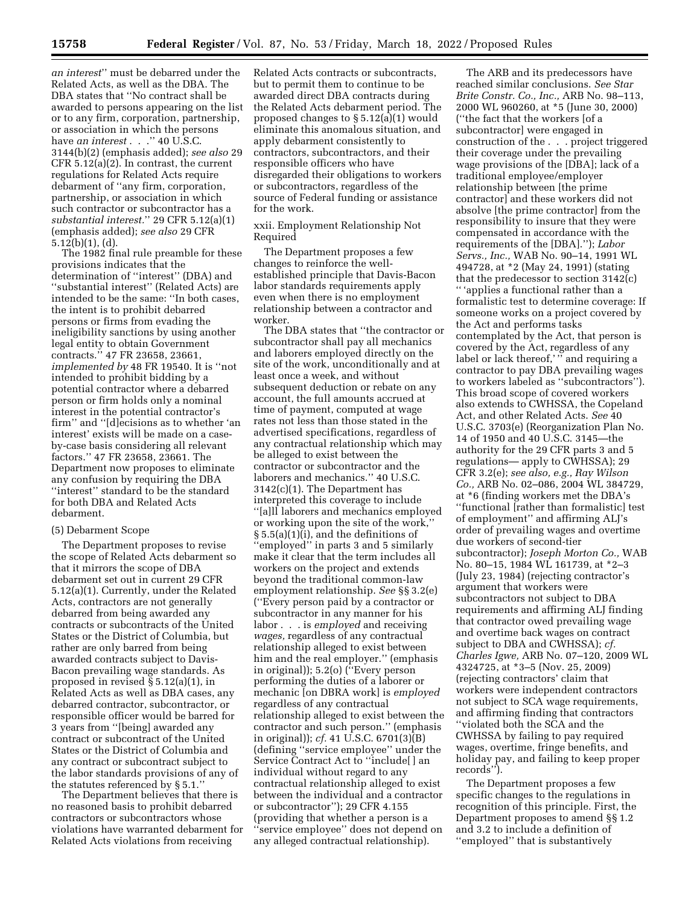*an interest*'' must be debarred under the Related Acts, as well as the DBA. The DBA states that ''No contract shall be awarded to persons appearing on the list or to any firm, corporation, partnership, or association in which the persons have *an interest* . . .'' 40 U.S.C. 3144(b)(2) (emphasis added); *see also* 29 CFR 5.12(a)(2). In contrast, the current regulations for Related Acts require debarment of ''any firm, corporation, partnership, or association in which such contractor or subcontractor has a *substantial interest.*'' 29 CFR 5.12(a)(1) (emphasis added); *see also* 29 CFR

5.12(b)(1), (d). The 1982 final rule preamble for these provisions indicates that the determination of ''interest'' (DBA) and ''substantial interest'' (Related Acts) are intended to be the same: ''In both cases, the intent is to prohibit debarred persons or firms from evading the ineligibility sanctions by using another legal entity to obtain Government contracts.'' 47 FR 23658, 23661, *implemented by* 48 FR 19540. It is ''not intended to prohibit bidding by a potential contractor where a debarred person or firm holds only a nominal interest in the potential contractor's firm'' and ''[d]ecisions as to whether 'an interest' exists will be made on a caseby-case basis considering all relevant factors.'' 47 FR 23658, 23661. The Department now proposes to eliminate any confusion by requiring the DBA ''interest'' standard to be the standard for both DBA and Related Acts debarment.

## (5) Debarment Scope

The Department proposes to revise the scope of Related Acts debarment so that it mirrors the scope of DBA debarment set out in current 29 CFR 5.12(a)(1). Currently, under the Related Acts, contractors are not generally debarred from being awarded any contracts or subcontracts of the United States or the District of Columbia, but rather are only barred from being awarded contracts subject to Davis-Bacon prevailing wage standards. As proposed in revised § 5.12(a)(1), in Related Acts as well as DBA cases, any debarred contractor, subcontractor, or responsible officer would be barred for 3 years from ''[being] awarded any contract or subcontract of the United States or the District of Columbia and any contract or subcontract subject to the labor standards provisions of any of the statutes referenced by § 5.1.''

The Department believes that there is no reasoned basis to prohibit debarred contractors or subcontractors whose violations have warranted debarment for Related Acts violations from receiving

Related Acts contracts or subcontracts, but to permit them to continue to be awarded direct DBA contracts during the Related Acts debarment period. The proposed changes to § 5.12(a)(1) would eliminate this anomalous situation, and apply debarment consistently to contractors, subcontractors, and their responsible officers who have disregarded their obligations to workers or subcontractors, regardless of the source of Federal funding or assistance for the work.

xxii. Employment Relationship Not Required

The Department proposes a few changes to reinforce the wellestablished principle that Davis-Bacon labor standards requirements apply even when there is no employment relationship between a contractor and worker.

The DBA states that ''the contractor or subcontractor shall pay all mechanics and laborers employed directly on the site of the work, unconditionally and at least once a week, and without subsequent deduction or rebate on any account, the full amounts accrued at time of payment, computed at wage rates not less than those stated in the advertised specifications, regardless of any contractual relationship which may be alleged to exist between the contractor or subcontractor and the laborers and mechanics.'' 40 U.S.C. 3142(c)(1). The Department has interpreted this coverage to include ''[a]ll laborers and mechanics employed or working upon the site of the work,'' § 5.5(a)(1)(i), and the definitions of ''employed'' in parts 3 and 5 similarly make it clear that the term includes all workers on the project and extends beyond the traditional common-law employment relationship. *See* §§ 3.2(e) (''Every person paid by a contractor or subcontractor in any manner for his labor . . . is *employed* and receiving *wages,* regardless of any contractual relationship alleged to exist between him and the real employer.'' (emphasis in original)); 5.2(o) (''Every person performing the duties of a laborer or mechanic [on DBRA work] is *employed*  regardless of any contractual relationship alleged to exist between the contractor and such person.'' (emphasis in original)); *cf.* 41 U.S.C. 6701(3)(B) (defining ''service employee'' under the Service Contract Act to ''include[ ] an individual without regard to any contractual relationship alleged to exist between the individual and a contractor or subcontractor''); 29 CFR 4.155 (providing that whether a person is a ''service employee'' does not depend on any alleged contractual relationship).

The ARB and its predecessors have reached similar conclusions. *See Star Brite Constr. Co., Inc.,* ARB No. 98–113, 2000 WL 960260, at \*5 (June 30, 2000) (''the fact that the workers [of a subcontractor] were engaged in construction of the . . . project triggered their coverage under the prevailing wage provisions of the [DBA]; lack of a traditional employee/employer relationship between [the prime contractor] and these workers did not absolve [the prime contractor] from the responsibility to insure that they were compensated in accordance with the requirements of the [DBA].''); *Labor Servs., Inc.,* WAB No. 90–14, 1991 WL 494728, at \*2 (May 24, 1991) (stating that the predecessor to section 3142(c) '' 'applies a functional rather than a formalistic test to determine coverage: If someone works on a project covered by the Act and performs tasks contemplated by the Act, that person is covered by the Act, regardless of any label or lack thereof,'" and requiring a contractor to pay DBA prevailing wages to workers labeled as ''subcontractors''). This broad scope of covered workers also extends to CWHSSA, the Copeland Act, and other Related Acts. *See* 40 U.S.C. 3703(e) (Reorganization Plan No. 14 of 1950 and 40 U.S.C. 3145—the authority for the 29 CFR parts 3 and 5 regulations— apply to CWHSSA); 29 CFR 3.2(e); *see also, e.g., Ray Wilson Co.,* ARB No. 02–086, 2004 WL 384729, at \*6 (finding workers met the DBA's ''functional [rather than formalistic] test of employment'' and affirming ALJ's order of prevailing wages and overtime due workers of second-tier subcontractor); *Joseph Morton Co.,* WAB No. 80–15, 1984 WL 161739, at \*2–3 (July 23, 1984) (rejecting contractor's argument that workers were subcontractors not subject to DBA requirements and affirming ALJ finding that contractor owed prevailing wage and overtime back wages on contract subject to DBA and CWHSSA); *cf. Charles Igwe,* ARB No. 07–120, 2009 WL 4324725, at \*3–5 (Nov. 25, 2009) (rejecting contractors' claim that workers were independent contractors not subject to SCA wage requirements, and affirming finding that contractors ''violated both the SCA and the CWHSSA by failing to pay required wages, overtime, fringe benefits, and holiday pay, and failing to keep proper records'').

The Department proposes a few specific changes to the regulations in recognition of this principle. First, the Department proposes to amend §§ 1.2 and 3.2 to include a definition of ''employed'' that is substantively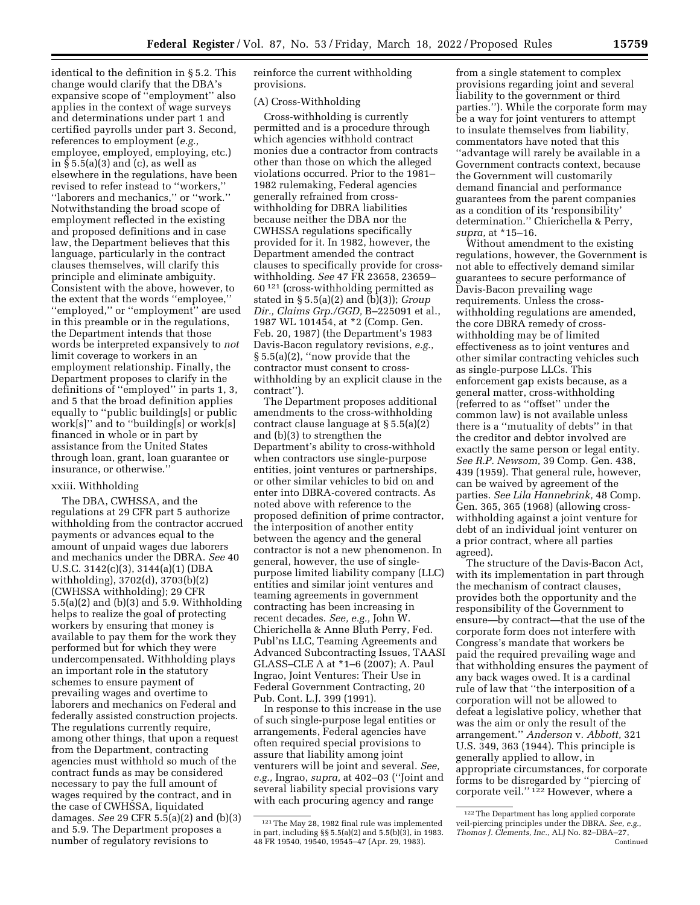identical to the definition in § 5.2. This change would clarify that the DBA's expansive scope of ''employment'' also applies in the context of wage surveys and determinations under part 1 and certified payrolls under part 3. Second, references to employment (*e.g.,*  employee, employed, employing, etc.) in § 5.5(a)(3) and (c), as well as elsewhere in the regulations, have been revised to refer instead to ''workers,'' ''laborers and mechanics,'' or ''work.'' Notwithstanding the broad scope of employment reflected in the existing and proposed definitions and in case law, the Department believes that this language, particularly in the contract clauses themselves, will clarify this principle and eliminate ambiguity. Consistent with the above, however, to the extent that the words ''employee,'' ''employed,'' or ''employment'' are used in this preamble or in the regulations, the Department intends that those words be interpreted expansively to *not*  limit coverage to workers in an employment relationship. Finally, the Department proposes to clarify in the definitions of ''employed'' in parts 1, 3, and 5 that the broad definition applies equally to ''public building[s] or public work[s]'' and to ''building[s] or work[s] financed in whole or in part by assistance from the United States through loan, grant, loan guarantee or insurance, or otherwise.''

# xxiii. Withholding

The DBA, CWHSSA, and the regulations at 29 CFR part 5 authorize withholding from the contractor accrued payments or advances equal to the amount of unpaid wages due laborers and mechanics under the DBRA. *See* 40 U.S.C. 3142(c)(3), 3144(a)(1) (DBA withholding), 3702(d), 3703(b)(2) (CWHSSA withholding); 29 CFR 5.5(a)(2) and (b)(3) and 5.9. Withholding helps to realize the goal of protecting workers by ensuring that money is available to pay them for the work they performed but for which they were undercompensated. Withholding plays an important role in the statutory schemes to ensure payment of prevailing wages and overtime to laborers and mechanics on Federal and federally assisted construction projects. The regulations currently require, among other things, that upon a request from the Department, contracting agencies must withhold so much of the contract funds as may be considered necessary to pay the full amount of wages required by the contract, and in the case of CWHSSA, liquidated damages. *See* 29 CFR 5.5(a)(2) and (b)(3) and 5.9. The Department proposes a number of regulatory revisions to

reinforce the current withholding provisions.

## (A) Cross-Withholding

Cross-withholding is currently permitted and is a procedure through which agencies withhold contract monies due a contractor from contracts other than those on which the alleged violations occurred. Prior to the 1981– 1982 rulemaking, Federal agencies generally refrained from crosswithholding for DBRA liabilities because neither the DBA nor the CWHSSA regulations specifically provided for it. In 1982, however, the Department amended the contract clauses to specifically provide for crosswithholding. *See* 47 FR 23658, 23659– 60 121 (cross-withholding permitted as stated in § 5.5(a)(2) and (b)(3)); *Group Dir., Claims Grp./GGD,* B–225091 et al., 1987 WL 101454, at \*2 (Comp. Gen. Feb. 20, 1987) (the Department's 1983 Davis-Bacon regulatory revisions, *e.g.,*  § 5.5(a)(2), ''now provide that the contractor must consent to crosswithholding by an explicit clause in the contract'').

The Department proposes additional amendments to the cross-withholding contract clause language at § 5.5(a)(2) and (b)(3) to strengthen the Department's ability to cross-withhold when contractors use single-purpose entities, joint ventures or partnerships, or other similar vehicles to bid on and enter into DBRA-covered contracts. As noted above with reference to the proposed definition of prime contractor, the interposition of another entity between the agency and the general contractor is not a new phenomenon. In general, however, the use of singlepurpose limited liability company (LLC) entities and similar joint ventures and teaming agreements in government contracting has been increasing in recent decades. *See, e.g.,* John W. Chierichella & Anne Bluth Perry, Fed. Publ'ns LLC, Teaming Agreements and Advanced Subcontracting Issues, TAASI GLASS–CLE A at \*1–6 (2007); A. Paul Ingrao, Joint Ventures: Their Use in Federal Government Contracting, 20 Pub. Cont. L.J. 399 (1991).

In response to this increase in the use of such single-purpose legal entities or arrangements, Federal agencies have often required special provisions to assure that liability among joint venturers will be joint and several. *See, e.g.,* Ingrao, *supra,* at 402–03 (''Joint and several liability special provisions vary with each procuring agency and range

from a single statement to complex provisions regarding joint and several liability to the government or third parties.''). While the corporate form may be a way for joint venturers to attempt to insulate themselves from liability, commentators have noted that this ''advantage will rarely be available in a Government contracts context, because the Government will customarily demand financial and performance guarantees from the parent companies as a condition of its 'responsibility' determination.'' Chierichella & Perry, *supra,* at \*15–16.

Without amendment to the existing regulations, however, the Government is not able to effectively demand similar guarantees to secure performance of Davis-Bacon prevailing wage requirements. Unless the crosswithholding regulations are amended, the core DBRA remedy of crosswithholding may be of limited effectiveness as to joint ventures and other similar contracting vehicles such as single-purpose LLCs. This enforcement gap exists because, as a general matter, cross-withholding (referred to as ''offset'' under the common law) is not available unless there is a ''mutuality of debts'' in that the creditor and debtor involved are exactly the same person or legal entity. *See R.P. Newsom,* 39 Comp. Gen. 438, 439 (1959). That general rule, however, can be waived by agreement of the parties. *See Lila Hannebrink,* 48 Comp. Gen. 365, 365 (1968) (allowing crosswithholding against a joint venture for debt of an individual joint venturer on a prior contract, where all parties agreed).

The structure of the Davis-Bacon Act, with its implementation in part through the mechanism of contract clauses, provides both the opportunity and the responsibility of the Government to ensure—by contract—that the use of the corporate form does not interfere with Congress's mandate that workers be paid the required prevailing wage and that withholding ensures the payment of any back wages owed. It is a cardinal rule of law that ''the interposition of a corporation will not be allowed to defeat a legislative policy, whether that was the aim or only the result of the arrangement.'' *Anderson* v. *Abbott,* 321 U.S. 349, 363 (1944). This principle is generally applied to allow, in appropriate circumstances, for corporate forms to be disregarded by ''piercing of corporate veil.'' 122 However, where a

<sup>121</sup>The May 28, 1982 final rule was implemented in part, including §§ 5.5(a)(2) and 5.5(b)(3), in 1983. 48 FR 19540, 19540, 19545–47 (Apr. 29, 1983).

<sup>122</sup>The Department has long applied corporate veil-piercing principles under the DBRA. *See, e.g., Thomas J. Clements, Inc.,* ALJ No. 82–DBA–27, Continued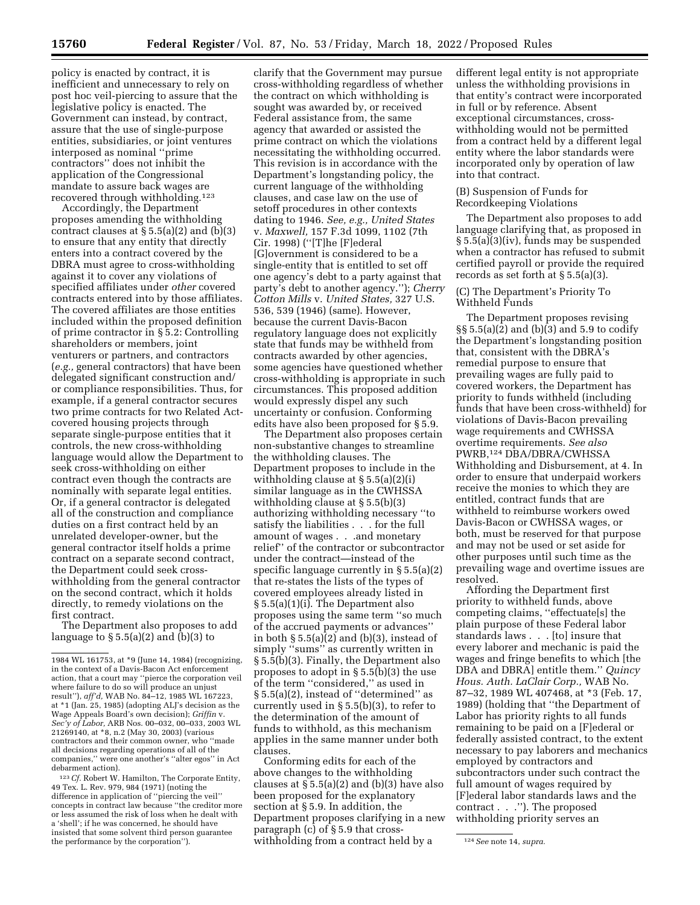policy is enacted by contract, it is inefficient and unnecessary to rely on post hoc veil-piercing to assure that the legislative policy is enacted. The Government can instead, by contract, assure that the use of single-purpose entities, subsidiaries, or joint ventures interposed as nominal ''prime contractors'' does not inhibit the application of the Congressional mandate to assure back wages are recovered through withholding.123

Accordingly, the Department proposes amending the withholding contract clauses at  $\S 5.5(a)(2)$  and  $(b)(3)$ to ensure that any entity that directly enters into a contract covered by the DBRA must agree to cross-withholding against it to cover any violations of specified affiliates under *other* covered contracts entered into by those affiliates. The covered affiliates are those entities included within the proposed definition of prime contractor in § 5.2: Controlling shareholders or members, joint venturers or partners, and contractors (*e.g.,* general contractors) that have been delegated significant construction and/ or compliance responsibilities. Thus, for example, if a general contractor secures two prime contracts for two Related Actcovered housing projects through separate single-purpose entities that it controls, the new cross-withholding language would allow the Department to seek cross-withholding on either contract even though the contracts are nominally with separate legal entities. Or, if a general contractor is delegated all of the construction and compliance duties on a first contract held by an unrelated developer-owner, but the general contractor itself holds a prime contract on a separate second contract, the Department could seek crosswithholding from the general contractor on the second contract, which it holds directly, to remedy violations on the first contract.

The Department also proposes to add language to  $\S 5.5(a)(2)$  and  $(b)(3)$  to

123*Cf.* Robert W. Hamilton, The Corporate Entity, 49 Tex. L. Rev. 979, 984 (1971) (noting the difference in application of ''piercing the veil'' concepts in contract law because ''the creditor more or less assumed the risk of loss when he dealt with a 'shell'; if he was concerned, he should have insisted that some solvent third person guarantee<br>the performance by the corporation"). the performance by the corporation''). **124** Withholding from a contract held by a and  $\frac{124}{2}$  See note 14, *supra*.

clarify that the Government may pursue cross-withholding regardless of whether the contract on which withholding is sought was awarded by, or received Federal assistance from, the same agency that awarded or assisted the prime contract on which the violations necessitating the withholding occurred. This revision is in accordance with the Department's longstanding policy, the current language of the withholding clauses, and case law on the use of setoff procedures in other contexts dating to 1946. *See, e.g., United States*  v. *Maxwell,* 157 F.3d 1099, 1102 (7th Cir. 1998) (''[T]he [F]ederal [G]overnment is considered to be a single-entity that is entitled to set off one agency's debt to a party against that party's debt to another agency.''); *Cherry Cotton Mills* v. *United States,* 327 U.S. 536, 539 (1946) (same). However, because the current Davis-Bacon regulatory language does not explicitly state that funds may be withheld from contracts awarded by other agencies, some agencies have questioned whether cross-withholding is appropriate in such circumstances. This proposed addition would expressly dispel any such uncertainty or confusion. Conforming edits have also been proposed for § 5.9.

The Department also proposes certain non-substantive changes to streamline the withholding clauses. The Department proposes to include in the withholding clause at § 5.5(a)(2)(i) similar language as in the CWHSSA withholding clause at § 5.5(b)(3) authorizing withholding necessary ''to satisfy the liabilities . . . for the full amount of wages . . .and monetary relief'' of the contractor or subcontractor under the contract—instead of the specific language currently in § 5.5(a)(2) that re-states the lists of the types of covered employees already listed in § 5.5(a)(1)(i). The Department also proposes using the same term ''so much of the accrued payments or advances'' in both  $\S 5.5(a)(2)$  and (b)(3), instead of simply ''sums'' as currently written in § 5.5(b)(3). Finally, the Department also proposes to adopt in § 5.5(b)(3) the use of the term ''considered,'' as used in § 5.5(a)(2), instead of ''determined'' as currently used in § 5.5(b)(3), to refer to the determination of the amount of funds to withhold, as this mechanism applies in the same manner under both clauses.

Conforming edits for each of the above changes to the withholding clauses at  $\S$  5.5(a)(2) and (b)(3) have also been proposed for the explanatory section at § 5.9. In addition, the Department proposes clarifying in a new paragraph (c) of § 5.9 that cross-

different legal entity is not appropriate unless the withholding provisions in that entity's contract were incorporated in full or by reference. Absent exceptional circumstances, crosswithholding would not be permitted from a contract held by a different legal entity where the labor standards were incorporated only by operation of law into that contract.

(B) Suspension of Funds for Recordkeeping Violations

The Department also proposes to add language clarifying that, as proposed in § 5.5(a)(3)(iv), funds may be suspended when a contractor has refused to submit certified payroll or provide the required records as set forth at § 5.5(a)(3).

# (C) The Department's Priority To Withheld Funds

The Department proposes revising  $\S$ § 5.5(a)(2) and (b)(3) and 5.9 to codify the Department's longstanding position that, consistent with the DBRA's remedial purpose to ensure that prevailing wages are fully paid to covered workers, the Department has priority to funds withheld (including funds that have been cross-withheld) for violations of Davis-Bacon prevailing wage requirements and CWHSSA overtime requirements. *See also*  PWRB,124 DBA/DBRA/CWHSSA Withholding and Disbursement, at 4. In order to ensure that underpaid workers receive the monies to which they are entitled, contract funds that are withheld to reimburse workers owed Davis-Bacon or CWHSSA wages, or both, must be reserved for that purpose and may not be used or set aside for other purposes until such time as the prevailing wage and overtime issues are resolved.

Affording the Department first priority to withheld funds, above competing claims, ''effectuate[s] the plain purpose of these Federal labor standards laws . . . [to] insure that every laborer and mechanic is paid the wages and fringe benefits to which [the DBA and DBRA] entitle them.'' *Quincy Hous. Auth. LaClair Corp.,* WAB No. 87–32, 1989 WL 407468, at \*3 (Feb. 17, 1989) (holding that ''the Department of Labor has priority rights to all funds remaining to be paid on a [F]ederal or federally assisted contract, to the extent necessary to pay laborers and mechanics employed by contractors and subcontractors under such contract the full amount of wages required by [F]ederal labor standards laws and the contract . . .''). The proposed withholding priority serves an

<sup>1984</sup> WL 161753, at \*9 (June 14, 1984) (recognizing, in the context of a Davis-Bacon Act enforcement action, that a court may ''pierce the corporation veil where failure to do so will produce an unjust result''), *aff'd,* WAB No. 84–12, 1985 WL 167223, at \*1 (Jan. 25, 1985) (adopting ALJ's decision as the Wage Appeals Board's own decision); *Griffin* v. *Sec'y of Labor,* ARB Nos. 00–032, 00–033, 2003 WL 21269140, at \*8, n.2 (May 30, 2003) (various contractors and their common owner, who ''made all decisions regarding operations of all of the companies,'' were one another's ''alter egos'' in Act debarment action).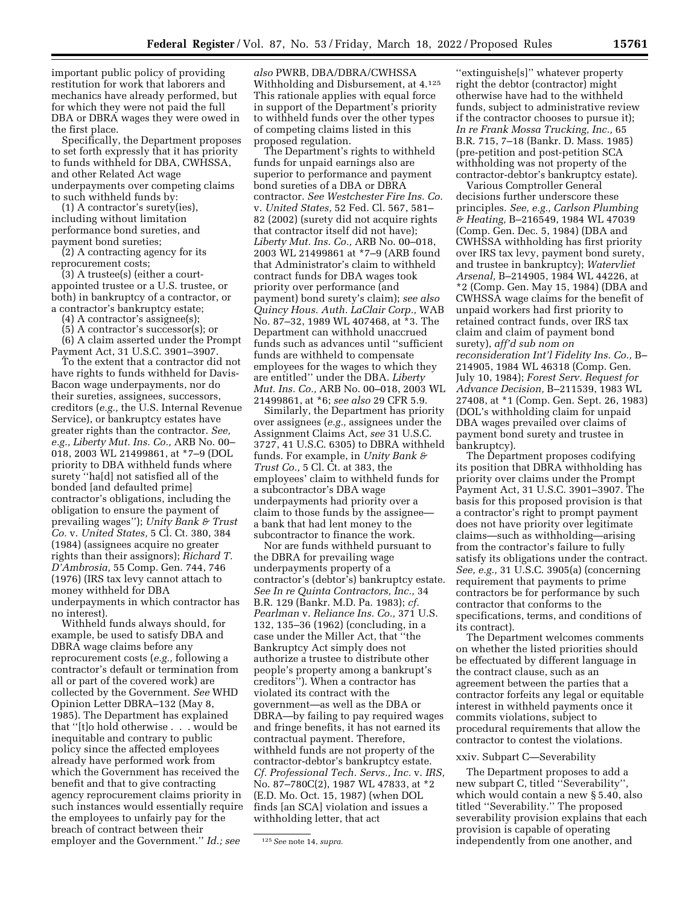important public policy of providing restitution for work that laborers and mechanics have already performed, but for which they were not paid the full DBA or DBRA wages they were owed in the first place.

Specifically, the Department proposes to set forth expressly that it has priority to funds withheld for DBA, CWHSSA, and other Related Act wage underpayments over competing claims to such withheld funds by:

(1) A contractor's surety(ies), including without limitation performance bond sureties, and payment bond sureties;

(2) A contracting agency for its reprocurement costs;

(3) A trustee(s) (either a courtappointed trustee or a U.S. trustee, or both) in bankruptcy of a contractor, or a contractor's bankruptcy estate;

(4) A contractor's assignee(s);

(5) A contractor's successor(s); or

(6) A claim asserted under the Prompt Payment Act, 31 U.S.C. 3901–3907.

To the extent that a contractor did not have rights to funds withheld for Davis-Bacon wage underpayments, nor do their sureties, assignees, successors, creditors (*e.g.,* the U.S. Internal Revenue Service), or bankruptcy estates have greater rights than the contractor. *See, e.g., Liberty Mut. Ins. Co.,* ARB No. 00– 018, 2003 WL 21499861, at \*7–9 (DOL priority to DBA withheld funds where surety ''ha[d] not satisfied all of the bonded [and defaulted prime] contractor's obligations, including the obligation to ensure the payment of prevailing wages''); *Unity Bank & Trust Co.* v. *United States,* 5 Cl. Ct. 380, 384 (1984) (assignees acquire no greater rights than their assignors); *Richard T. D'Ambrosia,* 55 Comp. Gen. 744, 746 (1976) (IRS tax levy cannot attach to money withheld for DBA underpayments in which contractor has no interest).

Withheld funds always should, for example, be used to satisfy DBA and DBRA wage claims before any reprocurement costs (*e.g.,* following a contractor's default or termination from all or part of the covered work) are collected by the Government. *See* WHD Opinion Letter DBRA–132 (May 8, 1985). The Department has explained that ''[t]o hold otherwise . . . would be inequitable and contrary to public policy since the affected employees already have performed work from which the Government has received the benefit and that to give contracting agency reprocurement claims priority in such instances would essentially require the employees to unfairly pay for the breach of contract between their employer and the Government.'' *Id.; see* 

*also* PWRB, DBA/DBRA/CWHSSA Withholding and Disbursement, at 4.125 This rationale applies with equal force in support of the Department's priority to withheld funds over the other types of competing claims listed in this proposed regulation.

The Department's rights to withheld funds for unpaid earnings also are superior to performance and payment bond sureties of a DBA or DBRA contractor. *See Westchester Fire Ins. Co.*  v. *United States,* 52 Fed. Cl. 567, 581– 82 (2002) (surety did not acquire rights that contractor itself did not have); *Liberty Mut. Ins. Co.,* ARB No. 00–018, 2003 WL 21499861 at \*7–9 (ARB found that Administrator's claim to withheld contract funds for DBA wages took priority over performance (and payment) bond surety's claim); *see also Quincy Hous. Auth. LaClair Corp.,* WAB No. 87–32, 1989 WL 407468, at \*3. The Department can withhold unaccrued funds such as advances until ''sufficient funds are withheld to compensate employees for the wages to which they are entitled'' under the DBA. *Liberty Mut. Ins. Co.,* ARB No. 00–018, 2003 WL 21499861, at \*6; *see also* 29 CFR 5.9.

Similarly, the Department has priority over assignees (*e.g.,* assignees under the Assignment Claims Act, *see* 31 U.S.C. 3727, 41 U.S.C. 6305) to DBRA withheld funds. For example, in *Unity Bank & Trust Co.,* 5 Cl. Ct. at 383, the employees' claim to withheld funds for a subcontractor's DBA wage underpayments had priority over a claim to those funds by the assignee a bank that had lent money to the subcontractor to finance the work.

Nor are funds withheld pursuant to the DBRA for prevailing wage underpayments property of a contractor's (debtor's) bankruptcy estate. *See In re Quinta Contractors, Inc.,* 34 B.R. 129 (Bankr. M.D. Pa. 1983); *cf. Pearlman* v. *Reliance Ins. Co.,* 371 U.S. 132, 135–36 (1962) (concluding, in a case under the Miller Act, that ''the Bankruptcy Act simply does not authorize a trustee to distribute other people's property among a bankrupt's creditors''). When a contractor has violated its contract with the government—as well as the DBA or DBRA—by failing to pay required wages and fringe benefits, it has not earned its contractual payment. Therefore, withheld funds are not property of the contractor-debtor's bankruptcy estate. *Cf. Professional Tech. Servs., Inc.* v. *IRS,*  No. 87–780C(2), 1987 WL 47833, at \*2 (E.D. Mo. Oct. 15, 1987) (when DOL finds [an SCA] violation and issues a withholding letter, that act

''extinguishe[s]'' whatever property right the debtor (contractor) might otherwise have had to the withheld funds, subject to administrative review if the contractor chooses to pursue it); *In re Frank Mossa Trucking, Inc.,* 65 B.R. 715, 7–18 (Bankr. D. Mass. 1985) (pre-petition and post-petition SCA withholding was not property of the contractor-debtor's bankruptcy estate).

Various Comptroller General decisions further underscore these principles. *See, e.g., Carlson Plumbing & Heating,* B–216549, 1984 WL 47039 (Comp. Gen. Dec. 5, 1984) (DBA and CWHSSA withholding has first priority over IRS tax levy, payment bond surety, and trustee in bankruptcy); *Watervliet Arsenal,* B–214905, 1984 WL 44226, at \*2 (Comp. Gen. May 15, 1984) (DBA and CWHSSA wage claims for the benefit of unpaid workers had first priority to retained contract funds, over IRS tax claim and claim of payment bond surety), *aff'd sub nom on reconsideration Int'l Fidelity Ins. Co.,* B– 214905, 1984 WL 46318 (Comp. Gen. July 10, 1984); *Forest Serv. Request for Advance Decision,* B–211539, 1983 WL 27408, at \*1 (Comp. Gen. Sept. 26, 1983) (DOL's withholding claim for unpaid DBA wages prevailed over claims of payment bond surety and trustee in bankruptcy).

The Department proposes codifying its position that DBRA withholding has priority over claims under the Prompt Payment Act, 31 U.S.C. 3901–3907. The basis for this proposed provision is that a contractor's right to prompt payment does not have priority over legitimate claims—such as withholding—arising from the contractor's failure to fully satisfy its obligations under the contract. *See, e.g.,* 31 U.S.C. 3905(a) (concerning requirement that payments to prime contractors be for performance by such contractor that conforms to the specifications, terms, and conditions of its contract).

The Department welcomes comments on whether the listed priorities should be effectuated by different language in the contract clause, such as an agreement between the parties that a contractor forfeits any legal or equitable interest in withheld payments once it commits violations, subject to procedural requirements that allow the contractor to contest the violations.

# xxiv. Subpart C—Severability

The Department proposes to add a new subpart C, titled ''Severability'', which would contain a new § 5.40, also titled ''Severability.'' The proposed severability provision explains that each provision is capable of operating independently from one another, and

<sup>125</sup>*See* note 14, *supra.*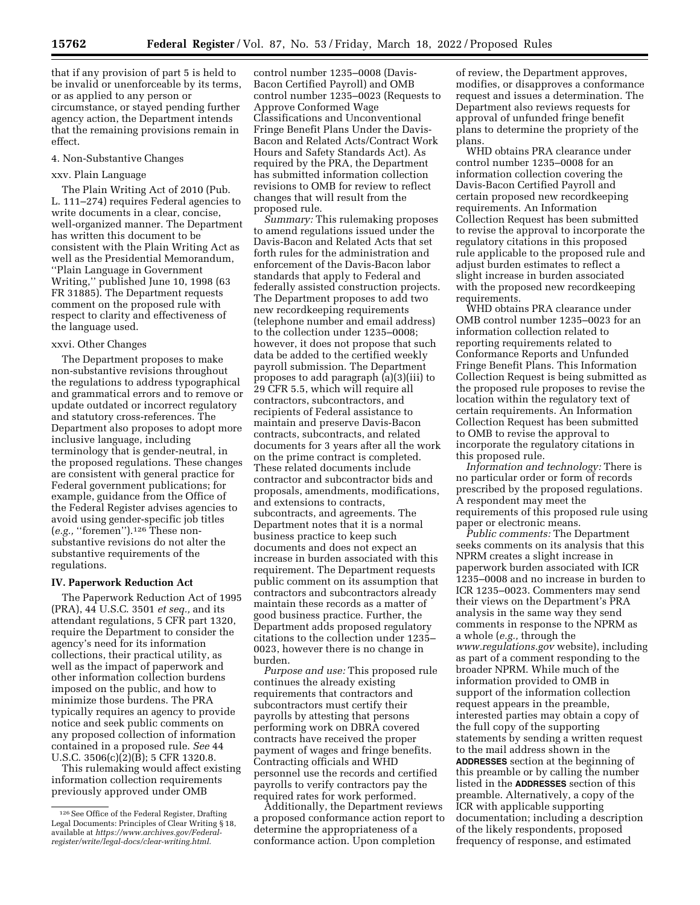that if any provision of part 5 is held to be invalid or unenforceable by its terms, or as applied to any person or circumstance, or stayed pending further agency action, the Department intends that the remaining provisions remain in effect.

#### 4. Non-Substantive Changes

# xxv. Plain Language

The Plain Writing Act of 2010 (Pub. L. 111–274) requires Federal agencies to write documents in a clear, concise, well-organized manner. The Department has written this document to be consistent with the Plain Writing Act as well as the Presidential Memorandum, ''Plain Language in Government Writing,'' published June 10, 1998 (63 FR 31885). The Department requests comment on the proposed rule with respect to clarity and effectiveness of the language used.

#### xxvi. Other Changes

The Department proposes to make non-substantive revisions throughout the regulations to address typographical and grammatical errors and to remove or update outdated or incorrect regulatory and statutory cross-references. The Department also proposes to adopt more inclusive language, including terminology that is gender-neutral, in the proposed regulations. These changes are consistent with general practice for Federal government publications; for example, guidance from the Office of the Federal Register advises agencies to avoid using gender-specific job titles (*e.g.,* ''foremen'').126 These nonsubstantive revisions do not alter the substantive requirements of the regulations.

#### **IV. Paperwork Reduction Act**

The Paperwork Reduction Act of 1995 (PRA), 44 U.S.C. 3501 *et seq.,* and its attendant regulations, 5 CFR part 1320, require the Department to consider the agency's need for its information collections, their practical utility, as well as the impact of paperwork and other information collection burdens imposed on the public, and how to minimize those burdens. The PRA typically requires an agency to provide notice and seek public comments on any proposed collection of information contained in a proposed rule. *See* 44 U.S.C. 3506(c)(2)(B); 5 CFR 1320.8.

This rulemaking would affect existing information collection requirements previously approved under OMB

control number 1235–0008 (Davis-Bacon Certified Payroll) and OMB control number 1235–0023 (Requests to Approve Conformed Wage Classifications and Unconventional Fringe Benefit Plans Under the Davis-Bacon and Related Acts/Contract Work Hours and Safety Standards Act). As required by the PRA, the Department has submitted information collection revisions to OMB for review to reflect changes that will result from the proposed rule.

*Summary:* This rulemaking proposes to amend regulations issued under the Davis-Bacon and Related Acts that set forth rules for the administration and enforcement of the Davis-Bacon labor standards that apply to Federal and federally assisted construction projects. The Department proposes to add two new recordkeeping requirements (telephone number and email address) to the collection under 1235–0008; however, it does not propose that such data be added to the certified weekly payroll submission. The Department proposes to add paragraph (a)(3)(iii) to 29 CFR 5.5, which will require all contractors, subcontractors, and recipients of Federal assistance to maintain and preserve Davis-Bacon contracts, subcontracts, and related documents for 3 years after all the work on the prime contract is completed. These related documents include contractor and subcontractor bids and proposals, amendments, modifications, and extensions to contracts, subcontracts, and agreements. The Department notes that it is a normal business practice to keep such documents and does not expect an increase in burden associated with this requirement. The Department requests public comment on its assumption that contractors and subcontractors already maintain these records as a matter of good business practice. Further, the Department adds proposed regulatory citations to the collection under 1235– 0023, however there is no change in burden.

*Purpose and use:* This proposed rule continues the already existing requirements that contractors and subcontractors must certify their payrolls by attesting that persons performing work on DBRA covered contracts have received the proper payment of wages and fringe benefits. Contracting officials and WHD personnel use the records and certified payrolls to verify contractors pay the required rates for work performed.

Additionally, the Department reviews a proposed conformance action report to determine the appropriateness of a conformance action. Upon completion

of review, the Department approves, modifies, or disapproves a conformance request and issues a determination. The Department also reviews requests for approval of unfunded fringe benefit plans to determine the propriety of the plans.

WHD obtains PRA clearance under control number 1235–0008 for an information collection covering the Davis-Bacon Certified Payroll and certain proposed new recordkeeping requirements. An Information Collection Request has been submitted to revise the approval to incorporate the regulatory citations in this proposed rule applicable to the proposed rule and adjust burden estimates to reflect a slight increase in burden associated with the proposed new recordkeeping requirements.

WHD obtains PRA clearance under OMB control number 1235–0023 for an information collection related to reporting requirements related to Conformance Reports and Unfunded Fringe Benefit Plans. This Information Collection Request is being submitted as the proposed rule proposes to revise the location within the regulatory text of certain requirements. An Information Collection Request has been submitted to OMB to revise the approval to incorporate the regulatory citations in this proposed rule.

*Information and technology:* There is no particular order or form of records prescribed by the proposed regulations. A respondent may meet the requirements of this proposed rule using paper or electronic means.

*Public comments:* The Department seeks comments on its analysis that this NPRM creates a slight increase in paperwork burden associated with ICR 1235–0008 and no increase in burden to ICR 1235–0023. Commenters may send their views on the Department's PRA analysis in the same way they send comments in response to the NPRM as a whole (*e.g.,* through the *[www.regulations.gov](http://www.regulations.gov)* website), including as part of a comment responding to the broader NPRM. While much of the information provided to OMB in support of the information collection request appears in the preamble, interested parties may obtain a copy of the full copy of the supporting statements by sending a written request to the mail address shown in the **ADDRESSES** section at the beginning of this preamble or by calling the number listed in the **ADDRESSES** section of this preamble. Alternatively, a copy of the ICR with applicable supporting documentation; including a description of the likely respondents, proposed frequency of response, and estimated

<sup>126</sup>See Office of the Federal Register, Drafting Legal Documents: Principles of Clear Writing § 18, available at *[https://www.archives.gov/Federal](https://www.archives.gov/Federal-register/write/legal-docs/clear-writing.html)[register/write/legal-docs/clear-writing.html.](https://www.archives.gov/Federal-register/write/legal-docs/clear-writing.html)*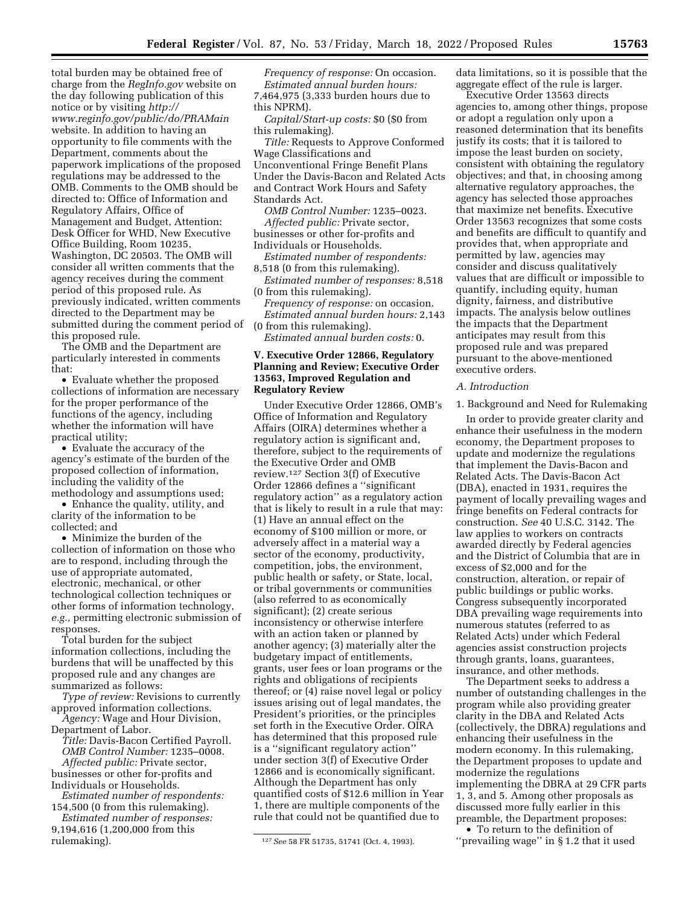total burden may be obtained free of charge from the *RegInfo.gov* website on the day following publication of this notice or by visiting *[http://](http://www.reginfo.gov/public/do/PRAMain) [www.reginfo.gov/public/do/PRAMain](http://www.reginfo.gov/public/do/PRAMain)*  website. In addition to having an opportunity to file comments with the Department, comments about the paperwork implications of the proposed regulations may be addressed to the OMB. Comments to the OMB should be directed to: Office of Information and Regulatory Affairs, Office of Management and Budget, Attention: Desk Officer for WHD, New Executive Office Building, Room 10235, Washington, DC 20503. The OMB will consider all written comments that the agency receives during the comment period of this proposed rule. As previously indicated, written comments directed to the Department may be submitted during the comment period of this proposed rule.

The OMB and the Department are particularly interested in comments that:

• Evaluate whether the proposed collections of information are necessary for the proper performance of the functions of the agency, including whether the information will have practical utility;

• Evaluate the accuracy of the agency's estimate of the burden of the proposed collection of information, including the validity of the methodology and assumptions used;

• Enhance the quality, utility, and clarity of the information to be collected; and

• Minimize the burden of the collection of information on those who are to respond, including through the use of appropriate automated, electronic, mechanical, or other technological collection techniques or other forms of information technology, *e.g.,* permitting electronic submission of responses.

Total burden for the subject information collections, including the burdens that will be unaffected by this proposed rule and any changes are summarized as follows:

*Type of review:* Revisions to currently approved information collections. *Agency:* Wage and Hour Division,

Department of Labor.

*Title:* Davis-Bacon Certified Payroll. *OMB Control Number:* 1235–0008. *Affected public:* Private sector,

businesses or other for-profits and Individuals or Households.

*Estimated number of respondents:*  154,500 (0 from this rulemaking).

*Estimated number of responses:*  9,194,616 (1,200,000 from this rulemaking).

*Frequency of response:* On occasion. *Estimated annual burden hours:*  7,464,975 (3,333 burden hours due to this NPRM).

*Capital/Start-up costs:* \$0 (\$0 from this rulemaking).

*Title:* Requests to Approve Conformed Wage Classifications and Unconventional Fringe Benefit Plans Under the Davis-Bacon and Related Acts and Contract Work Hours and Safety Standards Act.

*OMB Control Number:* 1235–0023. *Affected public:* Private sector, businesses or other for-profits and Individuals or Households.

*Estimated number of respondents:*  8,518 (0 from this rulemaking).

*Estimated number of responses:* 8,518 (0 from this rulemaking).

*Frequency of response:* on occasion. *Estimated annual burden hours:* 2,143 (0 from this rulemaking).

*Estimated annual burden costs:* 0.

# **V. Executive Order 12866, Regulatory Planning and Review; Executive Order 13563, Improved Regulation and Regulatory Review**

Under Executive Order 12866, OMB's Office of Information and Regulatory Affairs (OIRA) determines whether a regulatory action is significant and, therefore, subject to the requirements of the Executive Order and OMB review.127 Section 3(f) of Executive Order 12866 defines a ''significant regulatory action'' as a regulatory action that is likely to result in a rule that may: (1) Have an annual effect on the economy of \$100 million or more, or adversely affect in a material way a sector of the economy, productivity, competition, jobs, the environment, public health or safety, or State, local, or tribal governments or communities (also referred to as economically significant); (2) create serious inconsistency or otherwise interfere with an action taken or planned by another agency; (3) materially alter the budgetary impact of entitlements, grants, user fees or loan programs or the rights and obligations of recipients thereof; or (4) raise novel legal or policy issues arising out of legal mandates, the President's priorities, or the principles set forth in the Executive Order. OIRA has determined that this proposed rule is a ''significant regulatory action'' under section 3(f) of Executive Order 12866 and is economically significant. Although the Department has only quantified costs of \$12.6 million in Year 1, there are multiple components of the rule that could not be quantified due to

data limitations, so it is possible that the aggregate effect of the rule is larger.

Executive Order 13563 directs agencies to, among other things, propose or adopt a regulation only upon a reasoned determination that its benefits justify its costs; that it is tailored to impose the least burden on society, consistent with obtaining the regulatory objectives; and that, in choosing among alternative regulatory approaches, the agency has selected those approaches that maximize net benefits. Executive Order 13563 recognizes that some costs and benefits are difficult to quantify and provides that, when appropriate and permitted by law, agencies may consider and discuss qualitatively values that are difficult or impossible to quantify, including equity, human dignity, fairness, and distributive impacts. The analysis below outlines the impacts that the Department anticipates may result from this proposed rule and was prepared pursuant to the above-mentioned executive orders.

## *A. Introduction*

1. Background and Need for Rulemaking

In order to provide greater clarity and enhance their usefulness in the modern economy, the Department proposes to update and modernize the regulations that implement the Davis-Bacon and Related Acts. The Davis-Bacon Act (DBA), enacted in 1931, requires the payment of locally prevailing wages and fringe benefits on Federal contracts for construction. *See* 40 U.S.C. 3142. The law applies to workers on contracts awarded directly by Federal agencies and the District of Columbia that are in excess of \$2,000 and for the construction, alteration, or repair of public buildings or public works. Congress subsequently incorporated DBA prevailing wage requirements into numerous statutes (referred to as Related Acts) under which Federal agencies assist construction projects through grants, loans, guarantees, insurance, and other methods.

The Department seeks to address a number of outstanding challenges in the program while also providing greater clarity in the DBA and Related Acts (collectively, the DBRA) regulations and enhancing their usefulness in the modern economy. In this rulemaking, the Department proposes to update and modernize the regulations implementing the DBRA at 29 CFR parts 1, 3, and 5. Among other proposals as discussed more fully earlier in this preamble, the Department proposes:

• To return to the definition of ''prevailing wage'' in § 1.2 that it used

<sup>127</sup>*See* 58 FR 51735, 51741 (Oct. 4, 1993).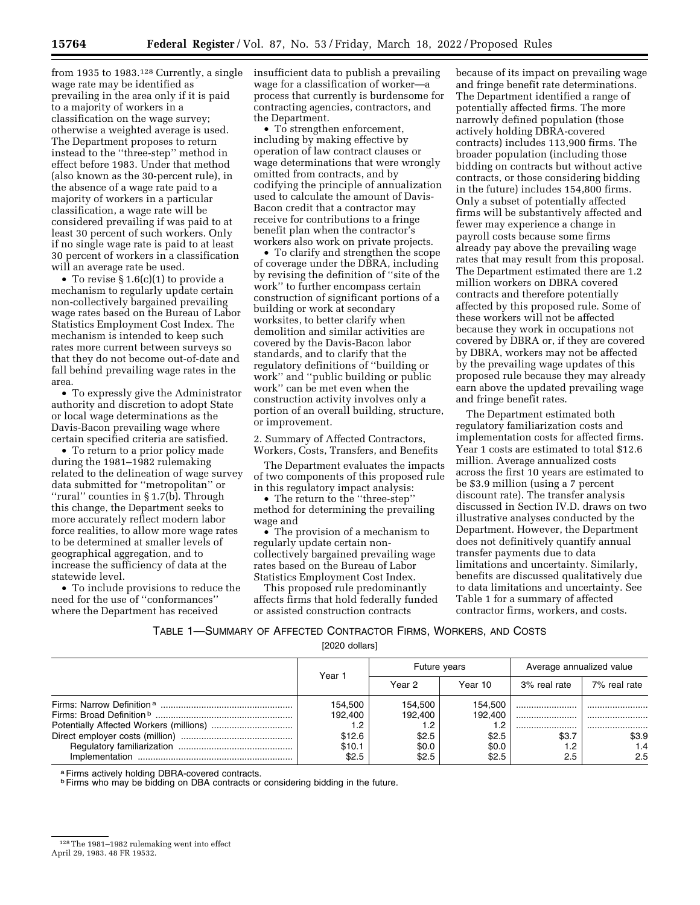from 1935 to 1983.<sup>128</sup> Currently, a single wage rate may be identified as prevailing in the area only if it is paid to a majority of workers in a classification on the wage survey; otherwise a weighted average is used. The Department proposes to return instead to the ''three-step'' method in effect before 1983. Under that method (also known as the 30-percent rule), in the absence of a wage rate paid to a majority of workers in a particular classification, a wage rate will be considered prevailing if was paid to at least 30 percent of such workers. Only if no single wage rate is paid to at least 30 percent of workers in a classification will an average rate be used.

• To revise § 1.6(c)(1) to provide a mechanism to regularly update certain non-collectively bargained prevailing wage rates based on the Bureau of Labor Statistics Employment Cost Index. The mechanism is intended to keep such rates more current between surveys so that they do not become out-of-date and fall behind prevailing wage rates in the area.

• To expressly give the Administrator authority and discretion to adopt State or local wage determinations as the Davis-Bacon prevailing wage where certain specified criteria are satisfied.

• To return to a prior policy made during the 1981–1982 rulemaking related to the delineation of wage survey data submitted for ''metropolitan'' or ''rural'' counties in § 1.7(b). Through this change, the Department seeks to more accurately reflect modern labor force realities, to allow more wage rates to be determined at smaller levels of geographical aggregation, and to increase the sufficiency of data at the statewide level.

• To include provisions to reduce the need for the use of ''conformances'' where the Department has received

insufficient data to publish a prevailing wage for a classification of worker—a process that currently is burdensome for contracting agencies, contractors, and the Department.

• To strengthen enforcement, including by making effective by operation of law contract clauses or wage determinations that were wrongly omitted from contracts, and by codifying the principle of annualization used to calculate the amount of Davis-Bacon credit that a contractor may receive for contributions to a fringe benefit plan when the contractor's workers also work on private projects.

• To clarify and strengthen the scope of coverage under the DBRA, including by revising the definition of ''site of the work'' to further encompass certain construction of significant portions of a building or work at secondary worksites, to better clarify when demolition and similar activities are covered by the Davis-Bacon labor standards, and to clarify that the regulatory definitions of ''building or work'' and ''public building or public work'' can be met even when the construction activity involves only a portion of an overall building, structure, or improvement.

2. Summary of Affected Contractors, Workers, Costs, Transfers, and Benefits

The Department evaluates the impacts of two components of this proposed rule in this regulatory impact analysis:

• The return to the ''three-step'' method for determining the prevailing wage and

• The provision of a mechanism to regularly update certain noncollectively bargained prevailing wage rates based on the Bureau of Labor Statistics Employment Cost Index.

This proposed rule predominantly affects firms that hold federally funded or assisted construction contracts

because of its impact on prevailing wage and fringe benefit rate determinations. The Department identified a range of potentially affected firms. The more narrowly defined population (those actively holding DBRA-covered contracts) includes 113,900 firms. The broader population (including those bidding on contracts but without active contracts, or those considering bidding in the future) includes 154,800 firms. Only a subset of potentially affected firms will be substantively affected and fewer may experience a change in payroll costs because some firms already pay above the prevailing wage rates that may result from this proposal. The Department estimated there are 1.2 million workers on DBRA covered contracts and therefore potentially affected by this proposed rule. Some of these workers will not be affected because they work in occupations not covered by DBRA or, if they are covered by DBRA, workers may not be affected by the prevailing wage updates of this proposed rule because they may already earn above the updated prevailing wage and fringe benefit rates.

The Department estimated both regulatory familiarization costs and implementation costs for affected firms. Year 1 costs are estimated to total \$12.6 million. Average annualized costs across the first 10 years are estimated to be \$3.9 million (using a 7 percent discount rate). The transfer analysis discussed in Section IV.D. draws on two illustrative analyses conducted by the Department. However, the Department does not definitively quantify annual transfer payments due to data limitations and uncertainty. Similarly, benefits are discussed qualitatively due to data limitations and uncertainty. See Table 1 for a summary of affected contractor firms, workers, and costs.

TABLE 1—SUMMARY OF AFFECTED CONTRACTOR FIRMS, WORKERS, AND COSTS

[2020 dollars]

|  | Year 1  | Future years |         | Average annualized value |              |
|--|---------|--------------|---------|--------------------------|--------------|
|  |         | Year 2       | Year 10 | 3% real rate             | 7% real rate |
|  | 154.500 | 154.500      | 154.500 |                          |              |
|  | 192.400 | 192.400      | 192.400 |                          |              |
|  |         |              |         |                          |              |
|  | \$12.6  | \$2.5        | \$2.5   | \$3.7                    | \$3.9        |
|  | \$10.1  | \$0.0        | \$0.0   |                          | 1.4          |
|  | \$2.5   | \$2.5        | \$2.5   | 2.5                      | 2.5          |

a Firms actively holding DBRA-covered contracts.

**b Firms who may be bidding on DBA contracts or considering bidding in the future.** 

<sup>128</sup>The 1981–1982 rulemaking went into effect April 29, 1983. 48 FR 19532.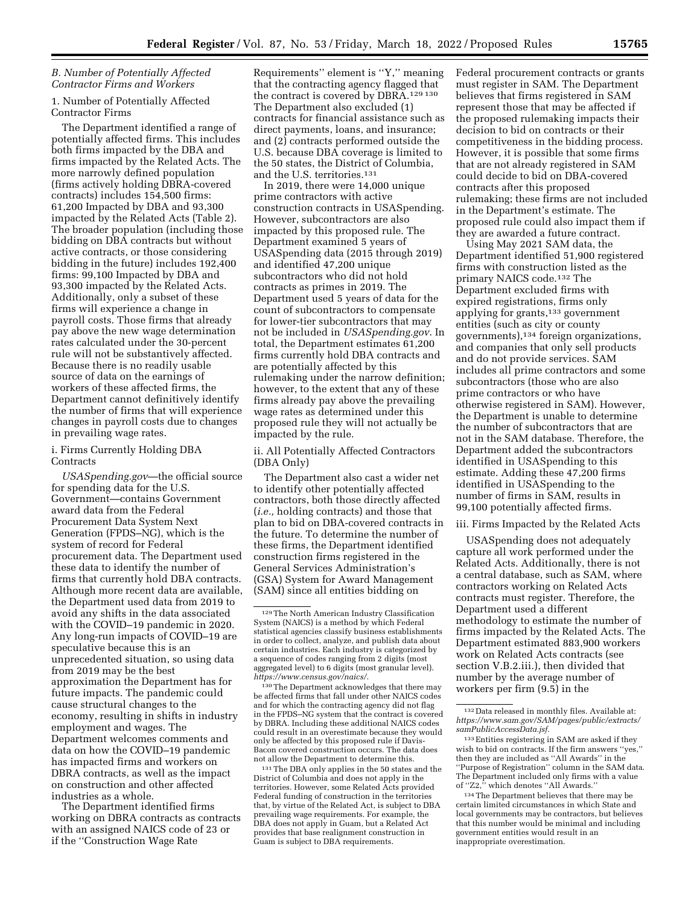# *B. Number of Potentially Affected Contractor Firms and Workers*

# 1. Number of Potentially Affected Contractor Firms

The Department identified a range of potentially affected firms. This includes both firms impacted by the DBA and firms impacted by the Related Acts. The more narrowly defined population (firms actively holding DBRA-covered contracts) includes 154,500 firms: 61,200 Impacted by DBA and 93,300 impacted by the Related Acts (Table 2). The broader population (including those bidding on DBA contracts but without active contracts, or those considering bidding in the future) includes 192,400 firms: 99,100 Impacted by DBA and 93,300 impacted by the Related Acts. Additionally, only a subset of these firms will experience a change in payroll costs. Those firms that already pay above the new wage determination rates calculated under the 30-percent rule will not be substantively affected. Because there is no readily usable source of data on the earnings of workers of these affected firms, the Department cannot definitively identify the number of firms that will experience changes in payroll costs due to changes in prevailing wage rates.

# i. Firms Currently Holding DBA **Contracts**

*USASpending.gov*—the official source for spending data for the U.S. Government—contains Government award data from the Federal Procurement Data System Next Generation (FPDS–NG), which is the system of record for Federal procurement data. The Department used these data to identify the number of firms that currently hold DBA contracts. Although more recent data are available, the Department used data from 2019 to avoid any shifts in the data associated with the COVID–19 pandemic in 2020. Any long-run impacts of COVID–19 are speculative because this is an unprecedented situation, so using data from 2019 may be the best approximation the Department has for future impacts. The pandemic could cause structural changes to the economy, resulting in shifts in industry employment and wages. The Department welcomes comments and data on how the COVID–19 pandemic has impacted firms and workers on DBRA contracts, as well as the impact on construction and other affected industries as a whole.

The Department identified firms working on DBRA contracts as contracts with an assigned NAICS code of 23 or if the ''Construction Wage Rate

Requirements'' element is ''Y,'' meaning that the contracting agency flagged that the contract is covered by DBRA.129 130 The Department also excluded (1) contracts for financial assistance such as direct payments, loans, and insurance; and (2) contracts performed outside the U.S. because DBA coverage is limited to the 50 states, the District of Columbia, and the U.S. territories.131

In 2019, there were 14,000 unique prime contractors with active construction contracts in USASpending. However, subcontractors are also impacted by this proposed rule. The Department examined 5 years of USASpending data (2015 through 2019) and identified 47,200 unique subcontractors who did not hold contracts as primes in 2019. The Department used 5 years of data for the count of subcontractors to compensate for lower-tier subcontractors that may not be included in *USASpending.gov*. In total, the Department estimates 61,200 firms currently hold DBA contracts and are potentially affected by this rulemaking under the narrow definition; however, to the extent that any of these firms already pay above the prevailing wage rates as determined under this proposed rule they will not actually be impacted by the rule.

ii. All Potentially Affected Contractors (DBA Only)

The Department also cast a wider net to identify other potentially affected contractors, both those directly affected (*i.e.,* holding contracts) and those that plan to bid on DBA-covered contracts in the future. To determine the number of these firms, the Department identified construction firms registered in the General Services Administration's (GSA) System for Award Management (SAM) since all entities bidding on

130The Department acknowledges that there may be affected firms that fall under other NAICS codes and for which the contracting agency did not flag in the FPDS–NG system that the contract is covered by DBRA. Including these additional NAICS codes could result in an overestimate because they would only be affected by this proposed rule if Davis-Bacon covered construction occurs. The data does not allow the Department to determine this.

131The DBA only applies in the 50 states and the District of Columbia and does not apply in the territories. However, some Related Acts provided Federal funding of construction in the territories that, by virtue of the Related Act, is subject to DBA prevailing wage requirements. For example, the DBA does not apply in Guam, but a Related Act provides that base realignment construction in Guam is subject to DBA requirements.

Federal procurement contracts or grants must register in SAM. The Department believes that firms registered in SAM represent those that may be affected if the proposed rulemaking impacts their decision to bid on contracts or their competitiveness in the bidding process. However, it is possible that some firms that are not already registered in SAM could decide to bid on DBA-covered contracts after this proposed rulemaking; these firms are not included in the Department's estimate. The proposed rule could also impact them if they are awarded a future contract.

Using May 2021 SAM data, the Department identified 51,900 registered firms with construction listed as the primary NAICS code.132 The Department excluded firms with expired registrations, firms only applying for grants,133 government entities (such as city or county governments),134 foreign organizations, and companies that only sell products and do not provide services. SAM includes all prime contractors and some subcontractors (those who are also prime contractors or who have otherwise registered in SAM). However, the Department is unable to determine the number of subcontractors that are not in the SAM database. Therefore, the Department added the subcontractors identified in USASpending to this estimate. Adding these 47,200 firms identified in USASpending to the number of firms in SAM, results in 99,100 potentially affected firms.

# iii. Firms Impacted by the Related Acts

USASpending does not adequately capture all work performed under the Related Acts. Additionally, there is not a central database, such as SAM, where contractors working on Related Acts contracts must register. Therefore, the Department used a different methodology to estimate the number of firms impacted by the Related Acts. The Department estimated 883,900 workers work on Related Acts contracts (see section V.B.2.iii.), then divided that number by the average number of workers per firm (9.5) in the

<sup>129</sup>The North American Industry Classification System (NAICS) is a method by which Federal statistical agencies classify business establishments in order to collect, analyze, and publish data about certain industries. Each industry is categorized by a sequence of codes ranging from 2 digits (most aggregated level) to 6 digits (most granular level). *[https://www.census.gov/naics/.](https://www.census.gov/naics/)* 

<sup>132</sup> Data released in monthly files. Available at: *[https://www.sam.gov/SAM/pages/public/extracts/](https://www.sam.gov/SAM/pages/public/extracts/samPublicAccessData.jsf) [samPublicAccessData.jsf.](https://www.sam.gov/SAM/pages/public/extracts/samPublicAccessData.jsf)* 

<sup>133</sup>Entities registering in SAM are asked if they wish to bid on contracts. If the firm answers "yes," then they are included as ''All Awards'' in the ''Purpose of Registration'' column in the SAM data. The Department included only firms with a value of ''Z2,'' which denotes ''All Awards.''

<sup>134</sup>The Department believes that there may be certain limited circumstances in which State and local governments may be contractors, but believes that this number would be minimal and including government entities would result in an inappropriate overestimation.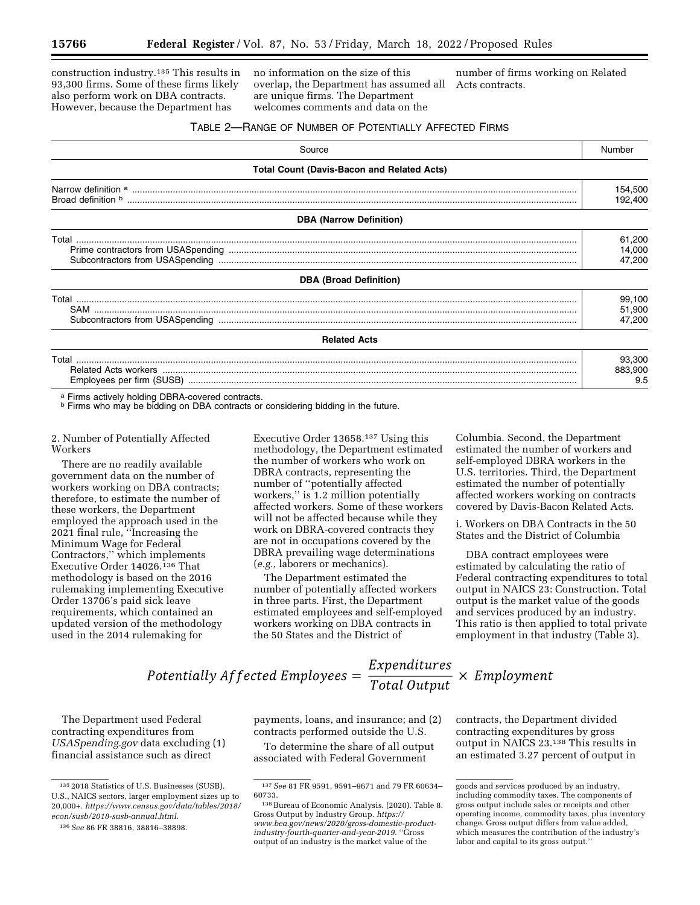construction industry.135 This results in 93,300 firms. Some of these firms likely also perform work on DBA contracts. However, because the Department has

no information on the size of this overlap, the Department has assumed all are unique firms. The Department welcomes comments and data on the

number of firms working on Related Acts contracts.

#### TABLE 2—RANGE OF NUMBER OF POTENTIALLY AFFECTED FIRMS

| Source                                            | Number  |
|---------------------------------------------------|---------|
| <b>Total Count (Davis-Bacon and Related Acts)</b> |         |
|                                                   | 154,500 |
|                                                   | 192,400 |
| <b>DBA (Narrow Definition)</b>                    |         |
|                                                   | 61,200  |
|                                                   | 14,000  |
|                                                   | 47,200  |
| <b>DBA (Broad Definition)</b>                     |         |
|                                                   | 99,100  |
|                                                   | 51,900  |
|                                                   | 47,200  |
| <b>Related Acts</b>                               |         |
|                                                   | 93,300  |
|                                                   | 883,900 |
|                                                   | 9.5     |

a Firms actively holding DBRA-covered contracts.<br><sup>b</sup> Firms who may be bidding on DBA contracts or considering bidding in the future.

2. Number of Potentially Affected Workers

There are no readily available government data on the number of workers working on DBA contracts; therefore, to estimate the number of these workers, the Department employed the approach used in the 2021 final rule, ''Increasing the Minimum Wage for Federal Contractors,'' which implements Executive Order 14026.136 That methodology is based on the 2016 rulemaking implementing Executive Order 13706's paid sick leave requirements, which contained an updated version of the methodology used in the 2014 rulemaking for

Executive Order 13658.137 Using this methodology, the Department estimated the number of workers who work on DBRA contracts, representing the number of ''potentially affected workers,'' is 1.2 million potentially affected workers. Some of these workers will not be affected because while they work on DBRA-covered contracts they are not in occupations covered by the DBRA prevailing wage determinations (*e.g.,* laborers or mechanics).

The Department estimated the number of potentially affected workers in three parts. First, the Department estimated employees and self-employed workers working on DBA contracts in the 50 States and the District of

Columbia. Second, the Department estimated the number of workers and self-employed DBRA workers in the U.S. territories. Third, the Department estimated the number of potentially affected workers working on contracts covered by Davis-Bacon Related Acts.

i. Workers on DBA Contracts in the 50 States and the District of Columbia

DBA contract employees were estimated by calculating the ratio of Federal contracting expenditures to total output in NAICS 23: Construction. Total output is the market value of the goods and services produced by an industry. This ratio is then applied to total private employment in that industry (Table 3).

Potentially Affected Employees =  $\frac{Expenditures}{Total Output} \times Employment$ 

The Department used Federal contracting expenditures from *USASpending.gov* data excluding (1) financial assistance such as direct

payments, loans, and insurance; and (2) contracts performed outside the U.S.

To determine the share of all output associated with Federal Government

contracts, the Department divided contracting expenditures by gross output in NAICS 23.138 This results in an estimated 3.27 percent of output in

<sup>135</sup> 2018 Statistics of U.S. Businesses (SUSB). U.S., NAICS sectors, larger employment sizes up to 20,000+. *[https://www.census.gov/data/tables/2018/](https://www.census.gov/data/tables/2018/econ/susb/2018-susb-annual.html)  [econ/susb/2018-susb-annual.html.](https://www.census.gov/data/tables/2018/econ/susb/2018-susb-annual.html)* 

<sup>136</sup>*See* 86 FR 38816, 38816–38898.

<sup>137</sup>*See* 81 FR 9591, 9591–9671 and 79 FR 60634– 60733.

<sup>138</sup>Bureau of Economic Analysis. (2020). Table 8. Gross Output by Industry Group. *[https://](https://www.bea.gov/news/2020/gross-domestic-product-industry-fourth-quarter-and-year-2019) [www.bea.gov/news/2020/gross-domestic-product](https://www.bea.gov/news/2020/gross-domestic-product-industry-fourth-quarter-and-year-2019)[industry-fourth-quarter-and-year-2019.](https://www.bea.gov/news/2020/gross-domestic-product-industry-fourth-quarter-and-year-2019)* ''Gross output of an industry is the market value of the

goods and services produced by an industry, including commodity taxes. The components of gross output include sales or receipts and other operating income, commodity taxes, plus inventory change. Gross output differs from value added, which measures the contribution of the industry's labor and capital to its gross output.''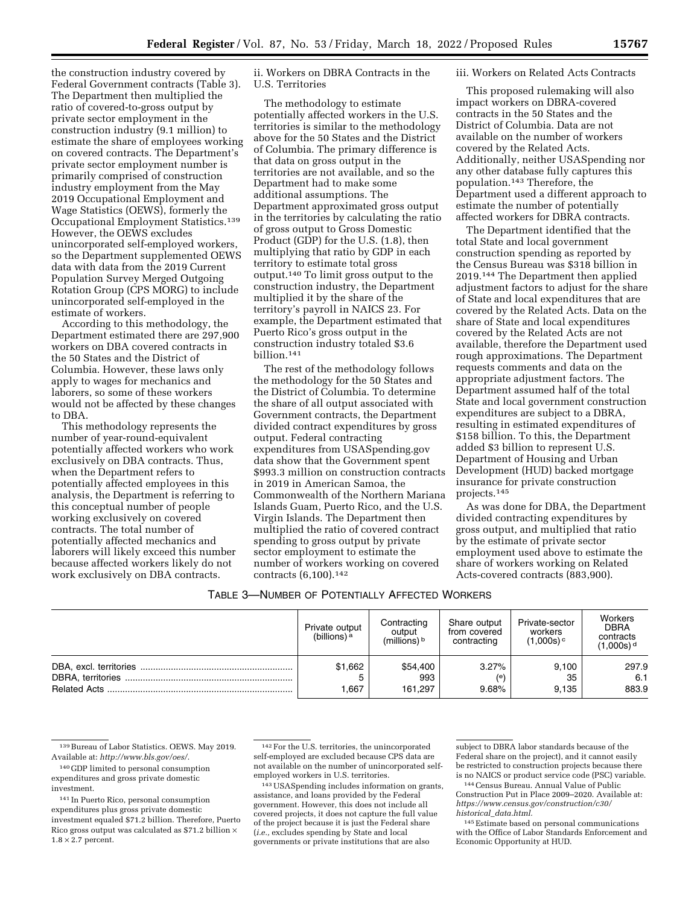the construction industry covered by Federal Government contracts (Table 3). The Department then multiplied the ratio of covered-to-gross output by private sector employment in the construction industry (9.1 million) to estimate the share of employees working on covered contracts. The Department's private sector employment number is primarily comprised of construction industry employment from the May 2019 Occupational Employment and Wage Statistics (OEWS), formerly the Occupational Employment Statistics.139 However, the OEWS excludes unincorporated self-employed workers, so the Department supplemented OEWS data with data from the 2019 Current Population Survey Merged Outgoing Rotation Group (CPS MORG) to include unincorporated self-employed in the estimate of workers.

According to this methodology, the Department estimated there are 297,900 workers on DBA covered contracts in the 50 States and the District of Columbia. However, these laws only apply to wages for mechanics and laborers, so some of these workers would not be affected by these changes to DBA.

This methodology represents the number of year-round-equivalent potentially affected workers who work exclusively on DBA contracts. Thus, when the Department refers to potentially affected employees in this analysis, the Department is referring to this conceptual number of people working exclusively on covered contracts. The total number of potentially affected mechanics and laborers will likely exceed this number because affected workers likely do not work exclusively on DBA contracts.

ii. Workers on DBRA Contracts in the U.S. Territories

The methodology to estimate potentially affected workers in the U.S. territories is similar to the methodology above for the 50 States and the District of Columbia. The primary difference is that data on gross output in the territories are not available, and so the Department had to make some additional assumptions. The Department approximated gross output in the territories by calculating the ratio of gross output to Gross Domestic Product (GDP) for the U.S. (1.8), then multiplying that ratio by GDP in each territory to estimate total gross output.140 To limit gross output to the construction industry, the Department multiplied it by the share of the territory's payroll in NAICS 23. For example, the Department estimated that Puerto Rico's gross output in the construction industry totaled \$3.6 billion.141

The rest of the methodology follows the methodology for the 50 States and the District of Columbia. To determine the share of all output associated with Government contracts, the Department divided contract expenditures by gross output. Federal contracting expenditures from USASpending.gov data show that the Government spent \$993.3 million on construction contracts in 2019 in American Samoa, the Commonwealth of the Northern Mariana Islands Guam, Puerto Rico, and the U.S. Virgin Islands. The Department then multiplied the ratio of covered contract spending to gross output by private sector employment to estimate the number of workers working on covered contracts (6,100).142

#### iii. Workers on Related Acts Contracts

This proposed rulemaking will also impact workers on DBRA-covered contracts in the 50 States and the District of Columbia. Data are not available on the number of workers covered by the Related Acts. Additionally, neither USASpending nor any other database fully captures this population.143 Therefore, the Department used a different approach to estimate the number of potentially affected workers for DBRA contracts.

The Department identified that the total State and local government construction spending as reported by the Census Bureau was \$318 billion in 2019.144 The Department then applied adjustment factors to adjust for the share of State and local expenditures that are covered by the Related Acts. Data on the share of State and local expenditures covered by the Related Acts are not available, therefore the Department used rough approximations. The Department requests comments and data on the appropriate adjustment factors. The Department assumed half of the total State and local government construction expenditures are subject to a DBRA, resulting in estimated expenditures of \$158 billion. To this, the Department added \$3 billion to represent U.S. Department of Housing and Urban Development (HUD) backed mortgage insurance for private construction projects.145

As was done for DBA, the Department divided contracting expenditures by gross output, and multiplied that ratio by the estimate of private sector employment used above to estimate the share of workers working on Related Acts-covered contracts (883,900).

# TABLE 3—NUMBER OF POTENTIALLY AFFECTED WORKERS

| Private output<br>(billions) <sup>a</sup> | Contracting<br>output<br>$(millions)$ <sup>b</sup> | Share output<br>from covered<br>contracting | Private-sector<br>workers<br>$(1,000s)$ <sup>c</sup> | Workers<br><b>DBRA</b><br>contracts<br>$(1,000s)$ <sup>d</sup> |
|-------------------------------------------|----------------------------------------------------|---------------------------------------------|------------------------------------------------------|----------------------------------------------------------------|
| \$1,662<br>.667                           | \$54,400<br>993<br>161.297                         | 3.27%<br>(e)<br>9.68%                       | 9.100<br>35<br>9.135                                 | 297.9<br>6.1<br>883.9                                          |

143USASpending includes information on grants, assistance, and loans provided by the Federal government. However, this does not include all covered projects, it does not capture the full value of the project because it is just the Federal share (*i.e.,* excludes spending by State and local governments or private institutions that are also

subject to DBRA labor standards because of the Federal share on the project), and it cannot easily be restricted to construction projects because there is no NAICS or product service code (PSC) variable.

144Census Bureau. Annual Value of Public Construction Put in Place 2009–2020. Available at: *[https://www.census.gov/construction/c30/](https://www.census.gov/construction/c30/historical_data.html) historical*\_*[data.html.](https://www.census.gov/construction/c30/historical_data.html)* 

145Estimate based on personal communications with the Office of Labor Standards Enforcement and Economic Opportunity at HUD.

<sup>139</sup>Bureau of Labor Statistics. OEWS. May 2019. Available at: *[http://www.bls.gov/oes/.](http://www.bls.gov/oes/)* 

<sup>140</sup> GDP limited to personal consumption expenditures and gross private domestic investment.

<sup>141</sup> In Puerto Rico, personal consumption expenditures plus gross private domestic investment equaled \$71.2 billion. Therefore, Puerto Rico gross output was calculated as \$71.2 billion  $\times$  $1.8 \times 2.7$  percent.

<sup>142</sup>For the U.S. territories, the unincorporated self-employed are excluded because CPS data are not available on the number of unincorporated selfemployed workers in U.S. territories.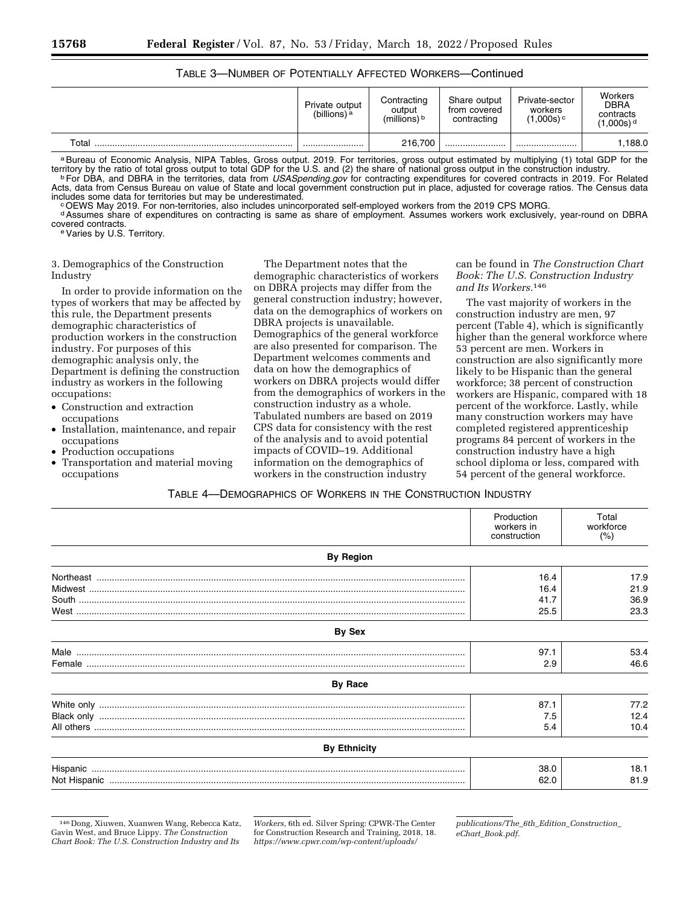| <b>TABLE 3-NUMBER OF POTENTIALLY AFFECTED WORKERS-Continued</b> |
|-----------------------------------------------------------------|
|-----------------------------------------------------------------|

|                        | Private output<br>(billions) <sup>a</sup> | Contracting<br>output<br>(millions) <sup>b</sup> | Share output<br>from covered<br>contracting | Private-sector<br>workers<br>$(1,000s)$ <sup>c</sup> | Workers<br><b>DBRA</b><br>contracts<br>(1,000s) <sup>d</sup> |
|------------------------|-------------------------------------------|--------------------------------------------------|---------------------------------------------|------------------------------------------------------|--------------------------------------------------------------|
| $\tau$ <sub>otal</sub> |                                           | 216,700                                          |                                             |                                                      | .188.0                                                       |

a Bureau of Economic Analysis, NIPA Tables, Gross output. 2019. For territories, gross output estimated by multiplying (1) total GDP for the territory by the ratio of total gross output to total GDP for the U.S. and (2) the share of national gross output in the construction industry.<br>For DBA, and DBRA in the territories, data from *USASpending.gov* for contract Acts, data from Census Bureau on value of State and local government construction put in place, adjusted for coverage ratios. The Census data includes some data for territories but may be underestimated.

OEWS May 2019. For non-territories, also includes unincorporated self-employed workers from the 2019 CPS MORG.

d Assumes share of expenditures on contracting is same as share of employment. Assumes workers work exclusively, year-round on DBRA<br>covered contracts

e Varies by U.S. Territory.

## 3. Demographics of the Construction Industry

In order to provide information on the types of workers that may be affected by this rule, the Department presents demographic characteristics of production workers in the construction industry. For purposes of this demographic analysis only, the Department is defining the construction industry as workers in the following occupations:

- Construction and extraction occupations
- Installation, maintenance, and repair occupations
- Production occupations
- Transportation and material moving occupations

The Department notes that the demographic characteristics of workers on DBRA projects may differ from the general construction industry; however, data on the demographics of workers on DBRA projects is unavailable. Demographics of the general workforce are also presented for comparison. The Department welcomes comments and data on how the demographics of workers on DBRA projects would differ from the demographics of workers in the construction industry as a whole. Tabulated numbers are based on 2019 CPS data for consistency with the rest of the analysis and to avoid potential impacts of COVID–19. Additional information on the demographics of workers in the construction industry

can be found in *The Construction Chart Book: The U.S. Construction Industry and Its Workers.*146

The vast majority of workers in the construction industry are men, 97 percent (Table 4), which is significantly higher than the general workforce where 53 percent are men. Workers in construction are also significantly more likely to be Hispanic than the general workforce; 38 percent of construction workers are Hispanic, compared with 18 percent of the workforce. Lastly, while many construction workers may have completed registered apprenticeship programs 84 percent of workers in the construction industry have a high school diploma or less, compared with 54 percent of the general workforce.

#### TABLE 4—DEMOGRAPHICS OF WORKERS IN THE CONSTRUCTION INDUSTRY

|                     | Production<br>workers in<br>construction | Total<br>workforce<br>(% ) |
|---------------------|------------------------------------------|----------------------------|
| <b>By Region</b>    |                                          |                            |
|                     | 16.4                                     | 17.9                       |
|                     | 16.4                                     | 21.9                       |
|                     | 41.7                                     | 36.9                       |
|                     | 25.5                                     | 23.3                       |
| By Sex              |                                          |                            |
|                     | 97.1                                     | 53.4                       |
|                     | 2.9                                      | 46.6                       |
| <b>By Race</b>      |                                          |                            |
|                     | 87.1                                     | 77.2                       |
|                     | 7.5                                      | 12.4                       |
|                     | 5.4                                      | 10.4                       |
| <b>By Ethnicity</b> |                                          |                            |
|                     | 38.0                                     | 18.1                       |
|                     | 62.0                                     | 81.9                       |

<sup>146</sup> Dong, Xiuwen, Xuanwen Wang, Rebecca Katz, Gavin West, and Bruce Lippy. *The Construction Chart Book: The U.S. Construction Industry and Its* 

*Workers,* 6th ed. Silver Spring: CPWR-The Center for Construction Research and Training, 2018, 18. *[https://www.cpwr.com/wp-content/uploads/](https://www.cpwr.com/wp-content/uploads/publications/The_6th_Edition_Construction_eChart_Book.pdf)* 

*[publications/The](https://www.cpwr.com/wp-content/uploads/publications/The_6th_Edition_Construction_eChart_Book.pdf)*\_*6th*\_*Edition*\_*Construction*\_ *eChart*\_*[Book.pdf.](https://www.cpwr.com/wp-content/uploads/publications/The_6th_Edition_Construction_eChart_Book.pdf)*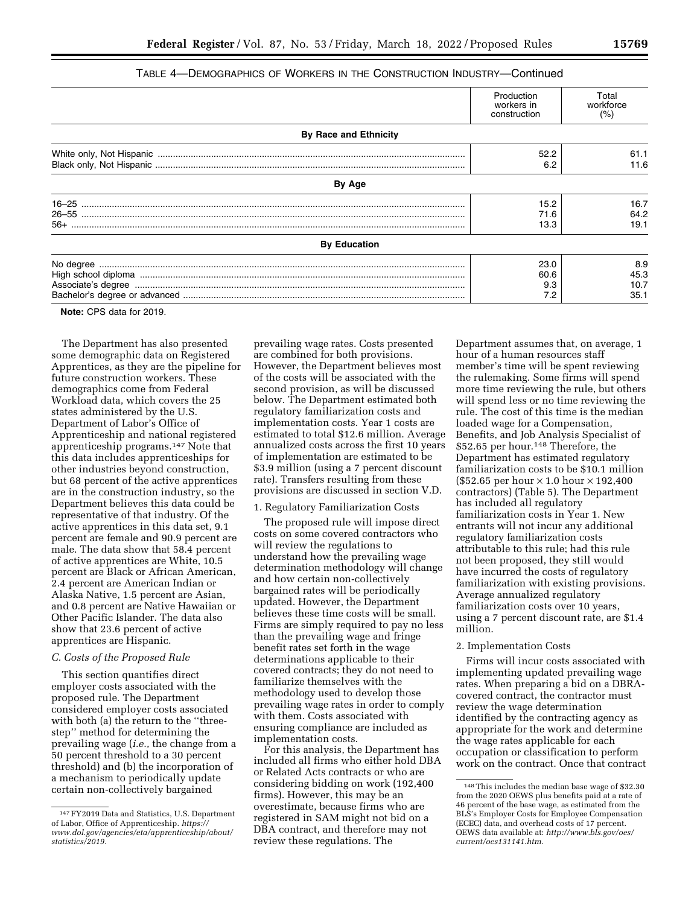# TABLE 4—DEMOGRAPHICS OF WORKERS IN THE CONSTRUCTION INDUSTRY—Continued

|                              | Production<br>workers in<br>construction | Total<br>workforce<br>(%)   |
|------------------------------|------------------------------------------|-----------------------------|
| <b>By Race and Ethnicity</b> |                                          |                             |
|                              | 52.2<br>6.2                              | 61.1<br>11.6                |
| By Age                       |                                          |                             |
|                              | 15.2<br>71.6<br>13.3                     | 16.7<br>64.2<br>19.1        |
| <b>By Education</b>          |                                          |                             |
|                              | 23.0<br>60.6<br>9.3<br>7.2               | 8.9<br>45.3<br>10.7<br>35.1 |

**Note:** CPS data for 2019.

The Department has also presented some demographic data on Registered Apprentices, as they are the pipeline for future construction workers. These demographics come from Federal Workload data, which covers the 25 states administered by the U.S. Department of Labor's Office of Apprenticeship and national registered apprenticeship programs.147 Note that this data includes apprenticeships for other industries beyond construction, but 68 percent of the active apprentices are in the construction industry, so the Department believes this data could be representative of that industry. Of the active apprentices in this data set, 9.1 percent are female and 90.9 percent are male. The data show that 58.4 percent of active apprentices are White, 10.5 percent are Black or African American, 2.4 percent are American Indian or Alaska Native, 1.5 percent are Asian, and 0.8 percent are Native Hawaiian or Other Pacific Islander. The data also show that 23.6 percent of active apprentices are Hispanic.

#### *C. Costs of the Proposed Rule*

This section quantifies direct employer costs associated with the proposed rule. The Department considered employer costs associated with both (a) the return to the ''threestep'' method for determining the prevailing wage (*i.e.,* the change from a 50 percent threshold to a 30 percent threshold) and (b) the incorporation of a mechanism to periodically update certain non-collectively bargained

prevailing wage rates. Costs presented are combined for both provisions. However, the Department believes most of the costs will be associated with the second provision, as will be discussed below. The Department estimated both regulatory familiarization costs and implementation costs. Year 1 costs are estimated to total \$12.6 million. Average annualized costs across the first 10 years of implementation are estimated to be \$3.9 million (using a 7 percent discount rate). Transfers resulting from these provisions are discussed in section V.D.

# 1. Regulatory Familiarization Costs

The proposed rule will impose direct costs on some covered contractors who will review the regulations to understand how the prevailing wage determination methodology will change and how certain non-collectively bargained rates will be periodically updated. However, the Department believes these time costs will be small. Firms are simply required to pay no less than the prevailing wage and fringe benefit rates set forth in the wage determinations applicable to their covered contracts; they do not need to familiarize themselves with the methodology used to develop those prevailing wage rates in order to comply with them. Costs associated with ensuring compliance are included as implementation costs.

For this analysis, the Department has included all firms who either hold DBA or Related Acts contracts or who are considering bidding on work (192,400 firms). However, this may be an overestimate, because firms who are registered in SAM might not bid on a DBA contract, and therefore may not review these regulations. The

Department assumes that, on average, 1 hour of a human resources staff member's time will be spent reviewing the rulemaking. Some firms will spend more time reviewing the rule, but others will spend less or no time reviewing the rule. The cost of this time is the median loaded wage for a Compensation, Benefits, and Job Analysis Specialist of \$52.65 per hour.148 Therefore, the Department has estimated regulatory familiarization costs to be \$10.1 million  $(\$52.65$  per hour  $\times$  1.0 hour  $\times$  192,400 contractors) (Table 5). The Department has included all regulatory familiarization costs in Year 1. New entrants will not incur any additional regulatory familiarization costs attributable to this rule; had this rule not been proposed, they still would have incurred the costs of regulatory familiarization with existing provisions. Average annualized regulatory familiarization costs over 10 years, using a 7 percent discount rate, are \$1.4 million.

#### 2. Implementation Costs

Firms will incur costs associated with implementing updated prevailing wage rates. When preparing a bid on a DBRAcovered contract, the contractor must review the wage determination identified by the contracting agency as appropriate for the work and determine the wage rates applicable for each occupation or classification to perform work on the contract. Once that contract

<sup>147</sup>FY2019 Data and Statistics, U.S. Department of Labor, Office of Apprenticeship. *[https://](https://www.dol.gov/agencies/eta/apprenticeship/about/statistics/2019) [www.dol.gov/agencies/eta/apprenticeship/about/](https://www.dol.gov/agencies/eta/apprenticeship/about/statistics/2019)  [statistics/2019.](https://www.dol.gov/agencies/eta/apprenticeship/about/statistics/2019)* 

<sup>148</sup>This includes the median base wage of \$32.30 from the 2020 OEWS plus benefits paid at a rate of 46 percent of the base wage, as estimated from the BLS's Employer Costs for Employee Compensation (ECEC) data, and overhead costs of 17 percent. OEWS data available at: *[http://www.bls.gov/oes/](http://www.bls.gov/oes/current/oes131141.htm) [current/oes131141.htm.](http://www.bls.gov/oes/current/oes131141.htm)*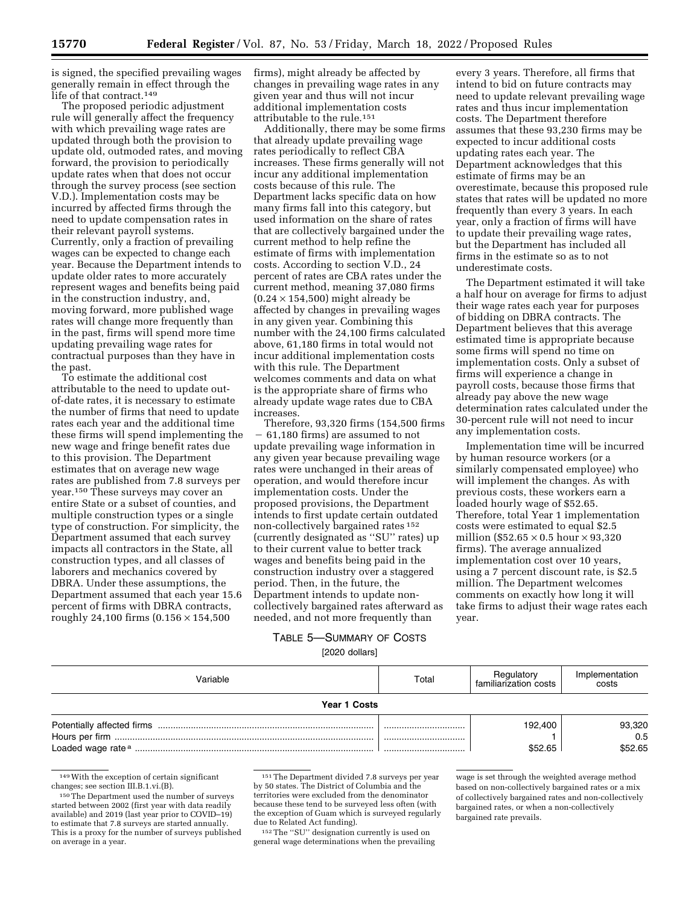is signed, the specified prevailing wages generally remain in effect through the life of that contract.149

The proposed periodic adjustment rule will generally affect the frequency with which prevailing wage rates are updated through both the provision to update old, outmoded rates, and moving forward, the provision to periodically update rates when that does not occur through the survey process (see section V.D.). Implementation costs may be incurred by affected firms through the need to update compensation rates in their relevant payroll systems. Currently, only a fraction of prevailing wages can be expected to change each year. Because the Department intends to update older rates to more accurately represent wages and benefits being paid in the construction industry, and, moving forward, more published wage rates will change more frequently than in the past, firms will spend more time updating prevailing wage rates for contractual purposes than they have in the past.

To estimate the additional cost attributable to the need to update outof-date rates, it is necessary to estimate the number of firms that need to update rates each year and the additional time these firms will spend implementing the new wage and fringe benefit rates due to this provision. The Department estimates that on average new wage rates are published from 7.8 surveys per year.150 These surveys may cover an entire State or a subset of counties, and multiple construction types or a single type of construction. For simplicity, the Department assumed that each survey impacts all contractors in the State, all construction types, and all classes of laborers and mechanics covered by DBRA. Under these assumptions, the Department assumed that each year 15.6 percent of firms with DBRA contracts, roughly 24,100 firms  $(0.156 \times 154,500$ 

firms), might already be affected by changes in prevailing wage rates in any given year and thus will not incur additional implementation costs attributable to the rule.151

Additionally, there may be some firms that already update prevailing wage rates periodically to reflect CBA increases. These firms generally will not incur any additional implementation costs because of this rule. The Department lacks specific data on how many firms fall into this category, but used information on the share of rates that are collectively bargained under the current method to help refine the estimate of firms with implementation costs. According to section V.D., 24 percent of rates are CBA rates under the current method, meaning 37,080 firms  $(0.24 \times 154,500)$  might already be affected by changes in prevailing wages in any given year. Combining this number with the 24,100 firms calculated above, 61,180 firms in total would not incur additional implementation costs with this rule. The Department welcomes comments and data on what is the appropriate share of firms who already update wage rates due to CBA increases.

Therefore, 93,320 firms (154,500 firms  $-61,180$  firms) are assumed to not update prevailing wage information in any given year because prevailing wage rates were unchanged in their areas of operation, and would therefore incur implementation costs. Under the proposed provisions, the Department intends to first update certain outdated non-collectively bargained rates 152 (currently designated as ''SU'' rates) up to their current value to better track wages and benefits being paid in the construction industry over a staggered period. Then, in the future, the Department intends to update noncollectively bargained rates afterward as needed, and not more frequently than

every 3 years. Therefore, all firms that intend to bid on future contracts may need to update relevant prevailing wage rates and thus incur implementation costs. The Department therefore assumes that these 93,230 firms may be expected to incur additional costs updating rates each year. The Department acknowledges that this estimate of firms may be an overestimate, because this proposed rule states that rates will be updated no more frequently than every 3 years. In each year, only a fraction of firms will have to update their prevailing wage rates, but the Department has included all firms in the estimate so as to not underestimate costs.

The Department estimated it will take a half hour on average for firms to adjust their wage rates each year for purposes of bidding on DBRA contracts. The Department believes that this average estimated time is appropriate because some firms will spend no time on implementation costs. Only a subset of firms will experience a change in payroll costs, because those firms that already pay above the new wage determination rates calculated under the 30-percent rule will not need to incur any implementation costs.

Implementation time will be incurred by human resource workers (or a similarly compensated employee) who will implement the changes. As with previous costs, these workers earn a loaded hourly wage of \$52.65. Therefore, total Year 1 implementation costs were estimated to equal \$2.5 million (\$52.65  $\times$  0.5 hour  $\times$  93,320 firms). The average annualized implementation cost over 10 years, using a 7 percent discount rate, is \$2.5 million. The Department welcomes comments on exactly how long it will take firms to adjust their wage rates each year.

# TABLE 5—SUMMARY OF COSTS [2020 dollars]

| /ariable     | Total | Regulatory<br>familiarization costs | Implementation<br>costs  |
|--------------|-------|-------------------------------------|--------------------------|
| Year 1 Costs |       |                                     |                          |
|              | <br>  | 192.400<br>\$52.65                  | 93,320<br>0.5<br>\$52.65 |

149With the exception of certain significant changes; see section III.B.1.vi.(B).

151The Department divided 7.8 surveys per year by 50 states. The District of Columbia and the territories were excluded from the denominator because these tend to be surveyed less often (with the exception of Guam which is surveyed regularly due to Related Act funding).

152The ''SU'' designation currently is used on general wage determinations when the prevailing

wage is set through the weighted average method based on non-collectively bargained rates or a mix of collectively bargained rates and non-collectively bargained rates, or when a non-collectively bargained rate prevails.

<sup>150</sup>The Department used the number of surveys started between 2002 (first year with data readily available) and 2019 (last year prior to COVID–19) to estimate that 7.8 surveys are started annually. This is a proxy for the number of surveys published on average in a year.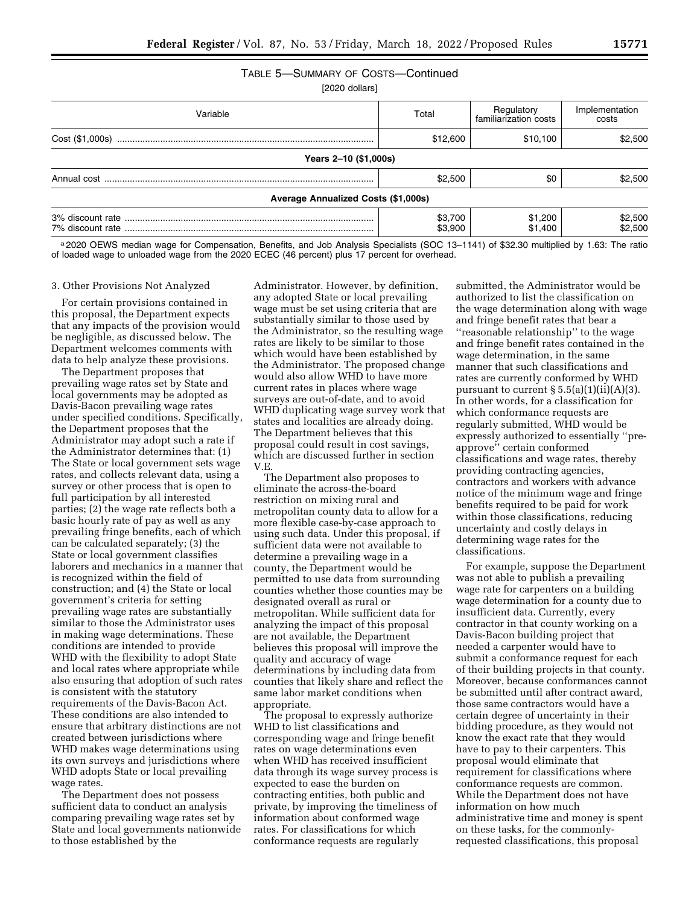# TABLE 5—SUMMARY OF COSTS—Continued

[2020 dollars]

| Variable                                   | Total              | Regulatory<br>familiarization costs | Implementation<br>costs |  |  |  |
|--------------------------------------------|--------------------|-------------------------------------|-------------------------|--|--|--|
| Cost (\$1,000s)                            | \$12,600           | \$10,100                            | \$2,500                 |  |  |  |
| Years 2-10 (\$1,000s)                      |                    |                                     |                         |  |  |  |
|                                            | \$2,500            | \$0                                 | \$2,500                 |  |  |  |
| <b>Average Annualized Costs (\$1,000s)</b> |                    |                                     |                         |  |  |  |
| 7% discount rate                           | \$3,700<br>\$3.900 | \$1,200<br>\$1,400                  | \$2,500<br>\$2.500      |  |  |  |

a 2020 OEWS median wage for Compensation, Benefits, and Job Analysis Specialists (SOC 13-1141) of \$32.30 multiplied by 1.63: The ratio of loaded wage to unloaded wage from the 2020 ECEC (46 percent) plus 17 percent for overhead.

#### 3. Other Provisions Not Analyzed

For certain provisions contained in this proposal, the Department expects that any impacts of the provision would be negligible, as discussed below. The Department welcomes comments with data to help analyze these provisions.

The Department proposes that prevailing wage rates set by State and local governments may be adopted as Davis-Bacon prevailing wage rates under specified conditions. Specifically, the Department proposes that the Administrator may adopt such a rate if the Administrator determines that: (1) The State or local government sets wage rates, and collects relevant data, using a survey or other process that is open to full participation by all interested parties; (2) the wage rate reflects both a basic hourly rate of pay as well as any prevailing fringe benefits, each of which can be calculated separately; (3) the State or local government classifies laborers and mechanics in a manner that is recognized within the field of construction; and (4) the State or local government's criteria for setting prevailing wage rates are substantially similar to those the Administrator uses in making wage determinations. These conditions are intended to provide WHD with the flexibility to adopt State and local rates where appropriate while also ensuring that adoption of such rates is consistent with the statutory requirements of the Davis-Bacon Act. These conditions are also intended to ensure that arbitrary distinctions are not created between jurisdictions where WHD makes wage determinations using its own surveys and jurisdictions where WHD adopts State or local prevailing wage rates.

The Department does not possess sufficient data to conduct an analysis comparing prevailing wage rates set by State and local governments nationwide to those established by the

Administrator. However, by definition, any adopted State or local prevailing wage must be set using criteria that are substantially similar to those used by the Administrator, so the resulting wage rates are likely to be similar to those which would have been established by the Administrator. The proposed change would also allow WHD to have more current rates in places where wage surveys are out-of-date, and to avoid WHD duplicating wage survey work that states and localities are already doing. The Department believes that this proposal could result in cost savings, which are discussed further in section V.E.

The Department also proposes to eliminate the across-the-board restriction on mixing rural and metropolitan county data to allow for a more flexible case-by-case approach to using such data. Under this proposal, if sufficient data were not available to determine a prevailing wage in a county, the Department would be permitted to use data from surrounding counties whether those counties may be designated overall as rural or metropolitan. While sufficient data for analyzing the impact of this proposal are not available, the Department believes this proposal will improve the quality and accuracy of wage determinations by including data from counties that likely share and reflect the same labor market conditions when appropriate.

The proposal to expressly authorize WHD to list classifications and corresponding wage and fringe benefit rates on wage determinations even when WHD has received insufficient data through its wage survey process is expected to ease the burden on contracting entities, both public and private, by improving the timeliness of information about conformed wage rates. For classifications for which conformance requests are regularly

submitted, the Administrator would be authorized to list the classification on the wage determination along with wage and fringe benefit rates that bear a ''reasonable relationship'' to the wage and fringe benefit rates contained in the wage determination, in the same manner that such classifications and rates are currently conformed by WHD pursuant to current  $\S 5.5(a)(1)(ii)(A)(3)$ . In other words, for a classification for which conformance requests are regularly submitted, WHD would be expressly authorized to essentially ''preapprove'' certain conformed classifications and wage rates, thereby providing contracting agencies, contractors and workers with advance notice of the minimum wage and fringe benefits required to be paid for work within those classifications, reducing uncertainty and costly delays in determining wage rates for the classifications.

For example, suppose the Department was not able to publish a prevailing wage rate for carpenters on a building wage determination for a county due to insufficient data. Currently, every contractor in that county working on a Davis-Bacon building project that needed a carpenter would have to submit a conformance request for each of their building projects in that county. Moreover, because conformances cannot be submitted until after contract award, those same contractors would have a certain degree of uncertainty in their bidding procedure, as they would not know the exact rate that they would have to pay to their carpenters. This proposal would eliminate that requirement for classifications where conformance requests are common. While the Department does not have information on how much administrative time and money is spent on these tasks, for the commonlyrequested classifications, this proposal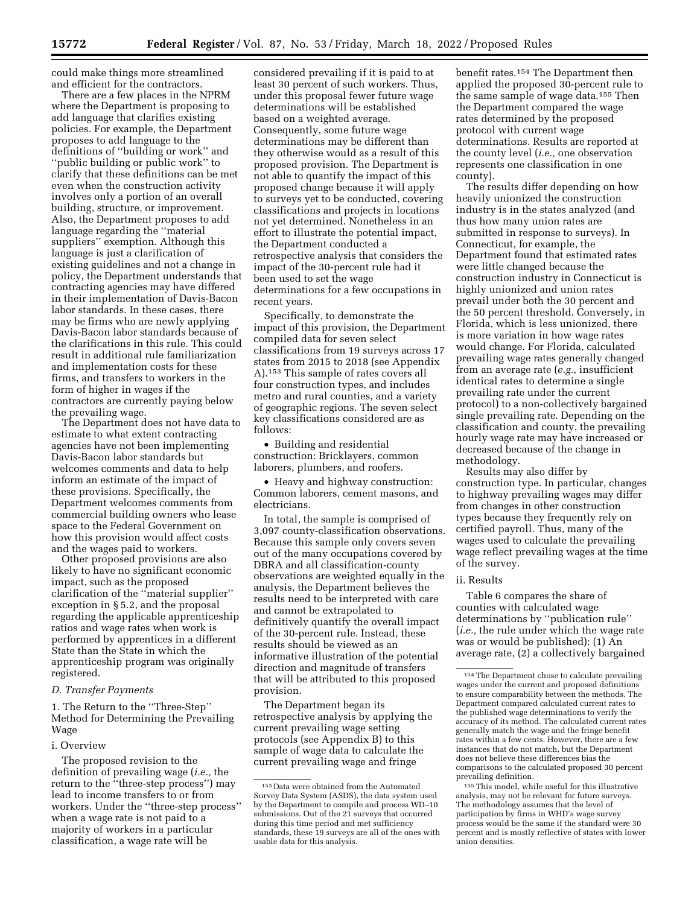could make things more streamlined and efficient for the contractors.

There are a few places in the NPRM where the Department is proposing to add language that clarifies existing policies. For example, the Department proposes to add language to the definitions of ''building or work'' and ''public building or public work'' to clarify that these definitions can be met even when the construction activity involves only a portion of an overall building, structure, or improvement. Also, the Department proposes to add language regarding the ''material suppliers'' exemption. Although this language is just a clarification of existing guidelines and not a change in policy, the Department understands that contracting agencies may have differed in their implementation of Davis-Bacon labor standards. In these cases, there may be firms who are newly applying Davis-Bacon labor standards because of the clarifications in this rule. This could result in additional rule familiarization and implementation costs for these firms, and transfers to workers in the form of higher in wages if the contractors are currently paying below the prevailing wage.

The Department does not have data to estimate to what extent contracting agencies have not been implementing Davis-Bacon labor standards but welcomes comments and data to help inform an estimate of the impact of these provisions. Specifically, the Department welcomes comments from commercial building owners who lease space to the Federal Government on how this provision would affect costs and the wages paid to workers.

Other proposed provisions are also likely to have no significant economic impact, such as the proposed clarification of the ''material supplier'' exception in § 5.2, and the proposal regarding the applicable apprenticeship ratios and wage rates when work is performed by apprentices in a different State than the State in which the apprenticeship program was originally registered.

# *D. Transfer Payments*

1. The Return to the ''Three-Step'' Method for Determining the Prevailing Wage

### i. Overview

The proposed revision to the definition of prevailing wage (*i.e.,* the return to the ''three-step process'') may lead to income transfers to or from workers. Under the ''three-step process'' when a wage rate is not paid to a majority of workers in a particular classification, a wage rate will be

considered prevailing if it is paid to at least 30 percent of such workers. Thus, under this proposal fewer future wage determinations will be established based on a weighted average. Consequently, some future wage determinations may be different than they otherwise would as a result of this proposed provision. The Department is not able to quantify the impact of this proposed change because it will apply to surveys yet to be conducted, covering classifications and projects in locations not yet determined. Nonetheless in an effort to illustrate the potential impact, the Department conducted a retrospective analysis that considers the impact of the 30-percent rule had it been used to set the wage determinations for a few occupations in recent years.

Specifically, to demonstrate the impact of this provision, the Department compiled data for seven select classifications from 19 surveys across 17 states from 2015 to 2018 (see Appendix A).153 This sample of rates covers all four construction types, and includes metro and rural counties, and a variety of geographic regions. The seven select key classifications considered are as follows:

• Building and residential construction: Bricklayers, common laborers, plumbers, and roofers.

• Heavy and highway construction: Common laborers, cement masons, and electricians.

In total, the sample is comprised of 3,097 county-classification observations. Because this sample only covers seven out of the many occupations covered by DBRA and all classification-county observations are weighted equally in the analysis, the Department believes the results need to be interpreted with care and cannot be extrapolated to definitively quantify the overall impact of the 30-percent rule. Instead, these results should be viewed as an informative illustration of the potential direction and magnitude of transfers that will be attributed to this proposed provision.

The Department began its retrospective analysis by applying the current prevailing wage setting protocols (see Appendix B) to this sample of wage data to calculate the current prevailing wage and fringe

benefit rates.154 The Department then applied the proposed 30-percent rule to the same sample of wage data.155 Then the Department compared the wage rates determined by the proposed protocol with current wage determinations. Results are reported at the county level (*i.e.,* one observation represents one classification in one county).

The results differ depending on how heavily unionized the construction industry is in the states analyzed (and thus how many union rates are submitted in response to surveys). In Connecticut, for example, the Department found that estimated rates were little changed because the construction industry in Connecticut is highly unionized and union rates prevail under both the 30 percent and the 50 percent threshold. Conversely, in Florida, which is less unionized, there is more variation in how wage rates would change. For Florida, calculated prevailing wage rates generally changed from an average rate (*e.g.,* insufficient identical rates to determine a single prevailing rate under the current protocol) to a non-collectively bargained single prevailing rate. Depending on the classification and county, the prevailing hourly wage rate may have increased or decreased because of the change in methodology.

Results may also differ by construction type. In particular, changes to highway prevailing wages may differ from changes in other construction types because they frequently rely on certified payroll. Thus, many of the wages used to calculate the prevailing wage reflect prevailing wages at the time of the survey.

#### ii. Results

Table 6 compares the share of counties with calculated wage determinations by ''publication rule'' (*i.e.,* the rule under which the wage rate was or would be published): (1) An average rate, (2) a collectively bargained

<sup>153</sup> Data were obtained from the Automated Survey Data System (ASDS), the data system used by the Department to compile and process WD–10 submissions. Out of the 21 surveys that occurred during this time period and met sufficiency standards, these 19 surveys are all of the ones with usable data for this analysis.

<sup>154</sup>The Department chose to calculate prevailing wages under the current and proposed definitions to ensure comparability between the methods. The Department compared calculated current rates to the published wage determinations to verify the accuracy of its method. The calculated current rates generally match the wage and the fringe benefit rates within a few cents. However, there are a few instances that do not match, but the Department does not believe these differences bias the comparisons to the calculated proposed 30 percent prevailing definition.

<sup>155</sup>This model, while useful for this illustrative analysis, may not be relevant for future surveys. The methodology assumes that the level of participation by firms in WHD's wage survey process would be the same if the standard were 30 percent and is mostly reflective of states with lower union densities.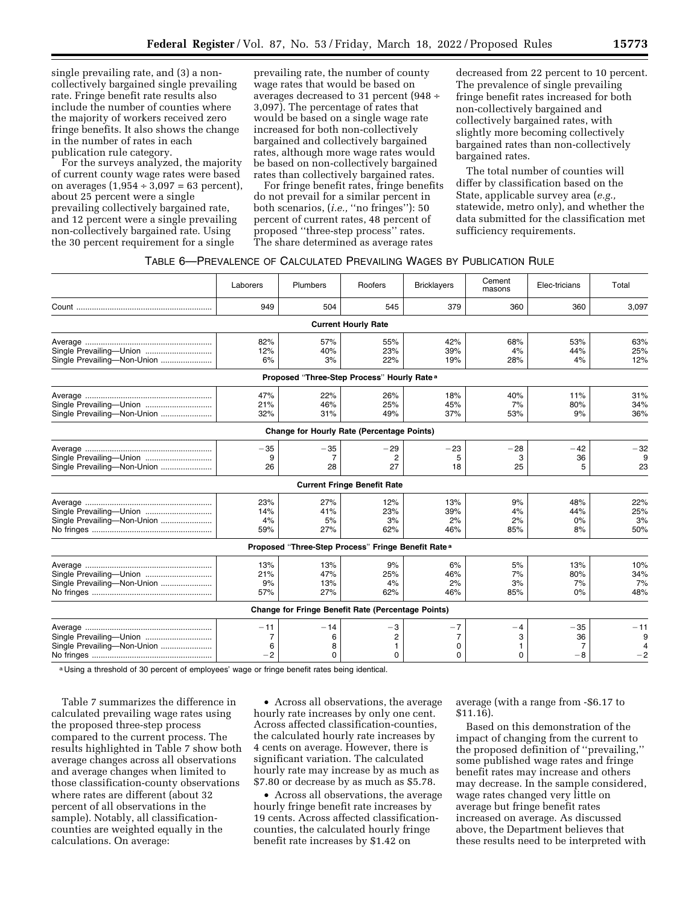single prevailing rate, and (3) a noncollectively bargained single prevailing rate. Fringe benefit rate results also include the number of counties where the majority of workers received zero fringe benefits. It also shows the change in the number of rates in each publication rule category.

For the surveys analyzed, the majority of current county wage rates were based on averages  $(1,954 \div 3,097 = 63$  percent), about 25 percent were a single prevailing collectively bargained rate, and 12 percent were a single prevailing non-collectively bargained rate. Using the 30 percent requirement for a single

prevailing rate, the number of county wage rates that would be based on averages decreased to 31 percent (948 ÷ 3,097). The percentage of rates that would be based on a single wage rate increased for both non-collectively bargained and collectively bargained rates, although more wage rates would be based on non-collectively bargained rates than collectively bargained rates.

For fringe benefit rates, fringe benefits do not prevail for a similar percent in both scenarios, (*i.e.,* ''no fringes''): 50 percent of current rates, 48 percent of proposed ''three-step process'' rates. The share determined as average rates

decreased from 22 percent to 10 percent. The prevalence of single prevailing fringe benefit rates increased for both non-collectively bargained and collectively bargained rates, with slightly more becoming collectively bargained rates than non-collectively bargained rates.

The total number of counties will differ by classification based on the State, applicable survey area (*e.g.,*  statewide, metro only), and whether the data submitted for the classification met sufficiency requirements.

### TABLE 6—PREVALENCE OF CALCULATED PREVAILING WAGES BY PUBLICATION RULE

|                                                        | Laborers  | Plumbers      | Roofers                                                        | <b>Bricklayers</b> | Cement<br>masons | Elec-tricians | Total      |
|--------------------------------------------------------|-----------|---------------|----------------------------------------------------------------|--------------------|------------------|---------------|------------|
|                                                        | 949       | 504           | 545                                                            | 379                | 360              | 360           | 3,097      |
|                                                        |           |               | <b>Current Hourly Rate</b>                                     |                    |                  |               |            |
|                                                        | 82%       | 57%           | 55%                                                            | 42%                | 68%              | 53%           | 63%        |
| Single Prevailing-Union<br>Single Prevailing-Non-Union | 12%<br>6% | 40%<br>3%     | 23%<br>22%                                                     | 39%<br>19%         | 4%<br>28%        | 44%<br>4%     | 25%<br>12% |
|                                                        |           |               | Proposed "Three-Step Process" Hourly Rate <sup>a</sup>         |                    |                  |               |            |
|                                                        | 47%       | 22%           | 26%                                                            | 18%                | 40%              | 11%           | 31%        |
| Single Prevailing-Union                                | 21%       | 46%           | 25%                                                            | 45%                | 7%               | 80%           | 34%        |
| Single Prevailing-Non-Union                            | 32%       | 31%           | 49%                                                            | 37%                | 53%              | 9%            | 36%        |
|                                                        |           |               | <b>Change for Hourly Rate (Percentage Points)</b>              |                    |                  |               |            |
|                                                        | $-35$     | $-35$         | $-29$                                                          | $-23$              | $-28$            | $-42$         | $-32$      |
| Single Prevailing-Union                                | 9         |               |                                                                | 5                  | 3                | 36            |            |
| Single Prevailing-Non-Union                            | 26        | 28            | 27                                                             | 18                 | 25               | 5             | 23         |
|                                                        |           |               | <b>Current Fringe Benefit Rate</b>                             |                    |                  |               |            |
|                                                        | 23%       | 27%           | 12%                                                            | 13%                | 9%               | 48%           | 22%        |
| Single Prevailing-Union                                | 14%       | 41%           | 23%                                                            | 39%                | 4%               | 44%           | 25%        |
| Single Prevailing-Non-Union                            | 4%        | 5%            | 3%                                                             | 2%                 | 2%               | 0%            | 3%         |
|                                                        | 59%       | 27%           | 62%                                                            | 46%                | 85%              | 8%            | 50%        |
|                                                        |           |               | Proposed "Three-Step Process" Fringe Benefit Rate <sup>a</sup> |                    |                  |               |            |
|                                                        | 13%       | 13%           | 9%                                                             | 6%                 | 5%               | 13%           | 10%        |
| Single Prevailing-Union                                | 21%       | 47%           | 25%                                                            | 46%                | 7%               | 80%           | 34%        |
| Single Prevailing-Non-Union                            | 9%        | 13%           | 4%                                                             | 2%                 | 3%               | 7%            | 7%         |
|                                                        | 57%       | 27%           | 62%                                                            | 46%                | 85%              | 0%            | 48%        |
|                                                        |           |               | Change for Fringe Benefit Rate (Percentage Points)             |                    |                  |               |            |
|                                                        | $-11$     | $-14$         | $-3$                                                           | $-7$               | -4               | $-35$         | $-11$      |
| Single Prevailing-Union                                | 7         | 6             | $\overline{c}$                                                 | 7                  | 3                | 36            | 9          |
| Single Prevailing-Non-Union                            | 6<br>$-2$ | 8<br>$\Omega$ | 1<br>0                                                         | 0<br>$\Omega$      | 1<br>$\Omega$    | 7<br>$-8$     | $-2$       |
|                                                        |           |               |                                                                |                    |                  |               |            |

a Using a threshold of 30 percent of employees' wage or fringe benefit rates being identical.

Table 7 summarizes the difference in calculated prevailing wage rates using the proposed three-step process compared to the current process. The results highlighted in Table 7 show both average changes across all observations and average changes when limited to those classification-county observations where rates are different (about 32 percent of all observations in the sample). Notably, all classificationcounties are weighted equally in the calculations. On average:

• Across all observations, the average hourly rate increases by only one cent. Across affected classification-counties, the calculated hourly rate increases by 4 cents on average. However, there is significant variation. The calculated hourly rate may increase by as much as \$7.80 or decrease by as much as \$5.78.

• Across all observations, the average hourly fringe benefit rate increases by 19 cents. Across affected classificationcounties, the calculated hourly fringe benefit rate increases by \$1.42 on

average (with a range from -\$6.17 to \$11.16).

Based on this demonstration of the impact of changing from the current to the proposed definition of ''prevailing,'' some published wage rates and fringe benefit rates may increase and others may decrease. In the sample considered, wage rates changed very little on average but fringe benefit rates increased on average. As discussed above, the Department believes that these results need to be interpreted with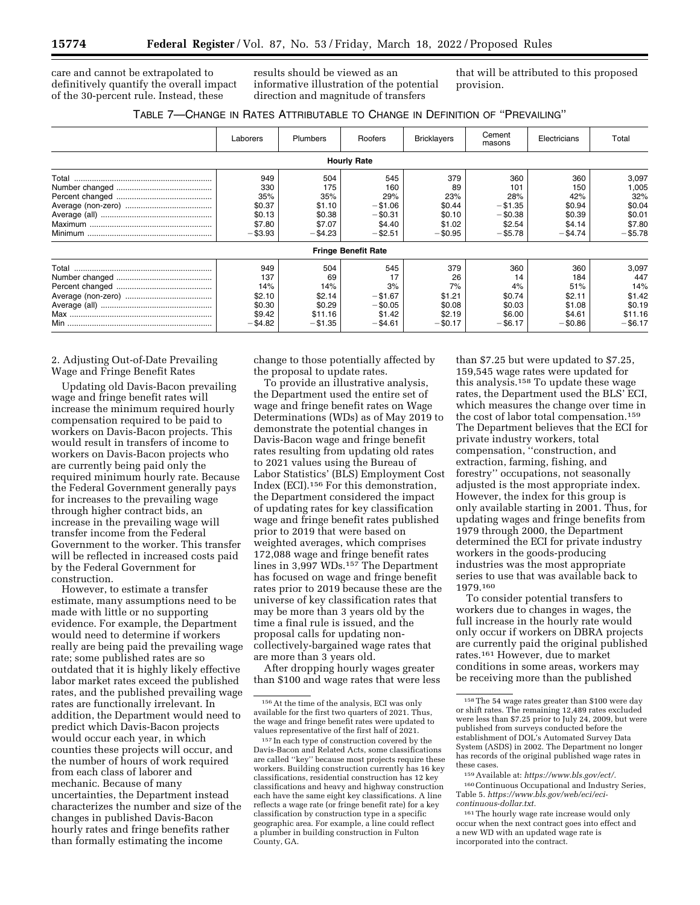care and cannot be extrapolated to definitively quantify the overall impact of the 30-percent rule. Instead, these

results should be viewed as an informative illustration of the potential direction and magnitude of transfers

that will be attributed to this proposed provision.

| TABLE 7-CHANGE IN RATES ATTRIBUTABLE TO CHANGE IN DEFINITION OF "PREVAILING" |  |  |  |
|------------------------------------------------------------------------------|--|--|--|
|------------------------------------------------------------------------------|--|--|--|

|       | Laborers   | Plumbers   | Roofers                    | <b>Bricklayers</b> | Cement<br>masons | Electricians | Total      |
|-------|------------|------------|----------------------------|--------------------|------------------|--------------|------------|
|       |            |            | <b>Hourly Rate</b>         |                    |                  |              |            |
| Total | 949        | 504        | 545                        | 379                | 360              | 360          | 3,097      |
|       | 330        | 175        | 160                        | 89                 | 101              | 150          | 1,005      |
|       | 35%        | 35%        | 29%                        | 23%                | 28%              | 42%          | 32%        |
|       | \$0.37     | \$1.10     | $- $1.06$                  | \$0.44             | $- $1.35$        | \$0.94       | \$0.04     |
|       | \$0.13     | \$0.38     | $-$ \$0.31                 | \$0.10             | $-$ \$0.38       | \$0.39       | \$0.01     |
|       | \$7.80     | \$7.07     | \$4.40                     | \$1.02             | \$2.54           | \$4.14       | \$7.80     |
|       | $- $3.93$  | $-$ \$4.23 | $-$ \$2.51                 | $-$ \$0.95         | $-$ \$5.78       | $-$ \$4.74   | $-$ \$5.78 |
|       |            |            | <b>Fringe Benefit Rate</b> |                    |                  |              |            |
| Total | 949        | 504        | 545                        | 379                | 360              | 360          | 3,097      |
|       | 137        | 69         | 17                         | 26                 | 14               | 184          | 447        |
|       | 14%        | 14%        | 3%                         | 7%                 | 4%               | 51%          | 14%        |
|       | \$2.10     | \$2.14     | $- $1.67$                  | \$1.21             | \$0.74           | \$2.11       | \$1.42     |
|       | \$0.30     | \$0.29     | $-$ \$0.05                 | \$0.08             | \$0.03           | \$1.08       | \$0.19     |
|       | \$9.42     | \$11.16    | \$1.42                     | \$2.19             | \$6.00           | \$4.61       | \$11.16    |
|       | $-$ \$4.82 | $- $1.35$  | $-$ \$4.61                 | $-$ \$0.17         | $-$ \$6.17       | $-$ \$0.86   | $-$ \$6.17 |

2. Adjusting Out-of-Date Prevailing Wage and Fringe Benefit Rates

Updating old Davis-Bacon prevailing wage and fringe benefit rates will increase the minimum required hourly compensation required to be paid to workers on Davis-Bacon projects. This would result in transfers of income to workers on Davis-Bacon projects who are currently being paid only the required minimum hourly rate. Because the Federal Government generally pays for increases to the prevailing wage through higher contract bids, an increase in the prevailing wage will transfer income from the Federal Government to the worker. This transfer will be reflected in increased costs paid by the Federal Government for construction.

However, to estimate a transfer estimate, many assumptions need to be made with little or no supporting evidence. For example, the Department would need to determine if workers really are being paid the prevailing wage rate; some published rates are so outdated that it is highly likely effective labor market rates exceed the published rates, and the published prevailing wage rates are functionally irrelevant. In addition, the Department would need to predict which Davis-Bacon projects would occur each year, in which counties these projects will occur, and the number of hours of work required from each class of laborer and mechanic. Because of many uncertainties, the Department instead characterizes the number and size of the changes in published Davis-Bacon hourly rates and fringe benefits rather than formally estimating the income

change to those potentially affected by the proposal to update rates.

To provide an illustrative analysis, the Department used the entire set of wage and fringe benefit rates on Wage Determinations (WDs) as of May 2019 to demonstrate the potential changes in Davis-Bacon wage and fringe benefit rates resulting from updating old rates to 2021 values using the Bureau of Labor Statistics' (BLS) Employment Cost Index (ECI).156 For this demonstration, the Department considered the impact of updating rates for key classification wage and fringe benefit rates published prior to 2019 that were based on weighted averages, which comprises 172,088 wage and fringe benefit rates lines in 3,997 WDs.157 The Department has focused on wage and fringe benefit rates prior to 2019 because these are the universe of key classification rates that may be more than 3 years old by the time a final rule is issued, and the proposal calls for updating noncollectively-bargained wage rates that are more than 3 years old.

After dropping hourly wages greater than \$100 and wage rates that were less

than \$7.25 but were updated to \$7.25, 159,545 wage rates were updated for this analysis.158 To update these wage rates, the Department used the BLS' ECI, which measures the change over time in the cost of labor total compensation.159 The Department believes that the ECI for private industry workers, total compensation, ''construction, and extraction, farming, fishing, and forestry'' occupations, not seasonally adjusted is the most appropriate index. However, the index for this group is only available starting in 2001. Thus, for updating wages and fringe benefits from 1979 through 2000, the Department determined the ECI for private industry workers in the goods-producing industries was the most appropriate series to use that was available back to 1979.160

To consider potential transfers to workers due to changes in wages, the full increase in the hourly rate would only occur if workers on DBRA projects are currently paid the original published rates.161 However, due to market conditions in some areas, workers may be receiving more than the published

160Continuous Occupational and Industry Series, Table 5. *[https://www.bls.gov/web/eci/eci](https://www.bls.gov/web/eci/eci-continuous-dollar.txt)[continuous-dollar.txt.](https://www.bls.gov/web/eci/eci-continuous-dollar.txt)* 

<sup>156</sup>At the time of the analysis, ECI was only available for the first two quarters of 2021. Thus, the wage and fringe benefit rates were updated to values representative of the first half of 2021.

<sup>157</sup> In each type of construction covered by the Davis-Bacon and Related Acts, some classifications are called ''key'' because most projects require these workers. Building construction currently has 16 key classifications, residential construction has 12 key classifications and heavy and highway construction each have the same eight key classifications. A line reflects a wage rate (or fringe benefit rate) for a key classification by construction type in a specific geographic area. For example, a line could reflect a plumber in building construction in Fulton County, GA.

<sup>158</sup>The 54 wage rates greater than \$100 were day or shift rates. The remaining 12,489 rates excluded were less than \$7.25 prior to July 24, 2009, but were published from surveys conducted before the establishment of DOL's Automated Survey Data System (ASDS) in 2002. The Department no longer has records of the original published wage rates in these cases.

<sup>159</sup>Available at: *[https://www.bls.gov/ect/.](https://www.bls.gov/ect/)* 

<sup>161</sup>The hourly wage rate increase would only occur when the next contract goes into effect and a new WD with an updated wage rate is incorporated into the contract.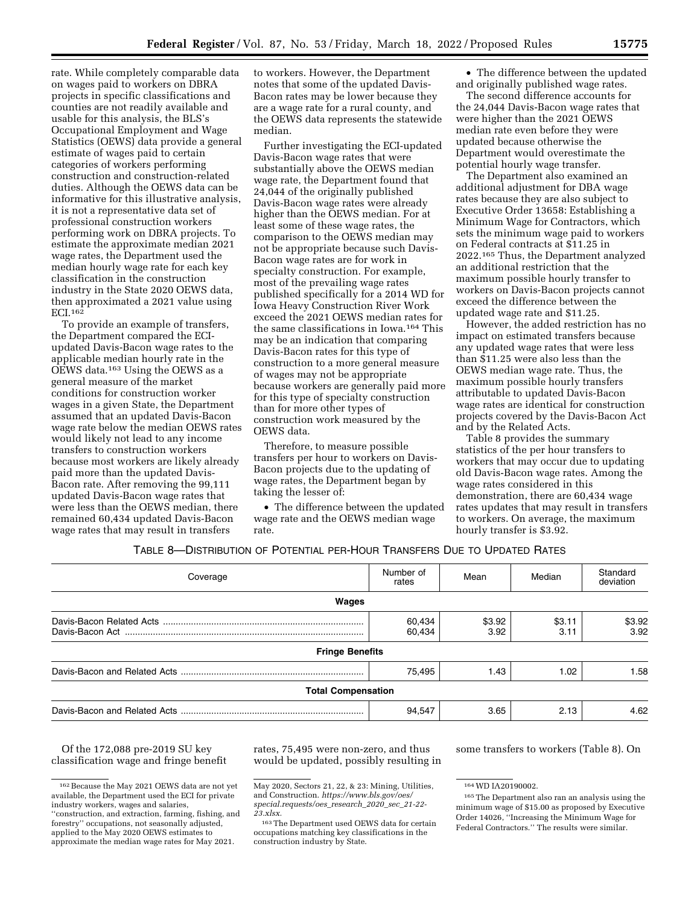rate. While completely comparable data on wages paid to workers on DBRA projects in specific classifications and counties are not readily available and usable for this analysis, the BLS's Occupational Employment and Wage Statistics (OEWS) data provide a general estimate of wages paid to certain categories of workers performing construction and construction-related duties. Although the OEWS data can be informative for this illustrative analysis, it is not a representative data set of professional construction workers performing work on DBRA projects. To estimate the approximate median 2021 wage rates, the Department used the median hourly wage rate for each key classification in the construction industry in the State 2020 OEWS data, then approximated a 2021 value using ECI.162

To provide an example of transfers, the Department compared the ECIupdated Davis-Bacon wage rates to the applicable median hourly rate in the OEWS data.163 Using the OEWS as a general measure of the market conditions for construction worker wages in a given State, the Department assumed that an updated Davis-Bacon wage rate below the median OEWS rates would likely not lead to any income transfers to construction workers because most workers are likely already paid more than the updated Davis-Bacon rate. After removing the 99,111 updated Davis-Bacon wage rates that were less than the OEWS median, there remained 60,434 updated Davis-Bacon wage rates that may result in transfers

to workers. However, the Department notes that some of the updated Davis-Bacon rates may be lower because they are a wage rate for a rural county, and the OEWS data represents the statewide median.

Further investigating the ECI-updated Davis-Bacon wage rates that were substantially above the OEWS median wage rate, the Department found that 24,044 of the originally published Davis-Bacon wage rates were already higher than the OEWS median. For at least some of these wage rates, the comparison to the OEWS median may not be appropriate because such Davis-Bacon wage rates are for work in specialty construction. For example, most of the prevailing wage rates published specifically for a 2014 WD for Iowa Heavy Construction River Work exceed the 2021 OEWS median rates for the same classifications in Iowa.164 This may be an indication that comparing Davis-Bacon rates for this type of construction to a more general measure of wages may not be appropriate because workers are generally paid more for this type of specialty construction than for more other types of construction work measured by the OEWS data.

Therefore, to measure possible transfers per hour to workers on Davis-Bacon projects due to the updating of wage rates, the Department began by taking the lesser of:

• The difference between the updated wage rate and the OEWS median wage rate.

• The difference between the updated and originally published wage rates.

The second difference accounts for the 24,044 Davis-Bacon wage rates that were higher than the 2021 OEWS median rate even before they were updated because otherwise the Department would overestimate the potential hourly wage transfer.

The Department also examined an additional adjustment for DBA wage rates because they are also subject to Executive Order 13658: Establishing a Minimum Wage for Contractors, which sets the minimum wage paid to workers on Federal contracts at \$11.25 in 2022.165 Thus, the Department analyzed an additional restriction that the maximum possible hourly transfer to workers on Davis-Bacon projects cannot exceed the difference between the updated wage rate and \$11.25.

However, the added restriction has no impact on estimated transfers because any updated wage rates that were less than \$11.25 were also less than the OEWS median wage rate. Thus, the maximum possible hourly transfers attributable to updated Davis-Bacon wage rates are identical for construction projects covered by the Davis-Bacon Act and by the Related Acts.

Table 8 provides the summary statistics of the per hour transfers to workers that may occur due to updating old Davis-Bacon wage rates. Among the wage rates considered in this demonstration, there are 60,434 wage rates updates that may result in transfers to workers. On average, the maximum hourly transfer is \$3.92.

## TABLE 8—DISTRIBUTION OF POTENTIAL PER-HOUR TRANSFERS DUE TO UPDATED RATES

| Coverage                  | Number of<br>rates | Mean           | Median         | Standard<br>deviation |
|---------------------------|--------------------|----------------|----------------|-----------------------|
| Wages                     |                    |                |                |                       |
|                           | 60,434<br>60,434   | \$3.92<br>3.92 | \$3.11<br>3.11 | \$3.92<br>3.92        |
| <b>Fringe Benefits</b>    |                    |                |                |                       |
|                           | 75.495             | 1.43           | 1.02           | 1.58                  |
| <b>Total Compensation</b> |                    |                |                |                       |
|                           | 94,547             | 3.65           | 2.13           | 4.62                  |

Of the 172,088 pre-2019 SU key classification wage and fringe benefit rates, 75,495 were non-zero, and thus would be updated, possibly resulting in some transfers to workers (Table 8). On

 $^{162}\rm{Because}$  the May 2021 OEWS data are not yet available, the Department used the ECI for private industry workers, wages and salaries, ''construction, and extraction, farming, fishing, and

forestry'' occupations, not seasonally adjusted, applied to the May 2020 OEWS estimates to approximate the median wage rates for May 2021.

May 2020, Sectors 21, 22, & 23: Mining, Utilities, and Construction. *[https://www.bls.gov/oes/](https://www.bls.gov/oes/special.requests/oes_research_2020_sec_21-22-23.xlsx) [special.requests/oes](https://www.bls.gov/oes/special.requests/oes_research_2020_sec_21-22-23.xlsx)*\_*research*\_*2020*\_*sec*\_*21-22- [23.xlsx.](https://www.bls.gov/oes/special.requests/oes_research_2020_sec_21-22-23.xlsx)* 

<sup>163</sup>The Department used OEWS data for certain occupations matching key classifications in the construction industry by State.

<sup>164</sup>WD IA20190002.

<sup>165</sup>The Department also ran an analysis using the minimum wage of \$15.00 as proposed by Executive Order 14026, ''Increasing the Minimum Wage for Federal Contractors.'' The results were similar.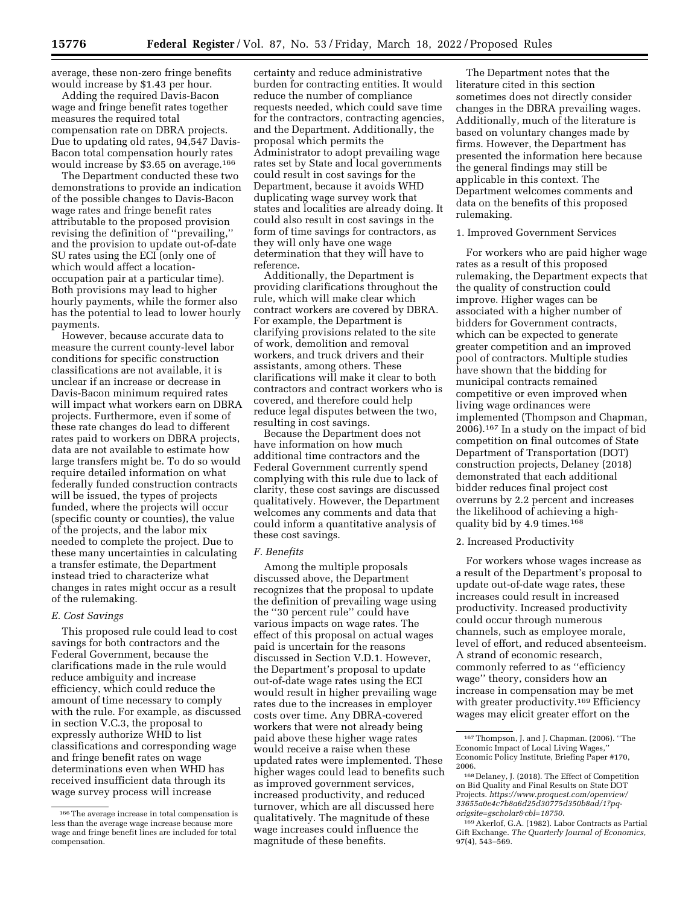average, these non-zero fringe benefits would increase by \$1.43 per hour.

Adding the required Davis-Bacon wage and fringe benefit rates together measures the required total compensation rate on DBRA projects. Due to updating old rates, 94,547 Davis-Bacon total compensation hourly rates would increase by \$3.65 on average.166

The Department conducted these two demonstrations to provide an indication of the possible changes to Davis-Bacon wage rates and fringe benefit rates attributable to the proposed provision revising the definition of ''prevailing,'' and the provision to update out-of-date SU rates using the ECI (only one of which would affect a locationoccupation pair at a particular time). Both provisions may lead to higher hourly payments, while the former also has the potential to lead to lower hourly payments.

However, because accurate data to measure the current county-level labor conditions for specific construction classifications are not available, it is unclear if an increase or decrease in Davis-Bacon minimum required rates will impact what workers earn on DBRA projects. Furthermore, even if some of these rate changes do lead to different rates paid to workers on DBRA projects, data are not available to estimate how large transfers might be. To do so would require detailed information on what federally funded construction contracts will be issued, the types of projects funded, where the projects will occur (specific county or counties), the value of the projects, and the labor mix needed to complete the project. Due to these many uncertainties in calculating a transfer estimate, the Department instead tried to characterize what changes in rates might occur as a result of the rulemaking.

### *E. Cost Savings*

This proposed rule could lead to cost savings for both contractors and the Federal Government, because the clarifications made in the rule would reduce ambiguity and increase efficiency, which could reduce the amount of time necessary to comply with the rule. For example, as discussed in section V.C.3, the proposal to expressly authorize WHD to list classifications and corresponding wage and fringe benefit rates on wage determinations even when WHD has received insufficient data through its wage survey process will increase

certainty and reduce administrative burden for contracting entities. It would reduce the number of compliance requests needed, which could save time for the contractors, contracting agencies, and the Department. Additionally, the proposal which permits the Administrator to adopt prevailing wage rates set by State and local governments could result in cost savings for the Department, because it avoids WHD duplicating wage survey work that states and localities are already doing. It could also result in cost savings in the form of time savings for contractors, as they will only have one wage determination that they will have to reference.

Additionally, the Department is providing clarifications throughout the rule, which will make clear which contract workers are covered by DBRA. For example, the Department is clarifying provisions related to the site of work, demolition and removal workers, and truck drivers and their assistants, among others. These clarifications will make it clear to both contractors and contract workers who is covered, and therefore could help reduce legal disputes between the two, resulting in cost savings.

Because the Department does not have information on how much additional time contractors and the Federal Government currently spend complying with this rule due to lack of clarity, these cost savings are discussed qualitatively. However, the Department welcomes any comments and data that could inform a quantitative analysis of these cost savings.

#### *F. Benefits*

Among the multiple proposals discussed above, the Department recognizes that the proposal to update the definition of prevailing wage using the ''30 percent rule'' could have various impacts on wage rates. The effect of this proposal on actual wages paid is uncertain for the reasons discussed in Section V.D.1. However, the Department's proposal to update out-of-date wage rates using the ECI would result in higher prevailing wage rates due to the increases in employer costs over time. Any DBRA-covered workers that were not already being paid above these higher wage rates would receive a raise when these updated rates were implemented. These higher wages could lead to benefits such as improved government services, increased productivity, and reduced turnover, which are all discussed here qualitatively. The magnitude of these wage increases could influence the magnitude of these benefits.

The Department notes that the literature cited in this section sometimes does not directly consider changes in the DBRA prevailing wages. Additionally, much of the literature is based on voluntary changes made by firms. However, the Department has presented the information here because the general findings may still be applicable in this context. The Department welcomes comments and data on the benefits of this proposed rulemaking.

## 1. Improved Government Services

For workers who are paid higher wage rates as a result of this proposed rulemaking, the Department expects that the quality of construction could improve. Higher wages can be associated with a higher number of bidders for Government contracts, which can be expected to generate greater competition and an improved pool of contractors. Multiple studies have shown that the bidding for municipal contracts remained competitive or even improved when living wage ordinances were implemented (Thompson and Chapman, 2006).167 In a study on the impact of bid competition on final outcomes of State Department of Transportation (DOT) construction projects, Delaney (2018) demonstrated that each additional bidder reduces final project cost overruns by 2.2 percent and increases the likelihood of achieving a highquality bid by 4.9 times.168

### 2. Increased Productivity

For workers whose wages increase as a result of the Department's proposal to update out-of-date wage rates, these increases could result in increased productivity. Increased productivity could occur through numerous channels, such as employee morale, level of effort, and reduced absenteeism. A strand of economic research, commonly referred to as ''efficiency wage'' theory, considers how an increase in compensation may be met with greater productivity.<sup>169</sup> Efficiency wages may elicit greater effort on the

<sup>166</sup>The average increase in total compensation is less than the average wage increase because more wage and fringe benefit lines are included for total compensation.

<sup>167</sup>Thompson, J. and J. Chapman. (2006). ''The Economic Impact of Local Living Wages,'' Economic Policy Institute, Briefing Paper #170, 2006.

<sup>168</sup> Delaney, J. (2018). The Effect of Competition on Bid Quality and Final Results on State DOT Projects. *[https://www.proquest.com/openview/](https://www.proquest.com/openview/33655a0e4c7b8a6d25d30775d350b8ad/1?pq-origsite=gscholar&cbl=18750) [33655a0e4c7b8a6d25d30775d350b8ad/1?pq](https://www.proquest.com/openview/33655a0e4c7b8a6d25d30775d350b8ad/1?pq-origsite=gscholar&cbl=18750)[origsite=gscholar&cbl=18750](https://www.proquest.com/openview/33655a0e4c7b8a6d25d30775d350b8ad/1?pq-origsite=gscholar&cbl=18750)*.

<sup>169</sup>Akerlof, G.A. (1982). Labor Contracts as Partial Gift Exchange. *The Quarterly Journal of Economics,*  97(4), 543–569.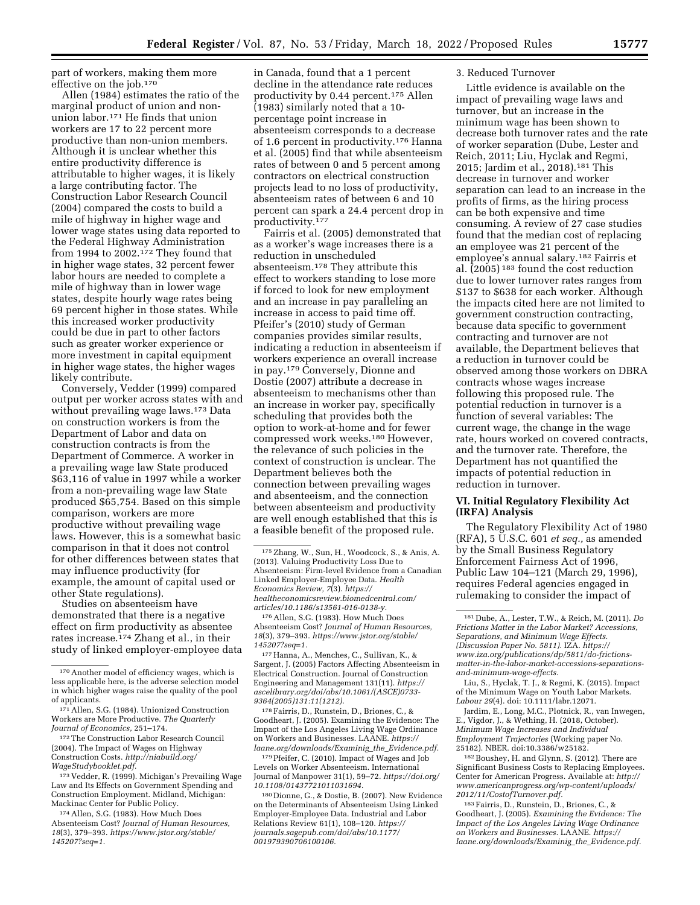part of workers, making them more effective on the job.170

Allen (1984) estimates the ratio of the marginal product of union and nonunion labor.171 He finds that union workers are 17 to 22 percent more productive than non-union members. Although it is unclear whether this entire productivity difference is attributable to higher wages, it is likely a large contributing factor. The Construction Labor Research Council (2004) compared the costs to build a mile of highway in higher wage and lower wage states using data reported to the Federal Highway Administration from 1994 to 2002.172 They found that in higher wage states, 32 percent fewer labor hours are needed to complete a mile of highway than in lower wage states, despite hourly wage rates being 69 percent higher in those states. While this increased worker productivity could be due in part to other factors such as greater worker experience or more investment in capital equipment in higher wage states, the higher wages likely contribute.

Conversely, Vedder (1999) compared output per worker across states with and without prevailing wage laws.<sup>173</sup> Data on construction workers is from the Department of Labor and data on construction contracts is from the Department of Commerce. A worker in a prevailing wage law State produced \$63,116 of value in 1997 while a worker from a non-prevailing wage law State produced \$65,754. Based on this simple comparison, workers are more productive without prevailing wage laws. However, this is a somewhat basic comparison in that it does not control for other differences between states that may influence productivity (for example, the amount of capital used or other State regulations).

Studies on absenteeism have demonstrated that there is a negative effect on firm productivity as absentee rates increase.174 Zhang et al., in their study of linked employer-employee data

172The Construction Labor Research Council (2004). The Impact of Wages on Highway Construction Costs. *[http://niabuild.org/](http://niabuild.org/WageStudybooklet.pdf) [WageStudybooklet.pdf.](http://niabuild.org/WageStudybooklet.pdf)* 

173 Vedder, R. (1999). Michigan's Prevailing Wage Law and Its Effects on Government Spending and Construction Employment. Midland, Michigan: Mackinac Center for Public Policy.

174Allen, S.G. (1983). How Much Does Absenteeism Cost? *Journal of Human Resources, 18*(3), 379–393. *[https://www.jstor.org/stable/](https://www.jstor.org/stable/145207?seq=1) [145207?seq=1.](https://www.jstor.org/stable/145207?seq=1)* 

in Canada, found that a 1 percent decline in the attendance rate reduces productivity by 0.44 percent.175 Allen (1983) similarly noted that a 10 percentage point increase in absenteeism corresponds to a decrease of 1.6 percent in productivity.176 Hanna et al. (2005) find that while absenteeism rates of between 0 and 5 percent among contractors on electrical construction projects lead to no loss of productivity, absenteeism rates of between 6 and 10 percent can spark a 24.4 percent drop in productivity.177

Fairris et al. (2005) demonstrated that as a worker's wage increases there is a reduction in unscheduled absenteeism.178 They attribute this effect to workers standing to lose more if forced to look for new employment and an increase in pay paralleling an increase in access to paid time off. Pfeifer's (2010) study of German companies provides similar results, indicating a reduction in absenteeism if workers experience an overall increase in pay.179 Conversely, Dionne and Dostie (2007) attribute a decrease in absenteeism to mechanisms other than an increase in worker pay, specifically scheduling that provides both the option to work-at-home and for fewer compressed work weeks.180 However, the relevance of such policies in the context of construction is unclear. The Department believes both the connection between prevailing wages and absenteeism, and the connection between absenteeism and productivity are well enough established that this is a feasible benefit of the proposed rule.

176Allen, S.G. (1983). How Much Does Absenteeism Cost? *Journal of Human Resources, 18*(3), 379–393. *[https://www.jstor.org/stable/](https://www.jstor.org/stable/145207?seq=1) [145207?seq=1.](https://www.jstor.org/stable/145207?seq=1)* 

177Hanna, A., Menches, C., Sullivan, K., & Sargent, J. (2005) Factors Affecting Absenteeism in Electrical Construction. Journal of Construction Engineering and Management 131(11). *[https://](https://ascelibrary.org/doi/abs/10.1061/(ASCE)0733-9364(2005)131:11(1212)) [ascelibrary.org/doi/abs/10.1061/\(ASCE\)0733-](https://ascelibrary.org/doi/abs/10.1061/(ASCE)0733-9364(2005)131:11(1212))  [9364\(2005\)131:11\(1212\).](https://ascelibrary.org/doi/abs/10.1061/(ASCE)0733-9364(2005)131:11(1212))* 

178Fairris, D., Runstein, D., Briones, C., & Goodheart, J. (2005). Examining the Evidence: The Impact of the Los Angeles Living Wage Ordinance on Workers and Businesses. LAANE. *[https://](https://laane.org/downloads/Examinig_the_Evidence.pdf) [laane.org/downloads/Examinig](https://laane.org/downloads/Examinig_the_Evidence.pdf)*\_*the*\_*Evidence.pdf.* 

179Pfeifer, C. (2010). Impact of Wages and Job Levels on Worker Absenteeism. International Journal of Manpower 31(1), 59–72. *[https://doi.org/](https://doi.org/10.1108/01437721011031694) [10.1108/01437721011031694.](https://doi.org/10.1108/01437721011031694)* 

180 Dionne, G., & Dostie, B. (2007). New Evidence on the Determinants of Absenteeism Using Linked Employer-Employee Data. Industrial and Labor Relations Review 61(1), 108–120. *[https://](https://journals.sagepub.com/doi/abs/10.1177/001979390706100106) [journals.sagepub.com/doi/abs/10.1177/](https://journals.sagepub.com/doi/abs/10.1177/001979390706100106)  [001979390706100106.](https://journals.sagepub.com/doi/abs/10.1177/001979390706100106)* 

### 3. Reduced Turnover

Little evidence is available on the impact of prevailing wage laws and turnover, but an increase in the minimum wage has been shown to decrease both turnover rates and the rate of worker separation (Dube, Lester and Reich, 2011; Liu, Hyclak and Regmi, 2015; Jardim et al., 2018).181 This decrease in turnover and worker separation can lead to an increase in the profits of firms, as the hiring process can be both expensive and time consuming. A review of 27 case studies found that the median cost of replacing an employee was 21 percent of the employee's annual salary.182 Fairris et al. (2005) 183 found the cost reduction due to lower turnover rates ranges from \$137 to \$638 for each worker. Although the impacts cited here are not limited to government construction contracting, because data specific to government contracting and turnover are not available, the Department believes that a reduction in turnover could be observed among those workers on DBRA contracts whose wages increase following this proposed rule. The potential reduction in turnover is a function of several variables: The current wage, the change in the wage rate, hours worked on covered contracts, and the turnover rate. Therefore, the Department has not quantified the impacts of potential reduction in reduction in turnover.

## **VI. Initial Regulatory Flexibility Act (IRFA) Analysis**

The Regulatory Flexibility Act of 1980 (RFA), 5 U.S.C. 601 *et seq.,* as amended by the Small Business Regulatory Enforcement Fairness Act of 1996, Public Law 104–121 (March 29, 1996), requires Federal agencies engaged in rulemaking to consider the impact of

Liu, S., Hyclak, T. J., & Regmi, K. (2015). Impact of the Minimum Wage on Youth Labor Markets. *Labour 29*(4). doi: 10.1111/labr.12071.

Jardim, E., Long, M.C., Plotnick, R., van Inwegen, E., Vigdor, J., & Wething, H. (2018, October). *Minimum Wage Increases and Individual Employment Trajectories* (Working paper No. 25182). NBER. doi:10.3386/w25182.

182Boushey, H. and Glynn, S. (2012). There are Significant Business Costs to Replacing Employees. Center for American Progress. Available at: *[http://](http://www.americanprogress.org/wp-content/uploads/2012/11/CostofTurnover.pdf)  [www.americanprogress.org/wp-content/uploads/](http://www.americanprogress.org/wp-content/uploads/2012/11/CostofTurnover.pdf) [2012/11/CostofTurnover.pdf.](http://www.americanprogress.org/wp-content/uploads/2012/11/CostofTurnover.pdf)* 

183Fairris, D., Runstein, D., Briones, C., & Goodheart, J. (2005). *Examining the Evidence: The Impact of the Los Angeles Living Wage Ordinance on Workers and Businesses.* LAANE. *[https://](https://laane.org/downloads/Examinig_the_Evidence.pdf) [laane.org/downloads/Examinig](https://laane.org/downloads/Examinig_the_Evidence.pdf)*\_*the*\_*Evidence.pdf.* 

<sup>170</sup>Another model of efficiency wages, which is less applicable here, is the adverse selection model in which higher wages raise the quality of the pool of applicants.

<sup>171</sup>Allen, S.G. (1984). Unionized Construction Workers are More Productive. *The Quarterly Journal of Economics,* 251–174.

<sup>175</sup>Zhang, W., Sun, H., Woodcock, S., & Anis, A. (2013). Valuing Productivity Loss Due to Absenteeism: Firm-level Evidence from a Canadian Linked Employer-Employee Data. *Health Economics Review, 7*(3). *[https://](https://healtheconomicsreview.biomedcentral.com/articles/10.1186/s13561-016-0138-y) [healtheconomicsreview.biomedcentral.com/](https://healtheconomicsreview.biomedcentral.com/articles/10.1186/s13561-016-0138-y) [articles/10.1186/s13561-016-0138-y.](https://healtheconomicsreview.biomedcentral.com/articles/10.1186/s13561-016-0138-y)* 

<sup>181</sup> Dube, A., Lester, T.W., & Reich, M. (2011). *Do Frictions Matter in the Labor Market? Accessions, Separations, and Minimum Wage Effects. (Discussion Paper No. 5811).* IZA. *[https://](https://www.iza.org/publications/dp/5811/do-frictions-matter-in-the-labor-market-accessions-separations-and-minimum-wage-effects) [www.iza.org/publications/dp/5811/do-frictions](https://www.iza.org/publications/dp/5811/do-frictions-matter-in-the-labor-market-accessions-separations-and-minimum-wage-effects)[matter-in-the-labor-market-accessions-separations](https://www.iza.org/publications/dp/5811/do-frictions-matter-in-the-labor-market-accessions-separations-and-minimum-wage-effects)[and-minimum-wage-effects.](https://www.iza.org/publications/dp/5811/do-frictions-matter-in-the-labor-market-accessions-separations-and-minimum-wage-effects)*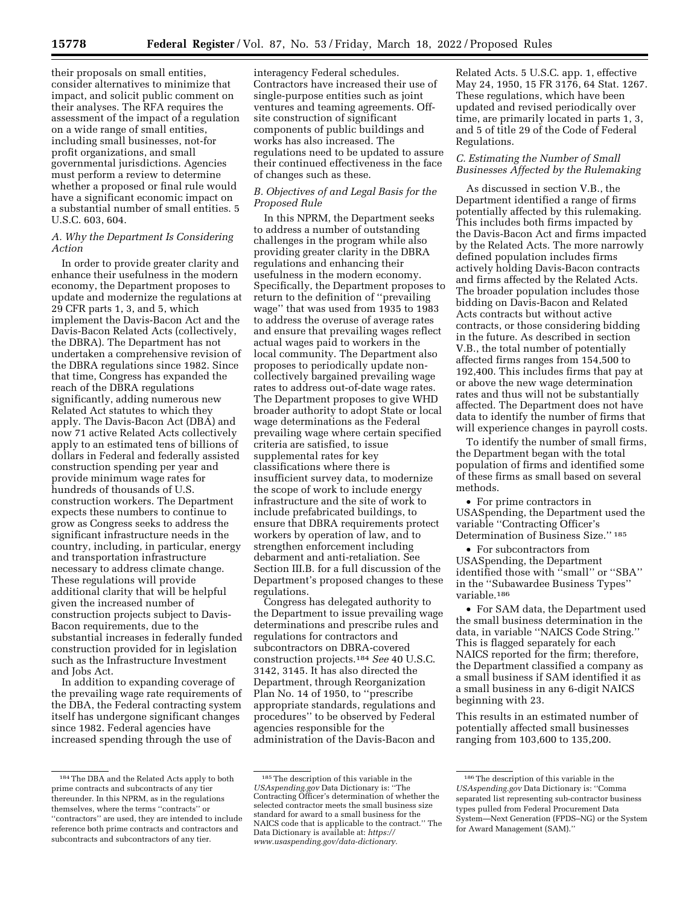their proposals on small entities, consider alternatives to minimize that impact, and solicit public comment on their analyses. The RFA requires the assessment of the impact of a regulation on a wide range of small entities, including small businesses, not-for profit organizations, and small governmental jurisdictions. Agencies must perform a review to determine whether a proposed or final rule would have a significant economic impact on a substantial number of small entities. 5 U.S.C. 603, 604.

### *A. Why the Department Is Considering Action*

In order to provide greater clarity and enhance their usefulness in the modern economy, the Department proposes to update and modernize the regulations at 29 CFR parts 1, 3, and 5, which implement the Davis-Bacon Act and the Davis-Bacon Related Acts (collectively, the DBRA). The Department has not undertaken a comprehensive revision of the DBRA regulations since 1982. Since that time, Congress has expanded the reach of the DBRA regulations significantly, adding numerous new Related Act statutes to which they apply. The Davis-Bacon Act (DBA) and now 71 active Related Acts collectively apply to an estimated tens of billions of dollars in Federal and federally assisted construction spending per year and provide minimum wage rates for hundreds of thousands of U.S. construction workers. The Department expects these numbers to continue to grow as Congress seeks to address the significant infrastructure needs in the country, including, in particular, energy and transportation infrastructure necessary to address climate change. These regulations will provide additional clarity that will be helpful given the increased number of construction projects subject to Davis-Bacon requirements, due to the substantial increases in federally funded construction provided for in legislation such as the Infrastructure Investment and Jobs Act.

In addition to expanding coverage of the prevailing wage rate requirements of the DBA, the Federal contracting system itself has undergone significant changes since 1982. Federal agencies have increased spending through the use of

interagency Federal schedules. Contractors have increased their use of single-purpose entities such as joint ventures and teaming agreements. Offsite construction of significant components of public buildings and works has also increased. The regulations need to be updated to assure their continued effectiveness in the face of changes such as these.

### *B. Objectives of and Legal Basis for the Proposed Rule*

In this NPRM, the Department seeks to address a number of outstanding challenges in the program while also providing greater clarity in the DBRA regulations and enhancing their usefulness in the modern economy. Specifically, the Department proposes to return to the definition of ''prevailing wage'' that was used from 1935 to 1983 to address the overuse of average rates and ensure that prevailing wages reflect actual wages paid to workers in the local community. The Department also proposes to periodically update noncollectively bargained prevailing wage rates to address out-of-date wage rates. The Department proposes to give WHD broader authority to adopt State or local wage determinations as the Federal prevailing wage where certain specified criteria are satisfied, to issue supplemental rates for key classifications where there is insufficient survey data, to modernize the scope of work to include energy infrastructure and the site of work to include prefabricated buildings, to ensure that DBRA requirements protect workers by operation of law, and to strengthen enforcement including debarment and anti-retaliation. See Section III.B. for a full discussion of the Department's proposed changes to these regulations.

Congress has delegated authority to the Department to issue prevailing wage determinations and prescribe rules and regulations for contractors and subcontractors on DBRA-covered construction projects.184 *See* 40 U.S.C. 3142, 3145. It has also directed the Department, through Reorganization Plan No. 14 of 1950, to ''prescribe appropriate standards, regulations and procedures'' to be observed by Federal agencies responsible for the administration of the Davis-Bacon and

Related Acts. 5 U.S.C. app. 1, effective May 24, 1950, 15 FR 3176, 64 Stat. 1267. These regulations, which have been updated and revised periodically over time, are primarily located in parts 1, 3, and 5 of title 29 of the Code of Federal Regulations.

## *C. Estimating the Number of Small Businesses Affected by the Rulemaking*

As discussed in section V.B., the Department identified a range of firms potentially affected by this rulemaking. This includes both firms impacted by the Davis-Bacon Act and firms impacted by the Related Acts. The more narrowly defined population includes firms actively holding Davis-Bacon contracts and firms affected by the Related Acts. The broader population includes those bidding on Davis-Bacon and Related Acts contracts but without active contracts, or those considering bidding in the future. As described in section V.B., the total number of potentially affected firms ranges from 154,500 to 192,400. This includes firms that pay at or above the new wage determination rates and thus will not be substantially affected. The Department does not have data to identify the number of firms that will experience changes in payroll costs.

To identify the number of small firms, the Department began with the total population of firms and identified some of these firms as small based on several methods.

• For prime contractors in USASpending, the Department used the variable ''Contracting Officer's Determination of Business Size.'' 185

• For subcontractors from USASpending, the Department identified those with ''small'' or ''SBA'' in the ''Subawardee Business Types'' variable.186

• For SAM data, the Department used the small business determination in the data, in variable ''NAICS Code String.'' This is flagged separately for each NAICS reported for the firm; therefore, the Department classified a company as a small business if SAM identified it as a small business in any 6-digit NAICS beginning with 23.

This results in an estimated number of potentially affected small businesses ranging from 103,600 to 135,200.

<sup>184</sup>The DBA and the Related Acts apply to both prime contracts and subcontracts of any tier thereunder. In this NPRM, as in the regulations themselves, where the terms ''contracts'' or ''contractors'' are used, they are intended to include reference both prime contracts and contractors and subcontracts and subcontractors of any tier.

<sup>185</sup>The description of this variable in the *USAspending.gov* Data Dictionary is: ''The Contracting Officer's determination of whether the selected contractor meets the small business size standard for award to a small business for the NAICS code that is applicable to the contract.'' The Data Dictionary is available at: *[https://](https://www.usaspending.gov/data-dictionary) [www.usaspending.gov/data-dictionary.](https://www.usaspending.gov/data-dictionary)* 

<sup>186</sup>The description of this variable in the *USAspending.gov* Data Dictionary is: ''Comma separated list representing sub-contractor business types pulled from Federal Procurement Data System—Next Generation (FPDS–NG) or the System for Award Management (SAM).''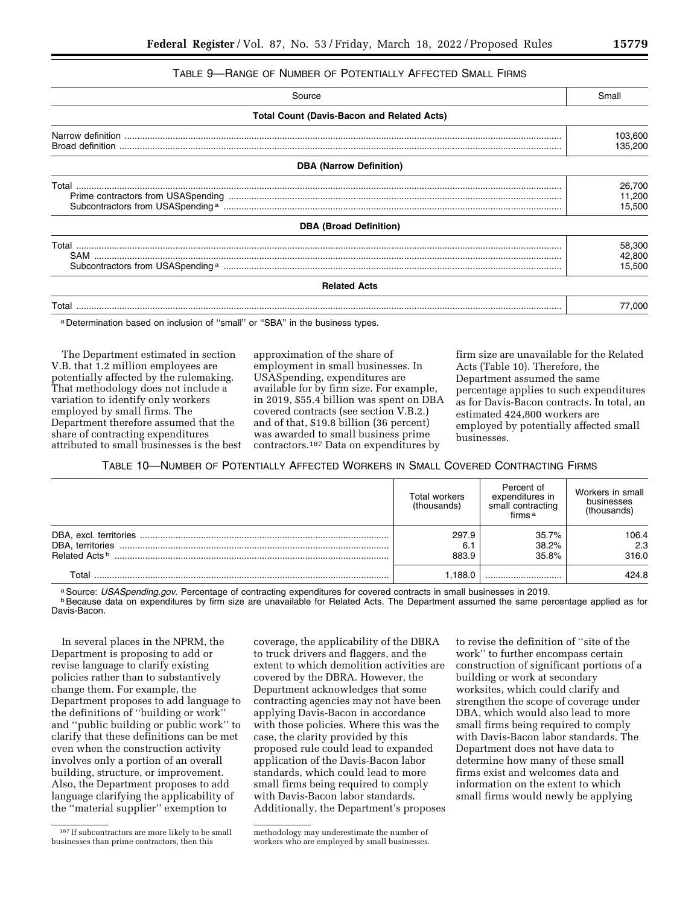## TABLE 9—RANGE OF NUMBER OF POTENTIALLY AFFECTED SMALL FIRMS

| Source                                            | Small                      |
|---------------------------------------------------|----------------------------|
| <b>Total Count (Davis-Bacon and Related Acts)</b> |                            |
|                                                   | 103,600<br>135,200         |
| <b>DBA (Narrow Definition)</b>                    |                            |
|                                                   | 26,700<br>11,200<br>15,500 |
| <b>DBA (Broad Definition)</b>                     |                            |
|                                                   | 58,300<br>42,800<br>15,500 |
| <b>Related Acts</b>                               |                            |
|                                                   | 77.000                     |

a Determination based on inclusion of "small" or "SBA" in the business types.

The Department estimated in section V.B. that 1.2 million employees are potentially affected by the rulemaking. That methodology does not include a variation to identify only workers employed by small firms. The Department therefore assumed that the share of contracting expenditures attributed to small businesses is the best

approximation of the share of employment in small businesses. In USASpending, expenditures are available for by firm size. For example, in 2019, \$55.4 billion was spent on DBA covered contracts (see section V.B.2.) and of that, \$19.8 billion (36 percent) was awarded to small business prime contractors.187 Data on expenditures by

firm size are unavailable for the Related Acts (Table 10). Therefore, the Department assumed the same percentage applies to such expenditures as for Davis-Bacon contracts. In total, an estimated 424,800 workers are employed by potentially affected small businesses.

# TABLE 10—NUMBER OF POTENTIALLY AFFECTED WORKERS IN SMALL COVERED CONTRACTING FIRMS

|                       | Total workers<br>(thousands) | Percent of<br>expenditures in<br>small contracting<br>firms <sup>a</sup> | Workers in small<br>businesses<br>(thousands) |
|-----------------------|------------------------------|--------------------------------------------------------------------------|-----------------------------------------------|
|                       | 297.9                        | 35.7%                                                                    | 106.4                                         |
|                       | 6.1                          | 38.2%                                                                    | 2.3                                           |
| <b>Related Acts b</b> | 883.9                        | 35.8%                                                                    | 316.0                                         |
| Total                 | .188.0                       |                                                                          | 424.8                                         |

a Source: USASpending.gov. Percentage of contracting expenditures for covered contracts in small businesses in 2019.<br><sup>b</sup> Because data on expenditures by firm size are unavailable for Related Acts. The Department assumed th Davis-Bacon.

In several places in the NPRM, the Department is proposing to add or revise language to clarify existing policies rather than to substantively change them. For example, the Department proposes to add language to the definitions of ''building or work'' and ''public building or public work'' to clarify that these definitions can be met even when the construction activity involves only a portion of an overall building, structure, or improvement. Also, the Department proposes to add language clarifying the applicability of the ''material supplier'' exemption to

187 If subcontractors are more likely to be small businesses than prime contractors, then this

coverage, the applicability of the DBRA to truck drivers and flaggers, and the extent to which demolition activities are covered by the DBRA. However, the Department acknowledges that some contracting agencies may not have been applying Davis-Bacon in accordance with those policies. Where this was the case, the clarity provided by this proposed rule could lead to expanded application of the Davis-Bacon labor standards, which could lead to more small firms being required to comply with Davis-Bacon labor standards. Additionally, the Department's proposes

methodology may underestimate the number of workers who are employed by small businesses.

to revise the definition of ''site of the work'' to further encompass certain construction of significant portions of a building or work at secondary worksites, which could clarify and strengthen the scope of coverage under DBA, which would also lead to more small firms being required to comply with Davis-Bacon labor standards. The Department does not have data to determine how many of these small firms exist and welcomes data and information on the extent to which small firms would newly be applying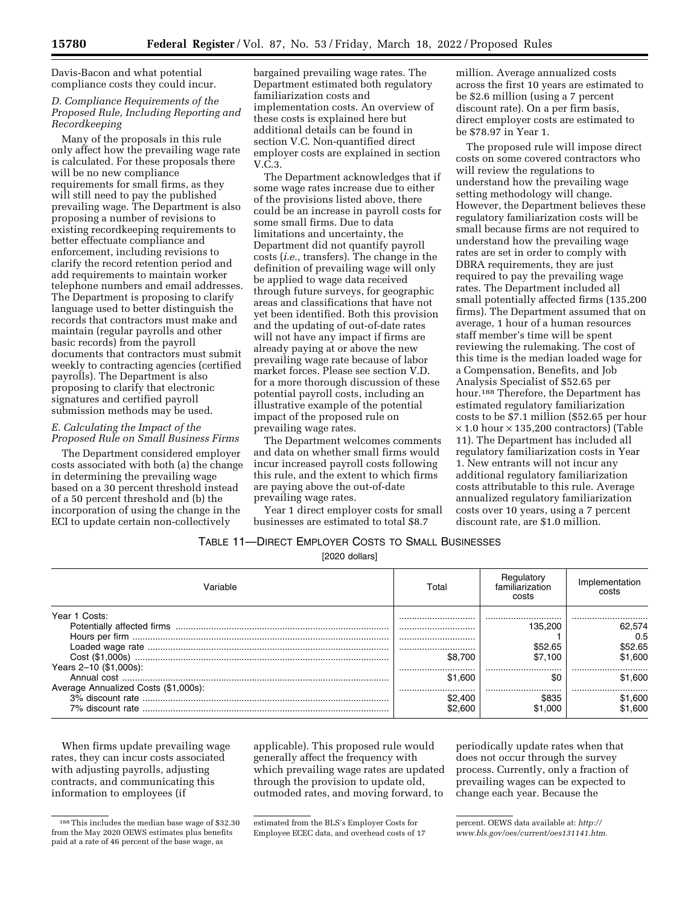Davis-Bacon and what potential compliance costs they could incur.

# *D. Compliance Requirements of the Proposed Rule, Including Reporting and Recordkeeping*

Many of the proposals in this rule only affect how the prevailing wage rate is calculated. For these proposals there will be no new compliance requirements for small firms, as they will still need to pay the published prevailing wage. The Department is also proposing a number of revisions to existing recordkeeping requirements to better effectuate compliance and enforcement, including revisions to clarify the record retention period and add requirements to maintain worker telephone numbers and email addresses. The Department is proposing to clarify language used to better distinguish the records that contractors must make and maintain (regular payrolls and other basic records) from the payroll documents that contractors must submit weekly to contracting agencies (certified payrolls). The Department is also proposing to clarify that electronic signatures and certified payroll submission methods may be used.

# *E. Calculating the Impact of the Proposed Rule on Small Business Firms*

The Department considered employer costs associated with both (a) the change in determining the prevailing wage based on a 30 percent threshold instead of a 50 percent threshold and (b) the incorporation of using the change in the ECI to update certain non-collectively

bargained prevailing wage rates. The Department estimated both regulatory familiarization costs and implementation costs. An overview of these costs is explained here but additional details can be found in section V.C. Non-quantified direct employer costs are explained in section V.C.3.

The Department acknowledges that if some wage rates increase due to either of the provisions listed above, there could be an increase in payroll costs for some small firms. Due to data limitations and uncertainty, the Department did not quantify payroll costs (*i.e.,* transfers). The change in the definition of prevailing wage will only be applied to wage data received through future surveys, for geographic areas and classifications that have not yet been identified. Both this provision and the updating of out-of-date rates will not have any impact if firms are already paying at or above the new prevailing wage rate because of labor market forces. Please see section V.D. for a more thorough discussion of these potential payroll costs, including an illustrative example of the potential impact of the proposed rule on prevailing wage rates.

The Department welcomes comments and data on whether small firms would incur increased payroll costs following this rule, and the extent to which firms are paying above the out-of-date prevailing wage rates.

Year 1 direct employer costs for small businesses are estimated to total \$8.7

million. Average annualized costs across the first 10 years are estimated to be \$2.6 million (using a 7 percent discount rate). On a per firm basis, direct employer costs are estimated to be \$78.97 in Year 1.

The proposed rule will impose direct costs on some covered contractors who will review the regulations to understand how the prevailing wage setting methodology will change. However, the Department believes these regulatory familiarization costs will be small because firms are not required to understand how the prevailing wage rates are set in order to comply with DBRA requirements, they are just required to pay the prevailing wage rates. The Department included all small potentially affected firms (135,200 firms). The Department assumed that on average, 1 hour of a human resources staff member's time will be spent reviewing the rulemaking. The cost of this time is the median loaded wage for a Compensation, Benefits, and Job Analysis Specialist of \$52.65 per hour.188 Therefore, the Department has estimated regulatory familiarization costs to be \$7.1 million (\$52.65 per hour  $\times$  1.0 hour  $\times$  135,200 contractors) (Table 11). The Department has included all regulatory familiarization costs in Year 1. New entrants will not incur any additional regulatory familiarization costs attributable to this rule. Average annualized regulatory familiarization costs over 10 years, using a 7 percent discount rate, are \$1.0 million.

TABLE 11—DIRECT EMPLOYER COSTS TO SMALL BUSINESSES

[2020 dollars]

| 'ariable                             | Total   | Regulatory<br>familiarization<br>costs | Implementation<br>costs |
|--------------------------------------|---------|----------------------------------------|-------------------------|
| Year 1 Costs:                        |         |                                        |                         |
|                                      |         | 135.200                                | 62.574                  |
|                                      |         |                                        | 0.5                     |
|                                      |         | \$52.65                                | \$52.65                 |
|                                      | \$8.700 | \$7.100                                | \$1.600                 |
| Years 2-10 (\$1,000s):               |         |                                        |                         |
|                                      | \$1.600 | \$C                                    | \$1.600                 |
| Average Annualized Costs (\$1,000s): |         |                                        |                         |
|                                      | \$2,400 |                                        | \$1,600                 |
|                                      | າວ ຂບບ  | .000                                   | \$1.600                 |

When firms update prevailing wage rates, they can incur costs associated with adjusting payrolls, adjusting contracts, and communicating this information to employees (if

applicable). This proposed rule would generally affect the frequency with which prevailing wage rates are updated through the provision to update old, outmoded rates, and moving forward, to

periodically update rates when that does not occur through the survey process. Currently, only a fraction of prevailing wages can be expected to change each year. Because the

<sup>188</sup>This includes the median base wage of \$32.30 from the May 2020 OEWS estimates plus benefits paid at a rate of 46 percent of the base wage, as

estimated from the BLS's Employer Costs for Employee ECEC data, and overhead costs of 17

percent. OEWS data available at: *[http://](http://www.bls.gov/oes/current/oes131141.htm) [www.bls.gov/oes/current/oes131141.htm.](http://www.bls.gov/oes/current/oes131141.htm)*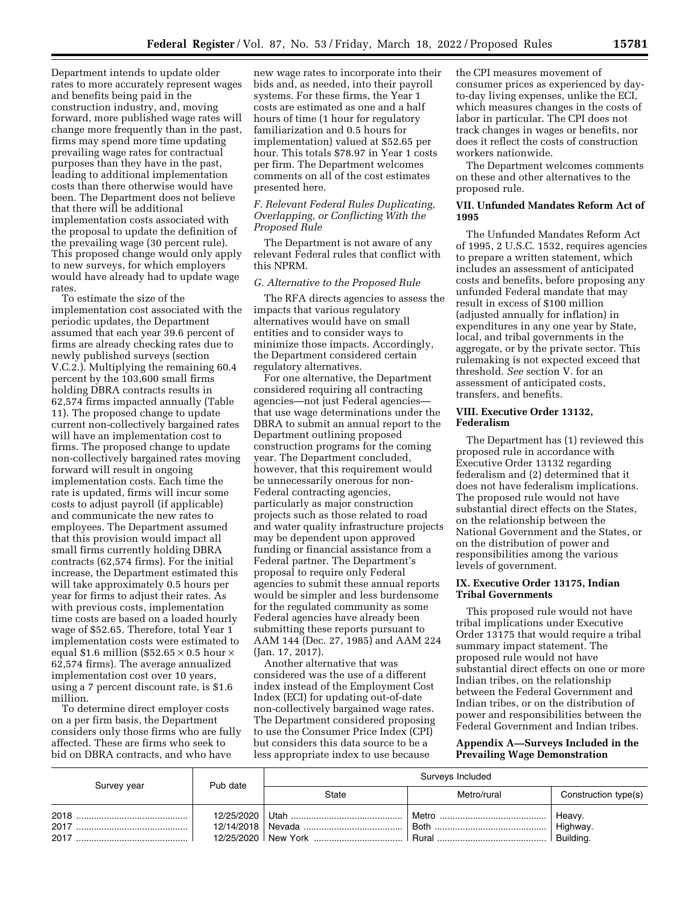Department intends to update older rates to more accurately represent wages and benefits being paid in the construction industry, and, moving forward, more published wage rates will change more frequently than in the past, firms may spend more time updating prevailing wage rates for contractual purposes than they have in the past, leading to additional implementation costs than there otherwise would have been. The Department does not believe that there will be additional implementation costs associated with the proposal to update the definition of the prevailing wage (30 percent rule). This proposed change would only apply to new surveys, for which employers would have already had to update wage rates.

To estimate the size of the implementation cost associated with the periodic updates, the Department assumed that each year 39.6 percent of firms are already checking rates due to newly published surveys (section V.C.2.). Multiplying the remaining 60.4 percent by the 103,600 small firms holding DBRA contracts results in 62,574 firms impacted annually (Table 11). The proposed change to update current non-collectively bargained rates will have an implementation cost to firms. The proposed change to update non-collectively bargained rates moving forward will result in ongoing implementation costs. Each time the rate is updated, firms will incur some costs to adjust payroll (if applicable) and communicate the new rates to employees. The Department assumed that this provision would impact all small firms currently holding DBRA contracts (62,574 firms). For the initial increase, the Department estimated this will take approximately 0.5 hours per year for firms to adjust their rates. As with previous costs, implementation time costs are based on a loaded hourly wage of \$52.65. Therefore, total Year 1 implementation costs were estimated to equal \$1.6 million (\$52.65  $\times$  0.5 hour  $\times$ 62,574 firms). The average annualized implementation cost over 10 years, using a 7 percent discount rate, is \$1.6 million.

To determine direct employer costs on a per firm basis, the Department considers only those firms who are fully affected. These are firms who seek to bid on DBRA contracts, and who have

new wage rates to incorporate into their bids and, as needed, into their payroll systems. For these firms, the Year 1 costs are estimated as one and a half hours of time (1 hour for regulatory familiarization and 0.5 hours for implementation) valued at \$52.65 per hour. This totals \$78.97 in Year 1 costs per firm. The Department welcomes comments on all of the cost estimates presented here.

### *F. Relevant Federal Rules Duplicating, Overlapping, or Conflicting With the Proposed Rule*

The Department is not aware of any relevant Federal rules that conflict with this NPRM.

### *G. Alternative to the Proposed Rule*

The RFA directs agencies to assess the impacts that various regulatory alternatives would have on small entities and to consider ways to minimize those impacts. Accordingly, the Department considered certain regulatory alternatives.

For one alternative, the Department considered requiring all contracting agencies—not just Federal agencies that use wage determinations under the DBRA to submit an annual report to the Department outlining proposed construction programs for the coming year. The Department concluded, however, that this requirement would be unnecessarily onerous for non-Federal contracting agencies, particularly as major construction projects such as those related to road and water quality infrastructure projects may be dependent upon approved funding or financial assistance from a Federal partner. The Department's proposal to require only Federal agencies to submit these annual reports would be simpler and less burdensome for the regulated community as some Federal agencies have already been submitting these reports pursuant to AAM 144 (Dec. 27, 1985) and AAM 224 (Jan. 17, 2017).

Another alternative that was considered was the use of a different index instead of the Employment Cost Index (ECI) for updating out-of-date non-collectively bargained wage rates. The Department considered proposing to use the Consumer Price Index (CPI) but considers this data source to be a less appropriate index to use because

the CPI measures movement of consumer prices as experienced by dayto-day living expenses, unlike the ECI, which measures changes in the costs of labor in particular. The CPI does not track changes in wages or benefits, nor does it reflect the costs of construction workers nationwide.

The Department welcomes comments on these and other alternatives to the proposed rule.

## **VII. Unfunded Mandates Reform Act of 1995**

The Unfunded Mandates Reform Act of 1995, 2 U.S.C. 1532, requires agencies to prepare a written statement, which includes an assessment of anticipated costs and benefits, before proposing any unfunded Federal mandate that may result in excess of \$100 million (adjusted annually for inflation) in expenditures in any one year by State, local, and tribal governments in the aggregate, or by the private sector. This rulemaking is not expected exceed that threshold. *See* section V. for an assessment of anticipated costs, transfers, and benefits.

# **VIII. Executive Order 13132, Federalism**

The Department has (1) reviewed this proposed rule in accordance with Executive Order 13132 regarding federalism and (2) determined that it does not have federalism implications. The proposed rule would not have substantial direct effects on the States, on the relationship between the National Government and the States, or on the distribution of power and responsibilities among the various levels of government.

### **IX. Executive Order 13175, Indian Tribal Governments**

This proposed rule would not have tribal implications under Executive Order 13175 that would require a tribal summary impact statement. The proposed rule would not have substantial direct effects on one or more Indian tribes, on the relationship between the Federal Government and Indian tribes, or on the distribution of power and responsibilities between the Federal Government and Indian tribes.

**Appendix A—Surveys Included in the Prevailing Wage Demonstration** 

| Survey year  | Pub date | Surveys Included |             |                                   |  |  |
|--------------|----------|------------------|-------------|-----------------------------------|--|--|
|              |          | State            | Metro/rural | Construction type(s)              |  |  |
| 2017<br>2017 |          |                  |             | ' Heavy.<br>Highway.<br>Building. |  |  |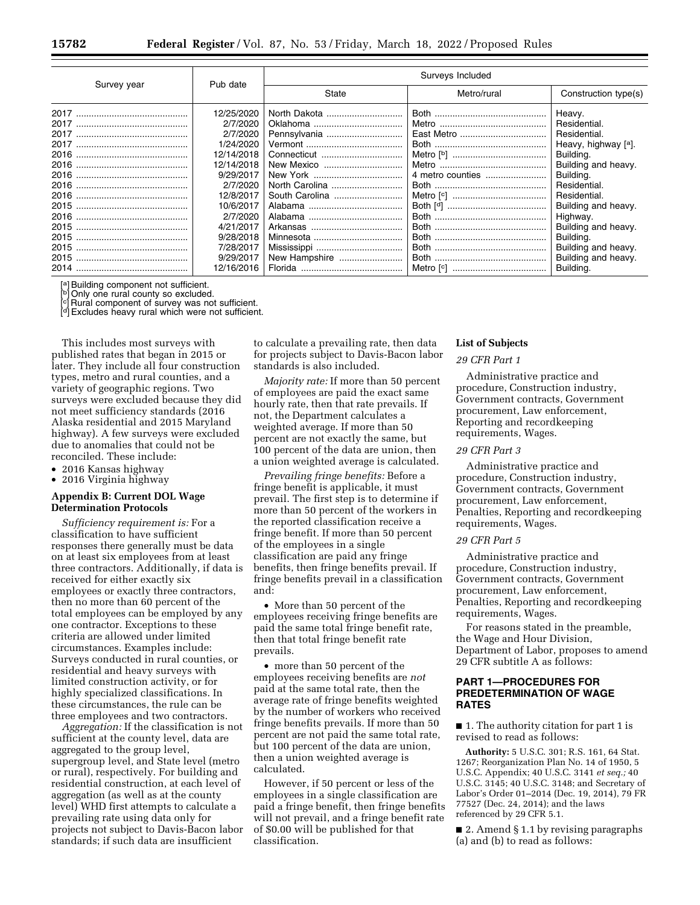|                                              | Pub date                                                                                                                                                                          |                                                                                | Surveys Included |                                                                                                                                                                                                                                              |
|----------------------------------------------|-----------------------------------------------------------------------------------------------------------------------------------------------------------------------------------|--------------------------------------------------------------------------------|------------------|----------------------------------------------------------------------------------------------------------------------------------------------------------------------------------------------------------------------------------------------|
| Survey year                                  |                                                                                                                                                                                   | State                                                                          | Metro/rural      | Construction type(s)                                                                                                                                                                                                                         |
| 2017<br>2017<br>2017<br>2016<br>2016<br>2015 | 12/25/2020<br>2/7/2020<br>2/7/2020<br>1/24/2020<br>12/14/2018<br>12/14/2018<br>9/29/2017<br>2/7/2020<br>12/8/2017<br>10/6/2017<br>2/7/2020<br>4/21/2017<br>9/28/2018<br>7/28/2017 | North Dakota<br>Pennsylvania<br>New Mexico<br>North Carolina<br>South Carolina |                  | Heavy.<br>Residential.<br>Residential.<br>Heavy, highway [a].<br>Building.<br>Building and heavy.<br>Building.<br>Residential.<br>Residential.<br>Building and heavy.<br>Highway.<br>Building and heavy.<br>Building.<br>Building and heavy. |
|                                              | 9/29/2017<br>12/16/2016                                                                                                                                                           | New Hampshire                                                                  |                  | Building and heavy.<br>Building.                                                                                                                                                                                                             |

[a] Building component not sufficient.

] Only one rural county so excluded.

Rural component of survey was not sufficient. [d] Excludes heavy rural which were not sufficient.

This includes most surveys with published rates that began in 2015 or later. They include all four construction types, metro and rural counties, and a variety of geographic regions. Two surveys were excluded because they did not meet sufficiency standards (2016 Alaska residential and 2015 Maryland highway). A few surveys were excluded due to anomalies that could not be reconciled. These include:

- 2016 Kansas highway
- 2016 Virginia highway

### **Appendix B: Current DOL Wage Determination Protocols**

*Sufficiency requirement is:* For a classification to have sufficient responses there generally must be data on at least six employees from at least three contractors. Additionally, if data is received for either exactly six employees or exactly three contractors, then no more than 60 percent of the total employees can be employed by any one contractor. Exceptions to these criteria are allowed under limited circumstances. Examples include: Surveys conducted in rural counties, or residential and heavy surveys with limited construction activity, or for highly specialized classifications. In these circumstances, the rule can be three employees and two contractors.

*Aggregation:* If the classification is not sufficient at the county level, data are aggregated to the group level, supergroup level, and State level (metro or rural), respectively. For building and residential construction, at each level of aggregation (as well as at the county level) WHD first attempts to calculate a prevailing rate using data only for projects not subject to Davis-Bacon labor standards; if such data are insufficient

to calculate a prevailing rate, then data for projects subject to Davis-Bacon labor standards is also included.

*Majority rate:* If more than 50 percent of employees are paid the exact same hourly rate, then that rate prevails. If not, the Department calculates a weighted average. If more than 50 percent are not exactly the same, but 100 percent of the data are union, then a union weighted average is calculated.

*Prevailing fringe benefits:* Before a fringe benefit is applicable, it must prevail. The first step is to determine if more than 50 percent of the workers in the reported classification receive a fringe benefit. If more than 50 percent of the employees in a single classification are paid any fringe benefits, then fringe benefits prevail. If fringe benefits prevail in a classification and:

• More than 50 percent of the employees receiving fringe benefits are paid the same total fringe benefit rate, then that total fringe benefit rate prevails.

• more than 50 percent of the employees receiving benefits are *not*  paid at the same total rate, then the average rate of fringe benefits weighted by the number of workers who received fringe benefits prevails. If more than 50 percent are not paid the same total rate, but 100 percent of the data are union, then a union weighted average is calculated.

However, if 50 percent or less of the employees in a single classification are paid a fringe benefit, then fringe benefits will not prevail, and a fringe benefit rate of \$0.00 will be published for that classification.

#### **List of Subjects**

### *29 CFR Part 1*

Administrative practice and procedure, Construction industry, Government contracts, Government procurement, Law enforcement, Reporting and recordkeeping requirements, Wages.

# *29 CFR Part 3*

Administrative practice and procedure, Construction industry, Government contracts, Government procurement, Law enforcement, Penalties, Reporting and recordkeeping requirements, Wages.

#### *29 CFR Part 5*

Administrative practice and procedure, Construction industry, Government contracts, Government procurement, Law enforcement, Penalties, Reporting and recordkeeping requirements, Wages.

For reasons stated in the preamble, the Wage and Hour Division, Department of Labor, proposes to amend 29 CFR subtitle A as follows:

# **PART 1—PROCEDURES FOR PREDETERMINATION OF WAGE RATES**

■ 1. The authority citation for part 1 is revised to read as follows:

**Authority:** 5 U.S.C. 301; R.S. 161, 64 Stat. 1267; Reorganization Plan No. 14 of 1950, 5 U.S.C. Appendix; 40 U.S.C. 3141 *et seq.;* 40 U.S.C. 3145; 40 U.S.C. 3148; and Secretary of Labor's Order 01–2014 (Dec. 19, 2014), 79 FR 77527 (Dec. 24, 2014); and the laws referenced by 29 CFR 5.1.

■ 2. Amend § 1.1 by revising paragraphs (a) and (b) to read as follows: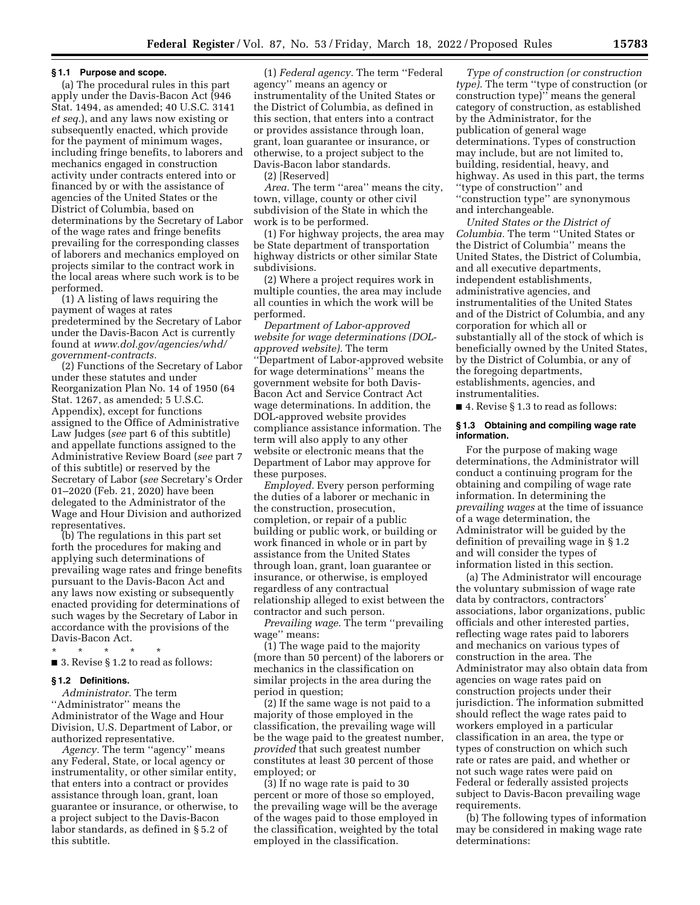### **§ 1.1 Purpose and scope.**

(a) The procedural rules in this part apply under the Davis-Bacon Act (946 Stat. 1494, as amended; 40 U.S.C. 3141 *et seq.*), and any laws now existing or subsequently enacted, which provide for the payment of minimum wages, including fringe benefits, to laborers and mechanics engaged in construction activity under contracts entered into or financed by or with the assistance of agencies of the United States or the District of Columbia, based on determinations by the Secretary of Labor of the wage rates and fringe benefits prevailing for the corresponding classes of laborers and mechanics employed on projects similar to the contract work in the local areas where such work is to be performed.

(1) A listing of laws requiring the payment of wages at rates predetermined by the Secretary of Labor under the Davis-Bacon Act is currently found at *[www.dol.gov/agencies/whd/](http://www.dol.gov/agencies/whd/government-contracts)  [government-contracts.](http://www.dol.gov/agencies/whd/government-contracts)* 

(2) Functions of the Secretary of Labor under these statutes and under Reorganization Plan No. 14 of 1950 (64 Stat. 1267, as amended; 5 U.S.C. Appendix), except for functions assigned to the Office of Administrative Law Judges (*see* part 6 of this subtitle) and appellate functions assigned to the Administrative Review Board (*see* part 7 of this subtitle) or reserved by the Secretary of Labor (*see* Secretary's Order 01–2020 (Feb. 21, 2020) have been delegated to the Administrator of the Wage and Hour Division and authorized representatives.

(b) The regulations in this part set forth the procedures for making and applying such determinations of prevailing wage rates and fringe benefits pursuant to the Davis-Bacon Act and any laws now existing or subsequently enacted providing for determinations of such wages by the Secretary of Labor in accordance with the provisions of the Davis-Bacon Act.

\* \* \* \* \* ■ 3. Revise § 1.2 to read as follows:

### **§ 1.2 Definitions.**

*Administrator.* The term ''Administrator'' means the Administrator of the Wage and Hour Division, U.S. Department of Labor, or authorized representative.

*Agency.* The term ''agency'' means any Federal, State, or local agency or instrumentality, or other similar entity, that enters into a contract or provides assistance through loan, grant, loan guarantee or insurance, or otherwise, to a project subject to the Davis-Bacon labor standards, as defined in § 5.2 of this subtitle.

(1) *Federal agency.* The term ''Federal agency'' means an agency or instrumentality of the United States or the District of Columbia, as defined in this section, that enters into a contract or provides assistance through loan, grant, loan guarantee or insurance, or otherwise, to a project subject to the Davis-Bacon labor standards.

(2) [Reserved]

*Area.* The term ''area'' means the city, town, village, county or other civil subdivision of the State in which the work is to be performed.

(1) For highway projects, the area may be State department of transportation highway districts or other similar State subdivisions.

(2) Where a project requires work in multiple counties, the area may include all counties in which the work will be performed.

*Department of Labor-approved website for wage determinations (DOLapproved website).* The term ''Department of Labor-approved website for wage determinations'' means the government website for both Davis-Bacon Act and Service Contract Act wage determinations. In addition, the DOL-approved website provides compliance assistance information. The term will also apply to any other website or electronic means that the Department of Labor may approve for these purposes.

*Employed.* Every person performing the duties of a laborer or mechanic in the construction, prosecution, completion, or repair of a public building or public work, or building or work financed in whole or in part by assistance from the United States through loan, grant, loan guarantee or insurance, or otherwise, is employed regardless of any contractual relationship alleged to exist between the contractor and such person.

*Prevailing wage.* The term ''prevailing wage'' means:

(1) The wage paid to the majority (more than 50 percent) of the laborers or mechanics in the classification on similar projects in the area during the period in question;

(2) If the same wage is not paid to a majority of those employed in the classification, the prevailing wage will be the wage paid to the greatest number, *provided* that such greatest number constitutes at least 30 percent of those employed; or

(3) If no wage rate is paid to 30 percent or more of those so employed, the prevailing wage will be the average of the wages paid to those employed in the classification, weighted by the total employed in the classification.

*Type of construction (or construction type).* The term ''type of construction (or construction type)'' means the general category of construction, as established by the Administrator, for the publication of general wage determinations. Types of construction may include, but are not limited to, building, residential, heavy, and highway. As used in this part, the terms ''type of construction'' and ''construction type'' are synonymous and interchangeable.

*United States or the District of Columbia.* The term ''United States or the District of Columbia'' means the United States, the District of Columbia, and all executive departments, independent establishments, administrative agencies, and instrumentalities of the United States and of the District of Columbia, and any corporation for which all or substantially all of the stock of which is beneficially owned by the United States, by the District of Columbia, or any of the foregoing departments, establishments, agencies, and instrumentalities.

■ 4. Revise § 1.3 to read as follows:

### **§ 1.3 Obtaining and compiling wage rate information.**

For the purpose of making wage determinations, the Administrator will conduct a continuing program for the obtaining and compiling of wage rate information. In determining the *prevailing wages* at the time of issuance of a wage determination, the Administrator will be guided by the definition of prevailing wage in § 1.2 and will consider the types of information listed in this section.

(a) The Administrator will encourage the voluntary submission of wage rate data by contractors, contractors' associations, labor organizations, public officials and other interested parties, reflecting wage rates paid to laborers and mechanics on various types of construction in the area. The Administrator may also obtain data from agencies on wage rates paid on construction projects under their jurisdiction. The information submitted should reflect the wage rates paid to workers employed in a particular classification in an area, the type or types of construction on which such rate or rates are paid, and whether or not such wage rates were paid on Federal or federally assisted projects subject to Davis-Bacon prevailing wage requirements.

(b) The following types of information may be considered in making wage rate determinations: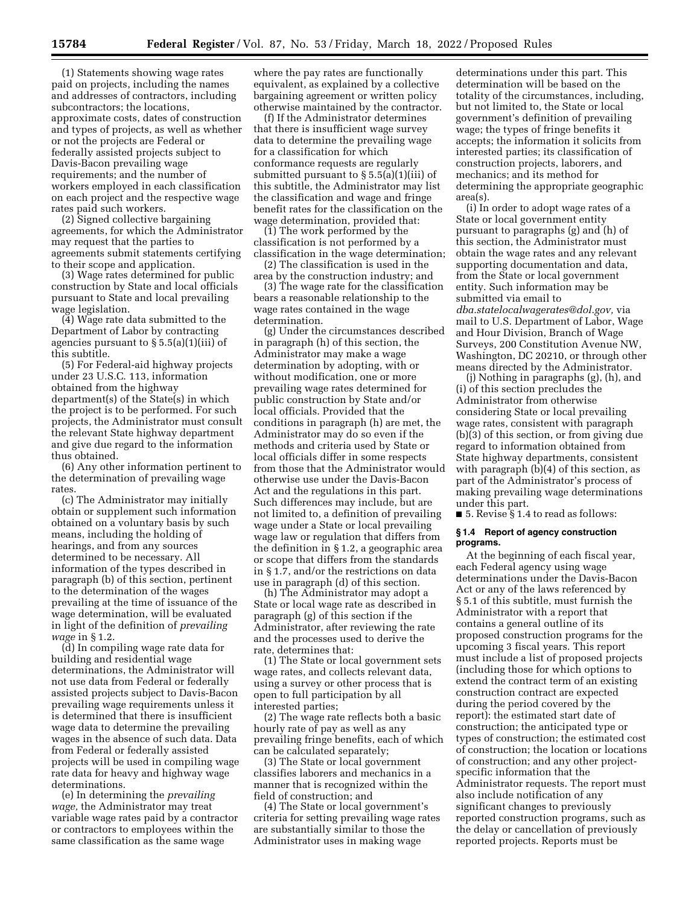(1) Statements showing wage rates paid on projects, including the names and addresses of contractors, including subcontractors; the locations, approximate costs, dates of construction and types of projects, as well as whether or not the projects are Federal or federally assisted projects subject to Davis-Bacon prevailing wage requirements; and the number of workers employed in each classification on each project and the respective wage rates paid such workers.

(2) Signed collective bargaining agreements, for which the Administrator may request that the parties to agreements submit statements certifying to their scope and application.

(3) Wage rates determined for public construction by State and local officials pursuant to State and local prevailing wage legislation.

(4) Wage rate data submitted to the Department of Labor by contracting agencies pursuant to § 5.5(a)(1)(iii) of this subtitle.

(5) For Federal-aid highway projects under 23 U.S.C. 113, information obtained from the highway department(s) of the State(s) in which the project is to be performed. For such projects, the Administrator must consult the relevant State highway department and give due regard to the information thus obtained.

(6) Any other information pertinent to the determination of prevailing wage rates.

(c) The Administrator may initially obtain or supplement such information obtained on a voluntary basis by such means, including the holding of hearings, and from any sources determined to be necessary. All information of the types described in paragraph (b) of this section, pertinent to the determination of the wages prevailing at the time of issuance of the wage determination, will be evaluated in light of the definition of *prevailing wage* in § 1.2.

(d) In compiling wage rate data for building and residential wage determinations, the Administrator will not use data from Federal or federally assisted projects subject to Davis-Bacon prevailing wage requirements unless it is determined that there is insufficient wage data to determine the prevailing wages in the absence of such data. Data from Federal or federally assisted projects will be used in compiling wage rate data for heavy and highway wage determinations.

(e) In determining the *prevailing wage,* the Administrator may treat variable wage rates paid by a contractor or contractors to employees within the same classification as the same wage

where the pay rates are functionally equivalent, as explained by a collective bargaining agreement or written policy otherwise maintained by the contractor.

(f) If the Administrator determines that there is insufficient wage survey data to determine the prevailing wage for a classification for which conformance requests are regularly submitted pursuant to  $\S 5.5(a)(1)(iii)$  of this subtitle, the Administrator may list the classification and wage and fringe benefit rates for the classification on the wage determination, provided that:

(1) The work performed by the classification is not performed by a classification in the wage determination;

(2) The classification is used in the area by the construction industry; and

(3) The wage rate for the classification bears a reasonable relationship to the wage rates contained in the wage determination.

(g) Under the circumstances described in paragraph (h) of this section, the Administrator may make a wage determination by adopting, with or without modification, one or more prevailing wage rates determined for public construction by State and/or local officials. Provided that the conditions in paragraph (h) are met, the Administrator may do so even if the methods and criteria used by State or local officials differ in some respects from those that the Administrator would otherwise use under the Davis-Bacon Act and the regulations in this part. Such differences may include, but are not limited to, a definition of prevailing wage under a State or local prevailing wage law or regulation that differs from the definition in § 1.2, a geographic area or scope that differs from the standards in § 1.7, and/or the restrictions on data use in paragraph (d) of this section.

(h) The Administrator may adopt a State or local wage rate as described in paragraph (g) of this section if the Administrator, after reviewing the rate and the processes used to derive the rate, determines that:

(1) The State or local government sets wage rates, and collects relevant data, using a survey or other process that is open to full participation by all interested parties;

(2) The wage rate reflects both a basic hourly rate of pay as well as any prevailing fringe benefits, each of which can be calculated separately;

(3) The State or local government classifies laborers and mechanics in a manner that is recognized within the field of construction; and

(4) The State or local government's criteria for setting prevailing wage rates are substantially similar to those the Administrator uses in making wage

determinations under this part. This determination will be based on the totality of the circumstances, including, but not limited to, the State or local government's definition of prevailing wage; the types of fringe benefits it accepts; the information it solicits from interested parties; its classification of construction projects, laborers, and mechanics; and its method for determining the appropriate geographic area(s).

(i) In order to adopt wage rates of a State or local government entity pursuant to paragraphs (g) and (h) of this section, the Administrator must obtain the wage rates and any relevant supporting documentation and data, from the State or local government entity. Such information may be submitted via email to *[dba.statelocalwagerates@dol.gov,](mailto:dba.statelocalwagerates@dol.gov)* via mail to U.S. Department of Labor, Wage and Hour Division, Branch of Wage Surveys, 200 Constitution Avenue NW, Washington, DC 20210, or through other means directed by the Administrator.

(j) Nothing in paragraphs (g), (h), and (i) of this section precludes the Administrator from otherwise considering State or local prevailing wage rates, consistent with paragraph (b)(3) of this section, or from giving due regard to information obtained from State highway departments, consistent with paragraph (b)(4) of this section, as part of the Administrator's process of making prevailing wage determinations under this part.

■ 5. Revise § 1.4 to read as follows:

#### **§ 1.4 Report of agency construction programs.**

At the beginning of each fiscal year, each Federal agency using wage determinations under the Davis-Bacon Act or any of the laws referenced by § 5.1 of this subtitle, must furnish the Administrator with a report that contains a general outline of its proposed construction programs for the upcoming 3 fiscal years. This report must include a list of proposed projects (including those for which options to extend the contract term of an existing construction contract are expected during the period covered by the report): the estimated start date of construction; the anticipated type or types of construction; the estimated cost of construction; the location or locations of construction; and any other projectspecific information that the Administrator requests. The report must also include notification of any significant changes to previously reported construction programs, such as the delay or cancellation of previously reported projects. Reports must be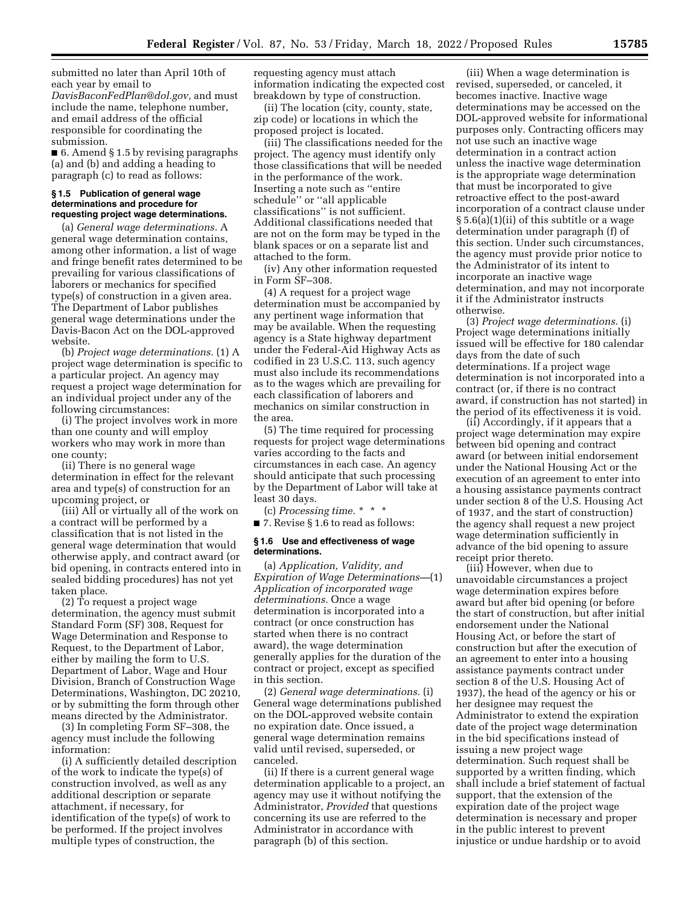submitted no later than April 10th of each year by email to *[DavisBaconFedPlan@dol.gov,](mailto:DavisBaconFedPlan@dol.gov)* and must include the name, telephone number, and email address of the official responsible for coordinating the submission.

■ 6. Amend § 1.5 by revising paragraphs (a) and (b) and adding a heading to paragraph (c) to read as follows:

### **§ 1.5 Publication of general wage determinations and procedure for requesting project wage determinations.**

(a) *General wage determinations.* A general wage determination contains, among other information, a list of wage and fringe benefit rates determined to be prevailing for various classifications of laborers or mechanics for specified type(s) of construction in a given area. The Department of Labor publishes general wage determinations under the Davis-Bacon Act on the DOL-approved website.

(b) *Project wage determinations.* (1) A project wage determination is specific to a particular project. An agency may request a project wage determination for an individual project under any of the following circumstances:

(i) The project involves work in more than one county and will employ workers who may work in more than one county;

(ii) There is no general wage determination in effect for the relevant area and type(s) of construction for an upcoming project, or

(iii) All or virtually all of the work on a contract will be performed by a classification that is not listed in the general wage determination that would otherwise apply, and contract award (or bid opening, in contracts entered into in sealed bidding procedures) has not yet taken place.

(2) To request a project wage determination, the agency must submit Standard Form (SF) 308, Request for Wage Determination and Response to Request, to the Department of Labor, either by mailing the form to U.S. Department of Labor, Wage and Hour Division, Branch of Construction Wage Determinations, Washington, DC 20210, or by submitting the form through other means directed by the Administrator.

(3) In completing Form SF–308, the agency must include the following information:

(i) A sufficiently detailed description of the work to indicate the type(s) of construction involved, as well as any additional description or separate attachment, if necessary, for identification of the type(s) of work to be performed. If the project involves multiple types of construction, the

requesting agency must attach information indicating the expected cost breakdown by type of construction.

(ii) The location (city, county, state, zip code) or locations in which the proposed project is located.

(iii) The classifications needed for the project. The agency must identify only those classifications that will be needed in the performance of the work. Inserting a note such as ''entire schedule'' or ''all applicable classifications'' is not sufficient. Additional classifications needed that are not on the form may be typed in the blank spaces or on a separate list and attached to the form.

(iv) Any other information requested in Form SF–308.

(4) A request for a project wage determination must be accompanied by any pertinent wage information that may be available. When the requesting agency is a State highway department under the Federal-Aid Highway Acts as codified in 23 U.S.C. 113, such agency must also include its recommendations as to the wages which are prevailing for each classification of laborers and mechanics on similar construction in the area.

(5) The time required for processing requests for project wage determinations varies according to the facts and circumstances in each case. An agency should anticipate that such processing by the Department of Labor will take at least 30 days.

(c) *Processing time.* \* \* \* ■ 7. Revise § 1.6 to read as follows:

#### **§ 1.6 Use and effectiveness of wage determinations.**

(a) *Application, Validity, and Expiration of Wage Determinations—*(1) *Application of incorporated wage determinations.* Once a wage determination is incorporated into a contract (or once construction has started when there is no contract award), the wage determination generally applies for the duration of the contract or project, except as specified in this section.

(2) *General wage determinations.* (i) General wage determinations published on the DOL-approved website contain no expiration date. Once issued, a general wage determination remains valid until revised, superseded, or canceled.

(ii) If there is a current general wage determination applicable to a project, an agency may use it without notifying the Administrator, *Provided* that questions concerning its use are referred to the Administrator in accordance with paragraph (b) of this section.

(iii) When a wage determination is revised, superseded, or canceled, it becomes inactive. Inactive wage determinations may be accessed on the DOL-approved website for informational purposes only. Contracting officers may not use such an inactive wage determination in a contract action unless the inactive wage determination is the appropriate wage determination that must be incorporated to give retroactive effect to the post-award incorporation of a contract clause under § 5.6(a)(1)(ii) of this subtitle or a wage determination under paragraph (f) of this section. Under such circumstances, the agency must provide prior notice to the Administrator of its intent to incorporate an inactive wage determination, and may not incorporate it if the Administrator instructs otherwise.

(3) *Project wage determinations.* (i) Project wage determinations initially issued will be effective for 180 calendar days from the date of such determinations. If a project wage determination is not incorporated into a contract (or, if there is no contract award, if construction has not started) in the period of its effectiveness it is void.

(ii) Accordingly, if it appears that a project wage determination may expire between bid opening and contract award (or between initial endorsement under the National Housing Act or the execution of an agreement to enter into a housing assistance payments contract under section 8 of the U.S. Housing Act of 1937, and the start of construction) the agency shall request a new project wage determination sufficiently in advance of the bid opening to assure receipt prior thereto.

(iii) However, when due to unavoidable circumstances a project wage determination expires before award but after bid opening (or before the start of construction, but after initial endorsement under the National Housing Act, or before the start of construction but after the execution of an agreement to enter into a housing assistance payments contract under section 8 of the U.S. Housing Act of 1937), the head of the agency or his or her designee may request the Administrator to extend the expiration date of the project wage determination in the bid specifications instead of issuing a new project wage determination. Such request shall be supported by a written finding, which shall include a brief statement of factual support, that the extension of the expiration date of the project wage determination is necessary and proper in the public interest to prevent injustice or undue hardship or to avoid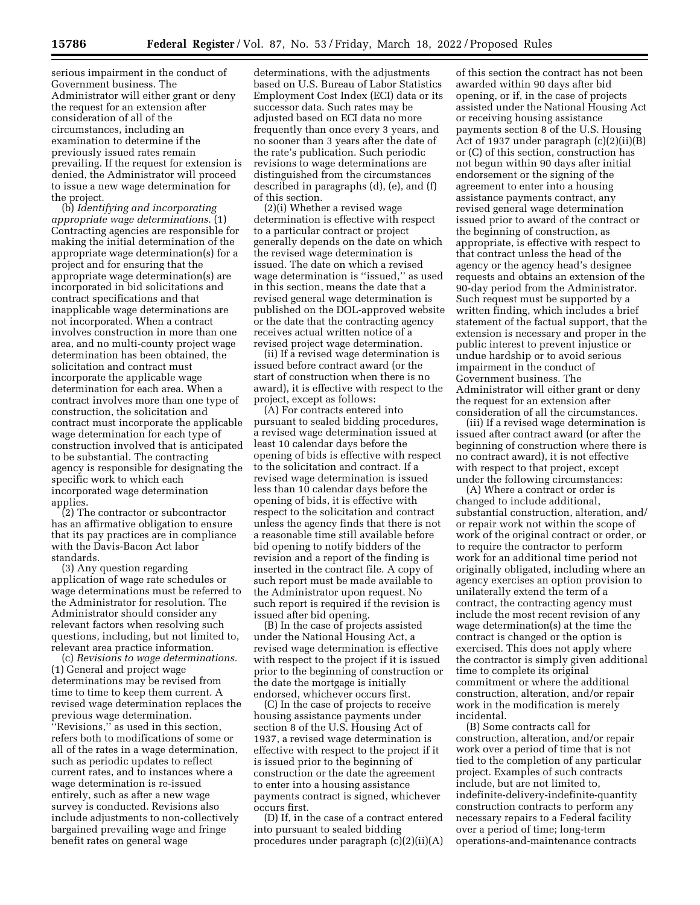serious impairment in the conduct of Government business. The Administrator will either grant or deny the request for an extension after consideration of all of the circumstances, including an examination to determine if the previously issued rates remain prevailing. If the request for extension is denied, the Administrator will proceed to issue a new wage determination for the project.

(b) *Identifying and incorporating appropriate wage determinations.* (1) Contracting agencies are responsible for making the initial determination of the appropriate wage determination(s) for a project and for ensuring that the appropriate wage determination(s) are incorporated in bid solicitations and contract specifications and that inapplicable wage determinations are not incorporated. When a contract involves construction in more than one area, and no multi-county project wage determination has been obtained, the solicitation and contract must incorporate the applicable wage determination for each area. When a contract involves more than one type of construction, the solicitation and contract must incorporate the applicable wage determination for each type of construction involved that is anticipated to be substantial. The contracting agency is responsible for designating the specific work to which each incorporated wage determination applies.

(2) The contractor or subcontractor has an affirmative obligation to ensure that its pay practices are in compliance with the Davis-Bacon Act labor standards.

(3) Any question regarding application of wage rate schedules or wage determinations must be referred to the Administrator for resolution. The Administrator should consider any relevant factors when resolving such questions, including, but not limited to, relevant area practice information.

(c) *Revisions to wage determinations.*  (1) General and project wage determinations may be revised from time to time to keep them current. A revised wage determination replaces the previous wage determination. ''Revisions,'' as used in this section, refers both to modifications of some or all of the rates in a wage determination, such as periodic updates to reflect current rates, and to instances where a wage determination is re-issued entirely, such as after a new wage survey is conducted. Revisions also include adjustments to non-collectively bargained prevailing wage and fringe benefit rates on general wage

determinations, with the adjustments based on U.S. Bureau of Labor Statistics Employment Cost Index (ECI) data or its successor data. Such rates may be adjusted based on ECI data no more frequently than once every 3 years, and no sooner than 3 years after the date of the rate's publication. Such periodic revisions to wage determinations are distinguished from the circumstances described in paragraphs (d), (e), and (f) of this section.

(2)(i) Whether a revised wage determination is effective with respect to a particular contract or project generally depends on the date on which the revised wage determination is issued. The date on which a revised wage determination is ''issued,'' as used in this section, means the date that a revised general wage determination is published on the DOL-approved website or the date that the contracting agency receives actual written notice of a revised project wage determination.

(ii) If a revised wage determination is issued before contract award (or the start of construction when there is no award), it is effective with respect to the project, except as follows:

(A) For contracts entered into pursuant to sealed bidding procedures, a revised wage determination issued at least 10 calendar days before the opening of bids is effective with respect to the solicitation and contract. If a revised wage determination is issued less than 10 calendar days before the opening of bids, it is effective with respect to the solicitation and contract unless the agency finds that there is not a reasonable time still available before bid opening to notify bidders of the revision and a report of the finding is inserted in the contract file. A copy of such report must be made available to the Administrator upon request. No such report is required if the revision is issued after bid opening.

(B) In the case of projects assisted under the National Housing Act, a revised wage determination is effective with respect to the project if it is issued prior to the beginning of construction or the date the mortgage is initially endorsed, whichever occurs first.

(C) In the case of projects to receive housing assistance payments under section 8 of the U.S. Housing Act of 1937, a revised wage determination is effective with respect to the project if it is issued prior to the beginning of construction or the date the agreement to enter into a housing assistance payments contract is signed, whichever occurs first.

(D) If, in the case of a contract entered into pursuant to sealed bidding procedures under paragraph (c)(2)(ii)(A)

of this section the contract has not been awarded within 90 days after bid opening, or if, in the case of projects assisted under the National Housing Act or receiving housing assistance payments section 8 of the U.S. Housing Act of 1937 under paragraph (c)(2)(ii)(B) or (C) of this section, construction has not begun within 90 days after initial endorsement or the signing of the agreement to enter into a housing assistance payments contract, any revised general wage determination issued prior to award of the contract or the beginning of construction, as appropriate, is effective with respect to that contract unless the head of the agency or the agency head's designee requests and obtains an extension of the 90-day period from the Administrator. Such request must be supported by a written finding, which includes a brief statement of the factual support, that the extension is necessary and proper in the public interest to prevent injustice or undue hardship or to avoid serious impairment in the conduct of Government business. The Administrator will either grant or deny the request for an extension after consideration of all the circumstances.

(iii) If a revised wage determination is issued after contract award (or after the beginning of construction where there is no contract award), it is not effective with respect to that project, except under the following circumstances:

(A) Where a contract or order is changed to include additional, substantial construction, alteration, and/ or repair work not within the scope of work of the original contract or order, or to require the contractor to perform work for an additional time period not originally obligated, including where an agency exercises an option provision to unilaterally extend the term of a contract, the contracting agency must include the most recent revision of any wage determination(s) at the time the contract is changed or the option is exercised. This does not apply where the contractor is simply given additional time to complete its original commitment or where the additional construction, alteration, and/or repair work in the modification is merely incidental.

(B) Some contracts call for construction, alteration, and/or repair work over a period of time that is not tied to the completion of any particular project. Examples of such contracts include, but are not limited to, indefinite-delivery-indefinite-quantity construction contracts to perform any necessary repairs to a Federal facility over a period of time; long-term operations-and-maintenance contracts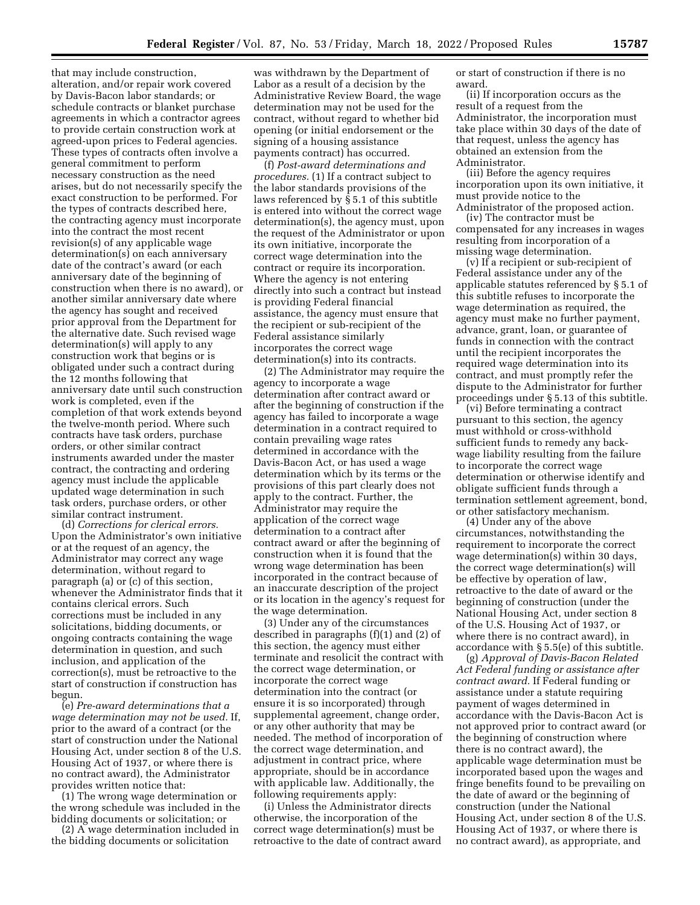that may include construction, alteration, and/or repair work covered by Davis-Bacon labor standards; or schedule contracts or blanket purchase agreements in which a contractor agrees to provide certain construction work at agreed-upon prices to Federal agencies. These types of contracts often involve a general commitment to perform necessary construction as the need arises, but do not necessarily specify the exact construction to be performed. For the types of contracts described here, the contracting agency must incorporate into the contract the most recent revision(s) of any applicable wage determination(s) on each anniversary date of the contract's award (or each anniversary date of the beginning of construction when there is no award), or another similar anniversary date where the agency has sought and received prior approval from the Department for the alternative date. Such revised wage determination(s) will apply to any construction work that begins or is obligated under such a contract during the 12 months following that anniversary date until such construction work is completed, even if the completion of that work extends beyond the twelve-month period. Where such contracts have task orders, purchase orders, or other similar contract instruments awarded under the master contract, the contracting and ordering agency must include the applicable updated wage determination in such task orders, purchase orders, or other similar contract instrument.

(d) *Corrections for clerical errors.*  Upon the Administrator's own initiative or at the request of an agency, the Administrator may correct any wage determination, without regard to paragraph (a) or (c) of this section, whenever the Administrator finds that it contains clerical errors. Such corrections must be included in any solicitations, bidding documents, or ongoing contracts containing the wage determination in question, and such inclusion, and application of the correction(s), must be retroactive to the start of construction if construction has begun.

(e) *Pre-award determinations that a wage determination may not be used.* If, prior to the award of a contract (or the start of construction under the National Housing Act, under section 8 of the U.S. Housing Act of 1937, or where there is no contract award), the Administrator provides written notice that:

(1) The wrong wage determination or the wrong schedule was included in the bidding documents or solicitation; or

(2) A wage determination included in the bidding documents or solicitation

was withdrawn by the Department of Labor as a result of a decision by the Administrative Review Board, the wage determination may not be used for the contract, without regard to whether bid opening (or initial endorsement or the signing of a housing assistance payments contract) has occurred.

(f) *Post-award determinations and procedures.* (1) If a contract subject to the labor standards provisions of the laws referenced by  $\bar{\S}$  5.1 of this subtitle is entered into without the correct wage determination(s), the agency must, upon the request of the Administrator or upon its own initiative, incorporate the correct wage determination into the contract or require its incorporation. Where the agency is not entering directly into such a contract but instead is providing Federal financial assistance, the agency must ensure that the recipient or sub-recipient of the Federal assistance similarly incorporates the correct wage determination(s) into its contracts.

(2) The Administrator may require the agency to incorporate a wage determination after contract award or after the beginning of construction if the agency has failed to incorporate a wage determination in a contract required to contain prevailing wage rates determined in accordance with the Davis-Bacon Act, or has used a wage determination which by its terms or the provisions of this part clearly does not apply to the contract. Further, the Administrator may require the application of the correct wage determination to a contract after contract award or after the beginning of construction when it is found that the wrong wage determination has been incorporated in the contract because of an inaccurate description of the project or its location in the agency's request for the wage determination.

(3) Under any of the circumstances described in paragraphs (f)(1) and (2) of this section, the agency must either terminate and resolicit the contract with the correct wage determination, or incorporate the correct wage determination into the contract (or ensure it is so incorporated) through supplemental agreement, change order, or any other authority that may be needed. The method of incorporation of the correct wage determination, and adjustment in contract price, where appropriate, should be in accordance with applicable law. Additionally, the following requirements apply:

(i) Unless the Administrator directs otherwise, the incorporation of the correct wage determination(s) must be retroactive to the date of contract award or start of construction if there is no award.

(ii) If incorporation occurs as the result of a request from the Administrator, the incorporation must take place within 30 days of the date of that request, unless the agency has obtained an extension from the Administrator.

(iii) Before the agency requires incorporation upon its own initiative, it must provide notice to the Administrator of the proposed action.

(iv) The contractor must be compensated for any increases in wages resulting from incorporation of a missing wage determination.

(v) If a recipient or sub-recipient of Federal assistance under any of the applicable statutes referenced by § 5.1 of this subtitle refuses to incorporate the wage determination as required, the agency must make no further payment, advance, grant, loan, or guarantee of funds in connection with the contract until the recipient incorporates the required wage determination into its contract, and must promptly refer the dispute to the Administrator for further proceedings under § 5.13 of this subtitle.

(vi) Before terminating a contract pursuant to this section, the agency must withhold or cross-withhold sufficient funds to remedy any backwage liability resulting from the failure to incorporate the correct wage determination or otherwise identify and obligate sufficient funds through a termination settlement agreement, bond, or other satisfactory mechanism.

(4) Under any of the above circumstances, notwithstanding the requirement to incorporate the correct wage determination(s) within 30 days, the correct wage determination(s) will be effective by operation of law, retroactive to the date of award or the beginning of construction (under the National Housing Act, under section 8 of the U.S. Housing Act of 1937, or where there is no contract award), in accordance with § 5.5(e) of this subtitle.

(g) *Approval of Davis-Bacon Related Act Federal funding or assistance after contract award.* If Federal funding or assistance under a statute requiring payment of wages determined in accordance with the Davis-Bacon Act is not approved prior to contract award (or the beginning of construction where there is no contract award), the applicable wage determination must be incorporated based upon the wages and fringe benefits found to be prevailing on the date of award or the beginning of construction (under the National Housing Act, under section 8 of the U.S. Housing Act of 1937, or where there is no contract award), as appropriate, and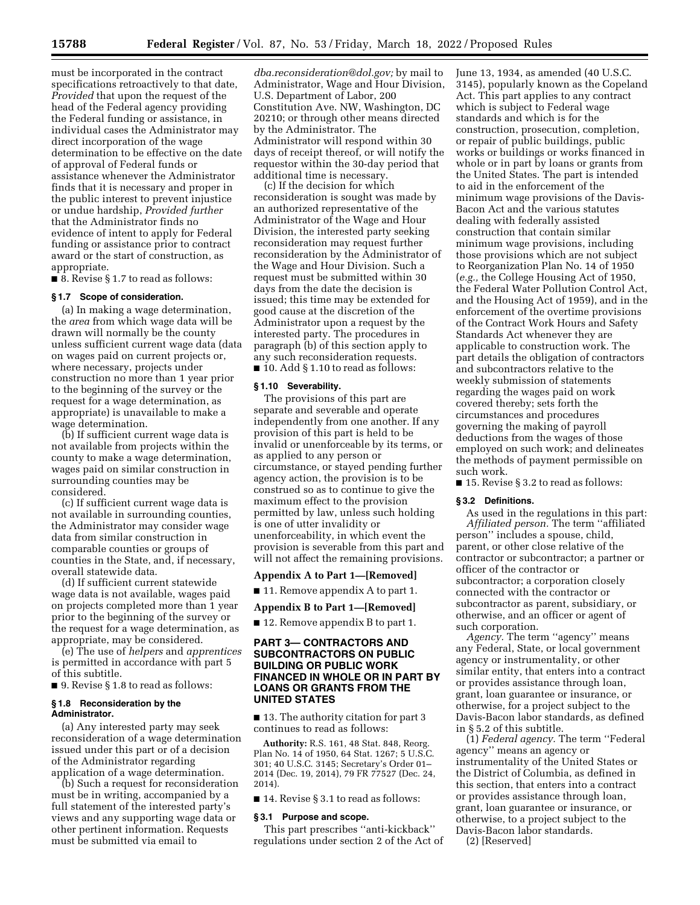must be incorporated in the contract specifications retroactively to that date, *Provided* that upon the request of the head of the Federal agency providing the Federal funding or assistance, in individual cases the Administrator may direct incorporation of the wage determination to be effective on the date of approval of Federal funds or assistance whenever the Administrator finds that it is necessary and proper in the public interest to prevent injustice or undue hardship, *Provided further*  that the Administrator finds no evidence of intent to apply for Federal funding or assistance prior to contract award or the start of construction, as appropriate.

■ 8. Revise § 1.7 to read as follows:

#### **§ 1.7 Scope of consideration.**

(a) In making a wage determination, the *area* from which wage data will be drawn will normally be the county unless sufficient current wage data (data on wages paid on current projects or, where necessary, projects under construction no more than 1 year prior to the beginning of the survey or the request for a wage determination, as appropriate) is unavailable to make a wage determination.

(b) If sufficient current wage data is not available from projects within the county to make a wage determination, wages paid on similar construction in surrounding counties may be considered.

(c) If sufficient current wage data is not available in surrounding counties, the Administrator may consider wage data from similar construction in comparable counties or groups of counties in the State, and, if necessary, overall statewide data.

(d) If sufficient current statewide wage data is not available, wages paid on projects completed more than 1 year prior to the beginning of the survey or the request for a wage determination, as appropriate, may be considered.

(e) The use of *helpers* and *apprentices*  is permitted in accordance with part 5 of this subtitle.

■ 9. Revise § 1.8 to read as follows:

### **§ 1.8 Reconsideration by the Administrator.**

(a) Any interested party may seek reconsideration of a wage determination issued under this part or of a decision of the Administrator regarding application of a wage determination.

(b) Such a request for reconsideration must be in writing, accompanied by a full statement of the interested party's views and any supporting wage data or other pertinent information. Requests must be submitted via email to

*[dba.reconsideration@dol.gov;](mailto:dba.reconsideration@dol.gov)* by mail to Administrator, Wage and Hour Division, U.S. Department of Labor, 200 Constitution Ave. NW, Washington, DC 20210; or through other means directed by the Administrator. The Administrator will respond within 30 days of receipt thereof, or will notify the requestor within the 30-day period that additional time is necessary.

(c) If the decision for which reconsideration is sought was made by an authorized representative of the Administrator of the Wage and Hour Division, the interested party seeking reconsideration may request further reconsideration by the Administrator of the Wage and Hour Division. Such a request must be submitted within 30 days from the date the decision is issued; this time may be extended for good cause at the discretion of the Administrator upon a request by the interested party. The procedures in paragraph (b) of this section apply to any such reconsideration requests.  $\blacksquare$  10. Add § 1.10 to read as follows:

#### **§ 1.10 Severability.**

The provisions of this part are separate and severable and operate independently from one another. If any provision of this part is held to be invalid or unenforceable by its terms, or as applied to any person or circumstance, or stayed pending further agency action, the provision is to be construed so as to continue to give the maximum effect to the provision permitted by law, unless such holding is one of utter invalidity or unenforceability, in which event the provision is severable from this part and will not affect the remaining provisions.

#### **Appendix A to Part 1—[Removed]**

■ 11. Remove appendix A to part 1.

### **Appendix B to Part 1—[Removed]**

■ 12. Remove appendix B to part 1.

## **PART 3— CONTRACTORS AND SUBCONTRACTORS ON PUBLIC BUILDING OR PUBLIC WORK FINANCED IN WHOLE OR IN PART BY LOANS OR GRANTS FROM THE UNITED STATES**

■ 13. The authority citation for part 3 continues to read as follows:

**Authority:** R.S. 161, 48 Stat. 848, Reorg. Plan No. 14 of 1950, 64 Stat. 1267; 5 U.S.C. 301; 40 U.S.C. 3145; Secretary's Order 01– 2014 (Dec. 19, 2014), 79 FR 77527 (Dec. 24, 2014).

■ 14. Revise § 3.1 to read as follows:

#### **§ 3.1 Purpose and scope.**

This part prescribes ''anti-kickback'' regulations under section 2 of the Act of June 13, 1934, as amended (40 U.S.C. 3145), popularly known as the Copeland Act. This part applies to any contract which is subject to Federal wage standards and which is for the construction, prosecution, completion, or repair of public buildings, public works or buildings or works financed in whole or in part by loans or grants from the United States. The part is intended to aid in the enforcement of the minimum wage provisions of the Davis-Bacon Act and the various statutes dealing with federally assisted construction that contain similar minimum wage provisions, including those provisions which are not subject to Reorganization Plan No. 14 of 1950 (*e.g.,* the College Housing Act of 1950, the Federal Water Pollution Control Act, and the Housing Act of 1959), and in the enforcement of the overtime provisions of the Contract Work Hours and Safety Standards Act whenever they are applicable to construction work. The part details the obligation of contractors and subcontractors relative to the weekly submission of statements regarding the wages paid on work covered thereby; sets forth the circumstances and procedures governing the making of payroll deductions from the wages of those employed on such work; and delineates the methods of payment permissible on such work.

■ 15. Revise § 3.2 to read as follows:

### **§ 3.2 Definitions.**

As used in the regulations in this part: *Affiliated person.* The term ''affiliated person'' includes a spouse, child, parent, or other close relative of the contractor or subcontractor; a partner or officer of the contractor or subcontractor; a corporation closely connected with the contractor or subcontractor as parent, subsidiary, or otherwise, and an officer or agent of such corporation.

*Agency.* The term ''agency'' means any Federal, State, or local government agency or instrumentality, or other similar entity, that enters into a contract or provides assistance through loan, grant, loan guarantee or insurance, or otherwise, for a project subject to the Davis-Bacon labor standards, as defined in § 5.2 of this subtitle.

(1) *Federal agency.* The term ''Federal agency'' means an agency or instrumentality of the United States or the District of Columbia, as defined in this section, that enters into a contract or provides assistance through loan, grant, loan guarantee or insurance, or otherwise, to a project subject to the Davis-Bacon labor standards.

(2) [Reserved]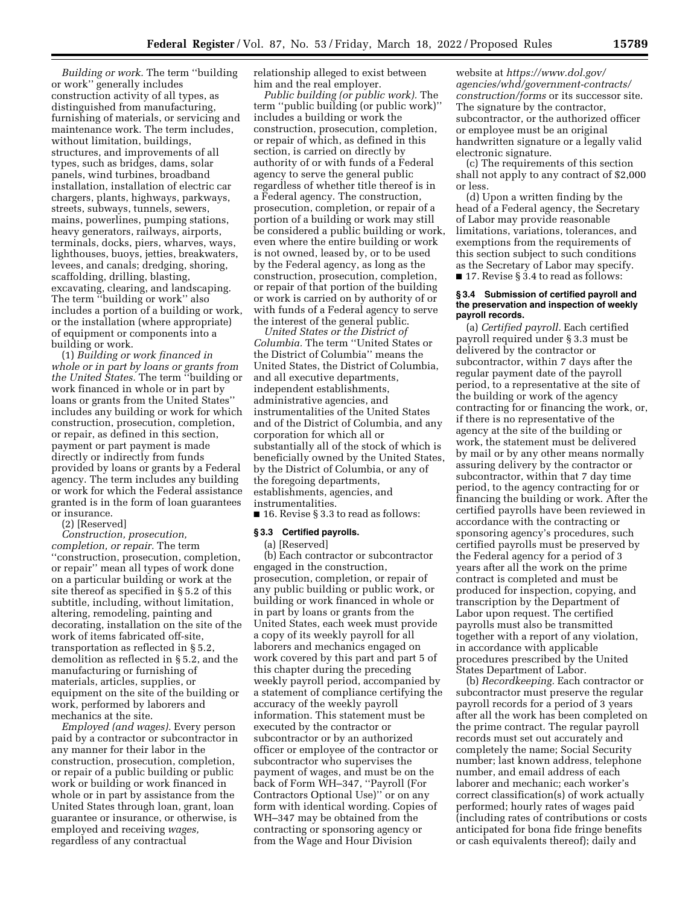*Building or work.* The term ''building or work'' generally includes construction activity of all types, as distinguished from manufacturing, furnishing of materials, or servicing and maintenance work. The term includes, without limitation, buildings, structures, and improvements of all types, such as bridges, dams, solar panels, wind turbines, broadband installation, installation of electric car chargers, plants, highways, parkways, streets, subways, tunnels, sewers, mains, powerlines, pumping stations, heavy generators, railways, airports, terminals, docks, piers, wharves, ways, lighthouses, buoys, jetties, breakwaters, levees, and canals; dredging, shoring, scaffolding, drilling, blasting, excavating, clearing, and landscaping. The term ''building or work'' also includes a portion of a building or work, or the installation (where appropriate) of equipment or components into a building or work.

(1) *Building or work financed in whole or in part by loans or grants from the United States.* The term ''building or work financed in whole or in part by loans or grants from the United States'' includes any building or work for which construction, prosecution, completion, or repair, as defined in this section, payment or part payment is made directly or indirectly from funds provided by loans or grants by a Federal agency. The term includes any building or work for which the Federal assistance granted is in the form of loan guarantees or insurance.

(2) [Reserved]

*Construction, prosecution, completion, or repair.* The term ''construction, prosecution, completion, or repair'' mean all types of work done on a particular building or work at the site thereof as specified in § 5.2 of this subtitle, including, without limitation, altering, remodeling, painting and decorating, installation on the site of the work of items fabricated off-site, transportation as reflected in § 5.2, demolition as reflected in § 5.2, and the manufacturing or furnishing of materials, articles, supplies, or equipment on the site of the building or work, performed by laborers and mechanics at the site.

*Employed (and wages).* Every person paid by a contractor or subcontractor in any manner for their labor in the construction, prosecution, completion, or repair of a public building or public work or building or work financed in whole or in part by assistance from the United States through loan, grant, loan guarantee or insurance, or otherwise, is employed and receiving *wages,*  regardless of any contractual

relationship alleged to exist between him and the real employer.

*Public building (or public work).* The term ''public building (or public work)'' includes a building or work the construction, prosecution, completion, or repair of which, as defined in this section, is carried on directly by authority of or with funds of a Federal agency to serve the general public regardless of whether title thereof is in a Federal agency. The construction, prosecution, completion, or repair of a portion of a building or work may still be considered a public building or work, even where the entire building or work is not owned, leased by, or to be used by the Federal agency, as long as the construction, prosecution, completion, or repair of that portion of the building or work is carried on by authority of or with funds of a Federal agency to serve the interest of the general public.

*United States or the District of Columbia.* The term ''United States or the District of Columbia'' means the United States, the District of Columbia, and all executive departments, independent establishments, administrative agencies, and instrumentalities of the United States and of the District of Columbia, and any corporation for which all or substantially all of the stock of which is beneficially owned by the United States, by the District of Columbia, or any of the foregoing departments, establishments, agencies, and instrumentalities.

■ 16. Revise § 3.3 to read as follows:

#### **§ 3.3 Certified payrolls.**

(a) [Reserved]

(b) Each contractor or subcontractor engaged in the construction, prosecution, completion, or repair of any public building or public work, or building or work financed in whole or in part by loans or grants from the United States, each week must provide a copy of its weekly payroll for all laborers and mechanics engaged on work covered by this part and part 5 of this chapter during the preceding weekly payroll period, accompanied by a statement of compliance certifying the accuracy of the weekly payroll information. This statement must be executed by the contractor or subcontractor or by an authorized officer or employee of the contractor or subcontractor who supervises the payment of wages, and must be on the back of Form WH–347, ''Payroll (For Contractors Optional Use)'' or on any form with identical wording. Copies of WH–347 may be obtained from the contracting or sponsoring agency or from the Wage and Hour Division

website at *[https://www.dol.gov/](https://www.dol.gov/agencies/whd/government-contracts/construction/forms)  [agencies/whd/government-contracts/](https://www.dol.gov/agencies/whd/government-contracts/construction/forms) [construction/forms](https://www.dol.gov/agencies/whd/government-contracts/construction/forms)* or its successor site. The signature by the contractor, subcontractor, or the authorized officer or employee must be an original handwritten signature or a legally valid electronic signature.

(c) The requirements of this section shall not apply to any contract of \$2,000 or less.

(d) Upon a written finding by the head of a Federal agency, the Secretary of Labor may provide reasonable limitations, variations, tolerances, and exemptions from the requirements of this section subject to such conditions as the Secretary of Labor may specify.  $\blacksquare$  17. Revise § 3.4 to read as follows:

#### **§ 3.4 Submission of certified payroll and the preservation and inspection of weekly payroll records.**

(a) *Certified payroll.* Each certified payroll required under § 3.3 must be delivered by the contractor or subcontractor, within 7 days after the regular payment date of the payroll period, to a representative at the site of the building or work of the agency contracting for or financing the work, or, if there is no representative of the agency at the site of the building or work, the statement must be delivered by mail or by any other means normally assuring delivery by the contractor or subcontractor, within that 7 day time period, to the agency contracting for or financing the building or work. After the certified payrolls have been reviewed in accordance with the contracting or sponsoring agency's procedures, such certified payrolls must be preserved by the Federal agency for a period of 3 years after all the work on the prime contract is completed and must be produced for inspection, copying, and transcription by the Department of Labor upon request. The certified payrolls must also be transmitted together with a report of any violation, in accordance with applicable procedures prescribed by the United States Department of Labor.

(b) *Recordkeeping.* Each contractor or subcontractor must preserve the regular payroll records for a period of 3 years after all the work has been completed on the prime contract. The regular payroll records must set out accurately and completely the name; Social Security number; last known address, telephone number, and email address of each laborer and mechanic; each worker's correct classification(s) of work actually performed; hourly rates of wages paid (including rates of contributions or costs anticipated for bona fide fringe benefits or cash equivalents thereof); daily and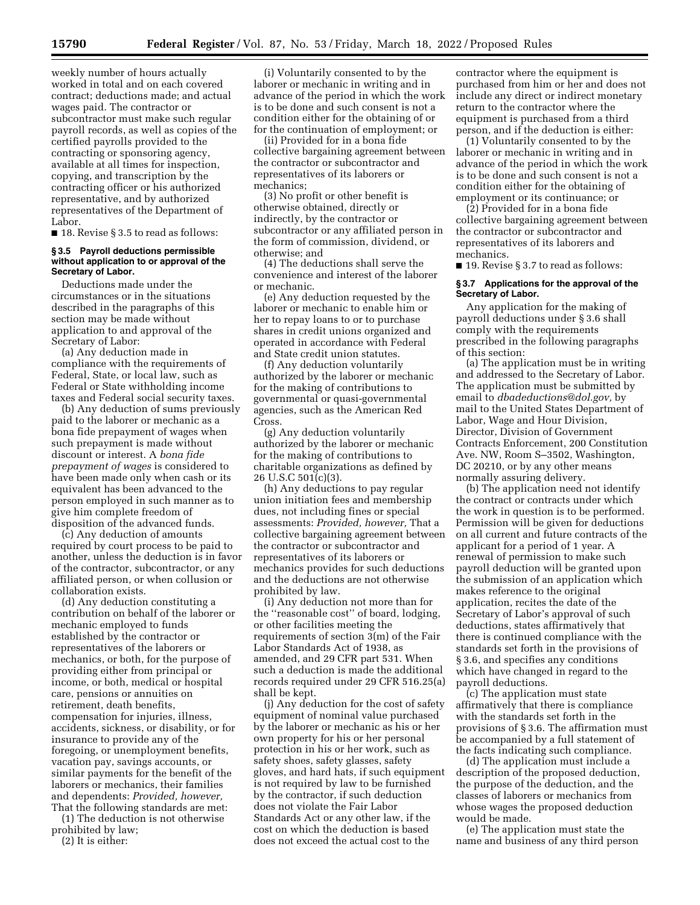weekly number of hours actually worked in total and on each covered contract; deductions made; and actual wages paid. The contractor or subcontractor must make such regular payroll records, as well as copies of the certified payrolls provided to the contracting or sponsoring agency, available at all times for inspection, copying, and transcription by the contracting officer or his authorized representative, and by authorized representatives of the Department of Labor.

■ 18. Revise § 3.5 to read as follows:

### **§ 3.5 Payroll deductions permissible without application to or approval of the Secretary of Labor.**

Deductions made under the circumstances or in the situations described in the paragraphs of this section may be made without application to and approval of the Secretary of Labor:

(a) Any deduction made in compliance with the requirements of Federal, State, or local law, such as Federal or State withholding income taxes and Federal social security taxes.

(b) Any deduction of sums previously paid to the laborer or mechanic as a bona fide prepayment of wages when such prepayment is made without discount or interest. A *bona fide prepayment of wages* is considered to have been made only when cash or its equivalent has been advanced to the person employed in such manner as to give him complete freedom of disposition of the advanced funds.

(c) Any deduction of amounts required by court process to be paid to another, unless the deduction is in favor of the contractor, subcontractor, or any affiliated person, or when collusion or collaboration exists.

(d) Any deduction constituting a contribution on behalf of the laborer or mechanic employed to funds established by the contractor or representatives of the laborers or mechanics, or both, for the purpose of providing either from principal or income, or both, medical or hospital care, pensions or annuities on retirement, death benefits, compensation for injuries, illness, accidents, sickness, or disability, or for insurance to provide any of the foregoing, or unemployment benefits, vacation pay, savings accounts, or similar payments for the benefit of the laborers or mechanics, their families and dependents: *Provided, however,*  That the following standards are met:

(1) The deduction is not otherwise prohibited by law;

(2) It is either:

(i) Voluntarily consented to by the laborer or mechanic in writing and in advance of the period in which the work is to be done and such consent is not a condition either for the obtaining of or for the continuation of employment; or

(ii) Provided for in a bona fide collective bargaining agreement between the contractor or subcontractor and representatives of its laborers or mechanics;

(3) No profit or other benefit is otherwise obtained, directly or indirectly, by the contractor or subcontractor or any affiliated person in the form of commission, dividend, or otherwise; and

(4) The deductions shall serve the convenience and interest of the laborer or mechanic.

(e) Any deduction requested by the laborer or mechanic to enable him or her to repay loans to or to purchase shares in credit unions organized and operated in accordance with Federal and State credit union statutes.

(f) Any deduction voluntarily authorized by the laborer or mechanic for the making of contributions to governmental or quasi-governmental agencies, such as the American Red Cross.

(g) Any deduction voluntarily authorized by the laborer or mechanic for the making of contributions to charitable organizations as defined by 26 U.S.C 501(c)(3).

(h) Any deductions to pay regular union initiation fees and membership dues, not including fines or special assessments: *Provided, however,* That a collective bargaining agreement between the contractor or subcontractor and representatives of its laborers or mechanics provides for such deductions and the deductions are not otherwise prohibited by law.

(i) Any deduction not more than for the ''reasonable cost'' of board, lodging, or other facilities meeting the requirements of section 3(m) of the Fair Labor Standards Act of 1938, as amended, and 29 CFR part 531. When such a deduction is made the additional records required under 29 CFR 516.25(a) shall be kept.

(j) Any deduction for the cost of safety equipment of nominal value purchased by the laborer or mechanic as his or her own property for his or her personal protection in his or her work, such as safety shoes, safety glasses, safety gloves, and hard hats, if such equipment is not required by law to be furnished by the contractor, if such deduction does not violate the Fair Labor Standards Act or any other law, if the cost on which the deduction is based does not exceed the actual cost to the

contractor where the equipment is purchased from him or her and does not include any direct or indirect monetary return to the contractor where the equipment is purchased from a third person, and if the deduction is either:

(1) Voluntarily consented to by the laborer or mechanic in writing and in advance of the period in which the work is to be done and such consent is not a condition either for the obtaining of employment or its continuance; or

(2) Provided for in a bona fide collective bargaining agreement between the contractor or subcontractor and representatives of its laborers and mechanics.

■ 19. Revise § 3.7 to read as follows:

#### **§ 3.7 Applications for the approval of the Secretary of Labor.**

Any application for the making of payroll deductions under § 3.6 shall comply with the requirements prescribed in the following paragraphs of this section:

(a) The application must be in writing and addressed to the Secretary of Labor. The application must be submitted by email to *[dbadeductions@dol.gov,](mailto:dbadeductions@dol.gov)* by mail to the United States Department of Labor, Wage and Hour Division, Director, Division of Government Contracts Enforcement, 200 Constitution Ave. NW, Room S–3502, Washington, DC 20210, or by any other means normally assuring delivery.

(b) The application need not identify the contract or contracts under which the work in question is to be performed. Permission will be given for deductions on all current and future contracts of the applicant for a period of 1 year. A renewal of permission to make such payroll deduction will be granted upon the submission of an application which makes reference to the original application, recites the date of the Secretary of Labor's approval of such deductions, states affirmatively that there is continued compliance with the standards set forth in the provisions of § 3.6, and specifies any conditions which have changed in regard to the payroll deductions.

(c) The application must state affirmatively that there is compliance with the standards set forth in the provisions of § 3.6. The affirmation must be accompanied by a full statement of the facts indicating such compliance.

(d) The application must include a description of the proposed deduction, the purpose of the deduction, and the classes of laborers or mechanics from whose wages the proposed deduction would be made.

(e) The application must state the name and business of any third person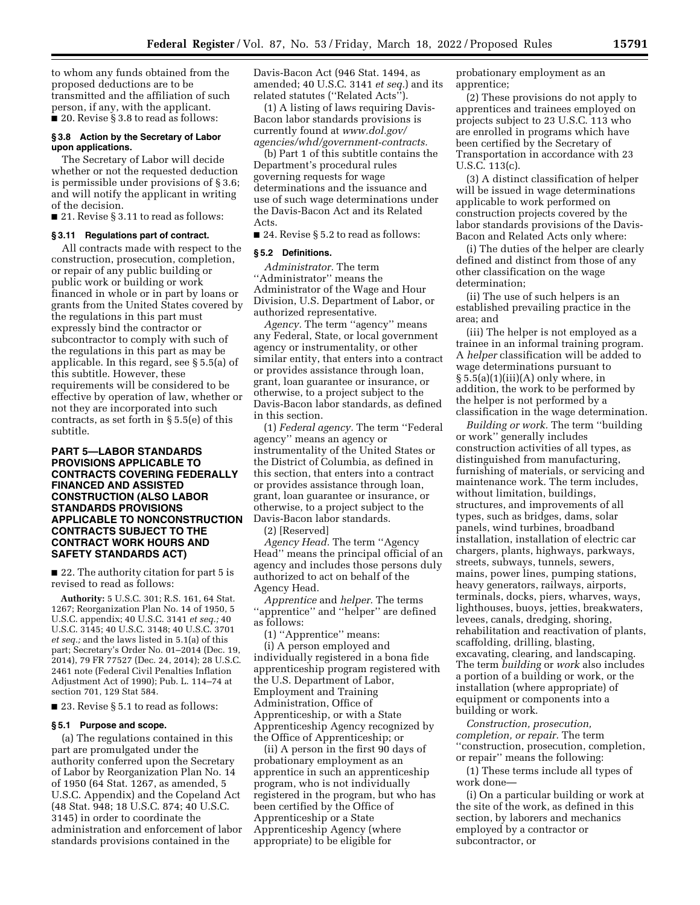to whom any funds obtained from the proposed deductions are to be transmitted and the affiliation of such person, if any, with the applicant.  $\blacksquare$  20. Revise § 3.8 to read as follows:

#### **§ 3.8 Action by the Secretary of Labor upon applications.**

The Secretary of Labor will decide whether or not the requested deduction is permissible under provisions of § 3.6; and will notify the applicant in writing of the decision.

■ 21. Revise § 3.11 to read as follows:

### **§ 3.11 Regulations part of contract.**

All contracts made with respect to the construction, prosecution, completion, or repair of any public building or public work or building or work financed in whole or in part by loans or grants from the United States covered by the regulations in this part must expressly bind the contractor or subcontractor to comply with such of the regulations in this part as may be applicable. In this regard, see § 5.5(a) of this subtitle. However, these requirements will be considered to be effective by operation of law, whether or not they are incorporated into such contracts, as set forth in § 5.5(e) of this subtitle.

### **PART 5—LABOR STANDARDS PROVISIONS APPLICABLE TO CONTRACTS COVERING FEDERALLY FINANCED AND ASSISTED CONSTRUCTION (ALSO LABOR STANDARDS PROVISIONS APPLICABLE TO NONCONSTRUCTION CONTRACTS SUBJECT TO THE CONTRACT WORK HOURS AND SAFETY STANDARDS ACT)**

■ 22. The authority citation for part 5 is revised to read as follows:

**Authority:** 5 U.S.C. 301; R.S. 161, 64 Stat. 1267; Reorganization Plan No. 14 of 1950, 5 U.S.C. appendix; 40 U.S.C. 3141 *et seq.;* 40 U.S.C. 3145; 40 U.S.C. 3148; 40 U.S.C. 3701 *et seq.;* and the laws listed in 5.1(a) of this part; Secretary's Order No. 01–2014 (Dec. 19, 2014), 79 FR 77527 (Dec. 24, 2014); 28 U.S.C. 2461 note (Federal Civil Penalties Inflation Adjustment Act of 1990); Pub. L. 114–74 at section 701, 129 Stat 584.

■ 23. Revise § 5.1 to read as follows:

#### **§ 5.1 Purpose and scope.**

(a) The regulations contained in this part are promulgated under the authority conferred upon the Secretary of Labor by Reorganization Plan No. 14 of 1950 (64 Stat. 1267, as amended, 5 U.S.C. Appendix) and the Copeland Act (48 Stat. 948; 18 U.S.C. 874; 40 U.S.C. 3145) in order to coordinate the administration and enforcement of labor standards provisions contained in the

Davis-Bacon Act (946 Stat. 1494, as amended; 40 U.S.C. 3141 *et seq.*) and its related statutes (''Related Acts'').

(1) A listing of laws requiring Davis-Bacon labor standards provisions is currently found at *[www.dol.gov/](http://www.dol.gov/agencies/whd/government-contracts)  [agencies/whd/government-contracts.](http://www.dol.gov/agencies/whd/government-contracts)* 

(b) Part 1 of this subtitle contains the Department's procedural rules governing requests for wage determinations and the issuance and use of such wage determinations under the Davis-Bacon Act and its Related Acts.

■ 24. Revise § 5.2 to read as follows:

#### **§ 5.2 Definitions.**

*Administrator.* The term ''Administrator'' means the Administrator of the Wage and Hour Division, U.S. Department of Labor, or authorized representative.

*Agency.* The term ''agency'' means any Federal, State, or local government agency or instrumentality, or other similar entity, that enters into a contract or provides assistance through loan, grant, loan guarantee or insurance, or otherwise, to a project subject to the Davis-Bacon labor standards, as defined in this section.

(1) *Federal agency.* The term ''Federal agency'' means an agency or instrumentality of the United States or the District of Columbia, as defined in this section, that enters into a contract or provides assistance through loan, grant, loan guarantee or insurance, or otherwise, to a project subject to the Davis-Bacon labor standards.

(2) [Reserved]

*Agency Head.* The term ''Agency Head'' means the principal official of an agency and includes those persons duly authorized to act on behalf of the Agency Head.

*Apprentice* and *helper.* The terms ''apprentice'' and ''helper'' are defined as follows:

(1) ''Apprentice'' means:

(i) A person employed and individually registered in a bona fide apprenticeship program registered with the U.S. Department of Labor, Employment and Training Administration, Office of Apprenticeship, or with a State Apprenticeship Agency recognized by the Office of Apprenticeship; or

(ii) A person in the first 90 days of probationary employment as an apprentice in such an apprenticeship program, who is not individually registered in the program, but who has been certified by the Office of Apprenticeship or a State Apprenticeship Agency (where appropriate) to be eligible for

probationary employment as an apprentice;

(2) These provisions do not apply to apprentices and trainees employed on projects subject to 23 U.S.C. 113 who are enrolled in programs which have been certified by the Secretary of Transportation in accordance with 23 U.S.C. 113(c).

(3) A distinct classification of helper will be issued in wage determinations applicable to work performed on construction projects covered by the labor standards provisions of the Davis-Bacon and Related Acts only where:

(i) The duties of the helper are clearly defined and distinct from those of any other classification on the wage determination;

(ii) The use of such helpers is an established prevailing practice in the area; and

(iii) The helper is not employed as a trainee in an informal training program. A *helper* classification will be added to wage determinations pursuant to  $\S 5.5(a)(1)(iii)(A)$  only where, in addition, the work to be performed by the helper is not performed by a classification in the wage determination.

*Building or work.* The term ''building or work'' generally includes construction activities of all types, as distinguished from manufacturing, furnishing of materials, or servicing and maintenance work. The term includes, without limitation, buildings, structures, and improvements of all types, such as bridges, dams, solar panels, wind turbines, broadband installation, installation of electric car chargers, plants, highways, parkways, streets, subways, tunnels, sewers, mains, power lines, pumping stations, heavy generators, railways, airports, terminals, docks, piers, wharves, ways, lighthouses, buoys, jetties, breakwaters, levees, canals, dredging, shoring, rehabilitation and reactivation of plants, scaffolding, drilling, blasting, excavating, clearing, and landscaping. The term *building* or *work* also includes a portion of a building or work, or the installation (where appropriate) of equipment or components into a building or work.

*Construction, prosecution, completion, or repair.* The term ''construction, prosecution, completion, or repair'' means the following:

(1) These terms include all types of work done—

(i) On a particular building or work at the site of the work, as defined in this section, by laborers and mechanics employed by a contractor or subcontractor, or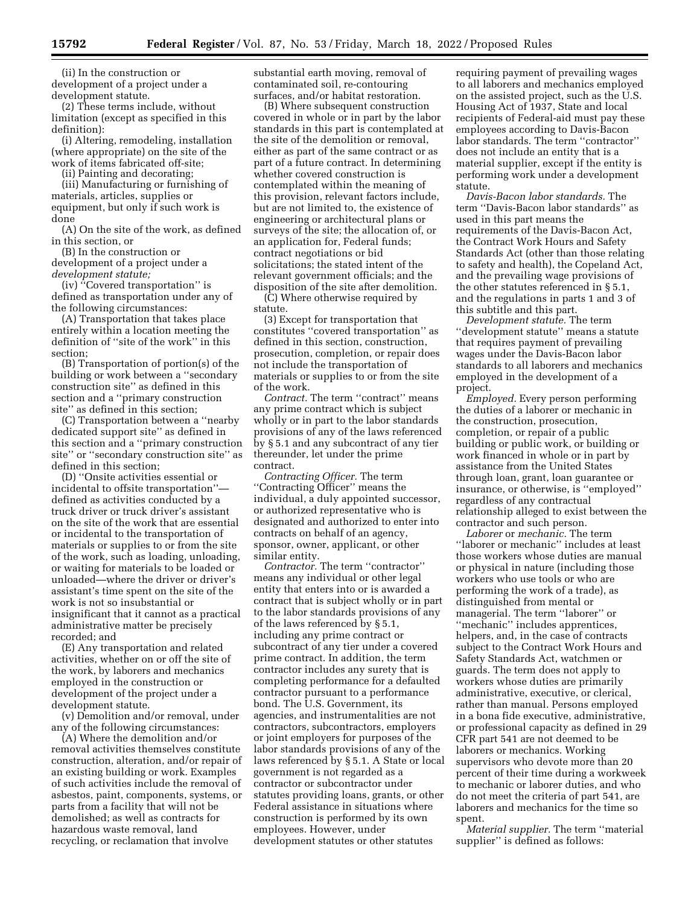(ii) In the construction or development of a project under a development statute.

(2) These terms include, without limitation (except as specified in this definition):

(i) Altering, remodeling, installation (where appropriate) on the site of the work of items fabricated off-site;

(ii) Painting and decorating;

(iii) Manufacturing or furnishing of materials, articles, supplies or equipment, but only if such work is done

(A) On the site of the work, as defined in this section, or

(B) In the construction or development of a project under a *development statute;* 

(iv) ''Covered transportation'' is defined as transportation under any of the following circumstances:

(A) Transportation that takes place entirely within a location meeting the definition of ''site of the work'' in this section;

(B) Transportation of portion(s) of the building or work between a ''secondary construction site'' as defined in this section and a ''primary construction site'' as defined in this section;

(C) Transportation between a ''nearby dedicated support site'' as defined in this section and a ''primary construction site'' or ''secondary construction site'' as defined in this section;

(D) ''Onsite activities essential or incidental to offsite transportation'' defined as activities conducted by a truck driver or truck driver's assistant on the site of the work that are essential or incidental to the transportation of materials or supplies to or from the site of the work, such as loading, unloading, or waiting for materials to be loaded or unloaded—where the driver or driver's assistant's time spent on the site of the work is not so insubstantial or insignificant that it cannot as a practical administrative matter be precisely recorded; and

(E) Any transportation and related activities, whether on or off the site of the work, by laborers and mechanics employed in the construction or development of the project under a development statute.

(v) Demolition and/or removal, under any of the following circumstances:

(A) Where the demolition and/or removal activities themselves constitute construction, alteration, and/or repair of an existing building or work. Examples of such activities include the removal of asbestos, paint, components, systems, or parts from a facility that will not be demolished; as well as contracts for hazardous waste removal, land recycling, or reclamation that involve

substantial earth moving, removal of contaminated soil, re-contouring surfaces, and/or habitat restoration.

(B) Where subsequent construction covered in whole or in part by the labor standards in this part is contemplated at the site of the demolition or removal, either as part of the same contract or as part of a future contract. In determining whether covered construction is contemplated within the meaning of this provision, relevant factors include, but are not limited to, the existence of engineering or architectural plans or surveys of the site; the allocation of, or an application for, Federal funds; contract negotiations or bid solicitations; the stated intent of the relevant government officials; and the disposition of the site after demolition.

(C) Where otherwise required by statute.

(3) Except for transportation that constitutes ''covered transportation'' as defined in this section, construction, prosecution, completion, or repair does not include the transportation of materials or supplies to or from the site of the work.

*Contract.* The term ''contract'' means any prime contract which is subject wholly or in part to the labor standards provisions of any of the laws referenced by § 5.1 and any subcontract of any tier thereunder, let under the prime contract.

*Contracting Officer.* The term ''Contracting Officer'' means the individual, a duly appointed successor, or authorized representative who is designated and authorized to enter into contracts on behalf of an agency, sponsor, owner, applicant, or other similar entity.

*Contractor.* The term ''contractor'' means any individual or other legal entity that enters into or is awarded a contract that is subject wholly or in part to the labor standards provisions of any of the laws referenced by § 5.1, including any prime contract or subcontract of any tier under a covered prime contract. In addition, the term contractor includes any surety that is completing performance for a defaulted contractor pursuant to a performance bond. The U.S. Government, its agencies, and instrumentalities are not contractors, subcontractors, employers or joint employers for purposes of the labor standards provisions of any of the laws referenced by § 5.1. A State or local government is not regarded as a contractor or subcontractor under statutes providing loans, grants, or other Federal assistance in situations where construction is performed by its own employees. However, under development statutes or other statutes

requiring payment of prevailing wages to all laborers and mechanics employed on the assisted project, such as the U.S. Housing Act of 1937, State and local recipients of Federal-aid must pay these employees according to Davis-Bacon labor standards. The term ''contractor'' does not include an entity that is a material supplier, except if the entity is performing work under a development statute.

*Davis-Bacon labor standards.* The term ''Davis-Bacon labor standards'' as used in this part means the requirements of the Davis-Bacon Act, the Contract Work Hours and Safety Standards Act (other than those relating to safety and health), the Copeland Act, and the prevailing wage provisions of the other statutes referenced in § 5.1, and the regulations in parts 1 and 3 of this subtitle and this part.

*Development statute.* The term ''development statute'' means a statute that requires payment of prevailing wages under the Davis-Bacon labor standards to all laborers and mechanics employed in the development of a project.

*Employed.* Every person performing the duties of a laborer or mechanic in the construction, prosecution, completion, or repair of a public building or public work, or building or work financed in whole or in part by assistance from the United States through loan, grant, loan guarantee or insurance, or otherwise, is ''employed'' regardless of any contractual relationship alleged to exist between the contractor and such person.

*Laborer* or *mechanic.* The term ''laborer or mechanic'' includes at least those workers whose duties are manual or physical in nature (including those workers who use tools or who are performing the work of a trade), as distinguished from mental or managerial. The term ''laborer'' or ''mechanic'' includes apprentices, helpers, and, in the case of contracts subject to the Contract Work Hours and Safety Standards Act, watchmen or guards. The term does not apply to workers whose duties are primarily administrative, executive, or clerical, rather than manual. Persons employed in a bona fide executive, administrative, or professional capacity as defined in 29 CFR part 541 are not deemed to be laborers or mechanics. Working supervisors who devote more than 20 percent of their time during a workweek to mechanic or laborer duties, and who do not meet the criteria of part 541, are laborers and mechanics for the time so spent.

*Material supplier.* The term ''material supplier'' is defined as follows: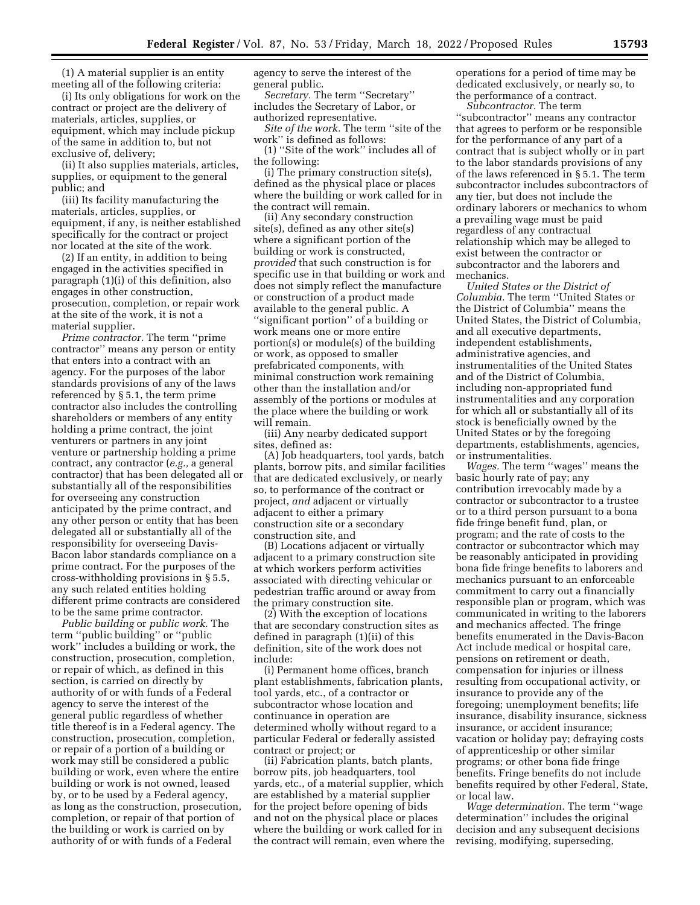(1) A material supplier is an entity meeting all of the following criteria:

(i) Its only obligations for work on the contract or project are the delivery of materials, articles, supplies, or equipment, which may include pickup of the same in addition to, but not exclusive of, delivery;

(ii) It also supplies materials, articles, supplies, or equipment to the general public; and

(iii) Its facility manufacturing the materials, articles, supplies, or equipment, if any, is neither established specifically for the contract or project nor located at the site of the work.

(2) If an entity, in addition to being engaged in the activities specified in paragraph (1)(i) of this definition, also engages in other construction, prosecution, completion, or repair work at the site of the work, it is not a material supplier.

*Prime contractor.* The term ''prime contractor'' means any person or entity that enters into a contract with an agency. For the purposes of the labor standards provisions of any of the laws referenced by § 5.1, the term prime contractor also includes the controlling shareholders or members of any entity holding a prime contract, the joint venturers or partners in any joint venture or partnership holding a prime contract, any contractor (*e.g.,* a general contractor) that has been delegated all or substantially all of the responsibilities for overseeing any construction anticipated by the prime contract, and any other person or entity that has been delegated all or substantially all of the responsibility for overseeing Davis-Bacon labor standards compliance on a prime contract. For the purposes of the cross-withholding provisions in § 5.5, any such related entities holding different prime contracts are considered to be the same prime contractor.

*Public building* or *public work.* The term ''public building'' or ''public work'' includes a building or work, the construction, prosecution, completion, or repair of which, as defined in this section, is carried on directly by authority of or with funds of a Federal agency to serve the interest of the general public regardless of whether title thereof is in a Federal agency. The construction, prosecution, completion, or repair of a portion of a building or work may still be considered a public building or work, even where the entire building or work is not owned, leased by, or to be used by a Federal agency, as long as the construction, prosecution, completion, or repair of that portion of the building or work is carried on by authority of or with funds of a Federal

agency to serve the interest of the general public.

*Secretary.* The term ''Secretary'' includes the Secretary of Labor, or authorized representative.

*Site of the work.* The term ''site of the work'' is defined as follows:

(1) ''Site of the work'' includes all of the following:

(i) The primary construction site(s), defined as the physical place or places where the building or work called for in the contract will remain.

(ii) Any secondary construction site(s), defined as any other site(s) where a significant portion of the building or work is constructed, *provided* that such construction is for specific use in that building or work and does not simply reflect the manufacture or construction of a product made available to the general public. A ''significant portion'' of a building or work means one or more entire portion(s) or module(s) of the building or work, as opposed to smaller prefabricated components, with minimal construction work remaining other than the installation and/or assembly of the portions or modules at the place where the building or work will remain.

(iii) Any nearby dedicated support sites, defined as:

(A) Job headquarters, tool yards, batch plants, borrow pits, and similar facilities that are dedicated exclusively, or nearly so, to performance of the contract or project, *and* adjacent or virtually adjacent to either a primary construction site or a secondary construction site, and

(B) Locations adjacent or virtually adjacent to a primary construction site at which workers perform activities associated with directing vehicular or pedestrian traffic around or away from the primary construction site.

(2) With the exception of locations that are secondary construction sites as defined in paragraph (1)(ii) of this definition, site of the work does not include:

(i) Permanent home offices, branch plant establishments, fabrication plants, tool yards, etc., of a contractor or subcontractor whose location and continuance in operation are determined wholly without regard to a particular Federal or federally assisted contract or project; or

(ii) Fabrication plants, batch plants, borrow pits, job headquarters, tool yards, etc., of a material supplier, which are established by a material supplier for the project before opening of bids and not on the physical place or places where the building or work called for in the contract will remain, even where the operations for a period of time may be dedicated exclusively, or nearly so, to the performance of a contract.

*Subcontractor.* The term ''subcontractor'' means any contractor that agrees to perform or be responsible for the performance of any part of a contract that is subject wholly or in part to the labor standards provisions of any of the laws referenced in § 5.1. The term subcontractor includes subcontractors of any tier, but does not include the ordinary laborers or mechanics to whom a prevailing wage must be paid regardless of any contractual relationship which may be alleged to exist between the contractor or subcontractor and the laborers and mechanics.

*United States or the District of Columbia.* The term ''United States or the District of Columbia'' means the United States, the District of Columbia, and all executive departments, independent establishments, administrative agencies, and instrumentalities of the United States and of the District of Columbia, including non-appropriated fund instrumentalities and any corporation for which all or substantially all of its stock is beneficially owned by the United States or by the foregoing departments, establishments, agencies, or instrumentalities.

*Wages.* The term ''wages'' means the basic hourly rate of pay; any contribution irrevocably made by a contractor or subcontractor to a trustee or to a third person pursuant to a bona fide fringe benefit fund, plan, or program; and the rate of costs to the contractor or subcontractor which may be reasonably anticipated in providing bona fide fringe benefits to laborers and mechanics pursuant to an enforceable commitment to carry out a financially responsible plan or program, which was communicated in writing to the laborers and mechanics affected. The fringe benefits enumerated in the Davis-Bacon Act include medical or hospital care, pensions on retirement or death, compensation for injuries or illness resulting from occupational activity, or insurance to provide any of the foregoing; unemployment benefits; life insurance, disability insurance, sickness insurance, or accident insurance; vacation or holiday pay; defraying costs of apprenticeship or other similar programs; or other bona fide fringe benefits. Fringe benefits do not include benefits required by other Federal, State, or local law.

*Wage determination.* The term ''wage determination'' includes the original decision and any subsequent decisions revising, modifying, superseding,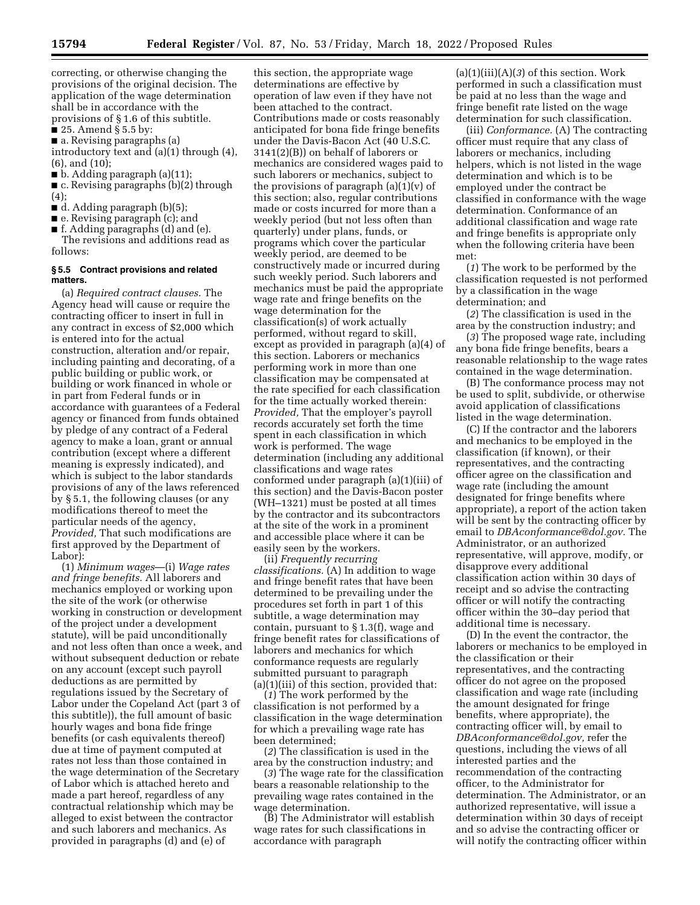correcting, or otherwise changing the provisions of the original decision. The application of the wage determination shall be in accordance with the provisions of § 1.6 of this subtitle.

 $\blacksquare$  25. Amend § 5.5 by:

■ a. Revising paragraphs (a)

introductory text and (a)(1) through (4), (6), and (10);

 $\blacksquare$  b. Adding paragraph (a)(11);

■ c. Revising paragraphs (b)(2) through  $(4)$ :

■ d. Adding paragraph (b)(5);

■ e. Revising paragraph (c); and

■ f. Adding paragraphs (d) and (e). The revisions and additions read as follows:

#### **§ 5.5 Contract provisions and related matters.**

(a) *Required contract clauses.* The Agency head will cause or require the contracting officer to insert in full in any contract in excess of \$2,000 which is entered into for the actual construction, alteration and/or repair, including painting and decorating, of a public building or public work, or building or work financed in whole or in part from Federal funds or in accordance with guarantees of a Federal agency or financed from funds obtained by pledge of any contract of a Federal agency to make a loan, grant or annual contribution (except where a different meaning is expressly indicated), and which is subject to the labor standards provisions of any of the laws referenced by § 5.1, the following clauses (or any modifications thereof to meet the particular needs of the agency, *Provided,* That such modifications are first approved by the Department of Labor):

(1) *Minimum wages*—(i) *Wage rates and fringe benefits.* All laborers and mechanics employed or working upon the site of the work (or otherwise working in construction or development of the project under a development statute), will be paid unconditionally and not less often than once a week, and without subsequent deduction or rebate on any account (except such payroll deductions as are permitted by regulations issued by the Secretary of Labor under the Copeland Act (part 3 of this subtitle)), the full amount of basic hourly wages and bona fide fringe benefits (or cash equivalents thereof) due at time of payment computed at rates not less than those contained in the wage determination of the Secretary of Labor which is attached hereto and made a part hereof, regardless of any contractual relationship which may be alleged to exist between the contractor and such laborers and mechanics. As provided in paragraphs (d) and (e) of

this section, the appropriate wage determinations are effective by operation of law even if they have not been attached to the contract. Contributions made or costs reasonably anticipated for bona fide fringe benefits under the Davis-Bacon Act (40 U.S.C. 3141(2)(B)) on behalf of laborers or mechanics are considered wages paid to such laborers or mechanics, subject to the provisions of paragraph  $(a)(1)(v)$  of this section; also, regular contributions made or costs incurred for more than a weekly period (but not less often than quarterly) under plans, funds, or programs which cover the particular weekly period, are deemed to be constructively made or incurred during such weekly period. Such laborers and mechanics must be paid the appropriate wage rate and fringe benefits on the wage determination for the classification(s) of work actually performed, without regard to skill, except as provided in paragraph (a)(4) of this section. Laborers or mechanics performing work in more than one classification may be compensated at the rate specified for each classification for the time actually worked therein: *Provided,* That the employer's payroll records accurately set forth the time spent in each classification in which work is performed. The wage determination (including any additional classifications and wage rates conformed under paragraph (a)(1)(iii) of this section) and the Davis-Bacon poster (WH–1321) must be posted at all times by the contractor and its subcontractors at the site of the work in a prominent and accessible place where it can be easily seen by the workers.

(ii) *Frequently recurring classifications.* (A) In addition to wage and fringe benefit rates that have been determined to be prevailing under the procedures set forth in part 1 of this subtitle, a wage determination may contain, pursuant to § 1.3(f), wage and fringe benefit rates for classifications of laborers and mechanics for which conformance requests are regularly submitted pursuant to paragraph (a)(1)(iii) of this section, provided that:

(*1*) The work performed by the classification is not performed by a classification in the wage determination for which a prevailing wage rate has been determined;

(*2*) The classification is used in the area by the construction industry; and

(*3*) The wage rate for the classification bears a reasonable relationship to the prevailing wage rates contained in the wage determination.

(B) The Administrator will establish wage rates for such classifications in accordance with paragraph

 $(a)(1)(iii)(A)(3)$  of this section. Work performed in such a classification must be paid at no less than the wage and fringe benefit rate listed on the wage determination for such classification.

(iii) *Conformance.* (A) The contracting officer must require that any class of laborers or mechanics, including helpers, which is not listed in the wage determination and which is to be employed under the contract be classified in conformance with the wage determination. Conformance of an additional classification and wage rate and fringe benefits is appropriate only when the following criteria have been met:

(*1*) The work to be performed by the classification requested is not performed by a classification in the wage determination; and

(*2*) The classification is used in the area by the construction industry; and

(*3*) The proposed wage rate, including any bona fide fringe benefits, bears a reasonable relationship to the wage rates contained in the wage determination.

(B) The conformance process may not be used to split, subdivide, or otherwise avoid application of classifications listed in the wage determination.

(C) If the contractor and the laborers and mechanics to be employed in the classification (if known), or their representatives, and the contracting officer agree on the classification and wage rate (including the amount designated for fringe benefits where appropriate), a report of the action taken will be sent by the contracting officer by email to *[DBAconformance@dol.gov.](mailto:DBAconformance@dol.gov)* The Administrator, or an authorized representative, will approve, modify, or disapprove every additional classification action within 30 days of receipt and so advise the contracting officer or will notify the contracting officer within the 30–day period that additional time is necessary.

(D) In the event the contractor, the laborers or mechanics to be employed in the classification or their representatives, and the contracting officer do not agree on the proposed classification and wage rate (including the amount designated for fringe benefits, where appropriate), the contracting officer will, by email to *[DBAconformance@dol.gov,](mailto:DBAconformance@dol.gov)* refer the questions, including the views of all interested parties and the recommendation of the contracting officer, to the Administrator for determination. The Administrator, or an authorized representative, will issue a determination within 30 days of receipt and so advise the contracting officer or will notify the contracting officer within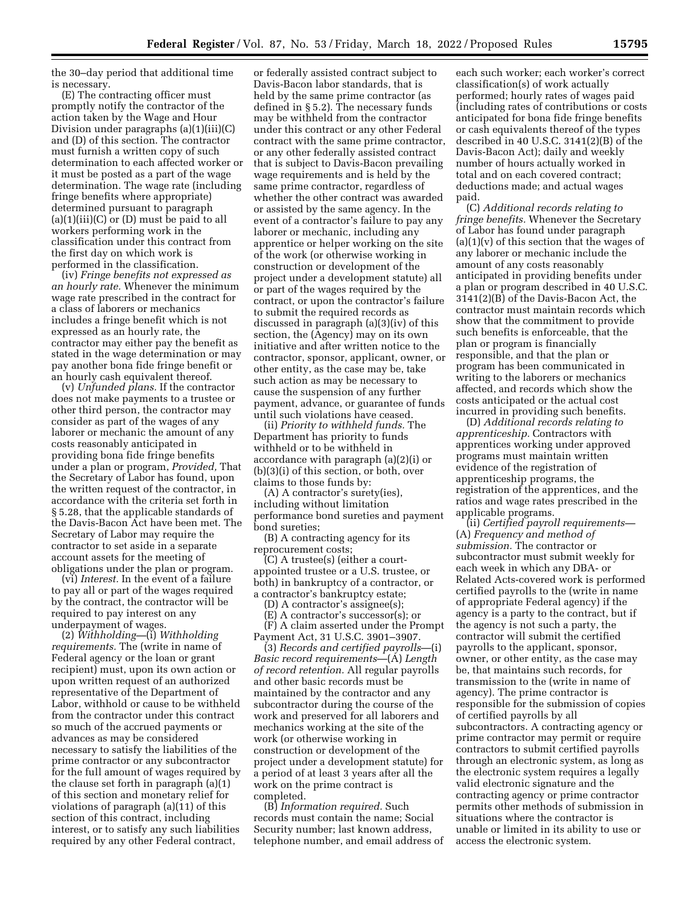the 30–day period that additional time is necessary.

(E) The contracting officer must promptly notify the contractor of the action taken by the Wage and Hour Division under paragraphs (a)(1)(iii)(C) and (D) of this section. The contractor must furnish a written copy of such determination to each affected worker or it must be posted as a part of the wage determination. The wage rate (including fringe benefits where appropriate) determined pursuant to paragraph  $(a)(1)(iii)(C)$  or  $(D)$  must be paid to all workers performing work in the classification under this contract from the first day on which work is performed in the classification.

(iv) *Fringe benefits not expressed as an hourly rate.* Whenever the minimum wage rate prescribed in the contract for a class of laborers or mechanics includes a fringe benefit which is not expressed as an hourly rate, the contractor may either pay the benefit as stated in the wage determination or may pay another bona fide fringe benefit or an hourly cash equivalent thereof.

(v) *Unfunded plans.* If the contractor does not make payments to a trustee or other third person, the contractor may consider as part of the wages of any laborer or mechanic the amount of any costs reasonably anticipated in providing bona fide fringe benefits under a plan or program, *Provided,* That the Secretary of Labor has found, upon the written request of the contractor, in accordance with the criteria set forth in § 5.28, that the applicable standards of the Davis-Bacon Act have been met. The Secretary of Labor may require the contractor to set aside in a separate account assets for the meeting of obligations under the plan or program.

(vi) *Interest.* In the event of a failure to pay all or part of the wages required by the contract, the contractor will be required to pay interest on any underpayment of wages.

(2) *Withholding—*(i) *Withholding requirements.* The (write in name of Federal agency or the loan or grant recipient) must, upon its own action or upon written request of an authorized representative of the Department of Labor, withhold or cause to be withheld from the contractor under this contract so much of the accrued payments or advances as may be considered necessary to satisfy the liabilities of the prime contractor or any subcontractor for the full amount of wages required by the clause set forth in paragraph (a)(1) of this section and monetary relief for violations of paragraph (a)(11) of this section of this contract, including interest, or to satisfy any such liabilities required by any other Federal contract,

or federally assisted contract subject to Davis-Bacon labor standards, that is held by the same prime contractor (as defined in § 5.2). The necessary funds may be withheld from the contractor under this contract or any other Federal contract with the same prime contractor, or any other federally assisted contract that is subject to Davis-Bacon prevailing wage requirements and is held by the same prime contractor, regardless of whether the other contract was awarded or assisted by the same agency. In the event of a contractor's failure to pay any laborer or mechanic, including any apprentice or helper working on the site of the work (or otherwise working in construction or development of the project under a development statute) all or part of the wages required by the contract, or upon the contractor's failure to submit the required records as discussed in paragraph (a)(3)(iv) of this section, the (Agency) may on its own initiative and after written notice to the contractor, sponsor, applicant, owner, or other entity, as the case may be, take such action as may be necessary to cause the suspension of any further payment, advance, or guarantee of funds until such violations have ceased.

(ii) *Priority to withheld funds.* The Department has priority to funds withheld or to be withheld in accordance with paragraph (a)(2)(i) or (b)(3)(i) of this section, or both, over claims to those funds by:

(A) A contractor's surety(ies), including without limitation performance bond sureties and payment bond sureties;

(B) A contracting agency for its reprocurement costs;

(C) A trustee(s) (either a courtappointed trustee or a U.S. trustee, or both) in bankruptcy of a contractor, or a contractor's bankruptcy estate;

(D) A contractor's assignee(s);

(E) A contractor's successor(s); or (F) A claim asserted under the Prompt

Payment Act, 31 U.S.C. 3901–3907.

(3) *Records and certified payrolls*—(i) *Basic record requirements*—(A) *Length of record retention.* All regular payrolls and other basic records must be maintained by the contractor and any subcontractor during the course of the work and preserved for all laborers and mechanics working at the site of the work (or otherwise working in construction or development of the project under a development statute) for a period of at least 3 years after all the work on the prime contract is completed.

(B) *Information required.* Such records must contain the name; Social Security number; last known address, telephone number, and email address of

each such worker; each worker's correct classification(s) of work actually performed; hourly rates of wages paid (including rates of contributions or costs anticipated for bona fide fringe benefits or cash equivalents thereof of the types described in 40 U.S.C. 3141(2)(B) of the Davis-Bacon Act); daily and weekly number of hours actually worked in total and on each covered contract; deductions made; and actual wages paid.

(C) *Additional records relating to fringe benefits.* Whenever the Secretary of Labor has found under paragraph  $(a)(1)(v)$  of this section that the wages of any laborer or mechanic include the amount of any costs reasonably anticipated in providing benefits under a plan or program described in 40 U.S.C. 3141(2)(B) of the Davis-Bacon Act, the contractor must maintain records which show that the commitment to provide such benefits is enforceable, that the plan or program is financially responsible, and that the plan or program has been communicated in writing to the laborers or mechanics affected, and records which show the costs anticipated or the actual cost incurred in providing such benefits.

(D) *Additional records relating to apprenticeship.* Contractors with apprentices working under approved programs must maintain written evidence of the registration of apprenticeship programs, the registration of the apprentices, and the ratios and wage rates prescribed in the applicable programs.

(ii) *Certified payroll requirements—*  (A) *Frequency and method of submission.* The contractor or subcontractor must submit weekly for each week in which any DBA- or Related Acts-covered work is performed certified payrolls to the (write in name of appropriate Federal agency) if the agency is a party to the contract, but if the agency is not such a party, the contractor will submit the certified payrolls to the applicant, sponsor, owner, or other entity, as the case may be, that maintains such records, for transmission to the (write in name of agency). The prime contractor is responsible for the submission of copies of certified payrolls by all subcontractors. A contracting agency or prime contractor may permit or require contractors to submit certified payrolls through an electronic system, as long as the electronic system requires a legally valid electronic signature and the contracting agency or prime contractor permits other methods of submission in situations where the contractor is unable or limited in its ability to use or access the electronic system.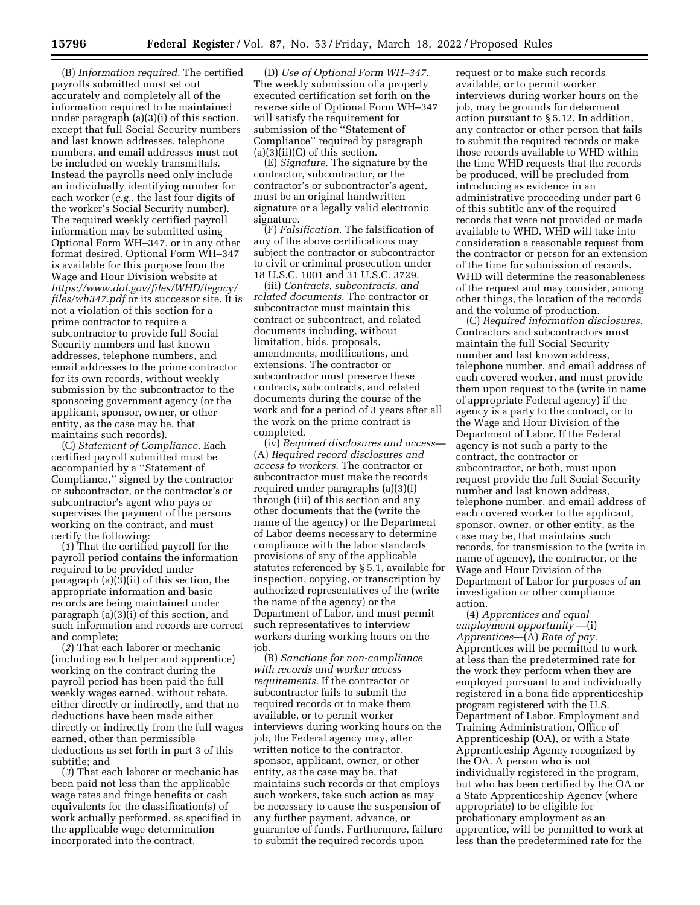(B) *Information required.* The certified payrolls submitted must set out accurately and completely all of the information required to be maintained under paragraph (a)(3)(i) of this section, except that full Social Security numbers and last known addresses, telephone numbers, and email addresses must not be included on weekly transmittals. Instead the payrolls need only include an individually identifying number for each worker (*e.g.,* the last four digits of the worker's Social Security number). The required weekly certified payroll information may be submitted using Optional Form WH–347, or in any other format desired. Optional Form WH–347 is available for this purpose from the Wage and Hour Division website at *[https://www.dol.gov/files/WHD/legacy/](https://www.dol.gov/files/WHD/legacy/files/wh347.pdf)  [files/wh347.pdf](https://www.dol.gov/files/WHD/legacy/files/wh347.pdf)* or its successor site. It is not a violation of this section for a prime contractor to require a subcontractor to provide full Social Security numbers and last known addresses, telephone numbers, and email addresses to the prime contractor for its own records, without weekly submission by the subcontractor to the sponsoring government agency (or the applicant, sponsor, owner, or other entity, as the case may be, that maintains such records).

(C) *Statement of Compliance.* Each certified payroll submitted must be accompanied by a ''Statement of Compliance,'' signed by the contractor or subcontractor, or the contractor's or subcontractor's agent who pays or supervises the payment of the persons working on the contract, and must certify the following:

(*1*) That the certified payroll for the payroll period contains the information required to be provided under paragraph (a)(3)(ii) of this section, the appropriate information and basic records are being maintained under paragraph (a)(3)(i) of this section, and such information and records are correct and complete;

(*2*) That each laborer or mechanic (including each helper and apprentice) working on the contract during the payroll period has been paid the full weekly wages earned, without rebate, either directly or indirectly, and that no deductions have been made either directly or indirectly from the full wages earned, other than permissible deductions as set forth in part 3 of this subtitle; and

(*3*) That each laborer or mechanic has been paid not less than the applicable wage rates and fringe benefits or cash equivalents for the classification(s) of work actually performed, as specified in the applicable wage determination incorporated into the contract.

(D) *Use of Optional Form WH–347.*  The weekly submission of a properly executed certification set forth on the reverse side of Optional Form WH–347 will satisfy the requirement for submission of the ''Statement of Compliance'' required by paragraph  $(a)(3)(ii)(C)$  of this section.

(E) *Signature.* The signature by the contractor, subcontractor, or the contractor's or subcontractor's agent, must be an original handwritten signature or a legally valid electronic signature.

(F) *Falsification.* The falsification of any of the above certifications may subject the contractor or subcontractor to civil or criminal prosecution under 18 U.S.C. 1001 and 31 U.S.C. 3729.

(iii) *Contracts, subcontracts, and related documents.* The contractor or subcontractor must maintain this contract or subcontract, and related documents including, without limitation, bids, proposals, amendments, modifications, and extensions. The contractor or subcontractor must preserve these contracts, subcontracts, and related documents during the course of the work and for a period of 3 years after all the work on the prime contract is completed.

(iv) *Required disclosures and access—*  (A) *Required record disclosures and access to workers.* The contractor or subcontractor must make the records required under paragraphs (a)(3)(i) through (iii) of this section and any other documents that the (write the name of the agency) or the Department of Labor deems necessary to determine compliance with the labor standards provisions of any of the applicable statutes referenced by § 5.1, available for inspection, copying, or transcription by authorized representatives of the (write the name of the agency) or the Department of Labor, and must permit such representatives to interview workers during working hours on the job.

(B) *Sanctions for non-compliance with records and worker access requirements.* If the contractor or subcontractor fails to submit the required records or to make them available, or to permit worker interviews during working hours on the job, the Federal agency may, after written notice to the contractor, sponsor, applicant, owner, or other entity, as the case may be, that maintains such records or that employs such workers, take such action as may be necessary to cause the suspension of any further payment, advance, or guarantee of funds. Furthermore, failure to submit the required records upon

request or to make such records available, or to permit worker interviews during worker hours on the job, may be grounds for debarment action pursuant to § 5.12. In addition, any contractor or other person that fails to submit the required records or make those records available to WHD within the time WHD requests that the records be produced, will be precluded from introducing as evidence in an administrative proceeding under part 6 of this subtitle any of the required records that were not provided or made available to WHD. WHD will take into consideration a reasonable request from the contractor or person for an extension of the time for submission of records. WHD will determine the reasonableness of the request and may consider, among other things, the location of the records and the volume of production.

(C) *Required information disclosures.*  Contractors and subcontractors must maintain the full Social Security number and last known address, telephone number, and email address of each covered worker, and must provide them upon request to the (write in name of appropriate Federal agency) if the agency is a party to the contract, or to the Wage and Hour Division of the Department of Labor. If the Federal agency is not such a party to the contract, the contractor or subcontractor, or both, must upon request provide the full Social Security number and last known address, telephone number, and email address of each covered worker to the applicant, sponsor, owner, or other entity, as the case may be, that maintains such records, for transmission to the (write in name of agency), the contractor, or the Wage and Hour Division of the Department of Labor for purposes of an investigation or other compliance action.

(4) *Apprentices and equal employment opportunity* —(i) *Apprentices*—(A) *Rate of pay.*  Apprentices will be permitted to work at less than the predetermined rate for the work they perform when they are employed pursuant to and individually registered in a bona fide apprenticeship program registered with the U.S. Department of Labor, Employment and Training Administration, Office of Apprenticeship (OA), or with a State Apprenticeship Agency recognized by the OA. A person who is not individually registered in the program, but who has been certified by the OA or a State Apprenticeship Agency (where appropriate) to be eligible for probationary employment as an apprentice, will be permitted to work at less than the predetermined rate for the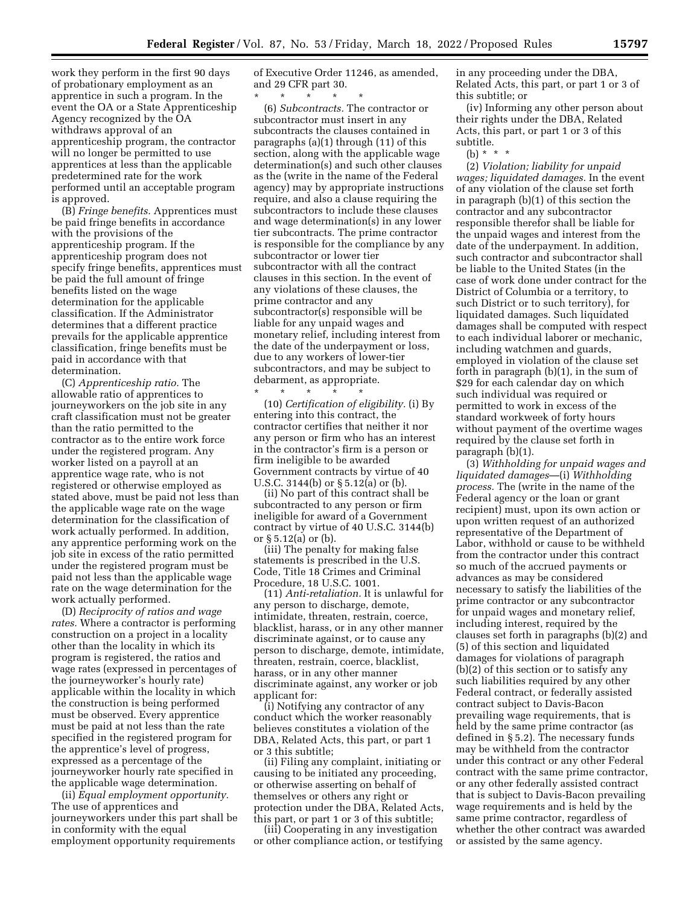work they perform in the first 90 days of probationary employment as an apprentice in such a program. In the event the OA or a State Apprenticeship Agency recognized by the OA withdraws approval of an apprenticeship program, the contractor will no longer be permitted to use apprentices at less than the applicable predetermined rate for the work performed until an acceptable program is approved.

(B) *Fringe benefits.* Apprentices must be paid fringe benefits in accordance with the provisions of the apprenticeship program. If the apprenticeship program does not specify fringe benefits, apprentices must be paid the full amount of fringe benefits listed on the wage determination for the applicable classification. If the Administrator determines that a different practice prevails for the applicable apprentice classification, fringe benefits must be paid in accordance with that determination.

(C) *Apprenticeship ratio.* The allowable ratio of apprentices to journeyworkers on the job site in any craft classification must not be greater than the ratio permitted to the contractor as to the entire work force under the registered program. Any worker listed on a payroll at an apprentice wage rate, who is not registered or otherwise employed as stated above, must be paid not less than the applicable wage rate on the wage determination for the classification of work actually performed. In addition, any apprentice performing work on the job site in excess of the ratio permitted under the registered program must be paid not less than the applicable wage rate on the wage determination for the work actually performed.

(D) *Reciprocity of ratios and wage rates.* Where a contractor is performing construction on a project in a locality other than the locality in which its program is registered, the ratios and wage rates (expressed in percentages of the journeyworker's hourly rate) applicable within the locality in which the construction is being performed must be observed. Every apprentice must be paid at not less than the rate specified in the registered program for the apprentice's level of progress, expressed as a percentage of the journeyworker hourly rate specified in the applicable wage determination.

(ii) *Equal employment opportunity.*  The use of apprentices and journeyworkers under this part shall be in conformity with the equal employment opportunity requirements

of Executive Order 11246, as amended, and 29 CFR part 30.

\* \* \* \* \* (6) *Subcontracts.* The contractor or subcontractor must insert in any subcontracts the clauses contained in paragraphs (a)(1) through (11) of this section, along with the applicable wage determination(s) and such other clauses as the (write in the name of the Federal agency) may by appropriate instructions require, and also a clause requiring the subcontractors to include these clauses and wage determination(s) in any lower tier subcontracts. The prime contractor is responsible for the compliance by any subcontractor or lower tier subcontractor with all the contract clauses in this section. In the event of any violations of these clauses, the prime contractor and any subcontractor(s) responsible will be liable for any unpaid wages and monetary relief, including interest from the date of the underpayment or loss, due to any workers of lower-tier subcontractors, and may be subject to debarment, as appropriate.

\* \* \* \* \* (10) *Certification of eligibility.* (i) By entering into this contract, the contractor certifies that neither it nor any person or firm who has an interest in the contractor's firm is a person or firm ineligible to be awarded Government contracts by virtue of 40 U.S.C. 3144(b) or § 5.12(a) or (b).

(ii) No part of this contract shall be subcontracted to any person or firm ineligible for award of a Government contract by virtue of 40 U.S.C. 3144(b) or § 5.12(a) or (b).

(iii) The penalty for making false statements is prescribed in the U.S. Code, Title 18 Crimes and Criminal Procedure, 18 U.S.C. 1001.

(11) *Anti-retaliation.* It is unlawful for any person to discharge, demote, intimidate, threaten, restrain, coerce, blacklist, harass, or in any other manner discriminate against, or to cause any person to discharge, demote, intimidate, threaten, restrain, coerce, blacklist, harass, or in any other manner discriminate against, any worker or job applicant for:

(i) Notifying any contractor of any conduct which the worker reasonably believes constitutes a violation of the DBA, Related Acts, this part, or part 1 or 3 this subtitle;

(ii) Filing any complaint, initiating or causing to be initiated any proceeding, or otherwise asserting on behalf of themselves or others any right or protection under the DBA, Related Acts, this part, or part 1 or 3 of this subtitle;

(iii) Cooperating in any investigation or other compliance action, or testifying in any proceeding under the DBA, Related Acts, this part, or part 1 or 3 of this subtitle; or

(iv) Informing any other person about their rights under the DBA, Related Acts, this part, or part 1 or 3 of this subtitle.

(2) *Violation; liability for unpaid wages; liquidated damages.* In the event of any violation of the clause set forth in paragraph (b)(1) of this section the contractor and any subcontractor responsible therefor shall be liable for the unpaid wages and interest from the date of the underpayment. In addition, such contractor and subcontractor shall be liable to the United States (in the case of work done under contract for the District of Columbia or a territory, to such District or to such territory), for liquidated damages. Such liquidated damages shall be computed with respect to each individual laborer or mechanic, including watchmen and guards, employed in violation of the clause set forth in paragraph (b)(1), in the sum of \$29 for each calendar day on which such individual was required or permitted to work in excess of the standard workweek of forty hours without payment of the overtime wages required by the clause set forth in paragraph (b)(1).

(3) *Withholding for unpaid wages and liquidated damages*—(i) *Withholding process.* The (write in the name of the Federal agency or the loan or grant recipient) must, upon its own action or upon written request of an authorized representative of the Department of Labor, withhold or cause to be withheld from the contractor under this contract so much of the accrued payments or advances as may be considered necessary to satisfy the liabilities of the prime contractor or any subcontractor for unpaid wages and monetary relief, including interest, required by the clauses set forth in paragraphs (b)(2) and (5) of this section and liquidated damages for violations of paragraph (b)(2) of this section or to satisfy any such liabilities required by any other Federal contract, or federally assisted contract subject to Davis-Bacon prevailing wage requirements, that is held by the same prime contractor (as defined in § 5.2). The necessary funds may be withheld from the contractor under this contract or any other Federal contract with the same prime contractor, or any other federally assisted contract that is subject to Davis-Bacon prevailing wage requirements and is held by the same prime contractor, regardless of whether the other contract was awarded or assisted by the same agency.

<sup>(</sup>b) \* \* \*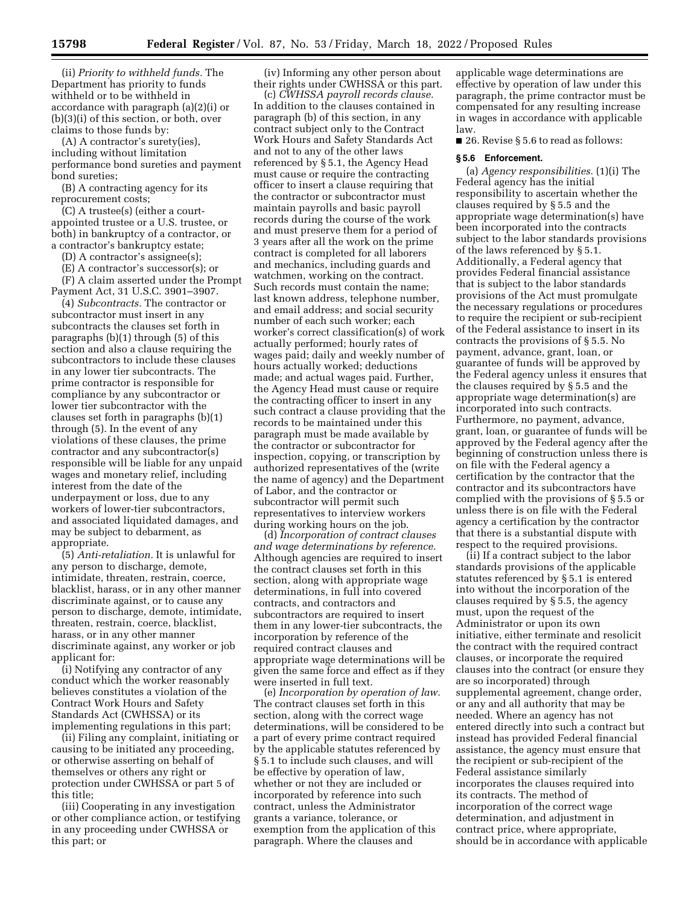(ii) *Priority to withheld funds.* The Department has priority to funds withheld or to be withheld in accordance with paragraph (a)(2)(i) or (b)(3)(i) of this section, or both, over claims to those funds by:

(A) A contractor's surety(ies), including without limitation performance bond sureties and payment bond sureties;

(B) A contracting agency for its reprocurement costs;

(C) A trustee(s) (either a courtappointed trustee or a U.S. trustee, or both) in bankruptcy of a contractor, or a contractor's bankruptcy estate;

(D) A contractor's assignee(s);

(E) A contractor's successor(s); or

(F) A claim asserted under the Prompt Payment Act, 31 U.S.C. 3901–3907.

(4) *Subcontracts.* The contractor or subcontractor must insert in any subcontracts the clauses set forth in paragraphs (b)(1) through (5) of this section and also a clause requiring the subcontractors to include these clauses in any lower tier subcontracts. The prime contractor is responsible for compliance by any subcontractor or lower tier subcontractor with the clauses set forth in paragraphs (b)(1) through (5). In the event of any violations of these clauses, the prime contractor and any subcontractor(s) responsible will be liable for any unpaid wages and monetary relief, including interest from the date of the underpayment or loss, due to any workers of lower-tier subcontractors, and associated liquidated damages, and may be subject to debarment, as appropriate.

(5) *Anti-retaliation.* It is unlawful for any person to discharge, demote, intimidate, threaten, restrain, coerce, blacklist, harass, or in any other manner discriminate against, or to cause any person to discharge, demote, intimidate, threaten, restrain, coerce, blacklist, harass, or in any other manner discriminate against, any worker or job applicant for:

(i) Notifying any contractor of any conduct which the worker reasonably believes constitutes a violation of the Contract Work Hours and Safety Standards Act (CWHSSA) or its implementing regulations in this part;

(ii) Filing any complaint, initiating or causing to be initiated any proceeding, or otherwise asserting on behalf of themselves or others any right or protection under CWHSSA or part 5 of this title;

(iii) Cooperating in any investigation or other compliance action, or testifying in any proceeding under CWHSSA or this part; or

(iv) Informing any other person about their rights under CWHSSA or this part.

(c) *CWHSSA payroll records clause.*  In addition to the clauses contained in paragraph (b) of this section, in any contract subject only to the Contract Work Hours and Safety Standards Act and not to any of the other laws referenced by § 5.1, the Agency Head must cause or require the contracting officer to insert a clause requiring that the contractor or subcontractor must maintain payrolls and basic payroll records during the course of the work and must preserve them for a period of 3 years after all the work on the prime contract is completed for all laborers and mechanics, including guards and watchmen, working on the contract. Such records must contain the name; last known address, telephone number, and email address; and social security number of each such worker; each worker's correct classification(s) of work actually performed; hourly rates of wages paid; daily and weekly number of hours actually worked; deductions made; and actual wages paid. Further, the Agency Head must cause or require the contracting officer to insert in any such contract a clause providing that the records to be maintained under this paragraph must be made available by the contractor or subcontractor for inspection, copying, or transcription by authorized representatives of the (write the name of agency) and the Department of Labor, and the contractor or subcontractor will permit such representatives to interview workers during working hours on the job.

(d) *Incorporation of contract clauses and wage determinations by reference.*  Although agencies are required to insert the contract clauses set forth in this section, along with appropriate wage determinations, in full into covered contracts, and contractors and subcontractors are required to insert them in any lower-tier subcontracts, the incorporation by reference of the required contract clauses and appropriate wage determinations will be given the same force and effect as if they were inserted in full text.

(e) *Incorporation by operation of law.*  The contract clauses set forth in this section, along with the correct wage determinations, will be considered to be a part of every prime contract required by the applicable statutes referenced by § 5.1 to include such clauses, and will be effective by operation of law, whether or not they are included or incorporated by reference into such contract, unless the Administrator grants a variance, tolerance, or exemption from the application of this paragraph. Where the clauses and

applicable wage determinations are effective by operation of law under this paragraph, the prime contractor must be compensated for any resulting increase in wages in accordance with applicable law.

■ 26. Revise § 5.6 to read as follows:

#### **§ 5.6 Enforcement.**

(a) *Agency responsibilities.* (1)(i) The Federal agency has the initial responsibility to ascertain whether the clauses required by § 5.5 and the appropriate wage determination(s) have been incorporated into the contracts subject to the labor standards provisions of the laws referenced by § 5.1. Additionally, a Federal agency that provides Federal financial assistance that is subject to the labor standards provisions of the Act must promulgate the necessary regulations or procedures to require the recipient or sub-recipient of the Federal assistance to insert in its contracts the provisions of § 5.5. No payment, advance, grant, loan, or guarantee of funds will be approved by the Federal agency unless it ensures that the clauses required by § 5.5 and the appropriate wage determination(s) are incorporated into such contracts. Furthermore, no payment, advance, grant, loan, or guarantee of funds will be approved by the Federal agency after the beginning of construction unless there is on file with the Federal agency a certification by the contractor that the contractor and its subcontractors have complied with the provisions of § 5.5 or unless there is on file with the Federal agency a certification by the contractor that there is a substantial dispute with respect to the required provisions.

(ii) If a contract subject to the labor standards provisions of the applicable statutes referenced by § 5.1 is entered into without the incorporation of the clauses required by § 5.5, the agency must, upon the request of the Administrator or upon its own initiative, either terminate and resolicit the contract with the required contract clauses, or incorporate the required clauses into the contract (or ensure they are so incorporated) through supplemental agreement, change order, or any and all authority that may be needed. Where an agency has not entered directly into such a contract but instead has provided Federal financial assistance, the agency must ensure that the recipient or sub-recipient of the Federal assistance similarly incorporates the clauses required into its contracts. The method of incorporation of the correct wage determination, and adjustment in contract price, where appropriate, should be in accordance with applicable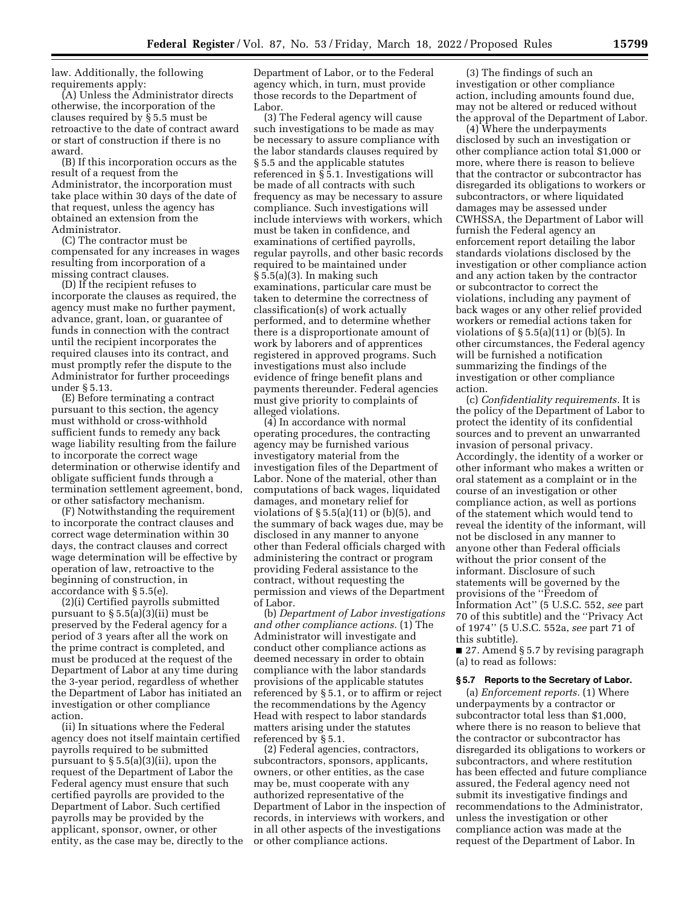law. Additionally, the following requirements apply:

(A) Unless the Administrator directs otherwise, the incorporation of the clauses required by § 5.5 must be retroactive to the date of contract award or start of construction if there is no award.

(B) If this incorporation occurs as the result of a request from the Administrator, the incorporation must take place within 30 days of the date of that request, unless the agency has obtained an extension from the Administrator.

(C) The contractor must be compensated for any increases in wages resulting from incorporation of a missing contract clauses.

(D) If the recipient refuses to incorporate the clauses as required, the agency must make no further payment, advance, grant, loan, or guarantee of funds in connection with the contract until the recipient incorporates the required clauses into its contract, and must promptly refer the dispute to the Administrator for further proceedings under § 5.13.

(E) Before terminating a contract pursuant to this section, the agency must withhold or cross-withhold sufficient funds to remedy any back wage liability resulting from the failure to incorporate the correct wage determination or otherwise identify and obligate sufficient funds through a termination settlement agreement, bond, or other satisfactory mechanism.

(F) Notwithstanding the requirement to incorporate the contract clauses and correct wage determination within 30 days, the contract clauses and correct wage determination will be effective by operation of law, retroactive to the beginning of construction, in accordance with § 5.5(e).

(2)(i) Certified payrolls submitted pursuant to § 5.5(a)(3)(ii) must be preserved by the Federal agency for a period of 3 years after all the work on the prime contract is completed, and must be produced at the request of the Department of Labor at any time during the 3-year period, regardless of whether the Department of Labor has initiated an investigation or other compliance action.

(ii) In situations where the Federal agency does not itself maintain certified payrolls required to be submitted pursuant to § 5.5(a)(3)(ii), upon the request of the Department of Labor the Federal agency must ensure that such certified payrolls are provided to the Department of Labor. Such certified payrolls may be provided by the applicant, sponsor, owner, or other entity, as the case may be, directly to the Department of Labor, or to the Federal agency which, in turn, must provide those records to the Department of Labor.

(3) The Federal agency will cause such investigations to be made as may be necessary to assure compliance with the labor standards clauses required by § 5.5 and the applicable statutes referenced in § 5.1. Investigations will be made of all contracts with such frequency as may be necessary to assure compliance. Such investigations will include interviews with workers, which must be taken in confidence, and examinations of certified payrolls, regular payrolls, and other basic records required to be maintained under § 5.5(a)(3). In making such examinations, particular care must be taken to determine the correctness of classification(s) of work actually performed, and to determine whether there is a disproportionate amount of work by laborers and of apprentices registered in approved programs. Such investigations must also include evidence of fringe benefit plans and payments thereunder. Federal agencies must give priority to complaints of alleged violations.

(4) In accordance with normal operating procedures, the contracting agency may be furnished various investigatory material from the investigation files of the Department of Labor. None of the material, other than computations of back wages, liquidated damages, and monetary relief for violations of  $\S 5.5(a)(11)$  or (b)(5), and the summary of back wages due, may be disclosed in any manner to anyone other than Federal officials charged with administering the contract or program providing Federal assistance to the contract, without requesting the permission and views of the Department of Labor.

(b) *Department of Labor investigations and other compliance actions.* (1) The Administrator will investigate and conduct other compliance actions as deemed necessary in order to obtain compliance with the labor standards provisions of the applicable statutes referenced by § 5.1, or to affirm or reject the recommendations by the Agency Head with respect to labor standards matters arising under the statutes referenced by § 5.1.

(2) Federal agencies, contractors, subcontractors, sponsors, applicants, owners, or other entities, as the case may be, must cooperate with any authorized representative of the Department of Labor in the inspection of records, in interviews with workers, and in all other aspects of the investigations or other compliance actions.

(3) The findings of such an investigation or other compliance action, including amounts found due, may not be altered or reduced without the approval of the Department of Labor.

(4) Where the underpayments disclosed by such an investigation or other compliance action total \$1,000 or more, where there is reason to believe that the contractor or subcontractor has disregarded its obligations to workers or subcontractors, or where liquidated damages may be assessed under CWHSSA, the Department of Labor will furnish the Federal agency an enforcement report detailing the labor standards violations disclosed by the investigation or other compliance action and any action taken by the contractor or subcontractor to correct the violations, including any payment of back wages or any other relief provided workers or remedial actions taken for violations of  $\S 5.5(a)(11)$  or (b)(5). In other circumstances, the Federal agency will be furnished a notification summarizing the findings of the investigation or other compliance action.

(c) *Confidentiality requirements.* It is the policy of the Department of Labor to protect the identity of its confidential sources and to prevent an unwarranted invasion of personal privacy. Accordingly, the identity of a worker or other informant who makes a written or oral statement as a complaint or in the course of an investigation or other compliance action, as well as portions of the statement which would tend to reveal the identity of the informant, will not be disclosed in any manner to anyone other than Federal officials without the prior consent of the informant. Disclosure of such statements will be governed by the provisions of the ''Freedom of Information Act'' (5 U.S.C. 552, *see* part 70 of this subtitle) and the ''Privacy Act of 1974'' (5 U.S.C. 552a, *see* part 71 of this subtitle).

■ 27. Amend § 5.7 by revising paragraph (a) to read as follows:

#### **§ 5.7 Reports to the Secretary of Labor.**

(a) *Enforcement reports.* (1) Where underpayments by a contractor or subcontractor total less than \$1,000, where there is no reason to believe that the contractor or subcontractor has disregarded its obligations to workers or subcontractors, and where restitution has been effected and future compliance assured, the Federal agency need not submit its investigative findings and recommendations to the Administrator, unless the investigation or other compliance action was made at the request of the Department of Labor. In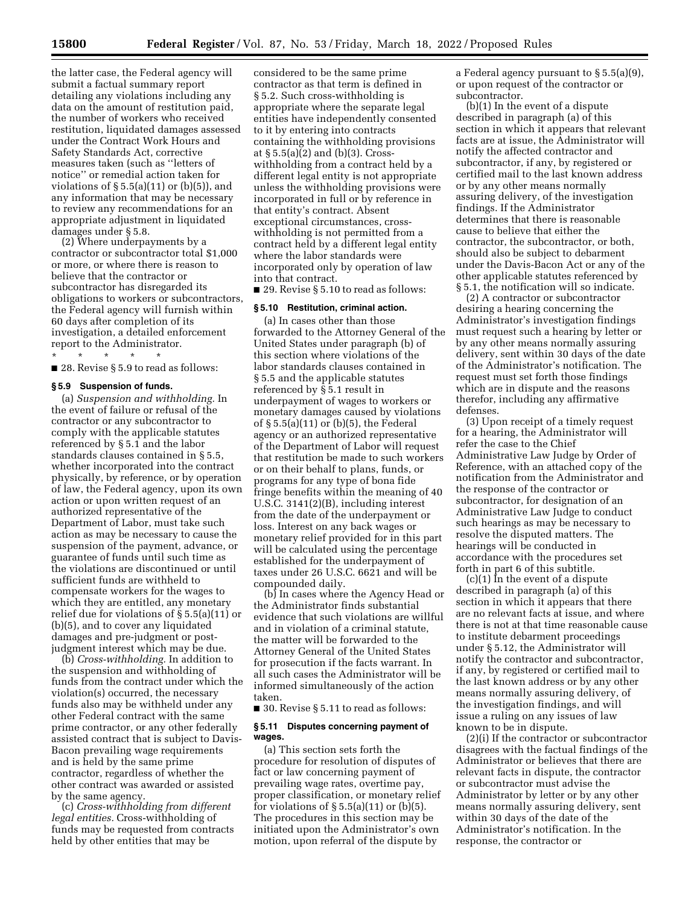the latter case, the Federal agency will submit a factual summary report detailing any violations including any data on the amount of restitution paid, the number of workers who received restitution, liquidated damages assessed under the Contract Work Hours and Safety Standards Act, corrective measures taken (such as ''letters of notice'' or remedial action taken for violations of  $\S 5.5(a)(11)$  or  $(b)(5)$ , and any information that may be necessary to review any recommendations for an appropriate adjustment in liquidated damages under § 5.8.

(2) Where underpayments by a contractor or subcontractor total \$1,000 or more, or where there is reason to believe that the contractor or subcontractor has disregarded its obligations to workers or subcontractors, the Federal agency will furnish within 60 days after completion of its investigation, a detailed enforcement report to the Administrator. \* \* \* \* \*

■ 28. Revise § 5.9 to read as follows:

#### **§ 5.9 Suspension of funds.**

(a) *Suspension and withholding.* In the event of failure or refusal of the contractor or any subcontractor to comply with the applicable statutes referenced by § 5.1 and the labor standards clauses contained in § 5.5, whether incorporated into the contract physically, by reference, or by operation of law, the Federal agency, upon its own action or upon written request of an authorized representative of the Department of Labor, must take such action as may be necessary to cause the suspension of the payment, advance, or guarantee of funds until such time as the violations are discontinued or until sufficient funds are withheld to compensate workers for the wages to which they are entitled, any monetary relief due for violations of § 5.5(a)(11) or (b)(5), and to cover any liquidated damages and pre-judgment or postjudgment interest which may be due.

(b) *Cross-withholding.* In addition to the suspension and withholding of funds from the contract under which the violation(s) occurred, the necessary funds also may be withheld under any other Federal contract with the same prime contractor, or any other federally assisted contract that is subject to Davis-Bacon prevailing wage requirements and is held by the same prime contractor, regardless of whether the other contract was awarded or assisted by the same agency.

(c) *Cross-withholding from different legal entities.* Cross-withholding of funds may be requested from contracts held by other entities that may be

considered to be the same prime contractor as that term is defined in § 5.2. Such cross-withholding is appropriate where the separate legal entities have independently consented to it by entering into contracts containing the withholding provisions at § 5.5(a)(2) and (b)(3). Crosswithholding from a contract held by a different legal entity is not appropriate unless the withholding provisions were incorporated in full or by reference in that entity's contract. Absent exceptional circumstances, crosswithholding is not permitted from a contract held by a different legal entity where the labor standards were incorporated only by operation of law into that contract.

■ 29. Revise § 5.10 to read as follows:

### **§ 5.10 Restitution, criminal action.**

(a) In cases other than those forwarded to the Attorney General of the United States under paragraph (b) of this section where violations of the labor standards clauses contained in § 5.5 and the applicable statutes referenced by § 5.1 result in underpayment of wages to workers or monetary damages caused by violations of § 5.5(a)(11) or (b)(5), the Federal agency or an authorized representative of the Department of Labor will request that restitution be made to such workers or on their behalf to plans, funds, or programs for any type of bona fide fringe benefits within the meaning of 40 U.S.C. 3141(2)(B), including interest from the date of the underpayment or loss. Interest on any back wages or monetary relief provided for in this part will be calculated using the percentage established for the underpayment of taxes under 26 U.S.C. 6621 and will be compounded daily.

(b) In cases where the Agency Head or the Administrator finds substantial evidence that such violations are willful and in violation of a criminal statute, the matter will be forwarded to the Attorney General of the United States for prosecution if the facts warrant. In all such cases the Administrator will be informed simultaneously of the action taken.

■ 30. Revise § 5.11 to read as follows:

#### **§ 5.11 Disputes concerning payment of wages.**

(a) This section sets forth the procedure for resolution of disputes of fact or law concerning payment of prevailing wage rates, overtime pay, proper classification, or monetary relief for violations of  $\S 5.5(a)(11)$  or (b)(5). The procedures in this section may be initiated upon the Administrator's own motion, upon referral of the dispute by

a Federal agency pursuant to § 5.5(a)(9), or upon request of the contractor or subcontractor.

(b)(1) In the event of a dispute described in paragraph (a) of this section in which it appears that relevant facts are at issue, the Administrator will notify the affected contractor and subcontractor, if any, by registered or certified mail to the last known address or by any other means normally assuring delivery, of the investigation findings. If the Administrator determines that there is reasonable cause to believe that either the contractor, the subcontractor, or both, should also be subject to debarment under the Davis-Bacon Act or any of the other applicable statutes referenced by § 5.1, the notification will so indicate.

(2) A contractor or subcontractor desiring a hearing concerning the Administrator's investigation findings must request such a hearing by letter or by any other means normally assuring delivery, sent within 30 days of the date of the Administrator's notification. The request must set forth those findings which are in dispute and the reasons therefor, including any affirmative defenses.

(3) Upon receipt of a timely request for a hearing, the Administrator will refer the case to the Chief Administrative Law Judge by Order of Reference, with an attached copy of the notification from the Administrator and the response of the contractor or subcontractor, for designation of an Administrative Law Judge to conduct such hearings as may be necessary to resolve the disputed matters. The hearings will be conducted in accordance with the procedures set forth in part 6 of this subtitle.

(c)(1) In the event of a dispute described in paragraph (a) of this section in which it appears that there are no relevant facts at issue, and where there is not at that time reasonable cause to institute debarment proceedings under § 5.12, the Administrator will notify the contractor and subcontractor, if any, by registered or certified mail to the last known address or by any other means normally assuring delivery, of the investigation findings, and will issue a ruling on any issues of law known to be in dispute.

(2)(i) If the contractor or subcontractor disagrees with the factual findings of the Administrator or believes that there are relevant facts in dispute, the contractor or subcontractor must advise the Administrator by letter or by any other means normally assuring delivery, sent within 30 days of the date of the Administrator's notification. In the response, the contractor or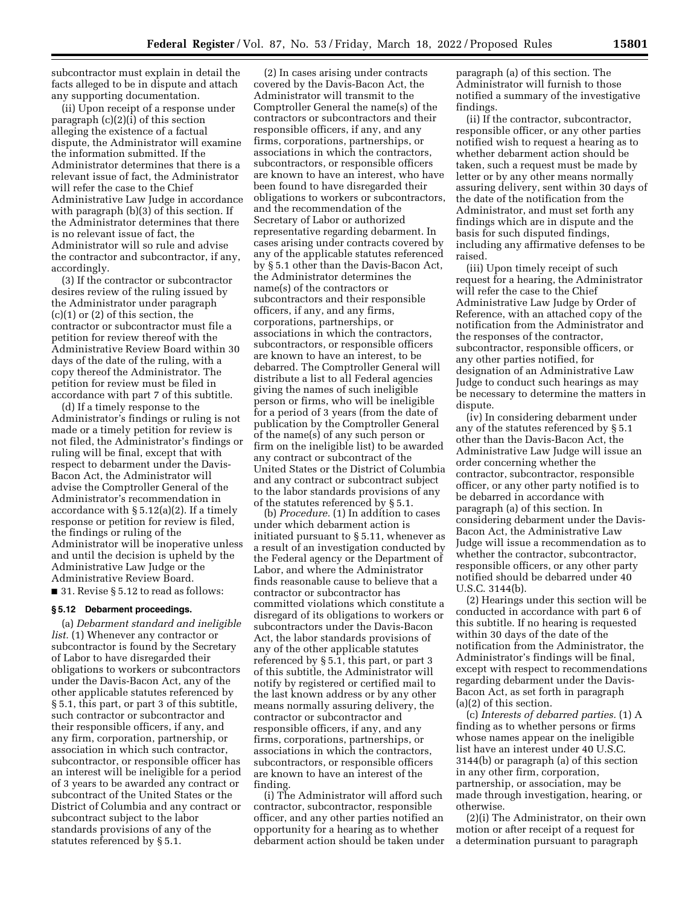subcontractor must explain in detail the facts alleged to be in dispute and attach any supporting documentation.

(ii) Upon receipt of a response under paragraph (c)(2)(i) of this section alleging the existence of a factual dispute, the Administrator will examine the information submitted. If the Administrator determines that there is a relevant issue of fact, the Administrator will refer the case to the Chief Administrative Law Judge in accordance with paragraph (b)(3) of this section. If the Administrator determines that there is no relevant issue of fact, the Administrator will so rule and advise the contractor and subcontractor, if any, accordingly.

(3) If the contractor or subcontractor desires review of the ruling issued by the Administrator under paragraph (c)(1) or (2) of this section, the contractor or subcontractor must file a petition for review thereof with the Administrative Review Board within 30 days of the date of the ruling, with a copy thereof the Administrator. The petition for review must be filed in accordance with part 7 of this subtitle.

(d) If a timely response to the Administrator's findings or ruling is not made or a timely petition for review is not filed, the Administrator's findings or ruling will be final, except that with respect to debarment under the Davis-Bacon Act, the Administrator will advise the Comptroller General of the Administrator's recommendation in accordance with § 5.12(a)(2). If a timely response or petition for review is filed, the findings or ruling of the Administrator will be inoperative unless and until the decision is upheld by the Administrative Law Judge or the Administrative Review Board.

■ 31. Revise § 5.12 to read as follows:

#### **§ 5.12 Debarment proceedings.**

(a) *Debarment standard and ineligible list.* (1) Whenever any contractor or subcontractor is found by the Secretary of Labor to have disregarded their obligations to workers or subcontractors under the Davis-Bacon Act, any of the other applicable statutes referenced by § 5.1, this part, or part 3 of this subtitle, such contractor or subcontractor and their responsible officers, if any, and any firm, corporation, partnership, or association in which such contractor, subcontractor, or responsible officer has an interest will be ineligible for a period of 3 years to be awarded any contract or subcontract of the United States or the District of Columbia and any contract or subcontract subject to the labor standards provisions of any of the statutes referenced by § 5.1.

(2) In cases arising under contracts covered by the Davis-Bacon Act, the Administrator will transmit to the Comptroller General the name(s) of the contractors or subcontractors and their responsible officers, if any, and any firms, corporations, partnerships, or associations in which the contractors, subcontractors, or responsible officers are known to have an interest, who have been found to have disregarded their obligations to workers or subcontractors, and the recommendation of the Secretary of Labor or authorized representative regarding debarment. In cases arising under contracts covered by any of the applicable statutes referenced by § 5.1 other than the Davis-Bacon Act, the Administrator determines the name(s) of the contractors or subcontractors and their responsible officers, if any, and any firms, corporations, partnerships, or associations in which the contractors, subcontractors, or responsible officers are known to have an interest, to be debarred. The Comptroller General will distribute a list to all Federal agencies giving the names of such ineligible person or firms, who will be ineligible for a period of 3 years (from the date of publication by the Comptroller General of the name(s) of any such person or firm on the ineligible list) to be awarded any contract or subcontract of the United States or the District of Columbia and any contract or subcontract subject to the labor standards provisions of any of the statutes referenced by § 5.1.

(b) *Procedure.* (1) In addition to cases under which debarment action is initiated pursuant to § 5.11, whenever as a result of an investigation conducted by the Federal agency or the Department of Labor, and where the Administrator finds reasonable cause to believe that a contractor or subcontractor has committed violations which constitute a disregard of its obligations to workers or subcontractors under the Davis-Bacon Act, the labor standards provisions of any of the other applicable statutes referenced by § 5.1, this part, or part 3 of this subtitle, the Administrator will notify by registered or certified mail to the last known address or by any other means normally assuring delivery, the contractor or subcontractor and responsible officers, if any, and any firms, corporations, partnerships, or associations in which the contractors, subcontractors, or responsible officers are known to have an interest of the finding.

(i) The Administrator will afford such contractor, subcontractor, responsible officer, and any other parties notified an opportunity for a hearing as to whether debarment action should be taken under

paragraph (a) of this section. The Administrator will furnish to those notified a summary of the investigative findings.

(ii) If the contractor, subcontractor, responsible officer, or any other parties notified wish to request a hearing as to whether debarment action should be taken, such a request must be made by letter or by any other means normally assuring delivery, sent within 30 days of the date of the notification from the Administrator, and must set forth any findings which are in dispute and the basis for such disputed findings, including any affirmative defenses to be raised.

(iii) Upon timely receipt of such request for a hearing, the Administrator will refer the case to the Chief Administrative Law Judge by Order of Reference, with an attached copy of the notification from the Administrator and the responses of the contractor, subcontractor, responsible officers, or any other parties notified, for designation of an Administrative Law Judge to conduct such hearings as may be necessary to determine the matters in dispute.

(iv) In considering debarment under any of the statutes referenced by § 5.1 other than the Davis-Bacon Act, the Administrative Law Judge will issue an order concerning whether the contractor, subcontractor, responsible officer, or any other party notified is to be debarred in accordance with paragraph (a) of this section. In considering debarment under the Davis-Bacon Act, the Administrative Law Judge will issue a recommendation as to whether the contractor, subcontractor, responsible officers, or any other party notified should be debarred under 40 U.S.C. 3144(b).

(2) Hearings under this section will be conducted in accordance with part 6 of this subtitle. If no hearing is requested within 30 days of the date of the notification from the Administrator, the Administrator's findings will be final, except with respect to recommendations regarding debarment under the Davis-Bacon Act, as set forth in paragraph (a)(2) of this section.

(c) *Interests of debarred parties.* (1) A finding as to whether persons or firms whose names appear on the ineligible list have an interest under 40 U.S.C. 3144(b) or paragraph (a) of this section in any other firm, corporation, partnership, or association, may be made through investigation, hearing, or otherwise.

(2)(i) The Administrator, on their own motion or after receipt of a request for a determination pursuant to paragraph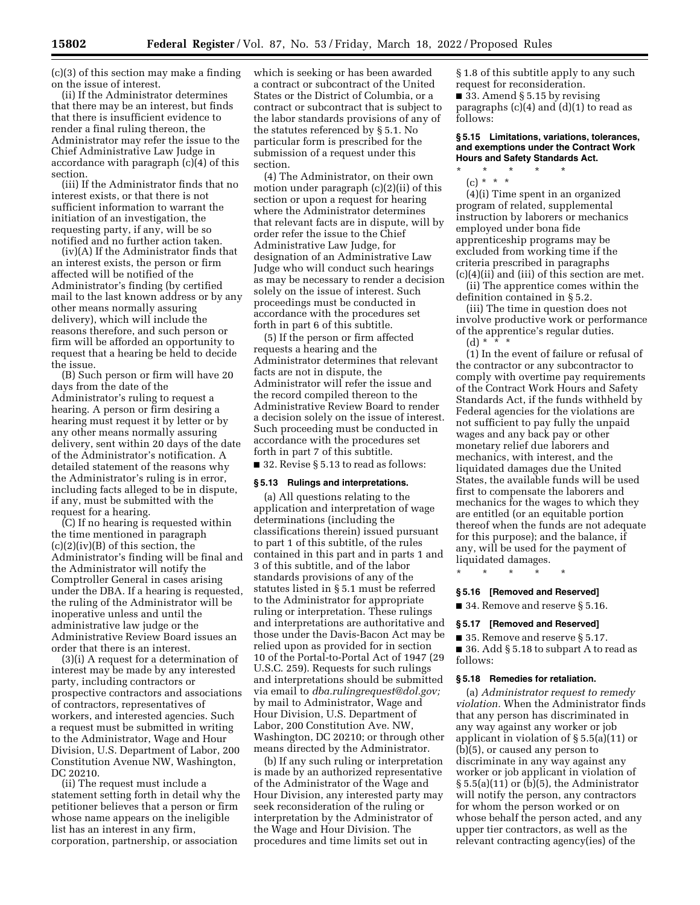(c)(3) of this section may make a finding on the issue of interest.

(ii) If the Administrator determines that there may be an interest, but finds that there is insufficient evidence to render a final ruling thereon, the Administrator may refer the issue to the Chief Administrative Law Judge in accordance with paragraph (c)(4) of this section.

(iii) If the Administrator finds that no interest exists, or that there is not sufficient information to warrant the initiation of an investigation, the requesting party, if any, will be so notified and no further action taken.

(iv)(A) If the Administrator finds that an interest exists, the person or firm affected will be notified of the Administrator's finding (by certified mail to the last known address or by any other means normally assuring delivery), which will include the reasons therefore, and such person or firm will be afforded an opportunity to request that a hearing be held to decide the issue.

(B) Such person or firm will have 20 days from the date of the Administrator's ruling to request a hearing. A person or firm desiring a hearing must request it by letter or by any other means normally assuring delivery, sent within 20 days of the date of the Administrator's notification. A detailed statement of the reasons why the Administrator's ruling is in error, including facts alleged to be in dispute, if any, must be submitted with the request for a hearing.

(C) If no hearing is requested within the time mentioned in paragraph  $(c)(2)(iv)(B)$  of this section, the Administrator's finding will be final and the Administrator will notify the Comptroller General in cases arising under the DBA. If a hearing is requested, the ruling of the Administrator will be inoperative unless and until the administrative law judge or the Administrative Review Board issues an order that there is an interest.

(3)(i) A request for a determination of interest may be made by any interested party, including contractors or prospective contractors and associations of contractors, representatives of workers, and interested agencies. Such a request must be submitted in writing to the Administrator, Wage and Hour Division, U.S. Department of Labor, 200 Constitution Avenue NW, Washington, DC 20210.

(ii) The request must include a statement setting forth in detail why the petitioner believes that a person or firm whose name appears on the ineligible list has an interest in any firm, corporation, partnership, or association

which is seeking or has been awarded a contract or subcontract of the United States or the District of Columbia, or a contract or subcontract that is subject to the labor standards provisions of any of the statutes referenced by § 5.1. No particular form is prescribed for the submission of a request under this section.

(4) The Administrator, on their own motion under paragraph (c)(2)(ii) of this section or upon a request for hearing where the Administrator determines that relevant facts are in dispute, will by order refer the issue to the Chief Administrative Law Judge, for designation of an Administrative Law Judge who will conduct such hearings as may be necessary to render a decision solely on the issue of interest. Such proceedings must be conducted in accordance with the procedures set forth in part 6 of this subtitle.

(5) If the person or firm affected requests a hearing and the Administrator determines that relevant facts are not in dispute, the Administrator will refer the issue and the record compiled thereon to the Administrative Review Board to render a decision solely on the issue of interest. Such proceeding must be conducted in accordance with the procedures set forth in part 7 of this subtitle.

■ 32. Revise § 5.13 to read as follows:

## **§ 5.13 Rulings and interpretations.**

(a) All questions relating to the application and interpretation of wage determinations (including the classifications therein) issued pursuant to part 1 of this subtitle, of the rules contained in this part and in parts 1 and 3 of this subtitle, and of the labor standards provisions of any of the statutes listed in § 5.1 must be referred to the Administrator for appropriate ruling or interpretation. These rulings and interpretations are authoritative and those under the Davis-Bacon Act may be relied upon as provided for in section 10 of the Portal-to-Portal Act of 1947 (29 U.S.C. 259). Requests for such rulings and interpretations should be submitted via email to *[dba.rulingrequest@dol.gov;](mailto:dba.rulingrequest@dol.gov)*  by mail to Administrator, Wage and Hour Division, U.S. Department of Labor, 200 Constitution Ave. NW, Washington, DC 20210; or through other means directed by the Administrator.

(b) If any such ruling or interpretation is made by an authorized representative of the Administrator of the Wage and Hour Division, any interested party may seek reconsideration of the ruling or interpretation by the Administrator of the Wage and Hour Division. The procedures and time limits set out in

§ 1.8 of this subtitle apply to any such request for reconsideration. ■ 33. Amend § 5.15 by revising paragraphs  $(c)(4)$  and  $(d)(1)$  to read as follows:

**§ 5.15 Limitations, variations, tolerances, and exemptions under the Contract Work Hours and Safety Standards Act.** 

\* \* \* \* \* (c) \* \* \*

(4)(i) Time spent in an organized program of related, supplemental instruction by laborers or mechanics employed under bona fide apprenticeship programs may be excluded from working time if the criteria prescribed in paragraphs (c)(4)(ii) and (iii) of this section are met.

(ii) The apprentice comes within the definition contained in § 5.2.

(iii) The time in question does not involve productive work or performance of the apprentice's regular duties. (d) \* \* \*

(1) In the event of failure or refusal of the contractor or any subcontractor to comply with overtime pay requirements of the Contract Work Hours and Safety Standards Act, if the funds withheld by Federal agencies for the violations are not sufficient to pay fully the unpaid wages and any back pay or other monetary relief due laborers and mechanics, with interest, and the liquidated damages due the United States, the available funds will be used first to compensate the laborers and mechanics for the wages to which they are entitled (or an equitable portion thereof when the funds are not adequate for this purpose); and the balance, if any, will be used for the payment of liquidated damages.

\* \* \* \* \*

#### **§ 5.16 [Removed and Reserved]**

■ 34. Remove and reserve § 5.16.

#### **§ 5.17 [Removed and Reserved]**

■ 35. Remove and reserve § 5.17. ■ 36. Add § 5.18 to subpart A to read as

follows:

### **§ 5.18 Remedies for retaliation.**

(a) *Administrator request to remedy violation.* When the Administrator finds that any person has discriminated in any way against any worker or job applicant in violation of § 5.5(a)(11) or (b)(5), or caused any person to discriminate in any way against any worker or job applicant in violation of § 5.5(a)(11) or (b)(5), the Administrator will notify the person, any contractors for whom the person worked or on whose behalf the person acted, and any upper tier contractors, as well as the relevant contracting agency(ies) of the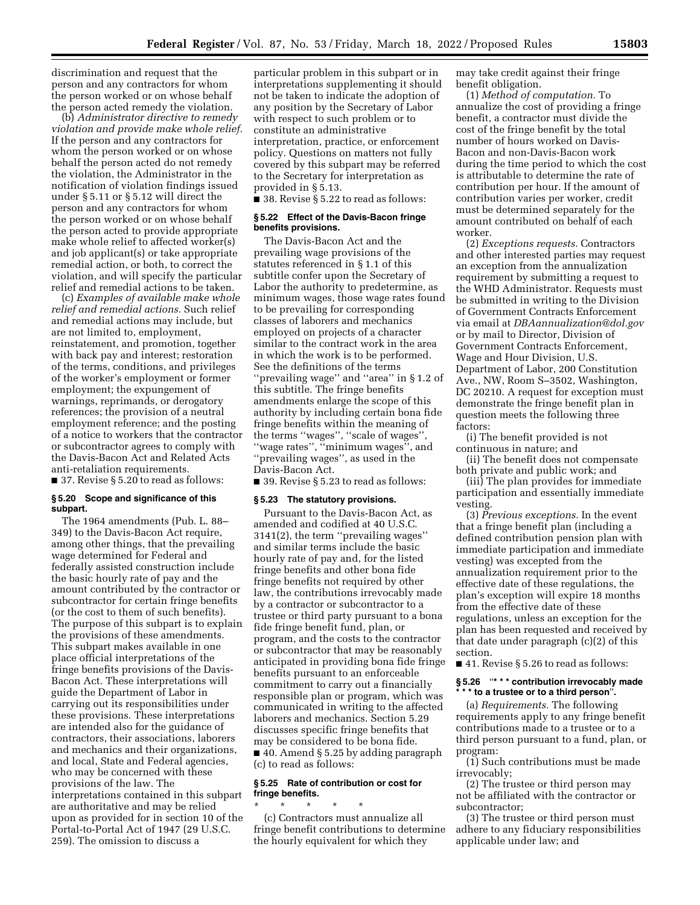discrimination and request that the person and any contractors for whom the person worked or on whose behalf the person acted remedy the violation.

(b) *Administrator directive to remedy violation and provide make whole relief.*  If the person and any contractors for whom the person worked or on whose behalf the person acted do not remedy the violation, the Administrator in the notification of violation findings issued under § 5.11 or § 5.12 will direct the person and any contractors for whom the person worked or on whose behalf the person acted to provide appropriate make whole relief to affected worker(s) and job applicant(s) or take appropriate remedial action, or both, to correct the violation, and will specify the particular relief and remedial actions to be taken.

(c) *Examples of available make whole relief and remedial actions.* Such relief and remedial actions may include, but are not limited to, employment, reinstatement, and promotion, together with back pay and interest; restoration of the terms, conditions, and privileges of the worker's employment or former employment; the expungement of warnings, reprimands, or derogatory references; the provision of a neutral employment reference; and the posting of a notice to workers that the contractor or subcontractor agrees to comply with the Davis-Bacon Act and Related Acts anti-retaliation requirements.

■ 37. Revise § 5.20 to read as follows:

### **§ 5.20 Scope and significance of this subpart.**

The 1964 amendments (Pub. L. 88– 349) to the Davis-Bacon Act require, among other things, that the prevailing wage determined for Federal and federally assisted construction include the basic hourly rate of pay and the amount contributed by the contractor or subcontractor for certain fringe benefits (or the cost to them of such benefits). The purpose of this subpart is to explain the provisions of these amendments. This subpart makes available in one place official interpretations of the fringe benefits provisions of the Davis-Bacon Act. These interpretations will guide the Department of Labor in carrying out its responsibilities under these provisions. These interpretations are intended also for the guidance of contractors, their associations, laborers and mechanics and their organizations, and local, State and Federal agencies, who may be concerned with these provisions of the law. The interpretations contained in this subpart are authoritative and may be relied upon as provided for in section 10 of the Portal-to-Portal Act of 1947 (29 U.S.C. 259). The omission to discuss a

particular problem in this subpart or in interpretations supplementing it should not be taken to indicate the adoption of any position by the Secretary of Labor with respect to such problem or to constitute an administrative interpretation, practice, or enforcement policy. Questions on matters not fully covered by this subpart may be referred to the Secretary for interpretation as provided in § 5.13.

■ 38. Revise § 5.22 to read as follows:

## **§ 5.22 Effect of the Davis-Bacon fringe benefits provisions.**

The Davis-Bacon Act and the prevailing wage provisions of the statutes referenced in § 1.1 of this subtitle confer upon the Secretary of Labor the authority to predetermine, as minimum wages, those wage rates found to be prevailing for corresponding classes of laborers and mechanics employed on projects of a character similar to the contract work in the area in which the work is to be performed. See the definitions of the terms "prevailing wage" and "area" in §1.2 of this subtitle. The fringe benefits amendments enlarge the scope of this authority by including certain bona fide fringe benefits within the meaning of the terms ''wages'', ''scale of wages'', ''wage rates'', ''minimum wages'', and ''prevailing wages'', as used in the Davis-Bacon Act.

■ 39. Revise § 5.23 to read as follows:

#### **§ 5.23 The statutory provisions.**

Pursuant to the Davis-Bacon Act, as amended and codified at 40 U.S.C. 3141(2), the term ''prevailing wages'' and similar terms include the basic hourly rate of pay and, for the listed fringe benefits and other bona fide fringe benefits not required by other law, the contributions irrevocably made by a contractor or subcontractor to a trustee or third party pursuant to a bona fide fringe benefit fund, plan, or program, and the costs to the contractor or subcontractor that may be reasonably anticipated in providing bona fide fringe benefits pursuant to an enforceable commitment to carry out a financially responsible plan or program, which was communicated in writing to the affected laborers and mechanics. Section 5.29 discusses specific fringe benefits that may be considered to be bona fide. ■ 40. Amend § 5.25 by adding paragraph (c) to read as follows:

## **§ 5.25 Rate of contribution or cost for fringe benefits.**

\* \* \* \* \* (c) Contractors must annualize all fringe benefit contributions to determine the hourly equivalent for which they

may take credit against their fringe benefit obligation.

(1) *Method of computation.* To annualize the cost of providing a fringe benefit, a contractor must divide the cost of the fringe benefit by the total number of hours worked on Davis-Bacon and non-Davis-Bacon work during the time period to which the cost is attributable to determine the rate of contribution per hour. If the amount of contribution varies per worker, credit must be determined separately for the amount contributed on behalf of each worker.

(2) *Exceptions requests.* Contractors and other interested parties may request an exception from the annualization requirement by submitting a request to the WHD Administrator. Requests must be submitted in writing to the Division of Government Contracts Enforcement via email at *[DBAannualization@dol.gov](mailto:DBAannualization@dol.gov)*  or by mail to Director, Division of Government Contracts Enforcement, Wage and Hour Division, U.S. Department of Labor, 200 Constitution Ave., NW, Room S–3502, Washington, DC 20210. A request for exception must demonstrate the fringe benefit plan in question meets the following three factors:

(i) The benefit provided is not continuous in nature; and

(ii) The benefit does not compensate both private and public work; and

(iii) The plan provides for immediate participation and essentially immediate vesting.

(3) *Previous exceptions.* In the event that a fringe benefit plan (including a defined contribution pension plan with immediate participation and immediate vesting) was excepted from the annualization requirement prior to the effective date of these regulations, the plan's exception will expire 18 months from the effective date of these regulations, unless an exception for the plan has been requested and received by that date under paragraph (c)(2) of this section.

 $\blacksquare$  41. Revise § 5.26 to read as follows:

# **§ 5.26** ''**\* \* \* contribution irrevocably made \* \* \* to a trustee or to a third person**''**.**

(a) *Requirements.* The following requirements apply to any fringe benefit contributions made to a trustee or to a third person pursuant to a fund, plan, or program:

(1) Such contributions must be made irrevocably;

(2) The trustee or third person may not be affiliated with the contractor or subcontractor;

(3) The trustee or third person must adhere to any fiduciary responsibilities applicable under law; and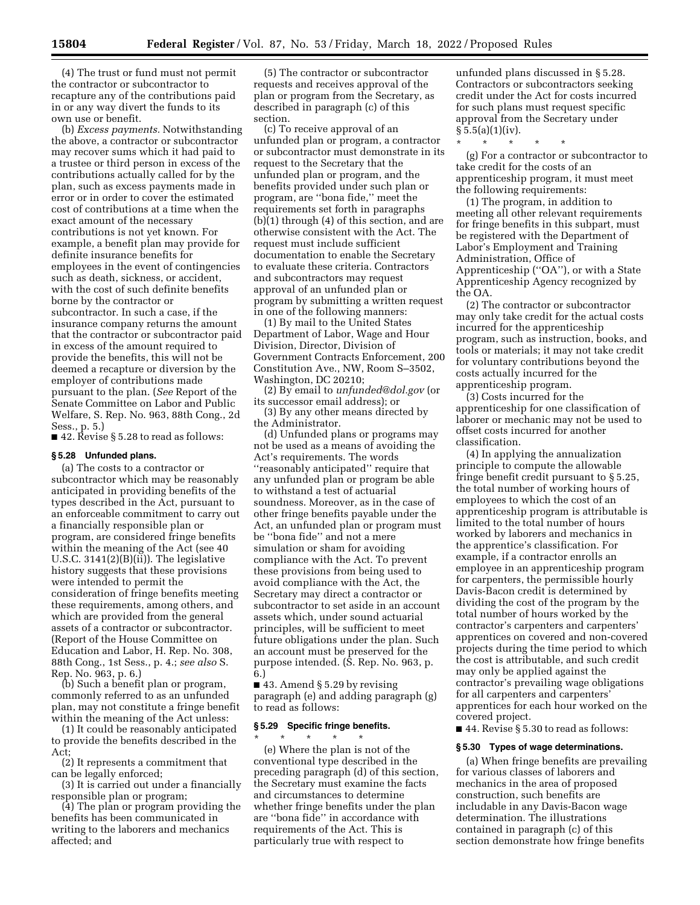(4) The trust or fund must not permit the contractor or subcontractor to recapture any of the contributions paid in or any way divert the funds to its own use or benefit.

(b) *Excess payments.* Notwithstanding the above, a contractor or subcontractor may recover sums which it had paid to a trustee or third person in excess of the contributions actually called for by the plan, such as excess payments made in error or in order to cover the estimated cost of contributions at a time when the exact amount of the necessary contributions is not yet known. For example, a benefit plan may provide for definite insurance benefits for employees in the event of contingencies such as death, sickness, or accident, with the cost of such definite benefits borne by the contractor or subcontractor. In such a case, if the insurance company returns the amount that the contractor or subcontractor paid in excess of the amount required to provide the benefits, this will not be deemed a recapture or diversion by the employer of contributions made pursuant to the plan. (*See* Report of the Senate Committee on Labor and Public Welfare, S. Rep. No. 963, 88th Cong., 2d Sess., p. 5.)

 $\blacksquare$  42. Revise § 5.28 to read as follows:

#### **§ 5.28 Unfunded plans.**

(a) The costs to a contractor or subcontractor which may be reasonably anticipated in providing benefits of the types described in the Act, pursuant to an enforceable commitment to carry out a financially responsible plan or program, are considered fringe benefits within the meaning of the Act (see 40 U.S.C. 3141(2)(B)(ii)). The legislative history suggests that these provisions were intended to permit the consideration of fringe benefits meeting these requirements, among others, and which are provided from the general assets of a contractor or subcontractor. (Report of the House Committee on Education and Labor, H. Rep. No. 308, 88th Cong., 1st Sess., p. 4.; *see also* S. Rep. No. 963, p. 6.)

(b) Such a benefit plan or program, commonly referred to as an unfunded plan, may not constitute a fringe benefit within the meaning of the Act unless:

(1) It could be reasonably anticipated to provide the benefits described in the  $Act$ 

(2) It represents a commitment that can be legally enforced;

(3) It is carried out under a financially responsible plan or program;

(4) The plan or program providing the benefits has been communicated in writing to the laborers and mechanics affected; and

(5) The contractor or subcontractor requests and receives approval of the plan or program from the Secretary, as described in paragraph (c) of this section.

(c) To receive approval of an unfunded plan or program, a contractor or subcontractor must demonstrate in its request to the Secretary that the unfunded plan or program, and the benefits provided under such plan or program, are ''bona fide,'' meet the requirements set forth in paragraphs (b)(1) through (4) of this section, and are otherwise consistent with the Act. The request must include sufficient documentation to enable the Secretary to evaluate these criteria. Contractors and subcontractors may request approval of an unfunded plan or program by submitting a written request in one of the following manners:

(1) By mail to the United States Department of Labor, Wage and Hour Division, Director, Division of Government Contracts Enforcement, 200 Constitution Ave., NW, Room S–3502, Washington, DC 20210;

(2) By email to *[unfunded@dol.gov](mailto:unfunded@dol.gov)* (or its successor email address); or

(3) By any other means directed by the Administrator.

(d) Unfunded plans or programs may not be used as a means of avoiding the Act's requirements. The words ''reasonably anticipated'' require that any unfunded plan or program be able to withstand a test of actuarial soundness. Moreover, as in the case of other fringe benefits payable under the Act, an unfunded plan or program must be ''bona fide'' and not a mere simulation or sham for avoiding compliance with the Act. To prevent these provisions from being used to avoid compliance with the Act, the Secretary may direct a contractor or subcontractor to set aside in an account assets which, under sound actuarial principles, will be sufficient to meet future obligations under the plan. Such an account must be preserved for the purpose intended. (S. Rep. No. 963, p. 6.)

 $\blacksquare$  43. Amend § 5.29 by revising paragraph (e) and adding paragraph (g) to read as follows:

# **§ 5.29 Specific fringe benefits.**

\* \* \* \* \* (e) Where the plan is not of the conventional type described in the preceding paragraph (d) of this section, the Secretary must examine the facts and circumstances to determine whether fringe benefits under the plan are ''bona fide'' in accordance with requirements of the Act. This is particularly true with respect to

unfunded plans discussed in § 5.28. Contractors or subcontractors seeking credit under the Act for costs incurred for such plans must request specific approval from the Secretary under  $§ 5.5(a)(1)(iv).$ 

\* \* \* \* \*

(g) For a contractor or subcontractor to take credit for the costs of an apprenticeship program, it must meet the following requirements:

(1) The program, in addition to meeting all other relevant requirements for fringe benefits in this subpart, must be registered with the Department of Labor's Employment and Training Administration, Office of Apprenticeship (''OA''), or with a State Apprenticeship Agency recognized by the OA.

(2) The contractor or subcontractor may only take credit for the actual costs incurred for the apprenticeship program, such as instruction, books, and tools or materials; it may not take credit for voluntary contributions beyond the costs actually incurred for the apprenticeship program.

(3) Costs incurred for the apprenticeship for one classification of laborer or mechanic may not be used to offset costs incurred for another classification.

(4) In applying the annualization principle to compute the allowable fringe benefit credit pursuant to § 5.25, the total number of working hours of employees to which the cost of an apprenticeship program is attributable is limited to the total number of hours worked by laborers and mechanics in the apprentice's classification. For example, if a contractor enrolls an employee in an apprenticeship program for carpenters, the permissible hourly Davis-Bacon credit is determined by dividing the cost of the program by the total number of hours worked by the contractor's carpenters and carpenters' apprentices on covered and non-covered projects during the time period to which the cost is attributable, and such credit may only be applied against the contractor's prevailing wage obligations for all carpenters and carpenters' apprentices for each hour worked on the covered project.

■ 44. Revise § 5.30 to read as follows:

#### **§ 5.30 Types of wage determinations.**

(a) When fringe benefits are prevailing for various classes of laborers and mechanics in the area of proposed construction, such benefits are includable in any Davis-Bacon wage determination. The illustrations contained in paragraph (c) of this section demonstrate how fringe benefits